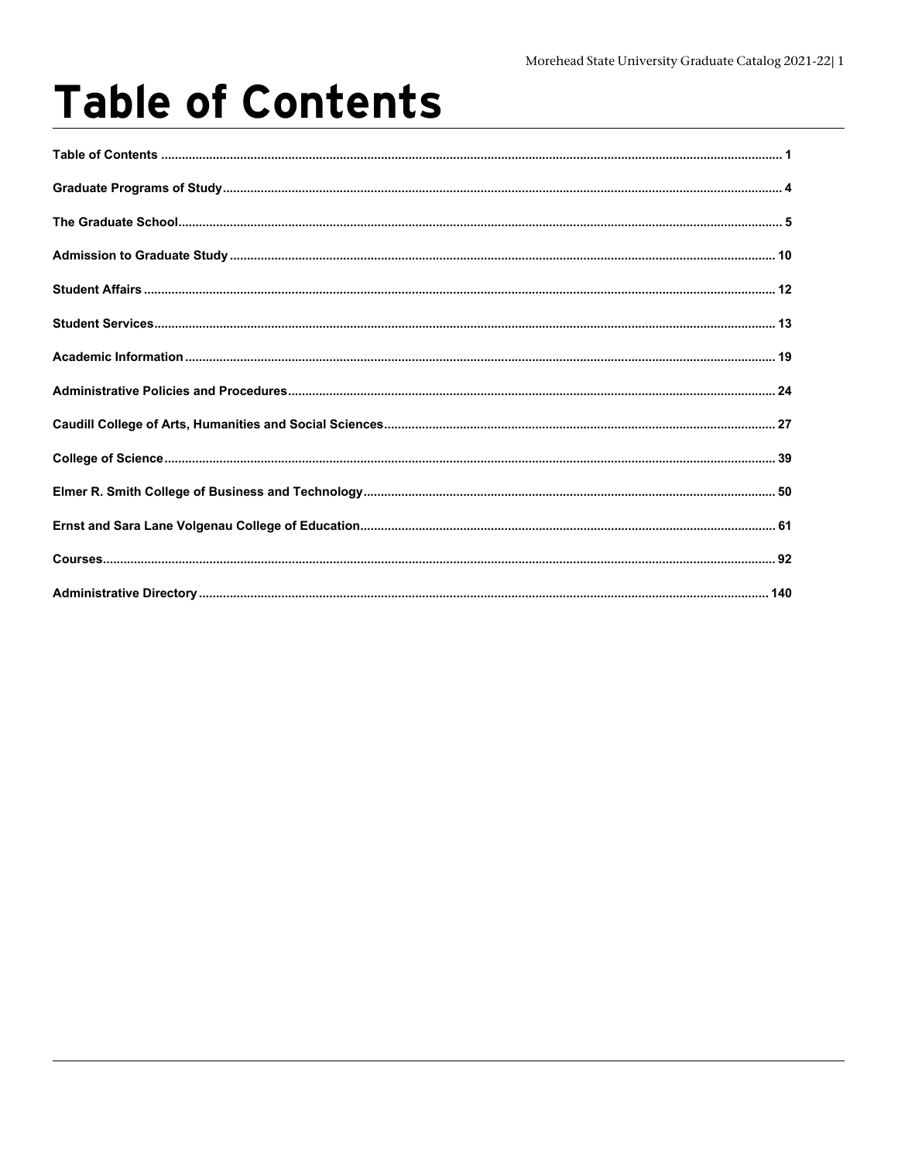# **Table of Contents**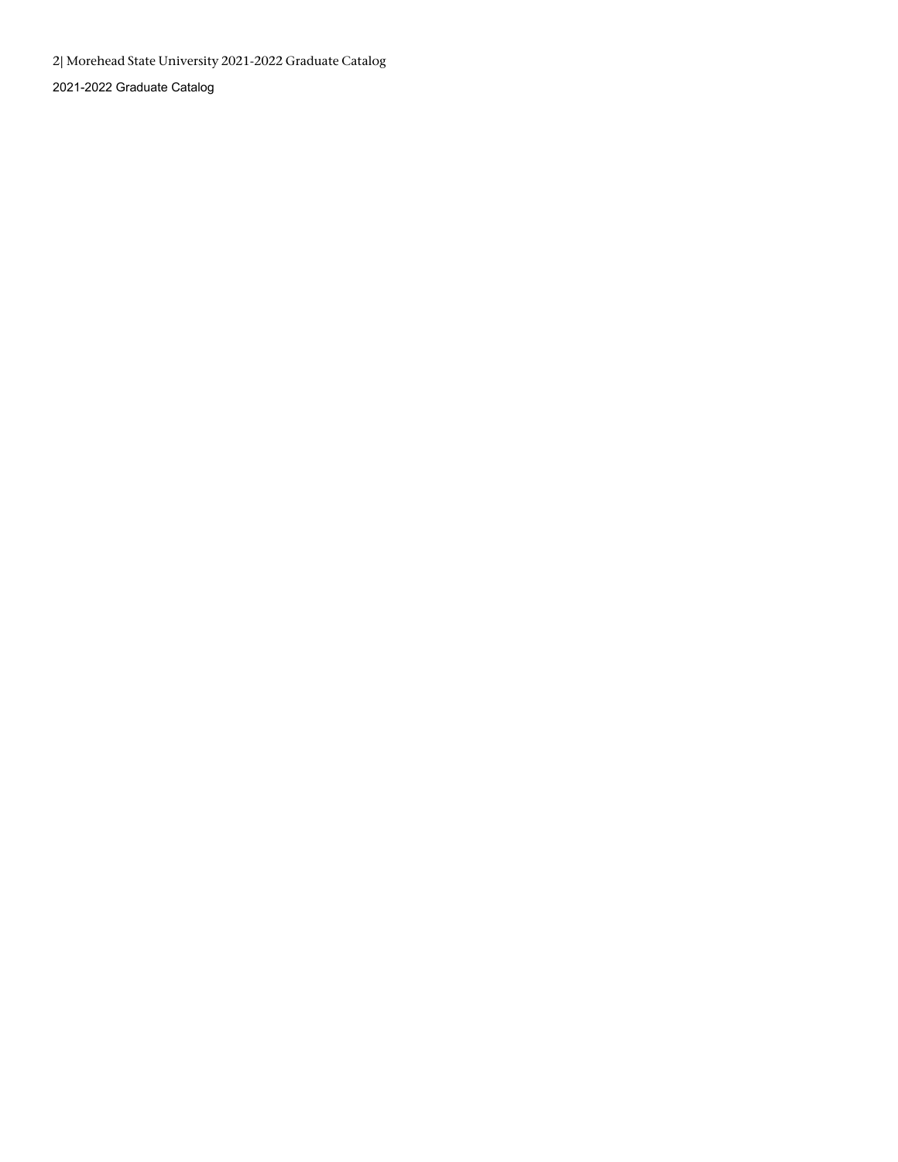2| Morehead State University 2021-2022 Graduate Catalog

2021-2022 Graduate Catalog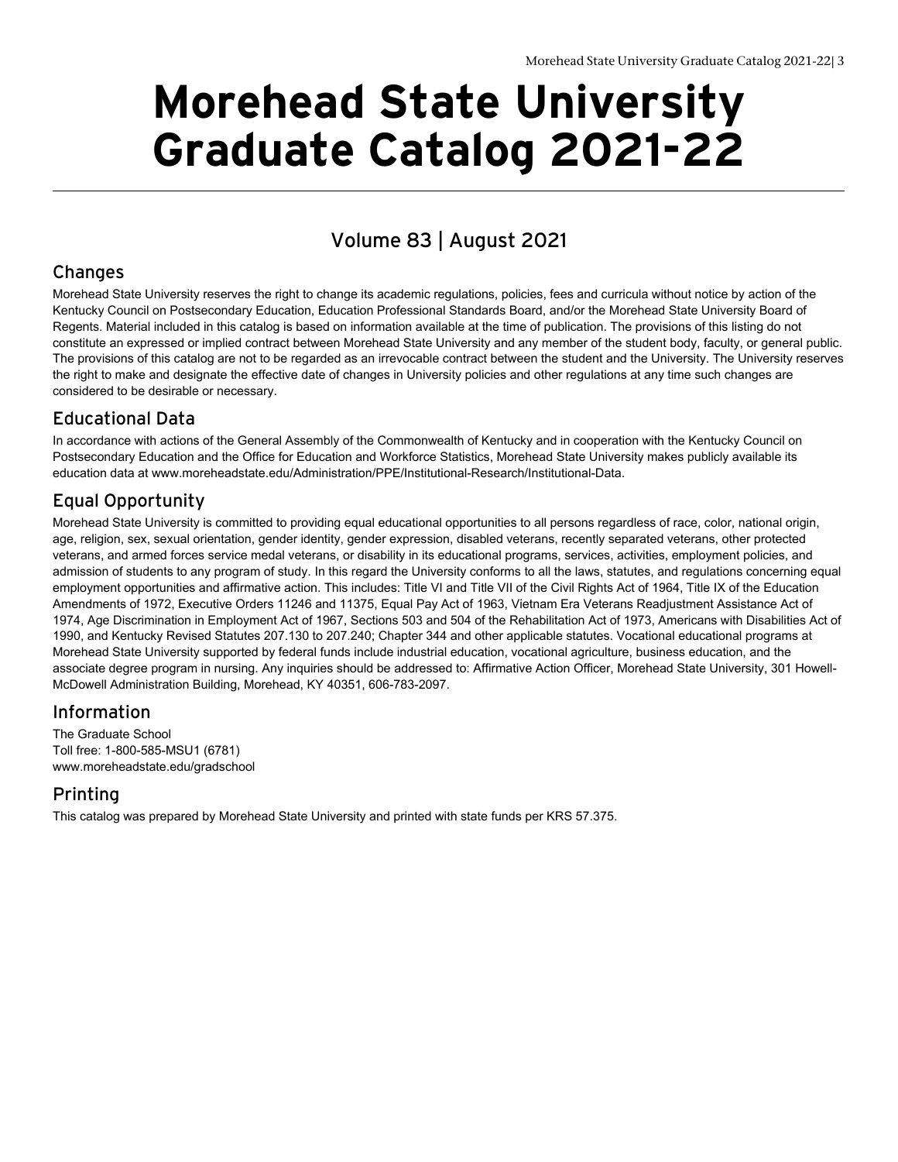# **Morehead State University Graduate Catalog 2021-22**

# Volume 83 | August 2021

## Changes

Morehead State University reserves the right to change its academic regulations, policies, fees and curricula without notice by action of the Kentucky Council on Postsecondary Education, Education Professional Standards Board, and/or the Morehead State University Board of Regents. Material included in this catalog is based on information available at the time of publication. The provisions of this listing do not constitute an expressed or implied contract between Morehead State University and any member of the student body, faculty, or general public. The provisions of this catalog are not to be regarded as an irrevocable contract between the student and the University. The University reserves the right to make and designate the effective date of changes in University policies and other regulations at any time such changes are considered to be desirable or necessary.

## Educational Data

In accordance with actions of the General Assembly of the Commonwealth of Kentucky and in cooperation with the Kentucky Council on Postsecondary Education and the Office for Education and Workforce Statistics, Morehead State University makes publicly available its education data at www.moreheadstate.edu/Administration/PPE/Institutional-Research/Institutional-Data.

## Equal Opportunity

Morehead State University is committed to providing equal educational opportunities to all persons regardless of race, color, national origin, age, religion, sex, sexual orientation, gender identity, gender expression, disabled veterans, recently separated veterans, other protected veterans, and armed forces service medal veterans, or disability in its educational programs, services, activities, employment policies, and admission of students to any program of study. In this regard the University conforms to all the laws, statutes, and regulations concerning equal employment opportunities and affirmative action. This includes: Title VI and Title VII of the Civil Rights Act of 1964, Title IX of the Education Amendments of 1972, Executive Orders 11246 and 11375, Equal Pay Act of 1963, Vietnam Era Veterans Readjustment Assistance Act of 1974, Age Discrimination in Employment Act of 1967, Sections 503 and 504 of the Rehabilitation Act of 1973, Americans with Disabilities Act of 1990, and Kentucky Revised Statutes 207.130 to 207.240; Chapter 344 and other applicable statutes. Vocational educational programs at Morehead State University supported by federal funds include industrial education, vocational agriculture, business education, and the associate degree program in nursing. Any inquiries should be addressed to: Affirmative Action Officer, Morehead State University, 301 Howell-McDowell Administration Building, Morehead, KY 40351, 606-783-2097.

## Information

The Graduate School Toll free: 1-800-585-MSU1 (6781) www.moreheadstate.edu/gradschool

## Printing

This catalog was prepared by Morehead State University and printed with state funds per KRS 57.375.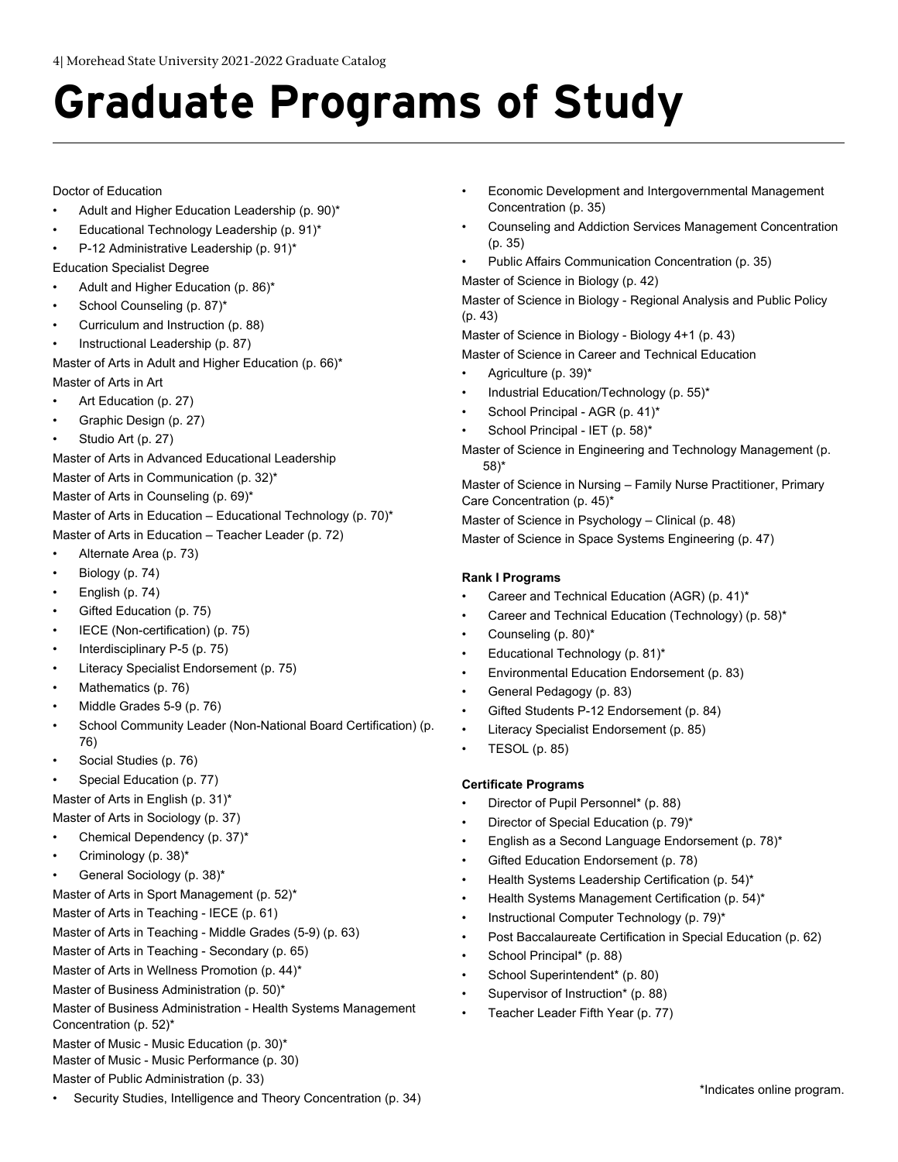# **Graduate Programs of Study**

#### Doctor of Education

- Adult and Higher Education Leadership (p. 90)\*
- Educational Technology Leadership (p. 91)\*
- P-12 Administrative Leadership (p. 91)\*

Education Specialist Degree

- Adult and Higher Education (p. 86)\*
- School Counseling (p. 87)\*
- Curriculum and Instruction (p. 88)
- Instructional Leadership (p. 87)

Master of Arts in Adult and Higher Education (p. 66)\* Master of Arts in Art

- Art Education (p. 27)
- Graphic Design (p. 27)
- Studio Art (p. 27)

Master of Arts in Advanced Educational Leadership Master of Arts in Communication (p. 32)\*

Master of Arts in Counseling (p. 69)\*

Master of Arts in Education – Educational Technology (p. 70)\* Master of Arts in Education – Teacher Leader (p. 72)

- Alternate Area (p. 73)
- Biology (p. 74)
- English (p. 74)
- Gifted Education (p. 75)
- IECE (Non-certification) (p. 75)
- Interdisciplinary P-5 (p. 75)
- Literacy Specialist Endorsement (p. 75)
- Mathematics (p. 76)
- Middle Grades 5-9 (p. 76)
- School Community Leader (Non-National Board Certification) (p. 76)
- Social Studies (p. 76)
- Special Education (p. 77)
- Master of Arts in English (p. 31)\*
- Master of Arts in Sociology (p. 37)
- Chemical Dependency (p. 37)\*
- Criminology (p. 38)\*
- General Sociology (p. 38)\*

Master of Arts in Sport Management (p. 52)\*

Master of Arts in Teaching - IECE (p. 61)

Master of Arts in Teaching - Middle Grades (5-9) (p. 63)

Master of Arts in Teaching - Secondary (p. 65)

Master of Arts in Wellness Promotion (p. 44)\*

Master of Business Administration (p. 50)\*

Master of Business Administration - Health Systems Management Concentration (p. 52)\*

Master of Music - Music Education (p. 30)\* Master of Music - Music Performance (p. 30)

## Master of Public Administration (p. 33)

• Security Studies, Intelligence and Theory Concentration (p. 34)

- Economic Development and Intergovernmental Management Concentration (p. 35)
- Counseling and Addiction Services Management Concentration (p. 35)
- Public Affairs Communication Concentration (p. 35) Master of Science in Biology (p. 42)

Master of Science in Biology - Regional Analysis and Public Policy (p. 43)

Master of Science in Biology - Biology 4+1 (p. 43)

Master of Science in Career and Technical Education

- Agriculture (p. 39)\*
- Industrial Education/Technology (p. 55)\*
- School Principal AGR (p. 41)\*
- School Principal IET (p. 58)\*

Master of Science in Engineering and Technology Management (p. 58)\*

Master of Science in Nursing – Family Nurse Practitioner, Primary Care Concentration (p. 45)\*

Master of Science in Psychology – Clinical (p. 48) Master of Science in Space Systems Engineering (p. 47)

## **Rank I Programs**

- Career and Technical Education (AGR) (p. 41)\*
- Career and Technical Education (Technology) (p. 58)\*
- Counseling (p. 80)\*
- Educational Technology (p. 81)\*
- Environmental Education Endorsement (p. 83)
- General Pedagogy (p. 83)
- Gifted Students P-12 Endorsement (p. 84)
- Literacy Specialist Endorsement (p. 85)
- TESOL (p. 85)

## **Certificate Programs**

- Director of Pupil Personnel\* (p. 88)
- Director of Special Education (p. 79)\*
- English as a Second Language Endorsement (p. 78)\*
- Gifted Education Endorsement (p. 78)
- Health Systems Leadership Certification (p. 54)\*
- Health Systems Management Certification (p. 54)\*
- Instructional Computer Technology (p. 79)\*
- Post Baccalaureate Certification in Special Education (p. 62)
- School Principal\* (p. 88)
- School Superintendent\* (p. 80)
- Supervisor of Instruction\* (p. 88)
- Teacher Leader Fifth Year (p. 77)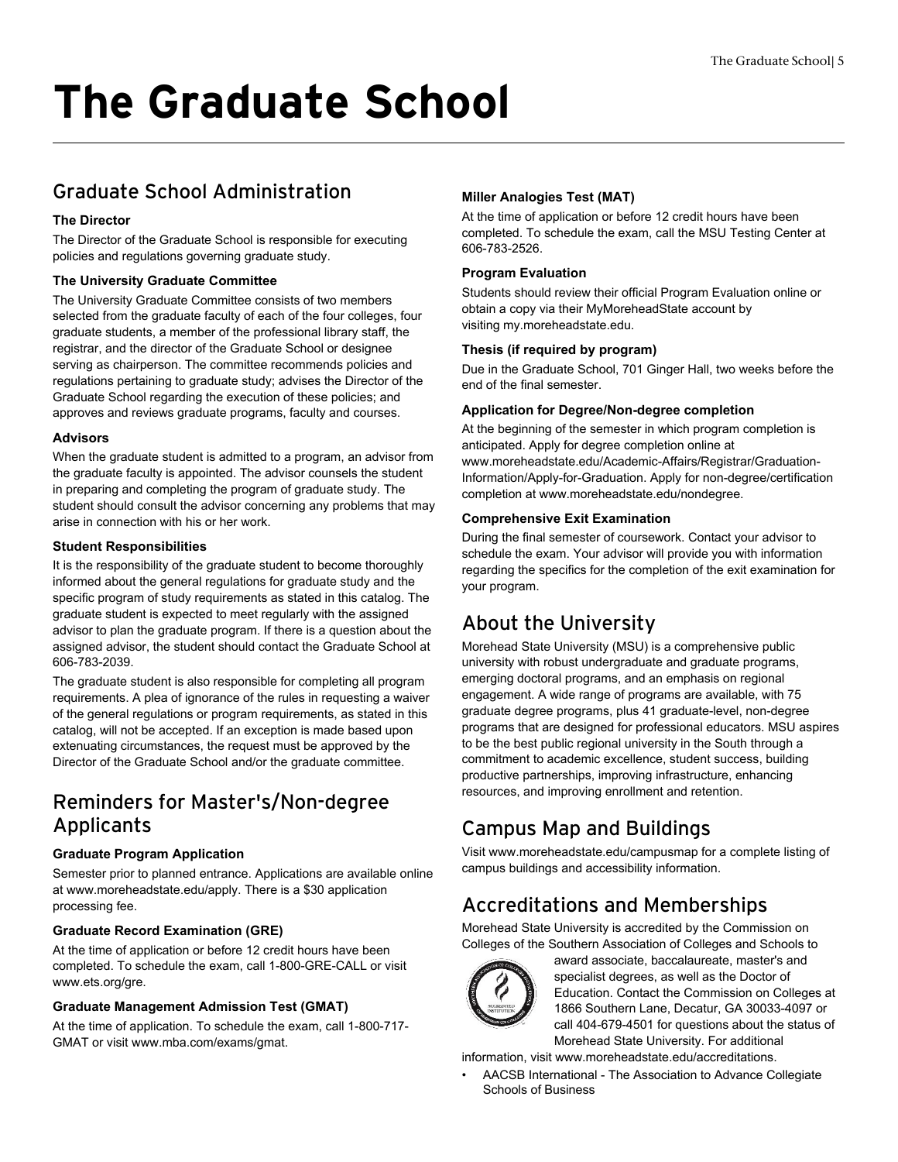# **The Graduate School**

# Graduate School Administration

## **The Director**

The Director of the Graduate School is responsible for executing policies and regulations governing graduate study.

#### **The University Graduate Committee**

The University Graduate Committee consists of two members selected from the graduate faculty of each of the four colleges, four graduate students, a member of the professional library staff, the registrar, and the director of the Graduate School or designee serving as chairperson. The committee recommends policies and regulations pertaining to graduate study; advises the Director of the Graduate School regarding the execution of these policies; and approves and reviews graduate programs, faculty and courses.

#### **Advisors**

When the graduate student is admitted to a program, an advisor from the graduate faculty is appointed. The advisor counsels the student in preparing and completing the program of graduate study. The student should consult the advisor concerning any problems that may arise in connection with his or her work.

## **Student Responsibilities**

It is the responsibility of the graduate student to become thoroughly informed about the general regulations for graduate study and the specific program of study requirements as stated in this catalog. The graduate student is expected to meet regularly with the assigned advisor to plan the graduate program. If there is a question about the assigned advisor, the student should contact the Graduate School at 606-783-2039.

The graduate student is also responsible for completing all program requirements. A plea of ignorance of the rules in requesting a waiver of the general regulations or program requirements, as stated in this catalog, will not be accepted. If an exception is made based upon extenuating circumstances, the request must be approved by the Director of the Graduate School and/or the graduate committee.

# Reminders for Master's/Non-degree Applicants

## **Graduate Program Application**

Semester prior to planned entrance. Applications are available online at www.moreheadstate.edu/apply. There is a \$30 application processing fee.

## **Graduate Record Examination (GRE)**

At the time of application or before 12 credit hours have been completed. To schedule the exam, call 1-800-GRE-CALL or visit www.ets.org/gre.

## **Graduate Management Admission Test (GMAT)**

At the time of application. To schedule the exam, call 1-800-717- GMAT or visit www.mba.com/exams/gmat.

## **Miller Analogies Test (MAT)**

At the time of application or before 12 credit hours have been completed. To schedule the exam, call the MSU Testing Center at 606-783-2526.

## **Program Evaluation**

Students should review their official Program Evaluation online or obtain a copy via their MyMoreheadState account by visiting my.moreheadstate.edu.

## **Thesis (if required by program)**

Due in the Graduate School, 701 Ginger Hall, two weeks before the end of the final semester.

## **Application for Degree/Non-degree completion**

At the beginning of the semester in which program completion is anticipated. Apply for degree completion online at www.moreheadstate.edu/Academic-Affairs/Registrar/Graduation-Information/Apply-for-Graduation. Apply for non-degree/certification completion at www.moreheadstate.edu/nondegree.

## **Comprehensive Exit Examination**

During the final semester of coursework. Contact your advisor to schedule the exam. Your advisor will provide you with information regarding the specifics for the completion of the exit examination for your program.

# About the University

Morehead State University (MSU) is a comprehensive public university with robust undergraduate and graduate programs, emerging doctoral programs, and an emphasis on regional engagement. A wide range of programs are available, with 75 graduate degree programs, plus 41 graduate-level, non-degree programs that are designed for professional educators. MSU aspires to be the best public regional university in the South through a commitment to academic excellence, student success, building productive partnerships, improving infrastructure, enhancing resources, and improving enrollment and retention.

# Campus Map and Buildings

Visit www.moreheadstate.edu/campusmap for a complete listing of campus buildings and accessibility information.

# Accreditations and Memberships

Morehead State University is accredited by the Commission on Colleges of the Southern Association of Colleges and Schools to



award associate, baccalaureate, master's and specialist degrees, as well as the Doctor of Education. Contact the Commission on Colleges at 1866 Southern Lane, Decatur, GA 30033-4097 or call 404-679-4501 for questions about the status of Morehead State University. For additional

information, visit www.moreheadstate.edu/accreditations.

• AACSB International - The Association to Advance Collegiate Schools of Business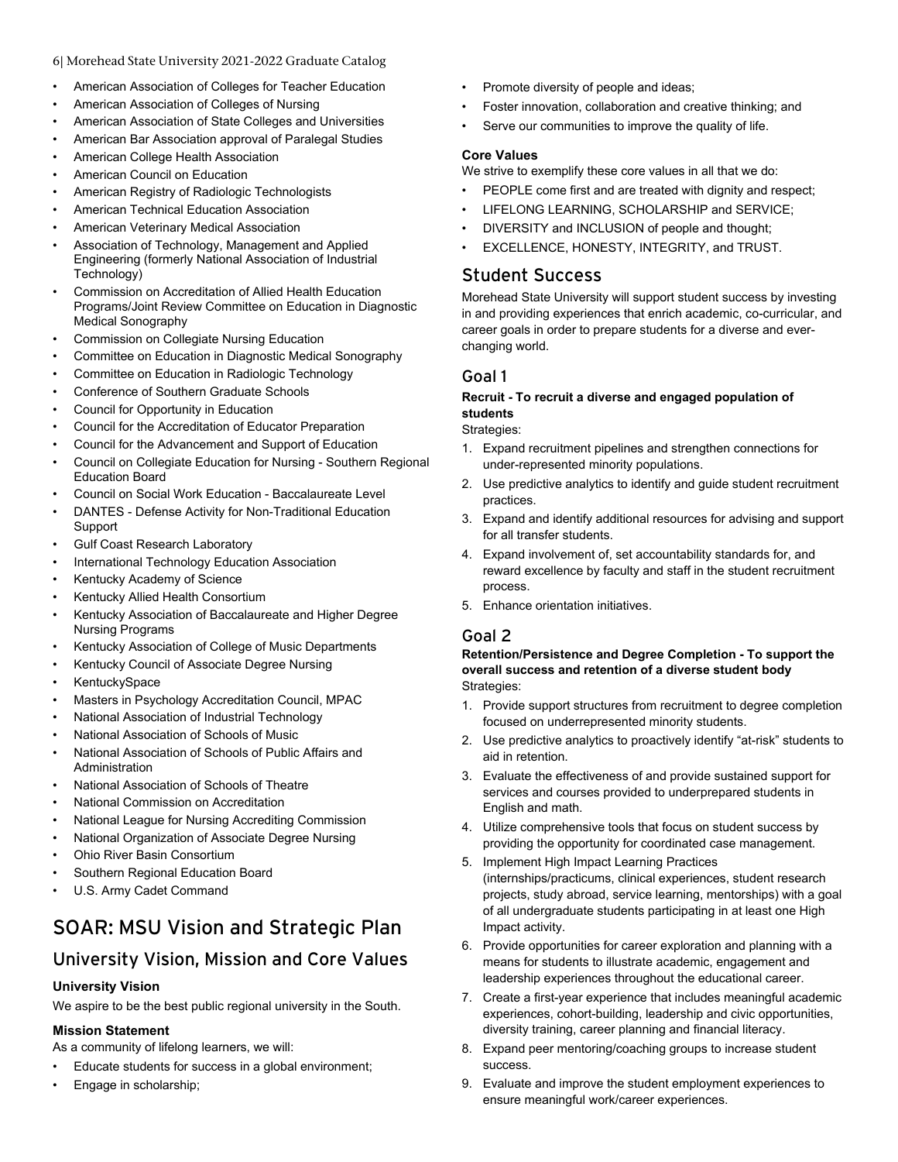#### 6| Morehead State University 2021-2022 Graduate Catalog

- American Association of Colleges for Teacher Education
- American Association of Colleges of Nursing
- American Association of State Colleges and Universities
- American Bar Association approval of Paralegal Studies
- American College Health Association
- American Council on Education
- American Registry of Radiologic Technologists
- American Technical Education Association
- American Veterinary Medical Association
- Association of Technology, Management and Applied Engineering (formerly National Association of Industrial Technology)
- Commission on Accreditation of Allied Health Education Programs/Joint Review Committee on Education in Diagnostic Medical Sonography
- Commission on Collegiate Nursing Education
- Committee on Education in Diagnostic Medical Sonography
- Committee on Education in Radiologic Technology
- Conference of Southern Graduate Schools
- Council for Opportunity in Education
- Council for the Accreditation of Educator Preparation
- Council for the Advancement and Support of Education
- Council on Collegiate Education for Nursing Southern Regional Education Board
- Council on Social Work Education Baccalaureate Level
- DANTES Defense Activity for Non-Traditional Education Support
- Gulf Coast Research Laboratory
- International Technology Education Association
- Kentucky Academy of Science
- Kentucky Allied Health Consortium
- Kentucky Association of Baccalaureate and Higher Degree Nursing Programs
- Kentucky Association of College of Music Departments
- Kentucky Council of Associate Degree Nursing
- **KentuckySpace**
- Masters in Psychology Accreditation Council, MPAC
- National Association of Industrial Technology
- National Association of Schools of Music
- National Association of Schools of Public Affairs and Administration
- National Association of Schools of Theatre
- National Commission on Accreditation
- National League for Nursing Accrediting Commission
- National Organization of Associate Degree Nursing
- Ohio River Basin Consortium
- Southern Regional Education Board
- U.S. Army Cadet Command

# SOAR: MSU Vision and Strategic Plan

## University Vision, Mission and Core Values

#### **University Vision**

We aspire to be the best public regional university in the South.

#### **Mission Statement**

As a community of lifelong learners, we will:

- Educate students for success in a global environment;
- Engage in scholarship;
- Promote diversity of people and ideas;
- Foster innovation, collaboration and creative thinking; and
- Serve our communities to improve the quality of life.

#### **Core Values**

We strive to exemplify these core values in all that we do:

- PEOPLE come first and are treated with dignity and respect;
- LIFELONG LEARNING, SCHOLARSHIP and SERVICE;
- DIVERSITY and INCLUSION of people and thought;
- EXCELLENCE, HONESTY, INTEGRITY, and TRUST.

## Student Success

Morehead State University will support student success by investing in and providing experiences that enrich academic, co-curricular, and career goals in order to prepare students for a diverse and everchanging world.

## Goal 1

## **Recruit - To recruit a diverse and engaged population of students**

Strategies:

- 1. Expand recruitment pipelines and strengthen connections for under-represented minority populations.
- Use predictive analytics to identify and guide student recruitment practices.
- 3. Expand and identify additional resources for advising and support for all transfer students.
- 4. Expand involvement of, set accountability standards for, and reward excellence by faculty and staff in the student recruitment process.
- 5. Enhance orientation initiatives.

## Goal 2

#### **Retention/Persistence and Degree Completion - To support the overall success and retention of a diverse student body** Strategies:

- 1. Provide support structures from recruitment to degree completion focused on underrepresented minority students.
- 2. Use predictive analytics to proactively identify "at-risk" students to aid in retention.
- 3. Evaluate the effectiveness of and provide sustained support for services and courses provided to underprepared students in English and math.
- 4. Utilize comprehensive tools that focus on student success by providing the opportunity for coordinated case management.
- 5. Implement High Impact Learning Practices (internships/practicums, clinical experiences, student research projects, study abroad, service learning, mentorships) with a goal of all undergraduate students participating in at least one High Impact activity.
- 6. Provide opportunities for career exploration and planning with a means for students to illustrate academic, engagement and leadership experiences throughout the educational career.
- 7. Create a first-year experience that includes meaningful academic experiences, cohort-building, leadership and civic opportunities, diversity training, career planning and financial literacy.
- 8. Expand peer mentoring/coaching groups to increase student success.
- 9. Evaluate and improve the student employment experiences to ensure meaningful work/career experiences.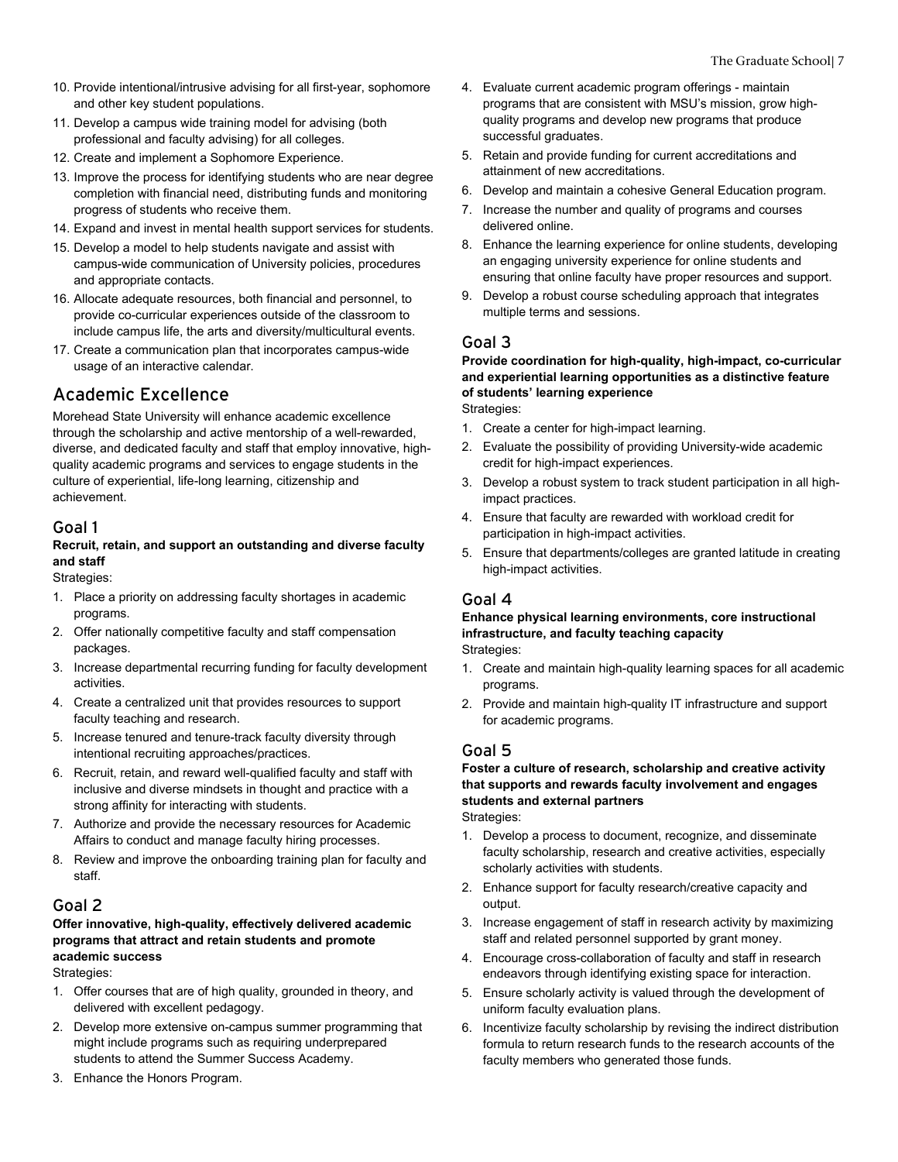- 10. Provide intentional/intrusive advising for all first-year, sophomore and other key student populations.
- 11. Develop a campus wide training model for advising (both professional and faculty advising) for all colleges.
- 12. Create and implement a Sophomore Experience.
- 13. Improve the process for identifying students who are near degree completion with financial need, distributing funds and monitoring progress of students who receive them.
- 14. Expand and invest in mental health support services for students.
- 15. Develop a model to help students navigate and assist with campus-wide communication of University policies, procedures and appropriate contacts.
- 16. Allocate adequate resources, both financial and personnel, to provide co-curricular experiences outside of the classroom to include campus life, the arts and diversity/multicultural events.
- 17. Create a communication plan that incorporates campus-wide usage of an interactive calendar.

## Academic Excellence

Morehead State University will enhance academic excellence through the scholarship and active mentorship of a well-rewarded, diverse, and dedicated faculty and staff that employ innovative, highquality academic programs and services to engage students in the culture of experiential, life-long learning, citizenship and achievement.

## Goal 1

## **Recruit, retain, and support an outstanding and diverse faculty and staff**

Strategies:

- 1. Place a priority on addressing faculty shortages in academic programs.
- 2. Offer nationally competitive faculty and staff compensation packages.
- 3. Increase departmental recurring funding for faculty development activities.
- 4. Create a centralized unit that provides resources to support faculty teaching and research.
- 5. Increase tenured and tenure-track faculty diversity through intentional recruiting approaches/practices.
- 6. Recruit, retain, and reward well-qualified faculty and staff with inclusive and diverse mindsets in thought and practice with a strong affinity for interacting with students.
- 7. Authorize and provide the necessary resources for Academic Affairs to conduct and manage faculty hiring processes.
- 8. Review and improve the onboarding training plan for faculty and staff.

## Goal 2

#### **Offer innovative, high-quality, effectively delivered academic programs that attract and retain students and promote academic success**

Strategies:

- 1. Offer courses that are of high quality, grounded in theory, and delivered with excellent pedagogy.
- 2. Develop more extensive on-campus summer programming that might include programs such as requiring underprepared students to attend the Summer Success Academy.
- 3. Enhance the Honors Program.
- 4. Evaluate current academic program offerings maintain programs that are consistent with MSU's mission, grow highquality programs and develop new programs that produce successful graduates.
- 5. Retain and provide funding for current accreditations and attainment of new accreditations.
- 6. Develop and maintain a cohesive General Education program.
- 7. Increase the number and quality of programs and courses delivered online.
- 8. Enhance the learning experience for online students, developing an engaging university experience for online students and ensuring that online faculty have proper resources and support.
- 9. Develop a robust course scheduling approach that integrates multiple terms and sessions.

## Goal 3

## **Provide coordination for high-quality, high-impact, co-curricular and experiential learning opportunities as a distinctive feature of students' learning experience**

Strategies:

- 1. Create a center for high-impact learning.
- 2. Evaluate the possibility of providing University-wide academic credit for high-impact experiences.
- 3. Develop a robust system to track student participation in all highimpact practices.
- 4. Ensure that faculty are rewarded with workload credit for participation in high-impact activities.
- 5. Ensure that departments/colleges are granted latitude in creating high-impact activities.

## Goal 4

#### **Enhance physical learning environments, core instructional infrastructure, and faculty teaching capacity** Strategies:

- 1. Create and maintain high-quality learning spaces for all academic programs.
- 2. Provide and maintain high-quality IT infrastructure and support for academic programs.

## Goal 5

#### **Foster a culture of research, scholarship and creative activity that supports and rewards faculty involvement and engages students and external partners** Strategies:

1. Develop a process to document, recognize, and disseminate faculty scholarship, research and creative activities, especially scholarly activities with students.

- 2. Enhance support for faculty research/creative capacity and output.
- 3. Increase engagement of staff in research activity by maximizing staff and related personnel supported by grant money.
- 4. Encourage cross-collaboration of faculty and staff in research endeavors through identifying existing space for interaction.
- 5. Ensure scholarly activity is valued through the development of uniform faculty evaluation plans.
- 6. Incentivize faculty scholarship by revising the indirect distribution formula to return research funds to the research accounts of the faculty members who generated those funds.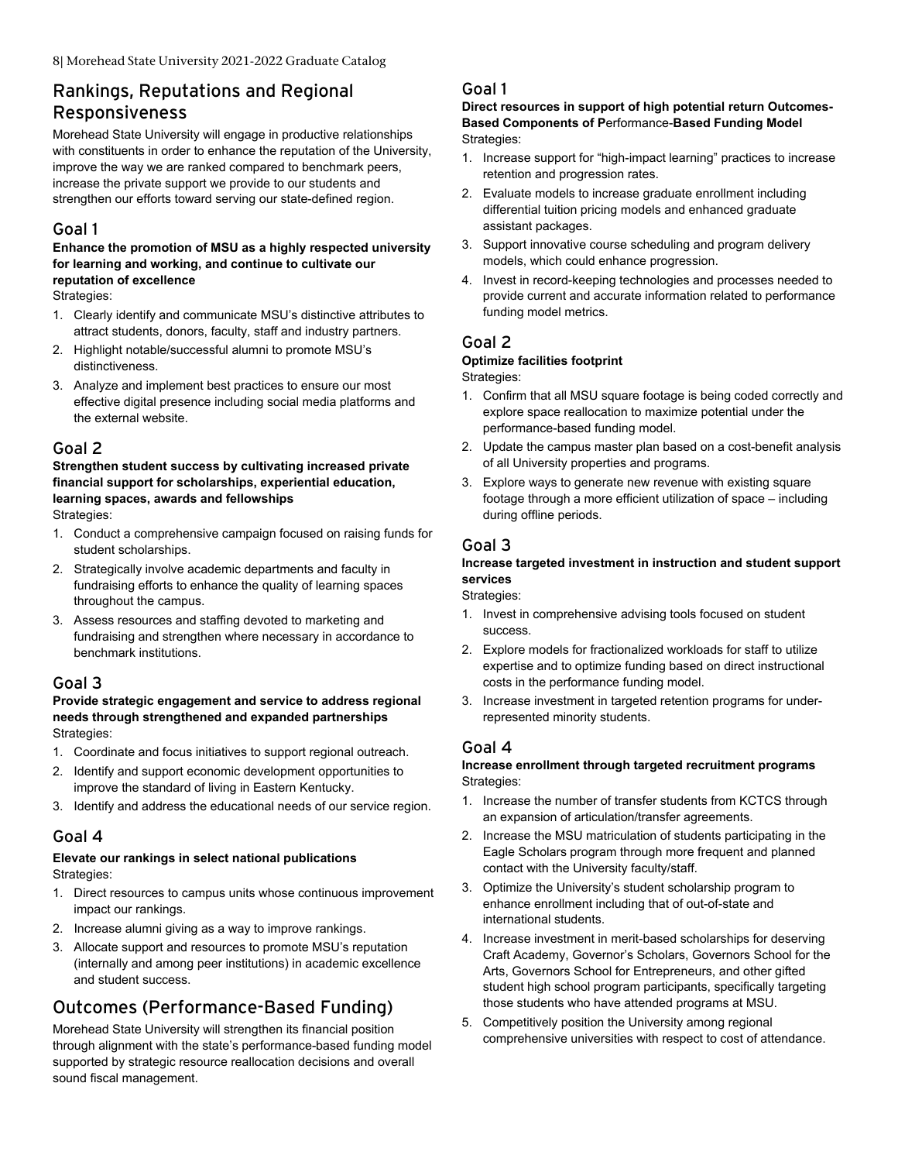## Rankings, Reputations and Regional Responsiveness

Morehead State University will engage in productive relationships with constituents in order to enhance the reputation of the University, improve the way we are ranked compared to benchmark peers, increase the private support we provide to our students and strengthen our efforts toward serving our state-defined region.

## Goal 1

## **Enhance the promotion of MSU as a highly respected university for learning and working, and continue to cultivate our reputation of excellence**

Strategies:

- 1. Clearly identify and communicate MSU's distinctive attributes to attract students, donors, faculty, staff and industry partners.
- 2. Highlight notable/successful alumni to promote MSU's distinctiveness.
- 3. Analyze and implement best practices to ensure our most effective digital presence including social media platforms and the external website.

## Goal 2

#### **Strengthen student success by cultivating increased private financial support for scholarships, experiential education, learning spaces, awards and fellowships** Strategies:

- 1. Conduct a comprehensive campaign focused on raising funds for student scholarships.
- 2. Strategically involve academic departments and faculty in fundraising efforts to enhance the quality of learning spaces throughout the campus.
- 3. Assess resources and staffing devoted to marketing and fundraising and strengthen where necessary in accordance to benchmark institutions.

## Goal 3

#### **Provide strategic engagement and service to address regional needs through strengthened and expanded partnerships** Strategies:

- 1. Coordinate and focus initiatives to support regional outreach.
- 2. Identify and support economic development opportunities to improve the standard of living in Eastern Kentucky.
- 3. Identify and address the educational needs of our service region.

## Goal 4

#### **Elevate our rankings in select national publications** Strategies:

- 1. Direct resources to campus units whose continuous improvement impact our rankings.
- 2. Increase alumni giving as a way to improve rankings.
- 3. Allocate support and resources to promote MSU's reputation (internally and among peer institutions) in academic excellence and student success.

# Outcomes (Performance-Based Funding)

Morehead State University will strengthen its financial position through alignment with the state's performance-based funding model supported by strategic resource reallocation decisions and overall sound fiscal management.

## Goal 1

**Direct resources in support of high potential return Outcomes-Based Components of P**erformance-**Based Funding Model** Strategies:

- 1. Increase support for "high-impact learning" practices to increase retention and progression rates.
- 2. Evaluate models to increase graduate enrollment including differential tuition pricing models and enhanced graduate assistant packages.
- 3. Support innovative course scheduling and program delivery models, which could enhance progression.
- 4. Invest in record-keeping technologies and processes needed to provide current and accurate information related to performance funding model metrics.

## Goal 2

## **Optimize facilities footprint**

Strategies:

- 1. Confirm that all MSU square footage is being coded correctly and explore space reallocation to maximize potential under the performance-based funding model.
- 2. Update the campus master plan based on a cost-benefit analysis of all University properties and programs.
- 3. Explore ways to generate new revenue with existing square footage through a more efficient utilization of space – including during offline periods.

## Goal 3

## **Increase targeted investment in instruction and student support services**

Strategies:

- 1. Invest in comprehensive advising tools focused on student success.
- 2. Explore models for fractionalized workloads for staff to utilize expertise and to optimize funding based on direct instructional costs in the performance funding model.
- 3. Increase investment in targeted retention programs for underrepresented minority students.

## Goal 4

#### **Increase enrollment through targeted recruitment programs** Strategies:

- 1. Increase the number of transfer students from KCTCS through an expansion of articulation/transfer agreements.
- 2. Increase the MSU matriculation of students participating in the Eagle Scholars program through more frequent and planned contact with the University faculty/staff.
- 3. Optimize the University's student scholarship program to enhance enrollment including that of out-of-state and international students.
- 4. Increase investment in merit-based scholarships for deserving Craft Academy, Governor's Scholars, Governors School for the Arts, Governors School for Entrepreneurs, and other gifted student high school program participants, specifically targeting those students who have attended programs at MSU.
- 5. Competitively position the University among regional comprehensive universities with respect to cost of attendance.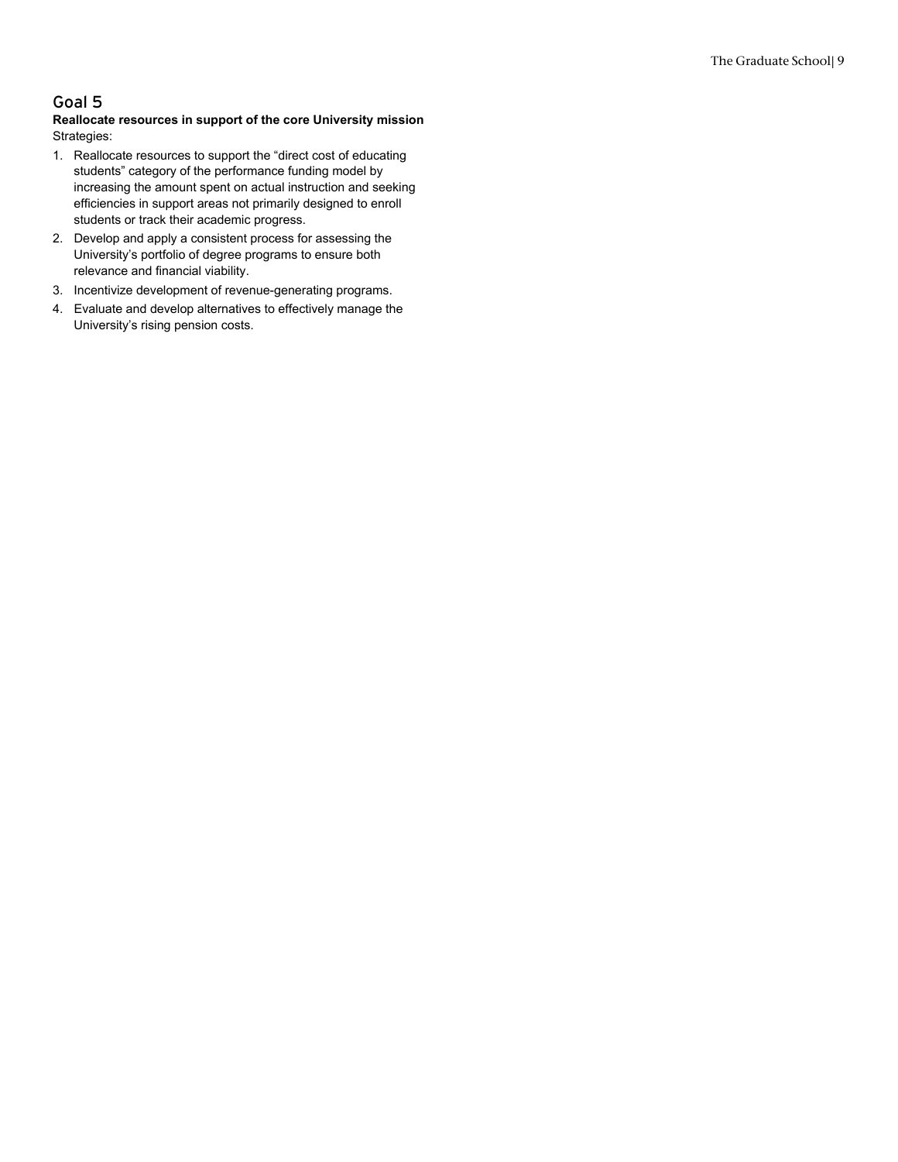## Goal 5

**Reallocate resources in support of the core University mission** Strategies:

- 1. Reallocate resources to support the "direct cost of educating students" category of the performance funding model by increasing the amount spent on actual instruction and seeking efficiencies in support areas not primarily designed to enroll students or track their academic progress.
- 2. Develop and apply a consistent process for assessing the University's portfolio of degree programs to ensure both relevance and financial viability.
- 3. Incentivize development of revenue-generating programs.
- 4. Evaluate and develop alternatives to effectively manage the University's rising pension costs.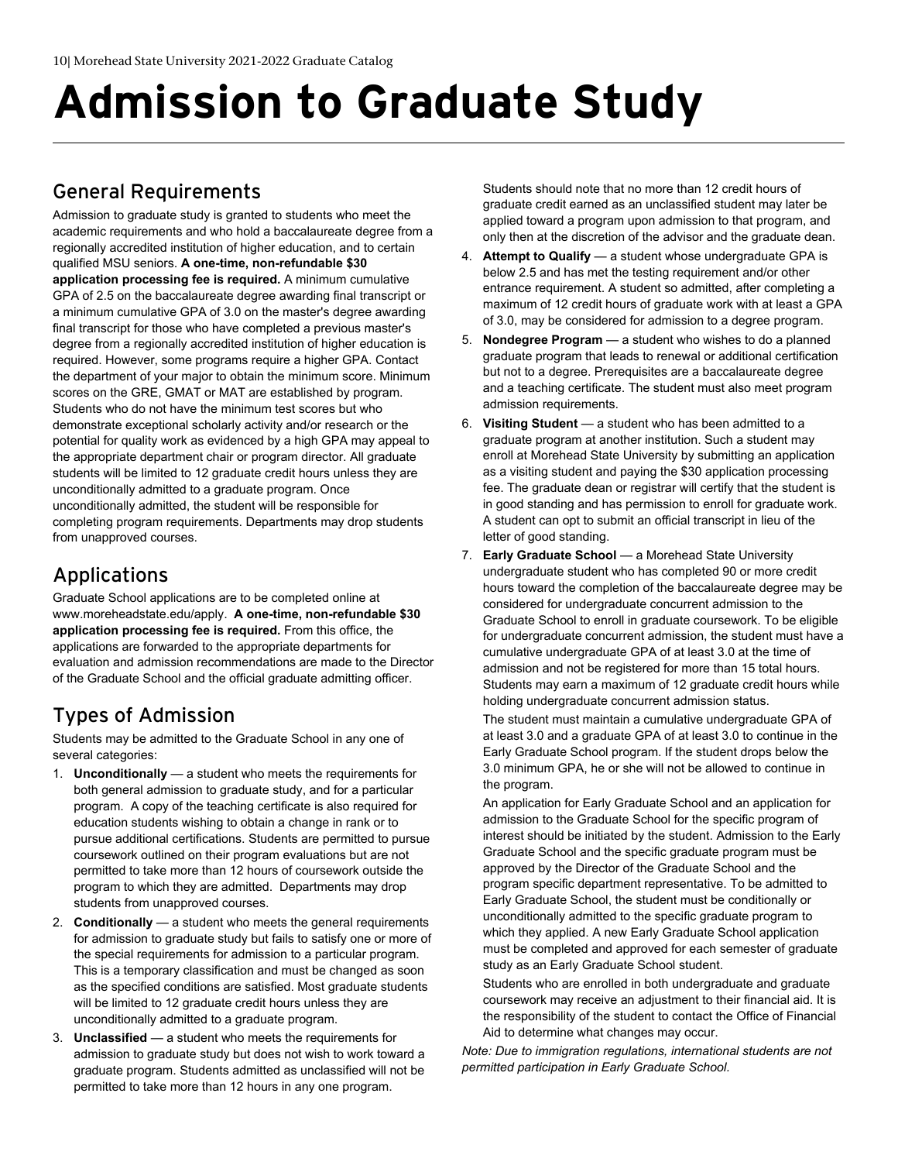# **Admission to Graduate Study**

# General Requirements

Admission to graduate study is granted to students who meet the academic requirements and who hold a baccalaureate degree from a regionally accredited institution of higher education, and to certain qualified MSU seniors. **A one-time, non-refundable \$30 application processing fee is required.** A minimum cumulative GPA of 2.5 on the baccalaureate degree awarding final transcript or a minimum cumulative GPA of 3.0 on the master's degree awarding final transcript for those who have completed a previous master's degree from a regionally accredited institution of higher education is required. However, some programs require a higher GPA. Contact the department of your major to obtain the minimum score. Minimum scores on the GRE, GMAT or MAT are established by program. Students who do not have the minimum test scores but who demonstrate exceptional scholarly activity and/or research or the potential for quality work as evidenced by a high GPA may appeal to the appropriate department chair or program director. All graduate students will be limited to 12 graduate credit hours unless they are unconditionally admitted to a graduate program. Once unconditionally admitted, the student will be responsible for completing program requirements. Departments may drop students from unapproved courses.

# Applications

Graduate School applications are to be completed online at www.moreheadstate.edu/apply. **A one-time, non-refundable \$30 application processing fee is required.** From this office, the applications are forwarded to the appropriate departments for evaluation and admission recommendations are made to the Director of the Graduate School and the official graduate admitting officer.

# Types of Admission

Students may be admitted to the Graduate School in any one of several categories:

- 1. **Unconditionally**  a student who meets the requirements for both general admission to graduate study, and for a particular program. A copy of the teaching certificate is also required for education students wishing to obtain a change in rank or to pursue additional certifications. Students are permitted to pursue coursework outlined on their program evaluations but are not permitted to take more than 12 hours of coursework outside the program to which they are admitted. Departments may drop students from unapproved courses.
- 2. **Conditionally**  a student who meets the general requirements for admission to graduate study but fails to satisfy one or more of the special requirements for admission to a particular program. This is a temporary classification and must be changed as soon as the specified conditions are satisfied. Most graduate students will be limited to 12 graduate credit hours unless they are unconditionally admitted to a graduate program.
- 3. **Unclassified**  a student who meets the requirements for admission to graduate study but does not wish to work toward a graduate program. Students admitted as unclassified will not be permitted to take more than 12 hours in any one program.

Students should note that no more than 12 credit hours of graduate credit earned as an unclassified student may later be applied toward a program upon admission to that program, and only then at the discretion of the advisor and the graduate dean.

- 4. **Attempt to Qualify**  a student whose undergraduate GPA is below 2.5 and has met the testing requirement and/or other entrance requirement. A student so admitted, after completing a maximum of 12 credit hours of graduate work with at least a GPA of 3.0, may be considered for admission to a degree program.
- 5. **Nondegree Program**  a student who wishes to do a planned graduate program that leads to renewal or additional certification but not to a degree. Prerequisites are a baccalaureate degree and a teaching certificate. The student must also meet program admission requirements.
- 6. **Visiting Student**  a student who has been admitted to a graduate program at another institution. Such a student may enroll at Morehead State University by submitting an application as a visiting student and paying the \$30 application processing fee. The graduate dean or registrar will certify that the student is in good standing and has permission to enroll for graduate work. A student can opt to submit an official transcript in lieu of the letter of good standing.
- 7. **Early Graduate School**  a Morehead State University undergraduate student who has completed 90 or more credit hours toward the completion of the baccalaureate degree may be considered for undergraduate concurrent admission to the Graduate School to enroll in graduate coursework. To be eligible for undergraduate concurrent admission, the student must have a cumulative undergraduate GPA of at least 3.0 at the time of admission and not be registered for more than 15 total hours. Students may earn a maximum of 12 graduate credit hours while holding undergraduate concurrent admission status.

The student must maintain a cumulative undergraduate GPA of at least 3.0 and a graduate GPA of at least 3.0 to continue in the Early Graduate School program. If the student drops below the 3.0 minimum GPA, he or she will not be allowed to continue in the program.

An application for Early Graduate School and an application for admission to the Graduate School for the specific program of interest should be initiated by the student. Admission to the Early Graduate School and the specific graduate program must be approved by the Director of the Graduate School and the program specific department representative. To be admitted to Early Graduate School, the student must be conditionally or unconditionally admitted to the specific graduate program to which they applied. A new Early Graduate School application must be completed and approved for each semester of graduate study as an Early Graduate School student.

Students who are enrolled in both undergraduate and graduate coursework may receive an adjustment to their financial aid. It is the responsibility of the student to contact the Office of Financial Aid to determine what changes may occur.

*Note: Due to immigration regulations, international students are not permitted participation in Early Graduate School.*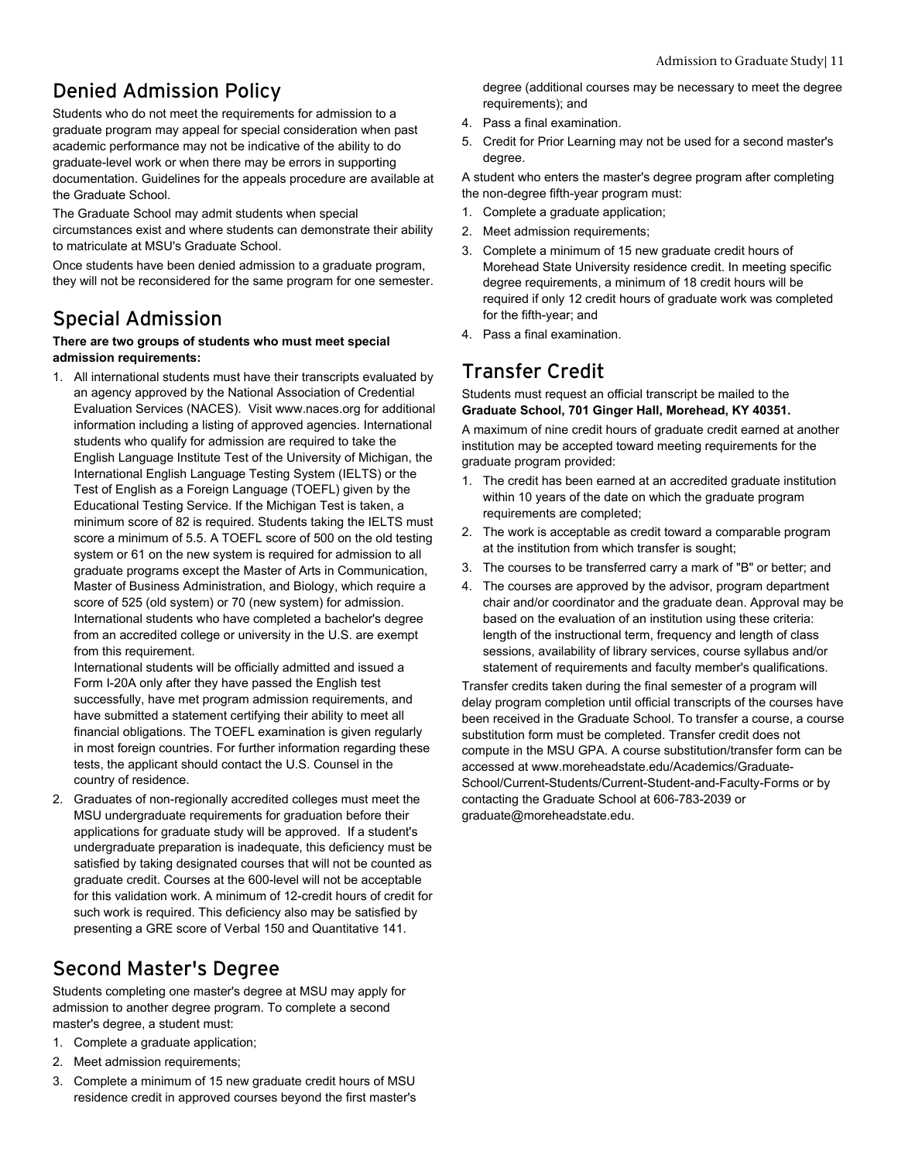# Denied Admission Policy

Students who do not meet the requirements for admission to a graduate program may appeal for special consideration when past academic performance may not be indicative of the ability to do graduate-level work or when there may be errors in supporting documentation. Guidelines for the appeals procedure are available at the Graduate School.

The Graduate School may admit students when special circumstances exist and where students can demonstrate their ability to matriculate at MSU's Graduate School.

Once students have been denied admission to a graduate program, they will not be reconsidered for the same program for one semester.

# Special Admission

#### **There are two groups of students who must meet special admission requirements:**

1. All international students must have their transcripts evaluated by an agency approved by the National Association of Credential Evaluation Services (NACES). Visit www.naces.org for additional information including a listing of approved agencies. International students who qualify for admission are required to take the English Language Institute Test of the University of Michigan, the International English Language Testing System (IELTS) or the Test of English as a Foreign Language (TOEFL) given by the Educational Testing Service. If the Michigan Test is taken, a minimum score of 82 is required. Students taking the IELTS must score a minimum of 5.5. A TOEFL score of 500 on the old testing system or 61 on the new system is required for admission to all graduate programs except the Master of Arts in Communication, Master of Business Administration, and Biology, which require a score of 525 (old system) or 70 (new system) for admission. International students who have completed a bachelor's degree from an accredited college or university in the U.S. are exempt from this requirement.

International students will be officially admitted and issued a Form I-20A only after they have passed the English test successfully, have met program admission requirements, and have submitted a statement certifying their ability to meet all financial obligations. The TOEFL examination is given regularly in most foreign countries. For further information regarding these tests, the applicant should contact the U.S. Counsel in the country of residence.

2. Graduates of non-regionally accredited colleges must meet the MSU undergraduate requirements for graduation before their applications for graduate study will be approved. If a student's undergraduate preparation is inadequate, this deficiency must be satisfied by taking designated courses that will not be counted as graduate credit. Courses at the 600-level will not be acceptable for this validation work. A minimum of 12-credit hours of credit for such work is required. This deficiency also may be satisfied by presenting a GRE score of Verbal 150 and Quantitative 141.

# Second Master's Degree

Students completing one master's degree at MSU may apply for admission to another degree program. To complete a second master's degree, a student must:

- 1. Complete a graduate application;
- 2. Meet admission requirements;
- 3. Complete a minimum of 15 new graduate credit hours of MSU residence credit in approved courses beyond the first master's

degree (additional courses may be necessary to meet the degree requirements); and

- 4. Pass a final examination.
- 5. Credit for Prior Learning may not be used for a second master's degree.

A student who enters the master's degree program after completing the non-degree fifth-year program must:

- 1. Complete a graduate application;
- 2. Meet admission requirements;
- 3. Complete a minimum of 15 new graduate credit hours of Morehead State University residence credit. In meeting specific degree requirements, a minimum of 18 credit hours will be required if only 12 credit hours of graduate work was completed for the fifth-year; and
- 4. Pass a final examination.

# Transfer Credit

Students must request an official transcript be mailed to the **Graduate School, 701 Ginger Hall, Morehead, KY 40351.**

A maximum of nine credit hours of graduate credit earned at another institution may be accepted toward meeting requirements for the graduate program provided:

- 1. The credit has been earned at an accredited graduate institution within 10 years of the date on which the graduate program requirements are completed;
- 2. The work is acceptable as credit toward a comparable program at the institution from which transfer is sought;
- 3. The courses to be transferred carry a mark of "B" or better; and
- 4. The courses are approved by the advisor, program department chair and/or coordinator and the graduate dean. Approval may be based on the evaluation of an institution using these criteria: length of the instructional term, frequency and length of class sessions, availability of library services, course syllabus and/or statement of requirements and faculty member's qualifications.

Transfer credits taken during the final semester of a program will delay program completion until official transcripts of the courses have been received in the Graduate School. To transfer a course, a course substitution form must be completed. Transfer credit does not compute in the MSU GPA. A course substitution/transfer form can be accessed at www.moreheadstate.edu/Academics/Graduate-School/Current-Students/Current-Student-and-Faculty-Forms or by contacting the Graduate School at 606-783-2039 or graduate@moreheadstate.edu.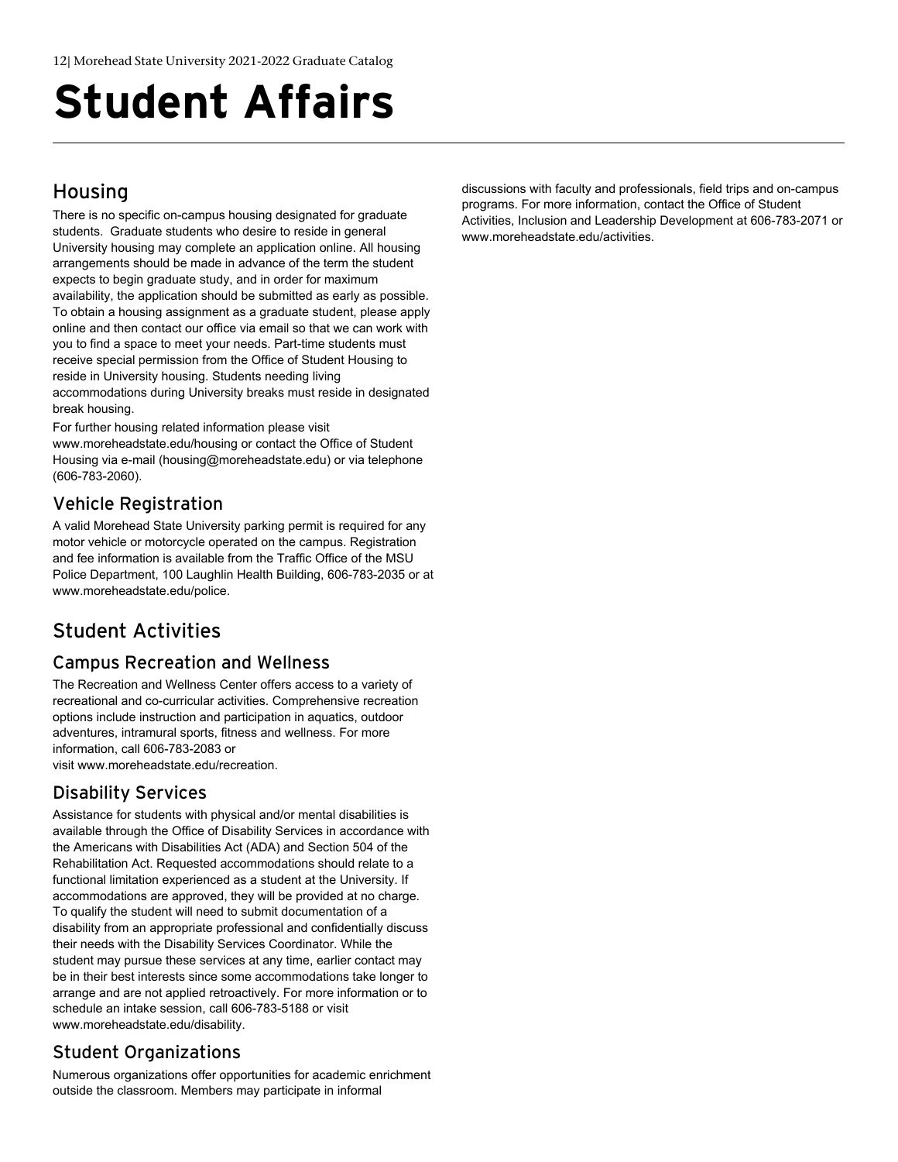# **Student Affairs**

# Housing

There is no specific on-campus housing designated for graduate students. Graduate students who desire to reside in general University housing may complete an application online. All housing arrangements should be made in advance of the term the student expects to begin graduate study, and in order for maximum availability, the application should be submitted as early as possible. To obtain a housing assignment as a graduate student, please apply online and then contact our office via email so that we can work with you to find a space to meet your needs. Part-time students must receive special permission from the Office of Student Housing to reside in University housing. Students needing living accommodations during University breaks must reside in designated break housing.

For further housing related information please visit www.moreheadstate.edu/housing or contact the Office of Student Housing via e-mail (housing@moreheadstate.edu) or via telephone (606-783-2060).

## Vehicle Registration

A valid Morehead State University parking permit is required for any motor vehicle or motorcycle operated on the campus. Registration and fee information is available from the Traffic Office of the MSU Police Department, 100 Laughlin Health Building, 606-783-2035 or at www.moreheadstate.edu/police.

# Student Activities

## Campus Recreation and Wellness

The Recreation and Wellness Center offers access to a variety of recreational and co-curricular activities. Comprehensive recreation options include instruction and participation in aquatics, outdoor adventures, intramural sports, fitness and wellness. For more information, call 606-783-2083 or visit www.moreheadstate.edu/recreation.

## Disability Services

Assistance for students with physical and/or mental disabilities is available through the Office of Disability Services in accordance with the Americans with Disabilities Act (ADA) and Section 504 of the Rehabilitation Act. Requested accommodations should relate to a functional limitation experienced as a student at the University. If accommodations are approved, they will be provided at no charge. To qualify the student will need to submit documentation of a disability from an appropriate professional and confidentially discuss their needs with the Disability Services Coordinator. While the student may pursue these services at any time, earlier contact may be in their best interests since some accommodations take longer to arrange and are not applied retroactively. For more information or to schedule an intake session, call 606-783-5188 or visit www.moreheadstate.edu/disability.

## Student Organizations

Numerous organizations offer opportunities for academic enrichment outside the classroom. Members may participate in informal

discussions with faculty and professionals, field trips and on-campus programs. For more information, contact the Office of Student Activities, Inclusion and Leadership Development at 606-783-2071 or www.moreheadstate.edu/activities.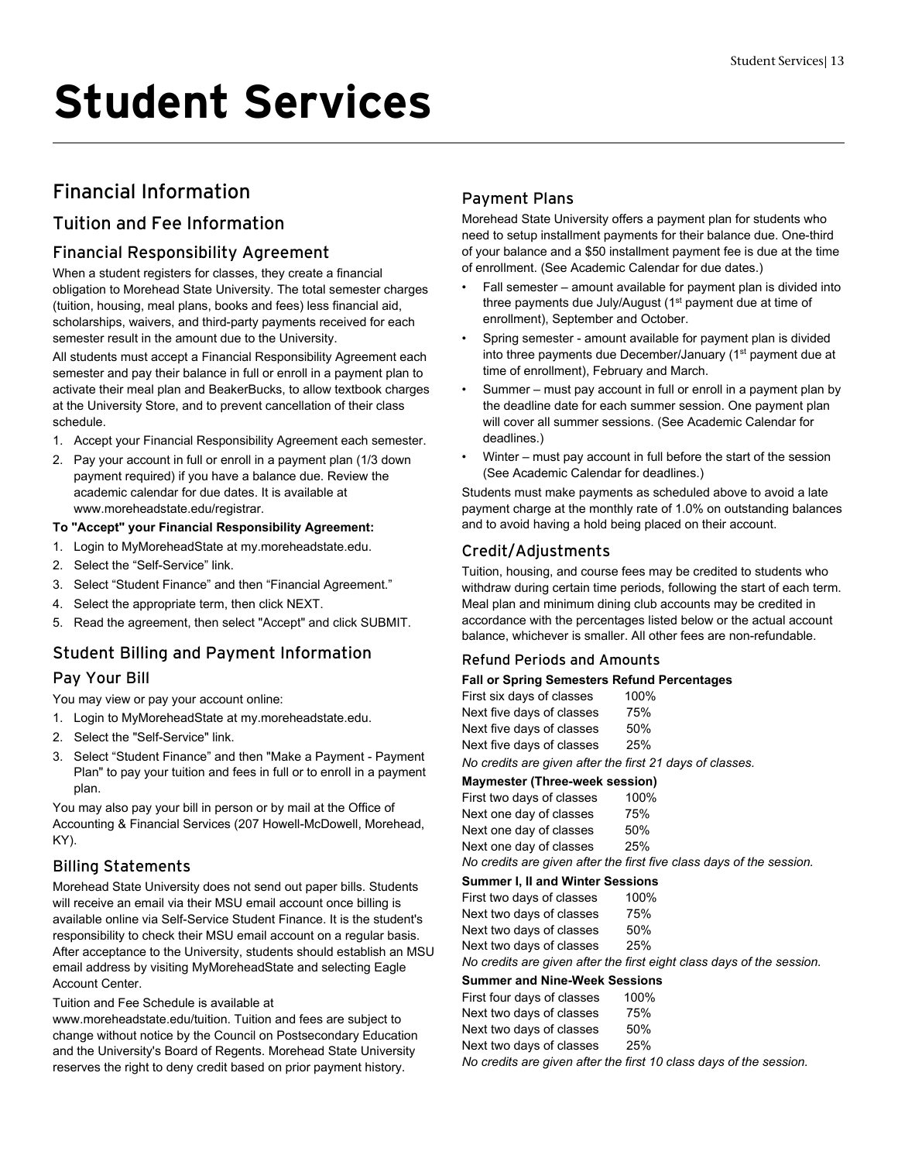# **Student Services**

# Financial Information

## Tuition and Fee Information

## Financial Responsibility Agreement

When a student registers for classes, they create a financial obligation to Morehead State University. The total semester charges (tuition, housing, meal plans, books and fees) less financial aid, scholarships, waivers, and third-party payments received for each semester result in the amount due to the University.

All students must accept a Financial Responsibility Agreement each semester and pay their balance in full or enroll in a payment plan to activate their meal plan and BeakerBucks, to allow textbook charges at the University Store, and to prevent cancellation of their class schedule.

- 1. Accept your Financial Responsibility Agreement each semester.
- 2. Pay your account in full or enroll in a payment plan (1/3 down payment required) if you have a balance due. Review the academic calendar for due dates. It is available at www.moreheadstate.edu/registrar.

#### **To "Accept" your Financial Responsibility Agreement:**

- 1. Login to MyMoreheadState at my.moreheadstate.edu.
- 2. Select the "Self-Service" link.
- 3. Select "Student Finance" and then "Financial Agreement."
- 4. Select the appropriate term, then click NEXT.
- 5. Read the agreement, then select "Accept" and click SUBMIT.

## Student Billing and Payment Information

## Pay Your Bill

You may view or pay your account online:

- 1. Login to MyMoreheadState at my.moreheadstate.edu.
- 2. Select the "Self-Service" link.
- 3. Select "Student Finance" and then "Make a Payment Payment Plan" to pay your tuition and fees in full or to enroll in a payment plan.

You may also pay your bill in person or by mail at the Office of Accounting & Financial Services (207 Howell-McDowell, Morehead, KY).

## Billing Statements

Morehead State University does not send out paper bills. Students will receive an email via their MSU email account once billing is available online via Self-Service Student Finance. It is the student's responsibility to check their MSU email account on a regular basis. After acceptance to the University, students should establish an MSU email address by visiting MyMoreheadState and selecting Eagle Account Center.

Tuition and Fee Schedule is available at

www.moreheadstate.edu/tuition. Tuition and fees are subject to change without notice by the Council on Postsecondary Education and the University's Board of Regents. Morehead State University reserves the right to deny credit based on prior payment history.

## Payment Plans

Morehead State University offers a payment plan for students who need to setup installment payments for their balance due. One-third of your balance and a \$50 installment payment fee is due at the time of enrollment. (See Academic Calendar for due dates.)

- Fall semester amount available for payment plan is divided into three payments due July/August (1<sup>st</sup> payment due at time of enrollment), September and October.
- Spring semester amount available for payment plan is divided into three payments due December/January (1<sup>st</sup> payment due at time of enrollment), February and March.
- Summer must pay account in full or enroll in a payment plan by the deadline date for each summer session. One payment plan will cover all summer sessions. (See Academic Calendar for deadlines.)
- Winter must pay account in full before the start of the session (See Academic Calendar for deadlines.)

Students must make payments as scheduled above to avoid a late payment charge at the monthly rate of 1.0% on outstanding balances and to avoid having a hold being placed on their account.

## Credit/Adjustments

Tuition, housing, and course fees may be credited to students who withdraw during certain time periods, following the start of each term. Meal plan and minimum dining club accounts may be credited in accordance with the percentages listed below or the actual account balance, whichever is smaller. All other fees are non-refundable.

## Refund Periods and Amounts

#### **Fall or Spring Semesters Refund Percentages**

| First six days of classes | 100% |
|---------------------------|------|
| Next five days of classes | 75%  |
| Next five days of classes | 50%  |
| Next five days of classes | 25%  |
|                           |      |

*No credits are given after the first 21 days of classes.*

#### **Maymester (Three-week session)**

| First two days of classes | 100% |
|---------------------------|------|
| Next one day of classes   | 75%  |
| Next one day of classes   | 50%  |
| Next one day of classes   | 25%  |
|                           |      |

*No credits are given after the first five class days of the session.*

#### **Summer I, II and Winter Sessions**

| First two days of classes | 100% |
|---------------------------|------|
| Next two days of classes  | 75%  |
| Next two days of classes  | 50%  |
| Next two days of classes  | 25%  |

*No credits are given after the first eight class days of the session.*

#### **Summer and Nine-Week Sessions**

| First four days of classes | 100% |  |
|----------------------------|------|--|
| Next two days of classes   | 75%  |  |
| Next two days of classes   | 50%  |  |
| Next two days of classes   | 25%  |  |

*No credits are given after the first 10 class days of the session.*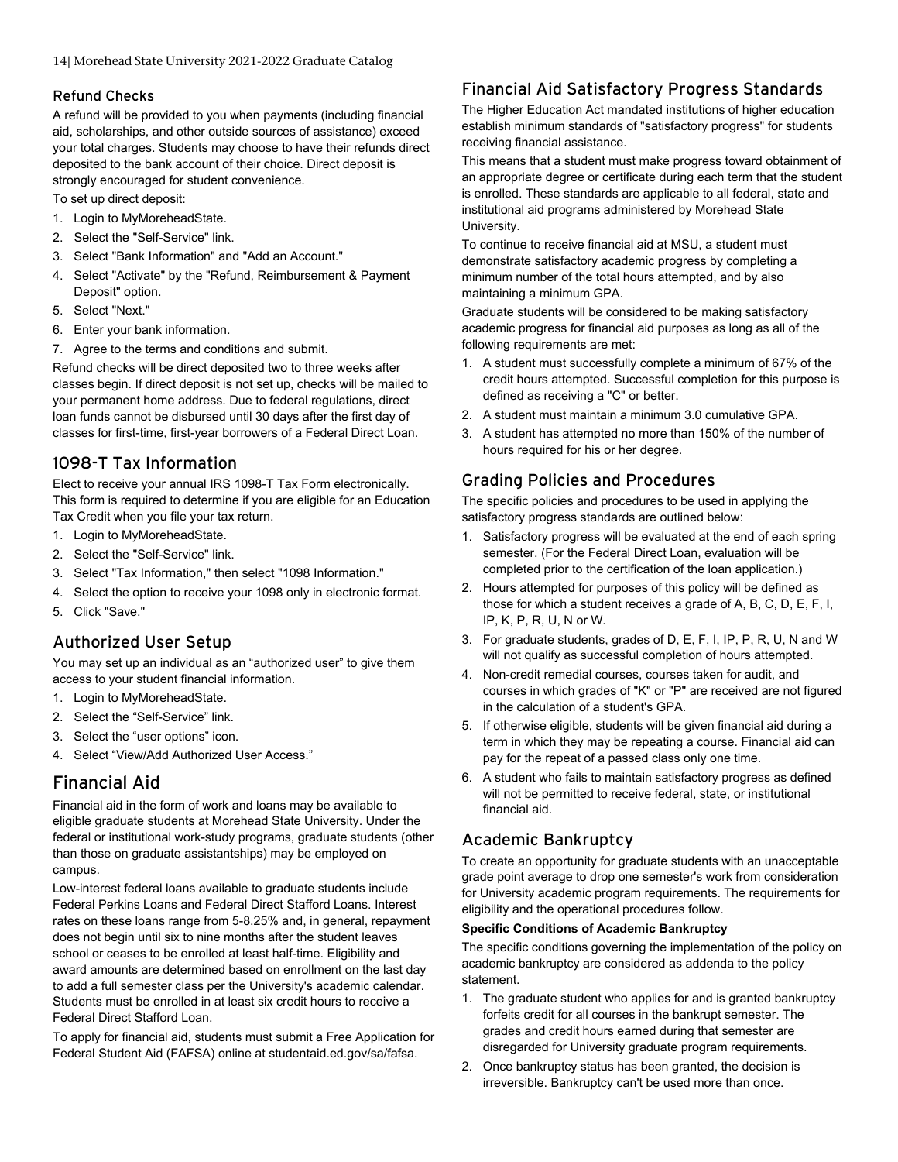## Refund Checks

A refund will be provided to you when payments (including financial aid, scholarships, and other outside sources of assistance) exceed your total charges. Students may choose to have their refunds direct deposited to the bank account of their choice. Direct deposit is strongly encouraged for student convenience.

To set up direct deposit:

- 1. Login to MyMoreheadState.
- 2. Select the "Self-Service" link.
- 3. Select "Bank Information" and "Add an Account."
- 4. Select "Activate" by the "Refund, Reimbursement & Payment Deposit" option.
- 5. Select "Next."
- 6. Enter your bank information.
- 7. Agree to the terms and conditions and submit.

Refund checks will be direct deposited two to three weeks after classes begin. If direct deposit is not set up, checks will be mailed to your permanent home address. Due to federal regulations, direct loan funds cannot be disbursed until 30 days after the first day of classes for first-time, first-year borrowers of a Federal Direct Loan.

## 1098-T Tax Information

Elect to receive your annual IRS 1098-T Tax Form electronically. This form is required to determine if you are eligible for an Education Tax Credit when you file your tax return.

- 1. Login to MyMoreheadState.
- 2. Select the "Self-Service" link.
- 3. Select "Tax Information," then select "1098 Information."
- 4. Select the option to receive your 1098 only in electronic format.
- 5. Click "Save."

## Authorized User Setup

You may set up an individual as an "authorized user" to give them access to your student financial information.

- 1. Login to MyMoreheadState.
- 2. Select the "Self-Service" link.
- 3. Select the "user options" icon.
- 4. Select "View/Add Authorized User Access."

## Financial Aid

Financial aid in the form of work and loans may be available to eligible graduate students at Morehead State University. Under the federal or institutional work-study programs, graduate students (other than those on graduate assistantships) may be employed on campus.

Low-interest federal loans available to graduate students include Federal Perkins Loans and Federal Direct Stafford Loans. Interest rates on these loans range from 5-8.25% and, in general, repayment does not begin until six to nine months after the student leaves school or ceases to be enrolled at least half-time. Eligibility and award amounts are determined based on enrollment on the last day to add a full semester class per the University's academic calendar. Students must be enrolled in at least six credit hours to receive a Federal Direct Stafford Loan.

To apply for financial aid, students must submit a Free Application for Federal Student Aid (FAFSA) online at studentaid.ed.gov/sa/fafsa.

## Financial Aid Satisfactory Progress Standards

The Higher Education Act mandated institutions of higher education establish minimum standards of "satisfactory progress" for students receiving financial assistance.

This means that a student must make progress toward obtainment of an appropriate degree or certificate during each term that the student is enrolled. These standards are applicable to all federal, state and institutional aid programs administered by Morehead State University.

To continue to receive financial aid at MSU, a student must demonstrate satisfactory academic progress by completing a minimum number of the total hours attempted, and by also maintaining a minimum GPA.

Graduate students will be considered to be making satisfactory academic progress for financial aid purposes as long as all of the following requirements are met:

- 1. A student must successfully complete a minimum of 67% of the credit hours attempted. Successful completion for this purpose is defined as receiving a "C" or better.
- 2. A student must maintain a minimum 3.0 cumulative GPA.
- A student has attempted no more than 150% of the number of hours required for his or her degree.

## Grading Policies and Procedures

The specific policies and procedures to be used in applying the satisfactory progress standards are outlined below:

- 1. Satisfactory progress will be evaluated at the end of each spring semester. (For the Federal Direct Loan, evaluation will be completed prior to the certification of the loan application.)
- 2. Hours attempted for purposes of this policy will be defined as those for which a student receives a grade of A, B, C, D, E, F, I, IP, K, P, R, U, N or W.
- 3. For graduate students, grades of D, E, F, I, IP, P, R, U, N and W will not qualify as successful completion of hours attempted.
- 4. Non-credit remedial courses, courses taken for audit, and courses in which grades of "K" or "P" are received are not figured in the calculation of a student's GPA.
- 5. If otherwise eligible, students will be given financial aid during a term in which they may be repeating a course. Financial aid can pay for the repeat of a passed class only one time.
- 6. A student who fails to maintain satisfactory progress as defined will not be permitted to receive federal, state, or institutional financial aid.

## Academic Bankruptcy

To create an opportunity for graduate students with an unacceptable grade point average to drop one semester's work from consideration for University academic program requirements. The requirements for eligibility and the operational procedures follow.

#### **Specific Conditions of Academic Bankruptcy**

The specific conditions governing the implementation of the policy on academic bankruptcy are considered as addenda to the policy statement.

- 1. The graduate student who applies for and is granted bankruptcy forfeits credit for all courses in the bankrupt semester. The grades and credit hours earned during that semester are disregarded for University graduate program requirements.
- 2. Once bankruptcy status has been granted, the decision is irreversible. Bankruptcy can't be used more than once.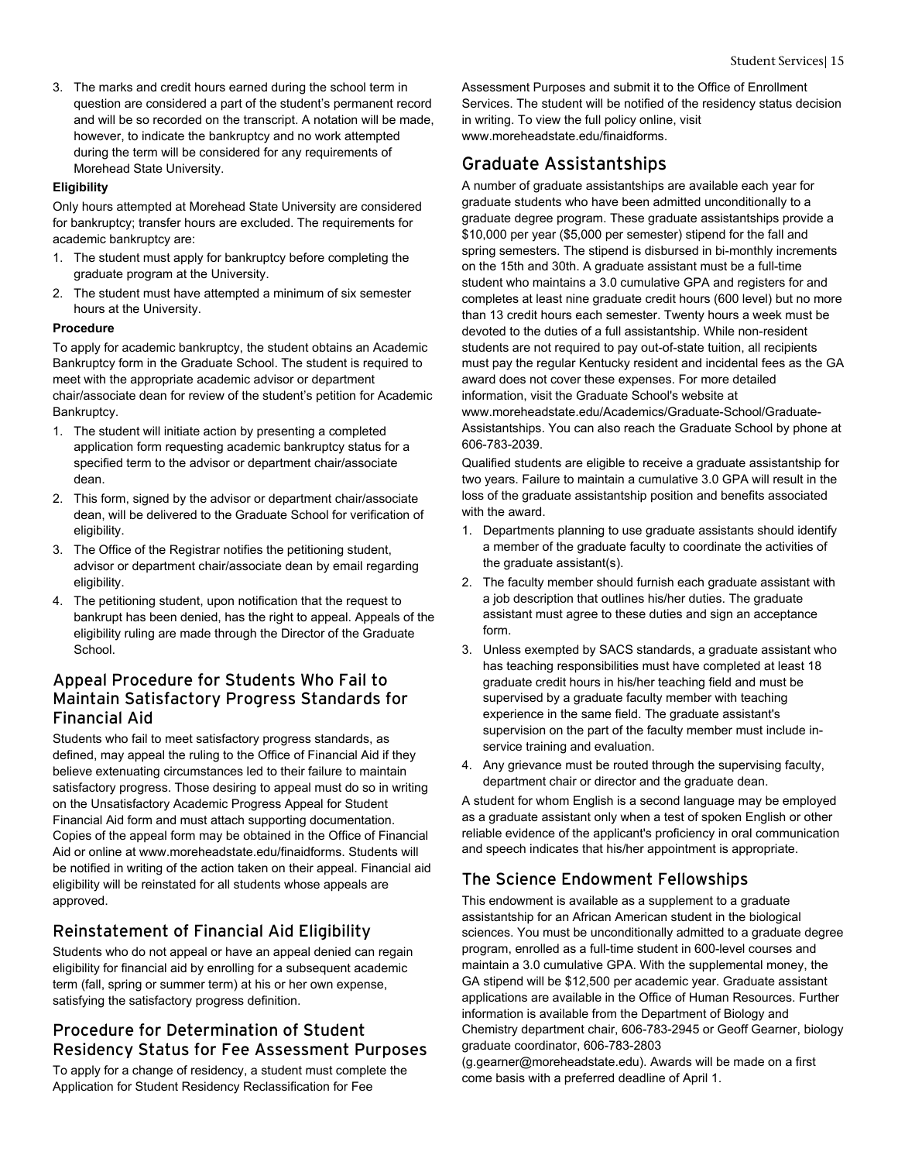3. The marks and credit hours earned during the school term in question are considered a part of the student's permanent record and will be so recorded on the transcript. A notation will be made, however, to indicate the bankruptcy and no work attempted during the term will be considered for any requirements of Morehead State University.

#### **Eligibility**

Only hours attempted at Morehead State University are considered for bankruptcy; transfer hours are excluded. The requirements for academic bankruptcy are:

- 1. The student must apply for bankruptcy before completing the graduate program at the University.
- 2. The student must have attempted a minimum of six semester hours at the University.

#### **Procedure**

To apply for academic bankruptcy, the student obtains an Academic Bankruptcy form in the Graduate School. The student is required to meet with the appropriate academic advisor or department chair/associate dean for review of the student's petition for Academic Bankruptcy.

- 1. The student will initiate action by presenting a completed application form requesting academic bankruptcy status for a specified term to the advisor or department chair/associate dean.
- 2. This form, signed by the advisor or department chair/associate dean, will be delivered to the Graduate School for verification of eligibility.
- 3. The Office of the Registrar notifies the petitioning student, advisor or department chair/associate dean by email regarding eligibility.
- 4. The petitioning student, upon notification that the request to bankrupt has been denied, has the right to appeal. Appeals of the eligibility ruling are made through the Director of the Graduate **School.**

## Appeal Procedure for Students Who Fail to Maintain Satisfactory Progress Standards for Financial Aid

Students who fail to meet satisfactory progress standards, as defined, may appeal the ruling to the Office of Financial Aid if they believe extenuating circumstances led to their failure to maintain satisfactory progress. Those desiring to appeal must do so in writing on the Unsatisfactory Academic Progress Appeal for Student Financial Aid form and must attach supporting documentation. Copies of the appeal form may be obtained in the Office of Financial Aid or online at www.moreheadstate.edu/finaidforms. Students will be notified in writing of the action taken on their appeal. Financial aid eligibility will be reinstated for all students whose appeals are approved.

## Reinstatement of Financial Aid Eligibility

Students who do not appeal or have an appeal denied can regain eligibility for financial aid by enrolling for a subsequent academic term (fall, spring or summer term) at his or her own expense, satisfying the satisfactory progress definition.

## Procedure for Determination of Student Residency Status for Fee Assessment Purposes

To apply for a change of residency, a student must complete the Application for Student Residency Reclassification for Fee

Assessment Purposes and submit it to the Office of Enrollment Services. The student will be notified of the residency status decision in writing. To view the full policy online, visit www.moreheadstate.edu/finaidforms.

## Graduate Assistantships

A number of graduate assistantships are available each year for graduate students who have been admitted unconditionally to a graduate degree program. These graduate assistantships provide a \$10,000 per year (\$5,000 per semester) stipend for the fall and spring semesters. The stipend is disbursed in bi-monthly increments on the 15th and 30th. A graduate assistant must be a full-time student who maintains a 3.0 cumulative GPA and registers for and completes at least nine graduate credit hours (600 level) but no more than 13 credit hours each semester. Twenty hours a week must be devoted to the duties of a full assistantship. While non-resident students are not required to pay out-of-state tuition, all recipients must pay the regular Kentucky resident and incidental fees as the GA award does not cover these expenses. For more detailed information, visit the Graduate School's website at www.moreheadstate.edu/Academics/Graduate-School/Graduate-Assistantships. You can also reach the Graduate School by phone at 606-783-2039.

Qualified students are eligible to receive a graduate assistantship for two years. Failure to maintain a cumulative 3.0 GPA will result in the loss of the graduate assistantship position and benefits associated with the award.

- 1. Departments planning to use graduate assistants should identify a member of the graduate faculty to coordinate the activities of the graduate assistant(s).
- 2. The faculty member should furnish each graduate assistant with a job description that outlines his/her duties. The graduate assistant must agree to these duties and sign an acceptance form.
- 3. Unless exempted by SACS standards, a graduate assistant who has teaching responsibilities must have completed at least 18 graduate credit hours in his/her teaching field and must be supervised by a graduate faculty member with teaching experience in the same field. The graduate assistant's supervision on the part of the faculty member must include inservice training and evaluation.
- 4. Any grievance must be routed through the supervising faculty, department chair or director and the graduate dean.

A student for whom English is a second language may be employed as a graduate assistant only when a test of spoken English or other reliable evidence of the applicant's proficiency in oral communication and speech indicates that his/her appointment is appropriate.

## The Science Endowment Fellowships

This endowment is available as a supplement to a graduate assistantship for an African American student in the biological sciences. You must be unconditionally admitted to a graduate degree program, enrolled as a full-time student in 600-level courses and maintain a 3.0 cumulative GPA. With the supplemental money, the GA stipend will be \$12,500 per academic year. Graduate assistant applications are available in the Office of Human Resources. Further information is available from the Department of Biology and Chemistry department chair, 606-783-2945 or Geoff Gearner, biology graduate coordinator, 606-783-2803

(g.gearner@moreheadstate.edu). Awards will be made on a first come basis with a preferred deadline of April 1.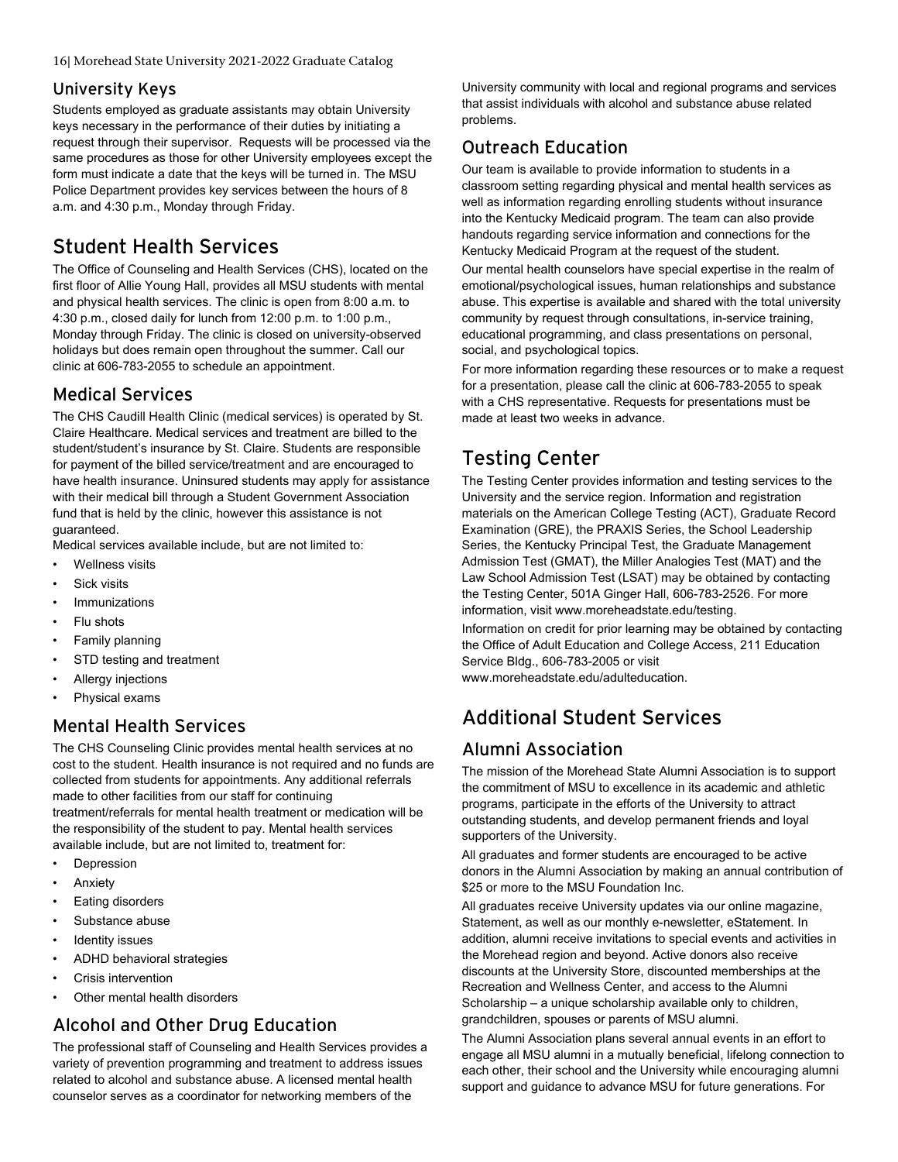## University Keys

Students employed as graduate assistants may obtain University keys necessary in the performance of their duties by initiating a request through their supervisor. Requests will be processed via the same procedures as those for other University employees except the form must indicate a date that the keys will be turned in. The MSU Police Department provides key services between the hours of 8 a.m. and 4:30 p.m., Monday through Friday.

# Student Health Services

The Office of Counseling and Health Services (CHS), located on the first floor of Allie Young Hall, provides all MSU students with mental and physical health services. The clinic is open from 8:00 a.m. to 4:30 p.m., closed daily for lunch from 12:00 p.m. to 1:00 p.m., Monday through Friday. The clinic is closed on university-observed holidays but does remain open throughout the summer. Call our clinic at 606-783-2055 to schedule an appointment.

## Medical Services

The CHS Caudill Health Clinic (medical services) is operated by St. Claire Healthcare. Medical services and treatment are billed to the student/student's insurance by St. Claire. Students are responsible for payment of the billed service/treatment and are encouraged to have health insurance. Uninsured students may apply for assistance with their medical bill through a Student Government Association fund that is held by the clinic, however this assistance is not guaranteed.

Medical services available include, but are not limited to:

- Wellness visits
- Sick visits
- **Immunizations**
- Flu shots
- Family planning
- STD testing and treatment
- Allergy injections
- Physical exams

## Mental Health Services

The CHS Counseling Clinic provides mental health services at no cost to the student. Health insurance is not required and no funds are collected from students for appointments. Any additional referrals made to other facilities from our staff for continuing treatment/referrals for mental health treatment or medication will be the responsibility of the student to pay. Mental health services

available include, but are not limited to, treatment for:

- **Depression**
- **Anxiety**
- Eating disorders
- Substance abuse
- Identity issues
- ADHD behavioral strategies
- Crisis intervention
- Other mental health disorders

## Alcohol and Other Drug Education

The professional staff of Counseling and Health Services provides a variety of prevention programming and treatment to address issues related to alcohol and substance abuse. A licensed mental health counselor serves as a coordinator for networking members of the

University community with local and regional programs and services that assist individuals with alcohol and substance abuse related problems.

## Outreach Education

Our team is available to provide information to students in a classroom setting regarding physical and mental health services as well as information regarding enrolling students without insurance into the Kentucky Medicaid program. The team can also provide handouts regarding service information and connections for the Kentucky Medicaid Program at the request of the student.

Our mental health counselors have special expertise in the realm of emotional/psychological issues, human relationships and substance abuse. This expertise is available and shared with the total university community by request through consultations, in-service training, educational programming, and class presentations on personal, social, and psychological topics.

For more information regarding these resources or to make a request for a presentation, please call the clinic at 606-783-2055 to speak with a CHS representative. Requests for presentations must be made at least two weeks in advance.

# Testing Center

The Testing Center provides information and testing services to the University and the service region. Information and registration materials on the American College Testing (ACT), Graduate Record Examination (GRE), the PRAXIS Series, the School Leadership Series, the Kentucky Principal Test, the Graduate Management Admission Test (GMAT), the Miller Analogies Test (MAT) and the Law School Admission Test (LSAT) may be obtained by contacting the Testing Center, 501A Ginger Hall, 606-783-2526. For more information, visit www.moreheadstate.edu/testing.

Information on credit for prior learning may be obtained by contacting the Office of Adult Education and College Access, 211 Education Service Bldg., 606-783-2005 or visit www.moreheadstate.edu/adulteducation.

# Additional Student Services

## Alumni Association

The mission of the Morehead State Alumni Association is to support the commitment of MSU to excellence in its academic and athletic programs, participate in the efforts of the University to attract outstanding students, and develop permanent friends and loyal supporters of the University.

All graduates and former students are encouraged to be active donors in the Alumni Association by making an annual contribution of \$25 or more to the MSU Foundation Inc.

All graduates receive University updates via our online magazine, Statement, as well as our monthly e-newsletter, eStatement. In addition, alumni receive invitations to special events and activities in the Morehead region and beyond. Active donors also receive discounts at the University Store, discounted memberships at the Recreation and Wellness Center, and access to the Alumni Scholarship – a unique scholarship available only to children, grandchildren, spouses or parents of MSU alumni.

The Alumni Association plans several annual events in an effort to engage all MSU alumni in a mutually beneficial, lifelong connection to each other, their school and the University while encouraging alumni support and guidance to advance MSU for future generations. For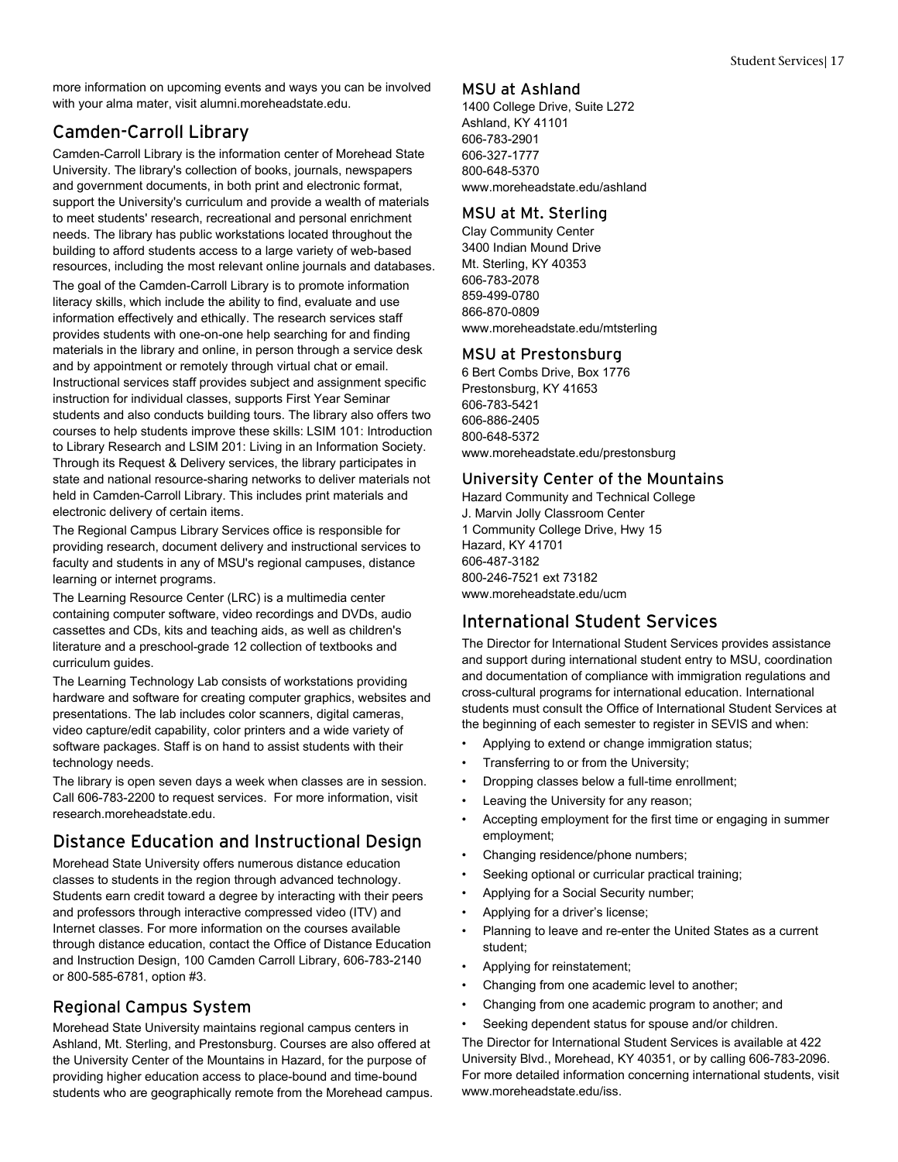more information on upcoming events and ways you can be involved with your alma mater, visit alumni.moreheadstate.edu.

## Camden-Carroll Library

Camden-Carroll Library is the information center of Morehead State University. The library's collection of books, journals, newspapers and government documents, in both print and electronic format, support the University's curriculum and provide a wealth of materials to meet students' research, recreational and personal enrichment needs. The library has public workstations located throughout the building to afford students access to a large variety of web-based resources, including the most relevant online journals and databases.

The goal of the Camden-Carroll Library is to promote information literacy skills, which include the ability to find, evaluate and use information effectively and ethically. The research services staff provides students with one-on-one help searching for and finding materials in the library and online, in person through a service desk and by appointment or remotely through virtual chat or email. Instructional services staff provides subject and assignment specific instruction for individual classes, supports First Year Seminar students and also conducts building tours. The library also offers two courses to help students improve these skills: LSIM 101: Introduction to Library Research and LSIM 201: Living in an Information Society. Through its Request & Delivery services, the library participates in state and national resource-sharing networks to deliver materials not held in Camden-Carroll Library. This includes print materials and electronic delivery of certain items.

The Regional Campus Library Services office is responsible for providing research, document delivery and instructional services to faculty and students in any of MSU's regional campuses, distance learning or internet programs.

The Learning Resource Center (LRC) is a multimedia center containing computer software, video recordings and DVDs, audio cassettes and CDs, kits and teaching aids, as well as children's literature and a preschool-grade 12 collection of textbooks and curriculum guides.

The Learning Technology Lab consists of workstations providing hardware and software for creating computer graphics, websites and presentations. The lab includes color scanners, digital cameras, video capture/edit capability, color printers and a wide variety of software packages. Staff is on hand to assist students with their technology needs.

The library is open seven days a week when classes are in session. Call 606-783-2200 to request services. For more information, visit research.moreheadstate.edu.

## Distance Education and Instructional Design

Morehead State University offers numerous distance education classes to students in the region through advanced technology. Students earn credit toward a degree by interacting with their peers and professors through interactive compressed video (ITV) and Internet classes. For more information on the courses available through distance education, contact the Office of Distance Education and Instruction Design, 100 Camden Carroll Library, 606-783-2140 or 800-585-6781, option #3.

## Regional Campus System

Morehead State University maintains regional campus centers in Ashland, Mt. Sterling, and Prestonsburg. Courses are also offered at the University Center of the Mountains in Hazard, for the purpose of providing higher education access to place-bound and time-bound students who are geographically remote from the Morehead campus.

## MSU at Ashland

1400 College Drive, Suite L272 Ashland, KY 41101 606-783-2901 606-327-1777 800-648-5370 www.moreheadstate.edu/ashland

## MSU at Mt. Sterling

Clay Community Center 3400 Indian Mound Drive Mt. Sterling, KY 40353 606-783-2078 859-499-0780 866-870-0809 www.moreheadstate.edu/mtsterling

## MSU at Prestonsburg

6 Bert Combs Drive, Box 1776 Prestonsburg, KY 41653 606-783-5421 606-886-2405 800-648-5372 www.moreheadstate.edu/prestonsburg

## University Center of the Mountains

Hazard Community and Technical College J. Marvin Jolly Classroom Center 1 Community College Drive, Hwy 15 Hazard, KY 41701 606-487-3182 800-246-7521 ext 73182 www.moreheadstate.edu/ucm

## International Student Services

The Director for International Student Services provides assistance and support during international student entry to MSU, coordination and documentation of compliance with immigration regulations and cross-cultural programs for international education. International students must consult the Office of International Student Services at the beginning of each semester to register in SEVIS and when:

- Applying to extend or change immigration status;
- Transferring to or from the University;
- Dropping classes below a full-time enrollment;
- Leaving the University for any reason;
- Accepting employment for the first time or engaging in summer employment;
- Changing residence/phone numbers;
- Seeking optional or curricular practical training;
- Applying for a Social Security number;
- Applying for a driver's license;
- Planning to leave and re-enter the United States as a current student;
- Applying for reinstatement;
- Changing from one academic level to another;
- Changing from one academic program to another; and
- Seeking dependent status for spouse and/or children.

The Director for International Student Services is available at 422 University Blvd., Morehead, KY 40351, or by calling 606-783-2096. For more detailed information concerning international students, visit www.moreheadstate.edu/iss.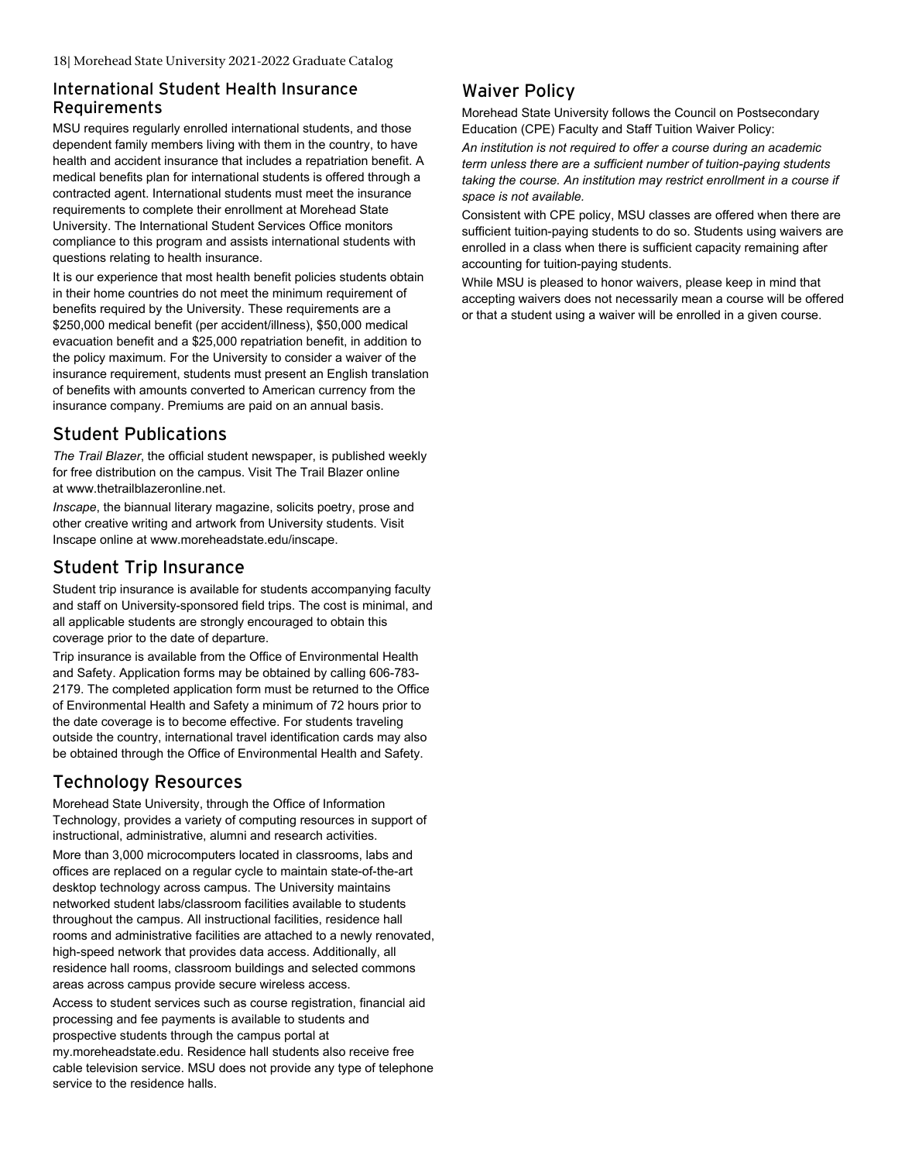## International Student Health Insurance Requirements

MSU requires regularly enrolled international students, and those dependent family members living with them in the country, to have health and accident insurance that includes a repatriation benefit. A medical benefits plan for international students is offered through a contracted agent. International students must meet the insurance requirements to complete their enrollment at Morehead State University. The International Student Services Office monitors compliance to this program and assists international students with questions relating to health insurance.

It is our experience that most health benefit policies students obtain in their home countries do not meet the minimum requirement of benefits required by the University. These requirements are a \$250,000 medical benefit (per accident/illness), \$50,000 medical evacuation benefit and a \$25,000 repatriation benefit, in addition to the policy maximum. For the University to consider a waiver of the insurance requirement, students must present an English translation of benefits with amounts converted to American currency from the insurance company. Premiums are paid on an annual basis.

## Student Publications

*The Trail Blazer*, the official student newspaper, is published weekly for free distribution on the campus. Visit The Trail Blazer online at www.thetrailblazeronline.net.

*Inscape*, the biannual literary magazine, solicits poetry, prose and other creative writing and artwork from University students. Visit Inscape online at www.moreheadstate.edu/inscape.

## Student Trip Insurance

Student trip insurance is available for students accompanying faculty and staff on University-sponsored field trips. The cost is minimal, and all applicable students are strongly encouraged to obtain this coverage prior to the date of departure.

Trip insurance is available from the Office of Environmental Health and Safety. Application forms may be obtained by calling 606-783- 2179. The completed application form must be returned to the Office of Environmental Health and Safety a minimum of 72 hours prior to the date coverage is to become effective. For students traveling outside the country, international travel identification cards may also be obtained through the Office of Environmental Health and Safety.

## Technology Resources

Morehead State University, through the Office of Information Technology, provides a variety of computing resources in support of instructional, administrative, alumni and research activities.

More than 3,000 microcomputers located in classrooms, labs and offices are replaced on a regular cycle to maintain state-of-the-art desktop technology across campus. The University maintains networked student labs/classroom facilities available to students throughout the campus. All instructional facilities, residence hall rooms and administrative facilities are attached to a newly renovated, high-speed network that provides data access. Additionally, all residence hall rooms, classroom buildings and selected commons areas across campus provide secure wireless access.

Access to student services such as course registration, financial aid processing and fee payments is available to students and prospective students through the campus portal at my.moreheadstate.edu. Residence hall students also receive free cable television service. MSU does not provide any type of telephone service to the residence halls.

## Waiver Policy

Morehead State University follows the Council on Postsecondary Education (CPE) Faculty and Staff Tuition Waiver Policy:

*An institution is not required to offer a course during an academic term unless there are a sufficient number of tuition-paying students taking the course. An institution may restrict enrollment in a course if space is not available.* 

Consistent with CPE policy, MSU classes are offered when there are sufficient tuition-paying students to do so. Students using waivers are enrolled in a class when there is sufficient capacity remaining after accounting for tuition-paying students.

While MSU is pleased to honor waivers, please keep in mind that accepting waivers does not necessarily mean a course will be offered or that a student using a waiver will be enrolled in a given course.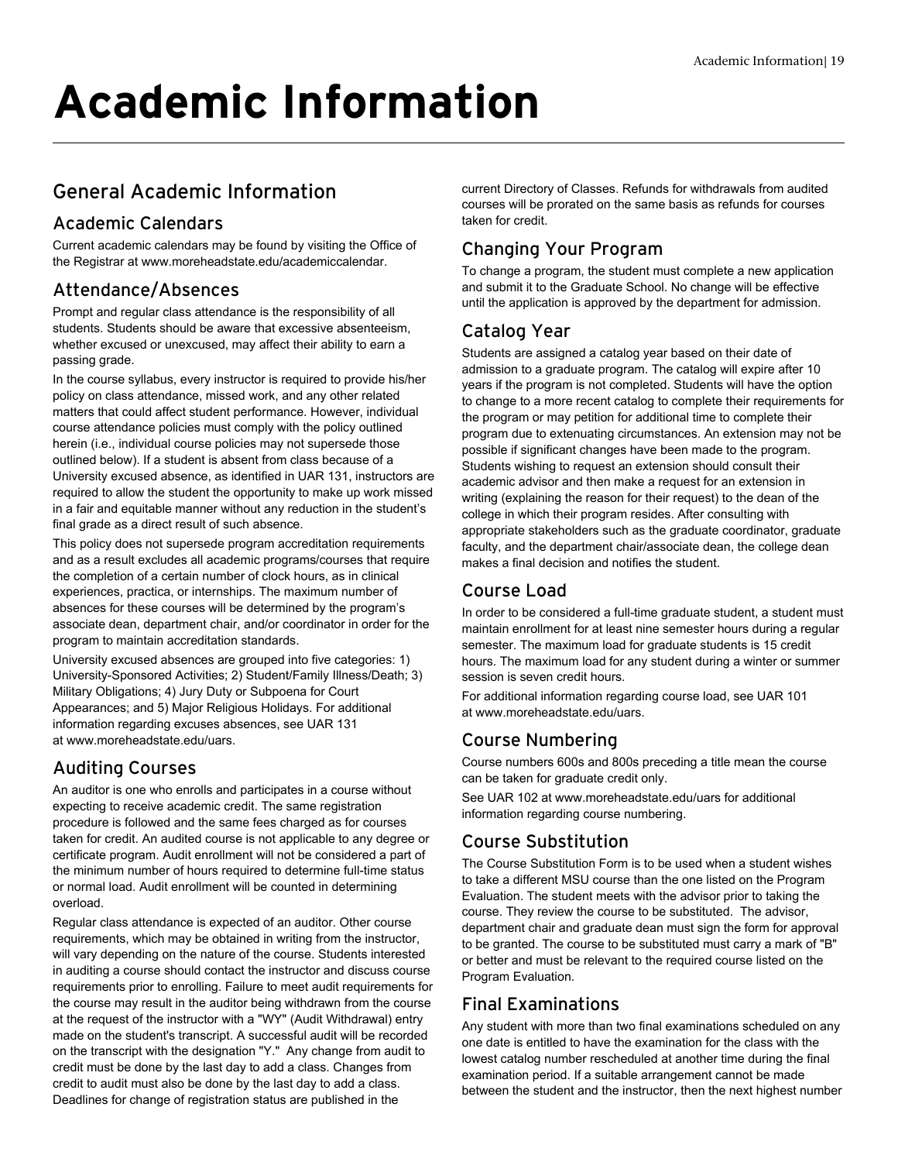# **Academic Information**

# General Academic Information

## Academic Calendars

Current academic calendars may be found by visiting the Office of the Registrar at www.moreheadstate.edu/academiccalendar.

## Attendance/Absences

Prompt and regular class attendance is the responsibility of all students. Students should be aware that excessive absenteeism, whether excused or unexcused, may affect their ability to earn a passing grade.

In the course syllabus, every instructor is required to provide his/her policy on class attendance, missed work, and any other related matters that could affect student performance. However, individual course attendance policies must comply with the policy outlined herein (i.e., individual course policies may not supersede those outlined below). If a student is absent from class because of a University excused absence, as identified in UAR 131, instructors are required to allow the student the opportunity to make up work missed in a fair and equitable manner without any reduction in the student's final grade as a direct result of such absence.

This policy does not supersede program accreditation requirements and as a result excludes all academic programs/courses that require the completion of a certain number of clock hours, as in clinical experiences, practica, or internships. The maximum number of absences for these courses will be determined by the program's associate dean, department chair, and/or coordinator in order for the program to maintain accreditation standards.

University excused absences are grouped into five categories: 1) University-Sponsored Activities; 2) Student/Family Illness/Death; 3) Military Obligations; 4) Jury Duty or Subpoena for Court Appearances; and 5) Major Religious Holidays. For additional information regarding excuses absences, see UAR 131 at www.moreheadstate.edu/uars.

## Auditing Courses

An auditor is one who enrolls and participates in a course without expecting to receive academic credit. The same registration procedure is followed and the same fees charged as for courses taken for credit. An audited course is not applicable to any degree or certificate program. Audit enrollment will not be considered a part of the minimum number of hours required to determine full-time status or normal load. Audit enrollment will be counted in determining overload.

Regular class attendance is expected of an auditor. Other course requirements, which may be obtained in writing from the instructor, will vary depending on the nature of the course. Students interested in auditing a course should contact the instructor and discuss course requirements prior to enrolling. Failure to meet audit requirements for the course may result in the auditor being withdrawn from the course at the request of the instructor with a "WY" (Audit Withdrawal) entry made on the student's transcript. A successful audit will be recorded on the transcript with the designation "Y." Any change from audit to credit must be done by the last day to add a class. Changes from credit to audit must also be done by the last day to add a class. Deadlines for change of registration status are published in the

current Directory of Classes. Refunds for withdrawals from audited courses will be prorated on the same basis as refunds for courses taken for credit.

# Changing Your Program

To change a program, the student must complete a new application and submit it to the Graduate School. No change will be effective until the application is approved by the department for admission.

## Catalog Year

Students are assigned a catalog year based on their date of admission to a graduate program. The catalog will expire after 10 years if the program is not completed. Students will have the option to change to a more recent catalog to complete their requirements for the program or may petition for additional time to complete their program due to extenuating circumstances. An extension may not be possible if significant changes have been made to the program. Students wishing to request an extension should consult their academic advisor and then make a request for an extension in writing (explaining the reason for their request) to the dean of the college in which their program resides. After consulting with appropriate stakeholders such as the graduate coordinator, graduate faculty, and the department chair/associate dean, the college dean makes a final decision and notifies the student.

## Course Load

In order to be considered a full-time graduate student, a student must maintain enrollment for at least nine semester hours during a regular semester. The maximum load for graduate students is 15 credit hours. The maximum load for any student during a winter or summer session is seven credit hours.

For additional information regarding course load, see UAR 101 at www.moreheadstate.edu/uars.

## Course Numbering

Course numbers 600s and 800s preceding a title mean the course can be taken for graduate credit only.

See UAR 102 at www.moreheadstate.edu/uars for additional information regarding course numbering.

## Course Substitution

The Course Substitution Form is to be used when a student wishes to take a different MSU course than the one listed on the Program Evaluation. The student meets with the advisor prior to taking the course. They review the course to be substituted. The advisor, department chair and graduate dean must sign the form for approval to be granted. The course to be substituted must carry a mark of "B" or better and must be relevant to the required course listed on the Program Evaluation.

# Final Examinations

Any student with more than two final examinations scheduled on any one date is entitled to have the examination for the class with the lowest catalog number rescheduled at another time during the final examination period. If a suitable arrangement cannot be made between the student and the instructor, then the next highest number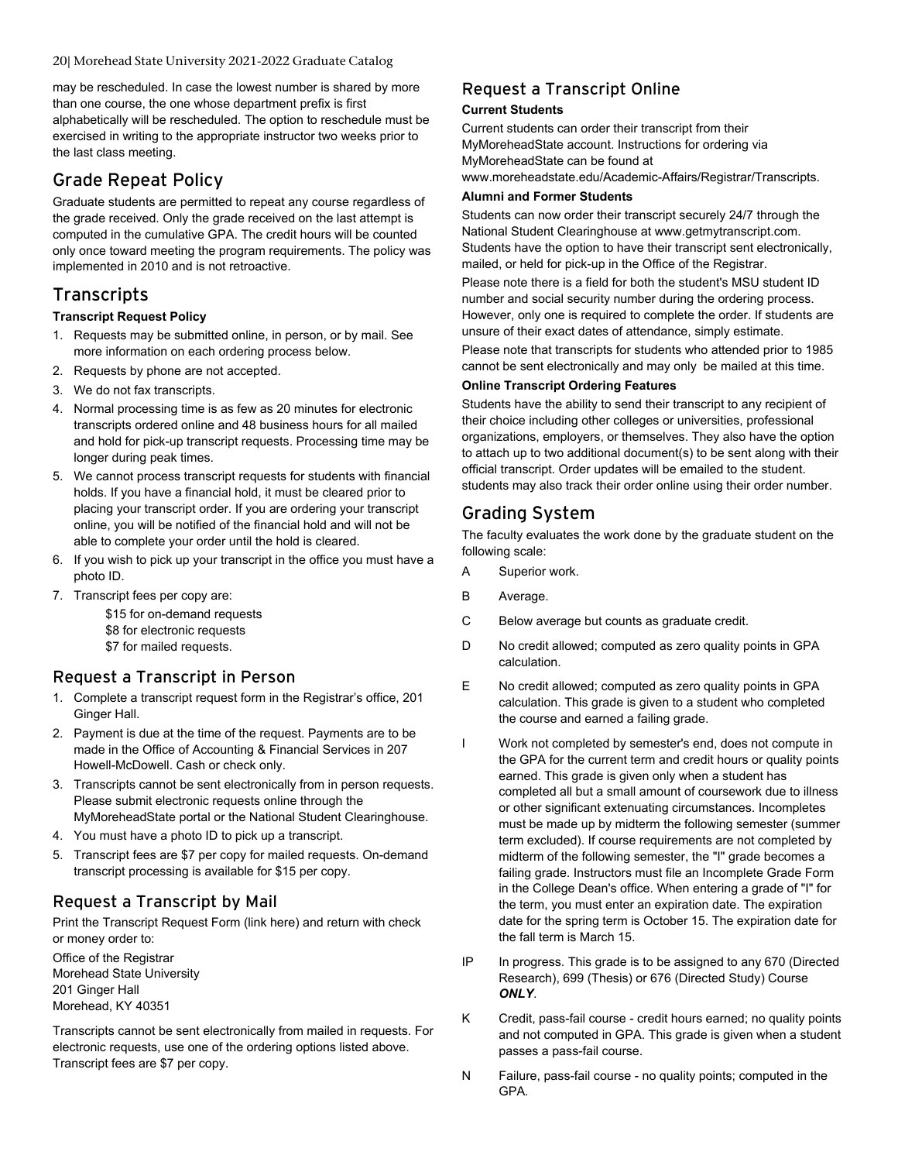#### 20| Morehead State University 2021-2022 Graduate Catalog

may be rescheduled. In case the lowest number is shared by more than one course, the one whose department prefix is first alphabetically will be rescheduled. The option to reschedule must be exercised in writing to the appropriate instructor two weeks prior to the last class meeting.

## Grade Repeat Policy

Graduate students are permitted to repeat any course regardless of the grade received. Only the grade received on the last attempt is computed in the cumulative GPA. The credit hours will be counted only once toward meeting the program requirements. The policy was implemented in 2010 and is not retroactive.

## **Transcripts**

#### **Transcript Request Policy**

- 1. Requests may be submitted online, in person, or by mail. See more information on each ordering process below.
- 2. Requests by phone are not accepted.
- 3. We do not fax transcripts.
- 4. Normal processing time is as few as 20 minutes for electronic transcripts ordered online and 48 business hours for all mailed and hold for pick-up transcript requests. Processing time may be longer during peak times.
- 5. We cannot process transcript requests for students with financial holds. If you have a financial hold, it must be cleared prior to placing your transcript order. If you are ordering your transcript online, you will be notified of the financial hold and will not be able to complete your order until the hold is cleared.
- 6. If you wish to pick up your transcript in the office you must have a photo ID.
- 7. Transcript fees per copy are:

 \$15 for on-demand requests \$8 for electronic requests \$7 for mailed requests.

## Request a Transcript in Person

- 1. Complete a transcript request form in the Registrar's office, 201 Ginger Hall.
- 2. Payment is due at the time of the request. Payments are to be made in the Office of Accounting & Financial Services in 207 Howell-McDowell. Cash or check only.
- 3. Transcripts cannot be sent electronically from in person requests. Please submit electronic requests online through the MyMoreheadState portal or the National Student Clearinghouse.
- 4. You must have a photo ID to pick up a transcript.
- 5. Transcript fees are \$7 per copy for mailed requests. On-demand transcript processing is available for \$15 per copy.

## Request a Transcript by Mail

Print the Transcript Request Form (link here) and return with check or money order to:

Office of the Registrar Morehead State University 201 Ginger Hall Morehead, KY 40351

Transcripts cannot be sent electronically from mailed in requests. For electronic requests, use one of the ordering options listed above. Transcript fees are \$7 per copy.

## Request a Transcript Online

#### **Current Students**

Current students can order their transcript from their MyMoreheadState account. Instructions for ordering via MyMoreheadState can be found at www.moreheadstate.edu/Academic-Affairs/Registrar/Transcripts.

#### **Alumni and Former Students**

Students can now order their transcript securely 24/7 through the National Student Clearinghouse at www.getmytranscript.com. Students have the option to have their transcript sent electronically, mailed, or held for pick-up in the Office of the Registrar.

Please note there is a field for both the student's MSU student ID number and social security number during the ordering process. However, only one is required to complete the order. If students are unsure of their exact dates of attendance, simply estimate.

Please note that transcripts for students who attended prior to 1985 cannot be sent electronically and may only be mailed at this time.

#### **Online Transcript Ordering Features**

Students have the ability to send their transcript to any recipient of their choice including other colleges or universities, professional organizations, employers, or themselves. They also have the option to attach up to two additional document(s) to be sent along with their official transcript. Order updates will be emailed to the student. students may also track their order online using their order number.

## Grading System

The faculty evaluates the work done by the graduate student on the following scale:

- A Superior work.
- B Average.
- C Below average but counts as graduate credit.
- D No credit allowed; computed as zero quality points in GPA calculation.
- E No credit allowed; computed as zero quality points in GPA calculation. This grade is given to a student who completed the course and earned a failing grade.
- I Work not completed by semester's end, does not compute in the GPA for the current term and credit hours or quality points earned. This grade is given only when a student has completed all but a small amount of coursework due to illness or other significant extenuating circumstances. Incompletes must be made up by midterm the following semester (summer term excluded). If course requirements are not completed by midterm of the following semester, the "I" grade becomes a failing grade. Instructors must file an Incomplete Grade Form in the College Dean's office. When entering a grade of "I" for the term, you must enter an expiration date. The expiration date for the spring term is October 15. The expiration date for the fall term is March 15.
- IP In progress. This grade is to be assigned to any 670 (Directed Research), 699 (Thesis) or 676 (Directed Study) Course *ONLY*.
- K Credit, pass-fail course credit hours earned; no quality points and not computed in GPA. This grade is given when a student passes a pass-fail course.
- N Failure, pass-fail course no quality points; computed in the GPA*.*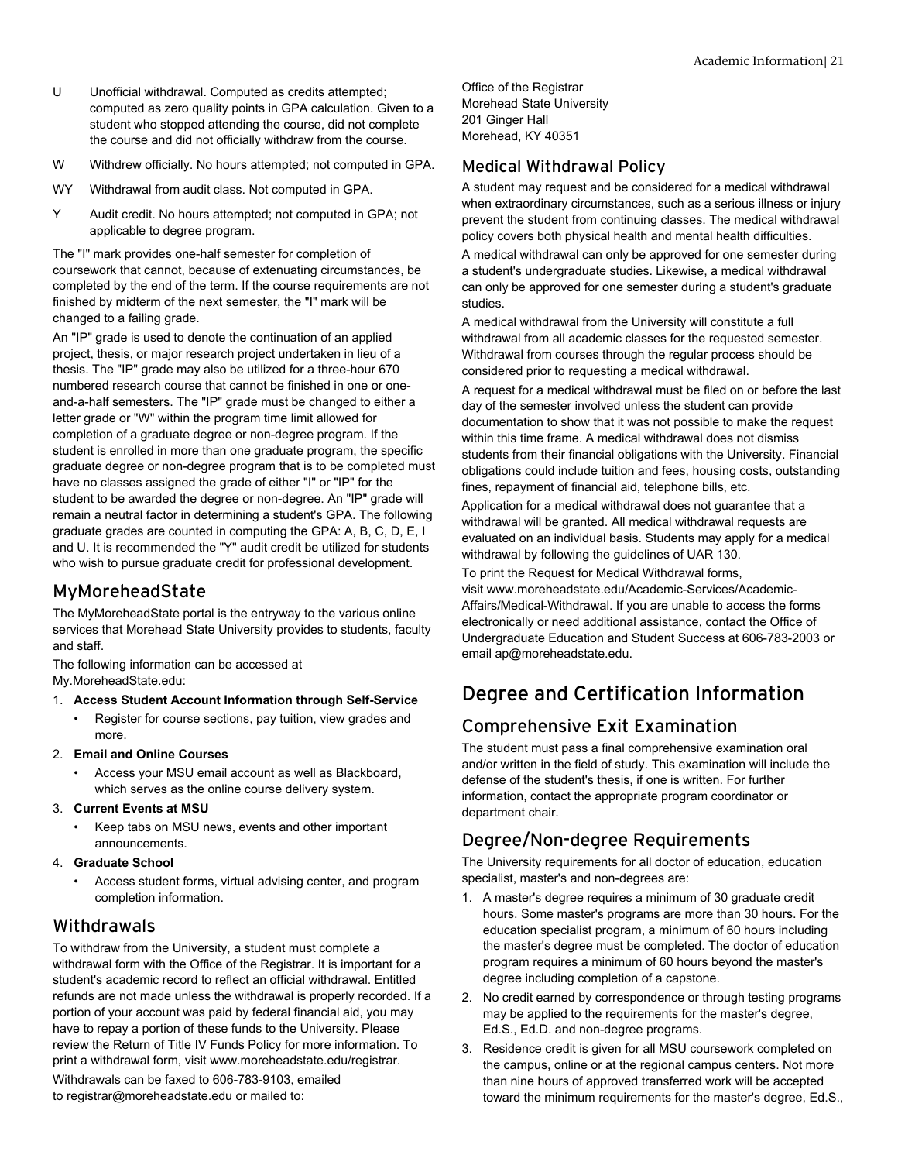- U Unofficial withdrawal. Computed as credits attempted; computed as zero quality points in GPA calculation. Given to a student who stopped attending the course, did not complete the course and did not officially withdraw from the course.
- W Withdrew officially. No hours attempted; not computed in GPA.
- WY Withdrawal from audit class. Not computed in GPA.
- Y Audit credit. No hours attempted; not computed in GPA; not applicable to degree program.

The "I" mark provides one-half semester for completion of coursework that cannot, because of extenuating circumstances, be completed by the end of the term. If the course requirements are not finished by midterm of the next semester, the "I" mark will be changed to a failing grade.

An "IP" grade is used to denote the continuation of an applied project, thesis, or major research project undertaken in lieu of a thesis. The "IP" grade may also be utilized for a three-hour 670 numbered research course that cannot be finished in one or oneand-a-half semesters. The "IP" grade must be changed to either a letter grade or "W" within the program time limit allowed for completion of a graduate degree or non-degree program. If the student is enrolled in more than one graduate program, the specific graduate degree or non-degree program that is to be completed must have no classes assigned the grade of either "I" or "IP" for the student to be awarded the degree or non-degree. An "IP" grade will remain a neutral factor in determining a student's GPA. The following graduate grades are counted in computing the GPA: A, B, C, D, E, I and U. It is recommended the "Y" audit credit be utilized for students who wish to pursue graduate credit for professional development.

## MyMoreheadState

The MyMoreheadState portal is the entryway to the various online services that Morehead State University provides to students, faculty and staff.

The following information can be accessed at My.MoreheadState.edu:

- 1. **Access Student Account Information through Self-Service** 
	- Register for course sections, pay tuition, view grades and more.
- 2. **Email and Online Courses**
	- Access your MSU email account as well as Blackboard, which serves as the online course delivery system.
- 3. **Current Events at MSU** 
	- Keep tabs on MSU news, events and other important announcements.
- 4. **Graduate School**
	- Access student forms, virtual advising center, and program completion information.

## Withdrawals

To withdraw from the University, a student must complete a withdrawal form with the Office of the Registrar. It is important for a student's academic record to reflect an official withdrawal. Entitled refunds are not made unless the withdrawal is properly recorded. If a portion of your account was paid by federal financial aid, you may have to repay a portion of these funds to the University. Please review the Return of Title IV Funds Policy for more information. To print a withdrawal form, visit www.moreheadstate.edu/registrar. Withdrawals can be faxed to 606-783-9103, emailed to registrar@moreheadstate.edu or mailed to:

Office of the Registrar Morehead State University 201 Ginger Hall Morehead, KY 40351

## Medical Withdrawal Policy

A student may request and be considered for a medical withdrawal when extraordinary circumstances, such as a serious illness or injury prevent the student from continuing classes. The medical withdrawal policy covers both physical health and mental health difficulties.

A medical withdrawal can only be approved for one semester during a student's undergraduate studies. Likewise, a medical withdrawal can only be approved for one semester during a student's graduate studies.

A medical withdrawal from the University will constitute a full withdrawal from all academic classes for the requested semester. Withdrawal from courses through the regular process should be considered prior to requesting a medical withdrawal.

A request for a medical withdrawal must be filed on or before the last day of the semester involved unless the student can provide documentation to show that it was not possible to make the request within this time frame. A medical withdrawal does not dismiss students from their financial obligations with the University. Financial obligations could include tuition and fees, housing costs, outstanding fines, repayment of financial aid, telephone bills, etc.

Application for a medical withdrawal does not guarantee that a withdrawal will be granted. All medical withdrawal requests are evaluated on an individual basis. Students may apply for a medical withdrawal by following the guidelines of UAR 130.

To print the Request for Medical Withdrawal forms,

visit www.moreheadstate.edu/Academic-Services/Academic-Affairs/Medical-Withdrawal. If you are unable to access the forms electronically or need additional assistance, contact the Office of Undergraduate Education and Student Success at 606-783-2003 or email ap@moreheadstate.edu.

# Degree and Certification Information

## Comprehensive Exit Examination

The student must pass a final comprehensive examination oral and/or written in the field of study. This examination will include the defense of the student's thesis, if one is written. For further information, contact the appropriate program coordinator or department chair.

## Degree/Non-degree Requirements

The University requirements for all doctor of education, education specialist, master's and non-degrees are:

- 1. A master's degree requires a minimum of 30 graduate credit hours. Some master's programs are more than 30 hours. For the education specialist program, a minimum of 60 hours including the master's degree must be completed. The doctor of education program requires a minimum of 60 hours beyond the master's degree including completion of a capstone.
- 2. No credit earned by correspondence or through testing programs may be applied to the requirements for the master's degree, Ed.S., Ed.D. and non-degree programs.
- 3. Residence credit is given for all MSU coursework completed on the campus, online or at the regional campus centers. Not more than nine hours of approved transferred work will be accepted toward the minimum requirements for the master's degree, Ed.S.,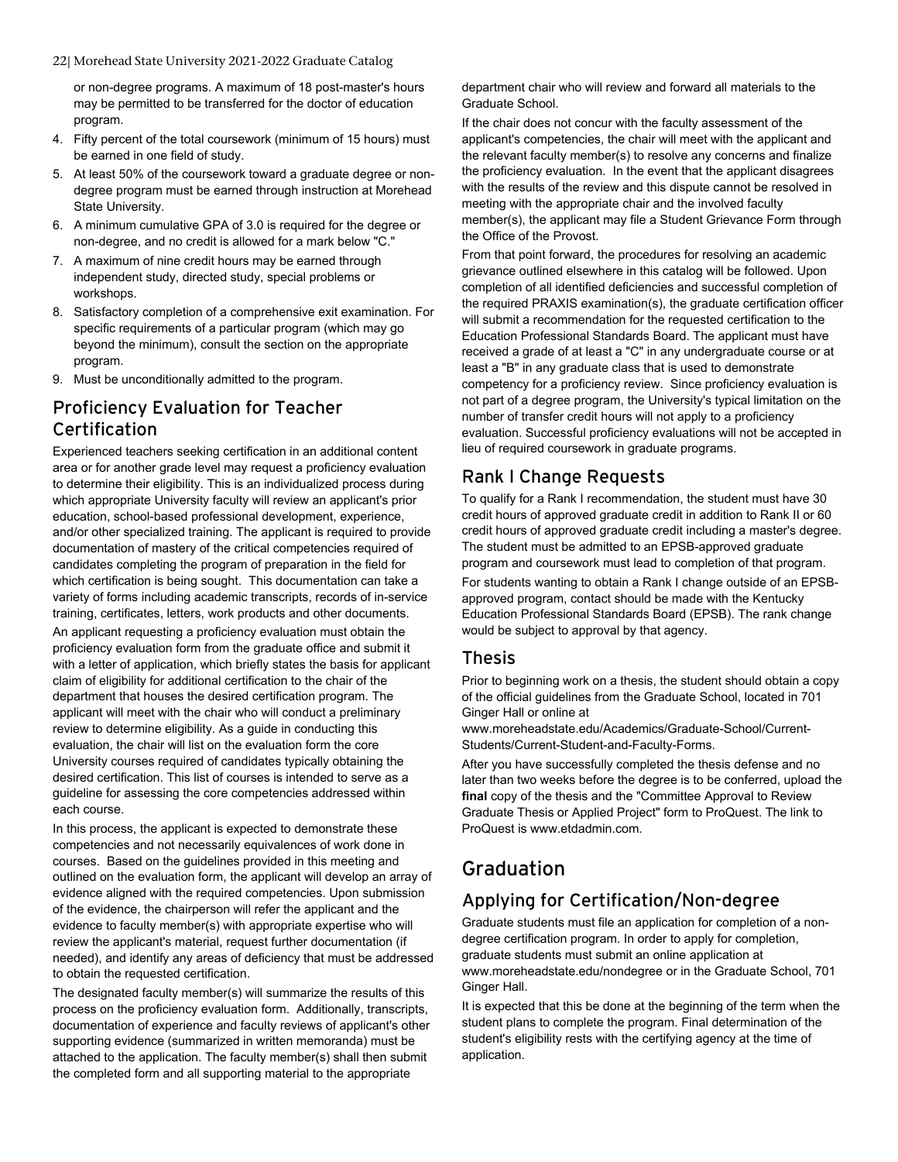#### 22| Morehead State University 2021-2022 Graduate Catalog

or non-degree programs. A maximum of 18 post-master's hours may be permitted to be transferred for the doctor of education program.

- 4. Fifty percent of the total coursework (minimum of 15 hours) must be earned in one field of study.
- 5. At least 50% of the coursework toward a graduate degree or nondegree program must be earned through instruction at Morehead State University.
- 6. A minimum cumulative GPA of 3.0 is required for the degree or non-degree, and no credit is allowed for a mark below "C."
- 7. A maximum of nine credit hours may be earned through independent study, directed study, special problems or workshops.
- 8. Satisfactory completion of a comprehensive exit examination. For specific requirements of a particular program (which may go beyond the minimum), consult the section on the appropriate program.
- 9. Must be unconditionally admitted to the program.

## Proficiency Evaluation for Teacher Certification

Experienced teachers seeking certification in an additional content area or for another grade level may request a proficiency evaluation to determine their eligibility. This is an individualized process during which appropriate University faculty will review an applicant's prior education, school-based professional development, experience, and/or other specialized training. The applicant is required to provide documentation of mastery of the critical competencies required of candidates completing the program of preparation in the field for which certification is being sought. This documentation can take a variety of forms including academic transcripts, records of in-service training, certificates, letters, work products and other documents. An applicant requesting a proficiency evaluation must obtain the proficiency evaluation form from the graduate office and submit it with a letter of application, which briefly states the basis for applicant claim of eligibility for additional certification to the chair of the department that houses the desired certification program. The applicant will meet with the chair who will conduct a preliminary review to determine eligibility. As a guide in conducting this evaluation, the chair will list on the evaluation form the core University courses required of candidates typically obtaining the desired certification. This list of courses is intended to serve as a guideline for assessing the core competencies addressed within each course.

In this process, the applicant is expected to demonstrate these competencies and not necessarily equivalences of work done in courses. Based on the guidelines provided in this meeting and outlined on the evaluation form, the applicant will develop an array of evidence aligned with the required competencies. Upon submission of the evidence, the chairperson will refer the applicant and the evidence to faculty member(s) with appropriate expertise who will review the applicant's material, request further documentation (if needed), and identify any areas of deficiency that must be addressed to obtain the requested certification.

The designated faculty member(s) will summarize the results of this process on the proficiency evaluation form. Additionally, transcripts, documentation of experience and faculty reviews of applicant's other supporting evidence (summarized in written memoranda) must be attached to the application. The faculty member(s) shall then submit the completed form and all supporting material to the appropriate

department chair who will review and forward all materials to the Graduate School.

If the chair does not concur with the faculty assessment of the applicant's competencies, the chair will meet with the applicant and the relevant faculty member(s) to resolve any concerns and finalize the proficiency evaluation. In the event that the applicant disagrees with the results of the review and this dispute cannot be resolved in meeting with the appropriate chair and the involved faculty member(s), the applicant may file a Student Grievance Form through the Office of the Provost.

From that point forward, the procedures for resolving an academic grievance outlined elsewhere in this catalog will be followed. Upon completion of all identified deficiencies and successful completion of the required PRAXIS examination(s), the graduate certification officer will submit a recommendation for the requested certification to the Education Professional Standards Board. The applicant must have received a grade of at least a "C" in any undergraduate course or at least a "B" in any graduate class that is used to demonstrate competency for a proficiency review. Since proficiency evaluation is not part of a degree program, the University's typical limitation on the number of transfer credit hours will not apply to a proficiency evaluation. Successful proficiency evaluations will not be accepted in lieu of required coursework in graduate programs.

## Rank I Change Requests

To qualify for a Rank I recommendation, the student must have 30 credit hours of approved graduate credit in addition to Rank II or 60 credit hours of approved graduate credit including a master's degree. The student must be admitted to an EPSB-approved graduate program and coursework must lead to completion of that program. For students wanting to obtain a Rank I change outside of an EPSBapproved program, contact should be made with the Kentucky Education Professional Standards Board (EPSB). The rank change would be subject to approval by that agency.

## Thesis

Prior to beginning work on a thesis, the student should obtain a copy of the official guidelines from the Graduate School, located in 701 Ginger Hall or online at

www.moreheadstate.edu/Academics/Graduate-School/Current-Students/Current-Student-and-Faculty-Forms.

After you have successfully completed the thesis defense and no later than two weeks before the degree is to be conferred, upload the **final** copy of the thesis and the "Committee Approval to Review Graduate Thesis or Applied Project" form to ProQuest. The link to ProQuest is www.etdadmin.com.

## Graduation

## Applying for Certification/Non-degree

Graduate students must file an application for completion of a nondegree certification program. In order to apply for completion, graduate students must submit an online application at www.moreheadstate.edu/nondegree or in the Graduate School, 701 Ginger Hall.

It is expected that this be done at the beginning of the term when the student plans to complete the program. Final determination of the student's eligibility rests with the certifying agency at the time of application.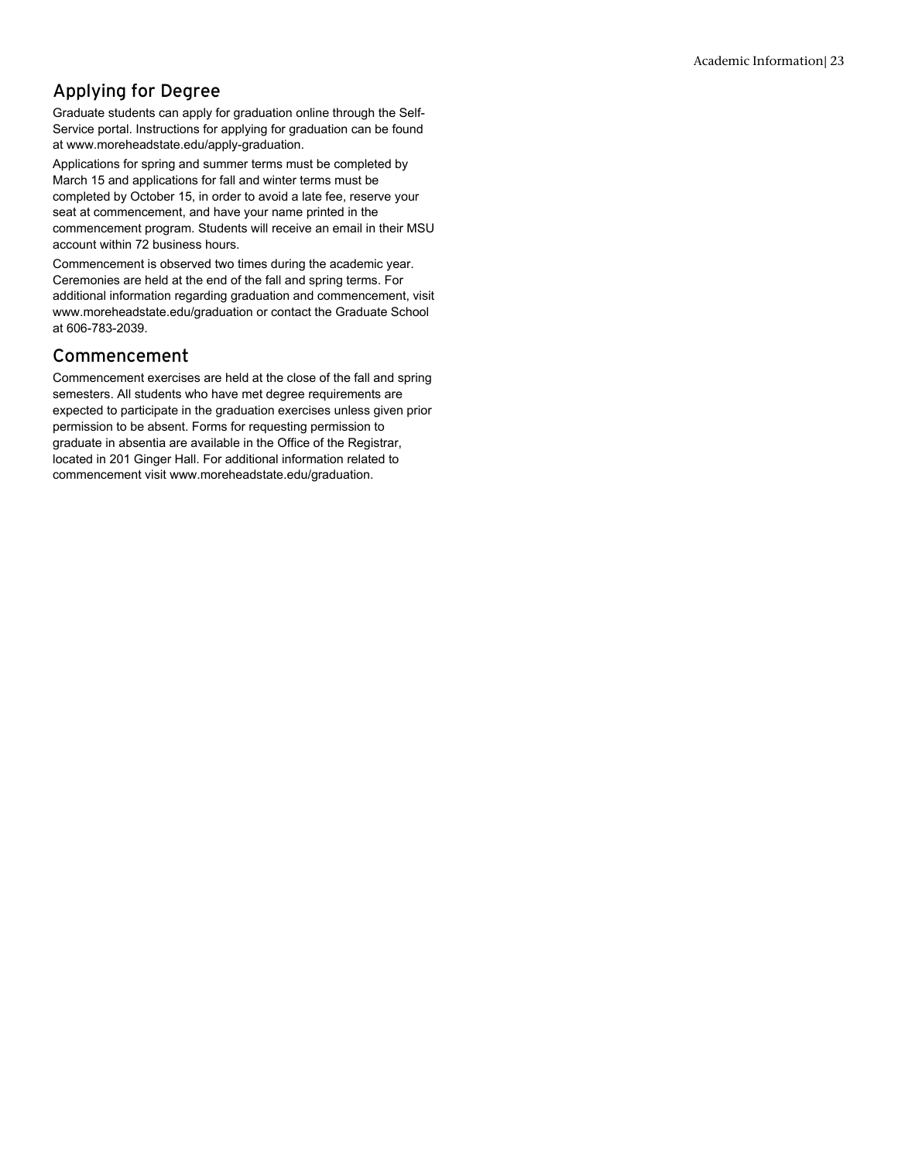#### Academic Information| 23

## Applying for Degree

Graduate students can apply for graduation online through the Self-Service portal. Instructions for applying for graduation can be found at www.moreheadstate.edu/apply-graduation.

Applications for spring and summer terms must be completed by March 15 and applications for fall and winter terms must be completed by October 15, in order to avoid a late fee, reserve your seat at commencement, and have your name printed in the commencement program. Students will receive an email in their MSU account within 72 business hours.

Commencement is observed two times during the academic year. Ceremonies are held at the end of the fall and spring terms. For additional information regarding graduation and commencement, visit www.moreheadstate.edu/graduation or contact the Graduate School at 606-783-2039.

## Commencement

Commencement exercises are held at the close of the fall and spring semesters. All students who have met degree requirements are expected to participate in the graduation exercises unless given prior permission to be absent. Forms for requesting permission to graduate in absentia are available in the Office of the Registrar, located in 201 Ginger Hall. For additional information related to commencement visit www.moreheadstate.edu/graduation.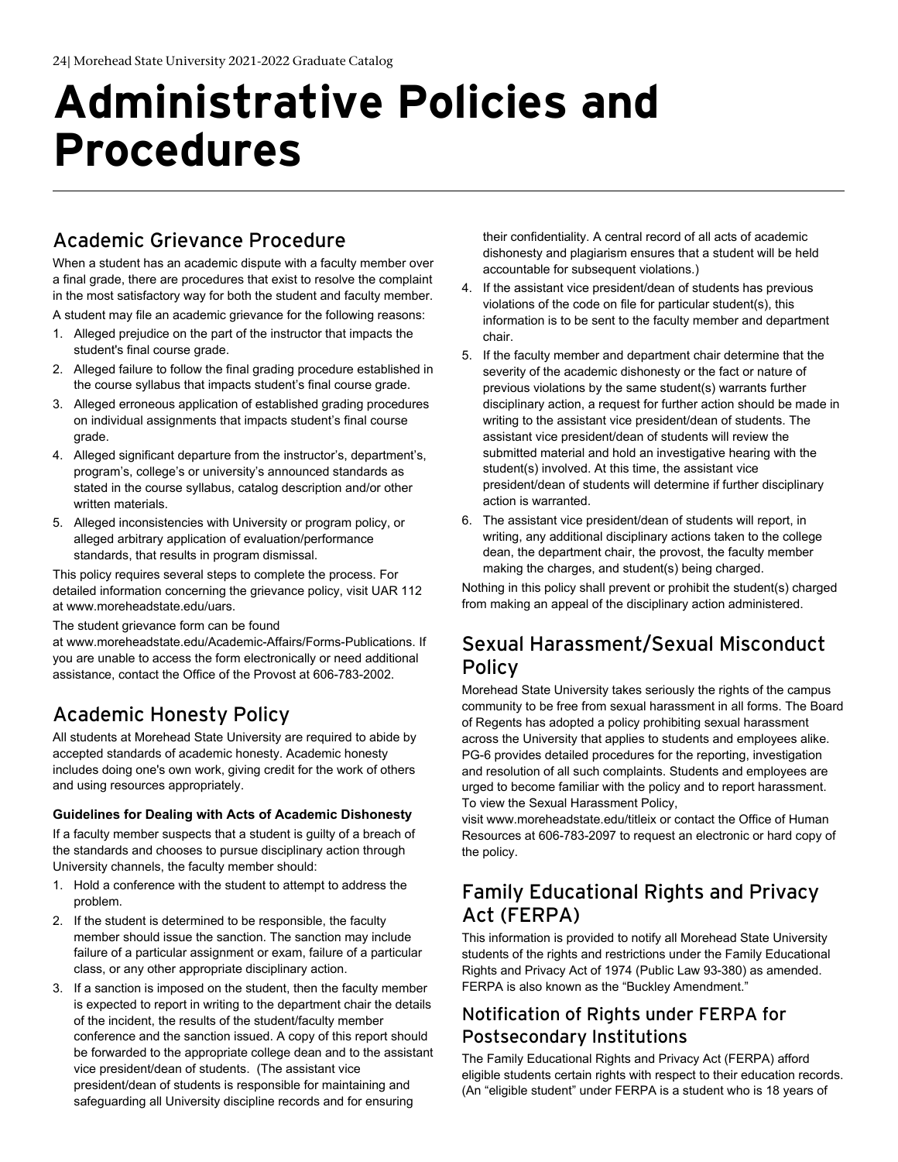# **Administrative Policies and Procedures**

# Academic Grievance Procedure

When a student has an academic dispute with a faculty member over a final grade, there are procedures that exist to resolve the complaint in the most satisfactory way for both the student and faculty member. A student may file an academic grievance for the following reasons:

- 1. Alleged prejudice on the part of the instructor that impacts the student's final course grade.
- 2. Alleged failure to follow the final grading procedure established in the course syllabus that impacts student's final course grade.
- 3. Alleged erroneous application of established grading procedures on individual assignments that impacts student's final course grade.
- 4. Alleged significant departure from the instructor's, department's, program's, college's or university's announced standards as stated in the course syllabus, catalog description and/or other written materials.
- 5. Alleged inconsistencies with University or program policy, or alleged arbitrary application of evaluation/performance standards, that results in program dismissal.

This policy requires several steps to complete the process. For detailed information concerning the grievance policy, visit UAR 112 at www.moreheadstate.edu/uars.

#### The student grievance form can be found

at www.moreheadstate.edu/Academic-Affairs/Forms-Publications. If you are unable to access the form electronically or need additional assistance, contact the Office of the Provost at 606-783-2002.

# Academic Honesty Policy

All students at Morehead State University are required to abide by accepted standards of academic honesty. Academic honesty includes doing one's own work, giving credit for the work of others and using resources appropriately.

## **Guidelines for Dealing with Acts of Academic Dishonesty**

If a faculty member suspects that a student is guilty of a breach of the standards and chooses to pursue disciplinary action through University channels, the faculty member should:

- 1. Hold a conference with the student to attempt to address the problem.
- 2. If the student is determined to be responsible, the faculty member should issue the sanction. The sanction may include failure of a particular assignment or exam, failure of a particular class, or any other appropriate disciplinary action.
- 3. If a sanction is imposed on the student, then the faculty member is expected to report in writing to the department chair the details of the incident, the results of the student/faculty member conference and the sanction issued. A copy of this report should be forwarded to the appropriate college dean and to the assistant vice president/dean of students. (The assistant vice president/dean of students is responsible for maintaining and safeguarding all University discipline records and for ensuring

their confidentiality. A central record of all acts of academic dishonesty and plagiarism ensures that a student will be held accountable for subsequent violations.)

- 4. If the assistant vice president/dean of students has previous violations of the code on file for particular student(s), this information is to be sent to the faculty member and department chair.
- 5. If the faculty member and department chair determine that the severity of the academic dishonesty or the fact or nature of previous violations by the same student(s) warrants further disciplinary action, a request for further action should be made in writing to the assistant vice president/dean of students. The assistant vice president/dean of students will review the submitted material and hold an investigative hearing with the student(s) involved. At this time, the assistant vice president/dean of students will determine if further disciplinary action is warranted.
- 6. The assistant vice president/dean of students will report, in writing, any additional disciplinary actions taken to the college dean, the department chair, the provost, the faculty member making the charges, and student(s) being charged.

Nothing in this policy shall prevent or prohibit the student(s) charged from making an appeal of the disciplinary action administered.

# Sexual Harassment/Sexual Misconduct Policy

Morehead State University takes seriously the rights of the campus community to be free from sexual harassment in all forms. The Board of Regents has adopted a policy prohibiting sexual harassment across the University that applies to students and employees alike. PG-6 provides detailed procedures for the reporting, investigation and resolution of all such complaints. Students and employees are urged to become familiar with the policy and to report harassment. To view the Sexual Harassment Policy,

visit www.moreheadstate.edu/titleix or contact the Office of Human Resources at 606-783-2097 to request an electronic or hard copy of the policy.

## Family Educational Rights and Privacy Act (FERPA)

This information is provided to notify all Morehead State University students of the rights and restrictions under the Family Educational Rights and Privacy Act of 1974 (Public Law 93-380) as amended. FERPA is also known as the "Buckley Amendment."

## Notification of Rights under FERPA for Postsecondary Institutions

The Family Educational Rights and Privacy Act (FERPA) afford eligible students certain rights with respect to their education records. (An "eligible student" under FERPA is a student who is 18 years of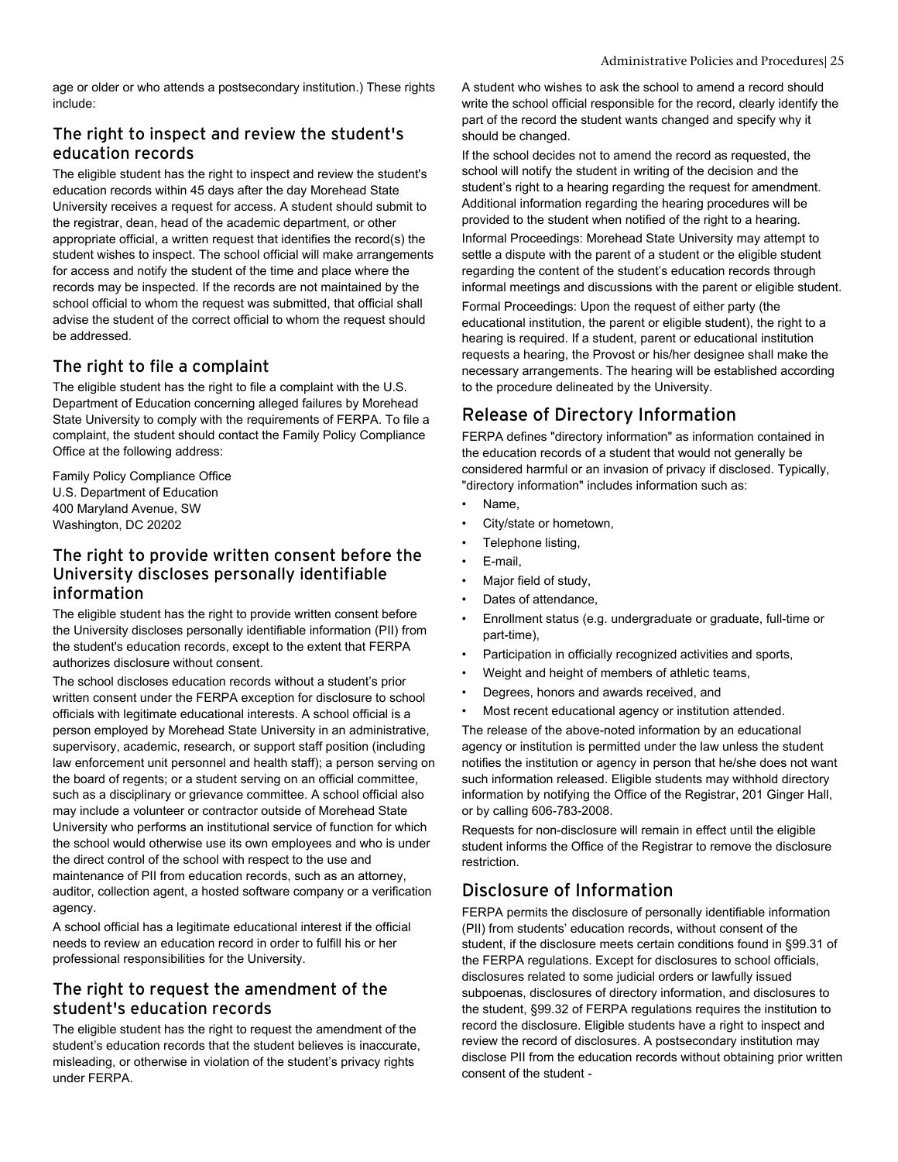age or older or who attends a postsecondary institution.) These rights include:

## The right to inspect and review the student's education records

The eligible student has the right to inspect and review the student's education records within 45 days after the day Morehead State University receives a request for access. A student should submit to the registrar, dean, head of the academic department, or other appropriate official, a written request that identifies the record(s) the student wishes to inspect. The school official will make arrangements for access and notify the student of the time and place where the records may be inspected. If the records are not maintained by the school official to whom the request was submitted, that official shall advise the student of the correct official to whom the request should be addressed.

## The right to file a complaint

The eligible student has the right to file a complaint with the U.S. Department of Education concerning alleged failures by Morehead State University to comply with the requirements of FERPA. To file a complaint, the student should contact the Family Policy Compliance Office at the following address:

Family Policy Compliance Office U.S. Department of Education 400 Maryland Avenue, SW Washington, DC 20202

## The right to provide written consent before the University discloses personally identifiable information

The eligible student has the right to provide written consent before the University discloses personally identifiable information (PII) from the student's education records, except to the extent that FERPA authorizes disclosure without consent.

The school discloses education records without a student's prior written consent under the FERPA exception for disclosure to school officials with legitimate educational interests. A school official is a person employed by Morehead State University in an administrative, supervisory, academic, research, or support staff position (including law enforcement unit personnel and health staff); a person serving on the board of regents; or a student serving on an official committee, such as a disciplinary or grievance committee. A school official also may include a volunteer or contractor outside of Morehead State University who performs an institutional service of function for which the school would otherwise use its own employees and who is under the direct control of the school with respect to the use and maintenance of PII from education records, such as an attorney, auditor, collection agent, a hosted software company or a verification agency.

A school official has a legitimate educational interest if the official needs to review an education record in order to fulfill his or her professional responsibilities for the University.

## The right to request the amendment of the student's education records

The eligible student has the right to request the amendment of the student's education records that the student believes is inaccurate, misleading, or otherwise in violation of the student's privacy rights under FERPA.

A student who wishes to ask the school to amend a record should write the school official responsible for the record, clearly identify the part of the record the student wants changed and specify why it should be changed.

If the school decides not to amend the record as requested, the school will notify the student in writing of the decision and the student's right to a hearing regarding the request for amendment. Additional information regarding the hearing procedures will be provided to the student when notified of the right to a hearing. Informal Proceedings: Morehead State University may attempt to settle a dispute with the parent of a student or the eligible student regarding the content of the student's education records through informal meetings and discussions with the parent or eligible student. Formal Proceedings: Upon the request of either party (the educational institution, the parent or eligible student), the right to a hearing is required. If a student, parent or educational institution requests a hearing, the Provost or his/her designee shall make the necessary arrangements. The hearing will be established according to the procedure delineated by the University.

## Release of Directory Information

FERPA defines "directory information" as information contained in the education records of a student that would not generally be considered harmful or an invasion of privacy if disclosed. Typically, "directory information" includes information such as:

- Name.
- City/state or hometown,
- Telephone listing,
- E-mail.
- Major field of study,
- Dates of attendance,
- Enrollment status (e.g. undergraduate or graduate, full-time or part-time),
- Participation in officially recognized activities and sports,
- Weight and height of members of athletic teams,
- Degrees, honors and awards received, and
- Most recent educational agency or institution attended.

The release of the above-noted information by an educational agency or institution is permitted under the law unless the student notifies the institution or agency in person that he/she does not want such information released. Eligible students may withhold directory information by notifying the Office of the Registrar, 201 Ginger Hall, or by calling 606-783-2008.

Requests for non-disclosure will remain in effect until the eligible student informs the Office of the Registrar to remove the disclosure restriction.

## Disclosure of Information

FERPA permits the disclosure of personally identifiable information (PII) from students' education records, without consent of the student, if the disclosure meets certain conditions found in §99.31 of the FERPA regulations. Except for disclosures to school officials, disclosures related to some judicial orders or lawfully issued subpoenas, disclosures of directory information, and disclosures to the student, §99.32 of FERPA regulations requires the institution to record the disclosure. Eligible students have a right to inspect and review the record of disclosures. A postsecondary institution may disclose PII from the education records without obtaining prior written consent of the student -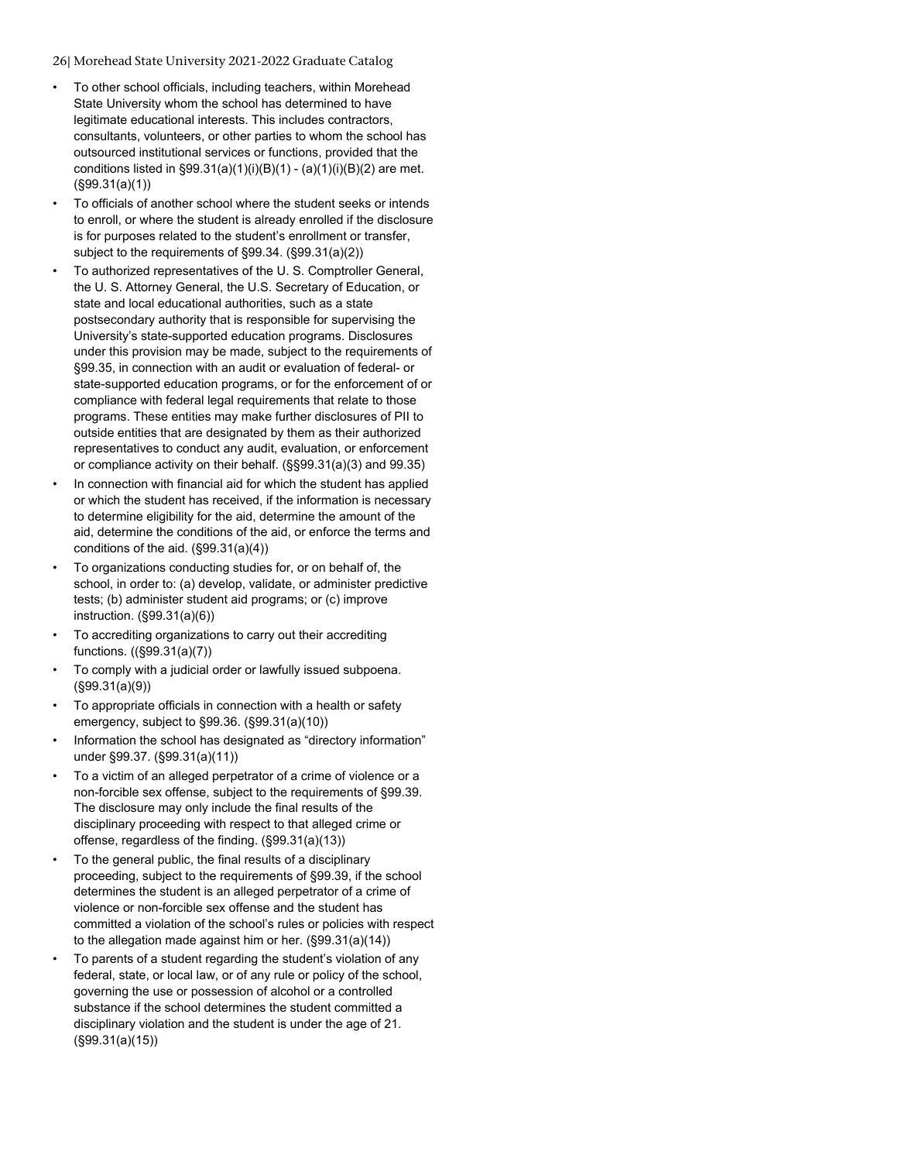#### 26| Morehead State University 2021-2022 Graduate Catalog

- To other school officials, including teachers, within Morehead State University whom the school has determined to have legitimate educational interests. This includes contractors, consultants, volunteers, or other parties to whom the school has outsourced institutional services or functions, provided that the conditions listed in §99.31(a)(1)(i)(B)(1) - (a)(1)(i)(B)(2) are met. (§99.31(a)(1))
- To officials of another school where the student seeks or intends to enroll, or where the student is already enrolled if the disclosure is for purposes related to the student's enrollment or transfer, subject to the requirements of §99.34. (§99.31(a)(2))
- To authorized representatives of the U. S. Comptroller General, the U. S. Attorney General, the U.S. Secretary of Education, or state and local educational authorities, such as a state postsecondary authority that is responsible for supervising the University's state-supported education programs. Disclosures under this provision may be made, subject to the requirements of §99.35, in connection with an audit or evaluation of federal- or state-supported education programs, or for the enforcement of or compliance with federal legal requirements that relate to those programs. These entities may make further disclosures of PII to outside entities that are designated by them as their authorized representatives to conduct any audit, evaluation, or enforcement or compliance activity on their behalf. (§§99.31(a)(3) and 99.35)
- In connection with financial aid for which the student has applied or which the student has received, if the information is necessary to determine eligibility for the aid, determine the amount of the aid, determine the conditions of the aid, or enforce the terms and conditions of the aid. (§99.31(a)(4))
- To organizations conducting studies for, or on behalf of, the school, in order to: (a) develop, validate, or administer predictive tests; (b) administer student aid programs; or (c) improve instruction. (§99.31(a)(6))
- To accrediting organizations to carry out their accrediting functions. ((§99.31(a)(7))
- To comply with a judicial order or lawfully issued subpoena. (§99.31(a)(9))
- To appropriate officials in connection with a health or safety emergency, subject to §99.36. (§99.31(a)(10))
- Information the school has designated as "directory information" under §99.37. (§99.31(a)(11))
- To a victim of an alleged perpetrator of a crime of violence or a non-forcible sex offense, subject to the requirements of §99.39. The disclosure may only include the final results of the disciplinary proceeding with respect to that alleged crime or offense, regardless of the finding. (§99.31(a)(13))
- To the general public, the final results of a disciplinary proceeding, subject to the requirements of §99.39, if the school determines the student is an alleged perpetrator of a crime of violence or non-forcible sex offense and the student has committed a violation of the school's rules or policies with respect to the allegation made against him or her. (§99.31(a)(14))
- To parents of a student regarding the student's violation of any federal, state, or local law, or of any rule or policy of the school, governing the use or possession of alcohol or a controlled substance if the school determines the student committed a disciplinary violation and the student is under the age of 21. (§99.31(a)(15))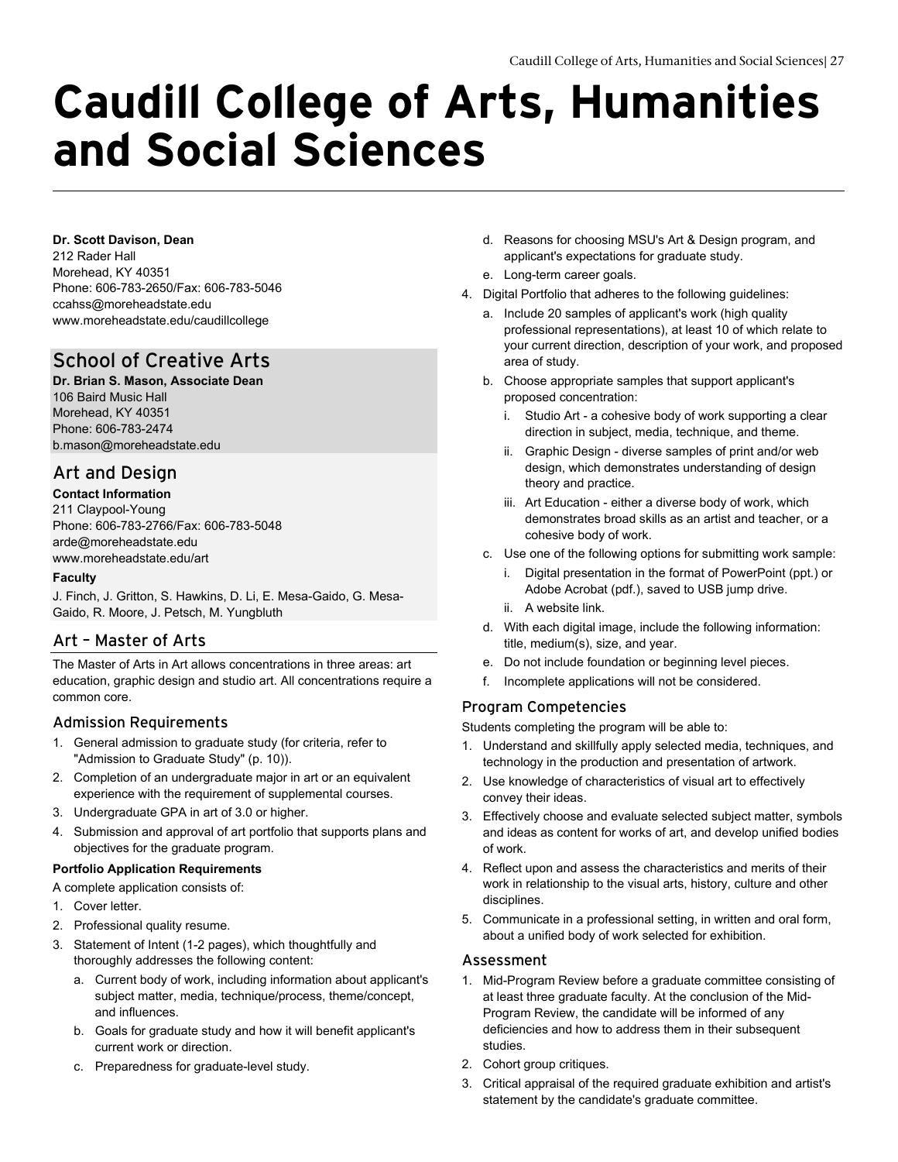# **Caudill College of Arts, Humanities and Social Sciences**

**Dr. Scott Davison, Dean** 212 Rader Hall Morehead, KY 40351 Phone: 606-783-2650/Fax: 606-783-5046 ccahss@moreheadstate.edu www.moreheadstate.edu/caudillcollege

# School of Creative Arts

**Dr. Brian S. Mason, Associate Dean** 106 Baird Music Hall Morehead, KY 40351 Phone: 606-783-2474 b.mason@moreheadstate.edu

## Art and Design

**Contact Information**

211 Claypool-Young Phone: 606-783-2766/Fax: 606-783-5048 arde@moreheadstate.edu www.moreheadstate.edu/art

#### **Faculty**

J. Finch, J. Gritton, S. Hawkins, D. Li, E. Mesa-Gaido, G. Mesa-Gaido, R. Moore, J. Petsch, M. Yungbluth

## Art – Master of Arts

The Master of Arts in Art allows concentrations in three areas: art education, graphic design and studio art. All concentrations require a common core.

## Admission Requirements

- 1. General admission to graduate study (for criteria, refer to "Admission to Graduate Study" (p. 10)).
- 2. Completion of an undergraduate major in art or an equivalent experience with the requirement of supplemental courses.
- 3. Undergraduate GPA in art of 3.0 or higher.
- 4. Submission and approval of art portfolio that supports plans and objectives for the graduate program.

## **Portfolio Application Requirements**

A complete application consists of:

- 1. Cover letter.
- 2. Professional quality resume.
- 3. Statement of Intent (1-2 pages), which thoughtfully and thoroughly addresses the following content:
	- a. Current body of work, including information about applicant's subject matter, media, technique/process, theme/concept, and influences.
	- b. Goals for graduate study and how it will benefit applicant's current work or direction.
	- c. Preparedness for graduate-level study.
- d. Reasons for choosing MSU's Art & Design program, and applicant's expectations for graduate study.
- e. Long-term career goals.
- 4. Digital Portfolio that adheres to the following guidelines:
	- a. Include 20 samples of applicant's work (high quality professional representations), at least 10 of which relate to your current direction, description of your work, and proposed area of study.
	- b. Choose appropriate samples that support applicant's proposed concentration:
		- i. Studio Art a cohesive body of work supporting a clear direction in subject, media, technique, and theme.
		- ii. Graphic Design diverse samples of print and/or web design, which demonstrates understanding of design theory and practice.
		- iii. Art Education either a diverse body of work, which demonstrates broad skills as an artist and teacher, or a cohesive body of work.
	- c. Use one of the following options for submitting work sample:
		- i. Digital presentation in the format of PowerPoint (ppt.) or Adobe Acrobat (pdf.), saved to USB jump drive.
		- ii. A website link.
	- d. With each digital image, include the following information: title, medium(s), size, and year.
	- e. Do not include foundation or beginning level pieces.
	- Incomplete applications will not be considered.

## Program Competencies

Students completing the program will be able to:

- 1. Understand and skillfully apply selected media, techniques, and technology in the production and presentation of artwork.
- 2. Use knowledge of characteristics of visual art to effectively convey their ideas.
- 3. Effectively choose and evaluate selected subject matter, symbols and ideas as content for works of art, and develop unified bodies of work.
- 4. Reflect upon and assess the characteristics and merits of their work in relationship to the visual arts, history, culture and other disciplines.
- 5. Communicate in a professional setting, in written and oral form, about a unified body of work selected for exhibition.

## Assessment

- 1. Mid-Program Review before a graduate committee consisting of at least three graduate faculty. At the conclusion of the Mid-Program Review, the candidate will be informed of any deficiencies and how to address them in their subsequent studies.
- 2. Cohort group critiques.
- 3. Critical appraisal of the required graduate exhibition and artist's statement by the candidate's graduate committee.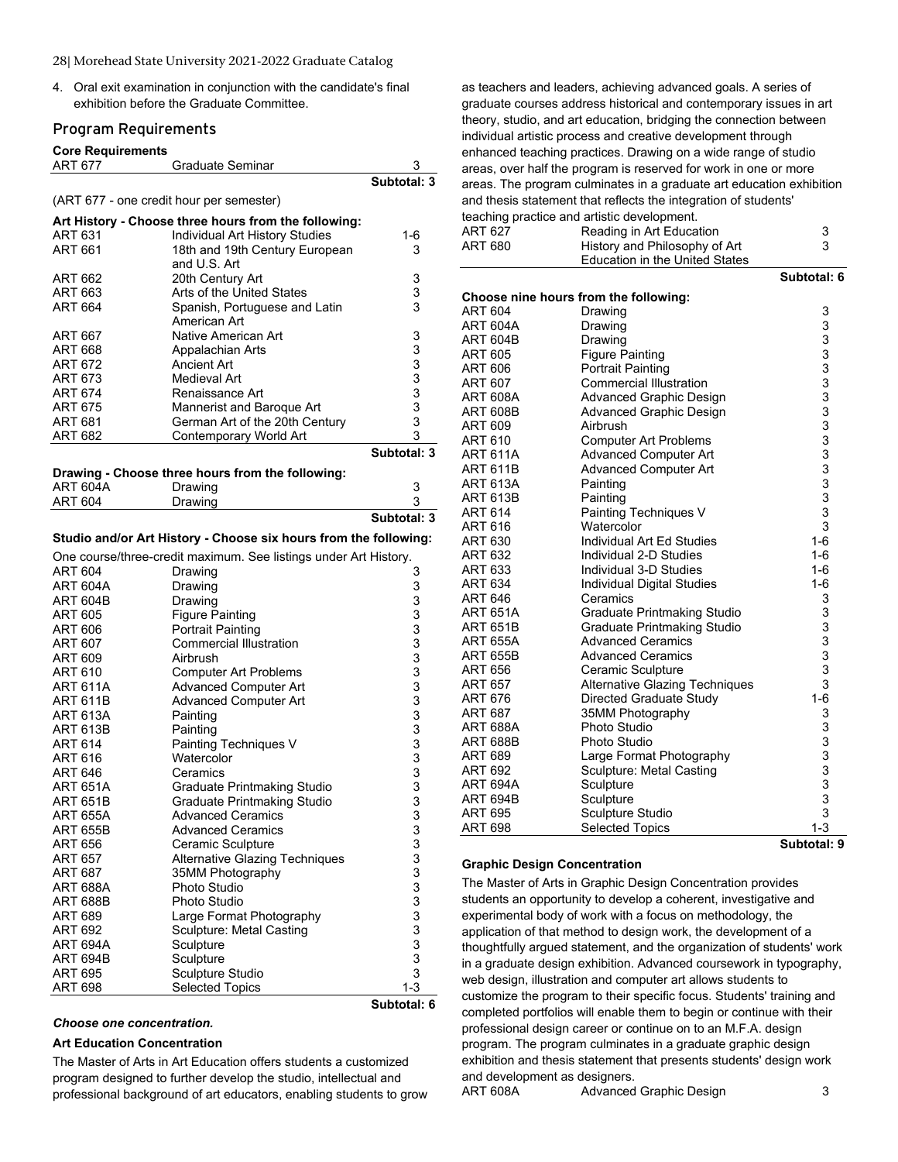#### 28| Morehead State University 2021-2022 Graduate Catalog

4. Oral exit examination in conjunction with the candidate's final exhibition before the Graduate Committee.

## Program Requirements

| <b>Core Requirements</b><br><b>ART 677</b> | Graduate Seminar                                                 | 3           |
|--------------------------------------------|------------------------------------------------------------------|-------------|
|                                            |                                                                  | Subtotal: 3 |
|                                            | (ART 677 - one credit hour per semester)                         |             |
|                                            |                                                                  |             |
|                                            | Art History - Choose three hours from the following:             |             |
| ART 631<br>ART 661                         | Individual Art History Studies                                   | 1-6<br>3    |
|                                            | 18th and 19th Century European<br>and U.S. Art                   |             |
| ART 662                                    | 20th Century Art                                                 | 3           |
| ART 663                                    | Arts of the United States                                        | 3           |
| <b>ART 664</b>                             | Spanish, Portuguese and Latin                                    | 3           |
|                                            | American Art                                                     |             |
| <b>ART 667</b>                             | Native American Art                                              | 3           |
| ART 668                                    | Appalachian Arts                                                 | 3           |
| ART 672                                    | <b>Ancient Art</b>                                               |             |
| ART 673                                    | Medieval Art                                                     |             |
| ART 674                                    | Renaissance Art                                                  | 33333       |
| <b>ART 675</b>                             | Mannerist and Baroque Art                                        |             |
| ART 681                                    | German Art of the 20th Century                                   |             |
| <b>ART 682</b>                             | Contemporary World Art                                           | 3           |
|                                            |                                                                  | Subtotal: 3 |
|                                            | Drawing - Choose three hours from the following:                 |             |
| ART 604A                                   | Drawing                                                          | 3           |
| ART 604                                    | Drawing                                                          | 3           |
|                                            |                                                                  | Subtotal: 3 |
|                                            |                                                                  |             |
|                                            | Studio and/or Art History - Choose six hours from the following: |             |
|                                            | One course/three-credit maximum. See listings under Art History. |             |
| ART 604                                    | Drawing                                                          | 3           |
| <b>ART 604A</b>                            | Drawing                                                          | 3           |
| <b>ART 604B</b>                            | Drawing                                                          | 3           |
| ART 605                                    | <b>Figure Painting</b>                                           | 3           |
| ART 606                                    | <b>Portrait Painting</b>                                         | 3           |
| ART 607                                    | <b>Commercial Illustration</b>                                   | 3           |
| ART 609                                    | Airbrush                                                         | 3           |
| ART 610                                    | <b>Computer Art Problems</b>                                     | 3           |
| ART 611A                                   | <b>Advanced Computer Art</b>                                     | 3           |
| ART 611B<br><b>ART 613A</b>                | <b>Advanced Computer Art</b>                                     | 3<br>3      |
| <b>ART 613B</b>                            | Painting<br>Painting                                             | 3           |
| <b>ART 614</b>                             | Painting Techniques V                                            | 3           |
| ART 616                                    | Watercolor                                                       | 3           |
| ART 646                                    | Ceramics                                                         | 3           |
| <b>ART 651A</b>                            | <b>Graduate Printmaking Studio</b>                               | 3           |
| ART 651B                                   | Graduate Printmaking Studio                                      | 3           |
| ART 655A                                   | <b>Advanced Ceramics</b>                                         |             |
| <b>ART 655B</b>                            | <b>Advanced Ceramics</b>                                         |             |
| <b>ART 656</b>                             | Ceramic Sculpture                                                |             |
| <b>ART 657</b>                             | <b>Alternative Glazing Techniques</b>                            |             |
| <b>ART 687</b>                             | 35MM Photography                                                 |             |
| <b>ART 688A</b>                            | Photo Studio                                                     |             |
| <b>ART 688B</b>                            | Photo Studio                                                     |             |
| <b>ART 689</b>                             | Large Format Photography                                         |             |
| <b>ART 692</b>                             | Sculpture: Metal Casting                                         |             |
| <b>ART 694A</b>                            | Sculpture                                                        |             |
| <b>ART 694B</b>                            | Sculpture                                                        |             |
| <b>ART 695</b>                             | Sculpture Studio                                                 |             |
| <b>ART 698</b>                             | <b>Selected Topics</b>                                           |             |

**Subtotal: 6** 

#### *Choose one concentration.*  **Art Education Concentration**

The Master of Arts in Art Education offers students a customized program designed to further develop the studio, intellectual and professional background of art educators, enabling students to grow as teachers and leaders, achieving advanced goals. A series of graduate courses address historical and contemporary issues in art theory, studio, and art education, bridging the connection between individual artistic process and creative development through enhanced teaching practices. Drawing on a wide range of studio areas, over half the program is reserved for work in one or more areas. The program culminates in a graduate art education exhibition and thesis statement that reflects the integration of students' teaching practice and artistic development.

|                 | reaching practice and anistic development. |                                                   |
|-----------------|--------------------------------------------|---------------------------------------------------|
| <b>ART 627</b>  | Reading in Art Education                   | 3                                                 |
| <b>ART 680</b>  | History and Philosophy of Art              | 3                                                 |
|                 | <b>Education in the United States</b>      |                                                   |
|                 |                                            | Subtotal: 6                                       |
|                 | Choose nine hours from the following:      |                                                   |
| ART 604         | Drawing                                    | 3                                                 |
| <b>ART 604A</b> | Drawing                                    |                                                   |
| <b>ART 604B</b> | Drawing                                    |                                                   |
| <b>ART 605</b>  | <b>Figure Painting</b>                     |                                                   |
| <b>ART 606</b>  | <b>Portrait Painting</b>                   |                                                   |
| <b>ART 607</b>  | <b>Commercial Illustration</b>             |                                                   |
| <b>ART 608A</b> | <b>Advanced Graphic Design</b>             |                                                   |
| <b>ART 608B</b> | Advanced Graphic Design                    |                                                   |
| <b>ART 609</b>  | Airbrush                                   |                                                   |
| ART 610         | <b>Computer Art Problems</b>               |                                                   |
| <b>ART 611A</b> | <b>Advanced Computer Art</b>               |                                                   |
| <b>ART 611B</b> | <b>Advanced Computer Art</b>               |                                                   |
| <b>ART 613A</b> | Painting                                   |                                                   |
| <b>ART 613B</b> | Painting                                   | 33333333333333                                    |
| <b>ART 614</b>  | Painting Techniques V                      |                                                   |
| <b>ART 616</b>  | Watercolor                                 | 3                                                 |
| <b>ART 630</b>  | <b>Individual Art Ed Studies</b>           | $1-6$                                             |
| <b>ART 632</b>  | Individual 2-D Studies                     | $1 - 6$                                           |
| ART 633         | Individual 3-D Studies                     | $1 - 6$                                           |
| <b>ART 634</b>  | Individual Digital Studies                 | $1 - 6$                                           |
| <b>ART 646</b>  | Ceramics                                   | 3                                                 |
| <b>ART 651A</b> | Graduate Printmaking Studio                |                                                   |
| <b>ART 651B</b> | Graduate Printmaking Studio                |                                                   |
| <b>ART 655A</b> | <b>Advanced Ceramics</b>                   |                                                   |
| ART 655B        | <b>Advanced Ceramics</b>                   | 3333333                                           |
| ART 656         | Ceramic Sculpture                          |                                                   |
| <b>ART 657</b>  | <b>Alternative Glazing Techniques</b>      |                                                   |
| <b>ART 676</b>  | Directed Graduate Study                    | $1-6$                                             |
| <b>ART 687</b>  | 35MM Photography                           | 3                                                 |
| ART 688A        | Photo Studio                               | 3                                                 |
| ART 688B        | Photo Studio                               |                                                   |
| <b>ART 689</b>  | Large Format Photography                   |                                                   |
| <b>ART 692</b>  | Sculpture: Metal Casting                   |                                                   |
| <b>ART 694A</b> | Sculpture                                  | $\begin{array}{c}\n3 \\ 3 \\ 3 \\ 3\n\end{array}$ |
| <b>ART 694B</b> | Sculpture                                  |                                                   |
| <b>ART 695</b>  | Sculpture Studio                           | 3                                                 |
| <b>ART 698</b>  | <b>Selected Topics</b>                     | $1 - 3$                                           |
|                 |                                            | Subtotal: 9                                       |

#### **Graphic Design Concentration**

The Master of Arts in Graphic Design Concentration provides students an opportunity to develop a coherent, investigative and experimental body of work with a focus on methodology, the application of that method to design work, the development of a thoughtfully argued statement, and the organization of students' work in a graduate design exhibition. Advanced coursework in typography, web design, illustration and computer art allows students to customize the program to their specific focus. Students' training and completed portfolios will enable them to begin or continue with their professional design career or continue on to an M.F.A. design program. The program culminates in a graduate graphic design exhibition and thesis statement that presents students' design work and development as designers.

ART 608A Advanced Graphic Design 3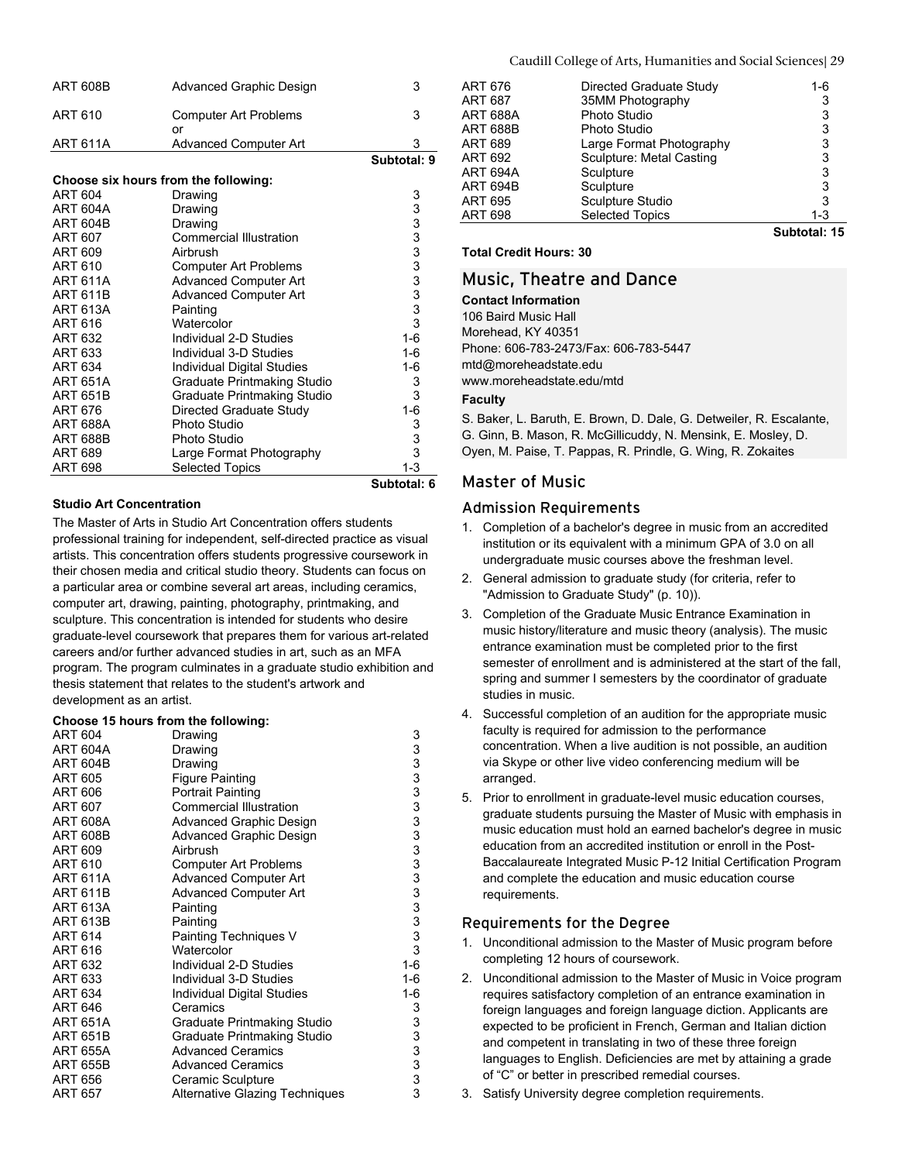| <b>ART 608B</b> | Advanced Graphic Design              | 3                                                 |
|-----------------|--------------------------------------|---------------------------------------------------|
| ART 610         | <b>Computer Art Problems</b>         | 3                                                 |
|                 | or                                   |                                                   |
| <b>ART 611A</b> | <b>Advanced Computer Art</b>         | 3                                                 |
|                 |                                      | Subtotal: 9                                       |
|                 | Choose six hours from the following: |                                                   |
| ART 604         | Drawing                              | 3                                                 |
| <b>ART 604A</b> | Drawing                              | 3                                                 |
| <b>ART 604B</b> | Drawing                              |                                                   |
| <b>ART 607</b>  | <b>Commercial Illustration</b>       | $\begin{array}{c}\n3 \\ 3 \\ 3 \\ 3\n\end{array}$ |
| <b>ART 609</b>  | Airbrush                             |                                                   |
| ART 610         | <b>Computer Art Problems</b>         |                                                   |
| <b>ART 611A</b> | <b>Advanced Computer Art</b>         |                                                   |
| <b>ART 611B</b> | <b>Advanced Computer Art</b>         | $\begin{array}{c} 3 \\ 3 \end{array}$             |
| <b>ART 613A</b> | Painting                             |                                                   |
| ART 616         | Watercolor                           |                                                   |
| <b>ART 632</b>  | Individual 2-D Studies               | 1-6                                               |

ART 633 Individual 3-D Studies 1-6 ART 634 Individual Digital Studies 1-6 ART 651A Graduate Printmaking Studio 3 ART 651B Graduate Printmaking Studio 3 ART 676 Directed Graduate Study 1-6 ART 688A Photo Studio 3 ART 688B Photo Studio 3

## ART 689 Large Format Photography 3 ART 698 Selected Topics 1-3

#### **Studio Art Concentration**

The Master of Arts in Studio Art Concentration offers students professional training for independent, self-directed practice as visual artists. This concentration offers students progressive coursework in their chosen media and critical studio theory. Students can focus on a particular area or combine several art areas, including ceramics, computer art, drawing, painting, photography, printmaking, and sculpture. This concentration is intended for students who desire graduate-level coursework that prepares them for various art-related careers and/or further advanced studies in art, such as an MFA program. The program culminates in a graduate studio exhibition and thesis statement that relates to the student's artwork and development as an artist.

#### **Choose 15 hours from the following:**

| <b>ART 604</b>  | Drawing                               | 3                                               |
|-----------------|---------------------------------------|-------------------------------------------------|
| <b>ART 604A</b> | Drawing                               | 3                                               |
| <b>ART 604B</b> | Drawing                               | 3                                               |
| <b>ART 605</b>  | <b>Figure Painting</b>                | 3                                               |
| ART 606         | <b>Portrait Painting</b>              | 3                                               |
| ART 607         | <b>Commercial Illustration</b>        | 3                                               |
| <b>ART 608A</b> | Advanced Graphic Design               |                                                 |
| <b>ART 608B</b> | Advanced Graphic Design               |                                                 |
| <b>ART 609</b>  | Airbrush                              | $\begin{array}{c} 3 \\ 3 \\ 3 \\ 3 \end{array}$ |
| ART 610         | <b>Computer Art Problems</b>          |                                                 |
| <b>ART 611A</b> | <b>Advanced Computer Art</b>          | 3                                               |
| <b>ART 611B</b> | <b>Advanced Computer Art</b>          | 3                                               |
| <b>ART 613A</b> | Painting                              | $\frac{3}{3}$                                   |
| <b>ART 613B</b> | Painting                              |                                                 |
| <b>ART 614</b>  | Painting Techniques V                 | 3                                               |
| ART 616         | Watercolor                            | 3                                               |
| ART 632         | Individual 2-D Studies                | $1 - 6$                                         |
| ART 633         | Individual 3-D Studies                | 1-6                                             |
| ART 634         | Individual Digital Studies            | 1-6                                             |
| <b>ART 646</b>  | Ceramics                              | 3                                               |
| <b>ART 651A</b> | Graduate Printmaking Studio           | 3                                               |
| <b>ART 651B</b> | Graduate Printmaking Studio           | 3                                               |
| <b>ART 655A</b> | <b>Advanced Ceramics</b>              | 3                                               |
| <b>ART 655B</b> | <b>Advanced Ceramics</b>              | $\frac{3}{3}$                                   |
| <b>ART 656</b>  | Ceramic Sculpture                     |                                                 |
| <b>ART 657</b>  | <b>Alternative Glazing Techniques</b> | 3                                               |

Caudill College of Arts, Humanities and Social Sciences| 29

| ART 676         | Directed Graduate Study         | 1-6 |
|-----------------|---------------------------------|-----|
| <b>ART 687</b>  | 35MM Photography                | 3   |
| <b>ART 688A</b> | Photo Studio                    | 3   |
| <b>ART 688B</b> | Photo Studio                    | 3   |
| <b>ART 689</b>  | Large Format Photography        | 3   |
| ART 692         | <b>Sculpture: Metal Casting</b> | 3   |
| <b>ART 694A</b> | Sculpture                       | 3   |
| <b>ART 694B</b> | Sculpture                       | 3   |
| <b>ART 695</b>  | Sculpture Studio                | 3   |
| <b>ART 698</b>  | <b>Selected Topics</b>          | 1-3 |

**Subtotal: 15** 

#### **Total Credit Hours: 30**

## Music, Theatre and Dance

**Contact Information** 

106 Baird Music Hall Morehead, KY 40351 Phone: 606-783-2473/Fax: 606-783-5447 mtd@moreheadstate.edu www.moreheadstate.edu/mtd

#### **Faculty**

**Subtotal: 6** 

S. Baker, L. Baruth, E. Brown, D. Dale, G. Detweiler, R. Escalante, G. Ginn, B. Mason, R. McGillicuddy, N. Mensink, E. Mosley, D. Oyen, M. Paise, T. Pappas, R. Prindle, G. Wing, R. Zokaites

## Master of Music

#### Admission Requirements

- 1. Completion of a bachelor's degree in music from an accredited institution or its equivalent with a minimum GPA of 3.0 on all undergraduate music courses above the freshman level.
- 2. General admission to graduate study (for criteria, refer to "Admission to Graduate Study" (p. 10)).
- 3. Completion of the Graduate Music Entrance Examination in music history/literature and music theory (analysis). The music entrance examination must be completed prior to the first semester of enrollment and is administered at the start of the fall, spring and summer I semesters by the coordinator of graduate studies in music.
- 4. Successful completion of an audition for the appropriate music faculty is required for admission to the performance concentration. When a live audition is not possible, an audition via Skype or other live video conferencing medium will be arranged.
- 5. Prior to enrollment in graduate-level music education courses, graduate students pursuing the Master of Music with emphasis in music education must hold an earned bachelor's degree in music education from an accredited institution or enroll in the Post-Baccalaureate Integrated Music P-12 Initial Certification Program and complete the education and music education course requirements.

#### Requirements for the Degree

- 1. Unconditional admission to the Master of Music program before completing 12 hours of coursework.
- 2. Unconditional admission to the Master of Music in Voice program requires satisfactory completion of an entrance examination in foreign languages and foreign language diction. Applicants are expected to be proficient in French, German and Italian diction and competent in translating in two of these three foreign languages to English. Deficiencies are met by attaining a grade of "C" or better in prescribed remedial courses.
- 3. Satisfy University degree completion requirements.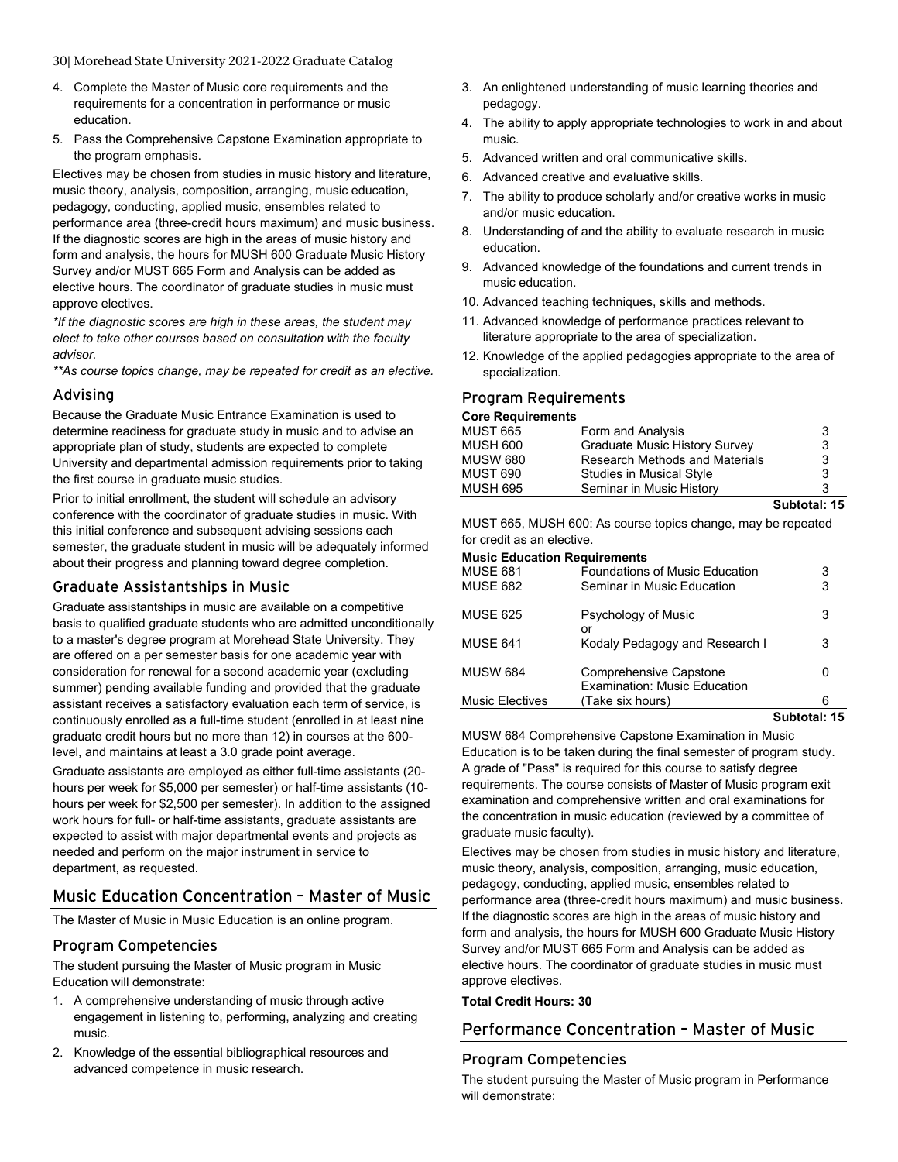#### 30| Morehead State University 2021-2022 Graduate Catalog

- 4. Complete the Master of Music core requirements and the requirements for a concentration in performance or music education.
- 5. Pass the Comprehensive Capstone Examination appropriate to the program emphasis.

Electives may be chosen from studies in music history and literature, music theory, analysis, composition, arranging, music education, pedagogy, conducting, applied music, ensembles related to performance area (three-credit hours maximum) and music business. If the diagnostic scores are high in the areas of music history and form and analysis, the hours for MUSH 600 Graduate Music History Survey and/or MUST 665 Form and Analysis can be added as elective hours. The coordinator of graduate studies in music must approve electives.

*\*If the diagnostic scores are high in these areas, the student may elect to take other courses based on consultation with the faculty advisor.*

*\*\*As course topics change, may be repeated for credit as an elective.*

## Advising

Because the Graduate Music Entrance Examination is used to determine readiness for graduate study in music and to advise an appropriate plan of study, students are expected to complete University and departmental admission requirements prior to taking the first course in graduate music studies.

Prior to initial enrollment, the student will schedule an advisory conference with the coordinator of graduate studies in music. With this initial conference and subsequent advising sessions each semester, the graduate student in music will be adequately informed about their progress and planning toward degree completion.

## Graduate Assistantships in Music

Graduate assistantships in music are available on a competitive basis to qualified graduate students who are admitted unconditionally to a master's degree program at Morehead State University. They are offered on a per semester basis for one academic year with consideration for renewal for a second academic year (excluding summer) pending available funding and provided that the graduate assistant receives a satisfactory evaluation each term of service, is continuously enrolled as a full-time student (enrolled in at least nine graduate credit hours but no more than 12) in courses at the 600 level, and maintains at least a 3.0 grade point average.

Graduate assistants are employed as either full-time assistants (20 hours per week for \$5,000 per semester) or half-time assistants (10 hours per week for \$2,500 per semester). In addition to the assigned work hours for full- or half-time assistants, graduate assistants are expected to assist with major departmental events and projects as needed and perform on the major instrument in service to department, as requested.

## Music Education Concentration – Master of Music

The Master of Music in Music Education is an online program.

## Program Competencies

The student pursuing the Master of Music program in Music Education will demonstrate:

- 1. A comprehensive understanding of music through active engagement in listening to, performing, analyzing and creating music.
- 2. Knowledge of the essential bibliographical resources and advanced competence in music research.
- 3. An enlightened understanding of music learning theories and pedagogy.
- 4. The ability to apply appropriate technologies to work in and about music.
- 5. Advanced written and oral communicative skills.
- 6. Advanced creative and evaluative skills.
- 7. The ability to produce scholarly and/or creative works in music and/or music education.
- 8. Understanding of and the ability to evaluate research in music education.
- 9. Advanced knowledge of the foundations and current trends in music education.
- 10. Advanced teaching techniques, skills and methods.
- 11. Advanced knowledge of performance practices relevant to literature appropriate to the area of specialization.
- 12. Knowledge of the applied pedagogies appropriate to the area of specialization.

## Program Requirements

#### **Core Requirements**

|                 |                                      | Subtotal: 15 |
|-----------------|--------------------------------------|--------------|
| <b>MUSH 695</b> | Seminar in Music History             | 3            |
| <b>MUST 690</b> | Studies in Musical Style             | 3            |
| <b>MUSW 680</b> | Research Methods and Materials       | 3            |
| <b>MUSH 600</b> | <b>Graduate Music History Survey</b> | 3            |
| <b>MUST 665</b> | Form and Analysis                    | 3            |
|                 |                                      |              |

MUST 665, MUSH 600: As course topics change, may be repeated for credit as an elective.

| <b>Music Education Requirements</b> |                                                                     |        |
|-------------------------------------|---------------------------------------------------------------------|--------|
| <b>MUSE 681</b><br><b>MUSE 682</b>  | <b>Foundations of Music Education</b><br>Seminar in Music Education | 3<br>3 |
| <b>MUSE 625</b>                     | Psychology of Music                                                 | 3      |
| <b>MUSE 641</b>                     | or<br>Kodaly Pedagogy and Research I                                | 3      |
| <b>MUSW 684</b>                     | <b>Comprehensive Capstone</b>                                       |        |

#### Music Electives (Take six hours) 6 **Subtotal: 15**

MUSW 684 Comprehensive Capstone Examination in Music Education is to be taken during the final semester of program study. A grade of "Pass" is required for this course to satisfy degree requirements. The course consists of Master of Music program exit examination and comprehensive written and oral examinations for the concentration in music education (reviewed by a committee of graduate music faculty).

Examination: Music Education

Electives may be chosen from studies in music history and literature, music theory, analysis, composition, arranging, music education, pedagogy, conducting, applied music, ensembles related to performance area (three-credit hours maximum) and music business. If the diagnostic scores are high in the areas of music history and form and analysis, the hours for MUSH 600 Graduate Music History Survey and/or MUST 665 Form and Analysis can be added as elective hours. The coordinator of graduate studies in music must approve electives.

#### **Total Credit Hours: 30**

## Performance Concentration – Master of Music

## Program Competencies

The student pursuing the Master of Music program in Performance will demonstrate: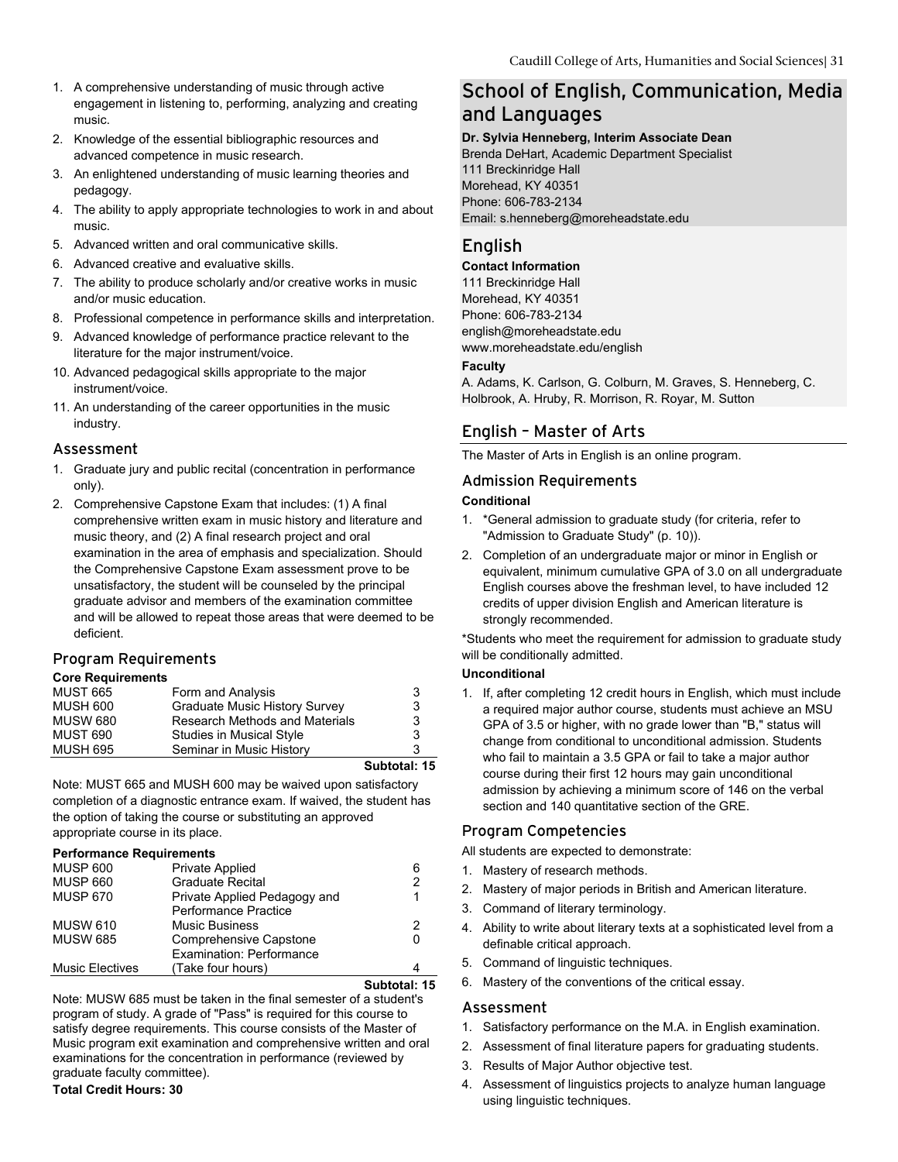- 1. A comprehensive understanding of music through active engagement in listening to, performing, analyzing and creating music.
- 2. Knowledge of the essential bibliographic resources and advanced competence in music research.
- 3. An enlightened understanding of music learning theories and pedagogy.
- 4. The ability to apply appropriate technologies to work in and about music.
- 5. Advanced written and oral communicative skills.
- 6. Advanced creative and evaluative skills.
- 7. The ability to produce scholarly and/or creative works in music and/or music education.
- 8. Professional competence in performance skills and interpretation.
- 9. Advanced knowledge of performance practice relevant to the literature for the major instrument/voice.
- 10. Advanced pedagogical skills appropriate to the major instrument/voice.
- 11. An understanding of the career opportunities in the music industry.

## Assessment

- 1. Graduate jury and public recital (concentration in performance only).
- 2. Comprehensive Capstone Exam that includes: (1) A final comprehensive written exam in music history and literature and music theory, and (2) A final research project and oral examination in the area of emphasis and specialization. Should the Comprehensive Capstone Exam assessment prove to be unsatisfactory, the student will be counseled by the principal graduate advisor and members of the examination committee and will be allowed to repeat those areas that were deemed to be deficient.

## Program Requirements

#### **Core Requirements**

| <b>MUST 665</b> | Form and Analysis                    | З |
|-----------------|--------------------------------------|---|
| <b>MUSH 600</b> | <b>Graduate Music History Survey</b> | 3 |
| <b>MUSW 680</b> | Research Methods and Materials       | 3 |
| <b>MUST 690</b> | Studies in Musical Style             | 3 |
| <b>MUSH 695</b> | Seminar in Music History             | 3 |

#### **Subtotal: 15**

Note: MUST 665 and MUSH 600 may be waived upon satisfactory completion of a diagnostic entrance exam. If waived, the student has the option of taking the course or substituting an approved appropriate course in its place.

#### **Performance Requirements**

| <b>MUSP 600</b>        | <b>Private Applied</b>          | 6 |
|------------------------|---------------------------------|---|
| <b>MUSP 660</b>        | <b>Graduate Recital</b>         | 2 |
| <b>MUSP 670</b>        | Private Applied Pedagogy and    |   |
|                        | <b>Performance Practice</b>     |   |
| <b>MUSW 610</b>        | <b>Music Business</b>           |   |
| <b>MUSW 685</b>        | <b>Comprehensive Capstone</b>   |   |
|                        | <b>Examination: Performance</b> |   |
| <b>Music Electives</b> | (Take four hours)               |   |
|                        |                                 |   |

#### **Subtotal: 15**

Note: MUSW 685 must be taken in the final semester of a student's program of study. A grade of "Pass" is required for this course to satisfy degree requirements. This course consists of the Master of Music program exit examination and comprehensive written and oral examinations for the concentration in performance (reviewed by graduate faculty committee).

#### **Total Credit Hours: 30**

## School of English, Communication, Media and Languages

## **Dr. Sylvia Henneberg, Interim Associate Dean**

Brenda DeHart, Academic Department Specialist 111 Breckinridge Hall Morehead, KY 40351 Phone: 606-783-2134 Email: s.henneberg@moreheadstate.edu

## English

#### **Contact Information**

111 Breckinridge Hall Morehead, KY 40351 Phone: 606-783-2134 english@moreheadstate.edu www.moreheadstate.edu/english

#### **Faculty**

A. Adams, K. Carlson, G. Colburn, M. Graves, S. Henneberg, C. Holbrook, A. Hruby, R. Morrison, R. Royar, M. Sutton

## English – Master of Arts

The Master of Arts in English is an online program.

#### Admission Requirements

#### **Conditional**

- 1. \*General admission to graduate study (for criteria, refer to "Admission to Graduate Study" (p. 10)).
- 2. Completion of an undergraduate major or minor in English or equivalent, minimum cumulative GPA of 3.0 on all undergraduate English courses above the freshman level, to have included 12 credits of upper division English and American literature is strongly recommended.

\*Students who meet the requirement for admission to graduate study will be conditionally admitted.

#### **Unconditional**

1. If, after completing 12 credit hours in English, which must include a required major author course, students must achieve an MSU GPA of 3.5 or higher, with no grade lower than "B," status will change from conditional to unconditional admission. Students who fail to maintain a 3.5 GPA or fail to take a major author course during their first 12 hours may gain unconditional admission by achieving a minimum score of 146 on the verbal section and 140 quantitative section of the GRE.

## Program Competencies

All students are expected to demonstrate:

- 1. Mastery of research methods.
- 2. Mastery of major periods in British and American literature.
- 3. Command of literary terminology.
- 4. Ability to write about literary texts at a sophisticated level from a definable critical approach.
- 5. Command of linguistic techniques.
- 6. Mastery of the conventions of the critical essay.

#### Assessment

- 1. Satisfactory performance on the M.A. in English examination.
- 2. Assessment of final literature papers for graduating students.
- 3. Results of Major Author objective test.
- 4. Assessment of linguistics projects to analyze human language using linguistic techniques.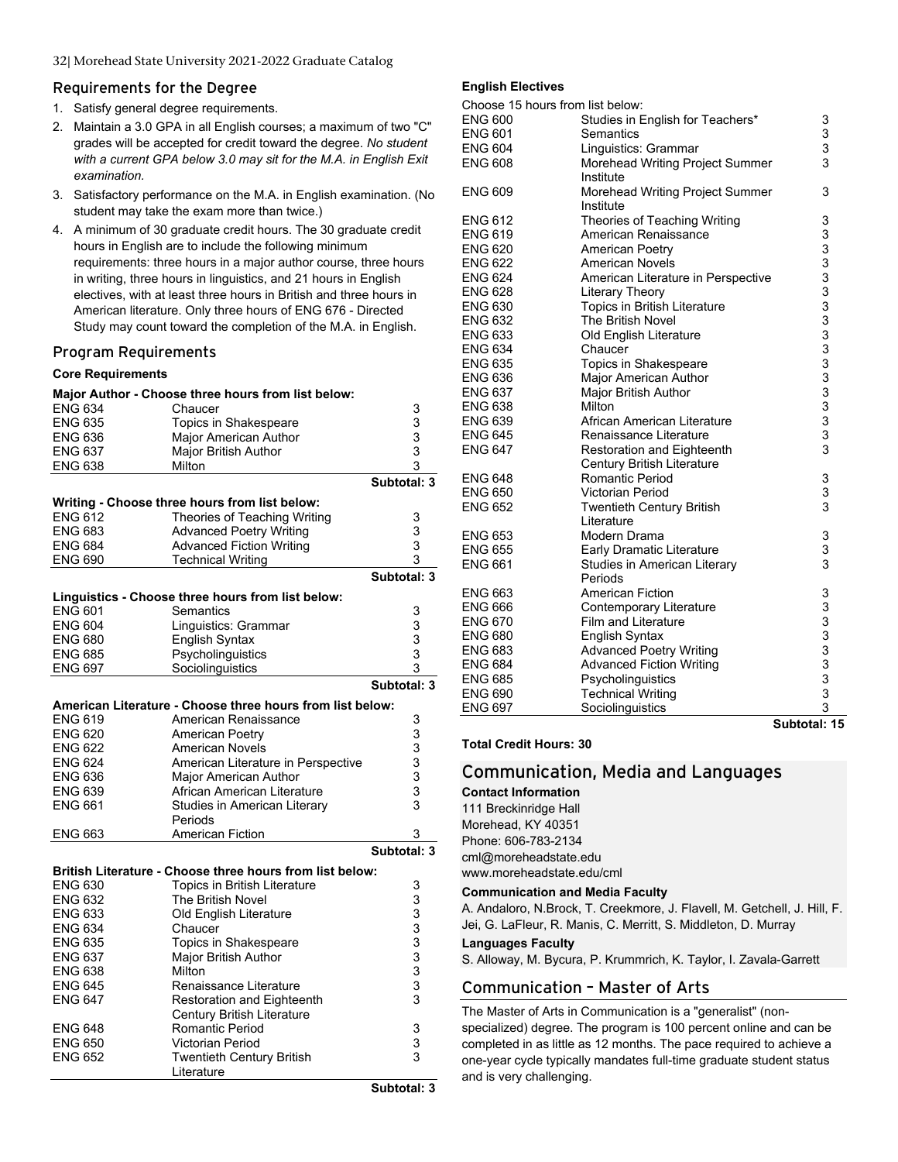## Requirements for the Degree

- 1. Satisfy general degree requirements.
- 2. Maintain a 3.0 GPA in all English courses; a maximum of two "C" grades will be accepted for credit toward the degree. *No student with a current GPA below 3.0 may sit for the M.A. in English Exit examination.*
- 3. Satisfactory performance on the M.A. in English examination. (No student may take the exam more than twice.)
- 4. A minimum of 30 graduate credit hours. The 30 graduate credit hours in English are to include the following minimum requirements: three hours in a major author course, three hours in writing, three hours in linguistics, and 21 hours in English electives, with at least three hours in British and three hours in American literature. Only three hours of ENG 676 - Directed Study may count toward the completion of the M.A. in English.

## Program Requirements

#### **Core Requirements**

| Major Author - Choose three hours from list below: |                                                           |                                            |
|----------------------------------------------------|-----------------------------------------------------------|--------------------------------------------|
| <b>ENG 634</b>                                     | Chaucer                                                   | 3                                          |
| <b>ENG 635</b>                                     | Topics in Shakespeare                                     | 3                                          |
| <b>ENG 636</b>                                     | Major American Author                                     | 3<br>3                                     |
| <b>ENG 637</b>                                     | Major British Author                                      |                                            |
| <b>ENG 638</b>                                     | Milton                                                    | 3                                          |
|                                                    |                                                           | Subtotal: 3                                |
|                                                    | Writing - Choose three hours from list below:             |                                            |
| <b>ENG 612</b>                                     | Theories of Teaching Writing                              | 3                                          |
| <b>ENG 683</b>                                     | <b>Advanced Poetry Writing</b>                            |                                            |
| <b>ENG 684</b>                                     | <b>Advanced Fiction Writing</b>                           | 3<br>3                                     |
| <b>ENG 690</b>                                     | <b>Technical Writing</b>                                  | 3                                          |
|                                                    |                                                           | Subtotal: 3                                |
|                                                    | Linguistics - Choose three hours from list below:         |                                            |
| <b>ENG 601</b>                                     | Semantics                                                 | 3                                          |
| <b>ENG 604</b>                                     | Linguistics: Grammar                                      | 3                                          |
| <b>ENG 680</b>                                     | <b>English Syntax</b>                                     |                                            |
| <b>ENG 685</b>                                     | Psycholinguistics                                         | $\frac{3}{3}$                              |
| <b>ENG 697</b>                                     | Sociolinguistics                                          | 3                                          |
|                                                    |                                                           | Subtotal: 3                                |
|                                                    | American Literature - Choose three hours from list below: |                                            |
| <b>ENG 619</b>                                     | American Renaissance                                      | 3                                          |
| <b>ENG 620</b>                                     | <b>American Poetry</b>                                    | 3                                          |
| <b>ENG 622</b>                                     | <b>American Novels</b>                                    |                                            |
| <b>ENG 624</b>                                     | American Literature in Perspective                        | $\begin{array}{c} 3 \\ 3 \\ 3 \end{array}$ |
| <b>ENG 636</b>                                     | <b>Major American Author</b>                              |                                            |
| <b>ENG 639</b>                                     | African American Literature                               |                                            |
| <b>ENG 661</b>                                     | Studies in American Literary                              | 3                                          |
|                                                    | Periods                                                   |                                            |
| <b>ENG 663</b>                                     | <b>American Fiction</b>                                   | 3                                          |
|                                                    |                                                           | Subtotal: 3                                |
|                                                    | British Literature - Choose three hours from list below:  |                                            |
| <b>ENG 630</b>                                     | Topics in British Literature                              | 3                                          |
| <b>ENG 632</b>                                     | <b>The British Novel</b>                                  | 3                                          |
| <b>ENG 633</b>                                     | Old English Literature                                    |                                            |
| <b>ENG 634</b>                                     | Chaucer                                                   |                                            |
| <b>ENG 635</b>                                     | Topics in Shakespeare                                     | 333333                                     |
| ENG 637                                            | Major British Author                                      |                                            |
| <b>ENG 638</b>                                     | Milton                                                    |                                            |
| <b>ENG 645</b>                                     | Renaissance Literature                                    |                                            |
| <b>ENG 647</b>                                     | Restoration and Eighteenth                                | 3                                          |
|                                                    | Century British Literature                                |                                            |
| <b>ENG 648</b>                                     | <b>Romantic Period</b>                                    | 3                                          |
| <b>ENG 650</b>                                     | Victorian Period                                          | 3                                          |
| <b>ENG 652</b>                                     | Twentieth Century British                                 | 3                                          |
|                                                    | Literature                                                |                                            |

#### **English Electives**

| Choose 15 hours from list below: |                                    |                                                   |
|----------------------------------|------------------------------------|---------------------------------------------------|
| <b>ENG 600</b>                   | Studies in English for Teachers*   | 3                                                 |
| <b>ENG 601</b>                   | Semantics                          | 3                                                 |
| <b>ENG 604</b>                   | Linguistics: Grammar               | 3                                                 |
| <b>ENG 608</b>                   | Morehead Writing Project Summer    | 3                                                 |
|                                  | Institute                          |                                                   |
| <b>ENG 609</b>                   | Morehead Writing Project Summer    | 3                                                 |
|                                  | Institute                          |                                                   |
| <b>ENG 612</b>                   | Theories of Teaching Writing       | 3                                                 |
| <b>ENG 619</b>                   | American Renaissance               | 3                                                 |
| <b>ENG 620</b>                   | American Poetry                    |                                                   |
| <b>ENG 622</b>                   | <b>American Novels</b>             | $\begin{array}{c} 3 \\ 3 \end{array}$             |
| <b>ENG 624</b>                   | American Literature in Perspective |                                                   |
| <b>ENG 628</b>                   | Literary Theory                    | $\overline{3}$                                    |
| <b>ENG 630</b>                   | Topics in British Literature       | 3                                                 |
| <b>ENG 632</b>                   | The British Novel                  |                                                   |
| <b>ENG 633</b>                   | Old English Literature             |                                                   |
| <b>ENG 634</b>                   | Chaucer                            | $\begin{array}{c} 3 \\ 3 \\ 3 \end{array}$        |
| <b>ENG 635</b>                   | Topics in Shakespeare              |                                                   |
| <b>ENG 636</b>                   | Major American Author              |                                                   |
| <b>ENG 637</b>                   | Major British Author               |                                                   |
| <b>ENG 638</b>                   | Milton                             | $\begin{array}{c}\n3 \\ 3 \\ 3 \\ 3\n\end{array}$ |
| <b>ENG 639</b>                   | African American Literature        |                                                   |
| <b>ENG 645</b>                   | Renaissance Literature             | 3                                                 |
| <b>ENG 647</b>                   | Restoration and Eighteenth         | 3                                                 |
|                                  | Century British Literature         |                                                   |
| <b>ENG 648</b>                   | <b>Romantic Period</b>             | 3                                                 |
| <b>ENG 650</b>                   | <b>Victorian Period</b>            | 3                                                 |
| <b>ENG 652</b>                   | <b>Twentieth Century British</b>   | 3                                                 |
|                                  | Literature                         |                                                   |
| <b>ENG 653</b>                   | Modern Drama                       | 3                                                 |
| <b>ENG 655</b>                   | Early Dramatic Literature          | 3                                                 |
| <b>ENG 661</b>                   | Studies in American Literary       | 3                                                 |
|                                  | Periods                            |                                                   |
| <b>ENG 663</b>                   | <b>American Fiction</b>            | 3                                                 |
| <b>ENG 666</b>                   | Contemporary Literature            | 3                                                 |
| <b>ENG 670</b>                   | Film and Literature                | $\overline{3}$                                    |
| <b>ENG 680</b>                   | <b>English Syntax</b>              | $\overline{3}$                                    |
| <b>ENG 683</b>                   | <b>Advanced Poetry Writing</b>     |                                                   |
| <b>ENG 684</b>                   | <b>Advanced Fiction Writing</b>    |                                                   |
| <b>ENG 685</b>                   | Psycholinguistics                  | $\begin{array}{c} 3 \\ 3 \\ 3 \end{array}$        |
| <b>ENG 690</b>                   | <b>Technical Writing</b>           |                                                   |
| <b>ENG 697</b>                   | Sociolinguistics                   | 3                                                 |
|                                  |                                    | Subtotal: 15                                      |

#### **Total Credit Hours: 30**

## Communication, Media and Languages

**Contact Information** 111 Breckinridge Hall Morehead, KY 40351 Phone: 606-783-2134 cml@moreheadstate.edu www.moreheadstate.edu/cml

#### **Communication and Media Faculty**

A. Andaloro, N.Brock, T. Creekmore, J. Flavell, M. Getchell, J. Hill, F. Jei, G. LaFleur, R. Manis, C. Merritt, S. Middleton, D. Murray

#### **Languages Faculty**

S. Alloway, M. Bycura, P. Krummrich, K. Taylor, I. Zavala-Garrett

## Communication – Master of Arts

The Master of Arts in Communication is a "generalist" (nonspecialized) degree. The program is 100 percent online and can be completed in as little as 12 months. The pace required to achieve a one-year cycle typically mandates full-time graduate student status and is very challenging.

**Subtotal: 3**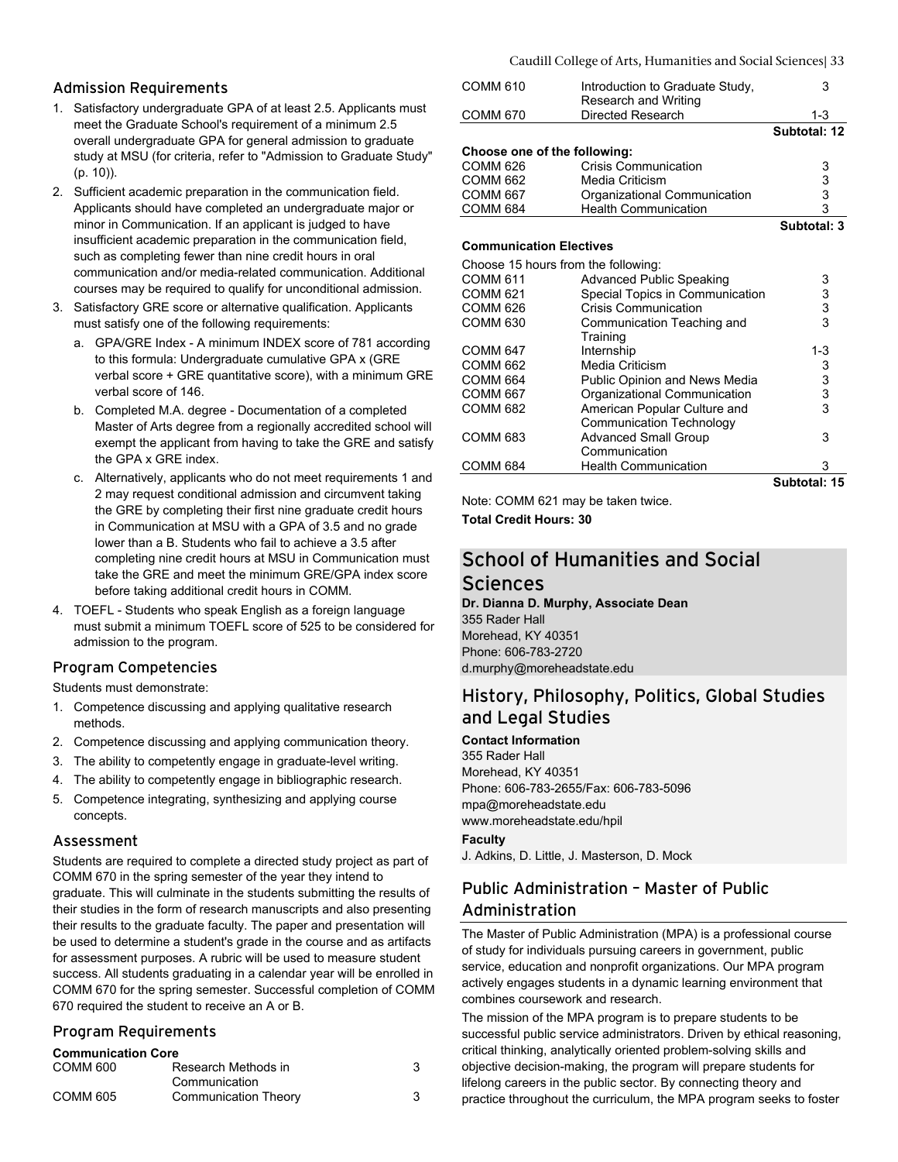## Admission Requirements

- 1. Satisfactory undergraduate GPA of at least 2.5. Applicants must meet the Graduate School's requirement of a minimum 2.5 overall undergraduate GPA for general admission to graduate study at MSU (for criteria, refer to "Admission to Graduate Study" (p. 10)).
- 2. Sufficient academic preparation in the communication field. Applicants should have completed an undergraduate major or minor in Communication. If an applicant is judged to have insufficient academic preparation in the communication field, such as completing fewer than nine credit hours in oral communication and/or media-related communication. Additional courses may be required to qualify for unconditional admission.
- 3. Satisfactory GRE score or alternative qualification. Applicants must satisfy one of the following requirements:
	- a. GPA/GRE Index A minimum INDEX score of 781 according to this formula: Undergraduate cumulative GPA x (GRE verbal score + GRE quantitative score), with a minimum GRE verbal score of 146.
	- b. Completed M.A. degree Documentation of a completed Master of Arts degree from a regionally accredited school will exempt the applicant from having to take the GRE and satisfy the GPA x GRE index.
	- c. Alternatively, applicants who do not meet requirements 1 and 2 may request conditional admission and circumvent taking the GRE by completing their first nine graduate credit hours in Communication at MSU with a GPA of 3.5 and no grade lower than a B. Students who fail to achieve a 3.5 after completing nine credit hours at MSU in Communication must take the GRE and meet the minimum GRE/GPA index score before taking additional credit hours in COMM.
- 4. TOEFL Students who speak English as a foreign language must submit a minimum TOEFL score of 525 to be considered for admission to the program.

## Program Competencies

Students must demonstrate:

- 1. Competence discussing and applying qualitative research methods.
- 2. Competence discussing and applying communication theory.
- 3. The ability to competently engage in graduate-level writing.
- 4. The ability to competently engage in bibliographic research.
- 5. Competence integrating, synthesizing and applying course concepts.

#### Assessment

Students are required to complete a directed study project as part of COMM 670 in the spring semester of the year they intend to graduate. This will culminate in the students submitting the results of their studies in the form of research manuscripts and also presenting their results to the graduate faculty. The paper and presentation will be used to determine a student's grade in the course and as artifacts for assessment purposes. A rubric will be used to measure student success. All students graduating in a calendar year will be enrolled in COMM 670 for the spring semester. Successful completion of COMM 670 required the student to receive an A or B.

#### Program Requirements

| <b>Communication Core</b> |                      |  |
|---------------------------|----------------------|--|
| COMM 600                  | Research Methods in  |  |
|                           | Communication        |  |
| COMM 605                  | Communication Theory |  |

Note: COMM 621 may be taken twice.

**Total Credit Hours: 30** 

## School of Humanities and Social Sciences

**Dr. Dianna D. Murphy, Associate Dean** 355 Rader Hall Morehead, KY 40351 Phone: 606-783-2720 d.murphy@moreheadstate.edu

## History, Philosophy, Politics, Global Studies and Legal Studies

**Contact Information** 355 Rader Hall Morehead, KY 40351 Phone: 606-783-2655/Fax: 606-783-5096 mpa@moreheadstate.edu www.moreheadstate.edu/hpil **Faculty** 

J. Adkins, D. Little, J. Masterson, D. Mock

## Public Administration – Master of Public Administration

The Master of Public Administration (MPA) is a professional course of study for individuals pursuing careers in government, public service, education and nonprofit organizations. Our MPA program actively engages students in a dynamic learning environment that combines coursework and research.

The mission of the MPA program is to prepare students to be successful public service administrators. Driven by ethical reasoning, critical thinking, analytically oriented problem-solving skills and objective decision-making, the program will prepare students for lifelong careers in the public sector. By connecting theory and practice throughout the curriculum, the MPA program seeks to foster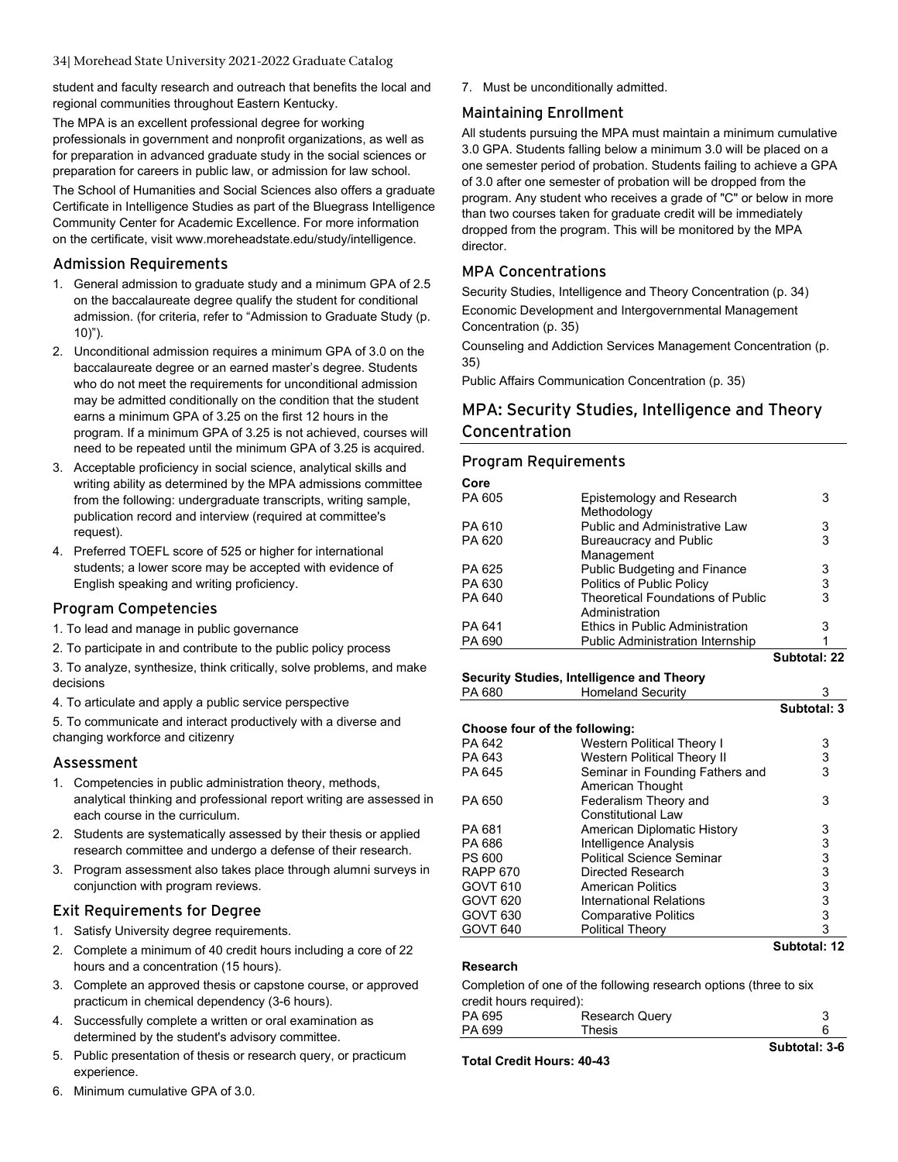student and faculty research and outreach that benefits the local and regional communities throughout Eastern Kentucky.

The MPA is an excellent professional degree for working professionals in government and nonprofit organizations, as well as for preparation in advanced graduate study in the social sciences or preparation for careers in public law, or admission for law school.

The School of Humanities and Social Sciences also offers a graduate Certificate in Intelligence Studies as part of the Bluegrass Intelligence Community Center for Academic Excellence. For more information on the certificate, visit www.moreheadstate.edu/study/intelligence.

#### Admission Requirements

- 1. General admission to graduate study and a minimum GPA of 2.5 on the baccalaureate degree qualify the student for conditional admission. (for criteria, refer to "Admission to Graduate Study (p. 10)").
- 2. Unconditional admission requires a minimum GPA of 3.0 on the baccalaureate degree or an earned master's degree. Students who do not meet the requirements for unconditional admission may be admitted conditionally on the condition that the student earns a minimum GPA of 3.25 on the first 12 hours in the program. If a minimum GPA of 3.25 is not achieved, courses will need to be repeated until the minimum GPA of 3.25 is acquired.
- 3. Acceptable proficiency in social science, analytical skills and writing ability as determined by the MPA admissions committee from the following: undergraduate transcripts, writing sample, publication record and interview (required at committee's request).
- 4. Preferred TOEFL score of 525 or higher for international students; a lower score may be accepted with evidence of English speaking and writing proficiency.

## Program Competencies

1. To lead and manage in public governance

2. To participate in and contribute to the public policy process

3. To analyze, synthesize, think critically, solve problems, and make decisions

4. To articulate and apply a public service perspective

5. To communicate and interact productively with a diverse and changing workforce and citizenry

## Assessment

- 1. Competencies in public administration theory, methods, analytical thinking and professional report writing are assessed in each course in the curriculum.
- 2. Students are systematically assessed by their thesis or applied research committee and undergo a defense of their research.
- 3. Program assessment also takes place through alumni surveys in conjunction with program reviews.

## Exit Requirements for Degree

- 1. Satisfy University degree requirements.
- 2. Complete a minimum of 40 credit hours including a core of 22 hours and a concentration (15 hours).
- 3. Complete an approved thesis or capstone course, or approved practicum in chemical dependency (3-6 hours).
- 4. Successfully complete a written or oral examination as determined by the student's advisory committee.
- 5. Public presentation of thesis or research query, or practicum experience.
- 6. Minimum cumulative GPA of 3.0.

#### 7. Must be unconditionally admitted.

## Maintaining Enrollment

All students pursuing the MPA must maintain a minimum cumulative 3.0 GPA. Students falling below a minimum 3.0 will be placed on a one semester period of probation. Students failing to achieve a GPA of 3.0 after one semester of probation will be dropped from the program. Any student who receives a grade of "C" or below in more than two courses taken for graduate credit will be immediately dropped from the program. This will be monitored by the MPA director.

## MPA Concentrations

Security Studies, Intelligence and Theory Concentration (p. 34) Economic Development and Intergovernmental Management Concentration (p. 35)

Counseling and Addiction Services Management Concentration (p. 35)

Public Affairs Communication Concentration (p. 35)

## MPA: Security Studies, Intelligence and Theory Concentration

#### Program Requirements

| Core   |                                          |              |
|--------|------------------------------------------|--------------|
| PA 605 | Epistemology and Research                | 3            |
|        | Methodology                              |              |
| PA 610 | <b>Public and Administrative Law</b>     | 3            |
| PA 620 | <b>Bureaucracy and Public</b>            | 3            |
|        | Management                               |              |
| PA 625 | <b>Public Budgeting and Finance</b>      | 3            |
| PA 630 | Politics of Public Policy                | 3            |
| PA 640 | <b>Theoretical Foundations of Public</b> | 3            |
|        | Administration                           |              |
| PA 641 | Ethics in Public Administration          |              |
| PA 690 | <b>Public Administration Internship</b>  |              |
|        |                                          | Subtotal: 22 |

#### **Security Studies, Intelligence and Theory**  PA 680 Homeland Security 3

|                                      |                                    | Subtotal: 3   |
|--------------------------------------|------------------------------------|---------------|
| <b>Choose four of the following:</b> |                                    |               |
| PA 642                               | Western Political Theory I         | 3             |
| PA 643                               | <b>Western Political Theory II</b> | 3             |
| PA 645                               | Seminar in Founding Fathers and    | 3             |
|                                      | American Thought                   |               |
| PA 650                               | Federalism Theory and              | 3             |
|                                      | <b>Constitutional Law</b>          |               |
| PA 681                               | American Diplomatic History        | 3             |
| PA 686                               | Intelligence Analysis              | 3             |
| PS 600                               | <b>Political Science Seminar</b>   | 3             |
| RAPP 670                             | Directed Research                  | $\frac{3}{3}$ |
| GOVT 610                             | <b>American Politics</b>           |               |
| GOVT 620                             | International Relations            | 3             |
| GOVT 630                             | <b>Comparative Politics</b>        | 3             |
| GOVT 640                             | <b>Political Theory</b>            | 3             |
|                                      |                                    | Subtotal: 12  |

#### **Research**

Completion of one of the following research options (three to six credit hours required):

|        |                       | Subtotal: 3 |
|--------|-----------------------|-------------|
| PA 699 | Thesis                |             |
| PA 695 | <b>Research Query</b> |             |

#### **Total Credit Hours: 40-43**

 $3 - 6$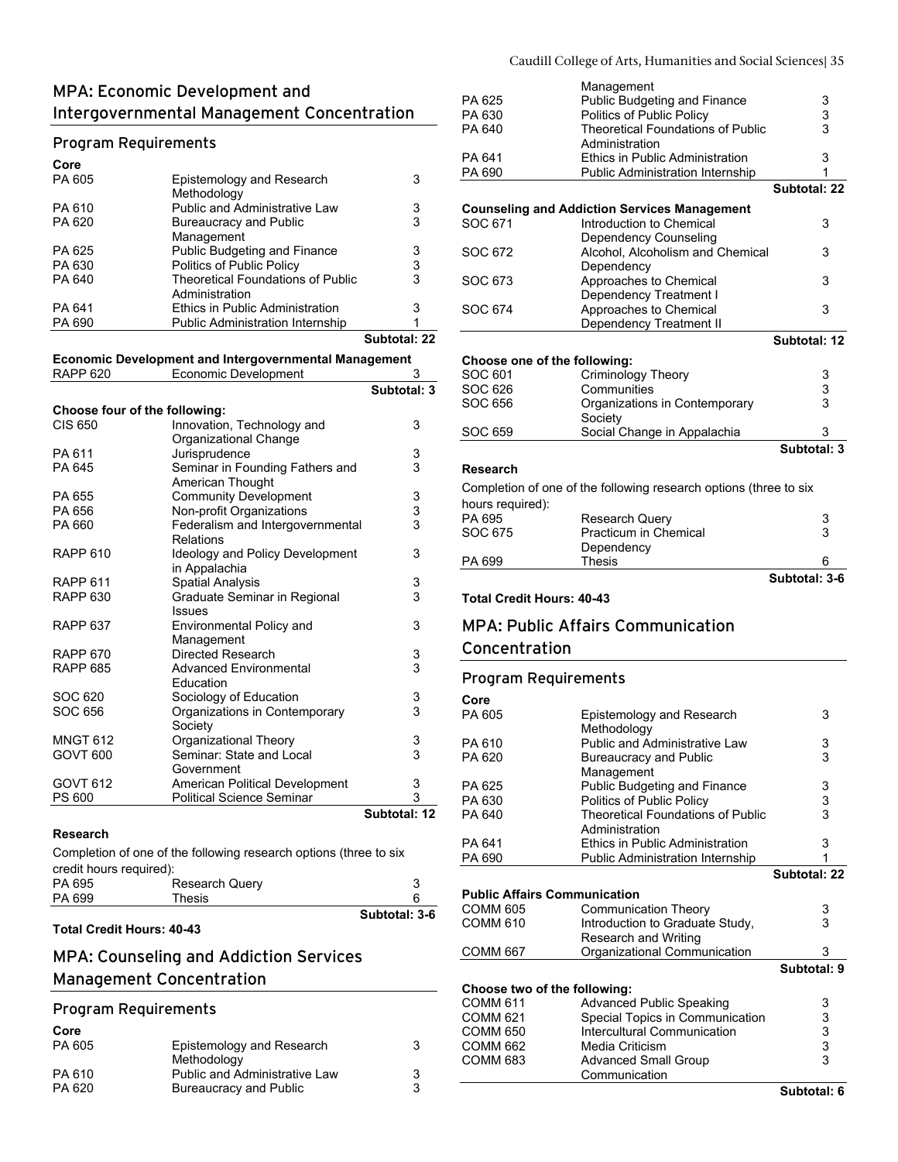#### Caudill College of Arts, Humanities and Social Sciences| 35

## MPA: Economic Development and Intergovernmental Management Concentration

#### Program Requirements

| Core   |                                          |   |
|--------|------------------------------------------|---|
| PA 605 | Epistemology and Research                | 3 |
|        | Methodology                              |   |
| PA 610 | <b>Public and Administrative Law</b>     | 3 |
| PA 620 | <b>Bureaucracy and Public</b>            | 3 |
|        | Management                               |   |
| PA 625 | <b>Public Budgeting and Finance</b>      | 3 |
| PA 630 | Politics of Public Policy                | 3 |
| PA 640 | <b>Theoretical Foundations of Public</b> | 3 |
|        | Administration                           |   |
| PA 641 | Ethics in Public Administration          |   |
| PA 690 | <b>Public Administration Internship</b>  |   |

## **Subtotal: 22**

#### **Economic Development and Intergovernmental Management<br>RAPP 620 Fconomic Development 3** Fconomic Development

|                               | Louiturino Development                                            |               |
|-------------------------------|-------------------------------------------------------------------|---------------|
|                               |                                                                   | Subtotal: 3   |
| Choose four of the following: |                                                                   |               |
| <b>CIS 650</b>                | Innovation, Technology and                                        | 3             |
|                               | Organizational Change                                             |               |
| PA 611                        | Jurisprudence                                                     | 3             |
| PA 645                        | Seminar in Founding Fathers and                                   | 3             |
|                               | American Thought                                                  |               |
| PA 655                        | <b>Community Development</b>                                      |               |
| PA 656                        | Non-profit Organizations                                          | $\frac{3}{3}$ |
| PA 660                        | Federalism and Intergovernmental                                  |               |
|                               | <b>Relations</b>                                                  |               |
| <b>RAPP 610</b>               | <b>Ideology and Policy Development</b>                            | 3             |
|                               | in Appalachia                                                     |               |
| <b>RAPP 611</b>               | <b>Spatial Analysis</b>                                           | 3             |
| <b>RAPP 630</b>               | Graduate Seminar in Regional                                      | 3             |
|                               | <b>Issues</b>                                                     |               |
| <b>RAPP 637</b>               | <b>Environmental Policy and</b>                                   | 3             |
|                               | Management                                                        |               |
| <b>RAPP 670</b>               | Directed Research                                                 | 3             |
| <b>RAPP 685</b>               | <b>Advanced Environmental</b>                                     | 3             |
|                               | Education                                                         |               |
| SOC 620                       | Sociology of Education                                            | 3             |
| SOC 656                       | Organizations in Contemporary                                     | 3             |
|                               | Society                                                           |               |
| <b>MNGT 612</b>               | Organizational Theory                                             | 3             |
| <b>GOVT 600</b>               | Seminar: State and Local                                          | 3             |
|                               | Government                                                        |               |
| <b>GOVT 612</b>               | American Political Development                                    | 3             |
| <b>PS 600</b>                 | <b>Political Science Seminar</b>                                  | 3             |
|                               |                                                                   | Subtotal: 12  |
| <b>Research</b>               |                                                                   |               |
|                               | Completion of one of the following research options (three to six |               |
|                               |                                                                   |               |

|                         |                       | Subtotal: 3-6 |
|-------------------------|-----------------------|---------------|
| PA 699                  | Thesis                |               |
| PA 695                  | <b>Research Query</b> |               |
| credit hours required): |                       |               |

## **Total Credit Hours: 40-43**

## MPA: Counseling and Addiction Services Management Concentration

## Program Requirements

| Core   |                                      |   |
|--------|--------------------------------------|---|
| PA 605 | Epistemology and Research            | З |
|        | Methodology                          |   |
| PA 610 | <b>Public and Administrative Law</b> | 3 |
| PA 620 | Bureaucracy and Public               | 3 |

|                                  | Management                                                        |               |
|----------------------------------|-------------------------------------------------------------------|---------------|
| PA 625                           | Public Budgeting and Finance                                      | 3             |
| PA 630                           | Politics of Public Policy                                         | 3             |
| PA 640                           | <b>Theoretical Foundations of Public</b>                          | 3             |
|                                  | Administration                                                    |               |
| PA 641                           | Ethics in Public Administration                                   | 3             |
| PA 690                           | <b>Public Administration Internship</b>                           | 1             |
|                                  |                                                                   | Subtotal: 22  |
|                                  | <b>Counseling and Addiction Services Management</b>               |               |
| SOC 671                          | Introduction to Chemical                                          | 3             |
|                                  | Dependency Counseling                                             |               |
| SOC 672                          | Alcohol, Alcoholism and Chemical                                  | 3             |
|                                  | Dependency                                                        |               |
| SOC 673                          | Approaches to Chemical                                            | 3             |
|                                  | Dependency Treatment I                                            |               |
| SOC 674                          | Approaches to Chemical                                            | 3             |
|                                  | Dependency Treatment II                                           |               |
|                                  |                                                                   | Subtotal: 12  |
|                                  |                                                                   |               |
| Choose one of the following:     |                                                                   |               |
| SOC 601<br>SOC 626               | Criminology Theory<br>Communities                                 | 3             |
|                                  |                                                                   | 3<br>3        |
| SOC 656                          | Organizations in Contemporary<br>Society                          |               |
| SOC 659                          | Social Change in Appalachia                                       | 3             |
|                                  |                                                                   | Subtotal: 3   |
|                                  |                                                                   |               |
| Research                         |                                                                   |               |
|                                  | Completion of one of the following research options (three to six |               |
| hours required):                 |                                                                   |               |
| PA 695                           | <b>Research Query</b>                                             | 3             |
| SOC 675                          | <b>Practicum in Chemical</b>                                      | 3             |
|                                  | Dependency                                                        |               |
| PA 699                           | <b>Thesis</b>                                                     | 6             |
|                                  |                                                                   | Subtotal: 3-6 |
|                                  |                                                                   |               |
| <b>Total Credit Hours: 40-43</b> |                                                                   |               |
|                                  | MDA: Dublic Affairs Communication                                 |               |

# MPA: Public Affairs Communication

## Concentration

## Program Requirements

| Core                                |                                          |              |
|-------------------------------------|------------------------------------------|--------------|
| PA 605                              | Epistemology and Research                | 3            |
|                                     | Methodology                              |              |
| PA 610                              | <b>Public and Administrative Law</b>     | 3            |
| PA 620                              | <b>Bureaucracy and Public</b>            | 3            |
|                                     | Management                               |              |
| PA 625                              | <b>Public Budgeting and Finance</b>      | 3            |
| PA 630                              | Politics of Public Policy                | 3            |
| PA 640                              | <b>Theoretical Foundations of Public</b> | 3            |
|                                     | Administration                           |              |
| PA 641                              | <b>Ethics in Public Administration</b>   | 3            |
| PA 690                              | <b>Public Administration Internship</b>  | 1            |
|                                     |                                          | Subtotal: 22 |
| <b>Public Affairs Communication</b> |                                          |              |
| <b>COMM 605</b>                     | <b>Communication Theory</b>              | 3            |
| <b>COMM 610</b>                     | Introduction to Graduate Study,          | 3            |
|                                     | Research and Writing                     |              |
| <b>COMM 667</b>                     | Organizational Communication             | 3            |
|                                     |                                          | Subtotal: 9  |
| Choose two of the following:        |                                          |              |
| <b>COMM 611</b>                     | <b>Advanced Public Speaking</b>          |              |
| <b>COMM 621</b>                     | Special Topics in Communication          |              |
| <b>COMM 650</b>                     | Intercultural Communication              | 3333         |
| <b>COMM 662</b>                     | Media Criticism                          |              |
| <b>COMM 683</b>                     | <b>Advanced Small Group</b>              | 3            |
|                                     | Communication                            |              |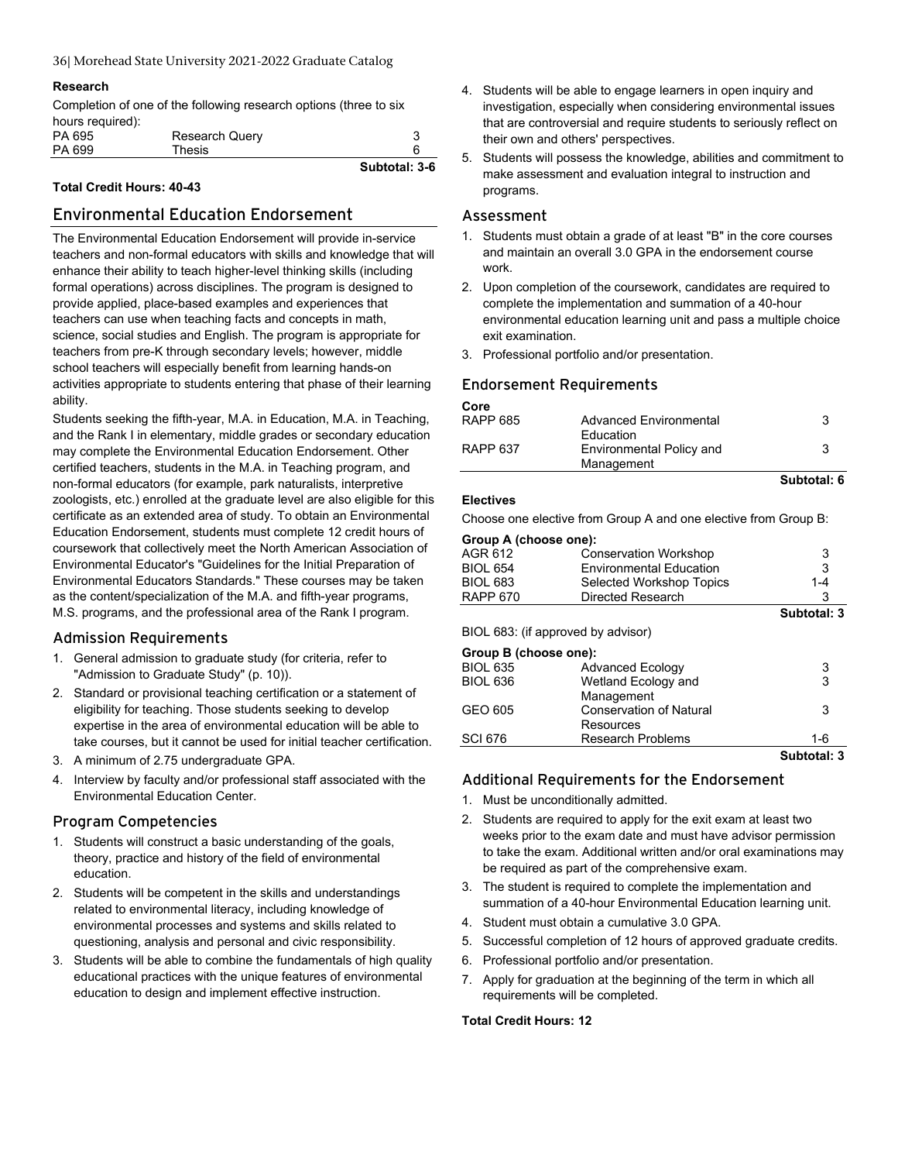#### **Research**

Completion of one of the following research options (three to six hours required):

|        |                       | Subtotal: 3-6 |
|--------|-----------------------|---------------|
| PA 699 | Thesis                |               |
| PA 695 | <b>Research Query</b> |               |
|        |                       |               |

#### **Total Credit Hours: 40-43**

## Environmental Education Endorsement

The Environmental Education Endorsement will provide in-service teachers and non-formal educators with skills and knowledge that will enhance their ability to teach higher-level thinking skills (including formal operations) across disciplines. The program is designed to provide applied, place-based examples and experiences that teachers can use when teaching facts and concepts in math, science, social studies and English. The program is appropriate for teachers from pre-K through secondary levels; however, middle school teachers will especially benefit from learning hands-on activities appropriate to students entering that phase of their learning ability.

Students seeking the fifth-year, M.A. in Education, M.A. in Teaching, and the Rank I in elementary, middle grades or secondary education may complete the Environmental Education Endorsement. Other certified teachers, students in the M.A. in Teaching program, and non-formal educators (for example, park naturalists, interpretive zoologists, etc.) enrolled at the graduate level are also eligible for this certificate as an extended area of study. To obtain an Environmental Education Endorsement, students must complete 12 credit hours of coursework that collectively meet the North American Association of Environmental Educator's "Guidelines for the Initial Preparation of Environmental Educators Standards." These courses may be taken as the content/specialization of the M.A. and fifth-year programs, M.S. programs, and the professional area of the Rank I program.

## Admission Requirements

- 1. General admission to graduate study (for criteria, refer to "Admission to Graduate Study" (p. 10)).
- 2. Standard or provisional teaching certification or a statement of eligibility for teaching. Those students seeking to develop expertise in the area of environmental education will be able to take courses, but it cannot be used for initial teacher certification.
- 3. A minimum of 2.75 undergraduate GPA.
- 4. Interview by faculty and/or professional staff associated with the Environmental Education Center.

#### Program Competencies

- 1. Students will construct a basic understanding of the goals, theory, practice and history of the field of environmental education.
- 2. Students will be competent in the skills and understandings related to environmental literacy, including knowledge of environmental processes and systems and skills related to questioning, analysis and personal and civic responsibility.
- 3. Students will be able to combine the fundamentals of high quality educational practices with the unique features of environmental education to design and implement effective instruction.
- 4. Students will be able to engage learners in open inquiry and investigation, especially when considering environmental issues that are controversial and require students to seriously reflect on their own and others' perspectives.
- 5. Students will possess the knowledge, abilities and commitment to make assessment and evaluation integral to instruction and programs.

#### Assessment

- 1. Students must obtain a grade of at least "B" in the core courses and maintain an overall 3.0 GPA in the endorsement course work.
- 2. Upon completion of the coursework, candidates are required to complete the implementation and summation of a 40-hour environmental education learning unit and pass a multiple choice exit examination.
- 3. Professional portfolio and/or presentation.

#### Endorsement Requirements

|                 |                          | Subtotal: 6 |
|-----------------|--------------------------|-------------|
|                 | Management               |             |
| <b>RAPP 637</b> | Environmental Policy and | ີ           |
|                 | Education                |             |
| <b>RAPP 685</b> | Advanced Environmental   | -2          |
| Core            |                          |             |

#### **Electives**

Choose one elective from Group A and one elective from Group B:

#### **Group A (choose one):**

| AGR 612               | <b>Conservation Workshop</b>       | 3           |
|-----------------------|------------------------------------|-------------|
| <b>BIOL 654</b>       | <b>Environmental Education</b>     | 3           |
| <b>BIOL 683</b>       | <b>Selected Workshop Topics</b>    | $1 - 4$     |
| <b>RAPP 670</b>       | Directed Research                  | 3           |
|                       |                                    | Subtotal: 3 |
|                       | BIOL 683: (if approved by advisor) |             |
| Group B (choose one): |                                    |             |
| <b>BIOL 635</b>       | <b>Advanced Ecology</b>            | 3           |
| <b>BIOL 636</b>       | Wetland Ecology and                | 3           |
|                       | Management                         |             |
| GEO 605               | <b>Conservation of Natural</b>     | 3           |
|                       | Resources                          |             |
| <b>SCI 676</b>        | <b>Research Problems</b>           | 1-6         |
|                       |                                    | Subtotal: 3 |

## Additional Requirements for the Endorsement

- 1. Must be unconditionally admitted.
- 2. Students are required to apply for the exit exam at least two weeks prior to the exam date and must have advisor permission to take the exam. Additional written and/or oral examinations may be required as part of the comprehensive exam.
- 3. The student is required to complete the implementation and summation of a 40-hour Environmental Education learning unit.
- 4. Student must obtain a cumulative 3.0 GPA.
- 5. Successful completion of 12 hours of approved graduate credits.
- 6. Professional portfolio and/or presentation.
- 7. Apply for graduation at the beginning of the term in which all requirements will be completed.

#### **Total Credit Hours: 12**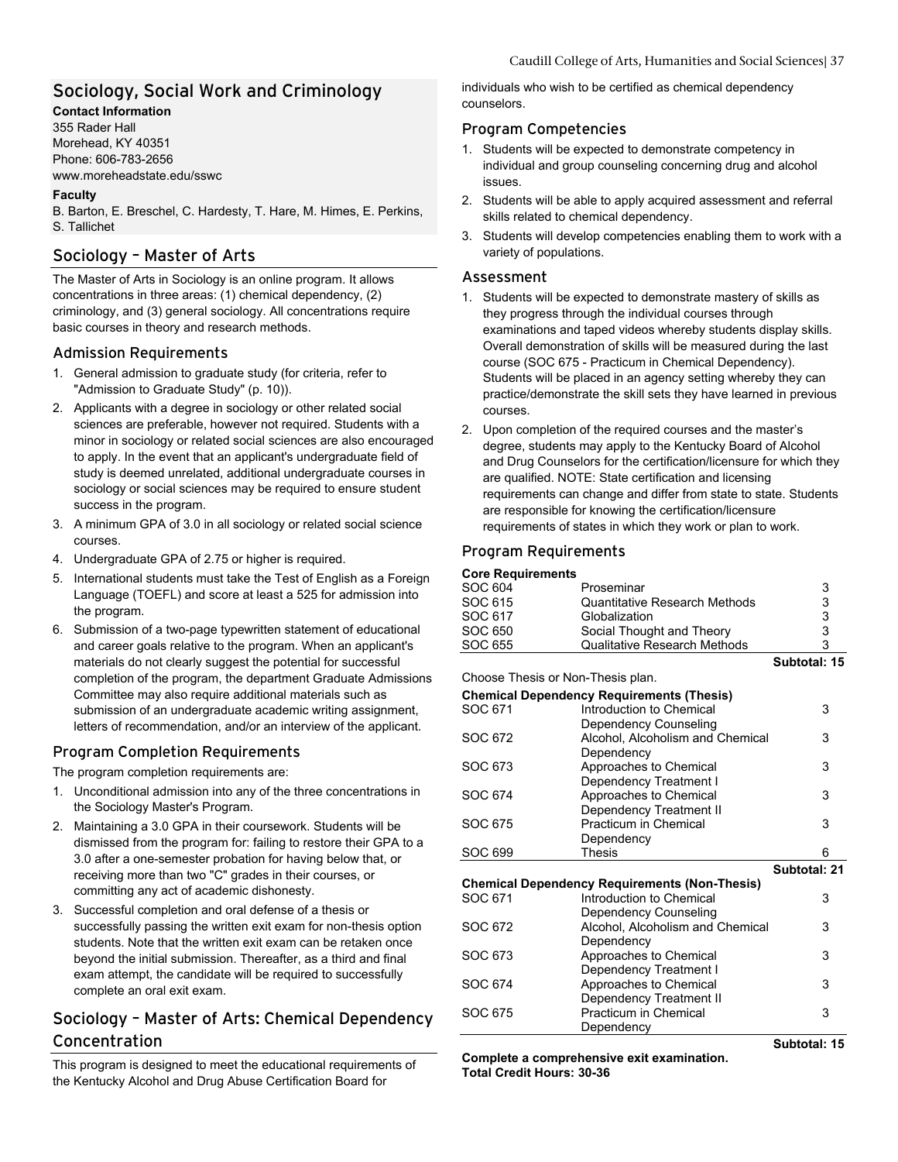## Sociology, Social Work and Criminology

**Contact Information**  355 Rader Hall Morehead, KY 40351 Phone: 606-783-2656 www.moreheadstate.edu/sswc

#### **Faculty**

B. Barton, E. Breschel, C. Hardesty, T. Hare, M. Himes, E. Perkins, S. Tallichet

### Sociology – Master of Arts

The Master of Arts in Sociology is an online program. It allows concentrations in three areas: (1) chemical dependency, (2) criminology, and (3) general sociology. All concentrations require basic courses in theory and research methods.

#### Admission Requirements

- 1. General admission to graduate study (for criteria, refer to "Admission to Graduate Study" (p. 10)).
- 2. Applicants with a degree in sociology or other related social sciences are preferable, however not required. Students with a minor in sociology or related social sciences are also encouraged to apply. In the event that an applicant's undergraduate field of study is deemed unrelated, additional undergraduate courses in sociology or social sciences may be required to ensure student success in the program.
- 3. A minimum GPA of 3.0 in all sociology or related social science courses.
- 4. Undergraduate GPA of 2.75 or higher is required.
- 5. International students must take the Test of English as a Foreign Language (TOEFL) and score at least a 525 for admission into the program.
- 6. Submission of a two-page typewritten statement of educational and career goals relative to the program. When an applicant's materials do not clearly suggest the potential for successful completion of the program, the department Graduate Admissions Committee may also require additional materials such as submission of an undergraduate academic writing assignment, letters of recommendation, and/or an interview of the applicant.

#### Program Completion Requirements

The program completion requirements are:

- 1. Unconditional admission into any of the three concentrations in the Sociology Master's Program.
- 2. Maintaining a 3.0 GPA in their coursework. Students will be dismissed from the program for: failing to restore their GPA to a 3.0 after a one-semester probation for having below that, or receiving more than two "C" grades in their courses, or committing any act of academic dishonesty.
- 3. Successful completion and oral defense of a thesis or successfully passing the written exit exam for non-thesis option students. Note that the written exit exam can be retaken once beyond the initial submission. Thereafter, as a third and final exam attempt, the candidate will be required to successfully complete an oral exit exam.

## Sociology – Master of Arts: Chemical Dependency Concentration

This program is designed to meet the educational requirements of the Kentucky Alcohol and Drug Abuse Certification Board for

individuals who wish to be certified as chemical dependency counselors.

### Program Competencies

- 1. Students will be expected to demonstrate competency in individual and group counseling concerning drug and alcohol issues.
- 2. Students will be able to apply acquired assessment and referral skills related to chemical dependency.
- 3. Students will develop competencies enabling them to work with a variety of populations.

#### Assessment

- 1. Students will be expected to demonstrate mastery of skills as they progress through the individual courses through examinations and taped videos whereby students display skills. Overall demonstration of skills will be measured during the last course (SOC 675 - Practicum in Chemical Dependency). Students will be placed in an agency setting whereby they can practice/demonstrate the skill sets they have learned in previous courses.
- 2. Upon completion of the required courses and the master's degree, students may apply to the Kentucky Board of Alcohol and Drug Counselors for the certification/licensure for which they are qualified. NOTE: State certification and licensing requirements can change and differ from state to state. Students are responsible for knowing the certification/licensure requirements of states in which they work or plan to work.

#### Program Requirements

#### **Core Requirements**

|                 |                                      | Subtotal: 15 |
|-----------------|--------------------------------------|--------------|
| SOC 655         | <b>Qualitative Research Methods</b>  |              |
| SOC 650         | Social Thought and Theory            |              |
| SOC 617         | Globalization                        |              |
| SOC 615         | <b>Quantitative Research Methods</b> |              |
| SOC 604         | Proseminar                           |              |
| --------------- |                                      |              |

Choose Thesis or Non-Thesis plan.

| <b>ONOUGH THUSIS OF TWELF LINUSIS PIGHT.</b> |                                                      |              |
|----------------------------------------------|------------------------------------------------------|--------------|
|                                              | <b>Chemical Dependency Requirements (Thesis)</b>     |              |
| SOC 671                                      | Introduction to Chemical                             | 3            |
|                                              | Dependency Counseling                                |              |
| SOC 672                                      | Alcohol, Alcoholism and Chemical                     | 3            |
|                                              | Dependency                                           |              |
| SOC 673                                      | Approaches to Chemical                               | 3            |
|                                              | Dependency Treatment I                               |              |
| SOC 674                                      | Approaches to Chemical                               | 3            |
|                                              | Dependency Treatment II                              |              |
| SOC 675                                      | <b>Practicum in Chemical</b>                         | 3            |
|                                              | Dependency                                           |              |
| SOC 699                                      | Thesis                                               | 6            |
|                                              |                                                      | Subtotal: 21 |
|                                              | <b>Chemical Dependency Requirements (Non-Thesis)</b> |              |
| SOC 671                                      | Introduction to Chemical                             | 3            |
|                                              | Dependency Counseling                                |              |
| SOC 672                                      | Alcohol, Alcoholism and Chemical                     | 3            |
|                                              | Dependency                                           |              |
| SOC 673                                      | Approaches to Chemical                               | 3            |
|                                              | Dependency Treatment I                               |              |
| SOC 674                                      | Approaches to Chemical                               | 3            |
|                                              | <b>Dependency Treatment II</b>                       |              |
| SOC 675                                      | <b>Practicum in Chemical</b>                         | 3            |
|                                              |                                                      |              |

**Complete a comprehensive exit examination. Total Credit Hours: 30-36**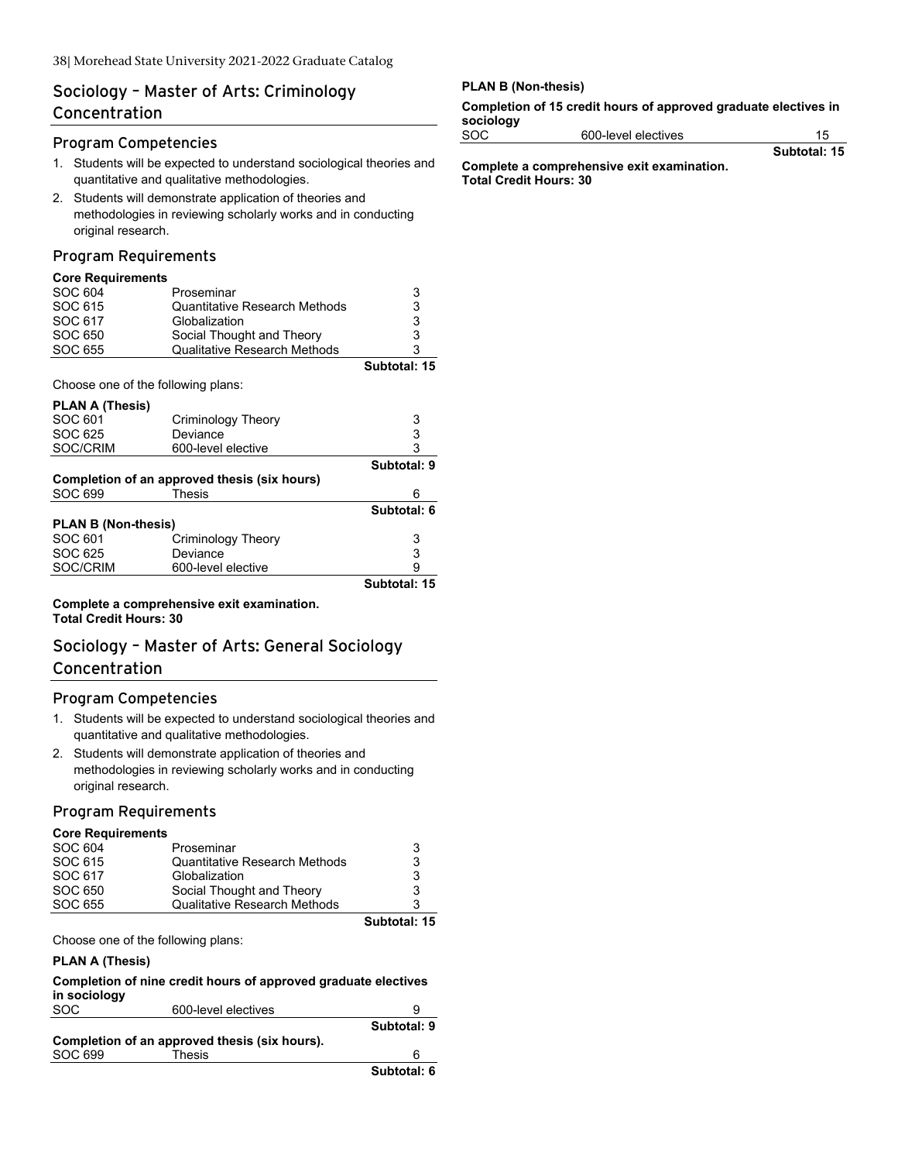## Sociology – Master of Arts: Criminology Concentration

#### Program Competencies

- 1. Students will be expected to understand sociological theories and quantitative and qualitative methodologies.
- 2. Students will demonstrate application of theories and methodologies in reviewing scholarly works and in conducting original research.

#### Program Requirements

#### **Core Requirements**

| SOC 604 | Proseminar                           | 3 |
|---------|--------------------------------------|---|
| SOC 615 | <b>Quantitative Research Methods</b> | 3 |
| SOC 617 | Globalization                        | 3 |
| SOC 650 | Social Thought and Theory            | 3 |
| SOC 655 | <b>Qualitative Research Methods</b>  | 3 |
|         |                                      |   |

**Subtotal: 15** 

#### Choose one of the following plans:

| <b>PLAN A (Thesis)</b>                       |                    |             |
|----------------------------------------------|--------------------|-------------|
| SOC 601                                      | Criminology Theory | 3           |
| SOC 625                                      | Deviance           | 3           |
| SOC/CRIM                                     | 600-level elective | 3           |
|                                              |                    | Subtotal: 9 |
| Completion of an approved thesis (six hours) |                    |             |
| SOC 699                                      | Thesis             | 6           |
|                                              |                    |             |
|                                              |                    | Subtotal: 6 |
| <b>PLAN B (Non-thesis)</b>                   |                    |             |
| SOC 601                                      | Criminology Theory | 3           |
| SOC 625                                      | Deviance           | 3           |
| SOC/CRIM                                     | 600-level elective | 9           |

**Subtotal: 15** 

**Complete a comprehensive exit examination. Total Credit Hours: 30** 

## Sociology – Master of Arts: General Sociology Concentration

#### Program Competencies

- 1. Students will be expected to understand sociological theories and quantitative and qualitative methodologies.
- 2. Students will demonstrate application of theories and methodologies in reviewing scholarly works and in conducting original research.

#### Program Requirements

#### **Core Requirements**

| SOC 604 | Proseminar                           |   |
|---------|--------------------------------------|---|
| SOC 615 | <b>Quantitative Research Methods</b> | 3 |
| SOC 617 | Globalization                        | 3 |
| SOC 650 | Social Thought and Theory            | 3 |
| SOC 655 | <b>Qualitative Research Methods</b>  | વ |

**Subtotal: 15** 

Choose one of the following plans:

#### **PLAN A (Thesis)**

#### **Completion of nine credit hours of approved graduate electives in sociology**  SOC 600-level electives 9 **Subtotal: 9**

|         | Completion of an approved thesis (six hours). | vuvlvlui. v |
|---------|-----------------------------------------------|-------------|
| SOC 699 | Thesis                                        |             |
|         |                                               |             |

**Subtotal: 6** 

#### **PLAN B (Non-thesis)**

**Completion of 15 credit hours of approved graduate electives in sociology** 

| --<br>SOC | 600-level electives |              |
|-----------|---------------------|--------------|
|           |                     | Subtotal: 15 |

**Complete a comprehensive exit examination. Total Credit Hours: 30**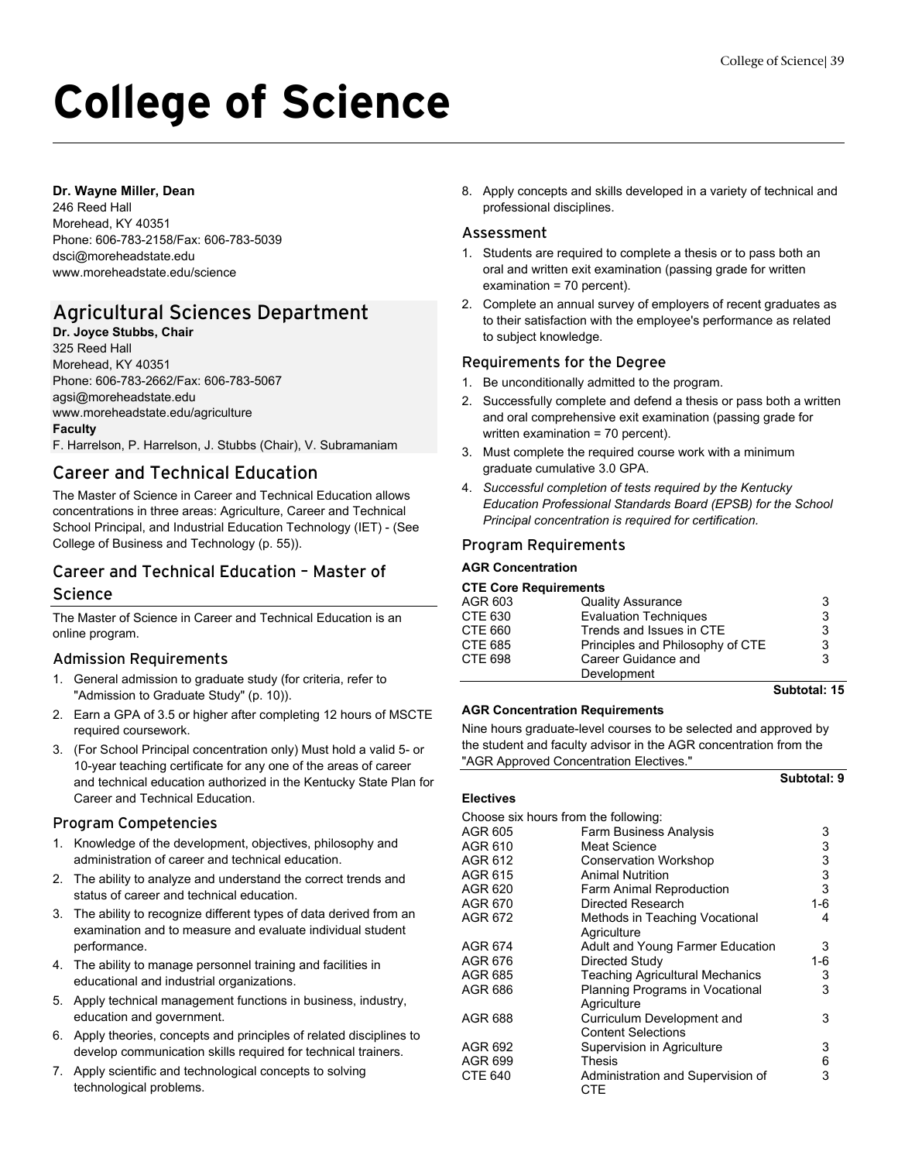# **College of Science**

#### **Dr. Wayne Miller, Dean**

246 Reed Hall Morehead, KY 40351 Phone: 606-783-2158/Fax: 606-783-5039 dsci@moreheadstate.edu www.moreheadstate.edu/science

## Agricultural Sciences Department

**Dr. Joyce Stubbs, Chair** 325 Reed Hall Morehead, KY 40351 Phone: 606-783-2662/Fax: 606-783-5067 agsi@moreheadstate.edu www.moreheadstate.edu/agriculture **Faculty**

F. Harrelson, P. Harrelson, J. Stubbs (Chair), V. Subramaniam

## Career and Technical Education

The Master of Science in Career and Technical Education allows concentrations in three areas: Agriculture, Career and Technical School Principal, and Industrial Education Technology (IET) - (See College of Business and Technology (p. 55)).

## Career and Technical Education – Master of Science

The Master of Science in Career and Technical Education is an online program.

#### Admission Requirements

- 1. General admission to graduate study (for criteria, refer to "Admission to Graduate Study" (p. 10)).
- 2. Earn a GPA of 3.5 or higher after completing 12 hours of MSCTE required coursework.
- 3. (For School Principal concentration only) Must hold a valid 5- or 10-year teaching certificate for any one of the areas of career and technical education authorized in the Kentucky State Plan for Career and Technical Education.

#### Program Competencies

- 1. Knowledge of the development, objectives, philosophy and administration of career and technical education.
- 2. The ability to analyze and understand the correct trends and status of career and technical education.
- 3. The ability to recognize different types of data derived from an examination and to measure and evaluate individual student performance.
- 4. The ability to manage personnel training and facilities in educational and industrial organizations.
- 5. Apply technical management functions in business, industry, education and government.
- 6. Apply theories, concepts and principles of related disciplines to develop communication skills required for technical trainers.
- 7. Apply scientific and technological concepts to solving technological problems.

8. Apply concepts and skills developed in a variety of technical and professional disciplines.

#### Assessment

- 1. Students are required to complete a thesis or to pass both an oral and written exit examination (passing grade for written examination = 70 percent).
- 2. Complete an annual survey of employers of recent graduates as to their satisfaction with the employee's performance as related to subject knowledge.

#### Requirements for the Degree

- 1. Be unconditionally admitted to the program.
- 2. Successfully complete and defend a thesis or pass both a written and oral comprehensive exit examination (passing grade for written examination = 70 percent).
- 3. Must complete the required course work with a minimum graduate cumulative 3.0 GPA.
- 4. *Successful completion of tests required by the Kentucky Education Professional Standards Board (EPSB) for the School Principal concentration is required for certification.*

### Program Requirements

#### **AGR Concentration**

**Electives** 

#### **CTE Core Requirements**

|         |                                  | Subtotal: 15 |
|---------|----------------------------------|--------------|
|         | Development                      |              |
| CTE 698 | Career Guidance and              | 3            |
| CTE 685 | Principles and Philosophy of CTE | 3            |
| CTE 660 | Trends and Issues in CTE         | 3            |
| CTE 630 | <b>Evaluation Techniques</b>     | 3            |
| AGR 603 | <b>Quality Assurance</b>         |              |
|         |                                  |              |

#### **AGR Concentration Requirements**

Nine hours graduate-level courses to be selected and approved by the student and faculty advisor in the AGR concentration from the "AGR Approved Concentration Electives."

#### **Subtotal: 9**

Choose six hours from the following:

| CHOOSE SIX HOURS HOIH THE TOHOWING. |                                        |               |
|-------------------------------------|----------------------------------------|---------------|
| AGR 605                             | <b>Farm Business Analysis</b>          | 3             |
| AGR 610                             | Meat Science                           | 3             |
| AGR 612                             | <b>Conservation Workshop</b>           |               |
| AGR 615                             | <b>Animal Nutrition</b>                | $\frac{3}{3}$ |
| AGR 620                             | Farm Animal Reproduction               | 3             |
| AGR 670                             | Directed Research                      | $1 - 6$       |
| AGR 672                             | Methods in Teaching Vocational         | 4             |
|                                     | Agriculture                            |               |
| AGR 674                             | Adult and Young Farmer Education       | 3             |
| AGR 676                             | Directed Study                         | $1 - 6$       |
| AGR 685                             | <b>Teaching Agricultural Mechanics</b> | 3             |
| AGR 686                             | <b>Planning Programs in Vocational</b> | 3             |
|                                     | Agriculture                            |               |
| AGR 688                             | Curriculum Development and             | 3             |
|                                     | <b>Content Selections</b>              |               |
| AGR 692                             | Supervision in Agriculture             | 3             |
| AGR 699                             | Thesis                                 | 6             |
| <b>CTE 640</b>                      | Administration and Supervision of      | 3             |
|                                     | CTE                                    |               |
|                                     |                                        |               |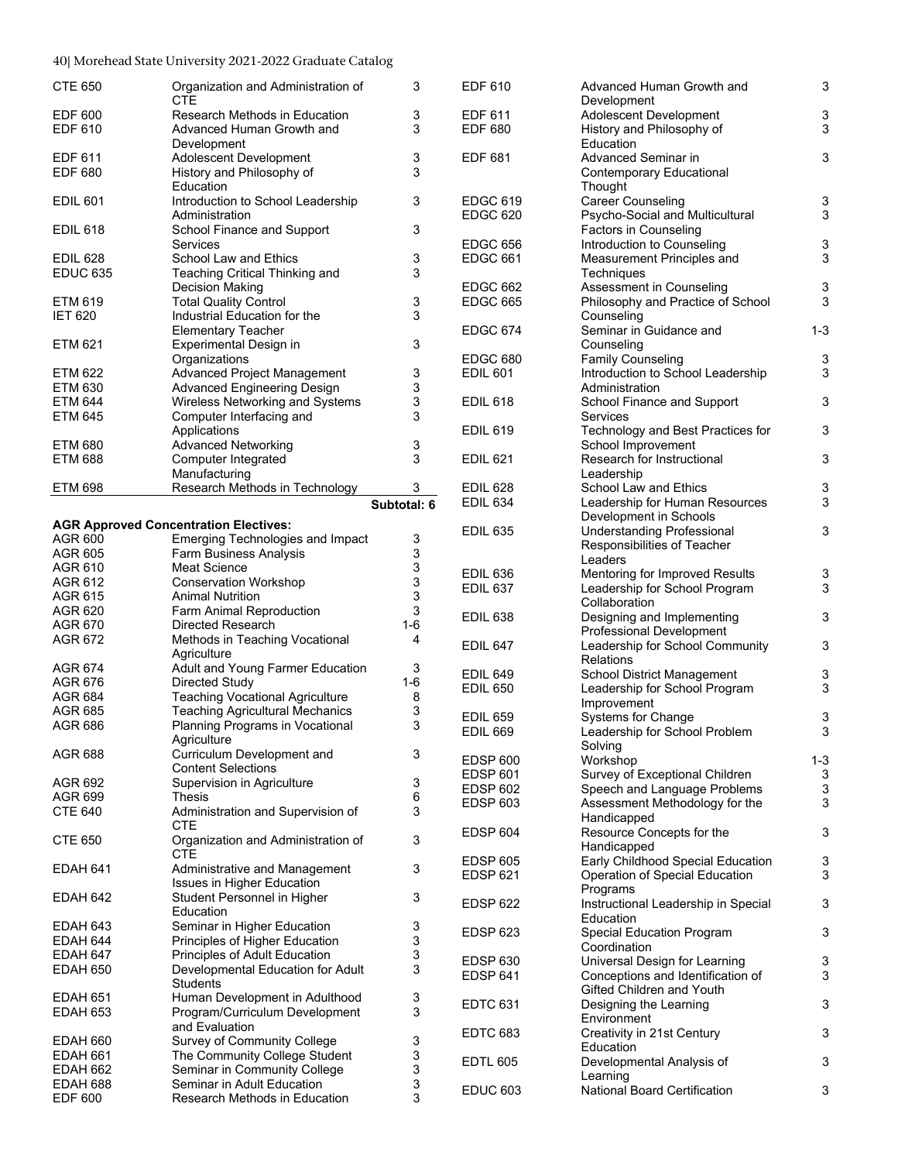| <b>CTE 650</b>  | Organization and Administration of<br><b>CTE</b> | 3           | <b>EDF 610</b>  | Advanced Human Growth and<br>Development | 3       |
|-----------------|--------------------------------------------------|-------------|-----------------|------------------------------------------|---------|
| <b>EDF 600</b>  | Research Methods in Education                    | 3           | <b>EDF 611</b>  | Adolescent Development                   | 3       |
| EDF 610         | Advanced Human Growth and                        | 3           | <b>EDF 680</b>  | History and Philosophy of                | 3       |
|                 | Development                                      |             |                 | Education                                |         |
| EDF 611         | Adolescent Development                           | 3           | <b>EDF 681</b>  | Advanced Seminar in                      | 3       |
| <b>EDF 680</b>  | History and Philosophy of                        | 3           |                 | <b>Contemporary Educational</b>          |         |
|                 | Education                                        |             |                 | Thought                                  |         |
| <b>EDIL 601</b> | Introduction to School Leadership                | 3           | <b>EDGC 619</b> | <b>Career Counseling</b>                 | 3       |
|                 | Administration                                   |             | <b>EDGC 620</b> | Psycho-Social and Multicultural          | 3       |
|                 |                                                  | 3           |                 |                                          |         |
| <b>EDIL 618</b> | School Finance and Support                       |             |                 | Factors in Counseling                    |         |
|                 | <b>Services</b>                                  |             | <b>EDGC 656</b> | Introduction to Counseling               | 3       |
| <b>EDIL 628</b> | School Law and Ethics                            | 3           | <b>EDGC 661</b> | Measurement Principles and               | 3       |
| <b>EDUC 635</b> | Teaching Critical Thinking and                   | 3           |                 | Techniques                               |         |
|                 | <b>Decision Making</b>                           |             | <b>EDGC 662</b> | Assessment in Counseling                 | 3       |
| ETM 619         | <b>Total Quality Control</b>                     | 3           | <b>EDGC 665</b> | Philosophy and Practice of School        | 3       |
| <b>IET 620</b>  | Industrial Education for the                     | 3           |                 | Counseling                               |         |
|                 | <b>Elementary Teacher</b>                        |             | <b>EDGC 674</b> | Seminar in Guidance and                  | $1 - 3$ |
| <b>ETM 621</b>  | Experimental Design in                           | 3           |                 | Counseling                               |         |
|                 |                                                  |             | <b>EDGC 680</b> | <b>Family Counseling</b>                 |         |
|                 | Organizations                                    |             |                 |                                          | 3       |
| <b>ETM 622</b>  | Advanced Project Management                      | 3           | <b>EDIL 601</b> | Introduction to School Leadership        | 3       |
| ETM 630         | <b>Advanced Engineering Design</b>               | 3           |                 | Administration                           |         |
| <b>ETM 644</b>  | Wireless Networking and Systems                  | 3           | <b>EDIL 618</b> | School Finance and Support               | 3       |
| <b>ETM 645</b>  | Computer Interfacing and                         | 3           |                 | Services                                 |         |
|                 | Applications                                     |             | <b>EDIL 619</b> | Technology and Best Practices for        | 3       |
| ETM 680         | <b>Advanced Networking</b>                       | 3           |                 | School Improvement                       |         |
| <b>ETM 688</b>  | Computer Integrated                              | 3           | <b>EDIL 621</b> | Research for Instructional               | 3       |
|                 | Manufacturing                                    |             |                 | Leadership                               |         |
|                 |                                                  |             |                 |                                          |         |
| <b>ETM 698</b>  | Research Methods in Technology                   | 3           | <b>EDIL 628</b> | School Law and Ethics                    | 3       |
|                 |                                                  | Subtotal: 6 | <b>EDIL 634</b> | Leadership for Human Resources           | 3       |
|                 | <b>AGR Approved Concentration Electives:</b>     |             |                 | Development in Schools                   |         |
| <b>AGR 600</b>  | Emerging Technologies and Impact                 | 3           | <b>EDIL 635</b> | <b>Understanding Professional</b>        | 3       |
|                 |                                                  |             |                 | Responsibilities of Teacher              |         |
| AGR 605         | Farm Business Analysis                           | 3           |                 | Leaders                                  |         |
| AGR 610         | Meat Science                                     | 3           | EDIL 636        | Mentoring for Improved Results           | 3       |
| AGR 612         | <b>Conservation Workshop</b>                     | 3           | <b>EDIL 637</b> | Leadership for School Program            | 3       |
| AGR 615         | <b>Animal Nutrition</b>                          | 3           |                 | Collaboration                            |         |
| AGR 620         | Farm Animal Reproduction                         | 3           |                 |                                          |         |
| AGR 670         | <b>Directed Research</b>                         | $1 - 6$     | <b>EDIL 638</b> | Designing and Implementing               | 3       |
| AGR 672         | Methods in Teaching Vocational                   | 4           |                 | Professional Development                 |         |
|                 | Agriculture                                      |             | <b>EDIL 647</b> | Leadership for School Community          | 3       |
| AGR 674         | Adult and Young Farmer Education                 | 3           |                 | Relations                                |         |
| AGR 676         | <b>Directed Study</b>                            | $1 - 6$     | <b>EDIL 649</b> | School District Management               | 3       |
|                 |                                                  |             | <b>EDIL 650</b> | Leadership for School Program            | 3       |
| <b>AGR 684</b>  | <b>Teaching Vocational Agriculture</b>           | 8           |                 | Improvement                              |         |
| AGR 685         | <b>Teaching Agricultural Mechanics</b>           | 3           | <b>EDIL 659</b> | <b>Systems for Change</b>                | 3       |
| AGR 686         | Planning Programs in Vocational                  | 3           | <b>EDIL 669</b> | Leadership for School Problem            | 3       |
|                 | Agriculture                                      |             |                 | Solving                                  |         |
| <b>AGR 688</b>  | Curriculum Development and                       | 3           | <b>EDSP 600</b> | Workshop                                 | $1 - 3$ |
|                 | <b>Content Selections</b>                        |             |                 |                                          |         |
| AGR 692         | Supervision in Agriculture                       | 3           | <b>EDSP 601</b> | Survey of Exceptional Children           | 3       |
| <b>AGR 699</b>  | Thesis                                           | 6           | <b>EDSP 602</b> | Speech and Language Problems             | 3       |
| CTE 640         | Administration and Supervision of                | 3           | <b>EDSP 603</b> | Assessment Methodology for the           | 3       |
|                 | <b>CTE</b>                                       |             |                 | Handicapped                              |         |
|                 |                                                  |             | <b>EDSP 604</b> | Resource Concepts for the                | 3       |
| <b>CTE 650</b>  | Organization and Administration of               | 3           |                 | Handicapped                              |         |
|                 | CTE                                              |             | <b>EDSP 605</b> | Early Childhood Special Education        | 3       |
| EDAH 641        | Administrative and Management                    | 3           | <b>EDSP 621</b> | Operation of Special Education           | 3       |
|                 | Issues in Higher Education                       |             |                 | Programs                                 |         |
| EDAH 642        | Student Personnel in Higher                      | 3           |                 |                                          |         |
|                 | Education                                        |             | <b>EDSP 622</b> | Instructional Leadership in Special      | 3       |
| EDAH 643        | Seminar in Higher Education                      | 3           |                 | Education                                |         |
|                 |                                                  | 3           | <b>EDSP 623</b> | Special Education Program                | 3       |
| EDAH 644        | Principles of Higher Education                   |             |                 | Coordination                             |         |
| EDAH 647        | Principles of Adult Education                    | 3           | <b>EDSP 630</b> | Universal Design for Learning            | 3       |
| <b>EDAH 650</b> | Developmental Education for Adult                | 3           | <b>EDSP 641</b> | Conceptions and Identification of        | 3       |
|                 | Students                                         |             |                 | Gifted Children and Youth                |         |
| <b>EDAH 651</b> | Human Development in Adulthood                   | 3           |                 |                                          |         |
| <b>EDAH 653</b> | Program/Curriculum Development                   | 3           | <b>EDTC 631</b> | Designing the Learning                   | 3       |
|                 | and Evaluation                                   |             |                 | Environment                              |         |
| EDAH 660        | Survey of Community College                      | 3           | <b>EDTC 683</b> | Creativity in 21st Century               | 3       |
| <b>EDAH 661</b> | The Community College Student                    | 3           |                 | Education                                |         |
|                 |                                                  |             | <b>EDTL 605</b> | Developmental Analysis of                | 3       |
| EDAH 662        | Seminar in Community College                     | 3           |                 | Learning                                 |         |
| EDAH 688        | Seminar in Adult Education                       | 3           | <b>EDUC 603</b> | <b>National Board Certification</b>      | 3       |
| <b>EDF 600</b>  | Research Methods in Education                    | 3           |                 |                                          |         |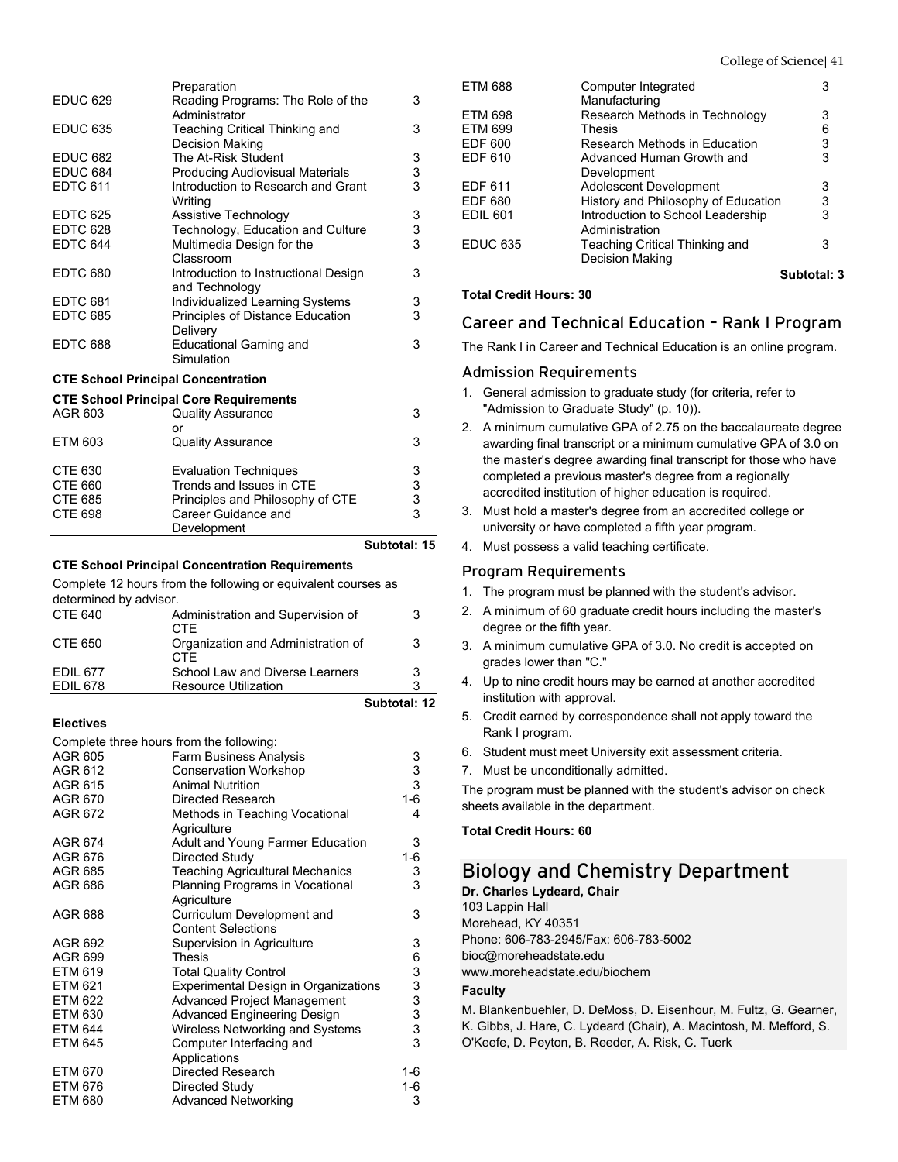|                 | Preparation                            |   |
|-----------------|----------------------------------------|---|
| <b>EDUC 629</b> | Reading Programs: The Role of the      | 3 |
|                 | Administrator                          |   |
| <b>EDUC 635</b> | Teaching Critical Thinking and         | 3 |
|                 | Decision Making                        |   |
| <b>EDUC 682</b> | The At-Risk Student                    | 3 |
| <b>EDUC 684</b> | <b>Producing Audiovisual Materials</b> | 3 |
| <b>EDTC 611</b> | Introduction to Research and Grant     | 3 |
|                 | Writing                                |   |
| <b>EDTC 625</b> | Assistive Technology                   | 3 |
| <b>EDTC 628</b> | Technology, Education and Culture      | 3 |
| <b>EDTC 644</b> | Multimedia Design for the              | 3 |
|                 | Classroom                              |   |
| <b>EDTC 680</b> | Introduction to Instructional Design   | 3 |
|                 | and Technology                         |   |
| <b>EDTC 681</b> | Individualized Learning Systems        | 3 |
| <b>EDTC 685</b> | Principles of Distance Education       | 3 |
|                 | Delivery                               |   |
| <b>EDTC 688</b> | <b>Educational Gaming and</b>          | 3 |
|                 | Simulation                             |   |
|                 |                                        |   |

#### **CTE School Principal Concentration**

|                | <b>CTE School Principal Core Requirements</b> |              |
|----------------|-----------------------------------------------|--------------|
| AGR 603        | <b>Quality Assurance</b>                      | 3            |
|                | or                                            |              |
| ETM 603        | <b>Quality Assurance</b>                      | 3            |
| CTE 630        | <b>Evaluation Techniques</b>                  | 3            |
| <b>CTE 660</b> | Trends and Issues in CTE                      | 3            |
| <b>CTE 685</b> | Principles and Philosophy of CTE              | 3            |
| <b>CTE 698</b> | Career Guidance and                           | 3            |
|                | Development                                   |              |
|                |                                               | Subtotal: 15 |

#### **CTE School Principal Concentration Requirements**

Complete 12 hours from the following or equivalent courses as determined by advisor.

|                 |                                           | Subtotal: 12 |
|-----------------|-------------------------------------------|--------------|
| <b>EDIL 678</b> | <b>Resource Utilization</b>               |              |
| <b>EDIL 677</b> | CTF.<br>School Law and Diverse Learners   | 3            |
| <b>CTE 650</b>  | Organization and Administration of        | 3            |
| CTE 640         | Administration and Supervision of<br>CTF. |              |

#### **Electives**

Complete three hours from the following:

| AGR 605        | <b>Farm Business Analysis</b>          | 3       |
|----------------|----------------------------------------|---------|
| AGR 612        | <b>Conservation Workshop</b>           | 3       |
| <b>AGR 615</b> | <b>Animal Nutrition</b>                | 3       |
| <b>AGR 670</b> | Directed Research                      | $1 - 6$ |
| AGR 672        | Methods in Teaching Vocational         | 4       |
|                | Agriculture                            |         |
| AGR 674        | Adult and Young Farmer Education       | 3       |
| AGR 676        | Directed Study                         | 1-6     |
| AGR 685        | <b>Teaching Agricultural Mechanics</b> | 3       |
| AGR 686        | Planning Programs in Vocational        | 3       |
|                | Agriculture                            |         |
| <b>AGR 688</b> | Curriculum Development and             | 3       |
|                | <b>Content Selections</b>              |         |
| AGR 692        | Supervision in Agriculture             | 3       |
| AGR 699        | Thesis                                 | 6       |
| ETM 619        | <b>Total Quality Control</b>           | 3       |
| <b>ETM 621</b> | Experimental Design in Organizations   | 3       |
| <b>ETM 622</b> | Advanced Project Management            | 3       |
| <b>ETM 630</b> | Advanced Engineering Design            | 3       |
| <b>ETM 644</b> | Wireless Networking and Systems        | 3       |
| <b>ETM 645</b> | Computer Interfacing and               | 3       |
|                | Applications                           |         |
| <b>ETM 670</b> | Directed Research                      | 1-6     |
| <b>ETM 676</b> | Directed Study                         | 1-6     |
| <b>ETM 680</b> | <b>Advanced Networking</b>             | 3       |

#### College of Science| 41

| <b>ETM 688</b>  | Computer Integrated<br>Manufacturing | з           |
|-----------------|--------------------------------------|-------------|
| <b>ETM 698</b>  | Research Methods in Technology       | 3           |
| <b>ETM 699</b>  | Thesis                               | 6           |
| <b>EDF 600</b>  | Research Methods in Education        | 3           |
| <b>EDF 610</b>  | Advanced Human Growth and            | 3           |
|                 | Development                          |             |
| EDF 611         | Adolescent Development               | 3           |
| EDF 680         | History and Philosophy of Education  | 3           |
| <b>EDIL 601</b> | Introduction to School Leadership    | 3           |
|                 | Administration                       |             |
| <b>EDUC 635</b> | Teaching Critical Thinking and       | 3           |
|                 | <b>Decision Making</b>               |             |
|                 |                                      | Subtotal: 3 |

#### **Total Credit Hours: 30**

#### Career and Technical Education – Rank I Program

The Rank I in Career and Technical Education is an online program.

#### Admission Requirements

- 1. General admission to graduate study (for criteria, refer to "Admission to Graduate Study" (p. 10)).
- 2. A minimum cumulative GPA of 2.75 on the baccalaureate degree awarding final transcript or a minimum cumulative GPA of 3.0 on the master's degree awarding final transcript for those who have completed a previous master's degree from a regionally accredited institution of higher education is required.
- 3. Must hold a master's degree from an accredited college or university or have completed a fifth year program.
- 4. Must possess a valid teaching certificate.

#### Program Requirements

- 1. The program must be planned with the student's advisor.
- 2. A minimum of 60 graduate credit hours including the master's degree or the fifth year.
- 3. A minimum cumulative GPA of 3.0. No credit is accepted on grades lower than "C."
- 4. Up to nine credit hours may be earned at another accredited institution with approval.
- 5. Credit earned by correspondence shall not apply toward the Rank I program.
- 6. Student must meet University exit assessment criteria.
- 7. Must be unconditionally admitted.

The program must be planned with the student's advisor on check sheets available in the department.

#### **Total Credit Hours: 60**

#### Biology and Chemistry Department **Dr. Charles Lydeard, Chair**

103 Lappin Hall Morehead, KY 40351

Phone: 606-783-2945/Fax: 606-783-5002

bioc@moreheadstate.edu

www.moreheadstate.edu/biochem

#### **Faculty**

- M. Blankenbuehler, D. DeMoss, D. Eisenhour, M. Fultz, G. Gearner, K. Gibbs, J. Hare, C. Lydeard (Chair), A. Macintosh, M. Mefford, S.
- O'Keefe, D. Peyton, B. Reeder, A. Risk, C. Tuerk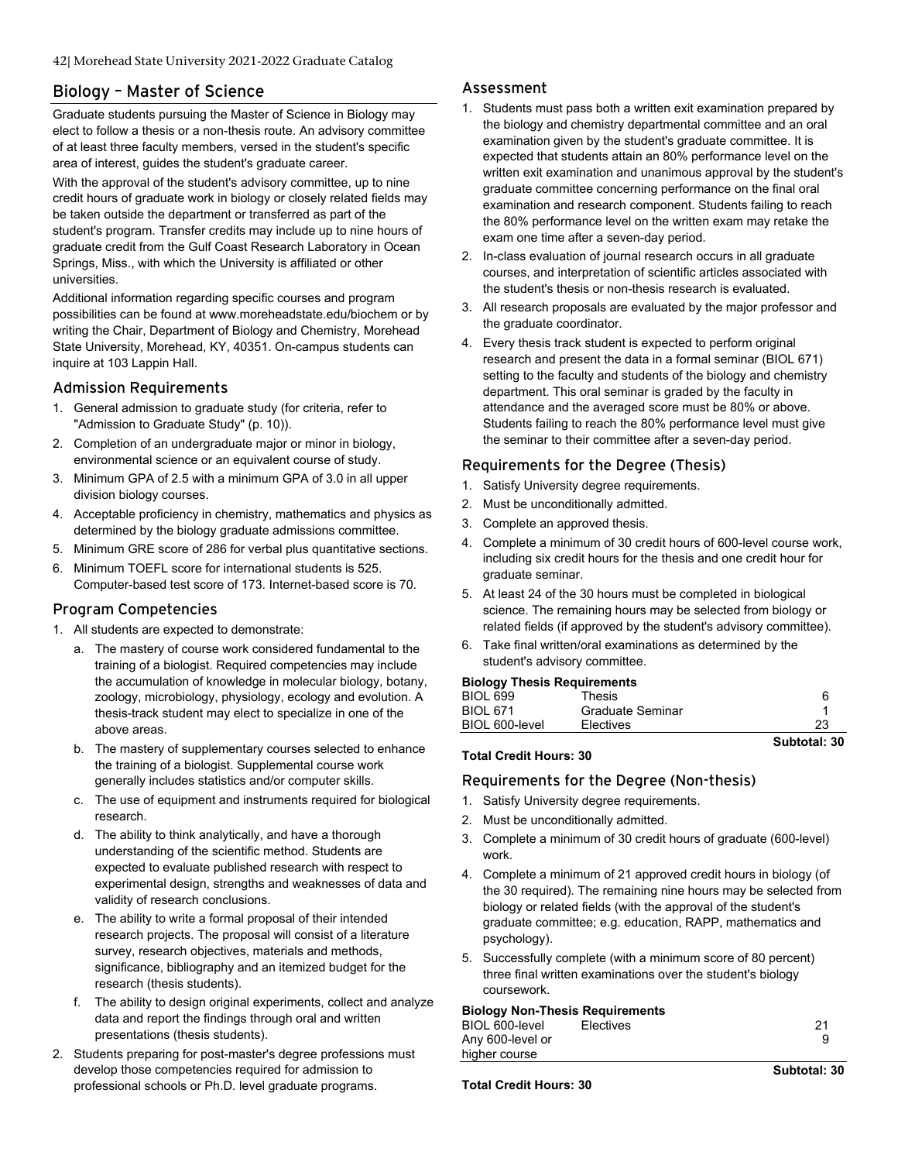#### Biology – Master of Science

Graduate students pursuing the Master of Science in Biology may elect to follow a thesis or a non-thesis route. An advisory committee of at least three faculty members, versed in the student's specific area of interest, guides the student's graduate career.

With the approval of the student's advisory committee, up to nine credit hours of graduate work in biology or closely related fields may be taken outside the department or transferred as part of the student's program. Transfer credits may include up to nine hours of graduate credit from the Gulf Coast Research Laboratory in Ocean Springs, Miss., with which the University is affiliated or other universities.

Additional information regarding specific courses and program possibilities can be found at www.moreheadstate.edu/biochem or by writing the Chair, Department of Biology and Chemistry, Morehead State University, Morehead, KY, 40351. On-campus students can inquire at 103 Lappin Hall.

#### Admission Requirements

- 1. General admission to graduate study (for criteria, refer to "Admission to Graduate Study" (p. 10)).
- 2. Completion of an undergraduate major or minor in biology, environmental science or an equivalent course of study.
- 3. Minimum GPA of 2.5 with a minimum GPA of 3.0 in all upper division biology courses.
- 4. Acceptable proficiency in chemistry, mathematics and physics as determined by the biology graduate admissions committee.
- 5. Minimum GRE score of 286 for verbal plus quantitative sections.
- 6. Minimum TOEFL score for international students is 525. Computer-based test score of 173. Internet-based score is 70.

#### Program Competencies

- 1. All students are expected to demonstrate:
	- a. The mastery of course work considered fundamental to the training of a biologist. Required competencies may include the accumulation of knowledge in molecular biology, botany, zoology, microbiology, physiology, ecology and evolution. A thesis-track student may elect to specialize in one of the above areas.
	- b. The mastery of supplementary courses selected to enhance the training of a biologist. Supplemental course work generally includes statistics and/or computer skills.
	- c. The use of equipment and instruments required for biological research.
	- d. The ability to think analytically, and have a thorough understanding of the scientific method. Students are expected to evaluate published research with respect to experimental design, strengths and weaknesses of data and validity of research conclusions.
	- e. The ability to write a formal proposal of their intended research projects. The proposal will consist of a literature survey, research objectives, materials and methods, significance, bibliography and an itemized budget for the research (thesis students).
	- f. The ability to design original experiments, collect and analyze data and report the findings through oral and written presentations (thesis students).
- 2. Students preparing for post-master's degree professions must develop those competencies required for admission to professional schools or Ph.D. level graduate programs.

#### Assessment

- 1. Students must pass both a written exit examination prepared by the biology and chemistry departmental committee and an oral examination given by the student's graduate committee. It is expected that students attain an 80% performance level on the written exit examination and unanimous approval by the student's graduate committee concerning performance on the final oral examination and research component. Students failing to reach the 80% performance level on the written exam may retake the exam one time after a seven-day period.
- 2. In-class evaluation of journal research occurs in all graduate courses, and interpretation of scientific articles associated with the student's thesis or non-thesis research is evaluated.
- 3. All research proposals are evaluated by the major professor and the graduate coordinator.
- 4. Every thesis track student is expected to perform original research and present the data in a formal seminar (BIOL 671) setting to the faculty and students of the biology and chemistry department. This oral seminar is graded by the faculty in attendance and the averaged score must be 80% or above. Students failing to reach the 80% performance level must give the seminar to their committee after a seven-day period.

#### Requirements for the Degree (Thesis)

- 1. Satisfy University degree requirements.
- 2. Must be unconditionally admitted.
- 3. Complete an approved thesis.
- 4. Complete a minimum of 30 credit hours of 600-level course work, including six credit hours for the thesis and one credit hour for graduate seminar.
- 5. At least 24 of the 30 hours must be completed in biological science. The remaining hours may be selected from biology or related fields (if approved by the student's advisory committee).
- 6. Take final written/oral examinations as determined by the student's advisory committee.

#### **Biology Thesis Requirements**

|                 |                  | Subtotal: 30 |
|-----------------|------------------|--------------|
| BIOL 600-level  | <b>Flectives</b> | 23           |
| <b>BIOL 671</b> | Graduate Seminar |              |
| <b>BIOL 699</b> | Thesis           |              |

**Total Credit Hours: 30** 

#### Requirements for the Degree (Non-thesis)

- 1. Satisfy University degree requirements.
- 2. Must be unconditionally admitted.
- 3. Complete a minimum of 30 credit hours of graduate (600-level) work.
- 4. Complete a minimum of 21 approved credit hours in biology (of the 30 required). The remaining nine hours may be selected from biology or related fields (with the approval of the student's graduate committee; e.g. education, RAPP, mathematics and psychology).
- 5. Successfully complete (with a minimum score of 80 percent) three final written examinations over the student's biology coursework.

#### **Biology Non-Thesis Requirements**

| BIOL 600-level   | Electives | 21 |
|------------------|-----------|----|
| Any 600-level or |           |    |
| higher course    |           |    |

**Total Credit Hours: 30**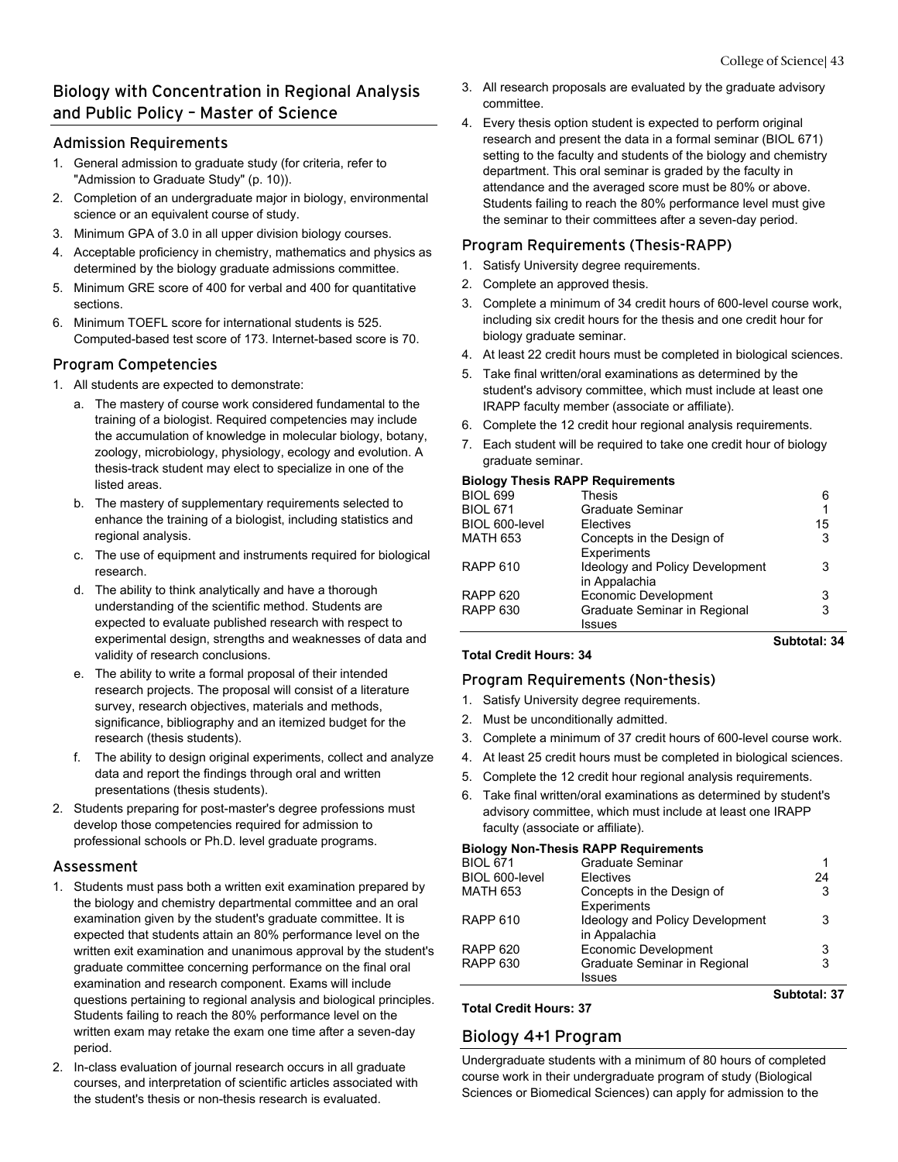**Subtotal: 34** 

## Biology with Concentration in Regional Analysis and Public Policy – Master of Science

#### Admission Requirements

- 1. General admission to graduate study (for criteria, refer to "Admission to Graduate Study" (p. 10)).
- 2. Completion of an undergraduate major in biology, environmental science or an equivalent course of study.
- 3. Minimum GPA of 3.0 in all upper division biology courses.
- 4. Acceptable proficiency in chemistry, mathematics and physics as determined by the biology graduate admissions committee.
- 5. Minimum GRE score of 400 for verbal and 400 for quantitative sections.
- 6. Minimum TOEFL score for international students is 525. Computed-based test score of 173. Internet-based score is 70.

#### Program Competencies

- 1. All students are expected to demonstrate:
	- a. The mastery of course work considered fundamental to the training of a biologist. Required competencies may include the accumulation of knowledge in molecular biology, botany, zoology, microbiology, physiology, ecology and evolution. A thesis-track student may elect to specialize in one of the listed areas.
	- b. The mastery of supplementary requirements selected to enhance the training of a biologist, including statistics and regional analysis.
	- c. The use of equipment and instruments required for biological research.
	- d. The ability to think analytically and have a thorough understanding of the scientific method. Students are expected to evaluate published research with respect to experimental design, strengths and weaknesses of data and validity of research conclusions.
	- e. The ability to write a formal proposal of their intended research projects. The proposal will consist of a literature survey, research objectives, materials and methods, significance, bibliography and an itemized budget for the research (thesis students).
	- f. The ability to design original experiments, collect and analyze data and report the findings through oral and written presentations (thesis students).
- 2. Students preparing for post-master's degree professions must develop those competencies required for admission to professional schools or Ph.D. level graduate programs.

#### Assessment

- 1. Students must pass both a written exit examination prepared by the biology and chemistry departmental committee and an oral examination given by the student's graduate committee. It is expected that students attain an 80% performance level on the written exit examination and unanimous approval by the student's graduate committee concerning performance on the final oral examination and research component. Exams will include questions pertaining to regional analysis and biological principles. Students failing to reach the 80% performance level on the written exam may retake the exam one time after a seven-day period.
- 2. In-class evaluation of journal research occurs in all graduate courses, and interpretation of scientific articles associated with the student's thesis or non-thesis research is evaluated.
- 3. All research proposals are evaluated by the graduate advisory committee.
- 4. Every thesis option student is expected to perform original research and present the data in a formal seminar (BIOL 671) setting to the faculty and students of the biology and chemistry department. This oral seminar is graded by the faculty in attendance and the averaged score must be 80% or above. Students failing to reach the 80% performance level must give the seminar to their committees after a seven-day period.

#### Program Requirements (Thesis-RAPP)

- 1. Satisfy University degree requirements.
- 2. Complete an approved thesis.
- 3. Complete a minimum of 34 credit hours of 600-level course work, including six credit hours for the thesis and one credit hour for biology graduate seminar.
- 4. At least 22 credit hours must be completed in biological sciences.
- 5. Take final written/oral examinations as determined by the student's advisory committee, which must include at least one IRAPP faculty member (associate or affiliate).
- 6. Complete the 12 credit hour regional analysis requirements.
- 7. Each student will be required to take one credit hour of biology graduate seminar.

#### **Biology Thesis RAPP Requirements**

| <b>BIOL 699</b> | Thesis                                 | 6  |
|-----------------|----------------------------------------|----|
| <b>BIOL 671</b> | <b>Graduate Seminar</b>                |    |
| BIOL 600-level  | Electives                              | 15 |
| MATH 653        | Concepts in the Design of              | 3  |
|                 | Experiments                            |    |
| <b>RAPP 610</b> | <b>Ideology and Policy Development</b> | 3  |
|                 | in Appalachia                          |    |
| <b>RAPP 620</b> | <b>Economic Development</b>            | 3  |
| <b>RAPP 630</b> | <b>Graduate Seminar in Regional</b>    | 3  |
|                 | Issues                                 |    |

#### **Total Credit Hours: 34**

#### Program Requirements (Non-thesis)

- 1. Satisfy University degree requirements.
- 2. Must be unconditionally admitted.
- 3. Complete a minimum of 37 credit hours of 600-level course work.
- 4. At least 25 credit hours must be completed in biological sciences.
- 5. Complete the 12 credit hour regional analysis requirements.
- 6. Take final written/oral examinations as determined by student's advisory committee, which must include at least one IRAPP faculty (associate or affiliate).

#### **Biology Non-Thesis RAPP Requirements**

|                 |                                        | Subtotal: 37 |
|-----------------|----------------------------------------|--------------|
|                 | Issues                                 |              |
| <b>RAPP 630</b> | <b>Graduate Seminar in Regional</b>    | 3            |
| <b>RAPP 620</b> | <b>Economic Development</b>            | 3            |
|                 | in Appalachia                          |              |
| <b>RAPP 610</b> | <b>Ideology and Policy Development</b> | 3            |
|                 | Experiments                            |              |
| <b>MATH 653</b> | Concepts in the Design of              | 3            |
| BIOL 600-level  | Electives                              | 24           |
| <b>BIOL 671</b> | Graduate Seminar                       |              |
|                 |                                        |              |

#### **Total Credit Hours: 37**

#### Biology 4+1 Program

Undergraduate students with a minimum of 80 hours of completed course work in their undergraduate program of study (Biological Sciences or Biomedical Sciences) can apply for admission to the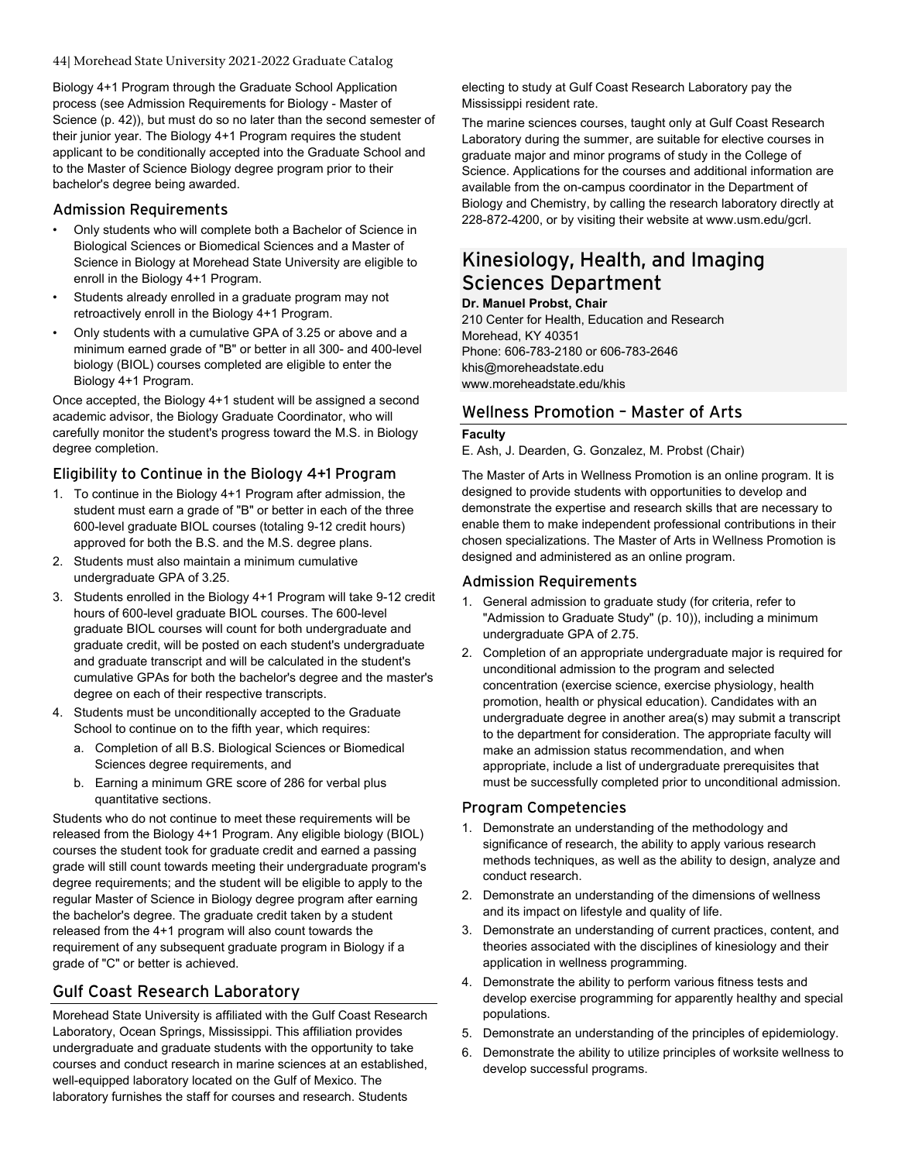Biology 4+1 Program through the Graduate School Application process (see Admission Requirements for Biology - Master of Science (p. 42)), but must do so no later than the second semester of their junior year. The Biology 4+1 Program requires the student applicant to be conditionally accepted into the Graduate School and to the Master of Science Biology degree program prior to their bachelor's degree being awarded.

#### Admission Requirements

- Only students who will complete both a Bachelor of Science in Biological Sciences or Biomedical Sciences and a Master of Science in Biology at Morehead State University are eligible to enroll in the Biology 4+1 Program.
- Students already enrolled in a graduate program may not retroactively enroll in the Biology 4+1 Program.
- Only students with a cumulative GPA of 3.25 or above and a minimum earned grade of "B" or better in all 300- and 400-level biology (BIOL) courses completed are eligible to enter the Biology 4+1 Program.

Once accepted, the Biology 4+1 student will be assigned a second academic advisor, the Biology Graduate Coordinator, who will carefully monitor the student's progress toward the M.S. in Biology degree completion.

#### Eligibility to Continue in the Biology 4+1 Program

- 1. To continue in the Biology 4+1 Program after admission, the student must earn a grade of "B" or better in each of the three 600-level graduate BIOL courses (totaling 9-12 credit hours) approved for both the B.S. and the M.S. degree plans.
- 2. Students must also maintain a minimum cumulative undergraduate GPA of 3.25.
- 3. Students enrolled in the Biology 4+1 Program will take 9-12 credit hours of 600-level graduate BIOL courses. The 600-level graduate BIOL courses will count for both undergraduate and graduate credit, will be posted on each student's undergraduate and graduate transcript and will be calculated in the student's cumulative GPAs for both the bachelor's degree and the master's degree on each of their respective transcripts.
- 4. Students must be unconditionally accepted to the Graduate School to continue on to the fifth year, which requires:
	- a. Completion of all B.S. Biological Sciences or Biomedical Sciences degree requirements, and
	- b. Earning a minimum GRE score of 286 for verbal plus quantitative sections.

Students who do not continue to meet these requirements will be released from the Biology 4+1 Program. Any eligible biology (BIOL) courses the student took for graduate credit and earned a passing grade will still count towards meeting their undergraduate program's degree requirements; and the student will be eligible to apply to the regular Master of Science in Biology degree program after earning the bachelor's degree. The graduate credit taken by a student released from the 4+1 program will also count towards the requirement of any subsequent graduate program in Biology if a grade of "C" or better is achieved.

## Gulf Coast Research Laboratory

Morehead State University is affiliated with the Gulf Coast Research Laboratory, Ocean Springs, Mississippi. This affiliation provides undergraduate and graduate students with the opportunity to take courses and conduct research in marine sciences at an established, well-equipped laboratory located on the Gulf of Mexico. The laboratory furnishes the staff for courses and research. Students

electing to study at Gulf Coast Research Laboratory pay the Mississippi resident rate.

The marine sciences courses, taught only at Gulf Coast Research Laboratory during the summer, are suitable for elective courses in graduate major and minor programs of study in the College of Science. Applications for the courses and additional information are available from the on-campus coordinator in the Department of Biology and Chemistry, by calling the research laboratory directly at 228-872-4200, or by visiting their website at www.usm.edu/gcrl.

## Kinesiology, Health, and Imaging Sciences Department

**Dr. Manuel Probst, Chair** 210 Center for Health, Education and Research Morehead, KY 40351 Phone: 606-783-2180 or 606-783-2646 khis@moreheadstate.edu www.moreheadstate.edu/khis

## Wellness Promotion – Master of Arts

#### **Faculty**

E. Ash, J. Dearden, G. Gonzalez, M. Probst (Chair)

The Master of Arts in Wellness Promotion is an online program. It is designed to provide students with opportunities to develop and demonstrate the expertise and research skills that are necessary to enable them to make independent professional contributions in their chosen specializations. The Master of Arts in Wellness Promotion is designed and administered as an online program.

#### Admission Requirements

- 1. General admission to graduate study (for criteria, refer to "Admission to Graduate Study" (p. 10)), including a minimum undergraduate GPA of 2.75.
- 2. Completion of an appropriate undergraduate major is required for unconditional admission to the program and selected concentration (exercise science, exercise physiology, health promotion, health or physical education). Candidates with an undergraduate degree in another area(s) may submit a transcript to the department for consideration. The appropriate faculty will make an admission status recommendation, and when appropriate, include a list of undergraduate prerequisites that must be successfully completed prior to unconditional admission.

#### Program Competencies

- 1. Demonstrate an understanding of the methodology and significance of research, the ability to apply various research methods techniques, as well as the ability to design, analyze and conduct research.
- 2. Demonstrate an understanding of the dimensions of wellness and its impact on lifestyle and quality of life.
- 3. Demonstrate an understanding of current practices, content, and theories associated with the disciplines of kinesiology and their application in wellness programming.
- 4. Demonstrate the ability to perform various fitness tests and develop exercise programming for apparently healthy and special populations.
- 5. Demonstrate an understanding of the principles of epidemiology.
- 6. Demonstrate the ability to utilize principles of worksite wellness to develop successful programs.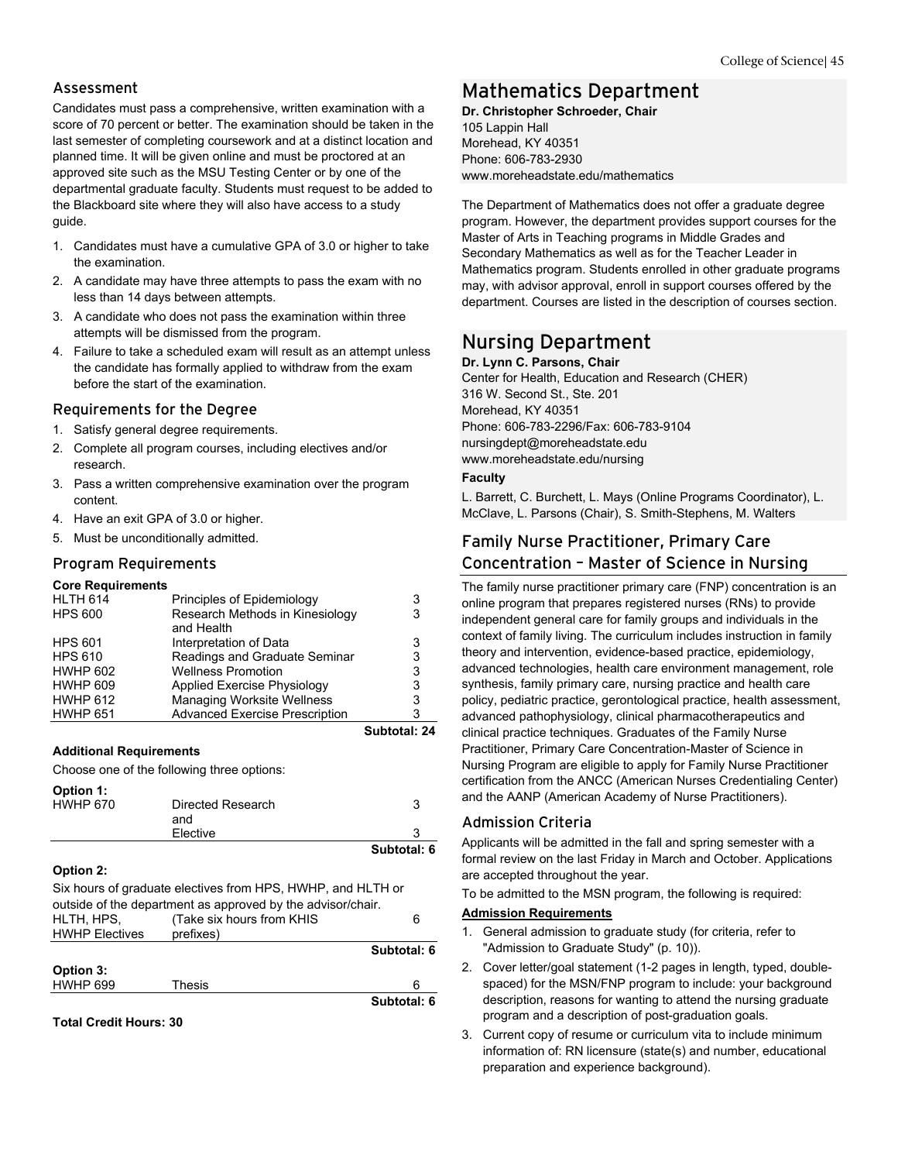#### Assessment

Candidates must pass a comprehensive, written examination with a score of 70 percent or better. The examination should be taken in the last semester of completing coursework and at a distinct location and planned time. It will be given online and must be proctored at an approved site such as the MSU Testing Center or by one of the departmental graduate faculty. Students must request to be added to the Blackboard site where they will also have access to a study guide.

- 1. Candidates must have a cumulative GPA of 3.0 or higher to take the examination.
- 2. A candidate may have three attempts to pass the exam with no less than 14 days between attempts.
- 3. A candidate who does not pass the examination within three attempts will be dismissed from the program.
- 4. Failure to take a scheduled exam will result as an attempt unless the candidate has formally applied to withdraw from the exam before the start of the examination.

#### Requirements for the Degree

- 1. Satisfy general degree requirements.
- 2. Complete all program courses, including electives and/or research.
- 3. Pass a written comprehensive examination over the program content.
- 4. Have an exit GPA of 3.0 or higher.
- 5. Must be unconditionally admitted.

#### Program Requirements

| <b>Core Requirements</b> |                                               |   |
|--------------------------|-----------------------------------------------|---|
| <b>HLTH 614</b>          | Principles of Epidemiology                    |   |
| <b>HPS 600</b>           | Research Methods in Kinesiology<br>and Health | 3 |
| <b>HPS 601</b>           | Interpretation of Data                        |   |
| <b>HPS 610</b>           | Readings and Graduate Seminar                 | 3 |
| <b>HWHP 602</b>          | <b>Wellness Promotion</b>                     | 3 |
| <b>HWHP 609</b>          | Applied Exercise Physiology                   | 3 |
| <b>HWHP 612</b>          | <b>Managing Worksite Wellness</b>             | 3 |
| <b>HWHP 651</b>          | <b>Advanced Exercise Prescription</b>         | 3 |

**Subtotal: 24** 

**Subtotal: 6** 

#### **Additional Requirements**

Choose one of the following three options:

|                 |                   | Subtotal: 6 |
|-----------------|-------------------|-------------|
|                 | Elective          |             |
|                 | and               |             |
| <b>HWHP 670</b> | Directed Research |             |
| Option 1:       |                   |             |

#### **Option 2:**

|                       | Six hours of graduate electives from HPS, HWHP, and HLTH or |             |
|-----------------------|-------------------------------------------------------------|-------------|
|                       | outside of the department as approved by the advisor/chair. |             |
| HLTH, HPS.            | (Take six hours from KHIS                                   | 6           |
| <b>HWHP Electives</b> | prefixes)                                                   |             |
|                       |                                                             | Subtotal: 6 |
| Option 3:             |                                                             |             |
| <b>HWHP 699</b>       | Thesis                                                      | 6           |

**Total Credit Hours: 30** 

## Mathematics Department

**Dr. Christopher Schroeder, Chair** 105 Lappin Hall Morehead, KY 40351 Phone: 606-783-2930 www.moreheadstate.edu/mathematics

The Department of Mathematics does not offer a graduate degree program. However, the department provides support courses for the Master of Arts in Teaching programs in Middle Grades and Secondary Mathematics as well as for the Teacher Leader in Mathematics program. Students enrolled in other graduate programs may, with advisor approval, enroll in support courses offered by the department. Courses are listed in the description of courses section.

## Nursing Department

#### **Dr. Lynn C. Parsons, Chair**

Center for Health, Education and Research (CHER) 316 W. Second St., Ste. 201 Morehead, KY 40351 Phone: 606-783-2296/Fax: 606-783-9104 nursingdept@moreheadstate.edu www.moreheadstate.edu/nursing

#### **Faculty**

L. Barrett, C. Burchett, L. Mays (Online Programs Coordinator), L. McClave, L. Parsons (Chair), S. Smith-Stephens, M. Walters

## Family Nurse Practitioner, Primary Care Concentration – Master of Science in Nursing

The family nurse practitioner primary care (FNP) concentration is an online program that prepares registered nurses (RNs) to provide independent general care for family groups and individuals in the context of family living. The curriculum includes instruction in family theory and intervention, evidence-based practice, epidemiology, advanced technologies, health care environment management, role synthesis, family primary care, nursing practice and health care policy, pediatric practice, gerontological practice, health assessment, advanced pathophysiology, clinical pharmacotherapeutics and clinical practice techniques. Graduates of the Family Nurse Practitioner, Primary Care Concentration-Master of Science in Nursing Program are eligible to apply for Family Nurse Practitioner certification from the ANCC (American Nurses Credentialing Center) and the AANP (American Academy of Nurse Practitioners).

#### Admission Criteria

Applicants will be admitted in the fall and spring semester with a formal review on the last Friday in March and October. Applications are accepted throughout the year.

To be admitted to the MSN program, the following is required:

#### **Admission Requirements**

- 1. General admission to graduate study (for criteria, refer to "Admission to Graduate Study" (p. 10)).
- 2. Cover letter/goal statement (1-2 pages in length, typed, doublespaced) for the MSN/FNP program to include: your background description, reasons for wanting to attend the nursing graduate program and a description of post-graduation goals.
- 3. Current copy of resume or curriculum vita to include minimum information of: RN licensure (state(s) and number, educational preparation and experience background).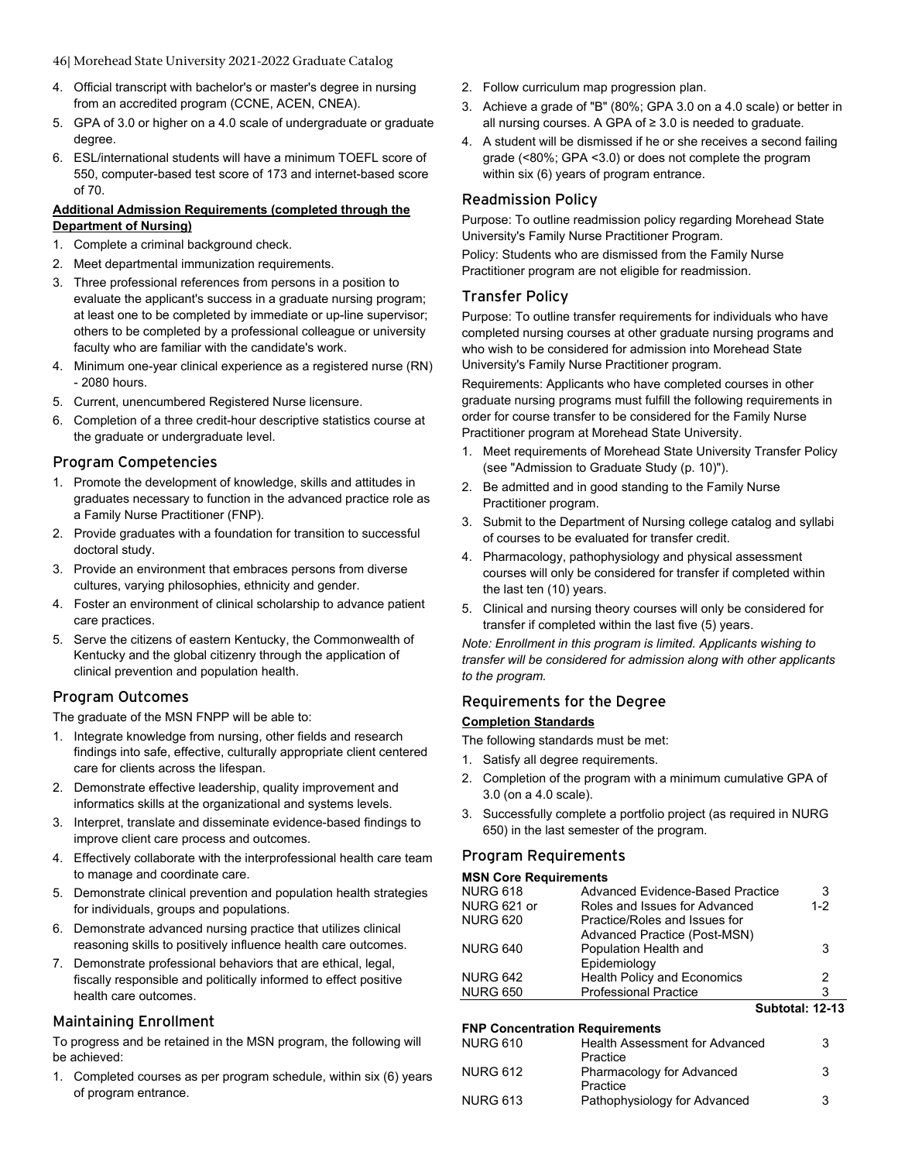- 4. Official transcript with bachelor's or master's degree in nursing from an accredited program (CCNE, ACEN, CNEA).
- 5. GPA of 3.0 or higher on a 4.0 scale of undergraduate or graduate degree.
- 6. ESL/international students will have a minimum TOEFL score of 550, computer-based test score of 173 and internet-based score of 70.

#### **Additional Admission Requirements (completed through the Department of Nursing)**

- 1. Complete a criminal background check.
- 2. Meet departmental immunization requirements.
- 3. Three professional references from persons in a position to evaluate the applicant's success in a graduate nursing program; at least one to be completed by immediate or up-line supervisor; others to be completed by a professional colleague or university faculty who are familiar with the candidate's work.
- 4. Minimum one-year clinical experience as a registered nurse (RN) - 2080 hours.
- 5. Current, unencumbered Registered Nurse licensure.
- 6. Completion of a three credit-hour descriptive statistics course at the graduate or undergraduate level.

#### Program Competencies

- 1. Promote the development of knowledge, skills and attitudes in graduates necessary to function in the advanced practice role as a Family Nurse Practitioner (FNP).
- 2. Provide graduates with a foundation for transition to successful doctoral study.
- 3. Provide an environment that embraces persons from diverse cultures, varying philosophies, ethnicity and gender.
- 4. Foster an environment of clinical scholarship to advance patient care practices.
- 5. Serve the citizens of eastern Kentucky, the Commonwealth of Kentucky and the global citizenry through the application of clinical prevention and population health.

#### Program Outcomes

The graduate of the MSN FNPP will be able to:

- 1. Integrate knowledge from nursing, other fields and research findings into safe, effective, culturally appropriate client centered care for clients across the lifespan.
- 2. Demonstrate effective leadership, quality improvement and informatics skills at the organizational and systems levels.
- 3. Interpret, translate and disseminate evidence-based findings to improve client care process and outcomes.
- 4. Effectively collaborate with the interprofessional health care team to manage and coordinate care.
- 5. Demonstrate clinical prevention and population health strategies for individuals, groups and populations.
- 6. Demonstrate advanced nursing practice that utilizes clinical reasoning skills to positively influence health care outcomes.
- 7. Demonstrate professional behaviors that are ethical, legal, fiscally responsible and politically informed to effect positive health care outcomes.

#### Maintaining Enrollment

To progress and be retained in the MSN program, the following will be achieved:

1. Completed courses as per program schedule, within six (6) years of program entrance.

- 2. Follow curriculum map progression plan.
- 3. Achieve a grade of "B" (80%; GPA 3.0 on a 4.0 scale) or better in all nursing courses. A GPA of  $\geq$  3.0 is needed to graduate.
- 4. A student will be dismissed if he or she receives a second failing grade (<80%; GPA <3.0) or does not complete the program within six (6) years of program entrance.

#### Readmission Policy

Purpose: To outline readmission policy regarding Morehead State University's Family Nurse Practitioner Program.

Policy: Students who are dismissed from the Family Nurse Practitioner program are not eligible for readmission.

#### Transfer Policy

Purpose: To outline transfer requirements for individuals who have completed nursing courses at other graduate nursing programs and who wish to be considered for admission into Morehead State University's Family Nurse Practitioner program.

Requirements: Applicants who have completed courses in other graduate nursing programs must fulfill the following requirements in order for course transfer to be considered for the Family Nurse Practitioner program at Morehead State University.

- 1. Meet requirements of Morehead State University Transfer Policy (see "Admission to Graduate Study (p. 10)").
- 2. Be admitted and in good standing to the Family Nurse Practitioner program.
- 3. Submit to the Department of Nursing college catalog and syllabi of courses to be evaluated for transfer credit.
- 4. Pharmacology, pathophysiology and physical assessment courses will only be considered for transfer if completed within the last ten (10) years.
- 5. Clinical and nursing theory courses will only be considered for transfer if completed within the last five (5) years.

*Note: Enrollment in this program is limited. Applicants wishing to transfer will be considered for admission along with other applicants to the program.*

## Requirements for the Degree

#### **Completion Standards**

The following standards must be met:

- 1. Satisfy all degree requirements.
- 2. Completion of the program with a minimum cumulative GPA of 3.0 (on a 4.0 scale).
- 3. Successfully complete a portfolio project (as required in NURG 650) in the last semester of the program.

#### Program Requirements

#### **MSN Core Requirements**

| <b>NURG 618</b> | Advanced Evidence-Based Practice   | 3       |
|-----------------|------------------------------------|---------|
| NURG 621 or     | Roles and Issues for Advanced      | $1 - 2$ |
| NURG 620        | Practice/Roles and Issues for      |         |
|                 | Advanced Practice (Post-MSN)       |         |
| NURG 640        | Population Health and              | 3       |
|                 | Epidemiology                       |         |
| <b>NURG 642</b> | <b>Health Policy and Economics</b> | 2       |
| NURG 650        | <b>Professional Practice</b>       | 3       |
|                 |                                    |         |

#### **Subtotal: 12-13**

#### **FNP Concentration Requirements**

| <u>I NI SUNGHINANUH KEYUHEMENIS</u> |                                |   |
|-------------------------------------|--------------------------------|---|
| <b>NURG 610</b>                     | Health Assessment for Advanced | 3 |
|                                     | Practice                       |   |
| <b>NURG 612</b>                     | Pharmacology for Advanced      | 3 |
|                                     | Practice                       |   |
| <b>NURG 613</b>                     | Pathophysiology for Advanced   | 3 |
|                                     |                                |   |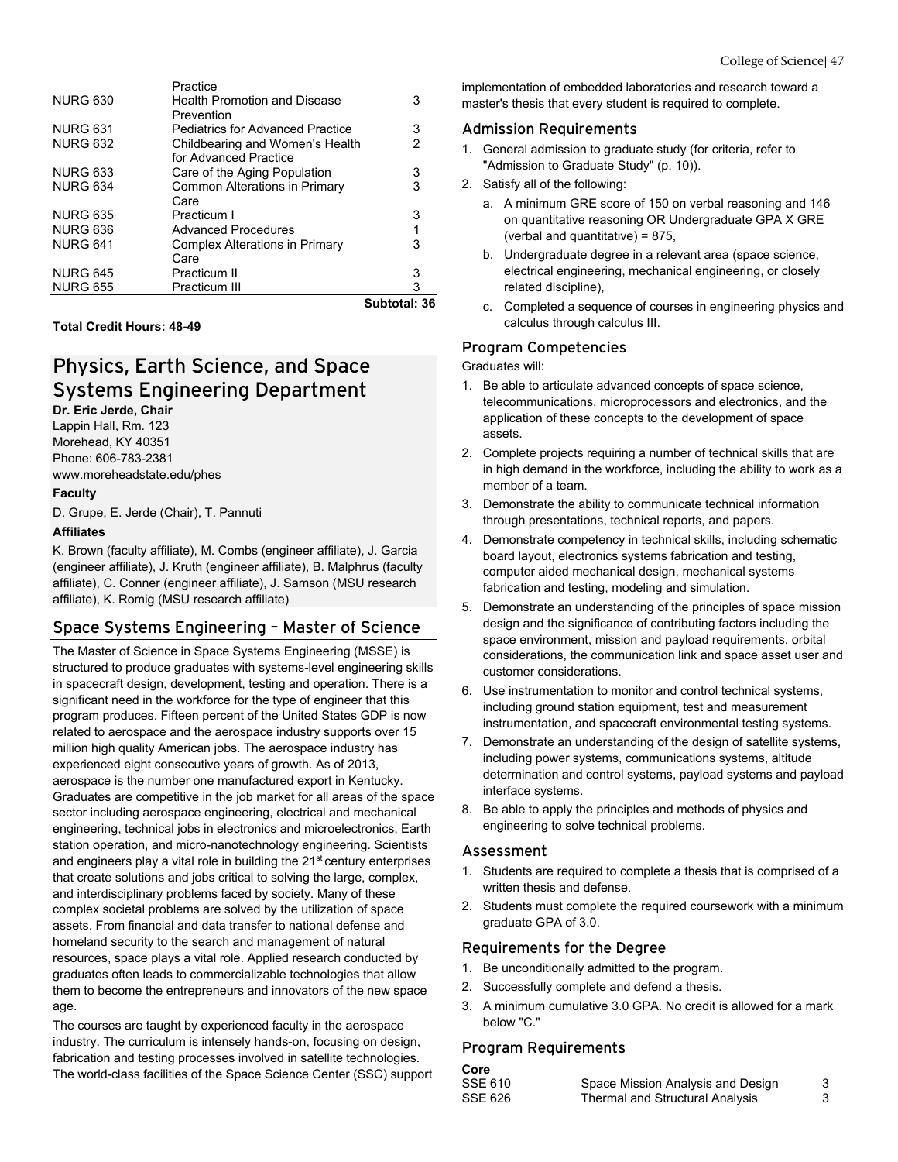|                 | Practice                                |   |
|-----------------|-----------------------------------------|---|
| <b>NURG 630</b> | <b>Health Promotion and Disease</b>     | 3 |
|                 | Prevention                              |   |
| <b>NURG 631</b> | <b>Pediatrics for Advanced Practice</b> | 3 |
| <b>NURG 632</b> | Childbearing and Women's Health         | 2 |
|                 | for Advanced Practice                   |   |
| <b>NURG 633</b> | Care of the Aging Population            | 3 |
| <b>NURG 634</b> | Common Alterations in Primary           | 3 |
|                 | Care                                    |   |
| <b>NURG 635</b> | Practicum I                             | 3 |
| <b>NURG 636</b> | <b>Advanced Procedures</b>              |   |
| <b>NURG 641</b> | <b>Complex Alterations in Primary</b>   | 3 |
|                 | Care                                    |   |
| <b>NURG 645</b> | Practicum II                            | 3 |
| <b>NURG 655</b> | Practicum III                           | 3 |
|                 |                                         |   |

**Subtotal: 36** 

#### **Total Credit Hours: 48-49**

## Physics, Earth Science, and Space Systems Engineering Department

**Dr. Eric Jerde, Chair** Lappin Hall, Rm. 123 Morehead, KY 40351 Phone: 606-783-2381 www.moreheadstate.edu/phes

#### **Faculty**

D. Grupe, E. Jerde (Chair), T. Pannuti

#### **Affiliates**

K. Brown (faculty affiliate), M. Combs (engineer affiliate), J. Garcia (engineer affiliate), J. Kruth (engineer affiliate), B. Malphrus (faculty affiliate), C. Conner (engineer affiliate), J. Samson (MSU research affiliate), K. Romig (MSU research affiliate)

## Space Systems Engineering – Master of Science

The Master of Science in Space Systems Engineering (MSSE) is structured to produce graduates with systems-level engineering skills in spacecraft design, development, testing and operation. There is a significant need in the workforce for the type of engineer that this program produces. Fifteen percent of the United States GDP is now related to aerospace and the aerospace industry supports over 15 million high quality American jobs. The aerospace industry has experienced eight consecutive years of growth. As of 2013, aerospace is the number one manufactured export in Kentucky. Graduates are competitive in the job market for all areas of the space sector including aerospace engineering, electrical and mechanical engineering, technical jobs in electronics and microelectronics, Earth station operation, and micro-nanotechnology engineering. Scientists and engineers play a vital role in building the 21<sup>st</sup> century enterprises that create solutions and jobs critical to solving the large, complex, and interdisciplinary problems faced by society. Many of these complex societal problems are solved by the utilization of space assets. From financial and data transfer to national defense and homeland security to the search and management of natural resources, space plays a vital role. Applied research conducted by graduates often leads to commercializable technologies that allow them to become the entrepreneurs and innovators of the new space age.

The courses are taught by experienced faculty in the aerospace industry. The curriculum is intensely hands-on, focusing on design, fabrication and testing processes involved in satellite technologies. The world-class facilities of the Space Science Center (SSC) support implementation of embedded laboratories and research toward a master's thesis that every student is required to complete.

#### Admission Requirements

- 1. General admission to graduate study (for criteria, refer to "Admission to Graduate Study" (p. 10)).
- 2. Satisfy all of the following:
	- a. A minimum GRE score of 150 on verbal reasoning and 146 on quantitative reasoning OR Undergraduate GPA X GRE (verbal and quantitative) = 875,
	- b. Undergraduate degree in a relevant area (space science, electrical engineering, mechanical engineering, or closely related discipline),
	- c. Completed a sequence of courses in engineering physics and calculus through calculus III.

#### Program Competencies

Graduates will:

- 1. Be able to articulate advanced concepts of space science, telecommunications, microprocessors and electronics, and the application of these concepts to the development of space assets.
- 2. Complete projects requiring a number of technical skills that are in high demand in the workforce, including the ability to work as a member of a team.
- 3. Demonstrate the ability to communicate technical information through presentations, technical reports, and papers.
- 4. Demonstrate competency in technical skills, including schematic board layout, electronics systems fabrication and testing, computer aided mechanical design, mechanical systems fabrication and testing, modeling and simulation.
- 5. Demonstrate an understanding of the principles of space mission design and the significance of contributing factors including the space environment, mission and payload requirements, orbital considerations, the communication link and space asset user and customer considerations.
- 6. Use instrumentation to monitor and control technical systems, including ground station equipment, test and measurement instrumentation, and spacecraft environmental testing systems.
- 7. Demonstrate an understanding of the design of satellite systems, including power systems, communications systems, altitude determination and control systems, payload systems and payload interface systems.
- 8. Be able to apply the principles and methods of physics and engineering to solve technical problems.

#### Assessment

- 1. Students are required to complete a thesis that is comprised of a written thesis and defense.
- 2. Students must complete the required coursework with a minimum graduate GPA of 3.0.

#### Requirements for the Degree

- 1. Be unconditionally admitted to the program.
- 2. Successfully complete and defend a thesis.
- 3. A minimum cumulative 3.0 GPA. No credit is allowed for a mark below "C."

#### Program Requirements

| Core    |                                        |  |
|---------|----------------------------------------|--|
| SSE 610 | Space Mission Analysis and Design      |  |
| SSE 626 | <b>Thermal and Structural Analysis</b> |  |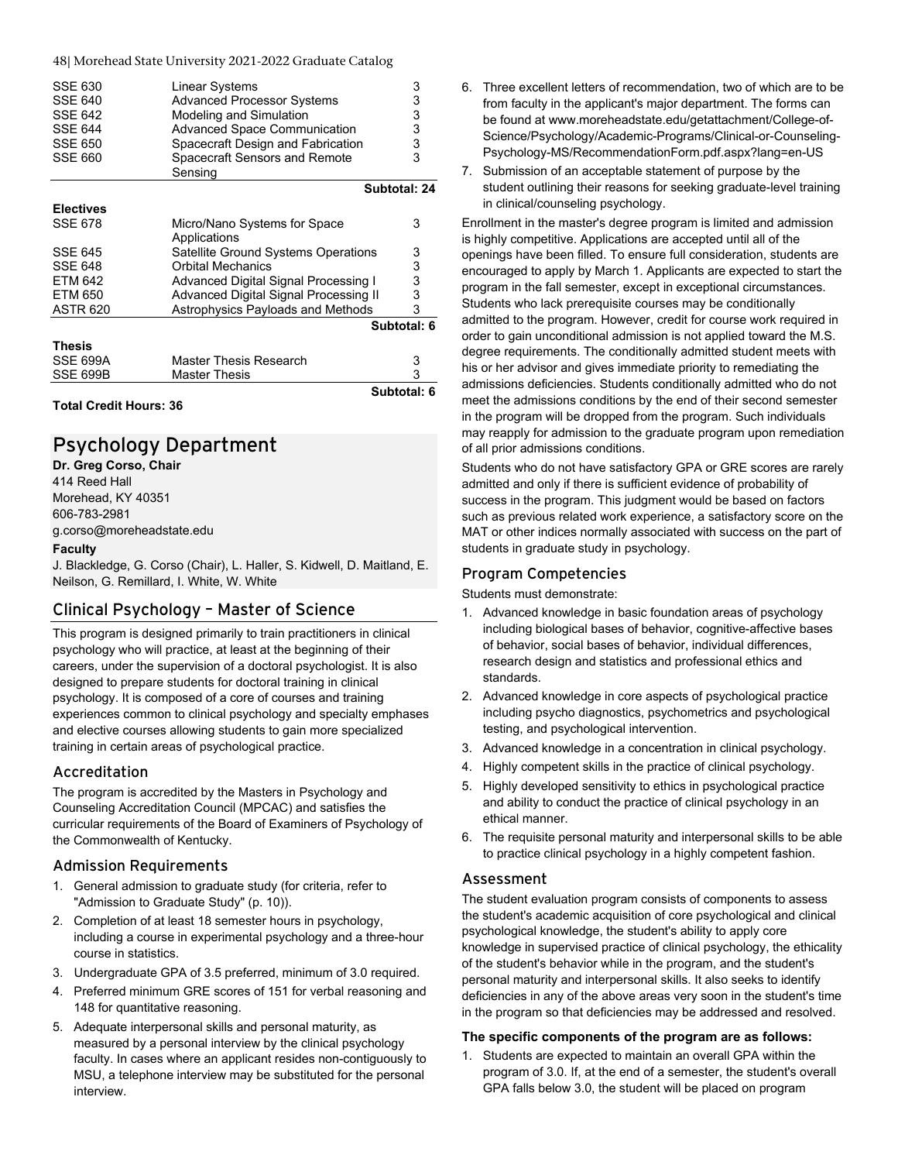| Spacecraft Sensors and Remote<br>3       |
|------------------------------------------|
| Spacecraft Design and Fabrication<br>3   |
| <b>Advanced Space Communication</b><br>3 |
| 3                                        |
| <b>Advanced Processor Systems</b><br>3   |
|                                          |
|                                          |

| <b>Electives</b> |                                              |             |
|------------------|----------------------------------------------|-------------|
| <b>SSE 678</b>   | Micro/Nano Systems for Space<br>Applications | 3           |
| <b>SSE 645</b>   | Satellite Ground Systems Operations          | 3           |
| <b>SSE 648</b>   | <b>Orbital Mechanics</b>                     | 3           |
| <b>ETM 642</b>   | Advanced Digital Signal Processing I         | 3           |
| <b>ETM 650</b>   | Advanced Digital Signal Processing II        | 3           |
| <b>ASTR 620</b>  | Astrophysics Payloads and Methods            | 3           |
|                  |                                              | Subtotal: 6 |
| <b>Thesis</b>    |                                              |             |
| <b>SSE 699A</b>  | Master Thesis Research                       | 3           |
| <b>SSE 699B</b>  | <b>Master Thesis</b>                         | 3           |

**Total Credit Hours: 36** 

## Psychology Department

**Dr. Greg Corso, Chair** 414 Reed Hall Morehead, KY 40351 606-783-2981 g.corso@moreheadstate.edu **Faculty**

#### J. Blackledge, G. Corso (Chair), L. Haller, S. Kidwell, D. Maitland, E. Neilson, G. Remillard, I. White, W. White

## Clinical Psychology – Master of Science

This program is designed primarily to train practitioners in clinical psychology who will practice, at least at the beginning of their careers, under the supervision of a doctoral psychologist. It is also designed to prepare students for doctoral training in clinical psychology. It is composed of a core of courses and training experiences common to clinical psychology and specialty emphases and elective courses allowing students to gain more specialized training in certain areas of psychological practice.

#### Accreditation

The program is accredited by the Masters in Psychology and Counseling Accreditation Council (MPCAC) and satisfies the curricular requirements of the Board of Examiners of Psychology of the Commonwealth of Kentucky.

#### Admission Requirements

- 1. General admission to graduate study (for criteria, refer to "Admission to Graduate Study" (p. 10)).
- 2. Completion of at least 18 semester hours in psychology, including a course in experimental psychology and a three-hour course in statistics.
- 3. Undergraduate GPA of 3.5 preferred, minimum of 3.0 required.
- 4. Preferred minimum GRE scores of 151 for verbal reasoning and 148 for quantitative reasoning.
- 5. Adequate interpersonal skills and personal maturity, as measured by a personal interview by the clinical psychology faculty. In cases where an applicant resides non-contiguously to MSU, a telephone interview may be substituted for the personal interview.
- 6. Three excellent letters of recommendation, two of which are to be from faculty in the applicant's major department. The forms can be found at www.moreheadstate.edu/getattachment/College-of-Science/Psychology/Academic-Programs/Clinical-or-Counseling-Psychology-MS/RecommendationForm.pdf.aspx?lang=en-US
- 7. Submission of an acceptable statement of purpose by the student outlining their reasons for seeking graduate-level training in clinical/counseling psychology.

Enrollment in the master's degree program is limited and admission is highly competitive. Applications are accepted until all of the openings have been filled. To ensure full consideration, students are encouraged to apply by March 1. Applicants are expected to start the program in the fall semester, except in exceptional circumstances. Students who lack prerequisite courses may be conditionally admitted to the program. However, credit for course work required in order to gain unconditional admission is not applied toward the M.S. degree requirements. The conditionally admitted student meets with his or her advisor and gives immediate priority to remediating the admissions deficiencies. Students conditionally admitted who do not meet the admissions conditions by the end of their second semester in the program will be dropped from the program. Such individuals may reapply for admission to the graduate program upon remediation of all prior admissions conditions.

Students who do not have satisfactory GPA or GRE scores are rarely admitted and only if there is sufficient evidence of probability of success in the program. This judgment would be based on factors such as previous related work experience, a satisfactory score on the MAT or other indices normally associated with success on the part of students in graduate study in psychology.

## Program Competencies

Students must demonstrate:

**Subtotal: 6** 

- 1. Advanced knowledge in basic foundation areas of psychology including biological bases of behavior, cognitive-affective bases of behavior, social bases of behavior, individual differences, research design and statistics and professional ethics and standards.
- 2. Advanced knowledge in core aspects of psychological practice including psycho diagnostics, psychometrics and psychological testing, and psychological intervention.
- 3. Advanced knowledge in a concentration in clinical psychology.
- 4. Highly competent skills in the practice of clinical psychology.
- 5. Highly developed sensitivity to ethics in psychological practice and ability to conduct the practice of clinical psychology in an ethical manner.
- 6. The requisite personal maturity and interpersonal skills to be able to practice clinical psychology in a highly competent fashion.

#### Assessment

The student evaluation program consists of components to assess the student's academic acquisition of core psychological and clinical psychological knowledge, the student's ability to apply core knowledge in supervised practice of clinical psychology, the ethicality of the student's behavior while in the program, and the student's personal maturity and interpersonal skills. It also seeks to identify deficiencies in any of the above areas very soon in the student's time in the program so that deficiencies may be addressed and resolved.

#### **The specific components of the program are as follows:**

1. Students are expected to maintain an overall GPA within the program of 3.0. If, at the end of a semester, the student's overall GPA falls below 3.0, the student will be placed on program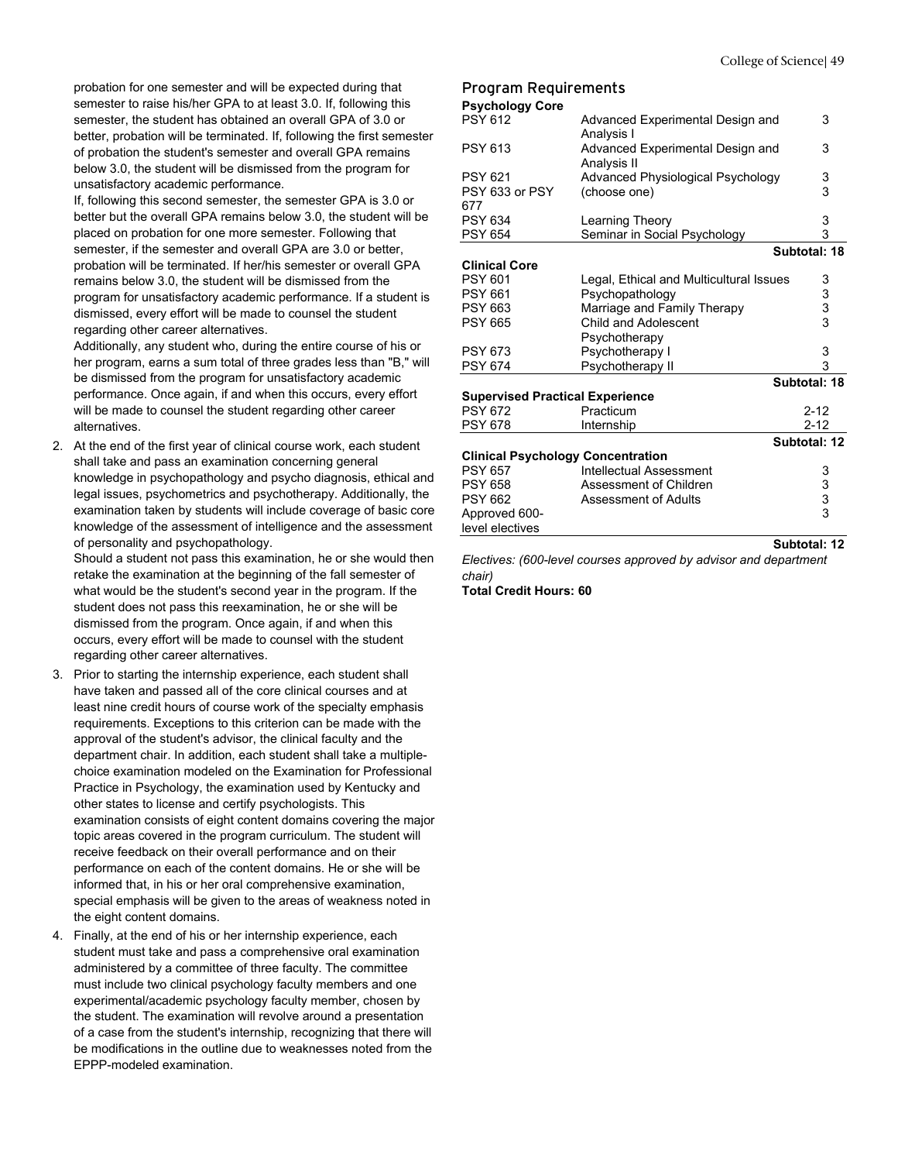probation for one semester and will be expected during that semester to raise his/her GPA to at least 3.0. If, following this semester, the student has obtained an overall GPA of 3.0 or better, probation will be terminated. If, following the first semester of probation the student's semester and overall GPA remains below 3.0, the student will be dismissed from the program for unsatisfactory academic performance.

If, following this second semester, the semester GPA is 3.0 or better but the overall GPA remains below 3.0, the student will be placed on probation for one more semester. Following that semester, if the semester and overall GPA are 3.0 or better, probation will be terminated. If her/his semester or overall GPA remains below 3.0, the student will be dismissed from the program for unsatisfactory academic performance. If a student is dismissed, every effort will be made to counsel the student regarding other career alternatives.

Additionally, any student who, during the entire course of his or her program, earns a sum total of three grades less than "B," will be dismissed from the program for unsatisfactory academic performance. Once again, if and when this occurs, every effort will be made to counsel the student regarding other career alternatives.

2. At the end of the first year of clinical course work, each student shall take and pass an examination concerning general knowledge in psychopathology and psycho diagnosis, ethical and legal issues, psychometrics and psychotherapy. Additionally, the examination taken by students will include coverage of basic core knowledge of the assessment of intelligence and the assessment of personality and psychopathology.

Should a student not pass this examination, he or she would then retake the examination at the beginning of the fall semester of what would be the student's second year in the program. If the student does not pass this reexamination, he or she will be dismissed from the program. Once again, if and when this occurs, every effort will be made to counsel with the student regarding other career alternatives.

- 3. Prior to starting the internship experience, each student shall have taken and passed all of the core clinical courses and at least nine credit hours of course work of the specialty emphasis requirements. Exceptions to this criterion can be made with the approval of the student's advisor, the clinical faculty and the department chair. In addition, each student shall take a multiplechoice examination modeled on the Examination for Professional Practice in Psychology, the examination used by Kentucky and other states to license and certify psychologists. This examination consists of eight content domains covering the major topic areas covered in the program curriculum. The student will receive feedback on their overall performance and on their performance on each of the content domains. He or she will be informed that, in his or her oral comprehensive examination, special emphasis will be given to the areas of weakness noted in the eight content domains.
- 4. Finally, at the end of his or her internship experience, each student must take and pass a comprehensive oral examination administered by a committee of three faculty. The committee must include two clinical psychology faculty members and one experimental/academic psychology faculty member, chosen by the student. The examination will revolve around a presentation of a case from the student's internship, recognizing that there will be modifications in the outline due to weaknesses noted from the EPPP-modeled examination.

|  | <b>Program Requirements</b> |
|--|-----------------------------|
|--|-----------------------------|

| <b>Psychology Core</b>                 |                                                 |                                            |
|----------------------------------------|-------------------------------------------------|--------------------------------------------|
| <b>PSY 612</b>                         | Advanced Experimental Design and<br>Analysis I  | 3                                          |
| PSY 613                                | Advanced Experimental Design and<br>Analysis II | 3                                          |
| PSY 621                                | Advanced Physiological Psychology               | 3                                          |
| PSY 633 or PSY<br>677                  | (choose one)                                    | 3                                          |
| PSY 634                                | Learning Theory                                 | 3                                          |
| PSY 654                                | Seminar in Social Psychology                    | 3                                          |
|                                        |                                                 | Subtotal: 18                               |
| <b>Clinical Core</b>                   |                                                 |                                            |
| PSY 601                                | Legal, Ethical and Multicultural Issues         |                                            |
| PSY 661                                | Psychopathology                                 | $\begin{array}{c} 3 \\ 3 \\ 3 \end{array}$ |
| PSY 663                                | Marriage and Family Therapy                     |                                            |
| PSY 665                                | Child and Adolescent                            |                                            |
|                                        | Psychotherapy                                   |                                            |
| PSY 673                                | Psychotherapy I                                 | 3                                          |
| PSY 674                                | Psychotherapy II                                | 3                                          |
|                                        |                                                 | Subtotal: 18                               |
| <b>Supervised Practical Experience</b> |                                                 |                                            |
| PSY 672                                | Practicum                                       | $2 - 12$                                   |
| PSY 678                                | Internship                                      | $2 - 12$                                   |
|                                        |                                                 | Subtotal: 12                               |
|                                        | <b>Clinical Psychology Concentration</b>        |                                            |
| PSY 657                                | Intellectual Assessment                         |                                            |
| PSY 658                                | Assessment of Children                          | $\begin{array}{c} 3 \\ 3 \\ 3 \end{array}$ |
| PSY 662                                | Assessment of Adults                            |                                            |
| Approved 600-                          |                                                 |                                            |
| level electives                        |                                                 |                                            |

**Subtotal: 12** 

*Electives: (600-level courses approved by advisor and department chair)*

**Total Credit Hours: 60**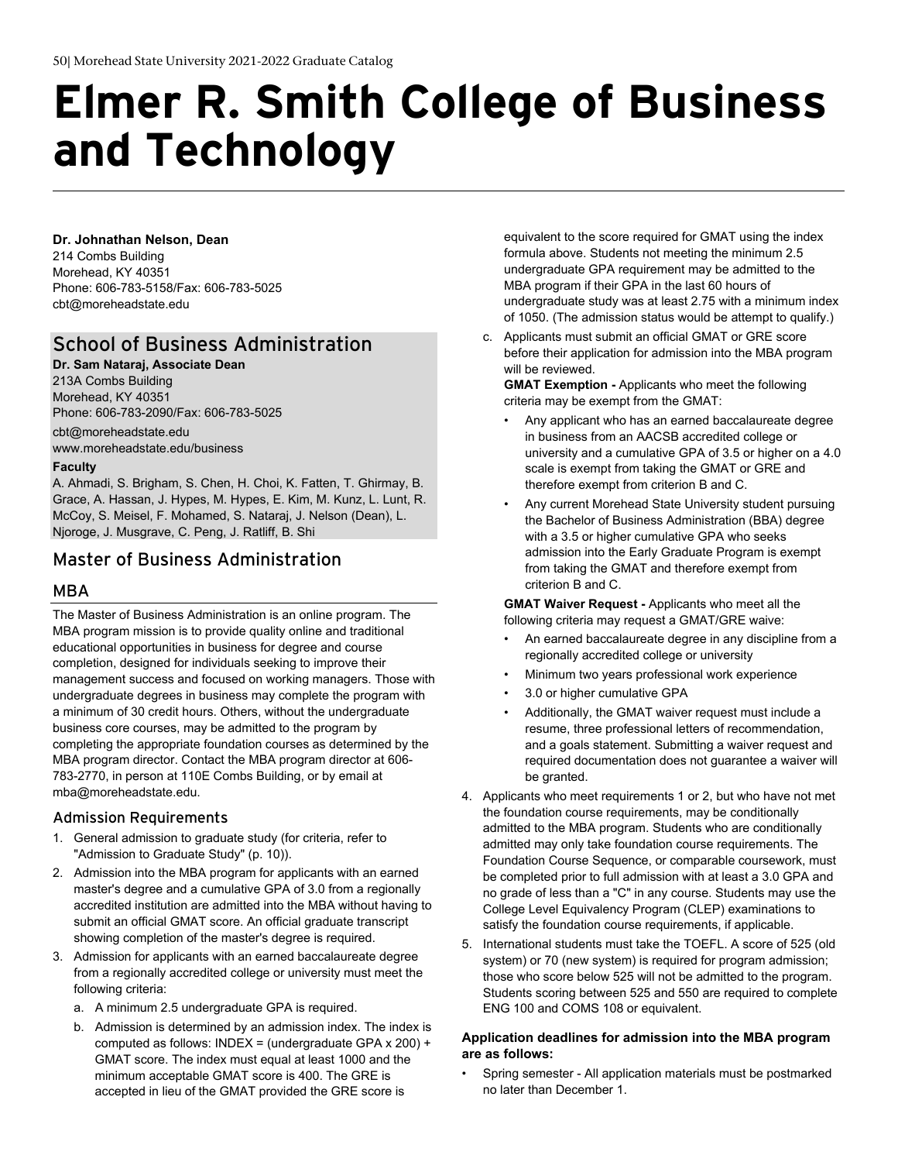## **Elmer R. Smith College of Business and Technology**

**Dr. Johnathan Nelson, Dean** 214 Combs Building Morehead, KY 40351 Phone: 606-783-5158/Fax: 606-783-5025 cbt@moreheadstate.edu

## School of Business Administration

**Dr. Sam Nataraj, Associate Dean** 213A Combs Building

Morehead, KY 40351 Phone: 606-783-2090/Fax: 606-783-5025

cbt@moreheadstate.edu www.moreheadstate.edu/business

#### **Faculty**

A. Ahmadi, S. Brigham, S. Chen, H. Choi, K. Fatten, T. Ghirmay, B. Grace, A. Hassan, J. Hypes, M. Hypes, E. Kim, M. Kunz, L. Lunt, R. McCoy, S. Meisel, F. Mohamed, S. Nataraj, J. Nelson (Dean), L. Njoroge, J. Musgrave, C. Peng, J. Ratliff, B. Shi

## Master of Business Administration

#### MBA

The Master of Business Administration is an online program. The MBA program mission is to provide quality online and traditional educational opportunities in business for degree and course completion, designed for individuals seeking to improve their management success and focused on working managers. Those with undergraduate degrees in business may complete the program with a minimum of 30 credit hours. Others, without the undergraduate business core courses, may be admitted to the program by completing the appropriate foundation courses as determined by the MBA program director. Contact the MBA program director at 606- 783-2770, in person at 110E Combs Building, or by email at mba@moreheadstate.edu.

#### Admission Requirements

- 1. General admission to graduate study (for criteria, refer to "Admission to Graduate Study" (p. 10)).
- 2. Admission into the MBA program for applicants with an earned master's degree and a cumulative GPA of 3.0 from a regionally accredited institution are admitted into the MBA without having to submit an official GMAT score. An official graduate transcript showing completion of the master's degree is required.
- 3. Admission for applicants with an earned baccalaureate degree from a regionally accredited college or university must meet the following criteria:
	- a. A minimum 2.5 undergraduate GPA is required.
	- b. Admission is determined by an admission index. The index is computed as follows: INDEX = (undergraduate GPA  $x$  200) + GMAT score. The index must equal at least 1000 and the minimum acceptable GMAT score is 400. The GRE is accepted in lieu of the GMAT provided the GRE score is

equivalent to the score required for GMAT using the index formula above. Students not meeting the minimum 2.5 undergraduate GPA requirement may be admitted to the MBA program if their GPA in the last 60 hours of undergraduate study was at least 2.75 with a minimum index of 1050. (The admission status would be attempt to qualify.)

c. Applicants must submit an official GMAT or GRE score before their application for admission into the MBA program will be reviewed.

**GMAT Exemption -** Applicants who meet the following criteria may be exempt from the GMAT:

- Any applicant who has an earned baccalaureate degree in business from an AACSB accredited college or university and a cumulative GPA of 3.5 or higher on a 4.0 scale is exempt from taking the GMAT or GRE and therefore exempt from criterion B and C.
- Any current Morehead State University student pursuing the Bachelor of Business Administration (BBA) degree with a 3.5 or higher cumulative GPA who seeks admission into the Early Graduate Program is exempt from taking the GMAT and therefore exempt from criterion B and C.

**GMAT Waiver Request -** Applicants who meet all the following criteria may request a GMAT/GRE waive:

- An earned baccalaureate degree in any discipline from a regionally accredited college or university
- Minimum two years professional work experience
- 3.0 or higher cumulative GPA
- Additionally, the GMAT waiver request must include a resume, three professional letters of recommendation, and a goals statement. Submitting a waiver request and required documentation does not guarantee a waiver will be granted.
- 4. Applicants who meet requirements 1 or 2, but who have not met the foundation course requirements, may be conditionally admitted to the MBA program. Students who are conditionally admitted may only take foundation course requirements. The Foundation Course Sequence, or comparable coursework, must be completed prior to full admission with at least a 3.0 GPA and no grade of less than a "C" in any course. Students may use the College Level Equivalency Program (CLEP) examinations to satisfy the foundation course requirements, if applicable.
- 5. International students must take the TOEFL. A score of 525 (old system) or 70 (new system) is required for program admission; those who score below 525 will not be admitted to the program. Students scoring between 525 and 550 are required to complete ENG 100 and COMS 108 or equivalent.

#### **Application deadlines for admission into the MBA program are as follows:**

• Spring semester - All application materials must be postmarked no later than December 1.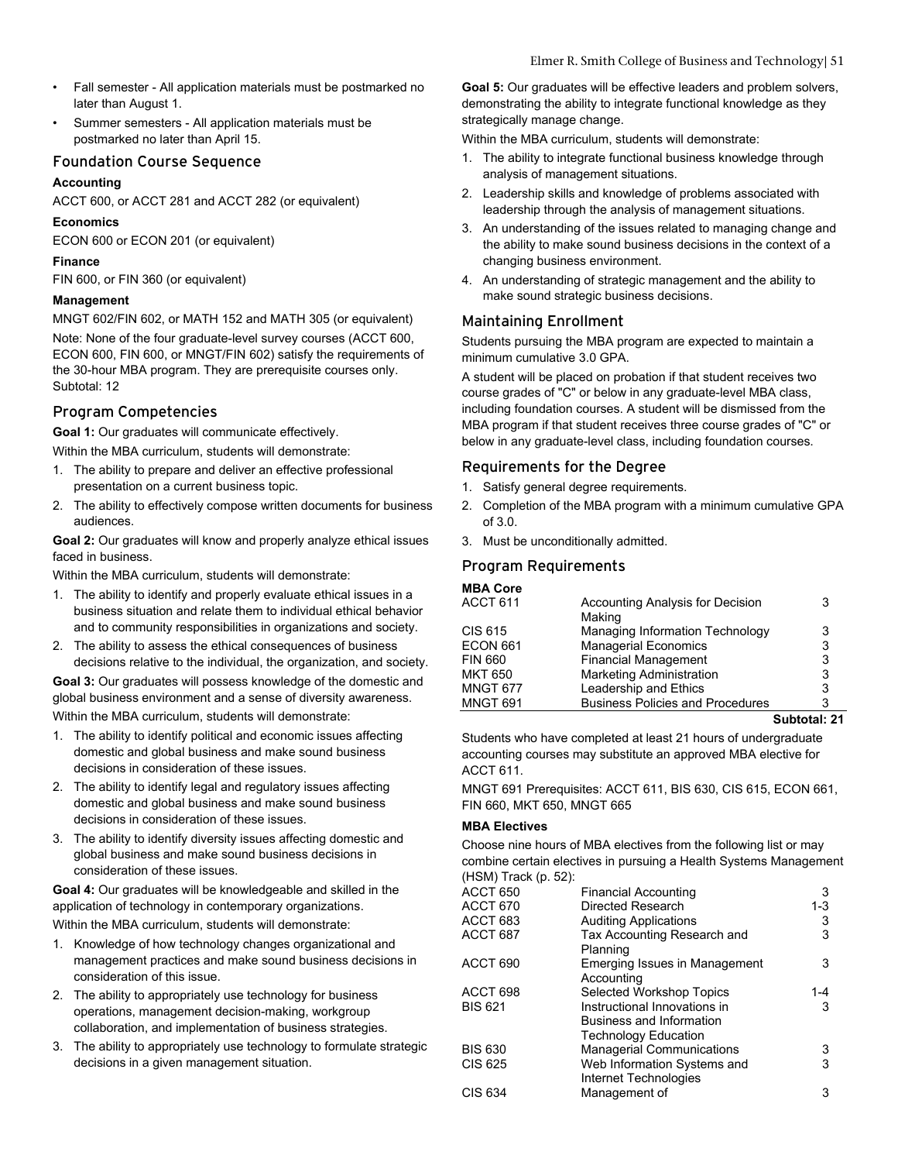- Fall semester All application materials must be postmarked no later than August 1.
- Summer semesters All application materials must be postmarked no later than April 15.

#### Foundation Course Sequence

#### **Accounting**

ACCT 600, or ACCT 281 and ACCT 282 (or equivalent)

#### **Economics**

ECON 600 or ECON 201 (or equivalent)

#### **Finance**

FIN 600, or FIN 360 (or equivalent)

#### **Management**

MNGT 602/FIN 602, or MATH 152 and MATH 305 (or equivalent) Note: None of the four graduate-level survey courses (ACCT 600, ECON 600, FIN 600, or MNGT/FIN 602) satisfy the requirements of the 30-hour MBA program. They are prerequisite courses only. Subtotal: 12

#### Program Competencies

**Goal 1:** Our graduates will communicate effectively.

Within the MBA curriculum, students will demonstrate:

- 1. The ability to prepare and deliver an effective professional presentation on a current business topic.
- 2. The ability to effectively compose written documents for business audiences.

**Goal 2:** Our graduates will know and properly analyze ethical issues faced in business.

Within the MBA curriculum, students will demonstrate:

- 1. The ability to identify and properly evaluate ethical issues in a business situation and relate them to individual ethical behavior and to community responsibilities in organizations and society.
- 2. The ability to assess the ethical consequences of business decisions relative to the individual, the organization, and society.

**Goal 3:** Our graduates will possess knowledge of the domestic and global business environment and a sense of diversity awareness. Within the MBA curriculum, students will demonstrate:

- 1. The ability to identify political and economic issues affecting domestic and global business and make sound business decisions in consideration of these issues.
- 2. The ability to identify legal and regulatory issues affecting domestic and global business and make sound business decisions in consideration of these issues.
- 3. The ability to identify diversity issues affecting domestic and global business and make sound business decisions in consideration of these issues.

**Goal 4:** Our graduates will be knowledgeable and skilled in the application of technology in contemporary organizations.

Within the MBA curriculum, students will demonstrate:

- 1. Knowledge of how technology changes organizational and management practices and make sound business decisions in consideration of this issue.
- 2. The ability to appropriately use technology for business operations, management decision-making, workgroup collaboration, and implementation of business strategies.
- 3. The ability to appropriately use technology to formulate strategic decisions in a given management situation.

**Goal 5:** Our graduates will be effective leaders and problem solvers, demonstrating the ability to integrate functional knowledge as they strategically manage change.

Within the MBA curriculum, students will demonstrate:

- 1. The ability to integrate functional business knowledge through analysis of management situations.
- 2. Leadership skills and knowledge of problems associated with leadership through the analysis of management situations.
- 3. An understanding of the issues related to managing change and the ability to make sound business decisions in the context of a changing business environment.
- 4. An understanding of strategic management and the ability to make sound strategic business decisions.

#### Maintaining Enrollment

Students pursuing the MBA program are expected to maintain a minimum cumulative 3.0 GPA.

A student will be placed on probation if that student receives two course grades of "C" or below in any graduate-level MBA class, including foundation courses. A student will be dismissed from the MBA program if that student receives three course grades of "C" or below in any graduate-level class, including foundation courses.

#### Requirements for the Degree

- 1. Satisfy general degree requirements.
- 2. Completion of the MBA program with a minimum cumulative GPA of 3.0.
- 3. Must be unconditionally admitted.

#### Program Requirements

| <b>MBA Core</b> |                                         |   |
|-----------------|-----------------------------------------|---|
| ACCT 611        | Accounting Analysis for Decision        | 3 |
|                 | Making                                  |   |
| CIS 615         | Managing Information Technology         | 3 |
| <b>ECON 661</b> | <b>Managerial Economics</b>             | 3 |
| <b>FIN 660</b>  | <b>Financial Management</b>             | 3 |
| <b>MKT 650</b>  | Marketing Administration                | 3 |
| <b>MNGT 677</b> | Leadership and Ethics                   | 3 |
| <b>MNGT 691</b> | <b>Business Policies and Procedures</b> |   |
|                 |                                         |   |

**Subtotal: 21** 

Students who have completed at least 21 hours of undergraduate accounting courses may substitute an approved MBA elective for ACCT 611.

MNGT 691 Prerequisites: ACCT 611, BIS 630, CIS 615, ECON 661, FIN 660, MKT 650, MNGT 665

#### **MBA Electives**

Choose nine hours of MBA electives from the following list or may combine certain electives in pursuing a Health Systems Management  $(HSM)$  Track (p. 52):

| ACCT 650       | <b>Financial Accounting</b>                                                                    | 3       |
|----------------|------------------------------------------------------------------------------------------------|---------|
| ACCT 670       | Directed Research                                                                              | $1 - 3$ |
| ACCT 683       | <b>Auditing Applications</b>                                                                   | 3       |
| ACCT 687       | Tax Accounting Research and<br>Planning                                                        | 3       |
| ACCT 690       | Emerging Issues in Management<br>Accounting                                                    | 3       |
| ACCT 698       | Selected Workshop Topics                                                                       | $1 - 4$ |
| <b>BIS 621</b> | Instructional Innovations in<br><b>Business and Information</b><br><b>Technology Education</b> | 3       |
| <b>BIS 630</b> | <b>Managerial Communications</b>                                                               | 3       |
| CIS 625        | Web Information Systems and<br>Internet Technologies                                           | 3       |
| CIS 634        | Management of                                                                                  | 3       |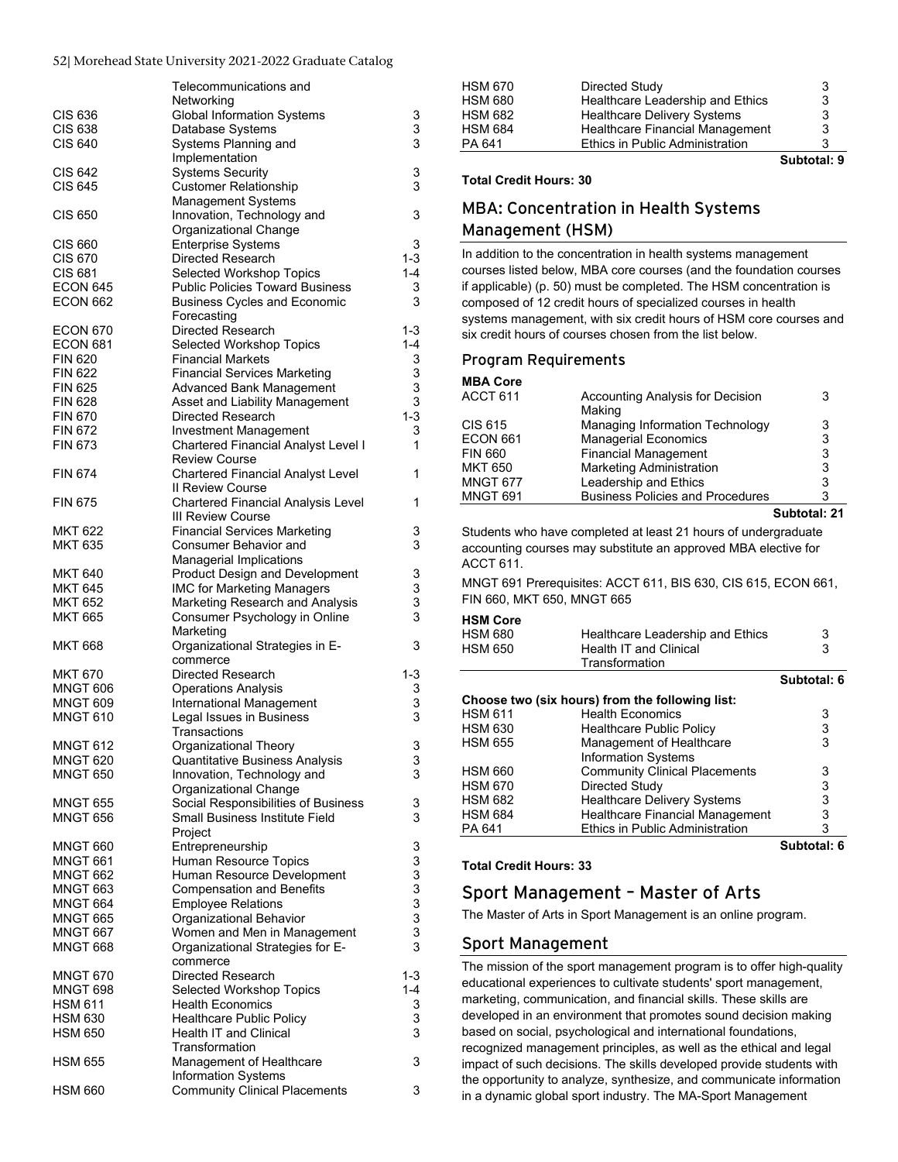|                 | Telecommunications and                     |                                                |
|-----------------|--------------------------------------------|------------------------------------------------|
|                 | Networking                                 |                                                |
| CIS 636         | Global Information Systems                 | 3                                              |
| CIS 638         | Database Systems                           | 3                                              |
| CIS 640         | Systems Planning and                       | 3                                              |
|                 | Implementation                             |                                                |
| CIS 642         | <b>Systems Security</b>                    | 3                                              |
| CIS 645         | <b>Customer Relationship</b>               | 3                                              |
|                 | Management Systems                         |                                                |
| CIS 650         | Innovation, Technology and                 | 3                                              |
|                 | Organizational Change                      |                                                |
| CIS 660         | <b>Enterprise Systems</b>                  | 3                                              |
| <b>CIS 670</b>  | Directed Research                          | 1-3                                            |
| CIS 681         | Selected Workshop Topics                   | 1-4                                            |
| ECON 645        | <b>Public Policies Toward Business</b>     | 3                                              |
| ECON 662        | <b>Business Cycles and Economic</b>        | 3                                              |
|                 | Forecasting                                |                                                |
| ECON 670        | Directed Research                          | 1-3                                            |
| ECON 681        | Selected Workshop Topics                   | 1-4                                            |
| <b>FIN 620</b>  | <b>Financial Markets</b>                   | 3                                              |
| <b>FIN 622</b>  | <b>Financial Services Marketing</b>        | 3                                              |
| <b>FIN 625</b>  |                                            |                                                |
|                 | Advanced Bank Management                   | $\frac{3}{3}$                                  |
| <b>FIN 628</b>  | Asset and Liability Management             |                                                |
| <b>FIN 670</b>  | Directed Research                          | $1 - 3$                                        |
| <b>FIN 672</b>  | Investment Management                      | 3                                              |
| <b>FIN 673</b>  | <b>Chartered Financial Analyst Level I</b> | 1                                              |
|                 | <b>Review Course</b>                       |                                                |
| FIN 674         | <b>Chartered Financial Analyst Level</b>   | 1                                              |
|                 | II Review Course                           |                                                |
| <b>FIN 675</b>  | <b>Chartered Financial Analysis Level</b>  | 1                                              |
|                 | III Review Course                          |                                                |
| <b>MKT 622</b>  | <b>Financial Services Marketing</b>        | 3                                              |
| MKT 635         | Consumer Behavior and                      | 3                                              |
|                 | <b>Managerial Implications</b>             |                                                |
| MKT 640         | <b>Product Design and Development</b>      | 3                                              |
| MKT 645         | <b>IMC for Marketing Managers</b>          | 3                                              |
| MKT 652         | Marketing Research and Analysis            | 3                                              |
| <b>MKT 665</b>  | Consumer Psychology in Online              | 3                                              |
|                 | Marketing                                  |                                                |
| <b>MKT 668</b>  | Organizational Strategies in E-            | 3                                              |
|                 | commerce                                   |                                                |
| <b>MKT 670</b>  | Directed Research                          | 1-3                                            |
| <b>MNGT 606</b> | <b>Operations Analysis</b>                 | 3                                              |
| <b>MNGT 609</b> | International Management                   | 3                                              |
| <b>MNGT 610</b> | Legal Issues in Business                   | 3                                              |
|                 |                                            |                                                |
| <b>MNGT 612</b> | Transactions                               |                                                |
|                 | Organizational Theory                      | 3                                              |
| <b>MNGT 620</b> | Quantitative Business Analysis             | 3                                              |
| <b>MNGT 650</b> | Innovation, Technology and                 | 3                                              |
|                 | Organizational Change                      |                                                |
| MNGT 655        | Social Responsibilities of Business        | 3                                              |
| <b>MNGT 656</b> | Small Business Institute Field             | 3                                              |
|                 | Project                                    |                                                |
| <b>MNGT 660</b> | Entrepreneurship                           | 3                                              |
| <b>MNGT 661</b> | Human Resource Topics                      |                                                |
| <b>MNGT 662</b> | Human Resource Development                 |                                                |
| <b>MNGT 663</b> | <b>Compensation and Benefits</b>           |                                                |
| <b>MNGT 664</b> | <b>Employee Relations</b>                  |                                                |
| <b>MNGT 665</b> | Organizational Behavior                    | $\begin{array}{c}\n33 \\ 33 \\ 3\n\end{array}$ |
| MNGT 667        | Women and Men in Management                |                                                |
| <b>MNGT 668</b> | Organizational Strategies for E-           | 3                                              |
|                 | commerce                                   |                                                |
| <b>MNGT 670</b> | Directed Research                          | 1-3                                            |
| <b>MNGT 698</b> | <b>Selected Workshop Topics</b>            | 1-4                                            |
| <b>HSM 611</b>  | <b>Health Economics</b>                    | 3                                              |
| <b>HSM 630</b>  | <b>Healthcare Public Policy</b>            | 3                                              |
| HSM 650         | <b>Health IT and Clinical</b>              | 3                                              |
|                 | Transformation                             |                                                |
| <b>HSM 655</b>  | Management of Healthcare                   | 3                                              |
|                 | <b>Information Systems</b>                 |                                                |
| <b>HSM 660</b>  | <b>Community Clinical Placements</b>       | 3                                              |

|                |                                    | Subtotal: 9 |
|----------------|------------------------------------|-------------|
| PA 641         | Ethics in Public Administration    |             |
| <b>HSM 684</b> | Healthcare Financial Management    | 3           |
| <b>HSM 682</b> | <b>Healthcare Delivery Systems</b> |             |
| <b>HSM 680</b> | Healthcare Leadership and Ethics   | 3           |
| <b>HSM 670</b> | <b>Directed Study</b>              |             |

**Total Credit Hours: 30** 

## MBA: Concentration in Health Systems Management (HSM)

In addition to the concentration in health systems management courses listed below, MBA core courses (and the foundation courses if applicable) (p. 50) must be completed. The HSM concentration is composed of 12 credit hours of specialized courses in health systems management, with six credit hours of HSM core courses and six credit hours of courses chosen from the list below.

#### Program Requirements

| <b>MBA Core</b>     |                                         |   |
|---------------------|-----------------------------------------|---|
| ACCT <sub>611</sub> | Accounting Analysis for Decision        | 3 |
|                     | Making                                  |   |
| CIS 615             | Managing Information Technology         | 3 |
| <b>ECON 661</b>     | <b>Managerial Economics</b>             | 3 |
| <b>FIN 660</b>      | <b>Financial Management</b>             | 3 |
| <b>MKT 650</b>      | Marketing Administration                | 3 |
| <b>MNGT 677</b>     | Leadership and Ethics                   | 3 |
| <b>MNGT 691</b>     | <b>Business Policies and Procedures</b> | 3 |
|                     |                                         |   |

**Subtotal: 21** 

Students who have completed at least 21 hours of undergraduate accounting courses may substitute an approved MBA elective for ACCT 611.

MNGT 691 Prerequisites: ACCT 611, BIS 630, CIS 615, ECON 661, FIN 660, MKT 650, MNGT 665

#### **HSM Core**

| пэм соге       |                                                 |             |
|----------------|-------------------------------------------------|-------------|
| <b>HSM 680</b> | Healthcare Leadership and Ethics                | 3           |
| <b>HSM 650</b> | <b>Health IT and Clinical</b>                   | 3           |
|                | Transformation                                  |             |
|                |                                                 | Subtotal: 6 |
|                | Choose two (six hours) from the following list: |             |
| <b>HSM 611</b> | <b>Health Economics</b>                         | 3           |
| <b>HSM 630</b> | Healthcare Public Policy                        | 3           |
| <b>HSM 655</b> | Management of Healthcare                        | 3           |
|                | <b>Information Systems</b>                      |             |
| <b>HSM 660</b> | <b>Community Clinical Placements</b>            | 3           |
| <b>HSM 670</b> | Directed Study                                  | 3           |
| <b>HSM 682</b> | <b>Healthcare Delivery Systems</b>              | 3           |
| <b>HSM 684</b> | Healthcare Financial Management                 | 3           |
| PA 641         | <b>Ethics in Public Administration</b>          | 3           |

**Subtotal: 6** 

#### **Total Credit Hours: 33**

## Sport Management – Master of Arts

The Master of Arts in Sport Management is an online program.

#### Sport Management

The mission of the sport management program is to offer high-quality educational experiences to cultivate students' sport management, marketing, communication, and financial skills. These skills are developed in an environment that promotes sound decision making based on social, psychological and international foundations, recognized management principles, as well as the ethical and legal impact of such decisions. The skills developed provide students with the opportunity to analyze, synthesize, and communicate information in a dynamic global sport industry. The MA-Sport Management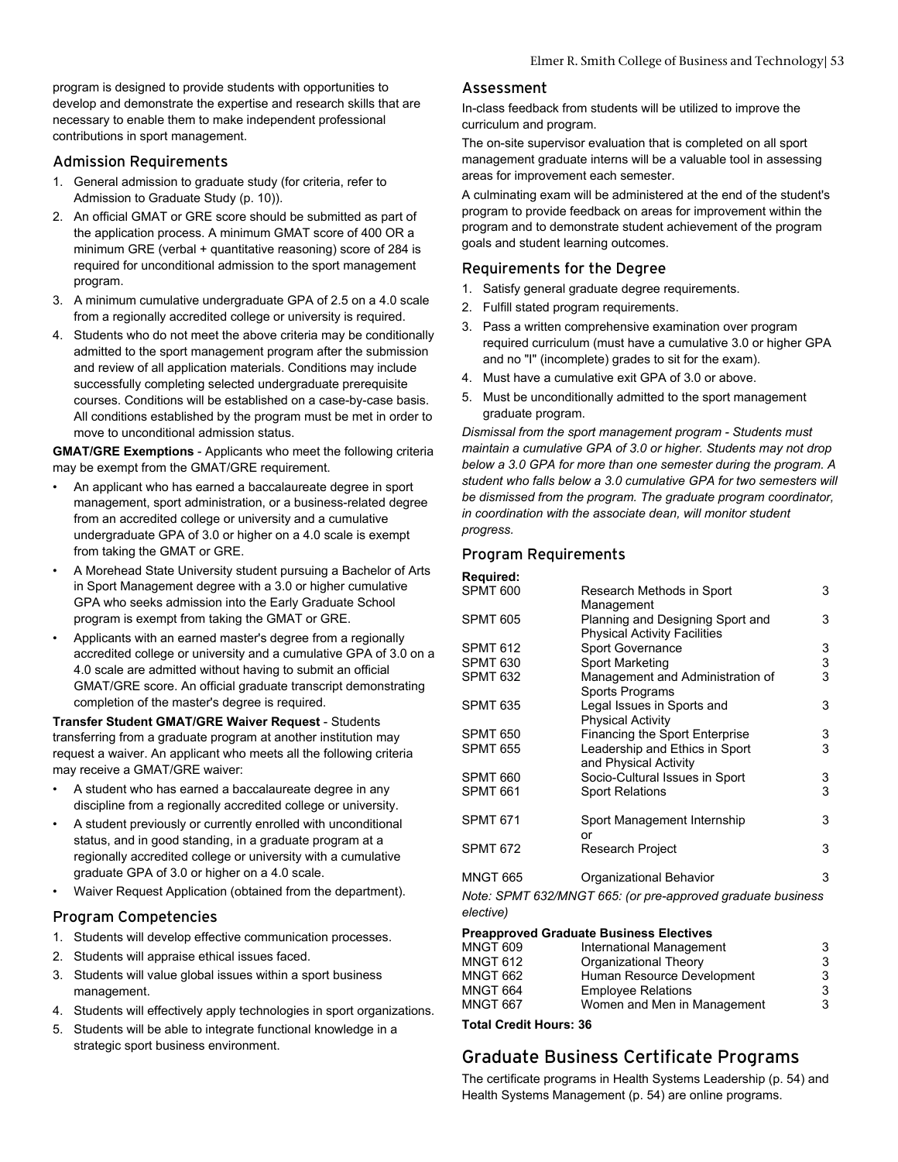program is designed to provide students with opportunities to develop and demonstrate the expertise and research skills that are necessary to enable them to make independent professional contributions in sport management.

#### Admission Requirements

- 1. General admission to graduate study (for criteria, refer to Admission to Graduate Study (p. 10)).
- 2. An official GMAT or GRE score should be submitted as part of the application process. A minimum GMAT score of 400 OR a minimum GRE (verbal + quantitative reasoning) score of 284 is required for unconditional admission to the sport management program.
- 3. A minimum cumulative undergraduate GPA of 2.5 on a 4.0 scale from a regionally accredited college or university is required.
- 4. Students who do not meet the above criteria may be conditionally admitted to the sport management program after the submission and review of all application materials. Conditions may include successfully completing selected undergraduate prerequisite courses. Conditions will be established on a case-by-case basis. All conditions established by the program must be met in order to move to unconditional admission status.

**GMAT/GRE Exemptions** - Applicants who meet the following criteria may be exempt from the GMAT/GRE requirement.

- An applicant who has earned a baccalaureate degree in sport management, sport administration, or a business-related degree from an accredited college or university and a cumulative undergraduate GPA of 3.0 or higher on a 4.0 scale is exempt from taking the GMAT or GRE.
- A Morehead State University student pursuing a Bachelor of Arts in Sport Management degree with a 3.0 or higher cumulative GPA who seeks admission into the Early Graduate School program is exempt from taking the GMAT or GRE.
- Applicants with an earned master's degree from a regionally accredited college or university and a cumulative GPA of 3.0 on a 4.0 scale are admitted without having to submit an official GMAT/GRE score. An official graduate transcript demonstrating completion of the master's degree is required.

**Transfer Student GMAT/GRE Waiver Request** - Students transferring from a graduate program at another institution may request a waiver. An applicant who meets all the following criteria may receive a GMAT/GRE waiver:

- A student who has earned a baccalaureate degree in any discipline from a regionally accredited college or university.
- A student previously or currently enrolled with unconditional status, and in good standing, in a graduate program at a regionally accredited college or university with a cumulative graduate GPA of 3.0 or higher on a 4.0 scale.
- Waiver Request Application (obtained from the department).

#### Program Competencies

- 1. Students will develop effective communication processes.
- 2. Students will appraise ethical issues faced.
- 3. Students will value global issues within a sport business management.
- 4. Students will effectively apply technologies in sport organizations.
- 5. Students will be able to integrate functional knowledge in a strategic sport business environment.

#### Assessment

In-class feedback from students will be utilized to improve the curriculum and program.

The on-site supervisor evaluation that is completed on all sport management graduate interns will be a valuable tool in assessing areas for improvement each semester.

A culminating exam will be administered at the end of the student's program to provide feedback on areas for improvement within the program and to demonstrate student achievement of the program goals and student learning outcomes.

#### Requirements for the Degree

- 1. Satisfy general graduate degree requirements.
- 2. Fulfill stated program requirements.
- 3. Pass a written comprehensive examination over program required curriculum (must have a cumulative 3.0 or higher GPA and no "I" (incomplete) grades to sit for the exam).
- 4. Must have a cumulative exit GPA of 3.0 or above.
- 5. Must be unconditionally admitted to the sport management graduate program.

*Dismissal from the sport management program - Students must maintain a cumulative GPA of 3.0 or higher. Students may not drop below a 3.0 GPA for more than one semester during the program. A student who falls below a 3.0 cumulative GPA for two semesters will be dismissed from the program. The graduate program coordinator, in coordination with the associate dean, will monitor student progress.* 

#### Program Requirements

| <b>Required:</b>    |                                                             |   |
|---------------------|-------------------------------------------------------------|---|
| <b>SPMT 600</b>     | Research Methods in Sport                                   | 3 |
|                     | Management                                                  |   |
| <b>SPMT 605</b>     | Planning and Designing Sport and                            | 3 |
|                     | <b>Physical Activity Facilities</b>                         |   |
| <b>SPMT 612</b>     | Sport Governance                                            | 3 |
| <b>SPMT 630</b>     | <b>Sport Marketing</b>                                      | 3 |
| <b>SPMT 632</b>     | Management and Administration of                            | 3 |
|                     | Sports Programs                                             |   |
| <b>SPMT 635</b>     | Legal Issues in Sports and                                  | 3 |
|                     | <b>Physical Activity</b>                                    |   |
| <b>SPMT 650</b>     | <b>Financing the Sport Enterprise</b>                       | 3 |
| <b>SPMT 655</b>     | Leadership and Ethics in Sport                              | 3 |
|                     | and Physical Activity                                       |   |
| <b>SPMT 660</b>     | Socio-Cultural Issues in Sport                              | 3 |
| SPMT <sub>661</sub> | <b>Sport Relations</b>                                      | 3 |
|                     |                                                             |   |
| <b>SPMT 671</b>     | Sport Management Internship                                 | 3 |
|                     | or                                                          |   |
| <b>SPMT 672</b>     | Research Project                                            | 3 |
|                     |                                                             |   |
| <b>MNGT 665</b>     | Organizational Behavior                                     | 3 |
|                     | Note: SPMT 632/MNGT 665: (or pre-approved graduate business |   |
| elective)           |                                                             |   |
|                     |                                                             |   |

#### **Preapproved Graduate Business Electives**

| <b>MNGT 609</b> | International Management    | 3 |
|-----------------|-----------------------------|---|
| <b>MNGT 612</b> | Organizational Theory       | 3 |
| <b>MNGT 662</b> | Human Resource Development  | 3 |
| <b>MNGT 664</b> | <b>Employee Relations</b>   | 3 |
| <b>MNGT 667</b> | Women and Men in Management | 3 |
|                 |                             |   |

**Total Credit Hours: 36** 

## Graduate Business Certificate Programs

The certificate programs in Health Systems Leadership (p. 54) and Health Systems Management (p. 54) are online programs.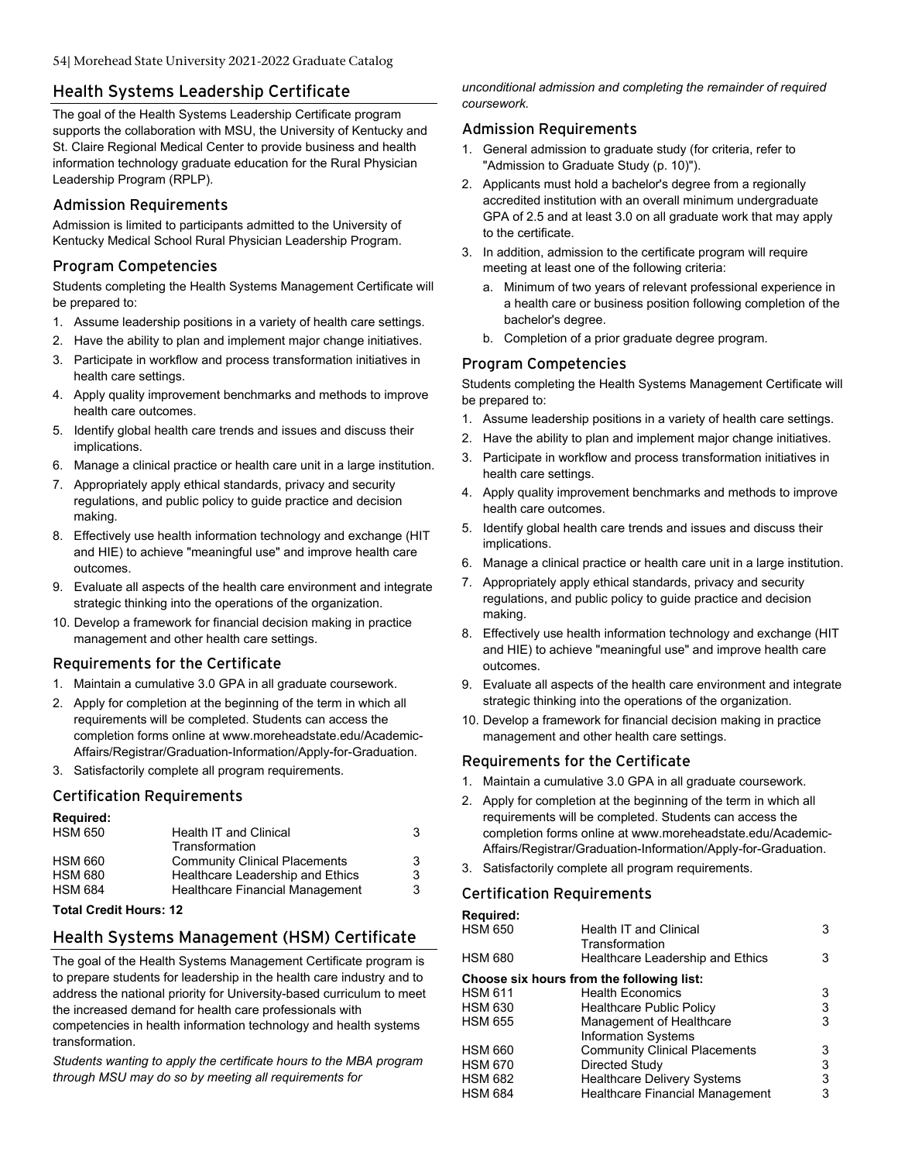## Health Systems Leadership Certificate

The goal of the Health Systems Leadership Certificate program supports the collaboration with MSU, the University of Kentucky and St. Claire Regional Medical Center to provide business and health information technology graduate education for the Rural Physician Leadership Program (RPLP).

## Admission Requirements

Admission is limited to participants admitted to the University of Kentucky Medical School Rural Physician Leadership Program.

## Program Competencies

Students completing the Health Systems Management Certificate will be prepared to:

- 1. Assume leadership positions in a variety of health care settings.
- 2. Have the ability to plan and implement major change initiatives.
- 3. Participate in workflow and process transformation initiatives in health care settings.
- 4. Apply quality improvement benchmarks and methods to improve health care outcomes.
- 5. Identify global health care trends and issues and discuss their implications.
- 6. Manage a clinical practice or health care unit in a large institution.
- 7. Appropriately apply ethical standards, privacy and security regulations, and public policy to guide practice and decision making.
- 8. Effectively use health information technology and exchange (HIT and HIE) to achieve "meaningful use" and improve health care outcomes.
- 9. Evaluate all aspects of the health care environment and integrate strategic thinking into the operations of the organization.
- 10. Develop a framework for financial decision making in practice management and other health care settings.

## Requirements for the Certificate

- 1. Maintain a cumulative 3.0 GPA in all graduate coursework.
- 2. Apply for completion at the beginning of the term in which all requirements will be completed. Students can access the completion forms online at www.moreheadstate.edu/Academic-Affairs/Registrar/Graduation-Information/Apply-for-Graduation.
- 3. Satisfactorily complete all program requirements.

## Certification Requirements

| <b>Required:</b> |                                      |   |
|------------------|--------------------------------------|---|
| <b>HSM 650</b>   | <b>Health IT and Clinical</b>        | 3 |
|                  | Transformation                       |   |
| <b>HSM 660</b>   | <b>Community Clinical Placements</b> | 3 |
| <b>HSM 680</b>   | Healthcare Leadership and Ethics     | 3 |
| <b>HSM 684</b>   | Healthcare Financial Management      | 3 |

## **Total Credit Hours: 12**

## Health Systems Management (HSM) Certificate

The goal of the Health Systems Management Certificate program is to prepare students for leadership in the health care industry and to address the national priority for University-based curriculum to meet the increased demand for health care professionals with competencies in health information technology and health systems transformation.

*Students wanting to apply the certificate hours to the MBA program through MSU may do so by meeting all requirements for* 

*unconditional admission and completing the remainder of required coursework.* 

## Admission Requirements

- 1. General admission to graduate study (for criteria, refer to "Admission to Graduate Study (p. 10)").
- 2. Applicants must hold a bachelor's degree from a regionally accredited institution with an overall minimum undergraduate GPA of 2.5 and at least 3.0 on all graduate work that may apply to the certificate.
- 3. In addition, admission to the certificate program will require meeting at least one of the following criteria:
	- a. Minimum of two years of relevant professional experience in a health care or business position following completion of the bachelor's degree.
	- b. Completion of a prior graduate degree program.

## Program Competencies

Students completing the Health Systems Management Certificate will be prepared to:

- 1. Assume leadership positions in a variety of health care settings.
- 2. Have the ability to plan and implement major change initiatives.
- 3. Participate in workflow and process transformation initiatives in health care settings.
- 4. Apply quality improvement benchmarks and methods to improve health care outcomes.
- 5. Identify global health care trends and issues and discuss their implications.
- 6. Manage a clinical practice or health care unit in a large institution.
- 7. Appropriately apply ethical standards, privacy and security regulations, and public policy to guide practice and decision making.
- 8. Effectively use health information technology and exchange (HIT and HIE) to achieve "meaningful use" and improve health care outcomes.
- 9. Evaluate all aspects of the health care environment and integrate strategic thinking into the operations of the organization.
- 10. Develop a framework for financial decision making in practice management and other health care settings.

## Requirements for the Certificate

- 1. Maintain a cumulative 3.0 GPA in all graduate coursework.
- 2. Apply for completion at the beginning of the term in which all requirements will be completed. Students can access the completion forms online at www.moreheadstate.edu/Academic-Affairs/Registrar/Graduation-Information/Apply-for-Graduation.
- 3. Satisfactorily complete all program requirements.

## Certification Requirements

| Required:      |                                           |   |
|----------------|-------------------------------------------|---|
| <b>HSM 650</b> | <b>Health IT and Clinical</b>             | 3 |
|                | Transformation                            |   |
| <b>HSM 680</b> | Healthcare Leadership and Ethics          | 3 |
|                | Choose six hours from the following list: |   |
| <b>HSM 611</b> | <b>Health Economics</b>                   | 3 |
| <b>HSM 630</b> | <b>Healthcare Public Policy</b>           | 3 |
| <b>HSM 655</b> | Management of Healthcare                  | 3 |
|                | <b>Information Systems</b>                |   |
| HSM 660        | <b>Community Clinical Placements</b>      | 3 |
| <b>HSM 670</b> | Directed Study                            | 3 |
| <b>HSM 682</b> | <b>Healthcare Delivery Systems</b>        | 3 |
| <b>HSM 684</b> | Healthcare Financial Management           | 3 |
|                |                                           |   |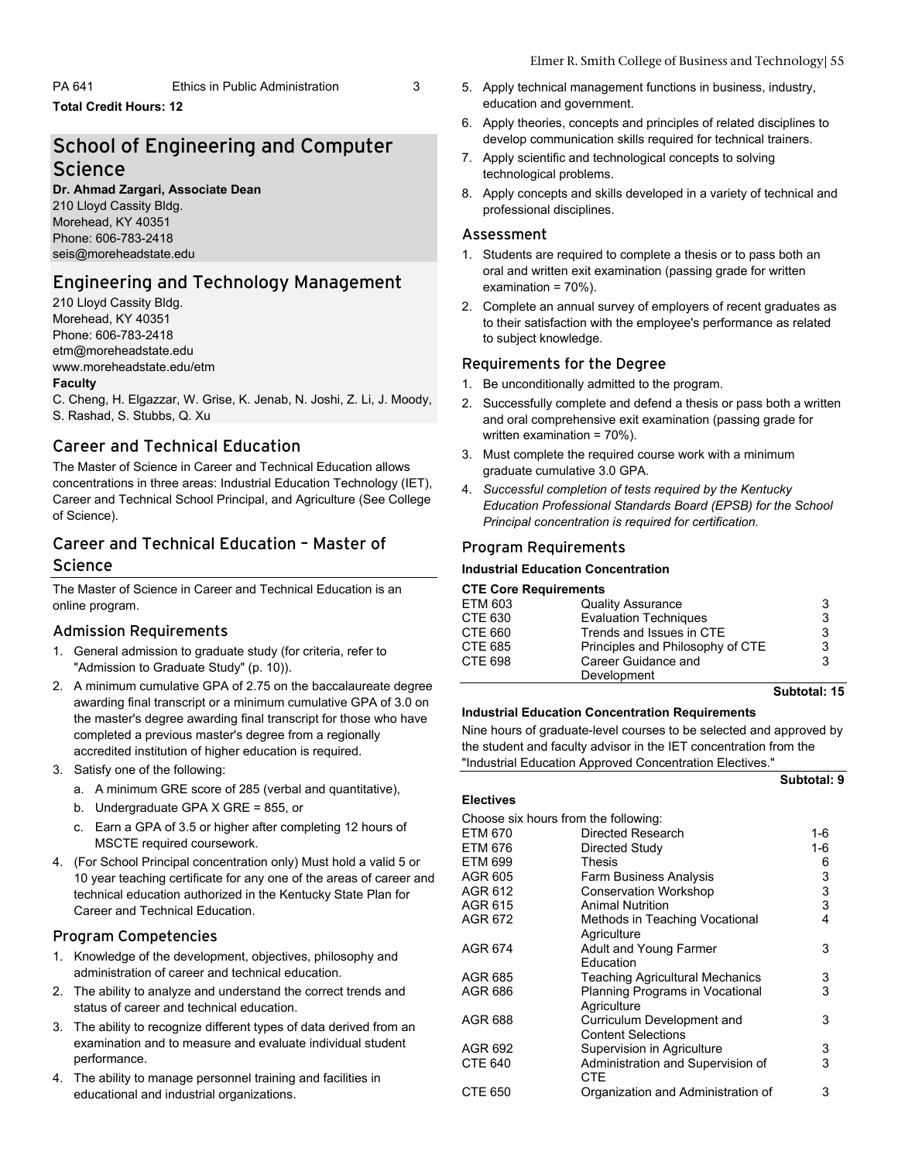**Total Credit Hours: 12** 

## School of Engineering and Computer Science

**Dr. Ahmad Zargari, Associate Dean** 210 Lloyd Cassity Bldg. Morehead, KY 40351 Phone: 606-783-2418

## Engineering and Technology Management

210 Lloyd Cassity Bldg. Morehead, KY 40351 Phone: 606-783-2418 etm@moreheadstate.edu www.moreheadstate.edu/etm

seis@moreheadstate.edu

**Faculty**

C. Cheng, H. Elgazzar, W. Grise, K. Jenab, N. Joshi, Z. Li, J. Moody, S. Rashad, S. Stubbs, Q. Xu

## Career and Technical Education

The Master of Science in Career and Technical Education allows concentrations in three areas: Industrial Education Technology (IET), Career and Technical School Principal, and Agriculture (See College of Science).

## Career and Technical Education – Master of Science

The Master of Science in Career and Technical Education is an online program.

#### Admission Requirements

- 1. General admission to graduate study (for criteria, refer to "Admission to Graduate Study" (p. 10)).
- 2. A minimum cumulative GPA of 2.75 on the baccalaureate degree awarding final transcript or a minimum cumulative GPA of 3.0 on the master's degree awarding final transcript for those who have completed a previous master's degree from a regionally accredited institution of higher education is required.
- 3. Satisfy one of the following:
	- a. A minimum GRE score of 285 (verbal and quantitative),
	- b. Undergraduate GPA X GRE = 855, or
	- c. Earn a GPA of 3.5 or higher after completing 12 hours of MSCTE required coursework.
- 4. (For School Principal concentration only) Must hold a valid 5 or 10 year teaching certificate for any one of the areas of career and technical education authorized in the Kentucky State Plan for Career and Technical Education.

#### Program Competencies

- 1. Knowledge of the development, objectives, philosophy and administration of career and technical education.
- 2. The ability to analyze and understand the correct trends and status of career and technical education.
- 3. The ability to recognize different types of data derived from an examination and to measure and evaluate individual student performance.
- 4. The ability to manage personnel training and facilities in educational and industrial organizations.
- 5. Apply technical management functions in business, industry, education and government.
- 6. Apply theories, concepts and principles of related disciplines to develop communication skills required for technical trainers.
- 7. Apply scientific and technological concepts to solving technological problems.
- 8. Apply concepts and skills developed in a variety of technical and professional disciplines.

#### Assessment

- 1. Students are required to complete a thesis or to pass both an oral and written exit examination (passing grade for written examination = 70%).
- 2. Complete an annual survey of employers of recent graduates as to their satisfaction with the employee's performance as related to subject knowledge.

#### Requirements for the Degree

- 1. Be unconditionally admitted to the program.
- 2. Successfully complete and defend a thesis or pass both a written and oral comprehensive exit examination (passing grade for written examination = 70%).
- 3. Must complete the required course work with a minimum graduate cumulative 3.0 GPA.
- 4. *Successful completion of tests required by the Kentucky Education Professional Standards Board (EPSB) for the School Principal concentration is required for certification.*

#### Program Requirements

#### **Industrial Education Concentration**

#### **CTE Core Requirements**

| ETM 603        | <b>Quality Assurance</b>         | 3 |
|----------------|----------------------------------|---|
| CTE 630        | <b>Evaluation Techniques</b>     | 3 |
| <b>CTE 660</b> | Trends and Issues in CTE         | 3 |
| <b>CTE 685</b> | Principles and Philosophy of CTE | 3 |
| <b>CTE 698</b> | Career Guidance and              | з |
|                | Development                      |   |

#### **Subtotal: 15**

#### **Industrial Education Concentration Requirements**

Nine hours of graduate-level courses to be selected and approved by the student and faculty advisor in the IET concentration from the "Industrial Education Approved Concentration Electives."

#### **Subtotal: 9**

Choose six hours from the following:

**Electives** 

| 0.10000 0.1.110010 110111 1110 101101111110. |                                        |         |
|----------------------------------------------|----------------------------------------|---------|
| ETM 670                                      | Directed Research                      | 1-6     |
| ETM 676                                      | Directed Study                         | $1 - 6$ |
| ETM 699                                      | <b>Thesis</b>                          | 6       |
| AGR 605                                      | <b>Farm Business Analysis</b>          | 3       |
| AGR 612                                      | <b>Conservation Workshop</b>           | 3       |
| AGR 615                                      | <b>Animal Nutrition</b>                | 3       |
| AGR 672                                      | Methods in Teaching Vocational         | 4       |
|                                              | Agriculture                            |         |
| AGR 674                                      | <b>Adult and Young Farmer</b>          | 3       |
|                                              | Education                              |         |
| AGR 685                                      | <b>Teaching Agricultural Mechanics</b> | 3       |
| AGR 686                                      | Planning Programs in Vocational        | 3       |
|                                              | Agriculture                            |         |
| AGR 688                                      | Curriculum Development and             | 3       |
|                                              | <b>Content Selections</b>              |         |
| AGR 692                                      | Supervision in Agriculture             | 3       |
| CTE 640                                      | Administration and Supervision of      | 3       |
|                                              | <b>CTE</b>                             |         |
| CTE 650                                      | Organization and Administration of     | 3       |
|                                              |                                        |         |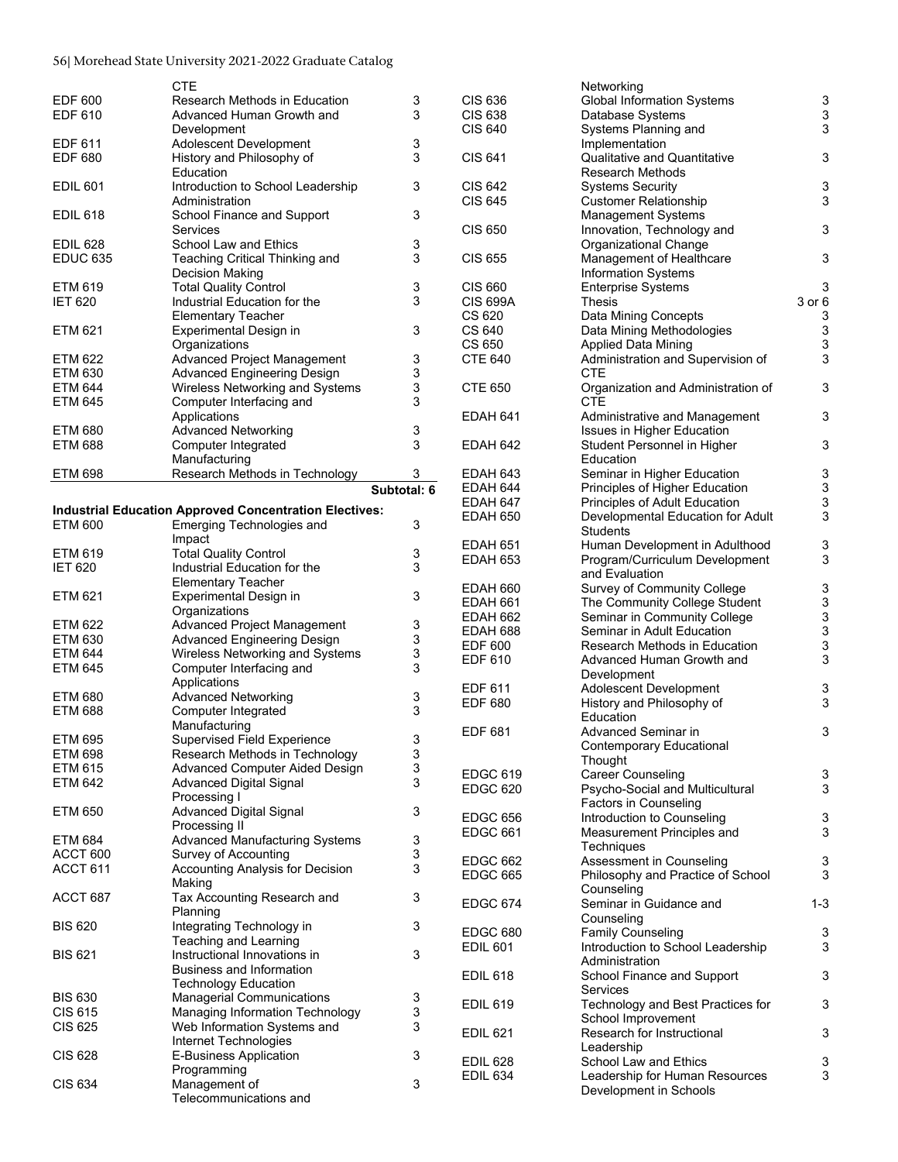|                 | <b>CTE</b>                                                    |             |                 | Networking                                               |                           |
|-----------------|---------------------------------------------------------------|-------------|-----------------|----------------------------------------------------------|---------------------------|
| <b>EDF 600</b>  | Research Methods in Education                                 | 3           | CIS 636         | <b>Global Information Systems</b>                        | 3                         |
| <b>EDF 610</b>  | Advanced Human Growth and                                     | 3           | <b>CIS 638</b>  | Database Systems                                         | $\mathsf 3$               |
|                 | Development                                                   |             | CIS 640         | Systems Planning and                                     | 3                         |
| EDF 611         | Adolescent Development                                        | 3           |                 | Implementation                                           |                           |
| <b>EDF 680</b>  | History and Philosophy of                                     | 3           | <b>CIS 641</b>  | <b>Qualitative and Quantitative</b>                      | 3                         |
|                 | Education                                                     |             |                 | Research Methods                                         |                           |
| <b>EDIL 601</b> | Introduction to School Leadership                             | 3           | <b>CIS 642</b>  | <b>Systems Security</b>                                  | 3                         |
|                 | Administration                                                |             | <b>CIS 645</b>  | <b>Customer Relationship</b>                             | 3                         |
| <b>EDIL 618</b> | School Finance and Support                                    | 3           |                 | <b>Management Systems</b>                                |                           |
|                 | Services                                                      |             | <b>CIS 650</b>  | Innovation, Technology and                               | 3                         |
| <b>EDIL 628</b> | School Law and Ethics                                         | 3           |                 | Organizational Change                                    |                           |
| <b>EDUC 635</b> | Teaching Critical Thinking and                                | 3           | <b>CIS 655</b>  | Management of Healthcare                                 | 3                         |
|                 | <b>Decision Making</b>                                        |             |                 | Information Systems                                      |                           |
| ETM 619         | <b>Total Quality Control</b>                                  | 3           | <b>CIS 660</b>  | <b>Enterprise Systems</b>                                | 3                         |
| <b>IET 620</b>  | Industrial Education for the                                  | 3           | CIS 699A        | Thesis                                                   | 3 or 6                    |
|                 | <b>Elementary Teacher</b>                                     |             | CS 620          | Data Mining Concepts                                     | 3                         |
| ETM 621         | Experimental Design in                                        | 3           | CS 640          | Data Mining Methodologies                                | 3                         |
|                 | Organizations                                                 |             | CS 650          | <b>Applied Data Mining</b>                               | 3                         |
| ETM 622         | Advanced Project Management                                   | 3           | <b>CTE 640</b>  | Administration and Supervision of                        | 3                         |
| <b>ETM 630</b>  | <b>Advanced Engineering Design</b>                            | 3           |                 | <b>CTE</b>                                               |                           |
| <b>ETM 644</b>  | Wireless Networking and Systems                               | 3           | <b>CTE 650</b>  |                                                          | 3                         |
|                 |                                                               | 3           |                 | Organization and Administration of<br><b>CTE</b>         |                           |
| <b>ETM 645</b>  | Computer Interfacing and                                      |             |                 |                                                          |                           |
|                 | Applications                                                  |             | <b>EDAH 641</b> | Administrative and Management                            | 3                         |
| <b>ETM 680</b>  | <b>Advanced Networking</b>                                    | 3           |                 | Issues in Higher Education                               |                           |
| <b>ETM 688</b>  | Computer Integrated                                           | 3           | EDAH 642        | Student Personnel in Higher                              | 3                         |
|                 | Manufacturing                                                 |             |                 | Education                                                |                           |
| <b>ETM 698</b>  | Research Methods in Technology                                | 3           | <b>EDAH 643</b> | Seminar in Higher Education                              | 3                         |
|                 |                                                               | Subtotal: 6 | EDAH 644        | Principles of Higher Education                           | 3                         |
|                 | <b>Industrial Education Approved Concentration Electives:</b> |             | EDAH 647        | Principles of Adult Education                            | 3                         |
| <b>ETM 600</b>  | <b>Emerging Technologies and</b>                              | 3           | <b>EDAH 650</b> | Developmental Education for Adult                        | 3                         |
|                 | Impact                                                        |             |                 | Students                                                 |                           |
| ETM 619         | <b>Total Quality Control</b>                                  | 3           | <b>EDAH 651</b> | Human Development in Adulthood                           | 3                         |
| <b>IET 620</b>  | Industrial Education for the                                  | 3           | <b>EDAH 653</b> | Program/Curriculum Development                           | 3                         |
|                 | <b>Elementary Teacher</b>                                     |             |                 | and Evaluation                                           |                           |
| ETM 621         |                                                               | 3           | EDAH 660        | Survey of Community College                              | 3                         |
|                 | Experimental Design in                                        |             | EDAH 661        | The Community College Student                            | 3                         |
|                 | Organizations                                                 |             | EDAH 662        | Seminar in Community College                             | $\ensuremath{\mathsf{3}}$ |
| ETM 622         | Advanced Project Management                                   | 3           | EDAH 688        | Seminar in Adult Education                               | 3                         |
| ETM 630         | <b>Advanced Engineering Design</b>                            | 3           | <b>EDF 600</b>  | Research Methods in Education                            | 3                         |
| <b>ETM 644</b>  | Wireless Networking and Systems                               | 3           | EDF 610         | Advanced Human Growth and                                | 3                         |
| <b>ETM 645</b>  | Computer Interfacing and                                      | 3           |                 | Development                                              |                           |
|                 | Applications                                                  |             | <b>EDF 611</b>  | Adolescent Development                                   | 3                         |
| <b>ETM 680</b>  | <b>Advanced Networking</b>                                    | 3           | <b>EDF 680</b>  | History and Philosophy of                                | 3                         |
| <b>ETM 688</b>  | Computer Integrated                                           | 3           |                 | Education                                                |                           |
|                 | Manufacturing                                                 |             | <b>EDF 681</b>  | Advanced Seminar in                                      | 3                         |
| <b>ETM 695</b>  | Supervised Field Experience                                   | 3           |                 | <b>Contemporary Educational</b>                          |                           |
| <b>ETM 698</b>  | Research Methods in Technology                                | 3           |                 | Thought                                                  |                           |
| ETM 615         | Advanced Computer Aided Design                                | 3           | <b>EDGC 619</b> | <b>Career Counseling</b>                                 | 3                         |
| <b>ETM 642</b>  | Advanced Digital Signal                                       | 3           | <b>EDGC 620</b> | Psycho-Social and Multicultural                          | 3                         |
|                 | Processing I                                                  |             |                 |                                                          |                           |
| <b>ETM 650</b>  | <b>Advanced Digital Signal</b>                                | 3           |                 | Factors in Counseling                                    |                           |
|                 | Processing II                                                 |             | <b>EDGC 656</b> | Introduction to Counseling                               | 3                         |
| <b>ETM 684</b>  | <b>Advanced Manufacturing Systems</b>                         | 3           | <b>EDGC 661</b> | Measurement Principles and                               | 3                         |
| ACCT 600        | Survey of Accounting                                          | 3           |                 | Techniques                                               |                           |
| ACCT 611        | Accounting Analysis for Decision                              | 3           | <b>EDGC 662</b> | Assessment in Counseling                                 | 3                         |
|                 | Making                                                        |             | <b>EDGC 665</b> | Philosophy and Practice of School                        | 3                         |
| ACCT 687        | Tax Accounting Research and                                   | 3           |                 | Counseling                                               |                           |
|                 | Planning                                                      |             | <b>EDGC 674</b> | Seminar in Guidance and                                  | $1 - 3$                   |
| <b>BIS 620</b>  | Integrating Technology in                                     | 3           |                 | Counseling                                               |                           |
|                 | Teaching and Learning                                         |             | EDGC 680        | <b>Family Counseling</b>                                 | 3                         |
| <b>BIS 621</b>  |                                                               |             | <b>EDIL 601</b> | Introduction to School Leadership                        | 3                         |
|                 |                                                               |             |                 |                                                          |                           |
|                 | Instructional Innovations in                                  | 3           |                 | Administration                                           |                           |
|                 | <b>Business and Information</b>                               |             | <b>EDIL 618</b> | School Finance and Support                               | 3                         |
|                 | <b>Technology Education</b>                                   |             |                 | Services                                                 |                           |
| <b>BIS 630</b>  | <b>Managerial Communications</b>                              | 3           | <b>EDIL 619</b> | Technology and Best Practices for                        | 3                         |
| <b>CIS 615</b>  | Managing Information Technology                               | 3           |                 | School Improvement                                       |                           |
| <b>CIS 625</b>  | Web Information Systems and                                   | 3           | <b>EDIL 621</b> | Research for Instructional                               | 3                         |
|                 | Internet Technologies                                         |             |                 | Leadership                                               |                           |
| <b>CIS 628</b>  | <b>E-Business Application</b>                                 | 3           | <b>EDIL 628</b> |                                                          |                           |
|                 | Programming                                                   |             | <b>EDIL 634</b> | School Law and Ethics                                    | 3<br>3                    |
| CIS 634         | Management of<br>Telecommunications and                       | 3           |                 | Leadership for Human Resources<br>Development in Schools |                           |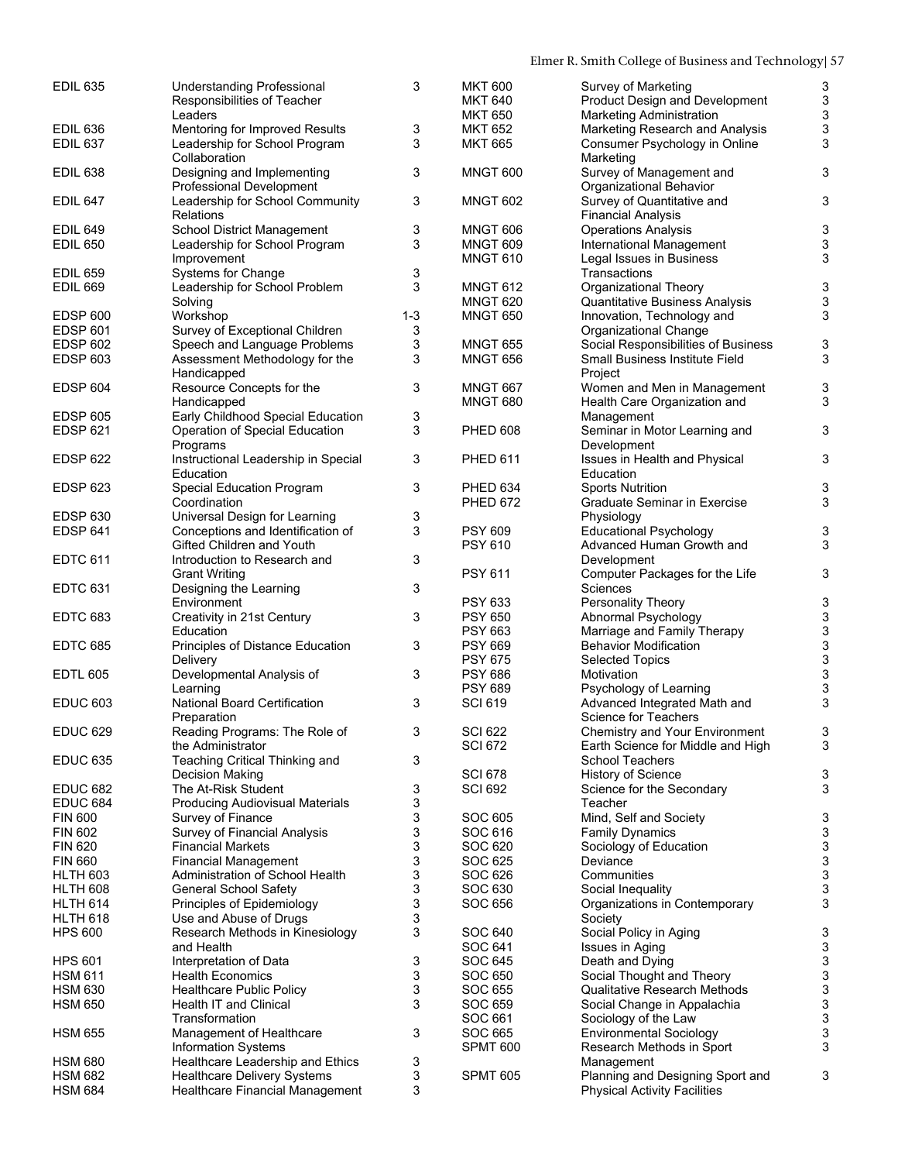| <b>EDIL 635</b>     | <b>Understanding Professional</b>         | 3       | <b>MKT 600</b>  | Survey of Marketing                   | 3                         |
|---------------------|-------------------------------------------|---------|-----------------|---------------------------------------|---------------------------|
|                     | Responsibilities of Teacher               |         | <b>MKT 640</b>  | <b>Product Design and Development</b> | 3                         |
|                     | Leaders                                   |         | MKT 650         | Marketing Administration              | $\mathsf 3$               |
| EDIL 636            | Mentoring for Improved Results            | 3       | MKT 652         | Marketing Research and Analysis       | $\ensuremath{\mathsf{3}}$ |
| <b>EDIL 637</b>     | Leadership for School Program             | 3       | <b>MKT 665</b>  | Consumer Psychology in Online         | 3                         |
|                     | Collaboration                             |         |                 | Marketing                             |                           |
| <b>EDIL 638</b>     | Designing and Implementing                | 3       | <b>MNGT 600</b> | Survey of Management and              | 3                         |
|                     | Professional Development                  |         |                 | Organizational Behavior               |                           |
| <b>EDIL 647</b>     | Leadership for School Community           | 3       | <b>MNGT 602</b> | Survey of Quantitative and            | 3                         |
|                     | Relations                                 |         |                 | <b>Financial Analysis</b>             |                           |
| <b>EDIL 649</b>     | School District Management                | 3       | <b>MNGT 606</b> | <b>Operations Analysis</b>            | 3                         |
| <b>EDIL 650</b>     | Leadership for School Program             | 3       | <b>MNGT 609</b> | International Management              | 3                         |
|                     | Improvement                               |         | <b>MNGT 610</b> | Legal Issues in Business              | 3                         |
| <b>EDIL 659</b>     |                                           |         |                 |                                       |                           |
|                     | <b>Systems for Change</b>                 | 3       |                 | Transactions                          |                           |
| <b>EDIL 669</b>     | Leadership for School Problem             | 3       | <b>MNGT 612</b> | Organizational Theory                 | 3                         |
|                     | Solving                                   |         | <b>MNGT 620</b> | Quantitative Business Analysis        | 3                         |
| EDSP 600            | Workshop                                  | $1 - 3$ | <b>MNGT 650</b> | Innovation, Technology and            | 3                         |
| <b>EDSP 601</b>     | Survey of Exceptional Children            | 3       |                 | Organizational Change                 |                           |
| EDSP 602            | Speech and Language Problems              | 3       | <b>MNGT 655</b> | Social Responsibilities of Business   | 3                         |
| <b>EDSP 603</b>     | Assessment Methodology for the            | 3       | <b>MNGT 656</b> | <b>Small Business Institute Field</b> | 3                         |
|                     | Handicapped                               |         |                 | Project                               |                           |
| <b>EDSP 604</b>     | Resource Concepts for the                 | 3       | <b>MNGT 667</b> | Women and Men in Management           | 3                         |
|                     | Handicapped                               |         | <b>MNGT 680</b> | Health Care Organization and          | 3                         |
| <b>EDSP 605</b>     | Early Childhood Special Education         | 3       |                 | Management                            |                           |
| EDSP <sub>621</sub> | Operation of Special Education            | 3       | <b>PHED 608</b> | Seminar in Motor Learning and         | 3                         |
|                     | Programs                                  |         |                 | Development                           |                           |
| EDSP <sub>622</sub> | Instructional Leadership in Special       | 3       | <b>PHED 611</b> | Issues in Health and Physical         | 3                         |
|                     | Education                                 |         |                 | Education                             |                           |
| EDSP <sub>623</sub> |                                           | 3       | PHED 634        | <b>Sports Nutrition</b>               |                           |
|                     | Special Education Program<br>Coordination |         |                 |                                       | 3<br>3                    |
|                     |                                           |         | <b>PHED 672</b> | Graduate Seminar in Exercise          |                           |
| EDSP <sub>630</sub> | Universal Design for Learning             | 3       |                 | Physiology                            |                           |
| <b>EDSP 641</b>     | Conceptions and Identification of         | 3       | <b>PSY 609</b>  | <b>Educational Psychology</b>         | 3                         |
|                     | Gifted Children and Youth                 |         | <b>PSY 610</b>  | Advanced Human Growth and             | 3                         |
| <b>EDTC 611</b>     | Introduction to Research and              | 3       |                 | Development                           |                           |
|                     | <b>Grant Writing</b>                      |         | <b>PSY 611</b>  | Computer Packages for the Life        | 3                         |
| <b>EDTC 631</b>     | Designing the Learning                    | 3       |                 | Sciences                              |                           |
|                     | Environment                               |         | PSY 633         | <b>Personality Theory</b>             | 3                         |
| <b>EDTC 683</b>     | Creativity in 21st Century                | 3       | <b>PSY 650</b>  | Abnormal Psychology                   | 3                         |
|                     | Education                                 |         | <b>PSY 663</b>  | Marriage and Family Therapy           | 3                         |
| <b>EDTC 685</b>     | Principles of Distance Education          | 3       | <b>PSY 669</b>  | <b>Behavior Modification</b>          | 3                         |
|                     | Delivery                                  |         | <b>PSY 675</b>  | <b>Selected Topics</b>                | $\mathsf 3$               |
| <b>EDTL 605</b>     | Developmental Analysis of                 | 3       | <b>PSY 686</b>  | Motivation                            | 3                         |
|                     | Learning                                  |         | <b>PSY 689</b>  | Psychology of Learning                | 3                         |
| <b>EDUC 603</b>     | <b>National Board Certification</b>       | 3       | <b>SCI 619</b>  | Advanced Integrated Math and          | 3                         |
|                     | Preparation                               |         |                 | Science for Teachers                  |                           |
|                     | Reading Programs: The Role of             | 3       | <b>SCI 622</b>  |                                       | 3                         |
| <b>EDUC 629</b>     |                                           |         |                 | Chemistry and Your Environment        |                           |
|                     | the Administrator                         |         | <b>SCI 672</b>  | Earth Science for Middle and High     | 3                         |
| <b>EDUC 635</b>     | Teaching Critical Thinking and            | 3       |                 | School Teachers                       |                           |
|                     | <b>Decision Making</b>                    |         | <b>SCI 678</b>  | History of Science                    | 3                         |
| <b>EDUC 682</b>     | The At-Risk Student                       | 3       | <b>SCI 692</b>  | Science for the Secondary             | 3                         |
| EDUC <sub>684</sub> | <b>Producing Audiovisual Materials</b>    | 3       |                 | Teacher                               |                           |
| <b>FIN 600</b>      | Survey of Finance                         | 3       | SOC 605         | Mind, Self and Society                | 3                         |
| <b>FIN 602</b>      | Survey of Financial Analysis              | 3       | SOC 616         | <b>Family Dynamics</b>                | 3                         |
| <b>FIN 620</b>      | <b>Financial Markets</b>                  | 3       | SOC 620         | Sociology of Education                | 3                         |
| <b>FIN 660</b>      | <b>Financial Management</b>               | 3       | SOC 625         | Deviance                              | $\ensuremath{\mathsf{3}}$ |
| HLTH 603            | Administration of School Health           | 3       | SOC 626         | Communities                           | 3                         |
| HLTH 608            | <b>General School Safety</b>              | 3       | SOC 630         | Social Inequality                     | 3                         |
| <b>HLTH 614</b>     | Principles of Epidemiology                | 3       | SOC 656         | Organizations in Contemporary         | 3                         |
| HLTH 618            | Use and Abuse of Drugs                    | 3       |                 | Society                               |                           |
| <b>HPS 600</b>      | Research Methods in Kinesiology           | 3       | SOC 640         | Social Policy in Aging                | 3                         |
|                     | and Health                                |         | SOC 641         |                                       | 3                         |
|                     |                                           |         |                 | <b>Issues in Aging</b>                |                           |
| <b>HPS 601</b>      | Interpretation of Data                    | 3       | SOC 645         | Death and Dying                       | 3                         |
| <b>HSM 611</b>      | <b>Health Economics</b>                   | 3       | SOC 650         | Social Thought and Theory             | 3                         |
| <b>HSM 630</b>      | <b>Healthcare Public Policy</b>           | 3       | SOC 655         | <b>Qualitative Research Methods</b>   | 3                         |
| <b>HSM 650</b>      | Health IT and Clinical                    | 3       | SOC 659         | Social Change in Appalachia           | 3                         |
|                     | Transformation                            |         | SOC 661         | Sociology of the Law                  | 3                         |
| <b>HSM 655</b>      | Management of Healthcare                  | 3       | SOC 665         | <b>Environmental Sociology</b>        | 3                         |
|                     | Information Systems                       |         | SPMT 600        | Research Methods in Sport             | 3                         |
| <b>HSM 680</b>      | Healthcare Leadership and Ethics          | 3       |                 | Management                            |                           |
| <b>HSM 682</b>      | <b>Healthcare Delivery Systems</b>        | 3       | <b>SPMT 605</b> | Planning and Designing Sport and      | 3                         |
| <b>HSM 684</b>      | Healthcare Financial Management           | 3       |                 | <b>Physical Activity Facilities</b>   |                           |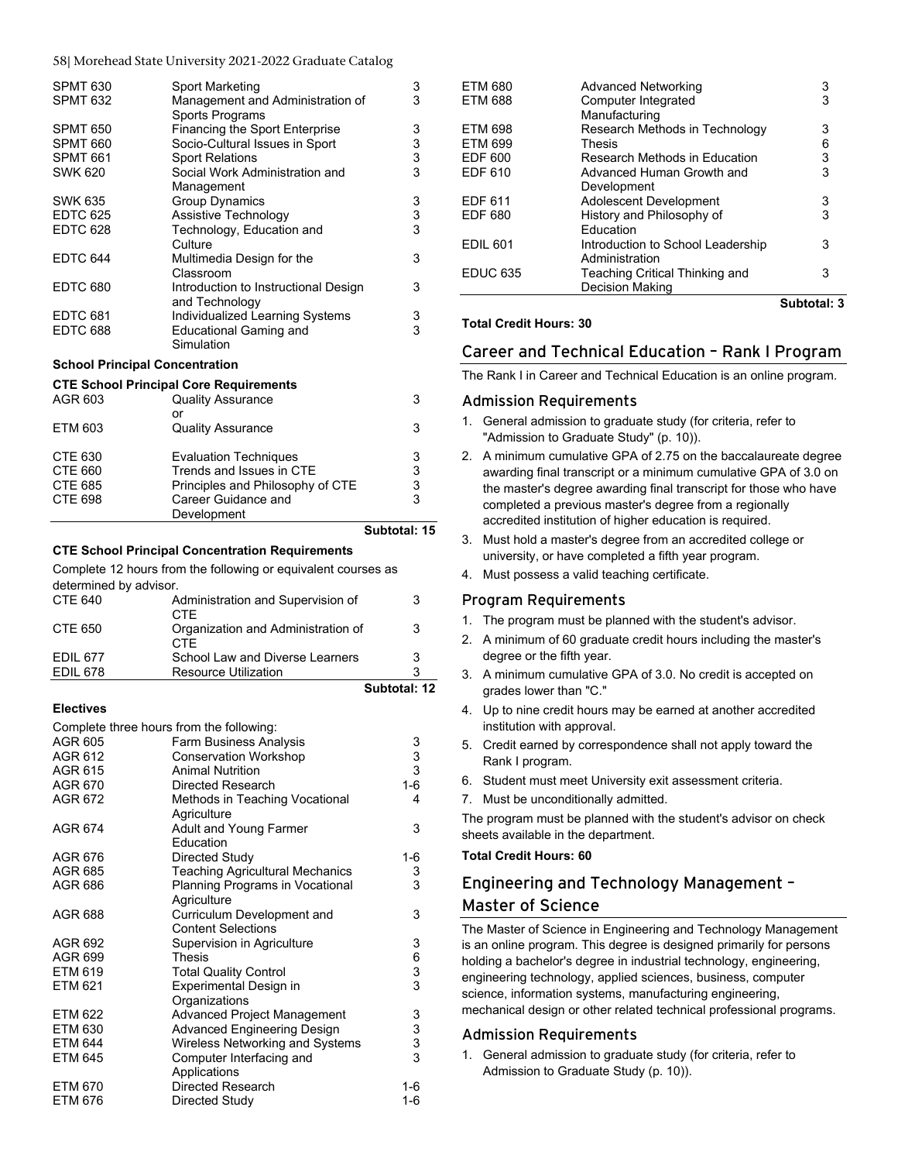| <b>SPMT 630</b>                       | <b>Sport Marketing</b>                                 | 3              |
|---------------------------------------|--------------------------------------------------------|----------------|
| <b>SPMT 632</b>                       | Management and Administration of<br>Sports Programs    | 3              |
| <b>SPMT 650</b>                       | Financing the Sport Enterprise                         | 3              |
| <b>SPMT 660</b>                       | Socio-Cultural Issues in Sport                         | 3              |
| <b>SPMT 661</b>                       | <b>Sport Relations</b>                                 | 3              |
| <b>SWK 620</b>                        | Social Work Administration and<br>Management           | 3              |
| <b>SWK 635</b>                        | <b>Group Dynamics</b>                                  | 3              |
| <b>EDTC 625</b>                       | Assistive Technology                                   | 3              |
| <b>EDTC 628</b>                       | Technology, Education and                              | 3              |
|                                       | Culture                                                |                |
| <b>EDTC 644</b>                       | Multimedia Design for the                              | 3              |
|                                       | Classroom                                              |                |
| <b>EDTC 680</b>                       | Introduction to Instructional Design<br>and Technology | 3              |
| <b>EDTC 681</b>                       | Individualized Learning Systems                        | 3              |
| <b>EDTC 688</b>                       | <b>Educational Gaming and</b>                          | 3              |
|                                       | Simulation                                             |                |
| <b>School Principal Concentration</b> |                                                        |                |
|                                       | <b>CTE School Principal Core Requirements</b>          |                |
| AGR 603                               | <b>Quality Assurance</b><br>or                         | 3              |
| ETM 603                               | <b>Quality Assurance</b>                               | 3              |
| <b>CTE 630</b>                        | <b>Evaluation Techniques</b>                           | 3              |
| <b>CTE 660</b>                        | Trends and Issues in CTE                               | 3              |
| <b>CTE 685</b>                        | Principles and Philosophy of CTE                       | 3              |
| <b>CTE 698</b>                        | Career Guidance and                                    | $\overline{3}$ |

#### **Subtotal: 15**

#### **CTE School Principal Concentration Requirements**

Development

Complete 12 hours from the following or equivalent courses as determined by advisor.

|                 |                                                  | Subtotal: 12 |
|-----------------|--------------------------------------------------|--------------|
| EDIL 678        | <b>Resource Utilization</b>                      |              |
| <b>EDIL 677</b> | School Law and Diverse Learners                  |              |
| <b>CTE 650</b>  | Organization and Administration of<br><b>CTF</b> |              |
| <b>CTE 640</b>  | Administration and Supervision of<br>CTF.        | 3            |

#### **Electives**

|                | Complete three hours from the following: |               |
|----------------|------------------------------------------|---------------|
| AGR 605        | <b>Farm Business Analysis</b>            | 3             |
| AGR 612        | <b>Conservation Workshop</b>             | 3             |
| AGR 615        | <b>Animal Nutrition</b>                  | 3             |
| AGR 670        | Directed Research                        | $1-6$         |
| AGR 672        | Methods in Teaching Vocational           | 4             |
|                | Agriculture                              |               |
| AGR 674        | Adult and Young Farmer                   | 3             |
|                | <b>Education</b>                         |               |
| AGR 676        | Directed Study                           | 1-6           |
| AGR 685        | <b>Teaching Agricultural Mechanics</b>   | 3             |
| AGR 686        | Planning Programs in Vocational          | 3             |
|                | Agriculture                              |               |
| AGR 688        | Curriculum Development and               | 3             |
|                | <b>Content Selections</b>                |               |
| AGR 692        | Supervision in Agriculture               | 3             |
| AGR 699        | <b>Thesis</b>                            | 6             |
| <b>ETM 619</b> | <b>Total Quality Control</b>             | 3             |
| <b>ETM 621</b> | <b>Experimental Design in</b>            | 3             |
|                | Organizations                            |               |
| <b>ETM 622</b> | <b>Advanced Project Management</b>       | 3             |
| <b>ETM 630</b> | Advanced Engineering Design              | $\frac{3}{3}$ |
| <b>ETM 644</b> | Wireless Networking and Systems          |               |
| <b>ETM 645</b> | Computer Interfacing and                 | 3             |
|                | Applications                             |               |
| ETM 670        | Directed Research                        | $1 - 6$       |
| <b>ETM 676</b> | Directed Study                           | 1-6           |

|                 |                                   | Subtotal: 3 |
|-----------------|-----------------------------------|-------------|
|                 | Decision Making                   |             |
| <b>EDUC 635</b> | Teaching Critical Thinking and    | 3           |
|                 | Administration                    |             |
| <b>EDIL 601</b> | Introduction to School Leadership | 3           |
|                 | <b>Education</b>                  |             |
| EDF 680         | History and Philosophy of         | 3           |
| EDF 611         | Adolescent Development            | 3           |
|                 | Development                       |             |
| EDF 610         | Advanced Human Growth and         | 3           |
| <b>EDF 600</b>  | Research Methods in Education     | 3           |
| ETM 699         | Thesis                            | 6           |
| ETM 698         | Research Methods in Technology    | 3           |
|                 | Manufacturing                     |             |
| <b>ETM 688</b>  | Computer Integrated               | 3           |
| <b>ETM 680</b>  | <b>Advanced Networking</b>        | 3           |
|                 |                                   |             |

#### **Total Credit Hours: 30**

## Career and Technical Education – Rank I Program

The Rank I in Career and Technical Education is an online program.

#### Admission Requirements

- 1. General admission to graduate study (for criteria, refer to "Admission to Graduate Study" (p. 10)).
- 2. A minimum cumulative GPA of 2.75 on the baccalaureate degree awarding final transcript or a minimum cumulative GPA of 3.0 on the master's degree awarding final transcript for those who have completed a previous master's degree from a regionally accredited institution of higher education is required.
- 3. Must hold a master's degree from an accredited college or university, or have completed a fifth year program.
- 4. Must possess a valid teaching certificate.

#### Program Requirements

- 1. The program must be planned with the student's advisor.
- 2. A minimum of 60 graduate credit hours including the master's degree or the fifth year.
- 3. A minimum cumulative GPA of 3.0. No credit is accepted on grades lower than "C."
- 4. Up to nine credit hours may be earned at another accredited institution with approval.
- 5. Credit earned by correspondence shall not apply toward the Rank I program.
- 6. Student must meet University exit assessment criteria.
- 7. Must be unconditionally admitted.

The program must be planned with the student's advisor on check sheets available in the department.

#### **Total Credit Hours: 60**

## Engineering and Technology Management – Master of Science

The Master of Science in Engineering and Technology Management is an online program. This degree is designed primarily for persons holding a bachelor's degree in industrial technology, engineering, engineering technology, applied sciences, business, computer science, information systems, manufacturing engineering, mechanical design or other related technical professional programs.

#### Admission Requirements

1. General admission to graduate study (for criteria, refer to Admission to Graduate Study (p. 10)).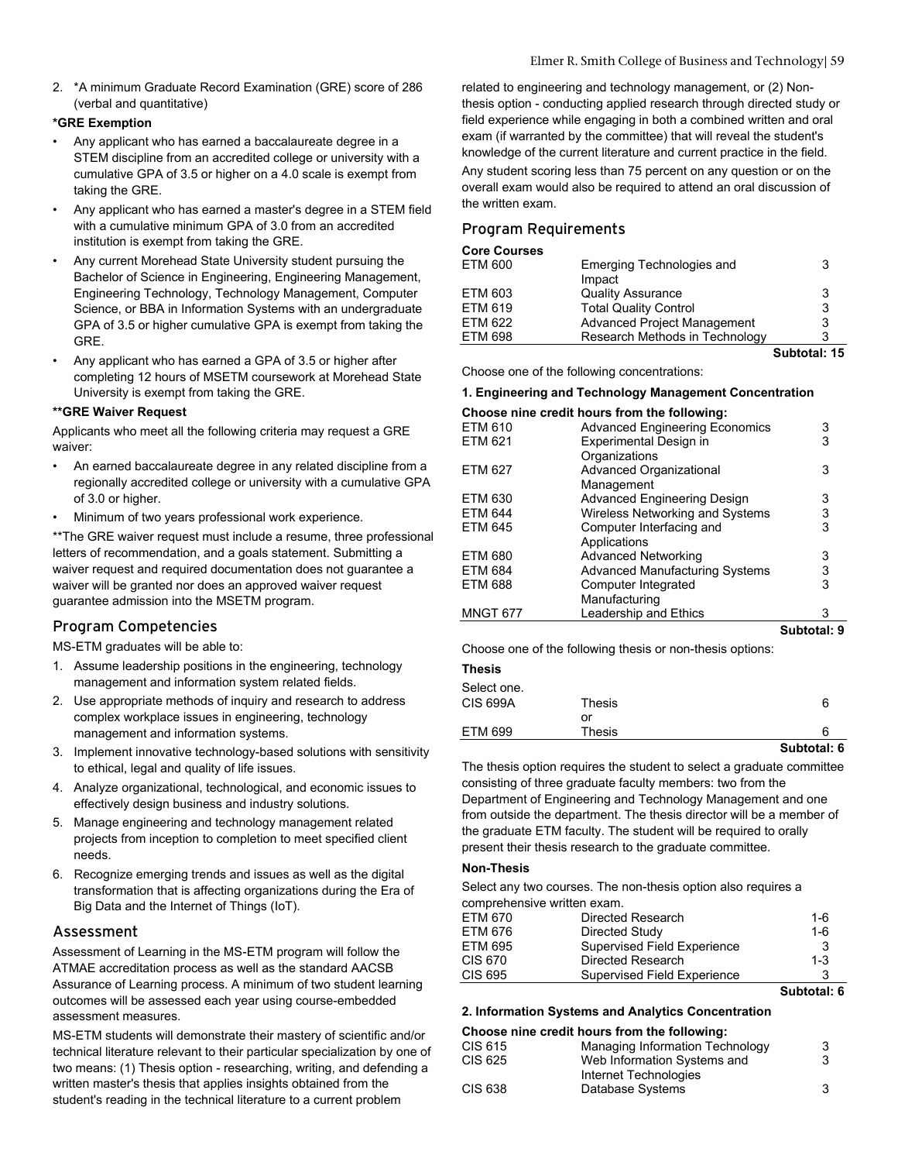2. \*A minimum Graduate Record Examination (GRE) score of 286 (verbal and quantitative)

#### **\*GRE Exemption**

- Any applicant who has earned a baccalaureate degree in a STEM discipline from an accredited college or university with a cumulative GPA of 3.5 or higher on a 4.0 scale is exempt from taking the GRE.
- Any applicant who has earned a master's degree in a STEM field with a cumulative minimum GPA of 3.0 from an accredited institution is exempt from taking the GRE.
- Any current Morehead State University student pursuing the Bachelor of Science in Engineering, Engineering Management, Engineering Technology, Technology Management, Computer Science, or BBA in Information Systems with an undergraduate GPA of 3.5 or higher cumulative GPA is exempt from taking the GRE.
- Any applicant who has earned a GPA of 3.5 or higher after completing 12 hours of MSETM coursework at Morehead State University is exempt from taking the GRE.

#### **\*\*GRE Waiver Request**

Applicants who meet all the following criteria may request a GRE waiver:

- An earned baccalaureate degree in any related discipline from a regionally accredited college or university with a cumulative GPA of 3.0 or higher.
- Minimum of two years professional work experience.

\*\*The GRE waiver request must include a resume, three professional letters of recommendation, and a goals statement. Submitting a waiver request and required documentation does not guarantee a waiver will be granted nor does an approved waiver request guarantee admission into the MSETM program.

#### Program Competencies

MS-ETM graduates will be able to:

- 1. Assume leadership positions in the engineering, technology management and information system related fields.
- 2. Use appropriate methods of inquiry and research to address complex workplace issues in engineering, technology management and information systems.
- 3. Implement innovative technology-based solutions with sensitivity to ethical, legal and quality of life issues.
- 4. Analyze organizational, technological, and economic issues to effectively design business and industry solutions.
- 5. Manage engineering and technology management related projects from inception to completion to meet specified client needs.
- 6. Recognize emerging trends and issues as well as the digital transformation that is affecting organizations during the Era of Big Data and the Internet of Things (IoT).

#### Assessment

Assessment of Learning in the MS-ETM program will follow the ATMAE accreditation process as well as the standard AACSB Assurance of Learning process. A minimum of two student learning outcomes will be assessed each year using course-embedded assessment measures.

MS-ETM students will demonstrate their mastery of scientific and/or technical literature relevant to their particular specialization by one of two means: (1) Thesis option - researching, writing, and defending a written master's thesis that applies insights obtained from the student's reading in the technical literature to a current problem

related to engineering and technology management, or (2) Nonthesis option - conducting applied research through directed study or field experience while engaging in both a combined written and oral exam (if warranted by the committee) that will reveal the student's knowledge of the current literature and current practice in the field.

Any student scoring less than 75 percent on any question or on the overall exam would also be required to attend an oral discussion of the written exam.

#### Program Requirements

| <b>Core Courses</b> |                                |              |
|---------------------|--------------------------------|--------------|
| <b>ETM 600</b>      | Emerging Technologies and      |              |
|                     | Impact                         |              |
| ETM 603             | <b>Quality Assurance</b>       |              |
| <b>ETM 619</b>      | <b>Total Quality Control</b>   | 3            |
| ETM 622             | Advanced Project Management    | 3            |
| <b>ETM 698</b>      | Research Methods in Technology |              |
|                     |                                | Subtotal: 15 |

Choose one of the following concentrations:

#### **1. Engineering and Technology Management Concentration**

#### **Choose nine credit hours from the following:**

|                 |                                                | Subtotal: 9 |
|-----------------|------------------------------------------------|-------------|
| <b>MNGT 677</b> | Leadership and Ethics                          | 3           |
|                 | Manufacturing                                  |             |
| ETM 688         | Computer Integrated                            | 3           |
| ETM 684         | <b>Advanced Manufacturing Systems</b>          | 3           |
| ETM 680         | Applications<br><b>Advanced Networking</b>     | 3           |
| ETM 645         | Computer Interfacing and                       | 3           |
| ETM 644         | Wireless Networking and Systems                | 3           |
| ETM 630         | Advanced Engineering Design                    | 3           |
|                 | Management                                     |             |
| ETM 627         | Advanced Organizational                        | 3           |
| ETM 621         | <b>Experimental Design in</b><br>Organizations | 3           |
|                 | <b>Advanced Engineering Economics</b>          |             |
| ETM 610         |                                                | 3           |

Choose one of the following thesis or non-thesis options:

#### **Thesis**

| Select one. |        |  |
|-------------|--------|--|
| CIS 699A    | Thesis |  |
|             | or     |  |
| ETM 699     | Thesis |  |
|             |        |  |

#### **Subtotal: 6**

The thesis option requires the student to select a graduate committee consisting of three graduate faculty members: two from the Department of Engineering and Technology Management and one from outside the department. The thesis director will be a member of the graduate ETM faculty. The student will be required to orally present their thesis research to the graduate committee.

#### **Non-Thesis**

Select any two courses. The non-thesis option also requires a comprehensive written exam.

| ETM 670 | Directed Research                  | $1 - 6$ |
|---------|------------------------------------|---------|
| ETM 676 | Directed Study                     | $1 - 6$ |
| ETM 695 | <b>Supervised Field Experience</b> | 3       |
| CIS 670 | Directed Research                  | $1 - 3$ |
| CIS 695 | Supervised Field Experience        | ર       |
|         |                                    |         |

**Subtotal: 6** 

#### **2. Information Systems and Analytics Concentration**

#### **Choose nine credit hours from the following:**

| CIS 615 | Managing Information Technology |  |
|---------|---------------------------------|--|
| CIS 625 | Web Information Systems and     |  |
|         | Internet Technologies           |  |
| CIS 638 | Database Systems                |  |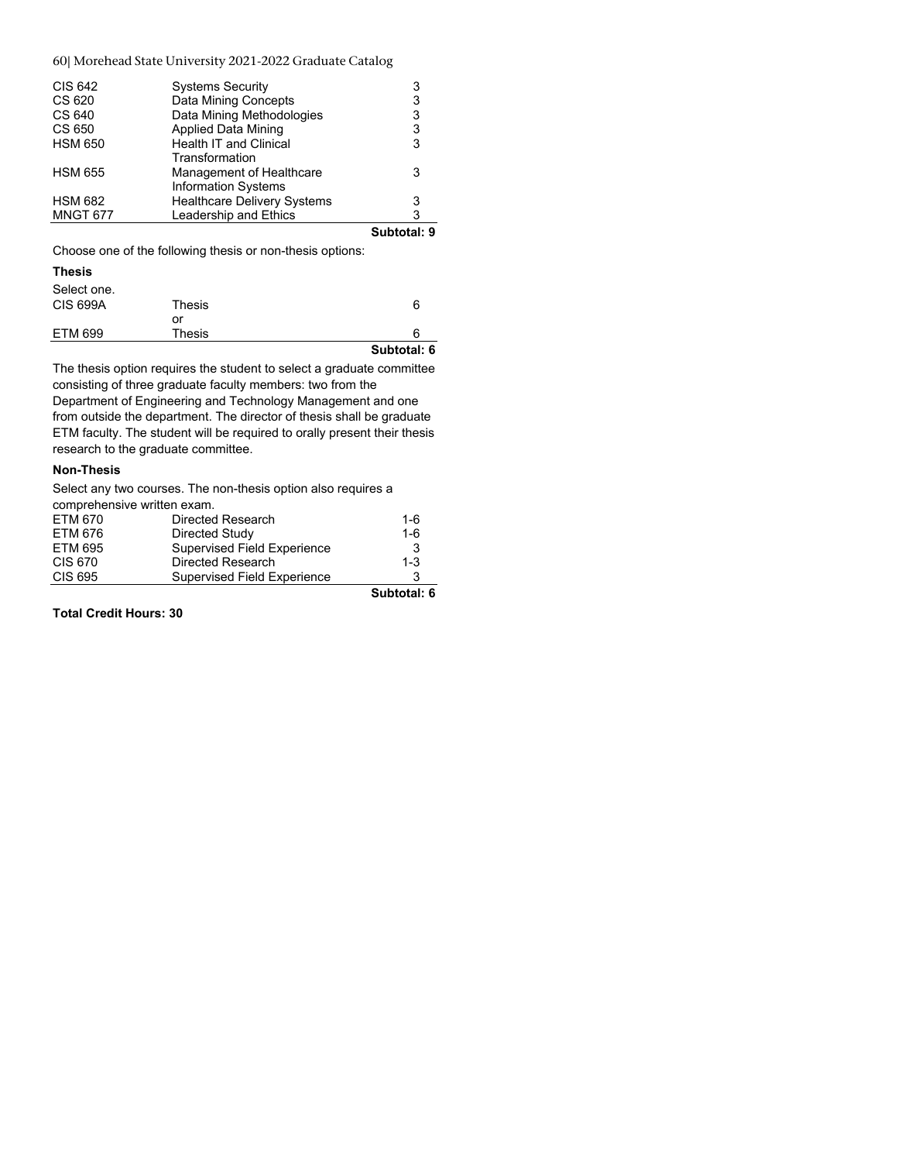|                 |                                    | Subtotal: 9 |
|-----------------|------------------------------------|-------------|
| <b>MNGT 677</b> | Leadership and Ethics              | 3           |
| <b>HSM 682</b>  | <b>Healthcare Delivery Systems</b> | 3           |
|                 | <b>Information Systems</b>         |             |
| <b>HSM 655</b>  | Management of Healthcare           | З           |
|                 | Transformation                     |             |
| <b>HSM 650</b>  | <b>Health IT and Clinical</b>      | 3           |
| CS 650          | <b>Applied Data Mining</b>         | 3           |
| CS 640          | Data Mining Methodologies          | 3           |
| CS 620          | Data Mining Concepts               | 3           |
| CIS 642         | <b>Systems Security</b>            |             |
|                 |                                    |             |

Choose one of the following thesis or non-thesis options:

#### **Thesis**

|                 |        | - |
|-----------------|--------|---|
| ETM 699         | Thesis |   |
|                 | or     |   |
| <b>CIS 699A</b> | Thesis | 6 |
| Select one.     |        |   |

**Subtotal: 6** 

The thesis option requires the student to select a graduate committee consisting of three graduate faculty members: two from the Department of Engineering and Technology Management and one from outside the department. The director of thesis shall be graduate ETM faculty. The student will be required to orally present their thesis research to the graduate committee.

#### **Non-Thesis**

Select any two courses. The non-thesis option also requires a comprehensive written exam.

| COMPLEMENTSIVE WITHER EXAMPLE. |                                    |         |
|--------------------------------|------------------------------------|---------|
| ETM 670                        | Directed Research                  | $1 - 6$ |
| ETM 676                        | Directed Study                     | $1 - 6$ |
| ETM 695                        | <b>Supervised Field Experience</b> | 3       |
| CIS 670                        | Directed Research                  | $1 - 3$ |
| <b>CIS 695</b>                 | Supervised Field Experience        | ર       |
|                                |                                    |         |

**Subtotal: 6** 

**Total Credit Hours: 30**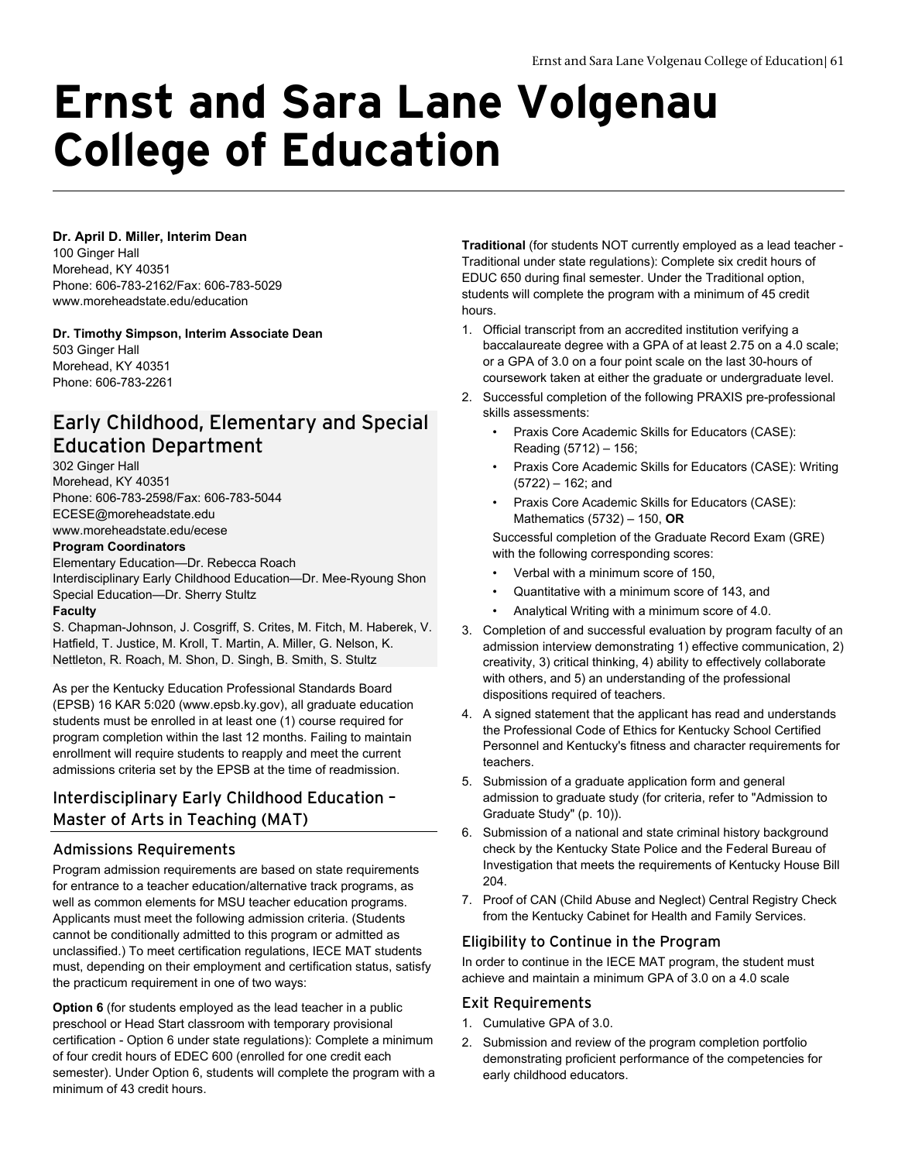## **Ernst and Sara Lane Volgenau College of Education**

#### **Dr. April D. Miller, Interim Dean**

100 Ginger Hall Morehead, KY 40351 Phone: 606-783-2162/Fax: 606-783-5029 www.moreheadstate.edu/education

#### **Dr. Timothy Simpson, Interim Associate Dean**

503 Ginger Hall Morehead, KY 40351 Phone: 606-783-2261

## Early Childhood, Elementary and Special Education Department

302 Ginger Hall Morehead, KY 40351 Phone: 606-783-2598/Fax: 606-783-5044 ECESE@moreheadstate.edu www.moreheadstate.edu/ecese

#### **Program Coordinators**

Elementary Education—Dr. Rebecca Roach Interdisciplinary Early Childhood Education—Dr. Mee-Ryoung Shon Special Education—Dr. Sherry Stultz

#### **Faculty**

S. Chapman-Johnson, J. Cosgriff, S. Crites, M. Fitch, M. Haberek, V. Hatfield, T. Justice, M. Kroll, T. Martin, A. Miller, G. Nelson, K. Nettleton, R. Roach, M. Shon, D. Singh, B. Smith, S. Stultz

As per the Kentucky Education Professional Standards Board (EPSB) 16 KAR 5:020 (www.epsb.ky.gov), all graduate education students must be enrolled in at least one (1) course required for program completion within the last 12 months. Failing to maintain enrollment will require students to reapply and meet the current admissions criteria set by the EPSB at the time of readmission.

## Interdisciplinary Early Childhood Education – Master of Arts in Teaching (MAT)

#### Admissions Requirements

Program admission requirements are based on state requirements for entrance to a teacher education/alternative track programs, as well as common elements for MSU teacher education programs. Applicants must meet the following admission criteria. (Students cannot be conditionally admitted to this program or admitted as unclassified.) To meet certification regulations, IECE MAT students must, depending on their employment and certification status, satisfy the practicum requirement in one of two ways:

**Option 6** (for students employed as the lead teacher in a public preschool or Head Start classroom with temporary provisional certification - Option 6 under state regulations): Complete a minimum of four credit hours of EDEC 600 (enrolled for one credit each semester). Under Option 6, students will complete the program with a minimum of 43 credit hours.

**Traditional** (for students NOT currently employed as a lead teacher - Traditional under state regulations): Complete six credit hours of EDUC 650 during final semester. Under the Traditional option, students will complete the program with a minimum of 45 credit hours.

- 1. Official transcript from an accredited institution verifying a baccalaureate degree with a GPA of at least 2.75 on a 4.0 scale; or a GPA of 3.0 on a four point scale on the last 30-hours of coursework taken at either the graduate or undergraduate level.
- 2. Successful completion of the following PRAXIS pre-professional skills assessments:
	- Praxis Core Academic Skills for Educators (CASE): Reading (5712) – 156;
	- Praxis Core Academic Skills for Educators (CASE): Writing (5722) – 162; and
	- Praxis Core Academic Skills for Educators (CASE): Mathematics (5732) – 150, **OR**

Successful completion of the Graduate Record Exam (GRE) with the following corresponding scores:

- Verbal with a minimum score of 150,
- Quantitative with a minimum score of 143, and
- Analytical Writing with a minimum score of 4.0.
- 3. Completion of and successful evaluation by program faculty of an admission interview demonstrating 1) effective communication, 2) creativity, 3) critical thinking, 4) ability to effectively collaborate with others, and 5) an understanding of the professional dispositions required of teachers.
- 4. A signed statement that the applicant has read and understands the Professional Code of Ethics for Kentucky School Certified Personnel and Kentucky's fitness and character requirements for teachers.
- 5. Submission of a graduate application form and general admission to graduate study (for criteria, refer to "Admission to Graduate Study" (p. 10)).
- 6. Submission of a national and state criminal history background check by the Kentucky State Police and the Federal Bureau of Investigation that meets the requirements of Kentucky House Bill 204.
- 7. Proof of CAN (Child Abuse and Neglect) Central Registry Check from the Kentucky Cabinet for Health and Family Services.

#### Eligibility to Continue in the Program

In order to continue in the IECE MAT program, the student must achieve and maintain a minimum GPA of 3.0 on a 4.0 scale

#### Exit Requirements

- 1. Cumulative GPA of 3.0.
- 2. Submission and review of the program completion portfolio demonstrating proficient performance of the competencies for early childhood educators.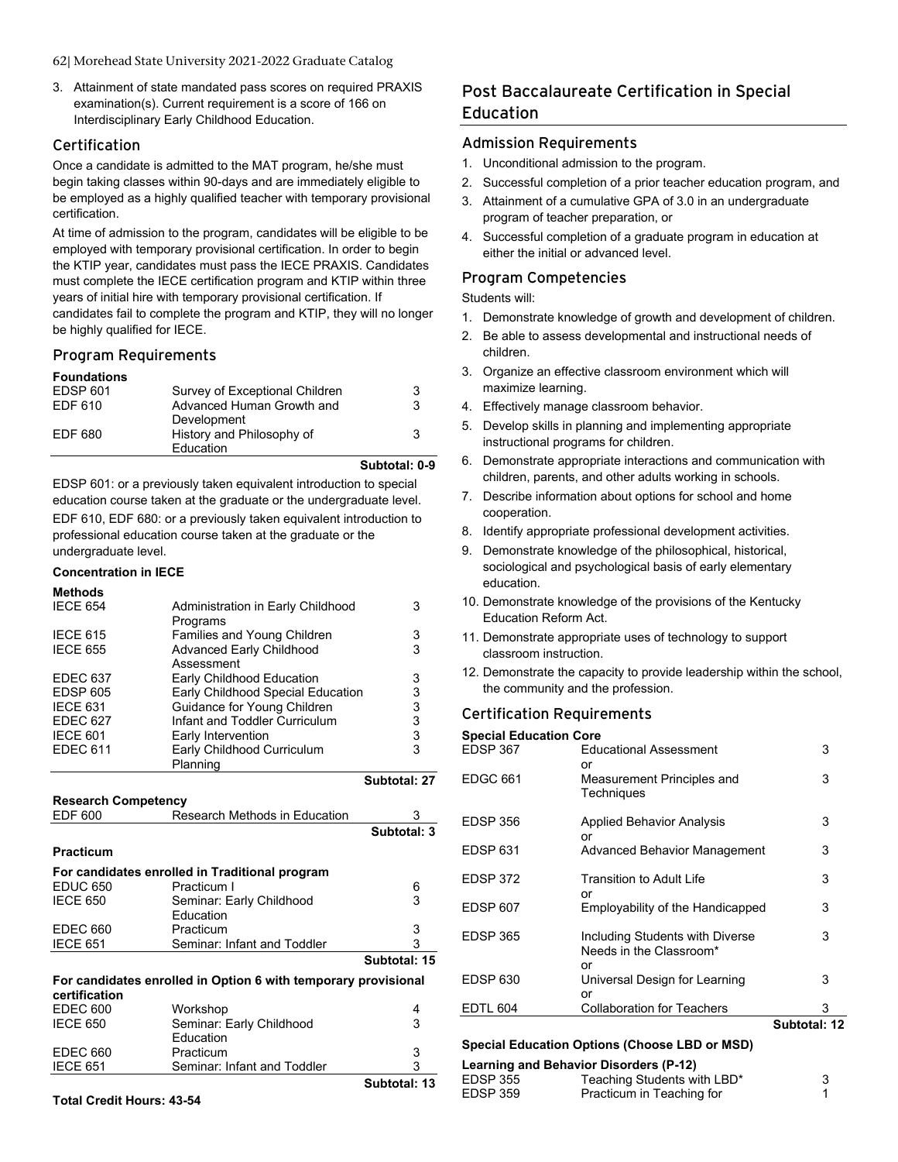3. Attainment of state mandated pass scores on required PRAXIS examination(s). Current requirement is a score of 166 on Interdisciplinary Early Childhood Education.

#### Certification

Once a candidate is admitted to the MAT program, he/she must begin taking classes within 90-days and are immediately eligible to be employed as a highly qualified teacher with temporary provisional certification.

At time of admission to the program, candidates will be eligible to be employed with temporary provisional certification. In order to begin the KTIP year, candidates must pass the IECE PRAXIS. Candidates must complete the IECE certification program and KTIP within three years of initial hire with temporary provisional certification. If candidates fail to complete the program and KTIP, they will no longer be highly qualified for IECE.

#### Program Requirements

#### **Foundations**

| EDSP 601 | Survey of Exceptional Children | З |
|----------|--------------------------------|---|
| EDF 610  | Advanced Human Growth and      | 3 |
|          | Development                    |   |
| EDF 680  | History and Philosophy of      | 3 |
|          | Education                      |   |
|          |                                |   |

#### **Subtotal: 0-9**

3

**Subtotal: 27** 

EDSP 601: or a previously taken equivalent introduction to special education course taken at the graduate or the undergraduate level.

EDF 610, EDF 680: or a previously taken equivalent introduction to professional education course taken at the graduate or the undergraduate level.

#### **Concentration in IECE**

#### **Methods**  Administration in Early Childhood Programs IECE 615 Families and Young Children 3

| IEVE 010        | Fallillies and Toung Children     | J. |
|-----------------|-----------------------------------|----|
| <b>IECE 655</b> | <b>Advanced Early Childhood</b>   | 3  |
|                 | Assessment                        |    |
| <b>EDEC 637</b> | Early Childhood Education         | 3  |
| <b>EDSP 605</b> | Early Childhood Special Education | 3  |
| <b>IECE 631</b> | Guidance for Young Children       | 3  |
| <b>EDEC 627</b> | Infant and Toddler Curriculum     | 3  |
| IECE 601        | Early Intervention                | 3  |
| <b>EDEC 611</b> | Early Childhood Curriculum        | 3  |
|                 | Planning                          |    |

|                            |                                                                | əuplolar. Z <i>i</i> |
|----------------------------|----------------------------------------------------------------|----------------------|
| <b>Research Competency</b> |                                                                |                      |
| EDF 600                    | Research Methods in Education                                  | 3                    |
|                            |                                                                | Subtotal: 3          |
| <b>Practicum</b>           |                                                                |                      |
|                            | For candidates enrolled in Traditional program                 |                      |
| <b>EDUC 650</b>            | Practicum I                                                    | 6                    |
| <b>IECE 650</b>            | Seminar: Early Childhood                                       | 3                    |
|                            | <b>Education</b>                                               |                      |
| EDEC 660                   | Practicum                                                      | 3                    |
| <b>IECE 651</b>            | Seminar: Infant and Toddler                                    | 3                    |
|                            |                                                                | Subtotal: 15         |
|                            | For candidates enrolled in Option 6 with temporary provisional |                      |
| certification              |                                                                |                      |
| <b>EDEC 600</b>            | Workshop                                                       | 4                    |
| <b>IECE 650</b>            | Seminar: Early Childhood                                       | 3                    |
|                            | Education                                                      |                      |
| <b>EDEC 660</b>            | Practicum                                                      | 3                    |
| <b>IECE 651</b>            | Seminar: Infant and Toddler                                    | 3                    |
|                            |                                                                | Subtotal: 13         |

#### **Total Credit Hours: 43-54**

## Post Baccalaureate Certification in Special Education

#### Admission Requirements

- 1. Unconditional admission to the program.
- 2. Successful completion of a prior teacher education program, and
- 3. Attainment of a cumulative GPA of 3.0 in an undergraduate program of teacher preparation, or
- 4. Successful completion of a graduate program in education at either the initial or advanced level.

#### Program Competencies

Students will:

- 1. Demonstrate knowledge of growth and development of children.
- 2. Be able to assess developmental and instructional needs of children.
- 3. Organize an effective classroom environment which will maximize learning.
- 4. Effectively manage classroom behavior.
- 5. Develop skills in planning and implementing appropriate instructional programs for children.
- 6. Demonstrate appropriate interactions and communication with children, parents, and other adults working in schools.
- 7. Describe information about options for school and home cooperation.
- 8. Identify appropriate professional development activities.
- 9. Demonstrate knowledge of the philosophical, historical, sociological and psychological basis of early elementary education.
- 10. Demonstrate knowledge of the provisions of the Kentucky Education Reform Act.
- 11. Demonstrate appropriate uses of technology to support classroom instruction.
- 12. Demonstrate the capacity to provide leadership within the school, the community and the profession.

#### Certification Requirements

#### **Special Education Core**

|                 |                                                            | Subtotal: 12 |
|-----------------|------------------------------------------------------------|--------------|
| <b>EDTL 604</b> | or<br><b>Collaboration for Teachers</b>                    | 3            |
| EDSP 630        | or<br>Universal Design for Learning                        | 3            |
| EDSP 365        | Including Students with Diverse<br>Needs in the Classroom* | 3            |
| EDSP 607        | or<br><b>Employability of the Handicapped</b>              | 3            |
| <b>EDSP 372</b> | Transition to Adult Life                                   | 3            |
| EDSP 631        | or<br><b>Advanced Behavior Management</b>                  | 3            |
| EDSP 356        | <b>Applied Behavior Analysis</b>                           | 3            |
| EDGC 661        | Measurement Principles and<br>Techniques                   | 3            |
| <b>EDSP 367</b> | <b>Educational Assessment</b><br>or                        | 3            |

#### **Special Education Options (Choose LBD or MSD)**

| Learning and Behavior Disorders (P-12) |                             |  |  |
|----------------------------------------|-----------------------------|--|--|
| EDSP 355                               | Teaching Students with LBD* |  |  |
| <b>EDSP 359</b>                        | Practicum in Teaching for   |  |  |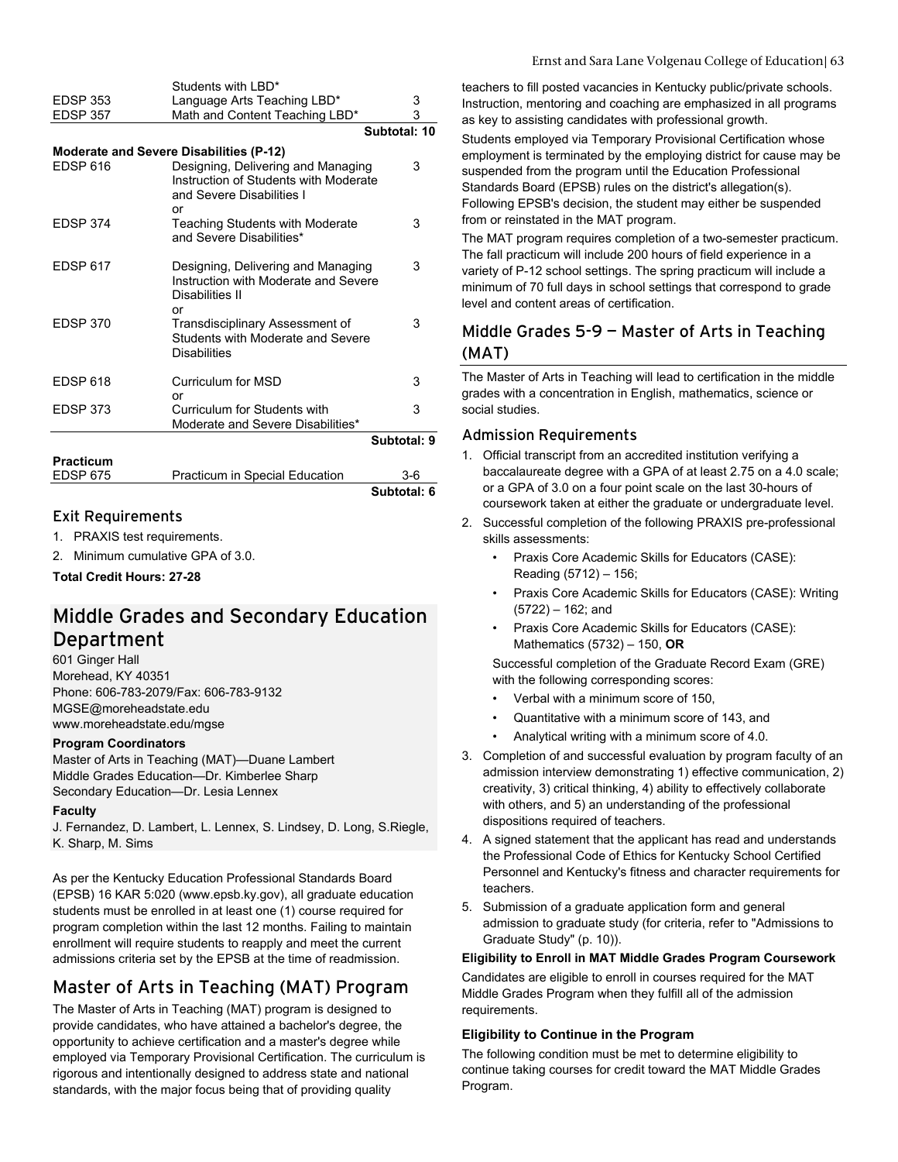| <b>EDSP 353</b>  | Students with LBD*<br>Language Arts Teaching LBD*                                                              | 3            |
|------------------|----------------------------------------------------------------------------------------------------------------|--------------|
| <b>EDSP 357</b>  | Math and Content Teaching LBD*                                                                                 | 3            |
|                  |                                                                                                                | Subtotal: 10 |
|                  | <b>Moderate and Severe Disabilities (P-12)</b>                                                                 |              |
| <b>EDSP 616</b>  | Designing, Delivering and Managing<br>Instruction of Students with Moderate<br>and Severe Disabilities I<br>or | 3            |
| <b>EDSP 374</b>  | <b>Teaching Students with Moderate</b><br>and Severe Disabilities*                                             | 3            |
| <b>EDSP 617</b>  | Designing, Delivering and Managing<br>Instruction with Moderate and Severe<br>Disabilities II<br>or            | 3            |
| <b>EDSP 370</b>  | Transdisciplinary Assessment of<br>Students with Moderate and Severe<br><b>Disabilities</b>                    | 3            |
| <b>EDSP 618</b>  | Curriculum for MSD<br>or                                                                                       | 3            |
| <b>EDSP 373</b>  | Curriculum for Students with<br>Moderate and Severe Disabilities*                                              | 3            |
|                  |                                                                                                                | Subtotal: 9  |
| <b>Practicum</b> |                                                                                                                |              |
| EDOD 675         | $D$ reatiaune in Creatial Education                                                                            | $\Omega$     |

EDSP 675 Practicum in Special Education 3-6 **Subtotal: 6** 

#### Exit Requirements

1. PRAXIS test requirements.

2. Minimum cumulative GPA of 3.0.

**Total Credit Hours: 27-28** 

## Middle Grades and Secondary Education Department

601 Ginger Hall Morehead, KY 40351 Phone: 606-783-2079/Fax: 606-783-9132 MGSE@moreheadstate.edu www.moreheadstate.edu/mgse

#### **Program Coordinators**

Master of Arts in Teaching (MAT)—Duane Lambert Middle Grades Education—Dr. Kimberlee Sharp Secondary Education—Dr. Lesia Lennex

#### **Faculty**

J. Fernandez, D. Lambert, L. Lennex, S. Lindsey, D. Long, S.Riegle, K. Sharp, M. Sims

As per the Kentucky Education Professional Standards Board (EPSB) 16 KAR 5:020 (www.epsb.ky.gov), all graduate education students must be enrolled in at least one (1) course required for program completion within the last 12 months. Failing to maintain enrollment will require students to reapply and meet the current admissions criteria set by the EPSB at the time of readmission.

## Master of Arts in Teaching (MAT) Program

The Master of Arts in Teaching (MAT) program is designed to provide candidates, who have attained a bachelor's degree, the opportunity to achieve certification and a master's degree while employed via Temporary Provisional Certification. The curriculum is rigorous and intentionally designed to address state and national standards, with the major focus being that of providing quality

teachers to fill posted vacancies in Kentucky public/private schools. Instruction, mentoring and coaching are emphasized in all programs as key to assisting candidates with professional growth.

Students employed via Temporary Provisional Certification whose employment is terminated by the employing district for cause may be suspended from the program until the Education Professional Standards Board (EPSB) rules on the district's allegation(s). Following EPSB's decision, the student may either be suspended from or reinstated in the MAT program.

The MAT program requires completion of a two-semester practicum. The fall practicum will include 200 hours of field experience in a variety of P-12 school settings. The spring practicum will include a minimum of 70 full days in school settings that correspond to grade level and content areas of certification.

## Middle Grades 5-9 — Master of Arts in Teaching (MAT)

The Master of Arts in Teaching will lead to certification in the middle grades with a concentration in English, mathematics, science or social studies.

#### Admission Requirements

- 1. Official transcript from an accredited institution verifying a baccalaureate degree with a GPA of at least 2.75 on a 4.0 scale; or a GPA of 3.0 on a four point scale on the last 30-hours of coursework taken at either the graduate or undergraduate level.
- 2. Successful completion of the following PRAXIS pre-professional skills assessments:
	- Praxis Core Academic Skills for Educators (CASE): Reading (5712) – 156;
	- Praxis Core Academic Skills for Educators (CASE): Writing (5722) – 162; and
	- Praxis Core Academic Skills for Educators (CASE): Mathematics (5732) – 150, **OR**

Successful completion of the Graduate Record Exam (GRE) with the following corresponding scores:

- Verbal with a minimum score of 150,
- Quantitative with a minimum score of 143, and
- Analytical writing with a minimum score of 4.0.
- 3. Completion of and successful evaluation by program faculty of an admission interview demonstrating 1) effective communication, 2) creativity, 3) critical thinking, 4) ability to effectively collaborate with others, and 5) an understanding of the professional dispositions required of teachers.
- 4. A signed statement that the applicant has read and understands the Professional Code of Ethics for Kentucky School Certified Personnel and Kentucky's fitness and character requirements for teachers.
- 5. Submission of a graduate application form and general admission to graduate study (for criteria, refer to "Admissions to Graduate Study" (p. 10)).

#### **Eligibility to Enroll in MAT Middle Grades Program Coursework**

Candidates are eligible to enroll in courses required for the MAT Middle Grades Program when they fulfill all of the admission requirements.

#### **Eligibility to Continue in the Program**

The following condition must be met to determine eligibility to continue taking courses for credit toward the MAT Middle Grades Program.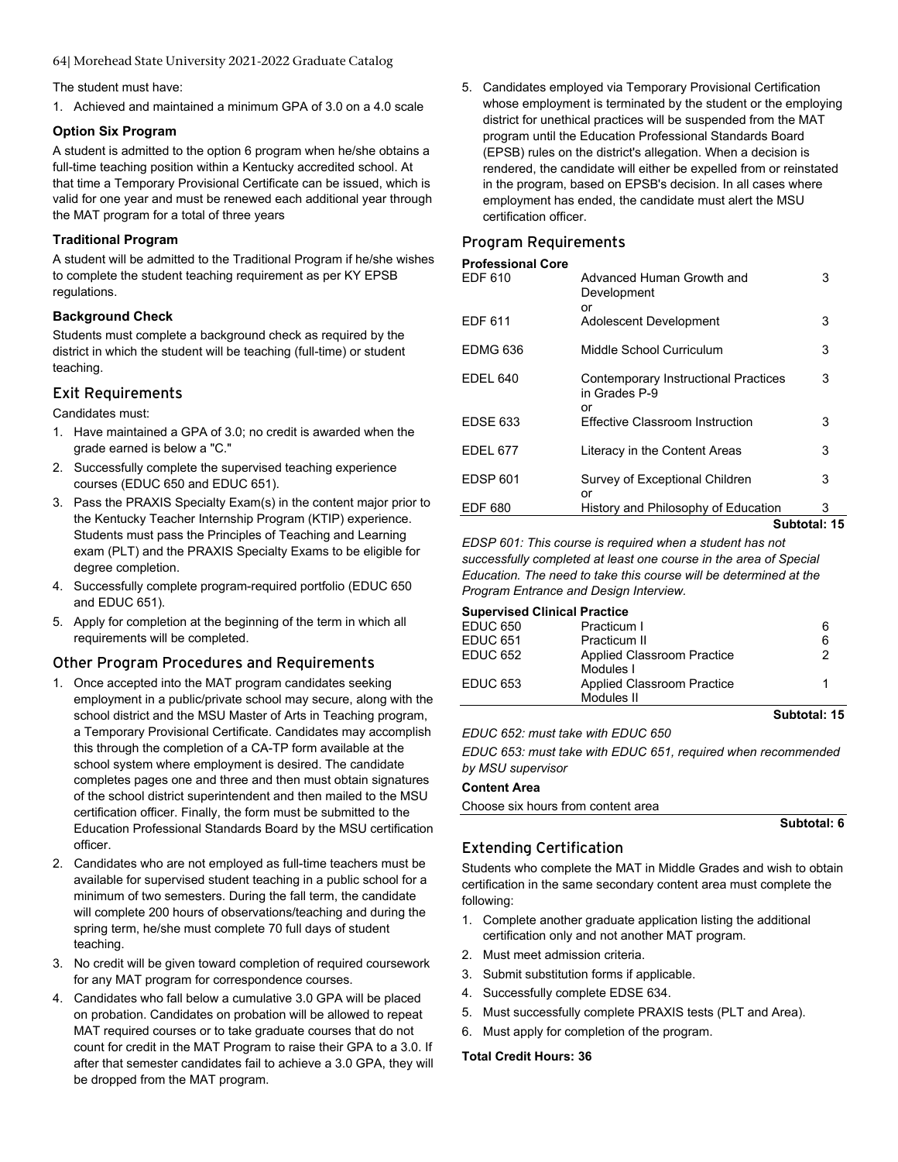The student must have:

1. Achieved and maintained a minimum GPA of 3.0 on a 4.0 scale

#### **Option Six Program**

A student is admitted to the option 6 program when he/she obtains a full-time teaching position within a Kentucky accredited school. At that time a Temporary Provisional Certificate can be issued, which is valid for one year and must be renewed each additional year through the MAT program for a total of three years

#### **Traditional Program**

A student will be admitted to the Traditional Program if he/she wishes to complete the student teaching requirement as per KY EPSB regulations.

#### **Background Check**

Students must complete a background check as required by the district in which the student will be teaching (full-time) or student teaching.

#### Exit Requirements

Candidates must:

- 1. Have maintained a GPA of 3.0; no credit is awarded when the grade earned is below a "C."
- 2. Successfully complete the supervised teaching experience courses (EDUC 650 and EDUC 651).
- 3. Pass the PRAXIS Specialty Exam(s) in the content major prior to the Kentucky Teacher Internship Program (KTIP) experience. Students must pass the Principles of Teaching and Learning exam (PLT) and the PRAXIS Specialty Exams to be eligible for degree completion.
- 4. Successfully complete program-required portfolio (EDUC 650 and EDUC 651).
- 5. Apply for completion at the beginning of the term in which all requirements will be completed.

#### Other Program Procedures and Requirements

- 1. Once accepted into the MAT program candidates seeking employment in a public/private school may secure, along with the school district and the MSU Master of Arts in Teaching program, a Temporary Provisional Certificate. Candidates may accomplish this through the completion of a CA-TP form available at the school system where employment is desired. The candidate completes pages one and three and then must obtain signatures of the school district superintendent and then mailed to the MSU certification officer. Finally, the form must be submitted to the Education Professional Standards Board by the MSU certification officer.
- 2. Candidates who are not employed as full-time teachers must be available for supervised student teaching in a public school for a minimum of two semesters. During the fall term, the candidate will complete 200 hours of observations/teaching and during the spring term, he/she must complete 70 full days of student teaching.
- 3. No credit will be given toward completion of required coursework for any MAT program for correspondence courses.
- 4. Candidates who fall below a cumulative 3.0 GPA will be placed on probation. Candidates on probation will be allowed to repeat MAT required courses or to take graduate courses that do not count for credit in the MAT Program to raise their GPA to a 3.0. If after that semester candidates fail to achieve a 3.0 GPA, they will be dropped from the MAT program.

5. Candidates employed via Temporary Provisional Certification whose employment is terminated by the student or the employing district for unethical practices will be suspended from the MAT program until the Education Professional Standards Board (EPSB) rules on the district's allegation. When a decision is rendered, the candidate will either be expelled from or reinstated in the program, based on EPSB's decision. In all cases where employment has ended, the candidate must alert the MSU certification officer.

#### Program Requirements

#### **Professional Core**

|                 | Subtotal: 15                                          |   |
|-----------------|-------------------------------------------------------|---|
| EDF 680         | or<br>History and Philosophy of Education             | 3 |
| <b>EDSP 601</b> | Survey of Exceptional Children                        | 3 |
| <b>EDEL 677</b> | Literacy in the Content Areas                         | 3 |
| <b>EDSE 633</b> | or<br><b>Effective Classroom Instruction</b>          | 3 |
| <b>EDEL 640</b> | Contemporary Instructional Practices<br>in Grades P-9 | 3 |
| <b>EDMG 636</b> | Middle School Curriculum                              | 3 |
| EDF 611         | or<br>Adolescent Development                          | 3 |
| EDF 610         | Advanced Human Growth and<br>Development              | 3 |

*EDSP 601: This course is required when a student has not successfully completed at least one course in the area of Special Education. The need to take this course will be determined at the Program Entrance and Design Interview.*

#### **Supervised Clinical Practice**

|                       |                                   | Subtotal: 15 |
|-----------------------|-----------------------------------|--------------|
|                       | Modules II                        |              |
| EDUC 653              | <b>Applied Classroom Practice</b> |              |
|                       | Modules I                         |              |
| EDUC 652              | <b>Applied Classroom Practice</b> |              |
| EDUC 651              | Practicum II                      |              |
| <b>EDUC 650</b>       | Practicum I                       |              |
| _____________________ |                                   |              |

*EDUC 652: must take with EDUC 650*

*EDUC 653: must take with EDUC 651, required when recommended by MSU supervisor*

#### **Content Area**

Choose six hours from content area

**Subtotal: 6** 

#### Extending Certification

Students who complete the MAT in Middle Grades and wish to obtain certification in the same secondary content area must complete the following:

- 1. Complete another graduate application listing the additional certification only and not another MAT program.
- 2. Must meet admission criteria.
- 3. Submit substitution forms if applicable.
- 4. Successfully complete EDSE 634.
- 5. Must successfully complete PRAXIS tests (PLT and Area).
- 6. Must apply for completion of the program.

#### **Total Credit Hours: 36**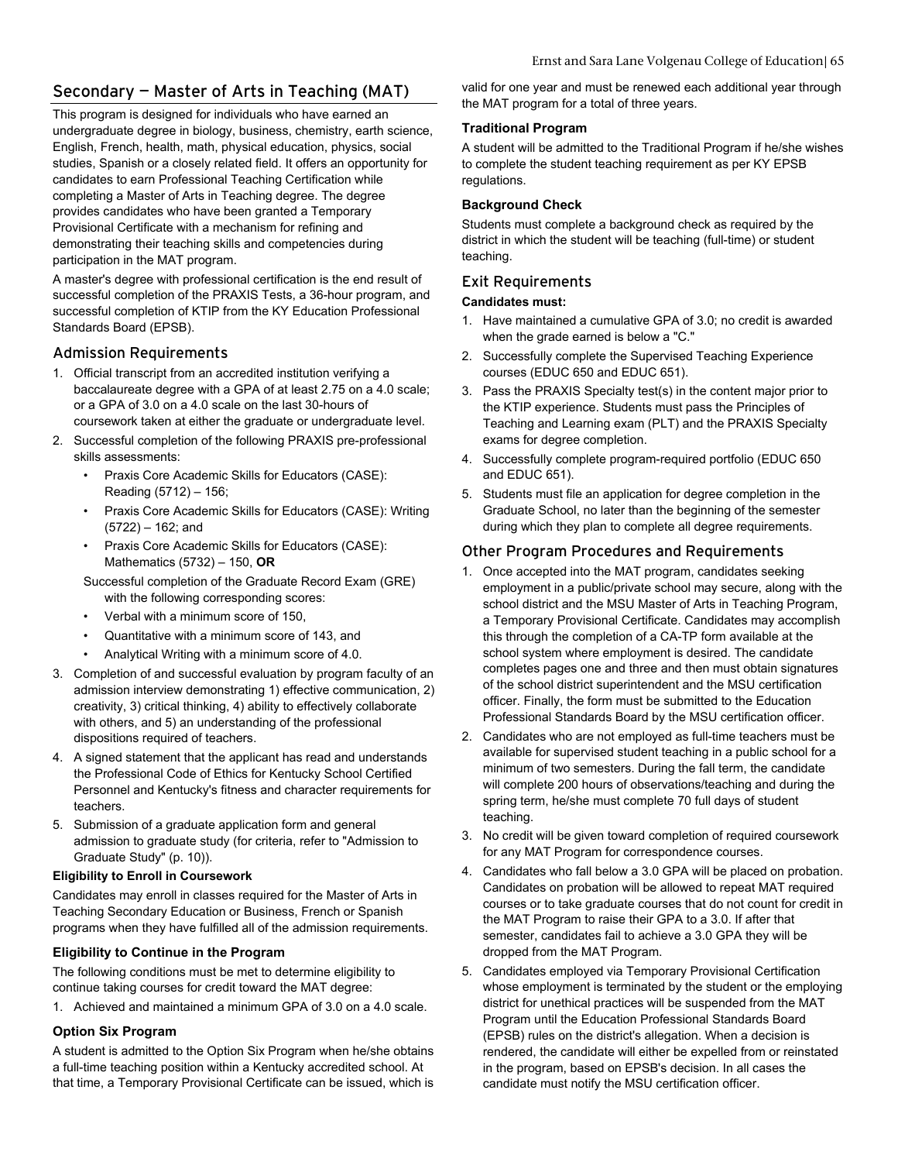## Secondary — Master of Arts in Teaching (MAT)

This program is designed for individuals who have earned an undergraduate degree in biology, business, chemistry, earth science, English, French, health, math, physical education, physics, social studies, Spanish or a closely related field. It offers an opportunity for candidates to earn Professional Teaching Certification while completing a Master of Arts in Teaching degree. The degree provides candidates who have been granted a Temporary Provisional Certificate with a mechanism for refining and demonstrating their teaching skills and competencies during participation in the MAT program.

A master's degree with professional certification is the end result of successful completion of the PRAXIS Tests, a 36-hour program, and successful completion of KTIP from the KY Education Professional Standards Board (EPSB).

#### Admission Requirements

- 1. Official transcript from an accredited institution verifying a baccalaureate degree with a GPA of at least 2.75 on a 4.0 scale; or a GPA of 3.0 on a 4.0 scale on the last 30-hours of coursework taken at either the graduate or undergraduate level.
- 2. Successful completion of the following PRAXIS pre-professional skills assessments:
	- Praxis Core Academic Skills for Educators (CASE): Reading (5712) – 156;
	- Praxis Core Academic Skills for Educators (CASE): Writing (5722) – 162; and
	- Praxis Core Academic Skills for Educators (CASE): Mathematics (5732) – 150, **OR**
	- Successful completion of the Graduate Record Exam (GRE) with the following corresponding scores:
	- Verbal with a minimum score of 150,
	- Quantitative with a minimum score of 143, and
	- Analytical Writing with a minimum score of 4.0.
- 3. Completion of and successful evaluation by program faculty of an admission interview demonstrating 1) effective communication, 2) creativity, 3) critical thinking, 4) ability to effectively collaborate with others, and 5) an understanding of the professional dispositions required of teachers.
- 4. A signed statement that the applicant has read and understands the Professional Code of Ethics for Kentucky School Certified Personnel and Kentucky's fitness and character requirements for teachers.
- 5. Submission of a graduate application form and general admission to graduate study (for criteria, refer to "Admission to Graduate Study" (p. 10)).

#### **Eligibility to Enroll in Coursework**

Candidates may enroll in classes required for the Master of Arts in Teaching Secondary Education or Business, French or Spanish programs when they have fulfilled all of the admission requirements.

#### **Eligibility to Continue in the Program**

The following conditions must be met to determine eligibility to continue taking courses for credit toward the MAT degree:

1. Achieved and maintained a minimum GPA of 3.0 on a 4.0 scale.

#### **Option Six Program**

A student is admitted to the Option Six Program when he/she obtains a full-time teaching position within a Kentucky accredited school. At that time, a Temporary Provisional Certificate can be issued, which is valid for one year and must be renewed each additional year through the MAT program for a total of three years.

#### **Traditional Program**

A student will be admitted to the Traditional Program if he/she wishes to complete the student teaching requirement as per KY EPSB regulations.

#### **Background Check**

Students must complete a background check as required by the district in which the student will be teaching (full-time) or student teaching.

#### Exit Requirements

#### **Candidates must:**

- 1. Have maintained a cumulative GPA of 3.0; no credit is awarded when the grade earned is below a "C."
- 2. Successfully complete the Supervised Teaching Experience courses (EDUC 650 and EDUC 651).
- 3. Pass the PRAXIS Specialty test(s) in the content major prior to the KTIP experience. Students must pass the Principles of Teaching and Learning exam (PLT) and the PRAXIS Specialty exams for degree completion.
- 4. Successfully complete program-required portfolio (EDUC 650 and EDUC 651).
- 5. Students must file an application for degree completion in the Graduate School, no later than the beginning of the semester during which they plan to complete all degree requirements.

#### Other Program Procedures and Requirements

- 1. Once accepted into the MAT program, candidates seeking employment in a public/private school may secure, along with the school district and the MSU Master of Arts in Teaching Program, a Temporary Provisional Certificate. Candidates may accomplish this through the completion of a CA-TP form available at the school system where employment is desired. The candidate completes pages one and three and then must obtain signatures of the school district superintendent and the MSU certification officer. Finally, the form must be submitted to the Education Professional Standards Board by the MSU certification officer.
- 2. Candidates who are not employed as full-time teachers must be available for supervised student teaching in a public school for a minimum of two semesters. During the fall term, the candidate will complete 200 hours of observations/teaching and during the spring term, he/she must complete 70 full days of student teaching.
- 3. No credit will be given toward completion of required coursework for any MAT Program for correspondence courses.
- 4. Candidates who fall below a 3.0 GPA will be placed on probation. Candidates on probation will be allowed to repeat MAT required courses or to take graduate courses that do not count for credit in the MAT Program to raise their GPA to a 3.0. If after that semester, candidates fail to achieve a 3.0 GPA they will be dropped from the MAT Program.
- 5. Candidates employed via Temporary Provisional Certification whose employment is terminated by the student or the employing district for unethical practices will be suspended from the MAT Program until the Education Professional Standards Board (EPSB) rules on the district's allegation. When a decision is rendered, the candidate will either be expelled from or reinstated in the program, based on EPSB's decision. In all cases the candidate must notify the MSU certification officer.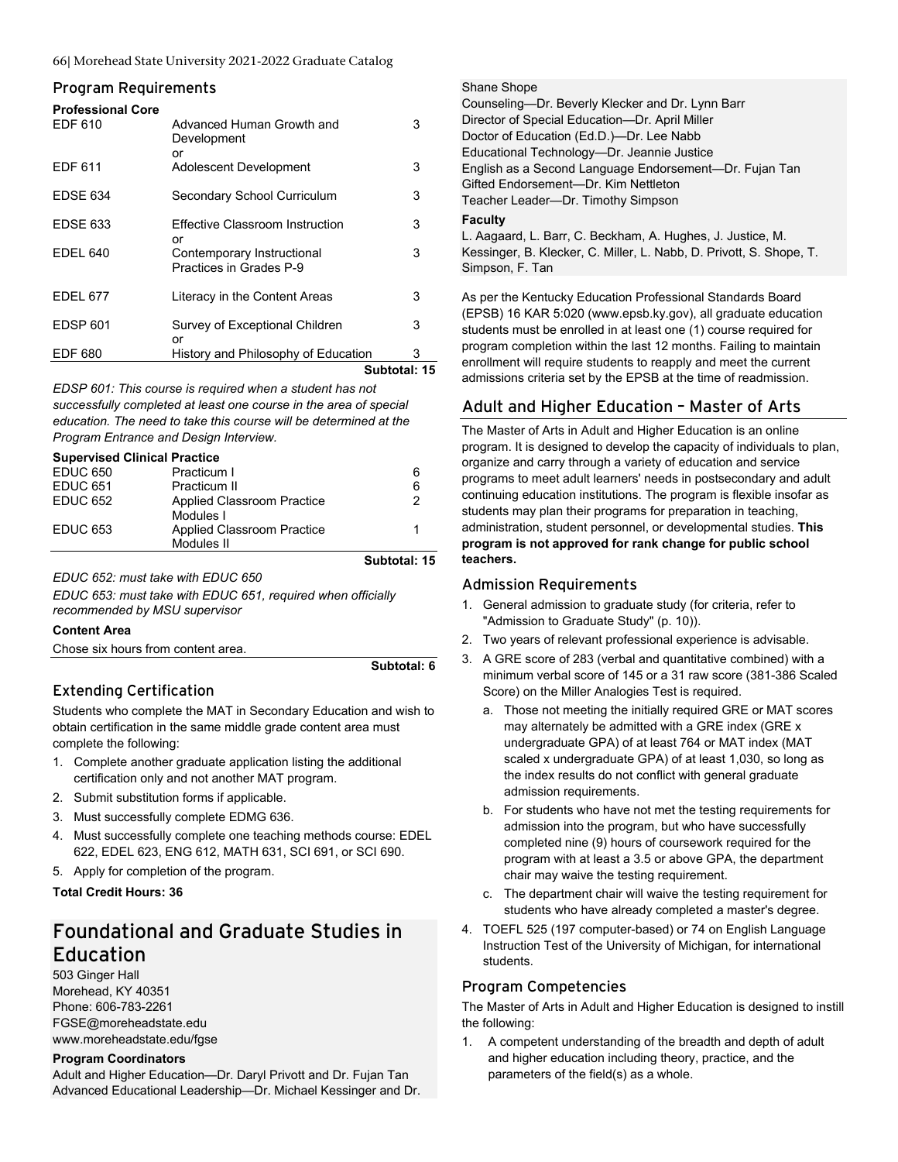#### Program Requirements

| <b>Professional Core</b> |  |
|--------------------------|--|
|                          |  |

|                   |                                                             | Subtotal: 15 |
|-------------------|-------------------------------------------------------------|--------------|
| EDF 680           | or<br>History and Philosophy of Education                   | 3            |
| <b>EDSP 601</b>   | Survey of Exceptional Children                              | 3            |
| <b>EDEL 677</b>   | Literacy in the Content Areas                               | 3            |
| EDEL 640          | or<br>Contemporary Instructional<br>Practices in Grades P-9 | 3            |
| <b>EDSE 633</b>   | <b>Effective Classroom Instruction</b>                      | 3            |
| <b>EDSE 634</b>   | Secondary School Curriculum                                 | 3            |
| EDF 611           | or<br>Adolescent Development                                | 3            |
| <b>EDF 610</b>    | Advanced Human Growth and<br>Development                    | 3            |
| Professional Core |                                                             |              |

*EDSP 601: This course is required when a student has not successfully completed at least one course in the area of special education. The need to take this course will be determined at the Program Entrance and Design Interview.*

| <b>Supervised Clinical Practice</b> |                                   |   |
|-------------------------------------|-----------------------------------|---|
| <b>EDUC 650</b>                     | Practicum I                       | 6 |
| <b>EDUC 651</b>                     | Practicum II                      | 6 |
| <b>EDUC 652</b>                     | <b>Applied Classroom Practice</b> |   |
|                                     | Modules I                         |   |
| <b>EDUC 653</b>                     | <b>Applied Classroom Practice</b> |   |
|                                     | Modules II                        |   |

**Subtotal: 15** 

*EDUC 652: must take with EDUC 650*

*EDUC 653: must take with EDUC 651, required when officially recommended by MSU supervisor*

#### **Content Area**

| Chose six hours from content area. |  |
|------------------------------------|--|
|------------------------------------|--|

**Subtotal: 6** 

## Extending Certification

Students who complete the MAT in Secondary Education and wish to obtain certification in the same middle grade content area must complete the following:

- 1. Complete another graduate application listing the additional certification only and not another MAT program.
- 2. Submit substitution forms if applicable.
- 3. Must successfully complete EDMG 636.
- 4. Must successfully complete one teaching methods course: EDEL 622, EDEL 623, ENG 612, MATH 631, SCI 691, or SCI 690.
- 5. Apply for completion of the program.

**Total Credit Hours: 36** 

## Foundational and Graduate Studies in Education

503 Ginger Hall Morehead, KY 40351 Phone: 606-783-2261 FGSE@moreheadstate.edu www.moreheadstate.edu/fgse

#### **Program Coordinators**

Adult and Higher Education—Dr. Daryl Privott and Dr. Fujan Tan Advanced Educational Leadership—Dr. Michael Kessinger and Dr.

| Shane Shope                                                         |
|---------------------------------------------------------------------|
| Counseling---Dr. Beverly Klecker and Dr. Lynn Barr                  |
| Director of Special Education---Dr. April Miller                    |
| Doctor of Education (Ed.D.)-Dr. Lee Nabb                            |
| Educational Technology-Dr. Jeannie Justice                          |
| English as a Second Language Endorsement—Dr. Fujan Tan              |
| Gifted Endorsement-Dr. Kim Nettleton                                |
| Teacher Leader—Dr. Timothy Simpson                                  |
| <b>Faculty</b>                                                      |
| L. Aagaard, L. Barr, C. Beckham, A. Hughes, J. Justice, M.          |
| Kessinger, B. Klecker, C. Miller, L. Nabb, D. Privott, S. Shope, T. |
| Simpson, F. Tan                                                     |
|                                                                     |

As per the Kentucky Education Professional Standards Board (EPSB) 16 KAR 5:020 (www.epsb.ky.gov), all graduate education students must be enrolled in at least one (1) course required for program completion within the last 12 months. Failing to maintain enrollment will require students to reapply and meet the current admissions criteria set by the EPSB at the time of readmission.

## Adult and Higher Education – Master of Arts

The Master of Arts in Adult and Higher Education is an online program. It is designed to develop the capacity of individuals to plan, organize and carry through a variety of education and service programs to meet adult learners' needs in postsecondary and adult continuing education institutions. The program is flexible insofar as students may plan their programs for preparation in teaching, administration, student personnel, or developmental studies. **This program is not approved for rank change for public school teachers.**

#### Admission Requirements

- 1. General admission to graduate study (for criteria, refer to "Admission to Graduate Study" (p. 10)).
- 2. Two years of relevant professional experience is advisable.
- 3. A GRE score of 283 (verbal and quantitative combined) with a minimum verbal score of 145 or a 31 raw score (381-386 Scaled Score) on the Miller Analogies Test is required.
	- a. Those not meeting the initially required GRE or MAT scores may alternately be admitted with a GRE index (GRE x undergraduate GPA) of at least 764 or MAT index (MAT scaled x undergraduate GPA) of at least 1,030, so long as the index results do not conflict with general graduate admission requirements.
	- b. For students who have not met the testing requirements for admission into the program, but who have successfully completed nine (9) hours of coursework required for the program with at least a 3.5 or above GPA, the department chair may waive the testing requirement.
	- c. The department chair will waive the testing requirement for students who have already completed a master's degree.
- 4. TOEFL 525 (197 computer-based) or 74 on English Language Instruction Test of the University of Michigan, for international students.

#### Program Competencies

The Master of Arts in Adult and Higher Education is designed to instill the following:

1. A competent understanding of the breadth and depth of adult and higher education including theory, practice, and the parameters of the field(s) as a whole.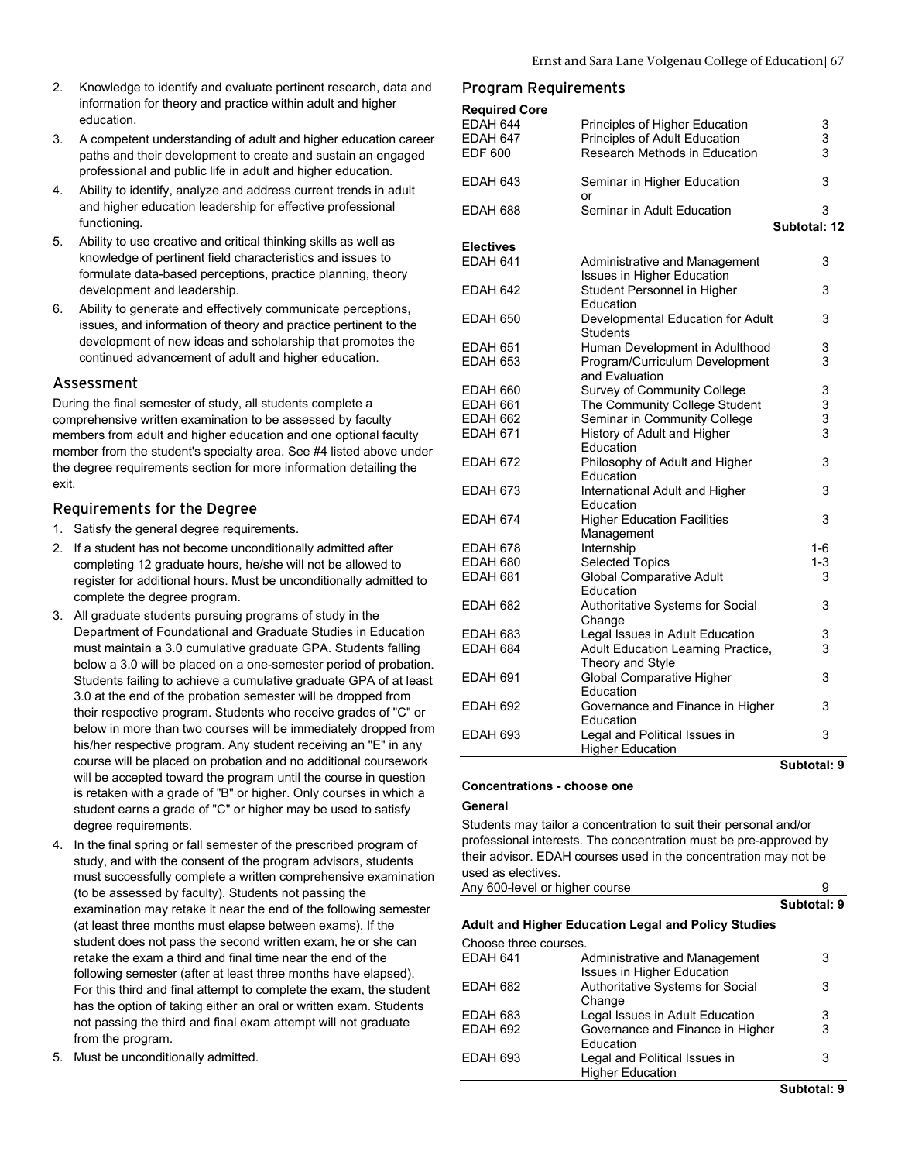- 2. Knowledge to identify and evaluate pertinent research, data and information for theory and practice within adult and higher education.
- 3. A competent understanding of adult and higher education career paths and their development to create and sustain an engaged professional and public life in adult and higher education.
- 4. Ability to identify, analyze and address current trends in adult and higher education leadership for effective professional functioning.
- 5. Ability to use creative and critical thinking skills as well as knowledge of pertinent field characteristics and issues to formulate data-based perceptions, practice planning, theory development and leadership.
- 6. Ability to generate and effectively communicate perceptions, issues, and information of theory and practice pertinent to the development of new ideas and scholarship that promotes the continued advancement of adult and higher education.

#### Assessment

During the final semester of study, all students complete a comprehensive written examination to be assessed by faculty members from adult and higher education and one optional faculty member from the student's specialty area. See #4 listed above under the degree requirements section for more information detailing the exit.

#### Requirements for the Degree

- 1. Satisfy the general degree requirements.
- 2. If a student has not become unconditionally admitted after completing 12 graduate hours, he/she will not be allowed to register for additional hours. Must be unconditionally admitted to complete the degree program.
- 3. All graduate students pursuing programs of study in the Department of Foundational and Graduate Studies in Education must maintain a 3.0 cumulative graduate GPA. Students falling below a 3.0 will be placed on a one-semester period of probation. Students failing to achieve a cumulative graduate GPA of at least 3.0 at the end of the probation semester will be dropped from their respective program. Students who receive grades of "C" or below in more than two courses will be immediately dropped from his/her respective program. Any student receiving an "E" in any course will be placed on probation and no additional coursework will be accepted toward the program until the course in question is retaken with a grade of "B" or higher. Only courses in which a student earns a grade of "C" or higher may be used to satisfy degree requirements.
- 4. In the final spring or fall semester of the prescribed program of study, and with the consent of the program advisors, students must successfully complete a written comprehensive examination (to be assessed by faculty). Students not passing the examination may retake it near the end of the following semester (at least three months must elapse between exams). If the student does not pass the second written exam, he or she can retake the exam a third and final time near the end of the following semester (after at least three months have elapsed). For this third and final attempt to complete the exam, the student has the option of taking either an oral or written exam. Students not passing the third and final exam attempt will not graduate from the program.
- 5. Must be unconditionally admitted.

#### Program Requirements

| <b>Reauired Core</b> |  |
|----------------------|--|

| <b>Required Core</b> |                                                      |              |
|----------------------|------------------------------------------------------|--------------|
| EDAH 644             | Principles of Higher Education                       | 3            |
| <b>EDAH 647</b>      | Principles of Adult Education                        | 3            |
| <b>EDF 600</b>       | Research Methods in Education                        | 3            |
| <b>EDAH 643</b>      | Seminar in Higher Education<br>or                    | 3            |
| EDAH 688             | Seminar in Adult Education                           | 3            |
|                      |                                                      | Subtotal: 12 |
| <b>Electives</b>     |                                                      |              |
| <b>EDAH 641</b>      | Administrative and Management                        | 3            |
|                      | Issues in Higher Education                           |              |
| EDAH 642             | Student Personnel in Higher                          | 3            |
|                      | Education                                            |              |
| <b>EDAH 650</b>      | Developmental Education for Adult<br><b>Students</b> | 3            |
| <b>EDAH 651</b>      | Human Development in Adulthood                       | 3            |
| <b>EDAH 653</b>      | Program/Curriculum Development<br>and Evaluation     | 3            |
| <b>EDAH 660</b>      | <b>Survey of Community College</b>                   | 3            |
| <b>EDAH 661</b>      | The Community College Student                        | 3            |
| EDAH 662             | Seminar in Community College                         | 3            |
| <b>EDAH 671</b>      | History of Adult and Higher                          | 3            |
|                      | Education                                            |              |
| <b>EDAH 672</b>      | Philosophy of Adult and Higher                       | 3            |
|                      | Education                                            |              |
| <b>EDAH 673</b>      | International Adult and Higher<br>Education          | 3            |
| EDAH 674             | <b>Higher Education Facilities</b>                   | 3            |
|                      | Management                                           |              |
| EDAH 678             | Internship                                           | $1 - 6$      |
| EDAH 680             | <b>Selected Topics</b>                               | $1 - 3$      |
| EDAH 681             | <b>Global Comparative Adult</b>                      | 3            |
|                      | Education                                            |              |
| EDAH 682             | Authoritative Systems for Social                     | 3            |
|                      | Change                                               |              |
| <b>EDAH 683</b>      | Legal Issues in Adult Education                      | 3            |
| EDAH 684             | Adult Education Learning Practice,                   | 3            |
|                      | Theory and Style                                     |              |
| <b>EDAH 691</b>      | Global Comparative Higher                            | 3            |
|                      | Education                                            |              |
| EDAH 692             | Governance and Finance in Higher                     | 3            |
|                      | Education                                            |              |
| EDAH 693             | Legal and Political Issues in                        | 3            |
|                      | <b>Higher Education</b>                              |              |
|                      |                                                      | Subtotal: 9  |

#### **Concentrations - choose one**

#### **General**

Students may tailor a concentration to suit their personal and/or professional interests. The concentration must be pre-approved by their advisor. EDAH courses used in the concentration may not be used as electives.

| Any 600-level or higher course |             |
|--------------------------------|-------------|
|                                | Subtotal: 9 |

#### **Adult and Higher Education Legal and Policy Studies**

| Choose three courses. |           |                                                                    |  |   |
|-----------------------|-----------|--------------------------------------------------------------------|--|---|
| <b>EDAH 641</b>       |           | Administrative and Management<br><b>Issues in Higher Education</b> |  | 3 |
| <b>EDAH 682</b>       | Change    | Authoritative Systems for Social                                   |  | 3 |
| <b>EDAH 683</b>       |           | Legal Issues in Adult Education                                    |  | 3 |
| <b>EDAH 692</b>       | Education | Governance and Finance in Higher                                   |  | 3 |
| <b>EDAH 693</b>       |           | Legal and Political Issues in<br><b>Higher Education</b>           |  | 3 |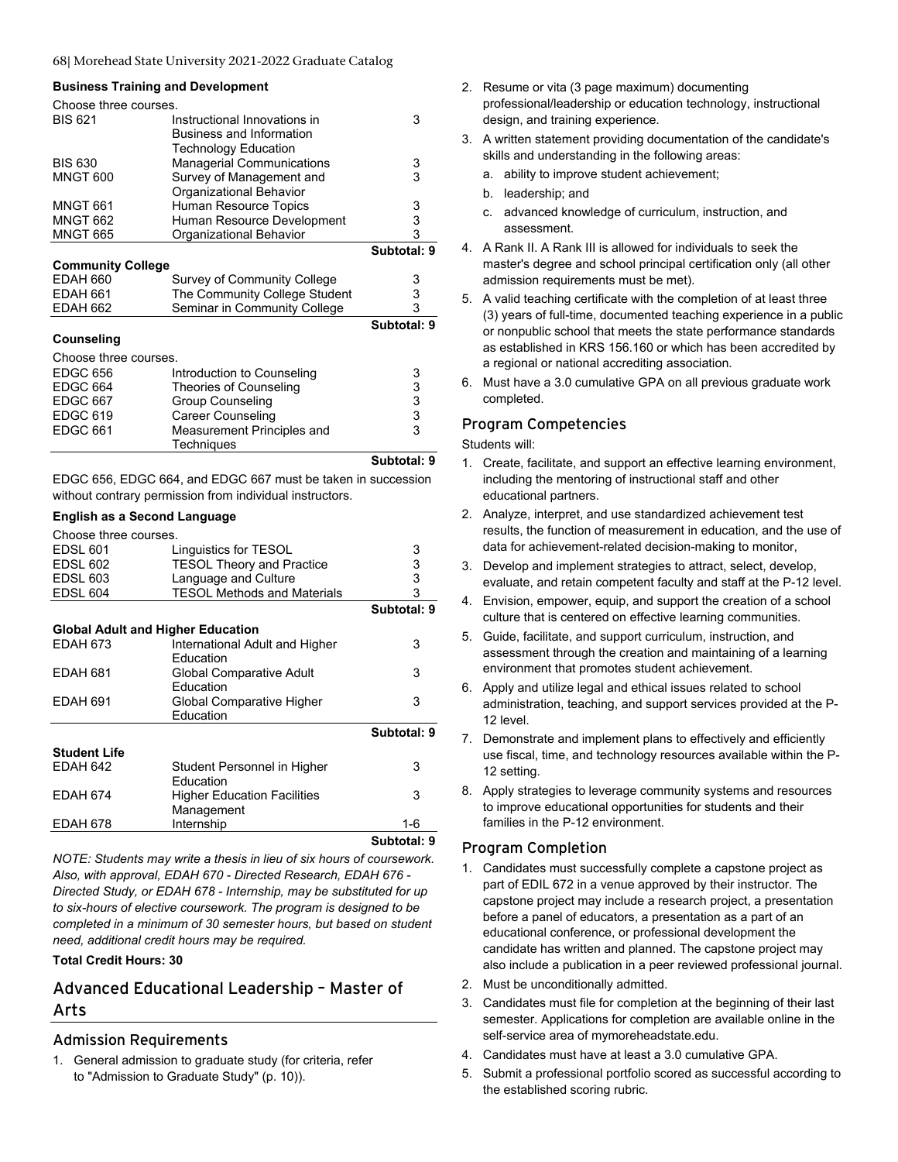| <b>Business Training and Development</b> |  |  |  |  |
|------------------------------------------|--|--|--|--|
|------------------------------------------|--|--|--|--|

|                          | <b>Business Training and Development</b> |             |
|--------------------------|------------------------------------------|-------------|
| Choose three courses.    |                                          |             |
| <b>BIS 621</b>           | Instructional Innovations in             | 3           |
|                          | <b>Business and Information</b>          |             |
|                          | <b>Technology Education</b>              |             |
| <b>BIS 630</b>           | <b>Managerial Communications</b>         | 3           |
| <b>MNGT 600</b>          | Survey of Management and                 | 3           |
|                          | Organizational Behavior                  |             |
| <b>MNGT 661</b>          | <b>Human Resource Topics</b>             | 3           |
| <b>MNGT 662</b>          | Human Resource Development               | 3           |
| <b>MNGT 665</b>          | Organizational Behavior                  | 3           |
|                          |                                          | Subtotal: 9 |
| <b>Community College</b> |                                          |             |
| <b>EDAH 660</b>          | <b>Survey of Community College</b>       | 3           |
| <b>EDAH 661</b>          | The Community College Student            | 3           |
| EDAH 662                 | Seminar in Community College             | 3           |
|                          |                                          | Subtotal: 9 |
| Counseling               |                                          |             |
| Choose three courses.    |                                          |             |
| <b>EDGC 656</b>          | Introduction to Counseling               |             |
| <b>EDGC 664</b>          | Theories of Counseling                   | 333333      |
| <b>EDGC 667</b>          | <b>Group Counseling</b>                  |             |
| <b>EDGC 619</b>          | <b>Career Counseling</b>                 |             |
| <b>EDGC 661</b>          | Measurement Principles and               |             |
|                          | Techniques                               |             |
|                          |                                          | Subtotal: 9 |

EDGC 656, EDGC 664, and EDGC 667 must be taken in succession without contrary permission from individual instructors.

#### **English as a Second Language**

| Choose three courses.                    |                                                    |             |
|------------------------------------------|----------------------------------------------------|-------------|
| <b>EDSL 601</b>                          | Linguistics for TESOL                              | 3           |
| <b>EDSL 602</b>                          | <b>TESOL Theory and Practice</b>                   | 3           |
| <b>EDSL 603</b>                          | Language and Culture                               | 3           |
| <b>EDSL 604</b>                          | <b>TESOL Methods and Materials</b>                 | 3           |
|                                          |                                                    | Subtotal: 9 |
| <b>Global Adult and Higher Education</b> |                                                    |             |
| <b>EDAH 673</b>                          | International Adult and Higher<br><b>Education</b> | 3           |
| <b>EDAH 681</b>                          | Global Comparative Adult<br>Education              | 3           |
| <b>EDAH 691</b>                          | Global Comparative Higher<br>Education             | 3           |
|                                          |                                                    | Subtotal: 9 |
| <b>Student Life</b>                      |                                                    |             |
| EDAH 642                                 | Student Personnel in Higher<br>Education           | 3           |
| <b>EDAH 674</b>                          | <b>Higher Education Facilities</b><br>Management   | 3           |
| EDAH 678                                 | Internship                                         | 1-6         |
|                                          |                                                    | Subtotal: 9 |

*NOTE: Students may write a thesis in lieu of six hours of coursework. Also, with approval, EDAH 670 - Directed Research, EDAH 676 - Directed Study, or EDAH 678 - Internship, may be substituted for up to six-hours of elective coursework. The program is designed to be completed in a minimum of 30 semester hours, but based on student need, additional credit hours may be required.*

#### **Total Credit Hours: 30**

## Advanced Educational Leadership – Master of Arts

#### Admission Requirements

1. General admission to graduate study (for criteria, refer to "Admission to Graduate Study" (p. 10)).

- 2. Resume or vita (3 page maximum) documenting professional/leadership or education technology, instructional design, and training experience.
- 3. A written statement providing documentation of the candidate's skills and understanding in the following areas:
	- a. ability to improve student achievement;
	- b. leadership; and
	- c. advanced knowledge of curriculum, instruction, and assessment.
- 4. A Rank II. A Rank III is allowed for individuals to seek the master's degree and school principal certification only (all other admission requirements must be met).
- 5. A valid teaching certificate with the completion of at least three (3) years of full-time, documented teaching experience in a public or nonpublic school that meets the state performance standards as established in KRS 156.160 or which has been accredited by a regional or national accrediting association.
- 6. Must have a 3.0 cumulative GPA on all previous graduate work completed.

#### Program Competencies

Students will:

- 1. Create, facilitate, and support an effective learning environment, including the mentoring of instructional staff and other educational partners.
- 2. Analyze, interpret, and use standardized achievement test results, the function of measurement in education, and the use of data for achievement-related decision-making to monitor,
- 3. Develop and implement strategies to attract, select, develop, evaluate, and retain competent faculty and staff at the P-12 level.
- 4. Envision, empower, equip, and support the creation of a school culture that is centered on effective learning communities.
- 5. Guide, facilitate, and support curriculum, instruction, and assessment through the creation and maintaining of a learning environment that promotes student achievement.
- 6. Apply and utilize legal and ethical issues related to school administration, teaching, and support services provided at the P-12 level.
- 7. Demonstrate and implement plans to effectively and efficiently use fiscal, time, and technology resources available within the P-12 setting.
- 8. Apply strategies to leverage community systems and resources to improve educational opportunities for students and their families in the P-12 environment.

#### Program Completion

- 1. Candidates must successfully complete a capstone project as part of EDIL 672 in a venue approved by their instructor. The capstone project may include a research project, a presentation before a panel of educators, a presentation as a part of an educational conference, or professional development the candidate has written and planned. The capstone project may also include a publication in a peer reviewed professional journal.
- 2. Must be unconditionally admitted.
- 3. Candidates must file for completion at the beginning of their last semester. Applications for completion are available online in the self-service area of mymoreheadstate.edu.
- 4. Candidates must have at least a 3.0 cumulative GPA.
- 5. Submit a professional portfolio scored as successful according to the established scoring rubric.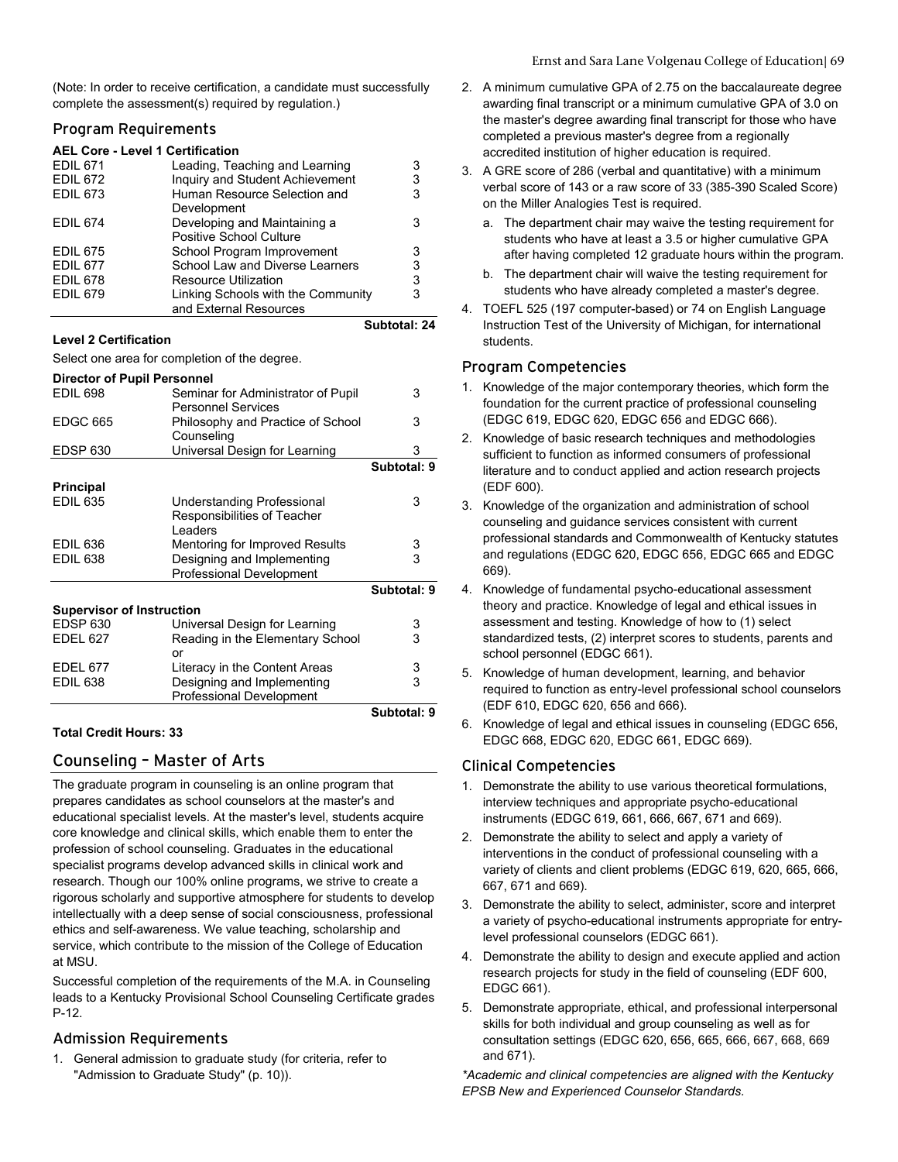(Note: In order to receive certification, a candidate must successfully complete the assessment(s) required by regulation.)

#### Program Requirements

#### **AEL Core - Level 1 Certification**

|                 |                                    | Subtotal: 24 |
|-----------------|------------------------------------|--------------|
|                 | and External Resources             |              |
| <b>EDIL 679</b> | Linking Schools with the Community | 3            |
| <b>EDIL 678</b> | <b>Resource Utilization</b>        | 3            |
| <b>EDIL 677</b> | School Law and Diverse Learners    | 3            |
| <b>EDIL 675</b> | School Program Improvement         | 3            |
|                 | Positive School Culture            |              |
| <b>EDIL 674</b> | Developing and Maintaining a       | 3            |
|                 | Development                        |              |
| <b>EDIL 673</b> | Human Resource Selection and       | 3            |
| <b>EDIL 672</b> | Inquiry and Student Achievement    | 3            |
| <b>EDIL 671</b> | Leading, Teaching and Learning     | 3            |
|                 |                                    |              |

Select one area for completion of the degree.

**Level 2 Certification** 

| <b>Director of Pupil Personnel</b> |                                    |             |  |
|------------------------------------|------------------------------------|-------------|--|
| <b>EDIL 698</b>                    | Seminar for Administrator of Pupil | 3           |  |
|                                    | <b>Personnel Services</b>          |             |  |
| <b>EDGC 665</b>                    | Philosophy and Practice of School  | 3           |  |
|                                    | Counseling                         |             |  |
| <b>EDSP 630</b>                    | Universal Design for Learning      | 3           |  |
|                                    |                                    | Subtotal: 9 |  |
| <b>Principal</b>                   |                                    |             |  |
| <b>EDIL 635</b>                    | Understanding Professional         | 3           |  |
|                                    | Responsibilities of Teacher        |             |  |
|                                    | Leaders                            |             |  |
| <b>EDIL 636</b>                    | Mentoring for Improved Results     | 3           |  |
| <b>EDIL 638</b>                    | Designing and Implementing         | 3           |  |
|                                    | <b>Professional Development</b>    |             |  |
|                                    |                                    | Subtotal: 9 |  |
| <b>Supervisor of Instruction</b>   |                                    |             |  |
| <b>EDSP 630</b>                    | Universal Design for Learning      | 3           |  |
| <b>EDEL 627</b>                    | Reading in the Elementary School   | 3           |  |
|                                    | or                                 |             |  |
| <b>EDEL 677</b>                    | Literacy in the Content Areas      | 3           |  |
| <b>EDIL 638</b>                    | Designing and Implementing         | 3           |  |
|                                    | Professional Development           |             |  |
|                                    |                                    | Subtotal: 9 |  |

**Total Credit Hours: 33** 

#### Counseling – Master of Arts

The graduate program in counseling is an online program that prepares candidates as school counselors at the master's and educational specialist levels. At the master's level, students acquire core knowledge and clinical skills, which enable them to enter the profession of school counseling. Graduates in the educational specialist programs develop advanced skills in clinical work and research. Though our 100% online programs, we strive to create a rigorous scholarly and supportive atmosphere for students to develop intellectually with a deep sense of social consciousness, professional ethics and self-awareness. We value teaching, scholarship and service, which contribute to the mission of the College of Education at MSU.

Successful completion of the requirements of the M.A. in Counseling leads to a Kentucky Provisional School Counseling Certificate grades P-12.

#### Admission Requirements

1. General admission to graduate study (for criteria, refer to "Admission to Graduate Study" (p. 10)).

- 2. A minimum cumulative GPA of 2.75 on the baccalaureate degree awarding final transcript or a minimum cumulative GPA of 3.0 on the master's degree awarding final transcript for those who have completed a previous master's degree from a regionally accredited institution of higher education is required.
- 3. A GRE score of 286 (verbal and quantitative) with a minimum verbal score of 143 or a raw score of 33 (385-390 Scaled Score) on the Miller Analogies Test is required.
	- a. The department chair may waive the testing requirement for students who have at least a 3.5 or higher cumulative GPA after having completed 12 graduate hours within the program.
	- b. The department chair will waive the testing requirement for students who have already completed a master's degree.
- 4. TOEFL 525 (197 computer-based) or 74 on English Language Instruction Test of the University of Michigan, for international students.

#### Program Competencies

- 1. Knowledge of the major contemporary theories, which form the foundation for the current practice of professional counseling (EDGC 619, EDGC 620, EDGC 656 and EDGC 666).
- 2. Knowledge of basic research techniques and methodologies sufficient to function as informed consumers of professional literature and to conduct applied and action research projects (EDF 600).
- 3. Knowledge of the organization and administration of school counseling and guidance services consistent with current professional standards and Commonwealth of Kentucky statutes and regulations (EDGC 620, EDGC 656, EDGC 665 and EDGC 669).
- 4. Knowledge of fundamental psycho-educational assessment theory and practice. Knowledge of legal and ethical issues in assessment and testing. Knowledge of how to (1) select standardized tests, (2) interpret scores to students, parents and school personnel (EDGC 661).
- 5. Knowledge of human development, learning, and behavior required to function as entry-level professional school counselors (EDF 610, EDGC 620, 656 and 666).
- 6. Knowledge of legal and ethical issues in counseling (EDGC 656, EDGC 668, EDGC 620, EDGC 661, EDGC 669).

#### Clinical Competencies

- 1. Demonstrate the ability to use various theoretical formulations, interview techniques and appropriate psycho-educational instruments (EDGC 619, 661, 666, 667, 671 and 669).
- 2. Demonstrate the ability to select and apply a variety of interventions in the conduct of professional counseling with a variety of clients and client problems (EDGC 619, 620, 665, 666, 667, 671 and 669).
- 3. Demonstrate the ability to select, administer, score and interpret a variety of psycho-educational instruments appropriate for entrylevel professional counselors (EDGC 661).
- 4. Demonstrate the ability to design and execute applied and action research projects for study in the field of counseling (EDF 600, EDGC 661).
- 5. Demonstrate appropriate, ethical, and professional interpersonal skills for both individual and group counseling as well as for consultation settings (EDGC 620, 656, 665, 666, 667, 668, 669 and 671).

*\*Academic and clinical competencies are aligned with the Kentucky EPSB New and Experienced Counselor Standards.*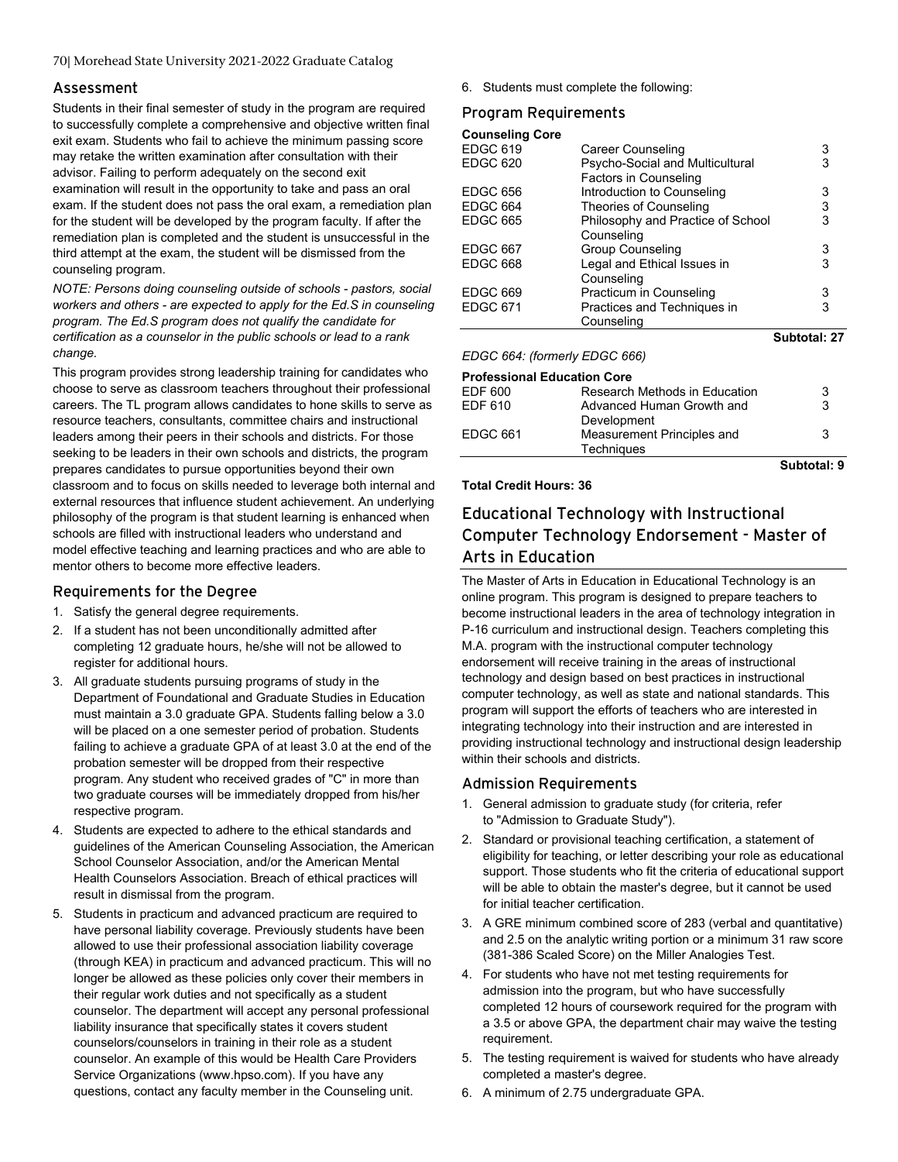#### Assessment

Students in their final semester of study in the program are required to successfully complete a comprehensive and objective written final exit exam. Students who fail to achieve the minimum passing score may retake the written examination after consultation with their advisor. Failing to perform adequately on the second exit examination will result in the opportunity to take and pass an oral exam. If the student does not pass the oral exam, a remediation plan for the student will be developed by the program faculty. If after the remediation plan is completed and the student is unsuccessful in the third attempt at the exam, the student will be dismissed from the counseling program.

*NOTE: Persons doing counseling outside of schools - pastors, social workers and others - are expected to apply for the Ed.S in counseling program. The Ed.S program does not qualify the candidate for certification as a counselor in the public schools or lead to a rank change.* 

This program provides strong leadership training for candidates who choose to serve as classroom teachers throughout their professional careers. The TL program allows candidates to hone skills to serve as resource teachers, consultants, committee chairs and instructional leaders among their peers in their schools and districts. For those seeking to be leaders in their own schools and districts, the program prepares candidates to pursue opportunities beyond their own classroom and to focus on skills needed to leverage both internal and external resources that influence student achievement. An underlying philosophy of the program is that student learning is enhanced when schools are filled with instructional leaders who understand and model effective teaching and learning practices and who are able to mentor others to become more effective leaders.

#### Requirements for the Degree

- 1. Satisfy the general degree requirements.
- 2. If a student has not been unconditionally admitted after completing 12 graduate hours, he/she will not be allowed to register for additional hours.
- 3. All graduate students pursuing programs of study in the Department of Foundational and Graduate Studies in Education must maintain a 3.0 graduate GPA. Students falling below a 3.0 will be placed on a one semester period of probation. Students failing to achieve a graduate GPA of at least 3.0 at the end of the probation semester will be dropped from their respective program. Any student who received grades of "C" in more than two graduate courses will be immediately dropped from his/her respective program.
- 4. Students are expected to adhere to the ethical standards and guidelines of the American Counseling Association, the American School Counselor Association, and/or the American Mental Health Counselors Association. Breach of ethical practices will result in dismissal from the program.
- 5. Students in practicum and advanced practicum are required to have personal liability coverage. Previously students have been allowed to use their professional association liability coverage (through KEA) in practicum and advanced practicum. This will no longer be allowed as these policies only cover their members in their regular work duties and not specifically as a student counselor. The department will accept any personal professional liability insurance that specifically states it covers student counselors/counselors in training in their role as a student counselor. An example of this would be Health Care Providers Service Organizations (www.hpso.com). If you have any questions, contact any faculty member in the Counseling unit.

6. Students must complete the following:

#### Program Requirements

| <b>Counseling Core</b> |                                                 |              |
|------------------------|-------------------------------------------------|--------------|
| <b>EDGC 619</b>        | Career Counseling                               | 3            |
| <b>EDGC 620</b>        | Psycho-Social and Multicultural                 | 3            |
|                        | <b>Factors in Counseling</b>                    |              |
| <b>EDGC 656</b>        | Introduction to Counseling                      | 3            |
| EDGC 664               | Theories of Counseling                          | 3            |
| <b>EDGC 665</b>        | Philosophy and Practice of School<br>Counseling | 3            |
| <b>EDGC 667</b>        | <b>Group Counseling</b>                         | 3            |
| <b>EDGC 668</b>        | Legal and Ethical Issues in<br>Counseling       | 3            |
| <b>EDGC 669</b>        | Practicum in Counseling                         | 3            |
| <b>EDGC 671</b>        | Practices and Techniques in<br>Counseling       | 3            |
|                        |                                                 | Subtotal: 27 |

#### *EDGC 664: (formerly EDGC 666)*

#### **Professional Education Core**

|                 |                               | Subtotal: 9 |
|-----------------|-------------------------------|-------------|
|                 | <b>Techniques</b>             |             |
| <b>EDGC 661</b> | Measurement Principles and    | 3           |
|                 | Development                   |             |
| EDF 610         | Advanced Human Growth and     |             |
| EDF 600         | Research Methods in Education |             |
|                 |                               |             |

#### **Total Credit Hours: 36**

## Educational Technology with Instructional Computer Technology Endorsement - Master of Arts in Education

The Master of Arts in Education in Educational Technology is an online program. This program is designed to prepare teachers to become instructional leaders in the area of technology integration in P-16 curriculum and instructional design. Teachers completing this M.A. program with the instructional computer technology endorsement will receive training in the areas of instructional technology and design based on best practices in instructional computer technology, as well as state and national standards. This program will support the efforts of teachers who are interested in integrating technology into their instruction and are interested in providing instructional technology and instructional design leadership within their schools and districts.

#### Admission Requirements

- 1. General admission to graduate study (for criteria, refer to "Admission to Graduate Study").
- 2. Standard or provisional teaching certification, a statement of eligibility for teaching, or letter describing your role as educational support. Those students who fit the criteria of educational support will be able to obtain the master's degree, but it cannot be used for initial teacher certification.
- 3. A GRE minimum combined score of 283 (verbal and quantitative) and 2.5 on the analytic writing portion or a minimum 31 raw score (381-386 Scaled Score) on the Miller Analogies Test.
- 4. For students who have not met testing requirements for admission into the program, but who have successfully completed 12 hours of coursework required for the program with a 3.5 or above GPA, the department chair may waive the testing requirement.
- 5. The testing requirement is waived for students who have already completed a master's degree.
- 6. A minimum of 2.75 undergraduate GPA.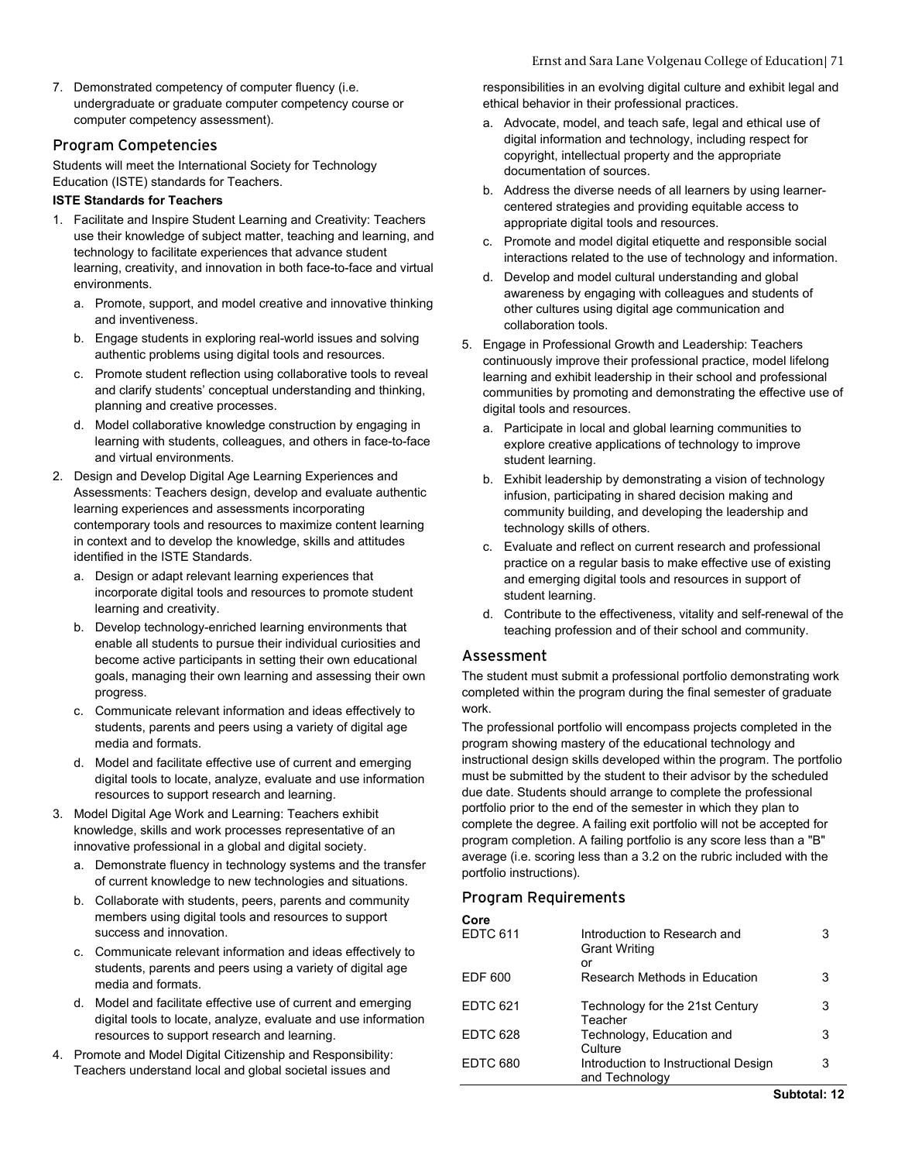7. Demonstrated competency of computer fluency (i.e. undergraduate or graduate computer competency course or computer competency assessment).

#### Program Competencies

Students will meet the International Society for Technology Education (ISTE) standards for Teachers.

#### **ISTE Standards for Teachers**

- 1. Facilitate and Inspire Student Learning and Creativity: Teachers use their knowledge of subject matter, teaching and learning, and technology to facilitate experiences that advance student learning, creativity, and innovation in both face-to-face and virtual environments.
	- a. Promote, support, and model creative and innovative thinking and inventiveness.
	- b. Engage students in exploring real-world issues and solving authentic problems using digital tools and resources.
	- c. Promote student reflection using collaborative tools to reveal and clarify students' conceptual understanding and thinking, planning and creative processes.
	- d. Model collaborative knowledge construction by engaging in learning with students, colleagues, and others in face-to-face and virtual environments.
- 2. Design and Develop Digital Age Learning Experiences and Assessments: Teachers design, develop and evaluate authentic learning experiences and assessments incorporating contemporary tools and resources to maximize content learning in context and to develop the knowledge, skills and attitudes identified in the ISTE Standards.
	- a. Design or adapt relevant learning experiences that incorporate digital tools and resources to promote student learning and creativity.
	- b. Develop technology-enriched learning environments that enable all students to pursue their individual curiosities and become active participants in setting their own educational goals, managing their own learning and assessing their own progress.
	- c. Communicate relevant information and ideas effectively to students, parents and peers using a variety of digital age media and formats.
	- d. Model and facilitate effective use of current and emerging digital tools to locate, analyze, evaluate and use information resources to support research and learning.
- 3. Model Digital Age Work and Learning: Teachers exhibit knowledge, skills and work processes representative of an innovative professional in a global and digital society.
	- a. Demonstrate fluency in technology systems and the transfer of current knowledge to new technologies and situations.
	- b. Collaborate with students, peers, parents and community members using digital tools and resources to support success and innovation.
	- c. Communicate relevant information and ideas effectively to students, parents and peers using a variety of digital age media and formats.
	- d. Model and facilitate effective use of current and emerging digital tools to locate, analyze, evaluate and use information resources to support research and learning.
- 4. Promote and Model Digital Citizenship and Responsibility: Teachers understand local and global societal issues and

responsibilities in an evolving digital culture and exhibit legal and ethical behavior in their professional practices.

- a. Advocate, model, and teach safe, legal and ethical use of digital information and technology, including respect for copyright, intellectual property and the appropriate documentation of sources.
- b. Address the diverse needs of all learners by using learnercentered strategies and providing equitable access to appropriate digital tools and resources.
- c. Promote and model digital etiquette and responsible social interactions related to the use of technology and information.
- d. Develop and model cultural understanding and global awareness by engaging with colleagues and students of other cultures using digital age communication and collaboration tools.
- 5. Engage in Professional Growth and Leadership: Teachers continuously improve their professional practice, model lifelong learning and exhibit leadership in their school and professional communities by promoting and demonstrating the effective use of digital tools and resources.
	- a. Participate in local and global learning communities to explore creative applications of technology to improve student learning.
	- b. Exhibit leadership by demonstrating a vision of technology infusion, participating in shared decision making and community building, and developing the leadership and technology skills of others.
	- c. Evaluate and reflect on current research and professional practice on a regular basis to make effective use of existing and emerging digital tools and resources in support of student learning.
	- d. Contribute to the effectiveness, vitality and self-renewal of the teaching profession and of their school and community.

#### Assessment

The student must submit a professional portfolio demonstrating work completed within the program during the final semester of graduate work.

The professional portfolio will encompass projects completed in the program showing mastery of the educational technology and instructional design skills developed within the program. The portfolio must be submitted by the student to their advisor by the scheduled due date. Students should arrange to complete the professional portfolio prior to the end of the semester in which they plan to complete the degree. A failing exit portfolio will not be accepted for program completion. A failing portfolio is any score less than a "B" average (i.e. scoring less than a 3.2 on the rubric included with the portfolio instructions).

#### Program Requirements

| Core            |                                                            |   |
|-----------------|------------------------------------------------------------|---|
| <b>EDTC 611</b> | Introduction to Research and<br><b>Grant Writing</b><br>or | 3 |
| EDF 600         | Research Methods in Education                              | 3 |
| EDTC 621        | Technology for the 21st Century<br>Teacher                 | 3 |
| EDTC 628        | Technology, Education and<br>Culture                       | 3 |
| EDTC 680        | Introduction to Instructional Design<br>and Technology     | 3 |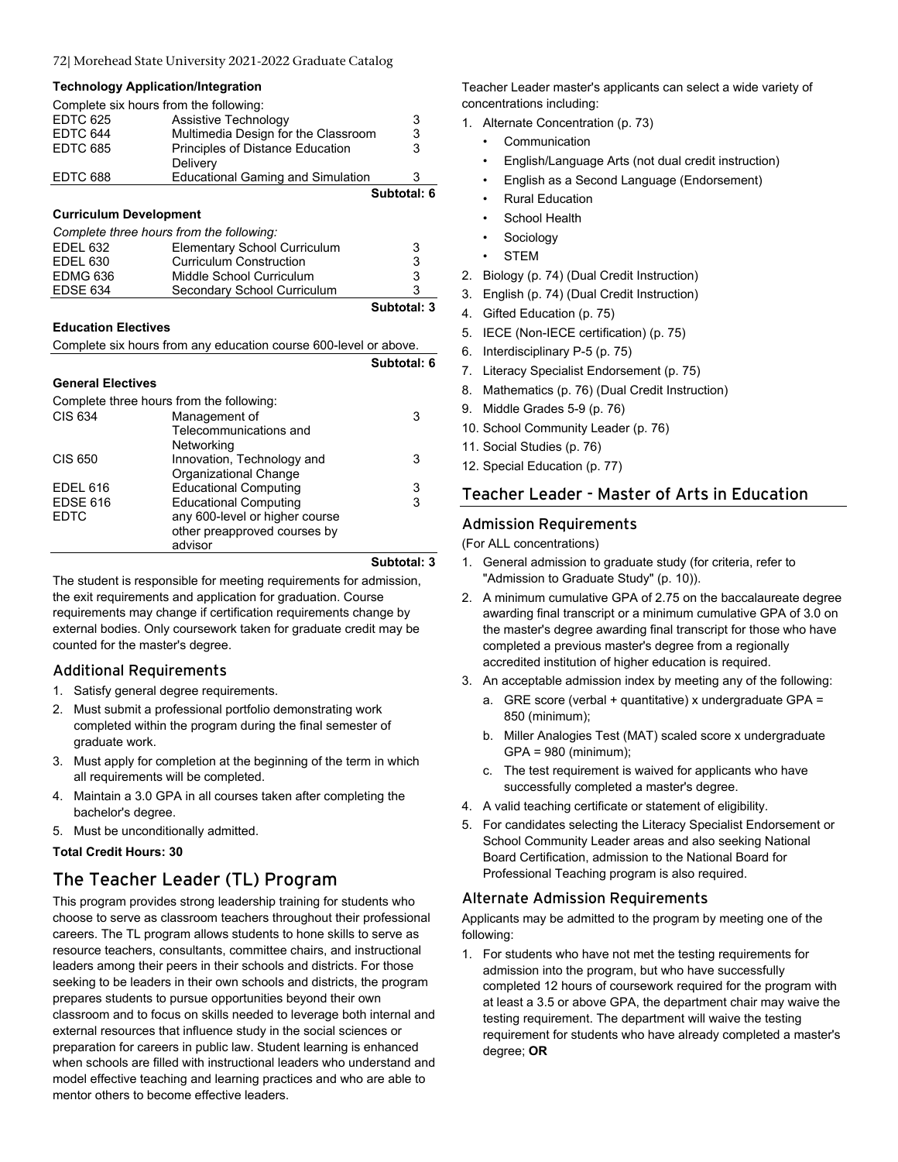#### **Technology Application/Integration**

Complete six hours from the following:

|                 |                                          | Subtotal: 6 |
|-----------------|------------------------------------------|-------------|
| EDTC 688        | <b>Educational Gaming and Simulation</b> | 3           |
|                 | Delivery                                 |             |
| <b>EDTC 685</b> | Principles of Distance Education         | 3           |
| <b>EDTC 644</b> | Multimedia Design for the Classroom      | 3           |
| <b>EDTC 625</b> | Assistive Technology                     |             |

#### **Curriculum Development**

|                 | Complete three hours from the following: |             |
|-----------------|------------------------------------------|-------------|
| EDEL 632        | <b>Elementary School Curriculum</b>      | 3           |
| EDEL 630        | <b>Curriculum Construction</b>           | 3           |
| EDMG 636        | Middle School Curriculum                 | 3           |
| <b>EDSE 634</b> | Secondary School Curriculum              | 3           |
|                 |                                          | Subtotal: 3 |

#### **Education Electives**

Complete six hours from any education course 600-level or above.

#### **General Electives**

| Complete three hours from the following: |                                |   |
|------------------------------------------|--------------------------------|---|
| CIS 634                                  | Management of                  |   |
|                                          | Telecommunications and         |   |
|                                          | Networking                     |   |
| CIS 650                                  | Innovation, Technology and     |   |
|                                          | Organizational Change          |   |
| <b>EDEL 616</b>                          | <b>Educational Computing</b>   | 3 |
| <b>EDSE 616</b>                          | <b>Educational Computing</b>   | 3 |
| <b>EDTC</b>                              | any 600-level or higher course |   |
|                                          | other preapproved courses by   |   |
|                                          | advisor                        |   |

**Subtotal: 3** 

**Subtotal: 6** 

The student is responsible for meeting requirements for admission, the exit requirements and application for graduation. Course requirements may change if certification requirements change by external bodies. Only coursework taken for graduate credit may be counted for the master's degree.

#### Additional Requirements

- 1. Satisfy general degree requirements.
- 2. Must submit a professional portfolio demonstrating work completed within the program during the final semester of graduate work.
- 3. Must apply for completion at the beginning of the term in which all requirements will be completed.
- 4. Maintain a 3.0 GPA in all courses taken after completing the bachelor's degree.
- 5. Must be unconditionally admitted.

#### **Total Credit Hours: 30**

## The Teacher Leader (TL) Program

This program provides strong leadership training for students who choose to serve as classroom teachers throughout their professional careers. The TL program allows students to hone skills to serve as resource teachers, consultants, committee chairs, and instructional leaders among their peers in their schools and districts. For those seeking to be leaders in their own schools and districts, the program prepares students to pursue opportunities beyond their own classroom and to focus on skills needed to leverage both internal and external resources that influence study in the social sciences or preparation for careers in public law. Student learning is enhanced when schools are filled with instructional leaders who understand and model effective teaching and learning practices and who are able to mentor others to become effective leaders.

Teacher Leader master's applicants can select a wide variety of concentrations including:

- 1. Alternate Concentration (p. 73)
	- **Communication**
	- English/Language Arts (not dual credit instruction)
	- English as a Second Language (Endorsement)
	- **Rural Education**
	- School Health
	- **Sociology**
	- **STEM**
- 2. Biology (p. 74) (Dual Credit Instruction)
- 3. English (p. 74) (Dual Credit Instruction)
- 4. Gifted Education (p. 75)
- 5. IECE (Non-IECE certification) (p. 75)
- 6. Interdisciplinary P-5 (p. 75)
- 7. Literacy Specialist Endorsement (p. 75)
- 8. Mathematics (p. 76) (Dual Credit Instruction)
- 9. Middle Grades 5-9 (p. 76)
- 10. School Community Leader (p. 76)
- 11. Social Studies (p. 76)
- 12. Special Education (p. 77)

### Teacher Leader - Master of Arts in Education

#### Admission Requirements

(For ALL concentrations)

- 1. General admission to graduate study (for criteria, refer to "Admission to Graduate Study" (p. 10)).
- 2. A minimum cumulative GPA of 2.75 on the baccalaureate degree awarding final transcript or a minimum cumulative GPA of 3.0 on the master's degree awarding final transcript for those who have completed a previous master's degree from a regionally accredited institution of higher education is required.
- 3. An acceptable admission index by meeting any of the following:
	- a. GRE score (verbal + quantitative) x undergraduate GPA = 850 (minimum);
	- b. Miller Analogies Test (MAT) scaled score x undergraduate GPA = 980 (minimum);
	- c. The test requirement is waived for applicants who have successfully completed a master's degree.
- 4. A valid teaching certificate or statement of eligibility.
- 5. For candidates selecting the Literacy Specialist Endorsement or School Community Leader areas and also seeking National Board Certification, admission to the National Board for Professional Teaching program is also required.

#### Alternate Admission Requirements

Applicants may be admitted to the program by meeting one of the following:

1. For students who have not met the testing requirements for admission into the program, but who have successfully completed 12 hours of coursework required for the program with at least a 3.5 or above GPA, the department chair may waive the testing requirement. The department will waive the testing requirement for students who have already completed a master's degree; **OR**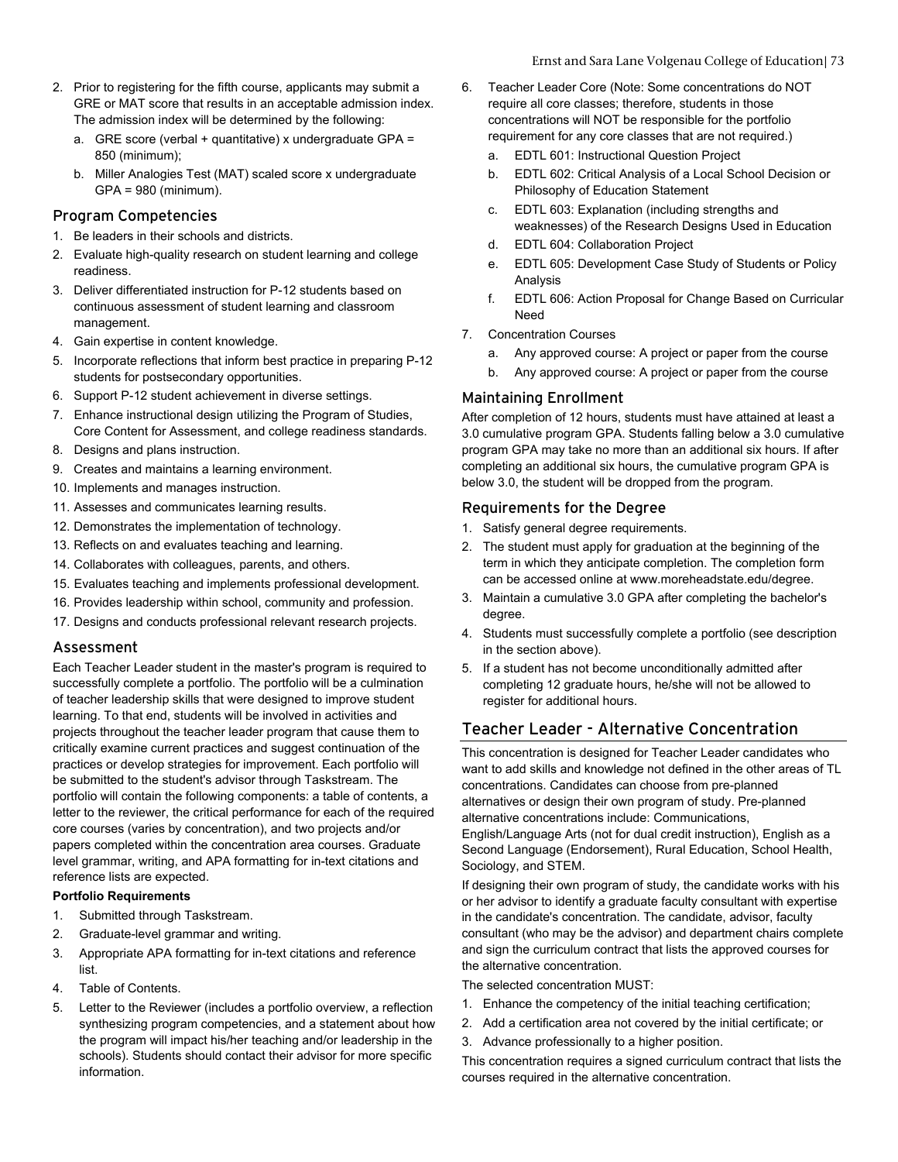- 2. Prior to registering for the fifth course, applicants may submit a GRE or MAT score that results in an acceptable admission index. The admission index will be determined by the following:
	- a. GRE score (verbal + quantitative) x undergraduate GPA = 850 (minimum);
	- b. Miller Analogies Test (MAT) scaled score x undergraduate GPA = 980 (minimum).

#### Program Competencies

- 1. Be leaders in their schools and districts.
- 2. Evaluate high-quality research on student learning and college readiness.
- 3. Deliver differentiated instruction for P-12 students based on continuous assessment of student learning and classroom management.
- 4. Gain expertise in content knowledge.
- 5. Incorporate reflections that inform best practice in preparing P-12 students for postsecondary opportunities.
- 6. Support P-12 student achievement in diverse settings.
- 7. Enhance instructional design utilizing the Program of Studies, Core Content for Assessment, and college readiness standards.
- 8. Designs and plans instruction.
- 9. Creates and maintains a learning environment.
- 10. Implements and manages instruction.
- 11. Assesses and communicates learning results.
- 12. Demonstrates the implementation of technology.
- 13. Reflects on and evaluates teaching and learning.
- 14. Collaborates with colleagues, parents, and others.
- 15. Evaluates teaching and implements professional development.
- 16. Provides leadership within school, community and profession.
- 17. Designs and conducts professional relevant research projects.

#### Assessment

Each Teacher Leader student in the master's program is required to successfully complete a portfolio. The portfolio will be a culmination of teacher leadership skills that were designed to improve student learning. To that end, students will be involved in activities and projects throughout the teacher leader program that cause them to critically examine current practices and suggest continuation of the practices or develop strategies for improvement. Each portfolio will be submitted to the student's advisor through Taskstream. The portfolio will contain the following components: a table of contents, a letter to the reviewer, the critical performance for each of the required core courses (varies by concentration), and two projects and/or papers completed within the concentration area courses. Graduate level grammar, writing, and APA formatting for in-text citations and reference lists are expected.

# **Portfolio Requirements**

- 1. Submitted through Taskstream.
- 2. Graduate-level grammar and writing.
- 3. Appropriate APA formatting for in-text citations and reference list.
- 4. Table of Contents.
- 5. Letter to the Reviewer (includes a portfolio overview, a reflection synthesizing program competencies, and a statement about how the program will impact his/her teaching and/or leadership in the schools). Students should contact their advisor for more specific information.
- 6. Teacher Leader Core (Note: Some concentrations do NOT require all core classes; therefore, students in those concentrations will NOT be responsible for the portfolio requirement for any core classes that are not required.)
	- a. EDTL 601: Instructional Question Project
	- b. EDTL 602: Critical Analysis of a Local School Decision or Philosophy of Education Statement
	- c. EDTL 603: Explanation (including strengths and weaknesses) of the Research Designs Used in Education
	- d. EDTL 604: Collaboration Project
	- e. EDTL 605: Development Case Study of Students or Policy Analysis
	- f. EDTL 606: Action Proposal for Change Based on Curricular Need
- 7. Concentration Courses
	- a. Any approved course: A project or paper from the course
	- b. Any approved course: A project or paper from the course

#### Maintaining Enrollment

After completion of 12 hours, students must have attained at least a 3.0 cumulative program GPA. Students falling below a 3.0 cumulative program GPA may take no more than an additional six hours. If after completing an additional six hours, the cumulative program GPA is below 3.0, the student will be dropped from the program.

# Requirements for the Degree

- 1. Satisfy general degree requirements.
- 2. The student must apply for graduation at the beginning of the term in which they anticipate completion. The completion form can be accessed online at www.moreheadstate.edu/degree.
- 3. Maintain a cumulative 3.0 GPA after completing the bachelor's degree.
- 4. Students must successfully complete a portfolio (see description in the section above).
- 5. If a student has not become unconditionally admitted after completing 12 graduate hours, he/she will not be allowed to register for additional hours.

# Teacher Leader - Alternative Concentration

This concentration is designed for Teacher Leader candidates who want to add skills and knowledge not defined in the other areas of TL concentrations. Candidates can choose from pre-planned alternatives or design their own program of study. Pre-planned alternative concentrations include: Communications, English/Language Arts (not for dual credit instruction), English as a Second Language (Endorsement), Rural Education, School Health, Sociology, and STEM.

If designing their own program of study, the candidate works with his or her advisor to identify a graduate faculty consultant with expertise in the candidate's concentration. The candidate, advisor, faculty consultant (who may be the advisor) and department chairs complete and sign the curriculum contract that lists the approved courses for the alternative concentration.

The selected concentration MUST:

- 1. Enhance the competency of the initial teaching certification;
- 2. Add a certification area not covered by the initial certificate; or
- 3. Advance professionally to a higher position.

This concentration requires a signed curriculum contract that lists the courses required in the alternative concentration.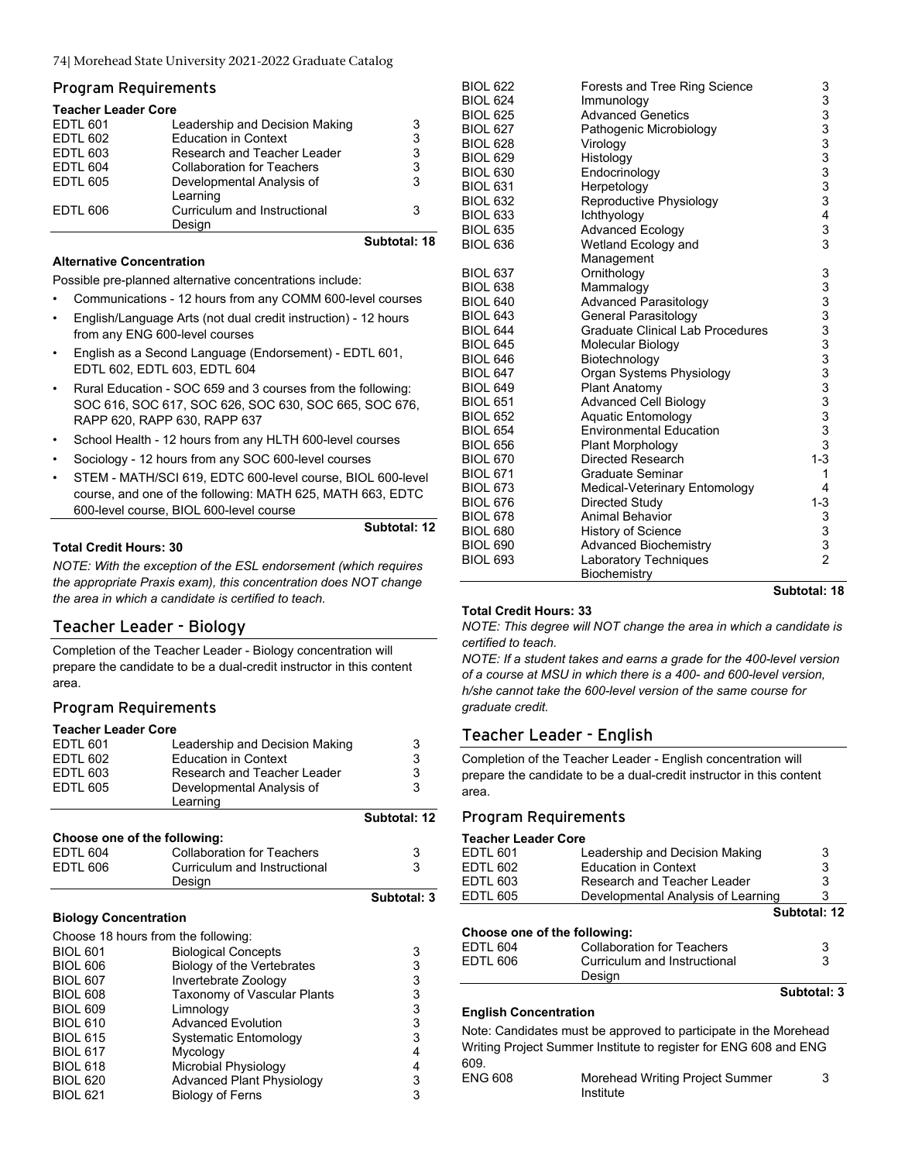74| Morehead State University 2021-2022 Graduate Catalog

| <b>Program Requirements</b> |                                        |           |
|-----------------------------|----------------------------------------|-----------|
| <b>Teacher Leader Core</b>  |                                        |           |
| <b>EDTL 601</b>             | Leadership and Decision Making         | 3         |
| <b>EDTL 602</b>             | <b>Education in Context</b>            | 3         |
| <b>EDTL 603</b>             | Research and Teacher Leader            | 3         |
| <b>EDTL 604</b>             | <b>Collaboration for Teachers</b>      | 3         |
| <b>EDTL 605</b>             | Developmental Analysis of<br>Learning  | 3         |
| <b>EDTL 606</b>             | Curriculum and Instructional<br>Design | 3         |
|                             |                                        | Subtotal: |

#### **Alternative Concentration**

Possible pre-planned alternative concentrations include:

- Communications 12 hours from any COMM 600-level courses
- English/Language Arts (not dual credit instruction) 12 hours from any ENG 600-level courses
- English as a Second Language (Endorsement) EDTL 601, EDTL 602, EDTL 603, EDTL 604
- Rural Education SOC 659 and 3 courses from the following: SOC 616, SOC 617, SOC 626, SOC 630, SOC 665, SOC 676, RAPP 620, RAPP 630, RAPP 637
- School Health 12 hours from any HLTH 600-level courses
- Sociology 12 hours from any SOC 600-level courses
- STEM MATH/SCI 619, EDTC 600-level course, BIOL 600-level course, and one of the following: MATH 625, MATH 663, EDTC 600-level course, BIOL 600-level course

**Subtotal: 12** 

# **Total Credit Hours: 30**

*NOTE: With the exception of the ESL endorsement (which requires the appropriate Praxis exam), this concentration does NOT change the area in which a candidate is certified to teach.* 

# Teacher Leader - Biology

Completion of the Teacher Leader - Biology concentration will prepare the candidate to be a dual-credit instructor in this content area.

#### Program Requirements

#### **Teacher Leader Core**

|                 |                                | Subtotal: 12 |
|-----------------|--------------------------------|--------------|
|                 | Learning                       |              |
| <b>EDTL 605</b> | Developmental Analysis of      | ર            |
| <b>EDTL 603</b> | Research and Teacher Leader    | 3            |
| EDTL 602        | <b>Education in Context</b>    | 3            |
| EDTL 601        | Leadership and Decision Making |              |

| Choose one of the following: |                                   |             |
|------------------------------|-----------------------------------|-------------|
| EDTL 604                     | <b>Collaboration for Teachers</b> | 3           |
| EDTL 606                     | Curriculum and Instructional      | 3           |
|                              | Design                            |             |
|                              |                                   | Subtotal: 3 |

#### **Biology Concentration**

| Choose 18 hours from the following: |                                    |   |
|-------------------------------------|------------------------------------|---|
| <b>BIOL 601</b>                     | <b>Biological Concepts</b>         |   |
| <b>BIOL 606</b>                     | Biology of the Vertebrates         | 3 |
| <b>BIOL 607</b>                     | Invertebrate Zoology               | 3 |
| <b>BIOL 608</b>                     | <b>Taxonomy of Vascular Plants</b> | 3 |
| <b>BIOL 609</b>                     | Limnology                          | 3 |
| <b>BIOL 610</b>                     | <b>Advanced Evolution</b>          | 3 |
| <b>BIOL 615</b>                     | Systematic Entomology              | 3 |
| <b>BIOL 617</b>                     | Mycology                           | 4 |
| <b>BIOL 618</b>                     | Microbial Physiology               | 4 |
| <b>BIOL 620</b>                     | <b>Advanced Plant Physiology</b>   | 3 |
| <b>BIOL 621</b>                     | <b>Biology of Ferns</b>            | 3 |

| <b>BIOL 622</b> | Forests and Tree Ring Science           |                                            |
|-----------------|-----------------------------------------|--------------------------------------------|
| <b>BIOL 624</b> | Immunology                              |                                            |
| <b>BIOL 625</b> | <b>Advanced Genetics</b>                |                                            |
| <b>BIOL 627</b> | Pathogenic Microbiology                 |                                            |
| <b>BIOL 628</b> | Virology                                |                                            |
| <b>BIOL 629</b> | Histology                               |                                            |
| <b>BIOL 630</b> | Endocrinology                           |                                            |
| <b>BIOL 631</b> | Herpetology                             |                                            |
| <b>BIOL 632</b> | Reproductive Physiology                 |                                            |
| <b>BIOL 633</b> | Ichthyology                             | 3333333433                                 |
| <b>BIOL 635</b> | <b>Advanced Ecology</b>                 |                                            |
| <b>BIOL 636</b> | Wetland Ecology and                     |                                            |
|                 | Management                              |                                            |
| <b>BIOL 637</b> | Ornithology                             |                                            |
| <b>BIOL 638</b> | Mammalogy                               |                                            |
| <b>BIOL 640</b> | <b>Advanced Parasitology</b>            |                                            |
| <b>BIOL 643</b> | General Parasitology                    |                                            |
| <b>BIOL 644</b> | <b>Graduate Clinical Lab Procedures</b> | 333333333333                               |
| <b>BIOL 645</b> | Molecular Biology                       |                                            |
| <b>BIOL 646</b> | Biotechnology                           |                                            |
| <b>BIOL 647</b> | Organ Systems Physiology                |                                            |
| <b>BIOL 649</b> | <b>Plant Anatomy</b>                    |                                            |
| <b>BIOL 651</b> | Advanced Cell Biology                   |                                            |
| <b>BIOL 652</b> | Aquatic Entomology                      |                                            |
| <b>BIOL 654</b> | <b>Environmental Education</b>          |                                            |
| <b>BIOL 656</b> | Plant Morphology                        |                                            |
| <b>BIOL 670</b> | Directed Research                       | $1-3$                                      |
| <b>BIOL 671</b> | <b>Graduate Seminar</b>                 | $\mathbf{1}$                               |
| <b>BIOL 673</b> | Medical-Veterinary Entomology           | 4                                          |
| <b>BIOL 676</b> | Directed Study                          | $1 - 3$                                    |
| <b>BIOL 678</b> | <b>Animal Behavior</b>                  |                                            |
| <b>BIOL 680</b> | <b>History of Science</b>               |                                            |
| <b>BIOL 690</b> | <b>Advanced Biochemistry</b>            | $\begin{array}{c} 3 \\ 3 \\ 2 \end{array}$ |
| <b>BIOL 693</b> | <b>Laboratory Techniques</b>            |                                            |
|                 | Biochemistry                            |                                            |

**Subtotal: 18** 

#### **Total Credit Hours: 33**

*NOTE: This degree will NOT change the area in which a candidate is certified to teach.*

*NOTE: If a student takes and earns a grade for the 400-level version of a course at MSU in which there is a 400- and 600-level version, h/she cannot take the 600-level version of the same course for graduate credit.*

#### Teacher Leader - English

Completion of the Teacher Leader - English concentration will prepare the candidate to be a dual-credit instructor in this content area.

# Program Requirements

#### **Teacher Leader Core**  Leadership and Decision Making 3 EDTL 602 Education in Context 3<br>
EDTL 603 Research and Teacher Leader 3 EDTL 603 Research and Teacher Leader 3<br>
EDTL 605 Developmental Analysis of Learning 3 Developmental Analysis of Learning **Subtotal: 12 Choose one of the following:**  EDTL 604 Collaboration for Teachers 3 EDTL 606 Curriculum and Instructional Design 3 **Subtotal: 3 English Concentration**

Note: Candidates must be approved to participate in the Morehead Writing Project Summer Institute to register for ENG 608 and ENG 609. ENG 608 Morehead Writing Project Summer Institute 3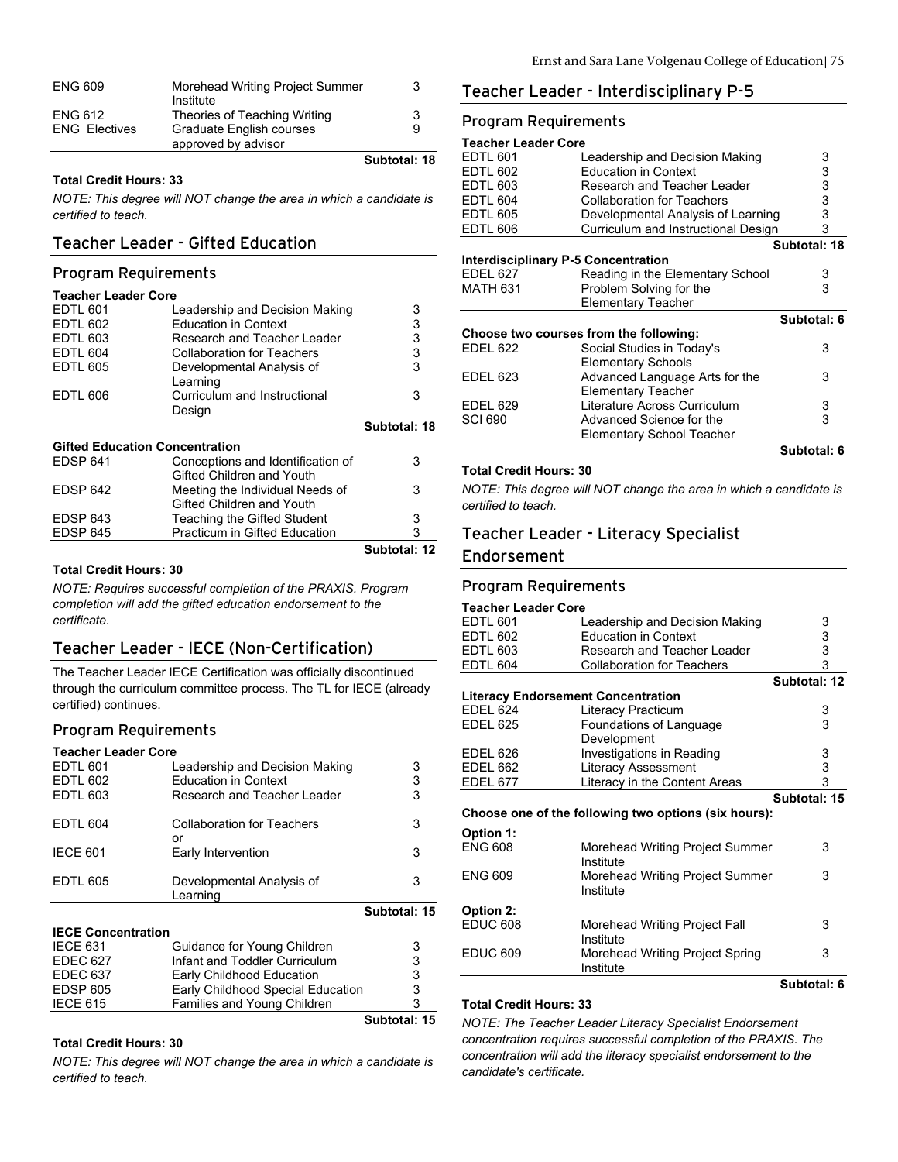| <b>ENG 609</b>       | Morehead Writing Project Summer<br>Institute | 3 |
|----------------------|----------------------------------------------|---|
| <b>ENG 612</b>       | Theories of Teaching Writing                 | 3 |
| <b>ENG Electives</b> | Graduate English courses                     | 9 |
|                      | approved by advisor                          |   |

#### **Subtotal: 18**

**Subtotal: 12** 

#### **Total Credit Hours: 33**

*NOTE: This degree will NOT change the area in which a candidate is certified to teach.* 

# Teacher Leader - Gifted Education

# Program Requirements

| <b>Teacher Leader Core</b> |                                       |              |
|----------------------------|---------------------------------------|--------------|
| <b>EDTL 601</b>            | Leadership and Decision Making        | 3            |
| <b>EDTL 602</b>            | <b>Education in Context</b>           | 3            |
| <b>EDTL 603</b>            | Research and Teacher Leader           | 3            |
| <b>EDTL 604</b>            | <b>Collaboration for Teachers</b>     | 3            |
| <b>EDTL 605</b>            | Developmental Analysis of             | 3            |
|                            | Learning                              |              |
| <b>EDTL 606</b>            | Curriculum and Instructional          | 3            |
|                            | Design                                |              |
|                            |                                       |              |
|                            |                                       | Subtotal: 18 |
|                            | <b>Gifted Education Concentration</b> |              |
| <b>EDSP 641</b>            | Conceptions and Identification of     | 3            |
|                            | Gifted Children and Youth             |              |
| <b>EDSP 642</b>            | Meeting the Individual Needs of       | 3            |
|                            | Gifted Children and Youth             |              |
| <b>EDSP 643</b>            | Teaching the Gifted Student           | 3            |

**Total Credit Hours: 30** 

*NOTE: Requires successful completion of the PRAXIS. Program completion will add the gifted education endorsement to the certificate.* 

# Teacher Leader - IECE (Non-Certification)

The Teacher Leader IECE Certification was officially discontinued through the curriculum committee process. The TL for IECE (already certified) continues.

# Program Requirements

| <b>Teacher Leader Core</b> |                                   |              |
|----------------------------|-----------------------------------|--------------|
| <b>EDTL 601</b>            | Leadership and Decision Making    | 3            |
| <b>EDTL 602</b>            | <b>Education in Context</b>       | 3            |
| <b>EDTL 603</b>            | Research and Teacher Leader       | 3            |
| <b>EDTL 604</b>            | <b>Collaboration for Teachers</b> | 3            |
|                            | or                                |              |
| <b>IECE 601</b>            | Early Intervention                | 3            |
| <b>EDTL 605</b>            | Developmental Analysis of         | 3            |
|                            | Learning                          |              |
|                            |                                   | Subtotal: 15 |
| <b>IECE Concentration</b>  |                                   |              |
| IECE 631                   | Guidance for Young Children       | 3            |
| <b>EDEC 627</b>            | Infant and Toddler Curriculum     | 3            |
| <b>EDEC 637</b>            | <b>Farly Childhood Education</b>  | 3            |

|          |                                   | Subtotal: 15 |
|----------|-----------------------------------|--------------|
| IECE 615 | Families and Young Children       |              |
| EDSP 605 | Early Childhood Special Education |              |
| EDEC 637 | Early Childhood Education         |              |
| ∟∟∪ ∪∠   | iniani ang Toggior Odinogiani     |              |

#### **Total Credit Hours: 30**

*NOTE: This degree will NOT change the area in which a candidate is certified to teach.* 

# Teacher Leader - Interdisciplinary P-5

| <b>Program Requirements</b>                |                                        |               |
|--------------------------------------------|----------------------------------------|---------------|
| <b>Teacher Leader Core</b>                 |                                        |               |
| <b>EDTL 601</b>                            | Leadership and Decision Making         | 3             |
| <b>EDTL 602</b>                            | <b>Education in Context</b>            | 3             |
| <b>EDTL 603</b>                            | Research and Teacher Leader            | 3             |
| <b>EDTL 604</b>                            | <b>Collaboration for Teachers</b>      | $\frac{3}{3}$ |
| <b>EDTL 605</b>                            | Developmental Analysis of Learning     |               |
| <b>EDTL 606</b>                            | Curriculum and Instructional Design    | 3             |
|                                            |                                        | Subtotal: 18  |
| <b>Interdisciplinary P-5 Concentration</b> |                                        |               |
| <b>EDEL 627</b>                            | Reading in the Elementary School       | 3             |
| <b>MATH 631</b>                            | Problem Solving for the                | 3             |
|                                            | <b>Elementary Teacher</b>              |               |
|                                            |                                        | Subtotal: 6   |
|                                            | Choose two courses from the following: |               |
| <b>EDEL 622</b>                            | Social Studies in Today's              | 3             |
|                                            | <b>Elementary Schools</b>              |               |
| <b>EDEL 623</b>                            | Advanced Language Arts for the         | 3             |
|                                            | <b>Elementary Teacher</b>              |               |
| <b>EDEL 629</b>                            | Literature Across Curriculum           | 3             |
| <b>SCI 690</b>                             | Advanced Science for the               | 3             |
|                                            | <b>Elementary School Teacher</b>       |               |
|                                            |                                        | Subtotal: 6   |

#### **Total Credit Hours: 30**

*NOTE: This degree will NOT change the area in which a candidate is certified to teach.* 

# Teacher Leader - Literacy Specialist

# Endorsement

# Program Requirements

| <b>Teacher Leader Core</b>                |                                                      |               |
|-------------------------------------------|------------------------------------------------------|---------------|
| <b>EDTL 601</b>                           | Leadership and Decision Making                       | 3             |
| <b>EDTL 602</b>                           | <b>Education in Context</b>                          | 3<br>3        |
| <b>EDTL 603</b>                           | Research and Teacher Leader                          |               |
| <b>EDTL 604</b>                           | <b>Collaboration for Teachers</b>                    | 3             |
|                                           |                                                      | Subtotal: 12  |
| <b>Literacy Endorsement Concentration</b> |                                                      |               |
| <b>EDEL 624</b>                           | <b>Literacy Practicum</b>                            | 3             |
| <b>EDEL 625</b>                           | Foundations of Language                              | 3             |
|                                           | Development                                          |               |
| EDEL 626                                  | Investigations in Reading                            | 3             |
| <b>EDEL 662</b>                           | <b>Literacy Assessment</b>                           | $\frac{3}{3}$ |
| <b>EDEL 677</b>                           | Literacy in the Content Areas                        |               |
|                                           |                                                      | Subtotal: 15  |
|                                           | Choose one of the following two options (six hours): |               |
| Option 1:                                 |                                                      |               |
| <b>ENG 608</b>                            | Morehead Writing Project Summer                      | 3             |
|                                           | Institute                                            |               |
| <b>ENG 609</b>                            | Morehead Writing Project Summer                      | 3             |
|                                           | Institute                                            |               |
| Option 2:                                 |                                                      |               |
| <b>EDUC 608</b>                           | Morehead Writing Project Fall                        | 3             |
|                                           | Institute                                            |               |
| <b>EDUC 609</b>                           | Morehead Writing Project Spring                      | 3             |
|                                           | Institute                                            |               |
|                                           |                                                      | Subtotal: 6   |

#### **Total Credit Hours: 33**

*NOTE: The Teacher Leader Literacy Specialist Endorsement concentration requires successful completion of the PRAXIS. The concentration will add the literacy specialist endorsement to the candidate's certificate.*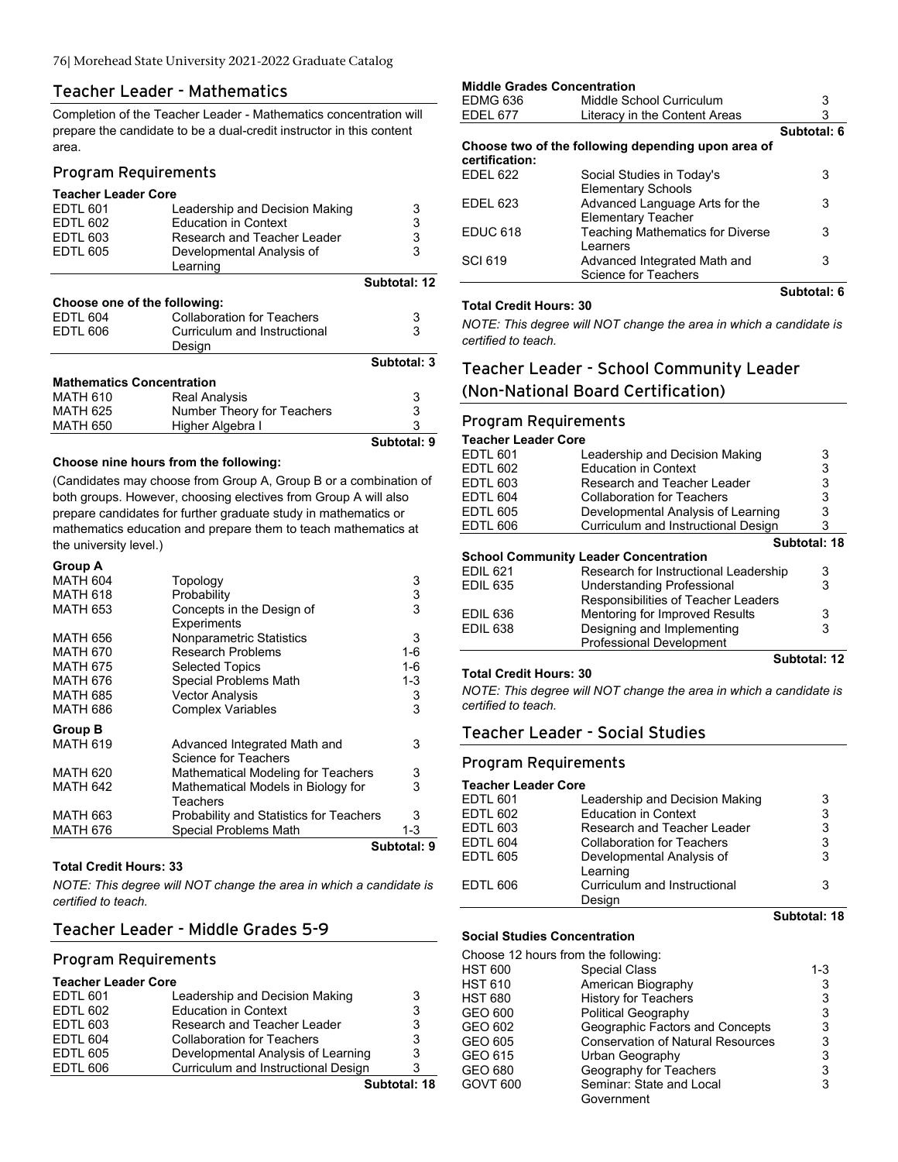# Teacher Leader - Mathematics

Completion of the Teacher Leader - Mathematics concentration will prepare the candidate to be a dual-credit instructor in this content area.

# Program Requirements

# **Teacher Leader Core**

| Teacher Leader Core              |                                   |              |
|----------------------------------|-----------------------------------|--------------|
| <b>EDTL 601</b>                  | Leadership and Decision Making    | 3            |
| <b>EDTL 602</b>                  | <b>Education in Context</b>       | 3            |
| <b>EDTL 603</b>                  | Research and Teacher Leader       | 3            |
| <b>EDTL 605</b>                  | Developmental Analysis of         | 3            |
|                                  | Learning                          |              |
|                                  |                                   | Subtotal: 12 |
| Choose one of the following:     |                                   |              |
| <b>EDTL 604</b>                  | <b>Collaboration for Teachers</b> | 3            |
| <b>EDTL 606</b>                  | Curriculum and Instructional      | 3            |
|                                  | Desian                            |              |
|                                  |                                   | Subtotal: 3  |
| <b>Mathematics Concentration</b> |                                   |              |
| <b>MATH 610</b>                  | Real Analysis                     | 3            |
| <b>MATH 625</b>                  | Number Theory for Teachers        | 3            |
| <b>MATH 650</b>                  | Higher Algebra I                  | 3            |
|                                  |                                   | Subtotal: 9  |

#### **Choose nine hours from the following:**

(Candidates may choose from Group A, Group B or a combination of both groups. However, choosing electives from Group A will also prepare candidates for further graduate study in mathematics or mathematics education and prepare them to teach mathematics at the university level.)

| Group A         |                                                |             |
|-----------------|------------------------------------------------|-------------|
| <b>MATH 604</b> | Topology                                       | 3           |
| <b>MATH 618</b> | Probability                                    | 3           |
| <b>MATH 653</b> | Concepts in the Design of                      | 3           |
|                 | <b>Experiments</b>                             |             |
| <b>MATH 656</b> | Nonparametric Statistics                       | 3           |
| <b>MATH 670</b> | Research Problems                              | $1 - 6$     |
| <b>MATH 675</b> | <b>Selected Topics</b>                         | $1 - 6$     |
| <b>MATH 676</b> | <b>Special Problems Math</b>                   | $1 - 3$     |
| <b>MATH 685</b> | <b>Vector Analysis</b>                         | 3           |
| <b>MATH 686</b> | <b>Complex Variables</b>                       | 3           |
| Group B         |                                                |             |
| <b>MATH 619</b> | Advanced Integrated Math and                   | 3           |
|                 | Science for Teachers                           |             |
| <b>MATH 620</b> | <b>Mathematical Modeling for Teachers</b>      | 3           |
| <b>MATH 642</b> | Mathematical Models in Biology for             | 3           |
|                 | Teachers                                       |             |
| <b>MATH 663</b> | <b>Probability and Statistics for Teachers</b> | 3           |
| <b>MATH 676</b> | <b>Special Problems Math</b>                   | 1-3         |
|                 |                                                | Subtotal: 9 |

#### **Total Credit Hours: 33**

**Group A** 

*NOTE: This degree will NOT change the area in which a candidate is certified to teach.* 

# Teacher Leader - Middle Grades 5-9

### Program Requirements

| <b>Teacher Leader Core</b> |                                     |              |
|----------------------------|-------------------------------------|--------------|
| <b>EDTL 601</b>            | Leadership and Decision Making      |              |
| <b>EDTL 602</b>            | <b>Education in Context</b>         |              |
| <b>EDTL 603</b>            | Research and Teacher Leader         | 3            |
| <b>EDTL 604</b>            | <b>Collaboration for Teachers</b>   | 3            |
| <b>EDTL 605</b>            | Developmental Analysis of Learning  | 3            |
| EDTL 606                   | Curriculum and Instructional Design |              |
|                            |                                     | Subtotal: 18 |

### **Middle Grades Concentration**

| <b>EDMG 636</b> | Middle School Curriculum                                    | 3           |
|-----------------|-------------------------------------------------------------|-------------|
| <b>EDEL 677</b> | Literacy in the Content Areas                               | 3           |
|                 |                                                             | Subtotal: 6 |
| certification:  | Choose two of the following depending upon area of          |             |
| <b>EDEL 622</b> | Social Studies in Today's<br><b>Elementary Schools</b>      | 3           |
| <b>EDEL 623</b> | Advanced Language Arts for the<br><b>Elementary Teacher</b> | 3           |
| <b>EDUC 618</b> | <b>Teaching Mathematics for Diverse</b><br>Learners         | 3           |
| <b>SCI 619</b>  | Advanced Integrated Math and<br>Science for Teachers        | 3           |
|                 |                                                             | Subtotal: 6 |

#### **Total Credit Hours: 30**

*NOTE: This degree will NOT change the area in which a candidate is certified to teach.* 

# Teacher Leader - School Community Leader (Non-National Board Certification)

# Program Requirements

| <b>Teacher Leader Core</b> |                                              |   |  |
|----------------------------|----------------------------------------------|---|--|
| <b>EDTL 601</b>            | Leadership and Decision Making               | 3 |  |
| <b>EDTL 602</b>            | <b>Education in Context</b>                  | 3 |  |
| <b>EDTL 603</b>            | Research and Teacher Leader                  | 3 |  |
| <b>EDTL 604</b>            | <b>Collaboration for Teachers</b>            | 3 |  |
| <b>EDTL 605</b>            | Developmental Analysis of Learning           | 3 |  |
| <b>EDTL 606</b>            | Curriculum and Instructional Design          | 3 |  |
|                            | Subtotal: 18                                 |   |  |
|                            | <b>School Community Leader Concentration</b> |   |  |
| <b>EDIL 621</b>            | Research for Instructional Leadership        | 3 |  |
| <b>EDIL 635</b>            | Understanding Professional                   | 3 |  |
|                            | Responsibilities of Teacher Leaders          |   |  |
| <b>EDIL 636</b>            | Mentoring for Improved Results               | 3 |  |
| <b>EDIL 638</b>            | Designing and Implementing                   | 3 |  |
|                            |                                              |   |  |

#### **Total Credit Hours: 30**

*NOTE: This degree will NOT change the area in which a candidate is certified to teach.* 

# Teacher Leader - Social Studies

#### Program Requirements

| <b>Teacher Leader Core</b> |                                        |   |
|----------------------------|----------------------------------------|---|
| <b>EDTL 601</b>            | Leadership and Decision Making         | 3 |
| <b>EDTL 602</b>            | <b>Education in Context</b>            | 3 |
| <b>EDTL 603</b>            | Research and Teacher Leader            | 3 |
| <b>EDTL 604</b>            | <b>Collaboration for Teachers</b>      | 3 |
| <b>EDTL 605</b>            | Developmental Analysis of<br>Learning  | 3 |
| <b>EDTL 606</b>            | Curriculum and Instructional<br>Design | 3 |

#### **Subtotal: 18**

**Subtotal: 12** 

#### **Social Studies Concentration**

|                | Choose 12 hours from the following:      |         |
|----------------|------------------------------------------|---------|
| HST 600        | <b>Special Class</b>                     | $1 - 3$ |
| <b>HST 610</b> | American Biography                       | 3       |
| HST 680        | <b>History for Teachers</b>              | 3       |
| GEO 600        | Political Geography                      | 3       |
| GEO 602        | Geographic Factors and Concepts          | 3       |
| GEO 605        | <b>Conservation of Natural Resources</b> | 3       |
| GEO 615        | Urban Geography                          | 3       |
| GEO 680        | Geography for Teachers                   | 3       |
| GOVT 600       | Seminar: State and Local                 | 3       |
|                | Government                               |         |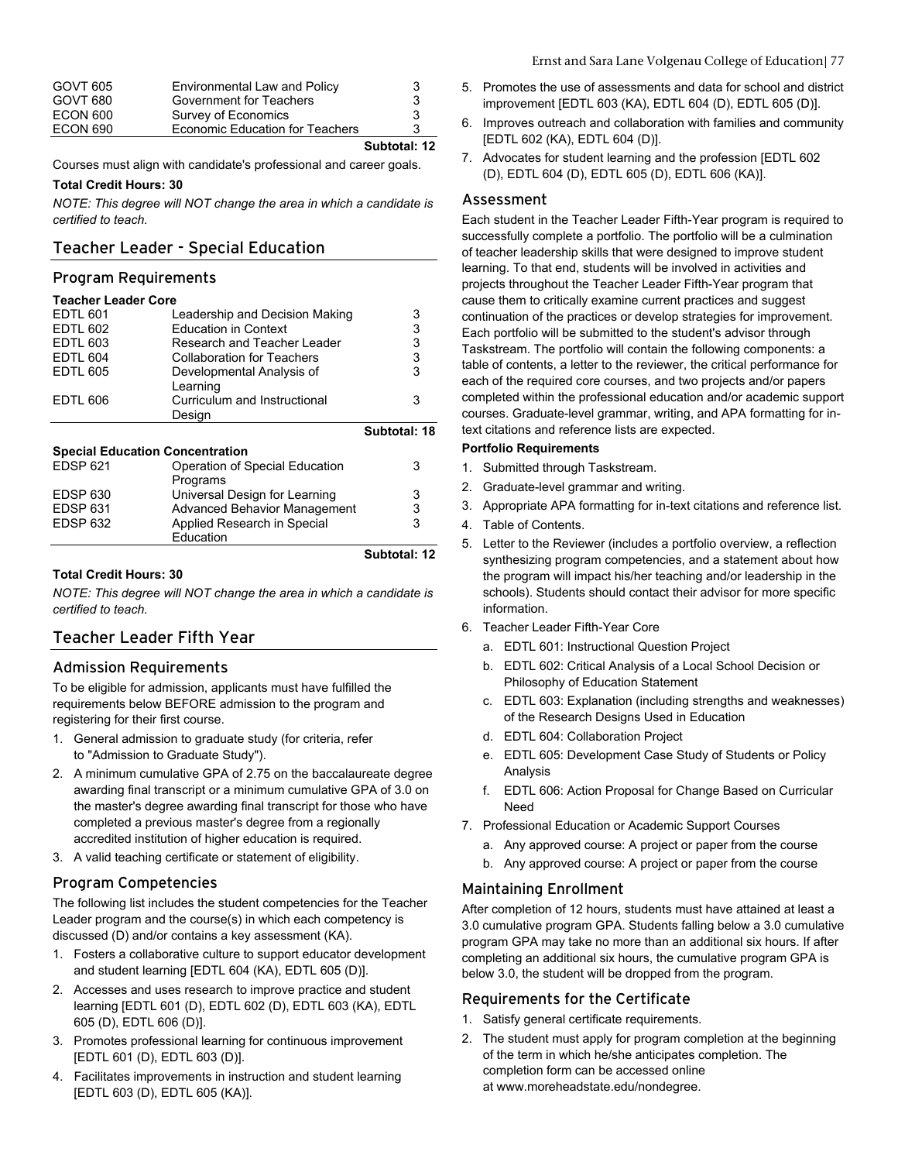| GOVT 605        | Environmental Law and Policy    | 3  |
|-----------------|---------------------------------|----|
| GOVT 680        | Government for Teachers         | -3 |
| <b>ECON 600</b> | Survey of Economics             | -3 |
| ECON 690        | Economic Education for Teachers | 2  |

# **Subtotal: 12**

Courses must align with candidate's professional and career goals.

#### **Total Credit Hours: 30**

*NOTE: This degree will NOT change the area in which a candidate is certified to teach.* 

# Teacher Leader - Special Education

#### Program Requirements

| <b>Teacher Leader Core</b> |                                        |              |
|----------------------------|----------------------------------------|--------------|
| <b>EDTL 601</b>            | Leadership and Decision Making         | 3            |
| <b>EDTL 602</b>            | <b>Education in Context</b>            | 3            |
| <b>EDTL 603</b>            | Research and Teacher Leader            | 3            |
| <b>EDTL 604</b>            | <b>Collaboration for Teachers</b>      | 3            |
| <b>EDTL 605</b>            | Developmental Analysis of<br>Learning  | 3            |
| <b>EDTL 606</b>            | Curriculum and Instructional<br>Design | з            |
|                            |                                        | Subtotal: 18 |

|                 | <b>Special Education Concentration</b> |              |
|-----------------|----------------------------------------|--------------|
| <b>EDSP 621</b> | Operation of Special Education         |              |
|                 | Programs                               |              |
| <b>EDSP 630</b> | Universal Design for Learning          |              |
| <b>EDSP 631</b> | <b>Advanced Behavior Management</b>    |              |
| <b>EDSP 632</b> | Applied Research in Special            | 3            |
|                 | Education                              |              |
|                 |                                        | Subtotal: 12 |

#### **Total Credit Hours: 30**

*NOTE: This degree will NOT change the area in which a candidate is certified to teach.* 

# Teacher Leader Fifth Year

#### Admission Requirements

To be eligible for admission, applicants must have fulfilled the requirements below BEFORE admission to the program and registering for their first course.

- 1. General admission to graduate study (for criteria, refer to "Admission to Graduate Study").
- 2. A minimum cumulative GPA of 2.75 on the baccalaureate degree awarding final transcript or a minimum cumulative GPA of 3.0 on the master's degree awarding final transcript for those who have completed a previous master's degree from a regionally accredited institution of higher education is required.
- 3. A valid teaching certificate or statement of eligibility.

#### Program Competencies

The following list includes the student competencies for the Teacher Leader program and the course(s) in which each competency is discussed (D) and/or contains a key assessment (KA).

- 1. Fosters a collaborative culture to support educator development and student learning [EDTL 604 (KA), EDTL 605 (D)].
- 2. Accesses and uses research to improve practice and student learning [EDTL 601 (D), EDTL 602 (D), EDTL 603 (KA), EDTL 605 (D), EDTL 606 (D)].
- 3. Promotes professional learning for continuous improvement [EDTL 601 (D), EDTL 603 (D)].
- 4. Facilitates improvements in instruction and student learning [EDTL 603 (D), EDTL 605 (KA)].
- Ernst and Sara Lane Volgenau College of Education| 77
- 5. Promotes the use of assessments and data for school and district improvement [EDTL 603 (KA), EDTL 604 (D), EDTL 605 (D)].
- 6. Improves outreach and collaboration with families and community [EDTL 602 (KA), EDTL 604 (D)].
- 7. Advocates for student learning and the profession [EDTL 602 (D), EDTL 604 (D), EDTL 605 (D), EDTL 606 (KA)].

#### Assessment

Each student in the Teacher Leader Fifth-Year program is required to successfully complete a portfolio. The portfolio will be a culmination of teacher leadership skills that were designed to improve student learning. To that end, students will be involved in activities and projects throughout the Teacher Leader Fifth-Year program that cause them to critically examine current practices and suggest continuation of the practices or develop strategies for improvement. Each portfolio will be submitted to the student's advisor through Taskstream. The portfolio will contain the following components: a table of contents, a letter to the reviewer, the critical performance for each of the required core courses, and two projects and/or papers completed within the professional education and/or academic support courses. Graduate-level grammar, writing, and APA formatting for intext citations and reference lists are expected.

#### **Portfolio Requirements**

- 1. Submitted through Taskstream.
- 2. Graduate-level grammar and writing.
- 3. Appropriate APA formatting for in-text citations and reference list.
- 4. Table of Contents.
- 5. Letter to the Reviewer (includes a portfolio overview, a reflection synthesizing program competencies, and a statement about how the program will impact his/her teaching and/or leadership in the schools). Students should contact their advisor for more specific information.
- 6. Teacher Leader Fifth-Year Core
	- a. EDTL 601: Instructional Question Project
	- b. EDTL 602: Critical Analysis of a Local School Decision or Philosophy of Education Statement
	- c. EDTL 603: Explanation (including strengths and weaknesses) of the Research Designs Used in Education
	- d. EDTL 604: Collaboration Project
	- e. EDTL 605: Development Case Study of Students or Policy Analysis
	- f. EDTL 606: Action Proposal for Change Based on Curricular Need
- 7. Professional Education or Academic Support Courses
	- a. Any approved course: A project or paper from the course
	- b. Any approved course: A project or paper from the course

#### Maintaining Enrollment

After completion of 12 hours, students must have attained at least a 3.0 cumulative program GPA. Students falling below a 3.0 cumulative program GPA may take no more than an additional six hours. If after completing an additional six hours, the cumulative program GPA is below 3.0, the student will be dropped from the program.

# Requirements for the Certificate

- 1. Satisfy general certificate requirements.
- 2. The student must apply for program completion at the beginning of the term in which he/she anticipates completion. The completion form can be accessed online at www.moreheadstate.edu/nondegree.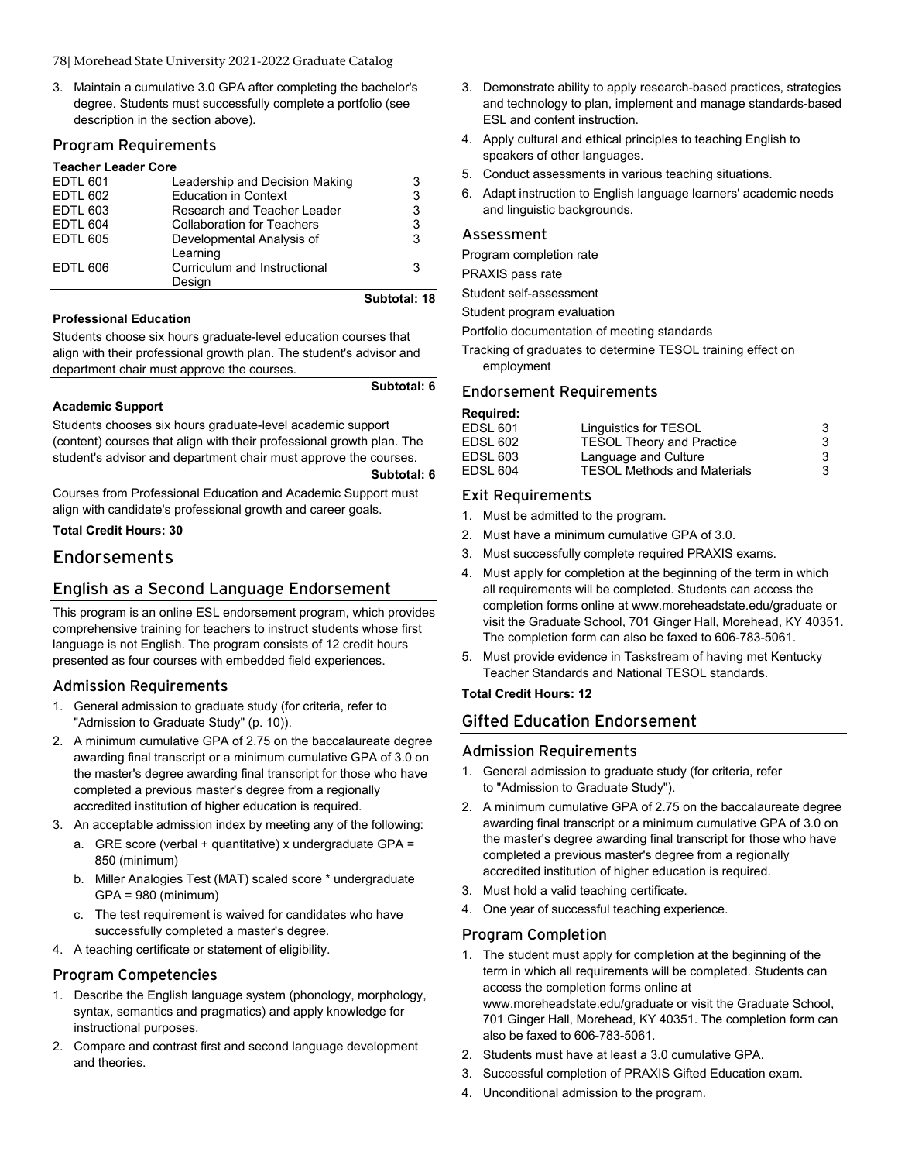#### 78| Morehead State University 2021-2022 Graduate Catalog

3. Maintain a cumulative 3.0 GPA after completing the bachelor's degree. Students must successfully complete a portfolio (see description in the section above).

#### Program Requirements

| <b>Teacher Leader Core</b> |                                        |              |
|----------------------------|----------------------------------------|--------------|
| <b>EDTL 601</b>            | Leadership and Decision Making         |              |
| <b>EDTL 602</b>            | <b>Education in Context</b>            | 3            |
| <b>EDTL 603</b>            | Research and Teacher Leader            | 3            |
| <b>EDTL 604</b>            | <b>Collaboration for Teachers</b>      | 3            |
| <b>EDTL 605</b>            | Developmental Analysis of<br>Learning  | 3            |
| <b>EDTL 606</b>            | Curriculum and Instructional<br>Design | 3            |
|                            |                                        | Subtotal: 18 |

#### **Professional Education**

Students choose six hours graduate-level education courses that align with their professional growth plan. The student's advisor and department chair must approve the courses.

**Subtotal: 6** 

#### **Academic Support**

Students chooses six hours graduate-level academic support (content) courses that align with their professional growth plan. The student's advisor and department chair must approve the courses.

**Subtotal: 6** 

Courses from Professional Education and Academic Support must align with candidate's professional growth and career goals.

#### **Total Credit Hours: 30**

#### Endorsements

# English as a Second Language Endorsement

This program is an online ESL endorsement program, which provides comprehensive training for teachers to instruct students whose first language is not English. The program consists of 12 credit hours presented as four courses with embedded field experiences.

#### Admission Requirements

- 1. General admission to graduate study (for criteria, refer to "Admission to Graduate Study" (p. 10)).
- 2. A minimum cumulative GPA of 2.75 on the baccalaureate degree awarding final transcript or a minimum cumulative GPA of 3.0 on the master's degree awarding final transcript for those who have completed a previous master's degree from a regionally accredited institution of higher education is required.
- 3. An acceptable admission index by meeting any of the following:
	- a. GRE score (verbal + quantitative) x undergraduate GPA = 850 (minimum)
	- b. Miller Analogies Test (MAT) scaled score \* undergraduate GPA = 980 (minimum)
	- c. The test requirement is waived for candidates who have successfully completed a master's degree.
- 4. A teaching certificate or statement of eligibility.

#### Program Competencies

- 1. Describe the English language system (phonology, morphology, syntax, semantics and pragmatics) and apply knowledge for instructional purposes.
- 2. Compare and contrast first and second language development and theories.
- 3. Demonstrate ability to apply research-based practices, strategies and technology to plan, implement and manage standards-based ESL and content instruction.
- 4. Apply cultural and ethical principles to teaching English to speakers of other languages.
- 5. Conduct assessments in various teaching situations.
- 6. Adapt instruction to English language learners' academic needs and linguistic backgrounds.

#### Assessment

Program completion rate

PRAXIS pass rate

Student self-assessment

Student program evaluation

Portfolio documentation of meeting standards

Tracking of graduates to determine TESOL training effect on employment

#### Endorsement Requirements

#### **Required:**

| <b>EDSL 601</b> | Linguistics for TESOL              |  |
|-----------------|------------------------------------|--|
| <b>EDSL 602</b> | <b>TESOL Theory and Practice</b>   |  |
| <b>EDSL 603</b> | Language and Culture               |  |
| EDSL 604        | <b>TESOL Methods and Materials</b> |  |

#### Exit Requirements

- 1. Must be admitted to the program.
- 2. Must have a minimum cumulative GPA of 3.0.
- 3. Must successfully complete required PRAXIS exams.
- 4. Must apply for completion at the beginning of the term in which all requirements will be completed. Students can access the completion forms online at www.moreheadstate.edu/graduate or visit the Graduate School, 701 Ginger Hall, Morehead, KY 40351. The completion form can also be faxed to 606-783-5061.
- 5. Must provide evidence in Taskstream of having met Kentucky Teacher Standards and National TESOL standards.

#### **Total Credit Hours: 12**

# Gifted Education Endorsement

#### Admission Requirements

- 1. General admission to graduate study (for criteria, refer to "Admission to Graduate Study").
- 2. A minimum cumulative GPA of 2.75 on the baccalaureate degree awarding final transcript or a minimum cumulative GPA of 3.0 on the master's degree awarding final transcript for those who have completed a previous master's degree from a regionally accredited institution of higher education is required.
- 3. Must hold a valid teaching certificate.
- 4. One year of successful teaching experience.

#### Program Completion

- 1. The student must apply for completion at the beginning of the term in which all requirements will be completed. Students can access the completion forms online at www.moreheadstate.edu/graduate or visit the Graduate School, 701 Ginger Hall, Morehead, KY 40351. The completion form can also be faxed to 606-783-5061.
- 2. Students must have at least a 3.0 cumulative GPA.
- 3. Successful completion of PRAXIS Gifted Education exam.
- 4. Unconditional admission to the program.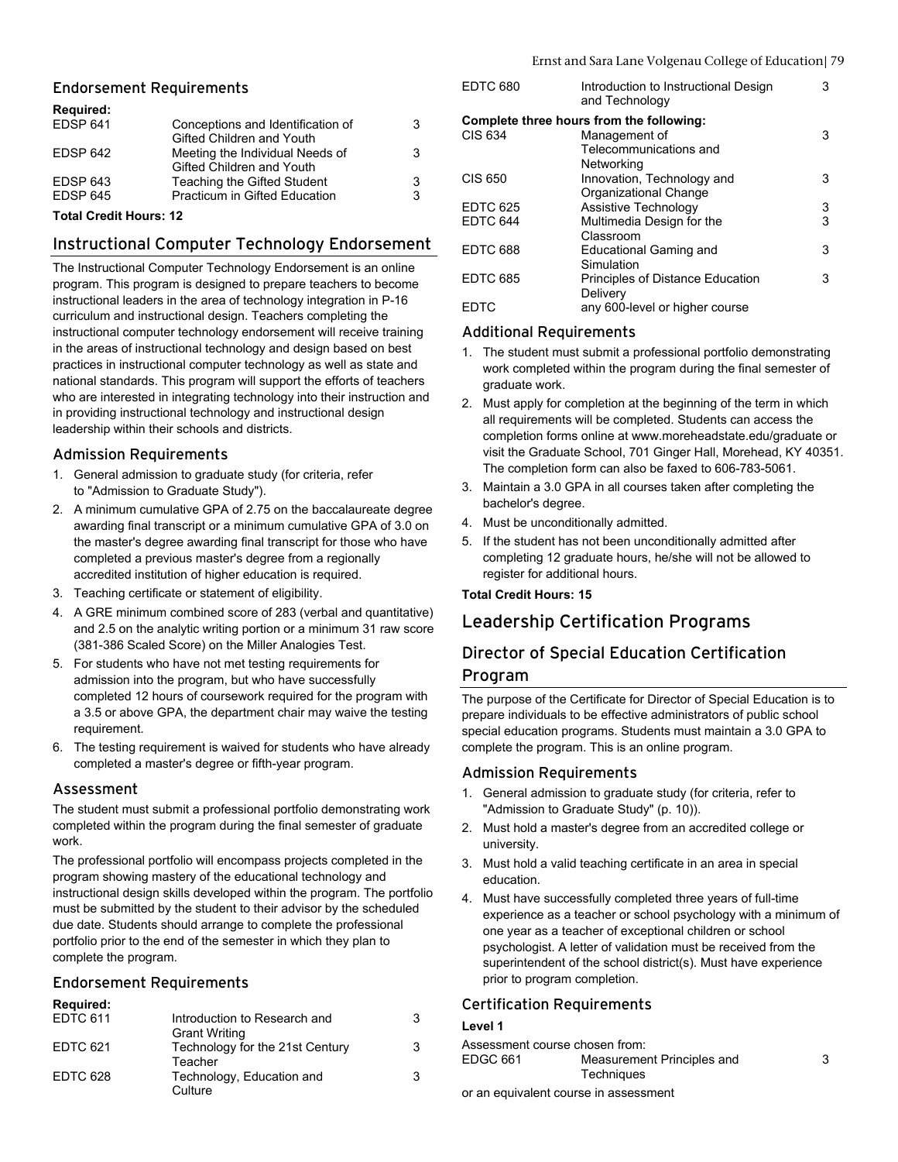#### Ernst and Sara Lane Volgenau College of Education| 79

# Endorsement Requirements

| <b>Required:</b> |                                    |  |
|------------------|------------------------------------|--|
| <b>EDSP 641</b>  | Conceptions and Identification of  |  |
|                  | Gifted Children and Youth          |  |
| EDSP 642         | Meeting the Individual Needs of    |  |
|                  | Gifted Children and Youth          |  |
| EDSP 643         | <b>Teaching the Gifted Student</b> |  |
| <b>EDSP 645</b>  | Practicum in Gifted Education      |  |
|                  |                                    |  |

#### **Total Credit Hours: 12**

# Instructional Computer Technology Endorsement

The Instructional Computer Technology Endorsement is an online program. This program is designed to prepare teachers to become instructional leaders in the area of technology integration in P-16 curriculum and instructional design. Teachers completing the instructional computer technology endorsement will receive training in the areas of instructional technology and design based on best practices in instructional computer technology as well as state and national standards. This program will support the efforts of teachers who are interested in integrating technology into their instruction and in providing instructional technology and instructional design leadership within their schools and districts.

#### Admission Requirements

- 1. General admission to graduate study (for criteria, refer to "Admission to Graduate Study").
- 2. A minimum cumulative GPA of 2.75 on the baccalaureate degree awarding final transcript or a minimum cumulative GPA of 3.0 on the master's degree awarding final transcript for those who have completed a previous master's degree from a regionally accredited institution of higher education is required.
- 3. Teaching certificate or statement of eligibility.
- 4. A GRE minimum combined score of 283 (verbal and quantitative) and 2.5 on the analytic writing portion or a minimum 31 raw score (381-386 Scaled Score) on the Miller Analogies Test.
- 5. For students who have not met testing requirements for admission into the program, but who have successfully completed 12 hours of coursework required for the program with a 3.5 or above GPA, the department chair may waive the testing requirement.
- 6. The testing requirement is waived for students who have already completed a master's degree or fifth-year program.

#### Assessment

The student must submit a professional portfolio demonstrating work completed within the program during the final semester of graduate work.

The professional portfolio will encompass projects completed in the program showing mastery of the educational technology and instructional design skills developed within the program. The portfolio must be submitted by the student to their advisor by the scheduled due date. Students should arrange to complete the professional portfolio prior to the end of the semester in which they plan to complete the program.

#### Endorsement Requirements

# **Required:**

| <b>EDTC 611</b> | Introduction to Research and    | 3. |
|-----------------|---------------------------------|----|
|                 | <b>Grant Writing</b>            |    |
| <b>EDTC 621</b> | Technology for the 21st Century | 3. |
|                 | Teacher                         |    |
| <b>EDTC 628</b> | Technology, Education and       | 3. |
|                 | Culture                         |    |
|                 |                                 |    |

| <b>EDTC 680</b> | Introduction to Instructional Design<br>and Technology | з |
|-----------------|--------------------------------------------------------|---|
|                 | Complete three hours from the following:               |   |
| CIS 634         | Management of                                          | 3 |
|                 | Telecommunications and                                 |   |
|                 | Networking                                             |   |
| CIS 650         | Innovation, Technology and                             | 3 |
|                 | Organizational Change                                  |   |
| <b>EDTC 625</b> | Assistive Technology                                   | 3 |
| <b>EDTC 644</b> | Multimedia Design for the                              | 3 |
|                 | Classroom                                              |   |
| <b>EDTC 688</b> | Educational Gaming and                                 | 3 |
|                 | Simulation                                             |   |
| <b>EDTC 685</b> | <b>Principles of Distance Education</b>                | 3 |
|                 | Delivery                                               |   |
| EDTC            | any 600-level or higher course                         |   |

#### Additional Requirements

- 1. The student must submit a professional portfolio demonstrating work completed within the program during the final semester of graduate work.
- 2. Must apply for completion at the beginning of the term in which all requirements will be completed. Students can access the completion forms online at www.moreheadstate.edu/graduate or visit the Graduate School, 701 Ginger Hall, Morehead, KY 40351. The completion form can also be faxed to 606-783-5061.
- 3. Maintain a 3.0 GPA in all courses taken after completing the bachelor's degree.
- 4. Must be unconditionally admitted.
- 5. If the student has not been unconditionally admitted after completing 12 graduate hours, he/she will not be allowed to register for additional hours.

**Total Credit Hours: 15** 

# Leadership Certification Programs

# Director of Special Education Certification Program

The purpose of the Certificate for Director of Special Education is to prepare individuals to be effective administrators of public school special education programs. Students must maintain a 3.0 GPA to complete the program. This is an online program.

#### Admission Requirements

- 1. General admission to graduate study (for criteria, refer to "Admission to Graduate Study" (p. 10)).
- 2. Must hold a master's degree from an accredited college or university.
- 3. Must hold a valid teaching certificate in an area in special education.
- 4. Must have successfully completed three years of full-time experience as a teacher or school psychology with a minimum of one year as a teacher of exceptional children or school psychologist. A letter of validation must be received from the superintendent of the school district(s). Must have experience prior to program completion.

# Certification Requirements

#### **Level 1**

| Assessment course chosen from: |                                          |
|--------------------------------|------------------------------------------|
| EDGC 661                       | Measurement Principles and<br>Techniques |
|                                |                                          |

or an equivalent course in assessment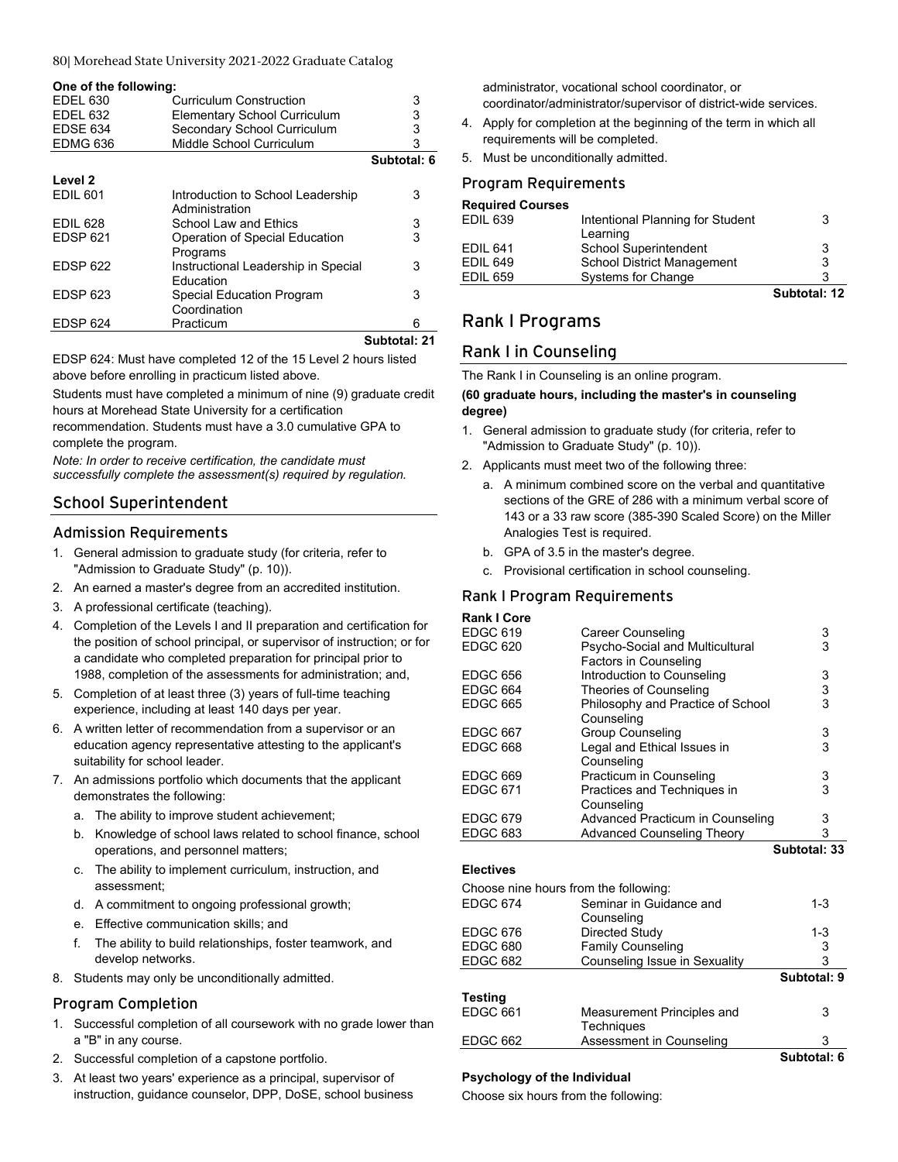| One of the following: |                                     |              |
|-----------------------|-------------------------------------|--------------|
| EDEL 630              | Curriculum Construction             | 3            |
| EDEL 632              | <b>Elementary School Curriculum</b> | 3            |
| <b>EDSE 634</b>       | Secondary School Curriculum         | 3            |
| <b>EDMG 636</b>       | Middle School Curriculum            | 3            |
|                       |                                     | Subtotal: 6  |
| Level 2               |                                     |              |
| <b>EDIL 601</b>       | Introduction to School Leadership   | 3            |
|                       | Administration                      |              |
| <b>EDIL 628</b>       | School Law and Ethics               | 3            |
| <b>EDSP 621</b>       | Operation of Special Education      | 3            |
|                       | Programs                            |              |
| <b>EDSP 622</b>       | Instructional Leadership in Special | 3            |
|                       | <b>Education</b>                    |              |
| <b>EDSP 623</b>       | <b>Special Education Program</b>    | 3            |
|                       | Coordination                        |              |
| EDSP 624              | Practicum                           | 6            |
|                       |                                     | Subtotal: 21 |

EDSP 624: Must have completed 12 of the 15 Level 2 hours listed above before enrolling in practicum listed above.

Students must have completed a minimum of nine (9) graduate credit hours at Morehead State University for a certification

recommendation. Students must have a 3.0 cumulative GPA to complete the program.

*Note: In order to receive certification, the candidate must successfully complete the assessment(s) required by regulation.* 

# School Superintendent

#### Admission Requirements

- 1. General admission to graduate study (for criteria, refer to "Admission to Graduate Study" (p. 10)).
- 2. An earned a master's degree from an accredited institution.
- 3. A professional certificate (teaching).
- 4. Completion of the Levels I and II preparation and certification for the position of school principal, or supervisor of instruction; or for a candidate who completed preparation for principal prior to 1988, completion of the assessments for administration; and,
- 5. Completion of at least three (3) years of full-time teaching experience, including at least 140 days per year.
- 6. A written letter of recommendation from a supervisor or an education agency representative attesting to the applicant's suitability for school leader.
- 7. An admissions portfolio which documents that the applicant demonstrates the following:
	- a. The ability to improve student achievement;
	- b. Knowledge of school laws related to school finance, school operations, and personnel matters;
	- c. The ability to implement curriculum, instruction, and assessment;
	- d. A commitment to ongoing professional growth;
	- e. Effective communication skills; and
	- f. The ability to build relationships, foster teamwork, and develop networks.
- 8. Students may only be unconditionally admitted.

# Program Completion

- 1. Successful completion of all coursework with no grade lower than a "B" in any course.
- 2. Successful completion of a capstone portfolio.
- 3. At least two years' experience as a principal, supervisor of instruction, guidance counselor, DPP, DoSE, school business

administrator, vocational school coordinator, or coordinator/administrator/supervisor of district-wide services.

- 4. Apply for completion at the beginning of the term in which all requirements will be completed.
- 5. Must be unconditionally admitted.

# Program Requirements

#### **Required Courses**  EDIL 639 Intentional Planning for Student Learning 3 EDIL 641 School Superintendent 3 EDIL 649 School District Management 3 EDIL 659 Systems for Change 3 **Subtotal: 12**

# Rank I Programs

# Rank I in Counseling

The Rank I in Counseling is an online program.

# **(60 graduate hours, including the master's in counseling degree)**

- 1. General admission to graduate study (for criteria, refer to "Admission to Graduate Study" (p. 10)).
- 2. Applicants must meet two of the following three:
	- a. A minimum combined score on the verbal and quantitative sections of the GRE of 286 with a minimum verbal score of 143 or a 33 raw score (385-390 Scaled Score) on the Miller Analogies Test is required.
	- b. GPA of 3.5 in the master's degree.
	- c. Provisional certification in school counseling.

# Rank I Program Requirements

| <b>EDGC 619</b> | <b>Career Counseling</b>          | 3           |
|-----------------|-----------------------------------|-------------|
| <b>EDGC 620</b> | Psycho-Social and Multicultural   | 3           |
|                 | Factors in Counseling             |             |
| EDGC 656        | Introduction to Counseling        | 3           |
| <b>EDGC 664</b> | <b>Theories of Counseling</b>     | 3           |
| <b>EDGC 665</b> | Philosophy and Practice of School | 3           |
|                 | Counseling                        |             |
| EDGC 667        | <b>Group Counseling</b>           | 3           |
| EDGC 668        | Legal and Ethical Issues in       | 3           |
|                 | Counseling                        |             |
| EDGC 669        | Practicum in Counseling           | 3           |
| <b>EDGC 671</b> | Practices and Techniques in       | 3           |
|                 | Counseling                        |             |
| EDGC 679        | Advanced Practicum in Counseling  | 3           |
| <b>EDGC 683</b> | Advanced Counseling Theory        | 3           |
|                 |                                   | Subtotal 33 |

# **Electives**

|                 | Choose nine hours from the following: |             |
|-----------------|---------------------------------------|-------------|
| EDGC 674        | Seminar in Guidance and               | 1-3         |
|                 | Counseling                            |             |
| EDGC 676        | Directed Study                        | $1 - 3$     |
| EDGC 680        | <b>Family Counseling</b>              | 3           |
| EDGC 682        | Counseling Issue in Sexuality         | 3           |
|                 |                                       | Subtotal: 9 |
| Testing         |                                       |             |
| <b>EDGC 661</b> | Measurement Principles and            | 3           |
|                 | Techniques                            |             |
| EDGC 662        | Assessment in Counseling              | 3           |
|                 |                                       | Subtotal: 6 |

#### **Psychology of the Individual**

Choose six hours from the following: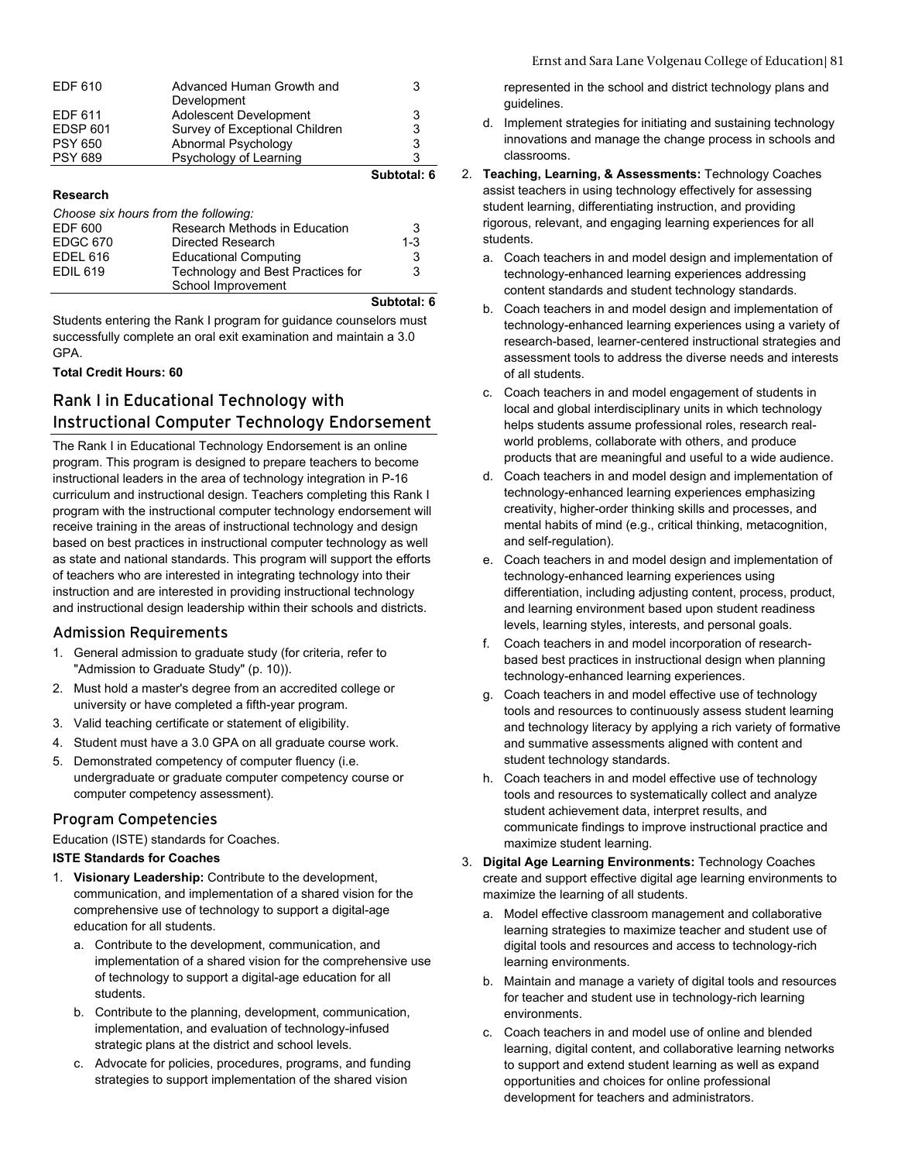|                 |                                | Subtotal: 6 |
|-----------------|--------------------------------|-------------|
| <b>PSY 689</b>  | Psychology of Learning         |             |
| <b>PSY 650</b>  | Abnormal Psychology            | 3           |
| <b>EDSP 601</b> | Survey of Exceptional Children |             |
| EDF 611         | Adolescent Development         |             |
|                 | Development                    |             |
| EDF 610         | Advanced Human Growth and      |             |

#### **Research**

| EDF 600<br>Research Methods in Education             | 3       |
|------------------------------------------------------|---------|
| <b>EDGC 670</b><br>Directed Research                 | $1 - 3$ |
| EDEL 616<br><b>Educational Computing</b>             | 3       |
| Technology and Best Practices for<br><b>EDIL 619</b> | 3       |
| School Improvement                                   |         |

**Subtotal: 6** 

Students entering the Rank I program for guidance counselors must successfully complete an oral exit examination and maintain a 3.0 GPA.

#### **Total Credit Hours: 60**

# Rank I in Educational Technology with Instructional Computer Technology Endorsement

The Rank I in Educational Technology Endorsement is an online program. This program is designed to prepare teachers to become instructional leaders in the area of technology integration in P-16 curriculum and instructional design. Teachers completing this Rank I program with the instructional computer technology endorsement will receive training in the areas of instructional technology and design based on best practices in instructional computer technology as well as state and national standards. This program will support the efforts of teachers who are interested in integrating technology into their instruction and are interested in providing instructional technology and instructional design leadership within their schools and districts.

#### Admission Requirements

- 1. General admission to graduate study (for criteria, refer to "Admission to Graduate Study" (p. 10)).
- 2. Must hold a master's degree from an accredited college or university or have completed a fifth-year program.
- 3. Valid teaching certificate or statement of eligibility.
- 4. Student must have a 3.0 GPA on all graduate course work.
- 5. Demonstrated competency of computer fluency (i.e. undergraduate or graduate computer competency course or computer competency assessment).

#### Program Competencies

Education (ISTE) standards for Coaches.

#### **ISTE Standards for Coaches**

- 1. **Visionary Leadership:** Contribute to the development, communication, and implementation of a shared vision for the comprehensive use of technology to support a digital-age education for all students.
	- a. Contribute to the development, communication, and implementation of a shared vision for the comprehensive use of technology to support a digital-age education for all students.
	- b. Contribute to the planning, development, communication, implementation, and evaluation of technology-infused strategic plans at the district and school levels.
	- c. Advocate for policies, procedures, programs, and funding strategies to support implementation of the shared vision

represented in the school and district technology plans and guidelines.

- d. Implement strategies for initiating and sustaining technology innovations and manage the change process in schools and classrooms.
- 2. **Teaching, Learning, & Assessments:** Technology Coaches assist teachers in using technology effectively for assessing student learning, differentiating instruction, and providing rigorous, relevant, and engaging learning experiences for all students.
	- a. Coach teachers in and model design and implementation of technology-enhanced learning experiences addressing content standards and student technology standards.
	- b. Coach teachers in and model design and implementation of technology-enhanced learning experiences using a variety of research-based, learner-centered instructional strategies and assessment tools to address the diverse needs and interests of all students.
	- c. Coach teachers in and model engagement of students in local and global interdisciplinary units in which technology helps students assume professional roles, research realworld problems, collaborate with others, and produce products that are meaningful and useful to a wide audience.
	- d. Coach teachers in and model design and implementation of technology-enhanced learning experiences emphasizing creativity, higher-order thinking skills and processes, and mental habits of mind (e.g., critical thinking, metacognition, and self-regulation).
	- e. Coach teachers in and model design and implementation of technology-enhanced learning experiences using differentiation, including adjusting content, process, product, and learning environment based upon student readiness levels, learning styles, interests, and personal goals.
	- f. Coach teachers in and model incorporation of researchbased best practices in instructional design when planning technology-enhanced learning experiences.
	- g. Coach teachers in and model effective use of technology tools and resources to continuously assess student learning and technology literacy by applying a rich variety of formative and summative assessments aligned with content and student technology standards.
	- h. Coach teachers in and model effective use of technology tools and resources to systematically collect and analyze student achievement data, interpret results, and communicate findings to improve instructional practice and maximize student learning.
- 3. **Digital Age Learning Environments:** Technology Coaches create and support effective digital age learning environments to maximize the learning of all students.
	- a. Model effective classroom management and collaborative learning strategies to maximize teacher and student use of digital tools and resources and access to technology-rich learning environments.
	- b. Maintain and manage a variety of digital tools and resources for teacher and student use in technology-rich learning environments.
	- c. Coach teachers in and model use of online and blended learning, digital content, and collaborative learning networks to support and extend student learning as well as expand opportunities and choices for online professional development for teachers and administrators.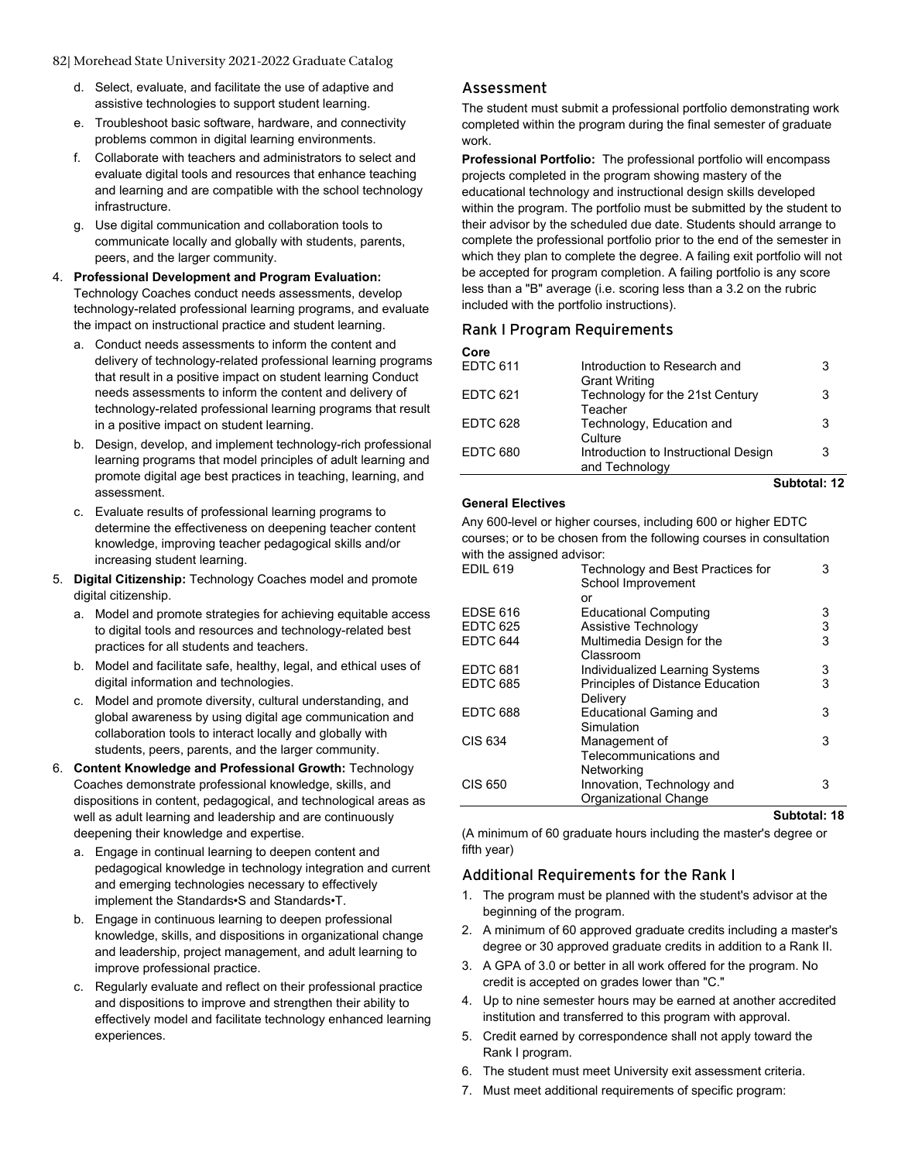- d. Select, evaluate, and facilitate the use of adaptive and assistive technologies to support student learning.
- e. Troubleshoot basic software, hardware, and connectivity problems common in digital learning environments.
- f. Collaborate with teachers and administrators to select and evaluate digital tools and resources that enhance teaching and learning and are compatible with the school technology infrastructure.
- g. Use digital communication and collaboration tools to communicate locally and globally with students, parents, peers, and the larger community.
- 4. **Professional Development and Program Evaluation:** Technology Coaches conduct needs assessments, develop technology-related professional learning programs, and evaluate the impact on instructional practice and student learning.
	- a. Conduct needs assessments to inform the content and delivery of technology-related professional learning programs that result in a positive impact on student learning Conduct needs assessments to inform the content and delivery of technology-related professional learning programs that result in a positive impact on student learning.
	- b. Design, develop, and implement technology-rich professional learning programs that model principles of adult learning and promote digital age best practices in teaching, learning, and assessment.
	- c. Evaluate results of professional learning programs to determine the effectiveness on deepening teacher content knowledge, improving teacher pedagogical skills and/or increasing student learning.
- 5. **Digital Citizenship:** Technology Coaches model and promote digital citizenship.
	- a. Model and promote strategies for achieving equitable access to digital tools and resources and technology-related best practices for all students and teachers.
	- b. Model and facilitate safe, healthy, legal, and ethical uses of digital information and technologies.
	- c. Model and promote diversity, cultural understanding, and global awareness by using digital age communication and collaboration tools to interact locally and globally with students, peers, parents, and the larger community.
- 6. **Content Knowledge and Professional Growth:** Technology Coaches demonstrate professional knowledge, skills, and dispositions in content, pedagogical, and technological areas as well as adult learning and leadership and are continuously deepening their knowledge and expertise.
	- a. Engage in continual learning to deepen content and pedagogical knowledge in technology integration and current and emerging technologies necessary to effectively implement the Standards•S and Standards•T.
	- b. Engage in continuous learning to deepen professional knowledge, skills, and dispositions in organizational change and leadership, project management, and adult learning to improve professional practice.
	- c. Regularly evaluate and reflect on their professional practice and dispositions to improve and strengthen their ability to effectively model and facilitate technology enhanced learning experiences.

# Assessment

The student must submit a professional portfolio demonstrating work completed within the program during the final semester of graduate work.

**Professional Portfolio:** The professional portfolio will encompass projects completed in the program showing mastery of the educational technology and instructional design skills developed within the program. The portfolio must be submitted by the student to their advisor by the scheduled due date. Students should arrange to complete the professional portfolio prior to the end of the semester in which they plan to complete the degree. A failing exit portfolio will not be accepted for program completion. A failing portfolio is any score less than a "B" average (i.e. scoring less than a 3.2 on the rubric included with the portfolio instructions).

# Rank I Program Requirements

| Core            |                                      |   |
|-----------------|--------------------------------------|---|
| <b>EDTC 611</b> | Introduction to Research and         | 3 |
|                 | <b>Grant Writing</b>                 |   |
| <b>EDTC 621</b> | Technology for the 21st Century      | 3 |
|                 | Teacher                              |   |
| <b>EDTC 628</b> | Technology, Education and            | з |
|                 | Culture                              |   |
| <b>EDTC 680</b> | Introduction to Instructional Design | 3 |
|                 | and Technology                       |   |

#### **Subtotal: 12**

#### **General Electives**

Any 600-level or higher courses, including 600 or higher EDTC courses; or to be chosen from the following courses in consultation with the assigned advisor:

| <b>EDIL 619</b> | Technology and Best Practices for<br>School Improvement | 3              |
|-----------------|---------------------------------------------------------|----------------|
|                 | or                                                      |                |
| <b>EDSE 616</b> | <b>Educational Computing</b>                            | 3              |
| <b>EDTC 625</b> | Assistive Technology                                    | $\frac{3}{3}$  |
| <b>EDTC 644</b> | Multimedia Design for the                               |                |
|                 | Classroom                                               |                |
| <b>EDTC 681</b> | Individualized Learning Systems                         | 3              |
| <b>EDTC 685</b> | <b>Principles of Distance Education</b>                 | 3              |
|                 | Delivery                                                |                |
| <b>EDTC 688</b> | <b>Educational Gaming and</b>                           | 3              |
|                 | Simulation                                              |                |
| CIS 634         | Management of                                           | 3              |
|                 | Telecommunications and                                  |                |
|                 | Networking                                              |                |
| CIS 650         | Innovation, Technology and                              | 3              |
|                 | Organizational Change                                   |                |
|                 |                                                         | <b>A.L.</b> 46 |

**Subtotal: 18** 

(A minimum of 60 graduate hours including the master's degree or fifth year)

# Additional Requirements for the Rank I

- 1. The program must be planned with the student's advisor at the beginning of the program.
- 2. A minimum of 60 approved graduate credits including a master's degree or 30 approved graduate credits in addition to a Rank II.
- 3. A GPA of 3.0 or better in all work offered for the program. No credit is accepted on grades lower than "C."
- 4. Up to nine semester hours may be earned at another accredited institution and transferred to this program with approval.
- 5. Credit earned by correspondence shall not apply toward the Rank I program.
- 6. The student must meet University exit assessment criteria.
- 7. Must meet additional requirements of specific program: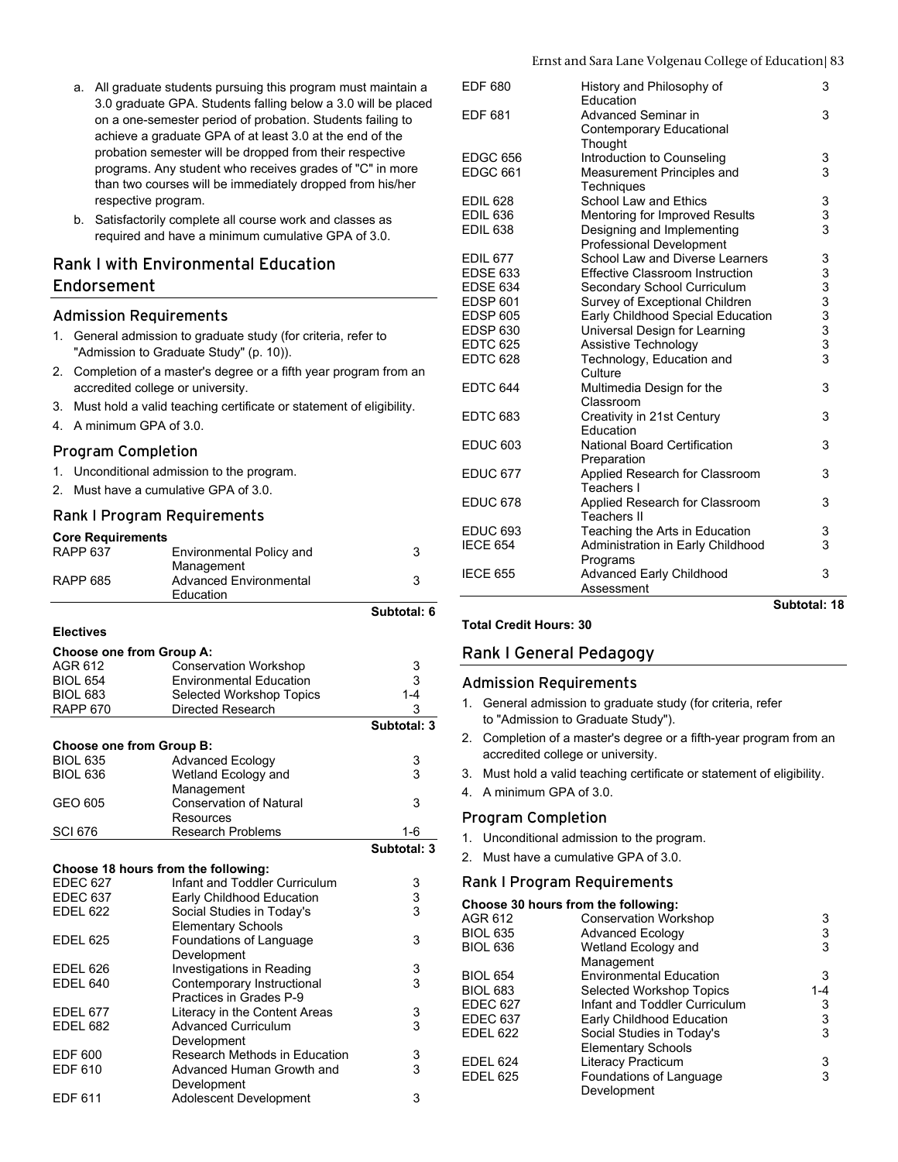- Ernst and Sara Lane Volgenau College of Education| 83
- a. All graduate students pursuing this program must maintain a 3.0 graduate GPA. Students falling below a 3.0 will be placed on a one-semester period of probation. Students failing to achieve a graduate GPA of at least 3.0 at the end of the probation semester will be dropped from their respective programs. Any student who receives grades of "C" in more than two courses will be immediately dropped from his/her respective program.
- b. Satisfactorily complete all course work and classes as required and have a minimum cumulative GPA of 3.0.

# Rank I with Environmental Education Endorsement

#### Admission Requirements

- 1. General admission to graduate study (for criteria, refer to "Admission to Graduate Study" (p. 10)).
- 2. Completion of a master's degree or a fifth year program from an accredited college or university.
- 3. Must hold a valid teaching certificate or statement of eligibility.
- 4. A minimum GPA of 3.0.

#### Program Completion

- 1. Unconditional admission to the program.
- 2. Must have a cumulative GPA of 3.0.

# Rank I Program Requirements

| <b>Core Requirements</b> |                               |             |
|--------------------------|-------------------------------|-------------|
| <b>RAPP 637</b>          | Environmental Policy and      |             |
|                          | Management                    |             |
| <b>RAPP 685</b>          | <b>Advanced Environmental</b> |             |
|                          | Education                     |             |
|                          |                               | Subtotal: 6 |

#### **Electives**

| Choose one from Group A:        |                                     |             |
|---------------------------------|-------------------------------------|-------------|
| AGR 612                         | <b>Conservation Workshop</b>        | 3           |
| <b>BIOL 654</b>                 | <b>Environmental Education</b>      | 3           |
| <b>BIOL 683</b>                 | Selected Workshop Topics            | $1 - 4$     |
| <b>RAPP 670</b>                 | <b>Directed Research</b>            | 3           |
|                                 |                                     | Subtotal: 3 |
| <b>Choose one from Group B:</b> |                                     |             |
| <b>BIOL 635</b>                 | <b>Advanced Ecology</b>             | 3           |
| <b>BIOL 636</b>                 | Wetland Ecology and                 | 3           |
|                                 | Management                          |             |
| GEO 605                         | <b>Conservation of Natural</b>      | 3           |
|                                 | Resources                           |             |
| <b>SCI 676</b>                  | <b>Research Problems</b>            | $1 - 6$     |
|                                 |                                     | Subtotal: 3 |
|                                 | Choose 18 hours from the following: |             |
| <b>EDEC 627</b>                 | Infant and Toddler Curriculum       |             |
| <b>EDEC 637</b>                 | Early Childhood Education           | 3<br>3<br>3 |
| <b>EDEL 622</b>                 | Social Studies in Today's           |             |
|                                 | <b>Elementary Schools</b>           |             |
| <b>EDEL 625</b>                 | Foundations of Language             | 3           |
|                                 | Development                         |             |
| <b>EDEL 626</b>                 | Investigations in Reading           | 3           |
| <b>EDEL 640</b>                 | Contemporary Instructional          | 3           |
|                                 | Practices in Grades P-9             |             |
| <b>EDEL 677</b>                 | Literacy in the Content Areas       | 3           |
| <b>EDEL 682</b>                 | <b>Advanced Curriculum</b>          | 3           |
|                                 | Development                         |             |
| <b>EDF 600</b>                  | Research Methods in Education       | 3           |
| <b>EDF 610</b>                  | Advanced Human Growth and           | 3           |
|                                 | Development                         |             |
| EDF 611                         | Adolescent Development              | 3           |

| <b>EDF 680</b>  | History and Philosophy of<br>Education               | 3                |
|-----------------|------------------------------------------------------|------------------|
| <b>EDF 681</b>  | Advanced Seminar in                                  | 3                |
|                 | Contemporary Educational                             |                  |
|                 | Thought                                              |                  |
| <b>EDGC 656</b> | Introduction to Counseling                           | 3                |
| <b>EDGC 661</b> | Measurement Principles and                           | 3                |
|                 | Techniques                                           |                  |
| <b>EDIL 628</b> | School Law and Ethics                                |                  |
| <b>EDIL 636</b> | Mentoring for Improved Results                       | 3<br>3<br>3      |
| <b>EDIL 638</b> | Designing and Implementing                           |                  |
|                 | Professional Development                             |                  |
| <b>EDIL 677</b> | School Law and Diverse Learners                      | 3                |
| <b>EDSE 633</b> | <b>Effective Classroom Instruction</b>               |                  |
| <b>EDSE 634</b> | Secondary School Curriculum                          |                  |
| <b>EDSP 601</b> | Survey of Exceptional Children                       | 3<br>3<br>3<br>3 |
| <b>EDSP 605</b> | Early Childhood Special Education                    |                  |
| <b>EDSP 630</b> | Universal Design for Learning                        | 3                |
| <b>EDTC 625</b> | Assistive Technology                                 | $\overline{3}$   |
| <b>EDTC 628</b> | Technology, Education and                            | 3                |
|                 | Culture                                              |                  |
| <b>EDTC 644</b> | Multimedia Design for the                            | 3                |
|                 | Classroom                                            |                  |
| <b>EDTC 683</b> | Creativity in 21st Century                           | 3                |
|                 | Education                                            |                  |
| <b>EDUC 603</b> | <b>National Board Certification</b>                  | 3                |
|                 | Preparation                                          |                  |
| <b>EDUC 677</b> | Applied Research for Classroom<br>Teachers I         | 3                |
| <b>EDUC 678</b> |                                                      | 3                |
|                 | Applied Research for Classroom<br><b>Teachers II</b> |                  |
| <b>EDUC 693</b> | Teaching the Arts in Education                       | 3                |
| <b>IECE 654</b> | Administration in Early Childhood                    | 3                |
|                 | Programs                                             |                  |
| <b>IECE 655</b> | <b>Advanced Early Childhood</b>                      | 3                |
|                 | Assessment                                           |                  |
|                 |                                                      | Subtotal: 18     |

# **Total Credit Hours: 30**

# Rank I General Pedagogy

# Admission Requirements

- 1. General admission to graduate study (for criteria, refer to "Admission to Graduate Study").
- 2. Completion of a master's degree or a fifth-year program from an accredited college or university.
- 3. Must hold a valid teaching certificate or statement of eligibility.
- 4. A minimum GPA of 3.0.

# Program Completion

- 1. Unconditional admission to the program.
- 2. Must have a cumulative GPA of 3.0.

#### Rank I Program Requirements

| Choose 30 hours from the following: |                                 |     |  |
|-------------------------------------|---------------------------------|-----|--|
| AGR 612                             | <b>Conservation Workshop</b>    | 3   |  |
| <b>BIOL 635</b>                     | <b>Advanced Ecology</b>         | 3   |  |
| <b>BIOL 636</b>                     | Wetland Ecology and             | 3   |  |
|                                     | Management                      |     |  |
| <b>BIOL 654</b>                     | <b>Environmental Education</b>  | 3   |  |
| <b>BIOL 683</b>                     | <b>Selected Workshop Topics</b> | 1-4 |  |
| <b>EDEC 627</b>                     | Infant and Toddler Curriculum   | 3   |  |
| <b>EDEC 637</b>                     | Early Childhood Education       | 3   |  |
| <b>EDEL 622</b>                     | Social Studies in Today's       | 3   |  |
|                                     | <b>Elementary Schools</b>       |     |  |
| <b>EDEL 624</b>                     | <b>Literacy Practicum</b>       | 3   |  |
| <b>EDEL 625</b>                     | Foundations of Language         | 3   |  |
|                                     | Development                     |     |  |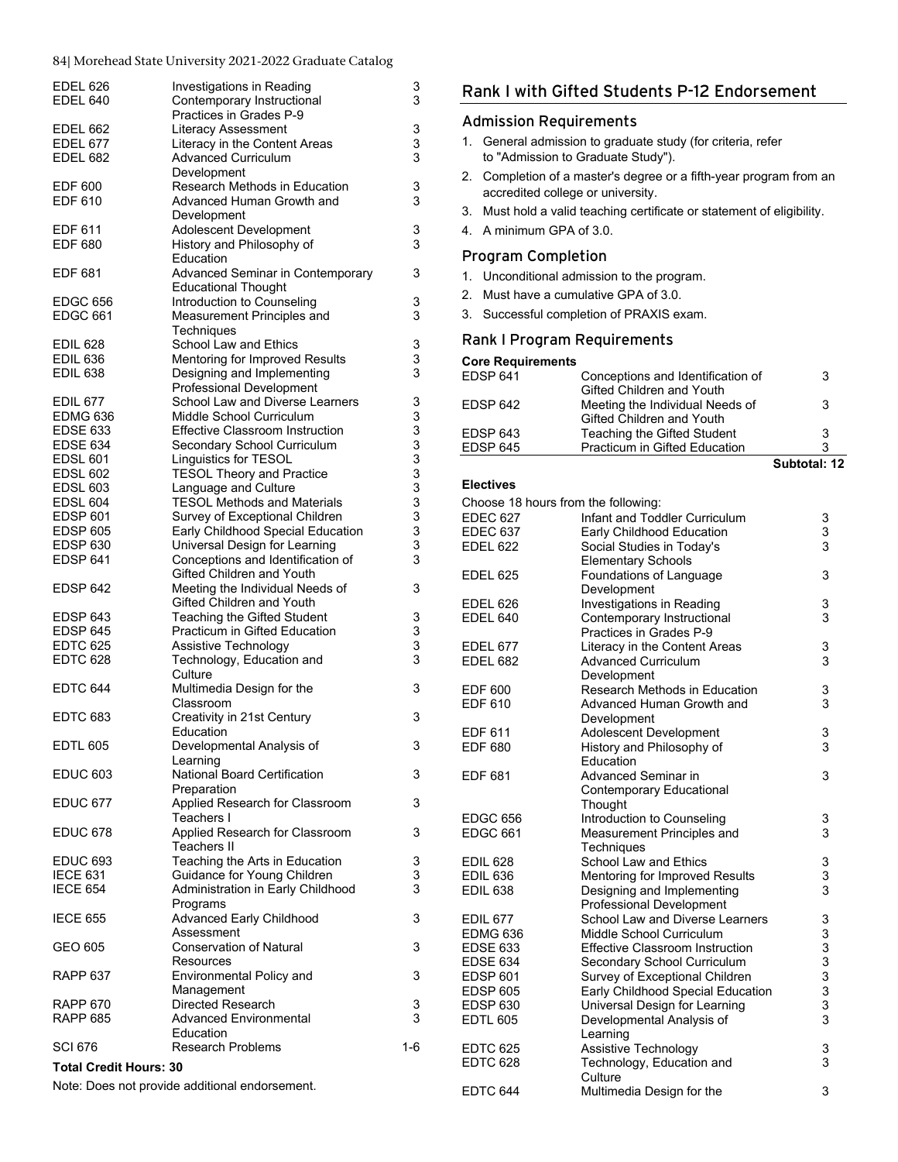| <b>EDEL 626</b><br><b>EDEL 640</b> | Investigations in Reading<br>Contemporary Instructional     | 3<br>3                                     |  |
|------------------------------------|-------------------------------------------------------------|--------------------------------------------|--|
|                                    | Practices in Grades P-9                                     |                                            |  |
| EDEL 662                           | Literacy Assessment                                         | 3                                          |  |
| <b>EDEL 677</b><br>EDEL 682        | Literacy in the Content Areas<br><b>Advanced Curriculum</b> | 3<br>3                                     |  |
|                                    | Development                                                 |                                            |  |
| <b>EDF 600</b>                     | Research Methods in Education                               | 3                                          |  |
| <b>EDF 610</b>                     | Advanced Human Growth and                                   | 3                                          |  |
|                                    | Development                                                 |                                            |  |
| EDF 611                            | Adolescent Development                                      | 3                                          |  |
| <b>EDF 680</b>                     | History and Philosophy of                                   | 3                                          |  |
|                                    | Education                                                   |                                            |  |
| EDF 681                            | Advanced Seminar in Contemporary                            | 3                                          |  |
|                                    | <b>Educational Thought</b>                                  |                                            |  |
| EDGC 656                           | Introduction to Counseling                                  | 3                                          |  |
| <b>EDGC 661</b>                    | Measurement Principles and                                  | 3                                          |  |
|                                    | Techniques                                                  |                                            |  |
| <b>EDIL 628</b>                    | School Law and Ethics                                       | 3                                          |  |
| <b>EDIL 636</b>                    | Mentoring for Improved Results                              | 3                                          |  |
| <b>EDIL 638</b>                    | Designing and Implementing                                  | 3                                          |  |
|                                    | <b>Professional Development</b>                             |                                            |  |
| <b>EDIL 677</b>                    | School Law and Diverse Learners                             | 3                                          |  |
| EDMG 636                           | Middle School Curriculum                                    | 3                                          |  |
| <b>EDSE 633</b>                    | <b>Effective Classroom Instruction</b>                      |                                            |  |
| EDSE 634                           | Secondary School Curriculum                                 | $\begin{array}{c} 3 \\ 3 \\ 3 \end{array}$ |  |
| <b>EDSL 601</b>                    | <b>Linguistics for TESOL</b>                                |                                            |  |
| EDSL 602                           | <b>TESOL Theory and Practice</b>                            |                                            |  |
| <b>EDSL 603</b>                    | Language and Culture                                        | $\begin{array}{c} 3 \\ 3 \end{array}$      |  |
| EDSL 604                           | <b>TESOL Methods and Materials</b>                          |                                            |  |
| EDSP 601                           | Survey of Exceptional Children                              |                                            |  |
| EDSP 605                           | Early Childhood Special Education                           | 3                                          |  |
| <b>EDSP 630</b>                    | Universal Design for Learning                               | 3                                          |  |
| <b>EDSP 641</b>                    | Conceptions and Identification of                           | 3                                          |  |
|                                    | Gifted Children and Youth                                   |                                            |  |
| <b>EDSP 642</b>                    | Meeting the Individual Needs of                             | 3                                          |  |
|                                    | Gifted Children and Youth                                   |                                            |  |
| EDSP 643                           | Teaching the Gifted Student                                 | 3                                          |  |
| <b>EDSP 645</b>                    | Practicum in Gifted Education                               | 3                                          |  |
| EDTC 625                           | Assistive Technology                                        | 3<br>3                                     |  |
| <b>EDTC 628</b>                    | Technology, Education and                                   |                                            |  |
| EDTC 644                           | Culture<br>Multimedia Design for the                        | 3                                          |  |
|                                    | Classroom                                                   |                                            |  |
| <b>EDTC 683</b>                    | Creativity in 21st Century                                  | 3                                          |  |
|                                    | Education                                                   |                                            |  |
| <b>EDTL 605</b>                    | Developmental Analysis of                                   | 3                                          |  |
|                                    | Learning                                                    |                                            |  |
| <b>EDUC 603</b>                    | National Board Certification                                | 3                                          |  |
|                                    | Preparation                                                 |                                            |  |
| <b>EDUC 677</b>                    | Applied Research for Classroom                              | 3                                          |  |
|                                    | Teachers I                                                  |                                            |  |
| <b>EDUC 678</b>                    | Applied Research for Classroom                              | 3                                          |  |
|                                    | Teachers II                                                 |                                            |  |
| <b>EDUC 693</b>                    | Teaching the Arts in Education                              | 3                                          |  |
| <b>IECE 631</b>                    | Guidance for Young Children                                 | 3                                          |  |
| <b>IECE 654</b>                    | Administration in Early Childhood                           | 3                                          |  |
|                                    | Programs                                                    |                                            |  |
| <b>IECE 655</b>                    | <b>Advanced Early Childhood</b>                             | 3                                          |  |
|                                    | Assessment                                                  |                                            |  |
| GEO 605                            | <b>Conservation of Natural</b>                              | 3                                          |  |
|                                    | Resources                                                   |                                            |  |
| <b>RAPP 637</b>                    | Environmental Policy and                                    | 3                                          |  |
|                                    | Management                                                  |                                            |  |
| RAPP 670                           | Directed Research                                           | 3                                          |  |
| <b>RAPP 685</b>                    | <b>Advanced Environmental</b>                               | 3                                          |  |
|                                    | Education                                                   |                                            |  |
| SCI 676                            | <b>Research Problems</b>                                    | 1-6                                        |  |
| <b>Total Credit Hours: 30</b>      |                                                             |                                            |  |
|                                    | Note: Does not provide additional endorsement.              |                                            |  |

# Rank I with Gifted Students P-12 Endorsement

# Admission Requirements

- 1. General admission to graduate study (for criteria, refer to "Admission to Graduate Study").
- 2. Completion of a master's degree or a fifth-year program from an accredited college or university.
- 3. Must hold a valid teaching certificate or statement of eligibility.
- 4. A minimum GPA of 3.0.

# Program Completion

- 1. Unconditional admission to the program.
- 2. Must have a cumulative GPA of 3.0.
- 3. Successful completion of PRAXIS exam.

# Rank I Program Requirements

#### **Core Requirements**

|                 |                                      | Subtotal: 12 |
|-----------------|--------------------------------------|--------------|
| EDSP 645        | <b>Practicum in Gifted Education</b> |              |
| <b>EDSP 643</b> | <b>Teaching the Gifted Student</b>   | 3            |
|                 | Gifted Children and Youth            |              |
| EDSP 642        | Meeting the Individual Needs of      | 3            |
|                 | Gifted Children and Youth            |              |
| <b>EDSP 641</b> | Conceptions and Identification of    |              |

# **Electives**

Choose 18 hours from the following:

| Choose to hours from the following. |                                        |                                                 |
|-------------------------------------|----------------------------------------|-------------------------------------------------|
| <b>EDEC 627</b>                     | Infant and Toddler Curriculum          | 3                                               |
| <b>EDEC 637</b>                     | Early Childhood Education              | 3                                               |
| <b>EDEL 622</b>                     | Social Studies in Today's              | 3                                               |
|                                     | <b>Elementary Schools</b>              |                                                 |
| <b>EDEL 625</b>                     | Foundations of Language                | 3                                               |
|                                     | Development                            |                                                 |
| <b>EDEL 626</b>                     | Investigations in Reading              | 3                                               |
| <b>EDEL 640</b>                     | Contemporary Instructional             | 3                                               |
|                                     | Practices in Grades P-9                |                                                 |
| <b>EDEL 677</b>                     | Literacy in the Content Areas          | 3                                               |
| <b>EDEL 682</b>                     | <b>Advanced Curriculum</b>             | 3                                               |
|                                     | Development                            |                                                 |
| <b>EDF 600</b>                      | <b>Research Methods in Education</b>   | 3                                               |
| <b>EDF 610</b>                      | Advanced Human Growth and              | 3                                               |
|                                     | Development                            |                                                 |
| EDF 611                             | <b>Adolescent Development</b>          | 3                                               |
| <b>EDF 680</b>                      | History and Philosophy of              | 3                                               |
|                                     | Education                              |                                                 |
| <b>EDF 681</b>                      | Advanced Seminar in                    | 3                                               |
|                                     | <b>Contemporary Educational</b>        |                                                 |
|                                     | Thought                                |                                                 |
| <b>EDGC 656</b>                     | Introduction to Counseling             | 3                                               |
| <b>EDGC 661</b>                     | Measurement Principles and             | 3                                               |
|                                     | Techniques                             |                                                 |
| <b>EDIL 628</b>                     | School Law and Ethics                  | 3                                               |
| <b>EDIL 636</b>                     | Mentoring for Improved Results         | 3                                               |
| <b>EDIL 638</b>                     | Designing and Implementing             | 3                                               |
|                                     | <b>Professional Development</b>        |                                                 |
| <b>EDIL 677</b>                     | School Law and Diverse Learners        | 3                                               |
| <b>EDMG 636</b>                     | Middle School Curriculum               |                                                 |
| <b>EDSE 633</b>                     | <b>Effective Classroom Instruction</b> | $\begin{array}{c} 3 \\ 3 \\ 3 \\ 3 \end{array}$ |
| <b>EDSE 634</b>                     | Secondary School Curriculum            |                                                 |
| <b>EDSP 601</b>                     | Survey of Exceptional Children         |                                                 |
| <b>EDSP 605</b>                     | Early Childhood Special Education      |                                                 |
| <b>EDSP 630</b>                     | Universal Design for Learning          | $\frac{3}{3}$                                   |
| <b>EDTL 605</b>                     | Developmental Analysis of              |                                                 |
|                                     | Learning                               |                                                 |
| <b>EDTC 625</b>                     | Assistive Technology                   | 3                                               |
| <b>EDTC 628</b>                     | Technology, Education and              | 3                                               |
|                                     | Culture                                |                                                 |
| <b>EDTC 644</b>                     | Multimedia Design for the              | 3                                               |
|                                     |                                        |                                                 |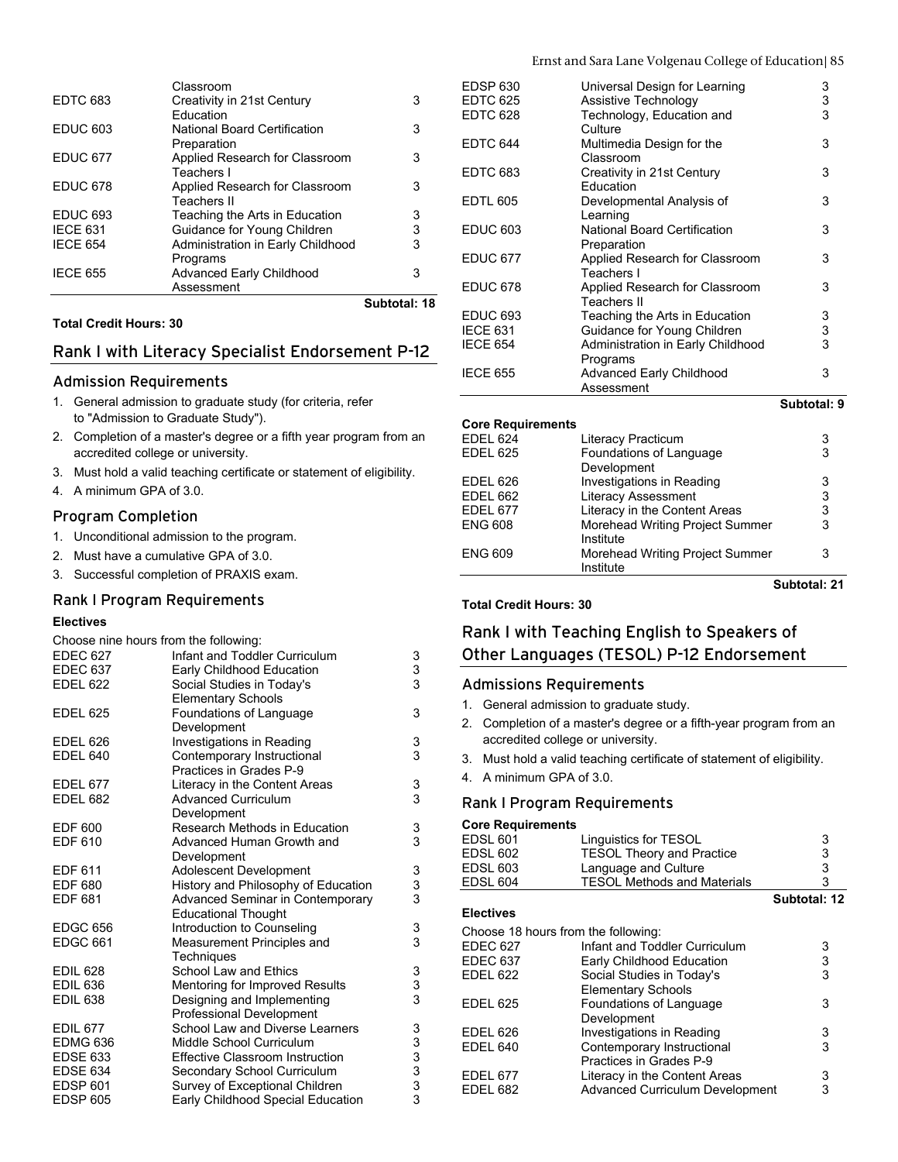|                     |                                              | Subtotal: 18 |
|---------------------|----------------------------------------------|--------------|
|                     | Assessment                                   |              |
| <b>IECE 655</b>     | <b>Advanced Early Childhood</b>              | 3            |
|                     | Programs                                     |              |
| <b>IECE 654</b>     | Administration in Early Childhood            | 3            |
| <b>IECE 631</b>     | Guidance for Young Children                  | 3            |
| <b>EDUC 693</b>     | Teaching the Arts in Education               | 3            |
|                     | Teachers II                                  |              |
| <b>EDUC 678</b>     | Teachers I<br>Applied Research for Classroom | 3            |
| EDUC <sub>677</sub> | Applied Research for Classroom               | 3            |
|                     | Preparation                                  |              |
| <b>EDUC 603</b>     | National Board Certification                 | 3            |
|                     | <b>Education</b>                             |              |
| <b>EDTC 683</b>     | Creativity in 21st Century                   | 3            |
|                     | Classroom                                    |              |

**Total Credit Hours: 30** 

# Rank I with Literacy Specialist Endorsement P-12

#### Admission Requirements

- 1. General admission to graduate study (for criteria, refer to "Admission to Graduate Study").
- 2. Completion of a master's degree or a fifth year program from an accredited college or university.
- 3. Must hold a valid teaching certificate or statement of eligibility.
- 4. A minimum GPA of 3.0.

# Program Completion

- 1. Unconditional admission to the program.
- 2. Must have a cumulative GPA of 3.0.
- 3. Successful completion of PRAXIS exam.

#### Rank I Program Requirements

#### **Electives**

|                 | Choose nine hours from the following:   |                                       |
|-----------------|-----------------------------------------|---------------------------------------|
| <b>EDEC 627</b> | Infant and Toddler Curriculum           | 3                                     |
| <b>EDEC 637</b> | Early Childhood Education               | 3                                     |
| <b>EDEL 622</b> | Social Studies in Today's               | 3                                     |
|                 | <b>Elementary Schools</b>               |                                       |
| <b>EDEL 625</b> | Foundations of Language                 | 3                                     |
|                 | Development                             |                                       |
| <b>EDEL 626</b> | Investigations in Reading               | 3                                     |
| <b>EDEL 640</b> | Contemporary Instructional              | 3                                     |
|                 | Practices in Grades P-9                 |                                       |
| <b>EDEL 677</b> | Literacy in the Content Areas           | 3                                     |
| <b>EDEL 682</b> | <b>Advanced Curriculum</b>              | 3                                     |
|                 | Development                             |                                       |
| <b>EDF 600</b>  | <b>Research Methods in Education</b>    | 3                                     |
| <b>EDF 610</b>  | Advanced Human Growth and               | 3                                     |
|                 | Development                             |                                       |
| EDF 611         | Adolescent Development                  | 3                                     |
| <b>EDF 680</b>  | History and Philosophy of Education     | 3                                     |
| <b>EDF 681</b>  | <b>Advanced Seminar in Contemporary</b> | 3                                     |
|                 | <b>Educational Thought</b>              |                                       |
| <b>EDGC 656</b> | Introduction to Counseling              | 3                                     |
| <b>EDGC 661</b> | Measurement Principles and              | 3                                     |
|                 | Techniques                              |                                       |
| <b>EDIL 628</b> | <b>School Law and Ethics</b>            | 3                                     |
| <b>EDIL 636</b> | Mentoring for Improved Results          | 3                                     |
| <b>EDIL 638</b> | Designing and Implementing              | 3                                     |
|                 | <b>Professional Development</b>         |                                       |
| <b>EDIL 677</b> | <b>School Law and Diverse Learners</b>  | 3                                     |
| <b>EDMG 636</b> | Middle School Curriculum                | 3                                     |
| <b>EDSE 633</b> | <b>Effective Classroom Instruction</b>  | 3                                     |
| <b>EDSE 634</b> | Secondary School Curriculum             |                                       |
| <b>EDSP 601</b> | Survey of Exceptional Children          | $\begin{array}{c} 3 \\ 3 \end{array}$ |
| <b>EDSP 605</b> | Early Childhood Special Education       |                                       |

|                 |                                                      | Subtotal: 9 |
|-----------------|------------------------------------------------------|-------------|
|                 | Assessment                                           |             |
| <b>IECE 655</b> | <b>Advanced Early Childhood</b>                      | 3           |
|                 | Programs                                             |             |
| <b>IECE 654</b> | Administration in Early Childhood                    | 3           |
| <b>IECE 631</b> | Guidance for Young Children                          | 3           |
| <b>EDUC 693</b> | Teaching the Arts in Education                       | 3           |
| <b>EDUC 678</b> | Applied Research for Classroom<br><b>Teachers II</b> | 3           |
| <b>EDUC 677</b> | Applied Research for Classroom<br>Teachers I         | 3           |
|                 | Preparation                                          |             |
| <b>EDUC 603</b> | Learning<br>National Board Certification             | 3           |
| <b>EDTL 605</b> | Developmental Analysis of                            | 3           |
| <b>EDTC 683</b> | Creativity in 21st Century<br>Education              | 3           |
|                 | Classroom                                            |             |
| <b>EDTC 644</b> | Culture<br>Multimedia Design for the                 | 3           |
| <b>EDTC 628</b> | Technology, Education and                            | 3           |
| <b>EDTC 625</b> | Assistive Technology                                 | 3           |
| <b>EDSP 630</b> | Universal Design for Learning                        | 3           |
|                 |                                                      |             |

#### **Core Requirements**

| <b>EDEL 624</b> | Literacy Practicum                           |   |
|-----------------|----------------------------------------------|---|
| <b>EDEL 625</b> | Foundations of Language                      | 3 |
|                 | Development                                  |   |
| <b>EDEL 626</b> | Investigations in Reading                    | 3 |
| <b>EDEL 662</b> | <b>Literacy Assessment</b>                   | 3 |
| <b>EDEL 677</b> | Literacy in the Content Areas                | 3 |
| <b>ENG 608</b>  | Morehead Writing Project Summer<br>Institute | 3 |
| <b>ENG 609</b>  | Morehead Writing Project Summer<br>Institute |   |

#### **Total Credit Hours: 30**

```
Subtotal: 21
```
# Rank I with Teaching English to Speakers of Other Languages (TESOL) P-12 Endorsement

### Admissions Requirements

- 1. General admission to graduate study.
- 2. Completion of a master's degree or a fifth-year program from an accredited college or university.
- 3. Must hold a valid teaching certificate of statement of eligibility.
- 4. A minimum GPA of 3.0.

# Rank I Program Requirements

| <b>Core Requirements</b>            |                                        |              |
|-------------------------------------|----------------------------------------|--------------|
| <b>EDSL 601</b>                     | Linguistics for TESOL                  | 3            |
| <b>EDSL 602</b>                     | <b>TESOL Theory and Practice</b>       | 3            |
| <b>EDSL 603</b>                     | Language and Culture                   | 3            |
| <b>EDSL 604</b>                     | <b>TESOL Methods and Materials</b>     | 3            |
|                                     |                                        | Subtotal: 12 |
| <b>Electives</b>                    |                                        |              |
| Choose 18 hours from the following: |                                        |              |
| <b>EDEC 627</b>                     | Infant and Toddler Curriculum          | 3            |
| <b>EDEC 637</b>                     | Early Childhood Education              | 3            |
| <b>EDEL 622</b>                     | Social Studies in Today's              | 3            |
|                                     | <b>Elementary Schools</b>              |              |
| <b>EDEL 625</b>                     | Foundations of Language                | 3            |
|                                     | Development                            |              |
| <b>EDEL 626</b>                     | Investigations in Reading              | 3            |
| <b>EDEL 640</b>                     | Contemporary Instructional             | 3            |
|                                     | Practices in Grades P-9                |              |
| <b>EDEL 677</b>                     | Literacy in the Content Areas          | 3            |
| <b>EDEL 682</b>                     | <b>Advanced Curriculum Development</b> | 3            |
|                                     |                                        |              |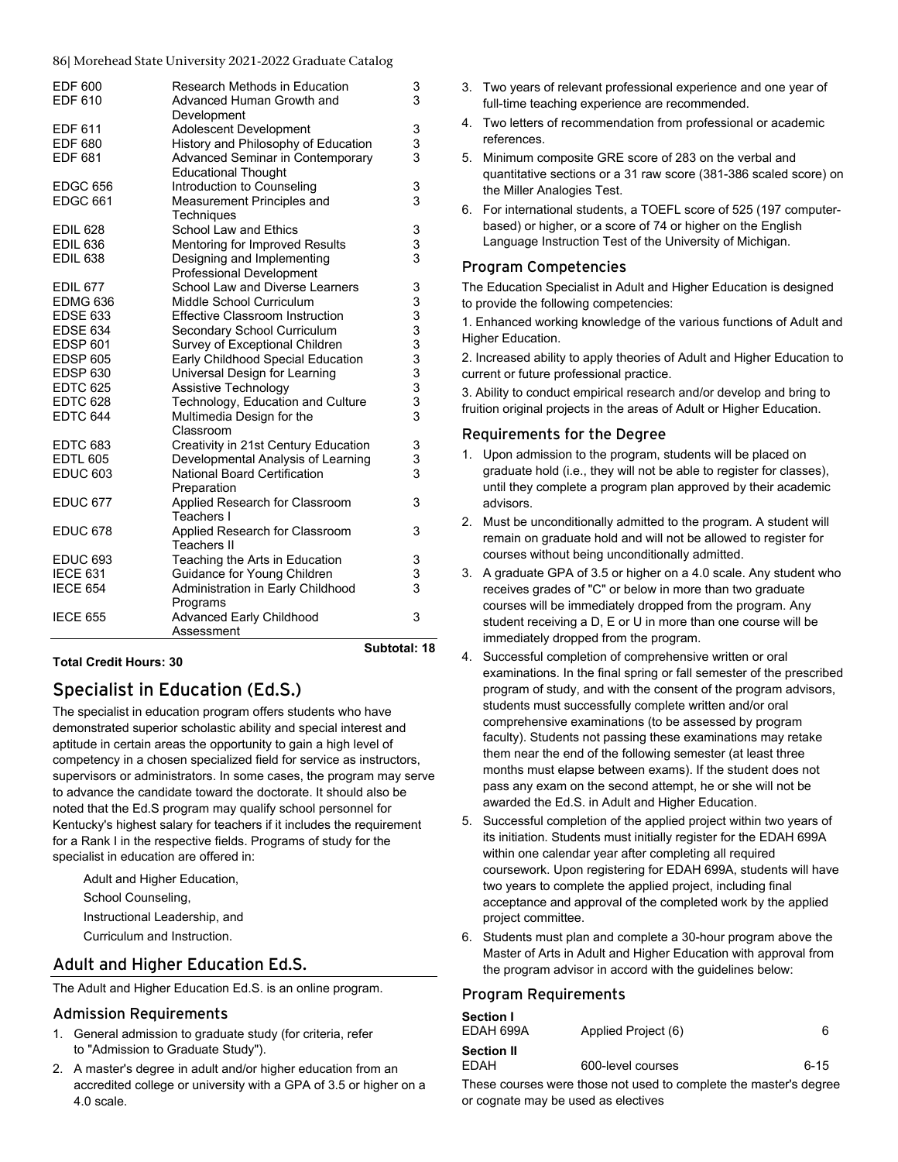#### 86| Morehead State University 2021-2022 Graduate Catalog

| <b>EDF 600</b><br><b>EDF 610</b> | Research Methods in Education<br>Advanced Human Growth and | 3<br>3         |
|----------------------------------|------------------------------------------------------------|----------------|
|                                  | Development                                                |                |
| EDF 611                          | Adolescent Development                                     | 3              |
| <b>EDF 680</b>                   | History and Philosophy of Education                        | 3              |
| <b>EDF 681</b>                   | <b>Advanced Seminar in Contemporary</b>                    | 3              |
|                                  | <b>Educational Thought</b>                                 |                |
| <b>EDGC 656</b>                  | Introduction to Counseling                                 | 3              |
| <b>EDGC 661</b>                  | Measurement Principles and                                 | 3              |
|                                  | Techniques                                                 |                |
| <b>EDIL 628</b>                  | <b>School Law and Ethics</b>                               | 3              |
| <b>EDIL 636</b>                  | Mentoring for Improved Results                             | 3              |
| <b>EDIL 638</b>                  | Designing and Implementing                                 | $\bar{3}$      |
|                                  | <b>Professional Development</b>                            |                |
| <b>EDIL 677</b>                  | School Law and Diverse Learners                            | 3              |
| <b>EDMG 636</b>                  | Middle School Curriculum                                   |                |
| <b>EDSE 633</b>                  | <b>Effective Classroom Instruction</b>                     |                |
| <b>EDSE 634</b>                  | Secondary School Curriculum                                |                |
| <b>EDSP 601</b>                  | Survey of Exceptional Children                             |                |
| <b>EDSP 605</b>                  | Early Childhood Special Education                          |                |
| <b>EDSP 630</b>                  | Universal Design for Learning                              | 33333333       |
| <b>EDTC 625</b>                  | Assistive Technology                                       |                |
| <b>EDTC 628</b>                  | Technology, Education and Culture                          |                |
| <b>EDTC 644</b>                  | Multimedia Design for the                                  | $\overline{3}$ |
|                                  | Classroom                                                  |                |
| <b>EDTC 683</b>                  | Creativity in 21st Century Education                       | 3              |
| <b>EDTL 605</b>                  | Developmental Analysis of Learning                         | 3              |
| <b>EDUC 603</b>                  | <b>National Board Certification</b>                        | 3              |
|                                  | Preparation                                                |                |
| <b>EDUC 677</b>                  | Applied Research for Classroom                             | 3              |
|                                  | Teachers I                                                 |                |
| <b>EDUC 678</b>                  | Applied Research for Classroom                             | 3              |
|                                  | <b>Teachers II</b>                                         |                |
| <b>EDUC 693</b>                  | Teaching the Arts in Education                             | 3              |
| <b>IECE 631</b>                  | Guidance for Young Children                                | 3              |
| <b>IECE 654</b>                  | Administration in Early Childhood                          | 3              |
|                                  | Programs                                                   |                |
| <b>IECE 655</b>                  | <b>Advanced Early Childhood</b>                            | 3              |
|                                  | Assessment                                                 |                |

# **Total Credit Hours: 30**

**Subtotal: 18** 

# Specialist in Education (Ed.S.)

The specialist in education program offers students who have demonstrated superior scholastic ability and special interest and aptitude in certain areas the opportunity to gain a high level of competency in a chosen specialized field for service as instructors, supervisors or administrators. In some cases, the program may serve to advance the candidate toward the doctorate. It should also be noted that the Ed.S program may qualify school personnel for Kentucky's highest salary for teachers if it includes the requirement for a Rank I in the respective fields. Programs of study for the specialist in education are offered in:

Adult and Higher Education, School Counseling, Instructional Leadership, and Curriculum and Instruction.

# Adult and Higher Education Ed.S.

The Adult and Higher Education Ed.S. is an online program.

# Admission Requirements

- 1. General admission to graduate study (for criteria, refer to "Admission to Graduate Study").
- 2. A master's degree in adult and/or higher education from an accredited college or university with a GPA of 3.5 or higher on a 4.0 scale.
- 3. Two years of relevant professional experience and one year of full-time teaching experience are recommended.
- 4. Two letters of recommendation from professional or academic references.
- 5. Minimum composite GRE score of 283 on the verbal and quantitative sections or a 31 raw score (381-386 scaled score) on the Miller Analogies Test.
- 6. For international students, a TOEFL score of 525 (197 computerbased) or higher, or a score of 74 or higher on the English Language Instruction Test of the University of Michigan.

# Program Competencies

The Education Specialist in Adult and Higher Education is designed to provide the following competencies:

1. Enhanced working knowledge of the various functions of Adult and Higher Education.

2. Increased ability to apply theories of Adult and Higher Education to current or future professional practice.

3. Ability to conduct empirical research and/or develop and bring to fruition original projects in the areas of Adult or Higher Education.

# Requirements for the Degree

- 1. Upon admission to the program, students will be placed on graduate hold (i.e., they will not be able to register for classes), until they complete a program plan approved by their academic advisors.
- 2. Must be unconditionally admitted to the program. A student will remain on graduate hold and will not be allowed to register for courses without being unconditionally admitted.
- 3. A graduate GPA of 3.5 or higher on a 4.0 scale. Any student who receives grades of "C" or below in more than two graduate courses will be immediately dropped from the program. Any student receiving a D, E or U in more than one course will be immediately dropped from the program.
- 4. Successful completion of comprehensive written or oral examinations. In the final spring or fall semester of the prescribed program of study, and with the consent of the program advisors, students must successfully complete written and/or oral comprehensive examinations (to be assessed by program faculty). Students not passing these examinations may retake them near the end of the following semester (at least three months must elapse between exams). If the student does not pass any exam on the second attempt, he or she will not be awarded the Ed.S. in Adult and Higher Education.
- 5. Successful completion of the applied project within two years of its initiation. Students must initially register for the EDAH 699A within one calendar year after completing all required coursework. Upon registering for EDAH 699A, students will have two years to complete the applied project, including final acceptance and approval of the completed work by the applied project committee.
- 6. Students must plan and complete a 30-hour program above the Master of Arts in Adult and Higher Education with approval from the program advisor in accord with the guidelines below:

# Program Requirements

| Section I         |                     |      |
|-------------------|---------------------|------|
| EDAH 699A         | Applied Project (6) |      |
| <b>Section II</b> |                     |      |
| EDAH              | 600-level courses   | 6-15 |
|                   |                     |      |

These courses were those not used to complete the master's degree or cognate may be used as electives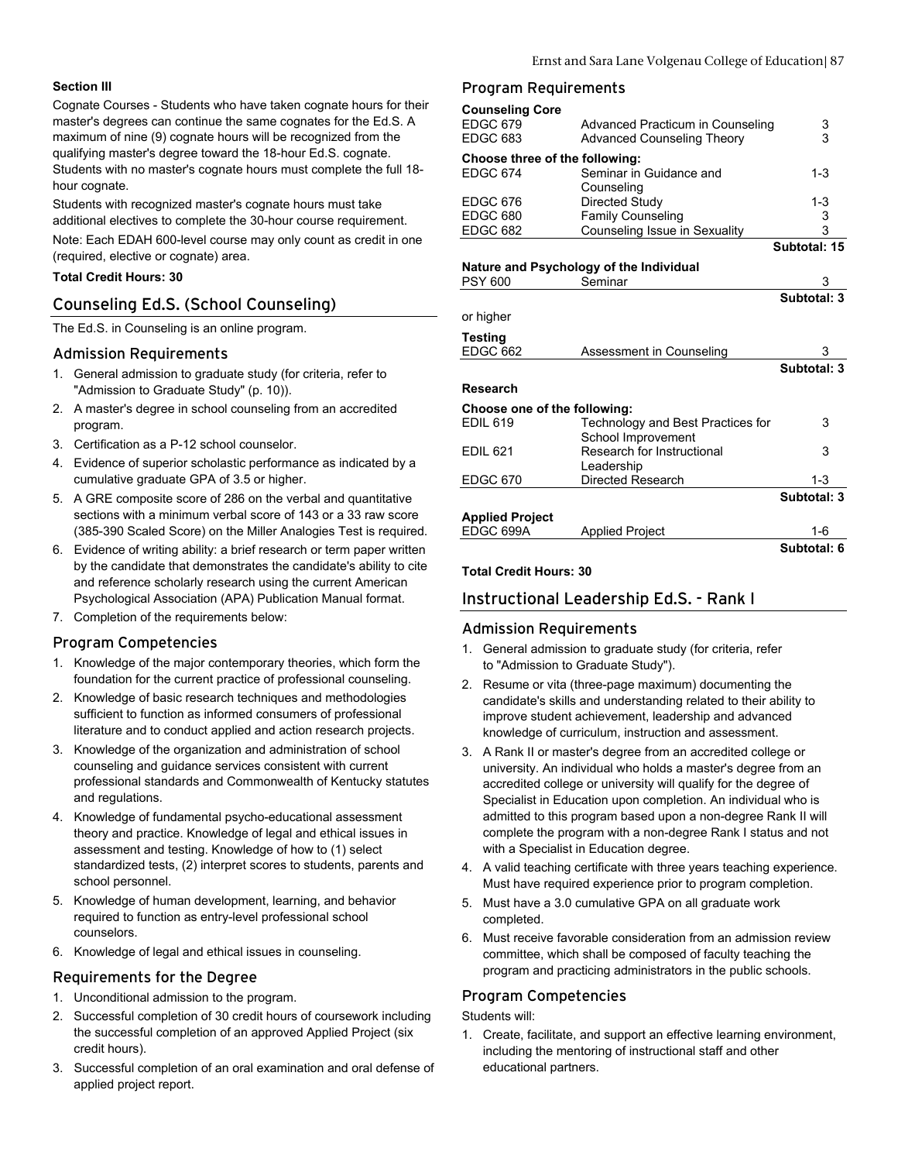#### **Section III**

Cognate Courses - Students who have taken cognate hours for their master's degrees can continue the same cognates for the Ed.S. A maximum of nine (9) cognate hours will be recognized from the qualifying master's degree toward the 18-hour Ed.S. cognate. Students with no master's cognate hours must complete the full 18 hour cognate.

Students with recognized master's cognate hours must take additional electives to complete the 30-hour course requirement. Note: Each EDAH 600-level course may only count as credit in one (required, elective or cognate) area.

#### **Total Credit Hours: 30**

# Counseling Ed.S. (School Counseling)

The Ed.S. in Counseling is an online program.

# Admission Requirements

- 1. General admission to graduate study (for criteria, refer to "Admission to Graduate Study" (p. 10)).
- 2. A master's degree in school counseling from an accredited program.
- 3. Certification as a P-12 school counselor.
- 4. Evidence of superior scholastic performance as indicated by a cumulative graduate GPA of 3.5 or higher.
- 5. A GRE composite score of 286 on the verbal and quantitative sections with a minimum verbal score of 143 or a 33 raw score (385-390 Scaled Score) on the Miller Analogies Test is required.
- 6. Evidence of writing ability: a brief research or term paper written by the candidate that demonstrates the candidate's ability to cite and reference scholarly research using the current American Psychological Association (APA) Publication Manual format.
- 7. Completion of the requirements below:

# Program Competencies

- 1. Knowledge of the major contemporary theories, which form the foundation for the current practice of professional counseling.
- 2. Knowledge of basic research techniques and methodologies sufficient to function as informed consumers of professional literature and to conduct applied and action research projects.
- 3. Knowledge of the organization and administration of school counseling and guidance services consistent with current professional standards and Commonwealth of Kentucky statutes and regulations.
- 4. Knowledge of fundamental psycho-educational assessment theory and practice. Knowledge of legal and ethical issues in assessment and testing. Knowledge of how to (1) select standardized tests, (2) interpret scores to students, parents and school personnel.
- 5. Knowledge of human development, learning, and behavior required to function as entry-level professional school counselors.
- 6. Knowledge of legal and ethical issues in counseling.

# Requirements for the Degree

- 1. Unconditional admission to the program.
- 2. Successful completion of 30 credit hours of coursework including the successful completion of an approved Applied Project (six credit hours).
- 3. Successful completion of an oral examination and oral defense of applied project report.

| <b>Program Requirements</b> |  |
|-----------------------------|--|
|-----------------------------|--|

|                                                                       | Subtotal: 3                                                                                                                                                                                                         |
|-----------------------------------------------------------------------|---------------------------------------------------------------------------------------------------------------------------------------------------------------------------------------------------------------------|
|                                                                       |                                                                                                                                                                                                                     |
| <b>Directed Research</b>                                              | $1 - 3$                                                                                                                                                                                                             |
| Research for Instructional                                            | 3                                                                                                                                                                                                                   |
| Technology and Best Practices for                                     | 3                                                                                                                                                                                                                   |
|                                                                       |                                                                                                                                                                                                                     |
|                                                                       | 3<br>Subtotal: 3                                                                                                                                                                                                    |
|                                                                       |                                                                                                                                                                                                                     |
|                                                                       | Subtotal: 3                                                                                                                                                                                                         |
| Seminar                                                               | 3                                                                                                                                                                                                                   |
|                                                                       | Subtotal: 15                                                                                                                                                                                                        |
| Counseling Issue in Sexuality                                         | 3                                                                                                                                                                                                                   |
| <b>Directed Study</b>                                                 | $1 - 3$<br>3                                                                                                                                                                                                        |
| Seminar in Guidance and                                               | $1 - 3$                                                                                                                                                                                                             |
| Advanced Practicum in Counseling<br><b>Advanced Counseling Theory</b> | $\frac{3}{3}$                                                                                                                                                                                                       |
|                                                                       | Choose three of the following:<br>Counseling<br><b>Family Counseling</b><br>Nature and Psychology of the Individual<br>Assessment in Counseling<br>Choose one of the following:<br>School Improvement<br>Leadership |

**Total Credit Hours: 30** 

# Instructional Leadership Ed.S. - Rank I

#### Admission Requirements

- 1. General admission to graduate study (for criteria, refer to "Admission to Graduate Study").
- 2. Resume or vita (three-page maximum) documenting the candidate's skills and understanding related to their ability to improve student achievement, leadership and advanced knowledge of curriculum, instruction and assessment.
- 3. A Rank II or master's degree from an accredited college or university. An individual who holds a master's degree from an accredited college or university will qualify for the degree of Specialist in Education upon completion. An individual who is admitted to this program based upon a non-degree Rank II will complete the program with a non-degree Rank I status and not with a Specialist in Education degree.
- 4. A valid teaching certificate with three years teaching experience. Must have required experience prior to program completion.
- 5. Must have a 3.0 cumulative GPA on all graduate work completed.
- 6. Must receive favorable consideration from an admission review committee, which shall be composed of faculty teaching the program and practicing administrators in the public schools.

# Program Competencies

Students will:

1. Create, facilitate, and support an effective learning environment, including the mentoring of instructional staff and other educational partners.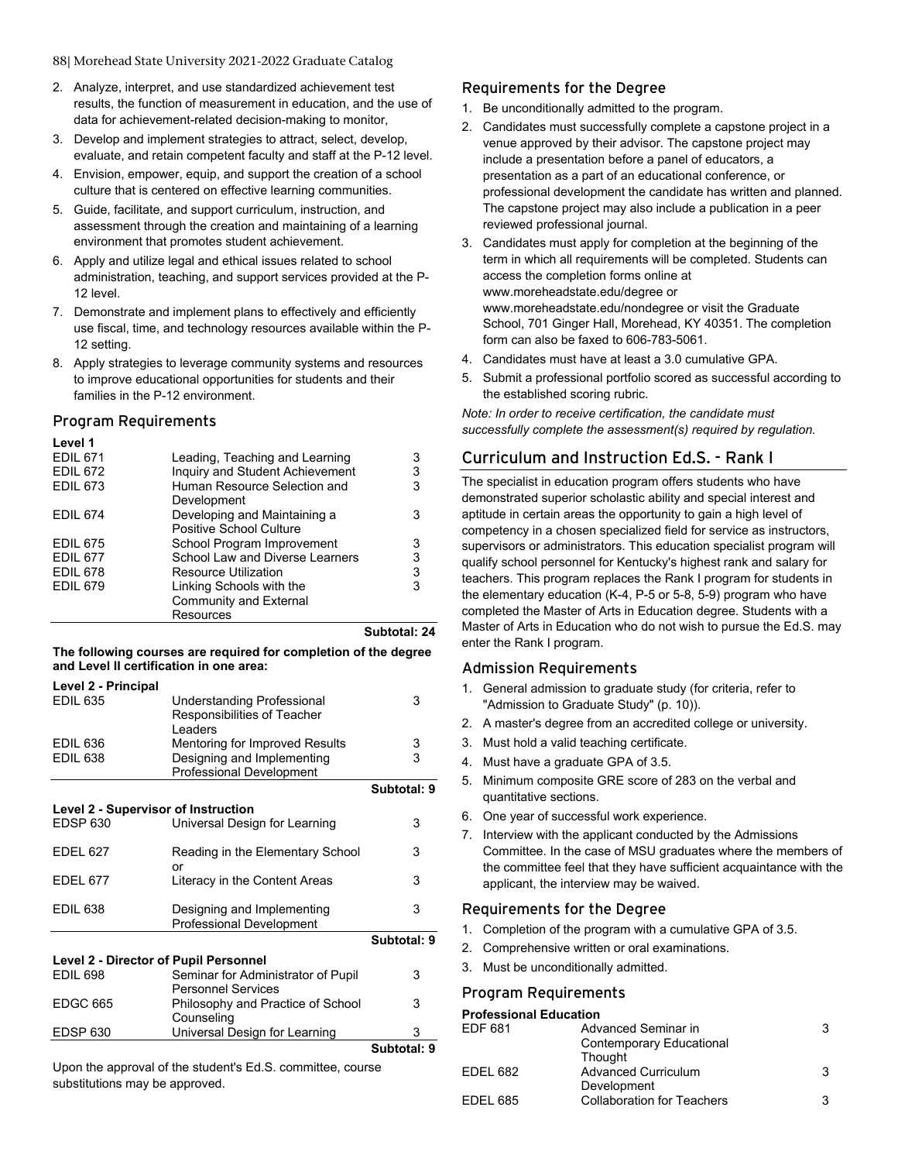- 2. Analyze, interpret, and use standardized achievement test results, the function of measurement in education, and the use of data for achievement-related decision-making to monitor,
- 3. Develop and implement strategies to attract, select, develop, evaluate, and retain competent faculty and staff at the P-12 level.
- 4. Envision, empower, equip, and support the creation of a school culture that is centered on effective learning communities.
- 5. Guide, facilitate, and support curriculum, instruction, and assessment through the creation and maintaining of a learning environment that promotes student achievement.
- 6. Apply and utilize legal and ethical issues related to school administration, teaching, and support services provided at the P-12 level.
- 7. Demonstrate and implement plans to effectively and efficiently use fiscal, time, and technology resources available within the P-12 setting.
- 8. Apply strategies to leverage community systems and resources to improve educational opportunities for students and their families in the P-12 environment.

# Program Requirements

| Level 1         |                                 |   |
|-----------------|---------------------------------|---|
| <b>EDIL 671</b> | Leading, Teaching and Learning  | 3 |
| <b>EDIL 672</b> | Inquiry and Student Achievement | 3 |
| <b>EDIL 673</b> | Human Resource Selection and    | 3 |
|                 | Development                     |   |
| <b>EDIL 674</b> | Developing and Maintaining a    |   |
|                 | Positive School Culture         |   |
| <b>EDIL 675</b> | School Program Improvement      | 3 |
| <b>EDIL 677</b> | School Law and Diverse Learners | 3 |
| <b>EDIL 678</b> | <b>Resource Utilization</b>     | 3 |
| <b>EDIL 679</b> | Linking Schools with the        | 3 |
|                 | <b>Community and External</b>   |   |
|                 | Resources                       |   |

**Subtotal: 24** 

#### **The following courses are required for completion of the degree and Level II certification in one area:**

| Level 2 - Principal                        |                                                           |             |
|--------------------------------------------|-----------------------------------------------------------|-------------|
| <b>EDIL 635</b>                            | Understanding Professional<br>Responsibilities of Teacher | 3           |
|                                            | I eaders                                                  |             |
| EDIL 636                                   | Mentoring for Improved Results                            | 3           |
| <b>EDIL 638</b>                            | Designing and Implementing                                | 3           |
|                                            | <b>Professional Development</b>                           |             |
|                                            |                                                           | Subtotal: 9 |
| <b>Level 2 - Supervisor of Instruction</b> |                                                           |             |
| <b>EDSP 630</b>                            | Universal Design for Learning                             | 3           |
| <b>EDEL 627</b>                            | Reading in the Elementary School                          | 3           |
|                                            | or                                                        |             |
| <b>EDEL 677</b>                            | Literacy in the Content Areas                             | 3           |
| <b>EDIL 638</b>                            | Designing and Implementing                                | 3           |
|                                            | <b>Professional Development</b>                           |             |
|                                            |                                                           | Subtotal: 9 |
| Level 2 - Director of Pupil Personnel      |                                                           |             |
| <b>EDIL 698</b>                            | Seminar for Administrator of Pupil                        | 3           |
|                                            | <b>Personnel Services</b>                                 |             |
| <b>EDGC 665</b>                            | Philosophy and Practice of School                         | 3           |
|                                            | Counseling                                                |             |
| <b>EDSP 630</b>                            | Universal Design for Learning                             | 3           |
|                                            |                                                           | Subtotal: 9 |

Upon the approval of the student's Ed.S. committee, course substitutions may be approved.

# Requirements for the Degree

- 1. Be unconditionally admitted to the program.
- 2. Candidates must successfully complete a capstone project in a venue approved by their advisor. The capstone project may include a presentation before a panel of educators, a presentation as a part of an educational conference, or professional development the candidate has written and planned. The capstone project may also include a publication in a peer reviewed professional journal.
- 3. Candidates must apply for completion at the beginning of the term in which all requirements will be completed. Students can access the completion forms online at www.moreheadstate.edu/degree or www.moreheadstate.edu/nondegree or visit the Graduate School, 701 Ginger Hall, Morehead, KY 40351. The completion form can also be faxed to 606-783-5061.
- 4. Candidates must have at least a 3.0 cumulative GPA.
- 5. Submit a professional portfolio scored as successful according to the established scoring rubric.

#### *Note: In order to receive certification, the candidate must successfully complete the assessment(s) required by regulation.*

# Curriculum and Instruction Ed.S. - Rank I

The specialist in education program offers students who have demonstrated superior scholastic ability and special interest and aptitude in certain areas the opportunity to gain a high level of competency in a chosen specialized field for service as instructors, supervisors or administrators. This education specialist program will qualify school personnel for Kentucky's highest rank and salary for teachers. This program replaces the Rank I program for students in the elementary education (K-4, P-5 or 5-8, 5-9) program who have completed the Master of Arts in Education degree. Students with a Master of Arts in Education who do not wish to pursue the Ed.S. may enter the Rank I program.

# Admission Requirements

- 1. General admission to graduate study (for criteria, refer to "Admission to Graduate Study" (p. 10)).
- 2. A master's degree from an accredited college or university.
- 3. Must hold a valid teaching certificate.
- 4. Must have a graduate GPA of 3.5.
- 5. Minimum composite GRE score of 283 on the verbal and quantitative sections.
- 6. One year of successful work experience.
- 7. Interview with the applicant conducted by the Admissions Committee. In the case of MSU graduates where the members of the committee feel that they have sufficient acquaintance with the applicant, the interview may be waived.

# Requirements for the Degree

- 1. Completion of the program with a cumulative GPA of 3.5.
- 2. Comprehensive written or oral examinations.
- 3. Must be unconditionally admitted.

# Program Requirements

#### **Professional Education**

| EDF 681  | Advanced Seminar in               |  |
|----------|-----------------------------------|--|
|          | Contemporary Educational          |  |
|          | Thought                           |  |
| EDEL 682 | <b>Advanced Curriculum</b>        |  |
|          | Development                       |  |
| EDEL 685 | <b>Collaboration for Teachers</b> |  |
|          |                                   |  |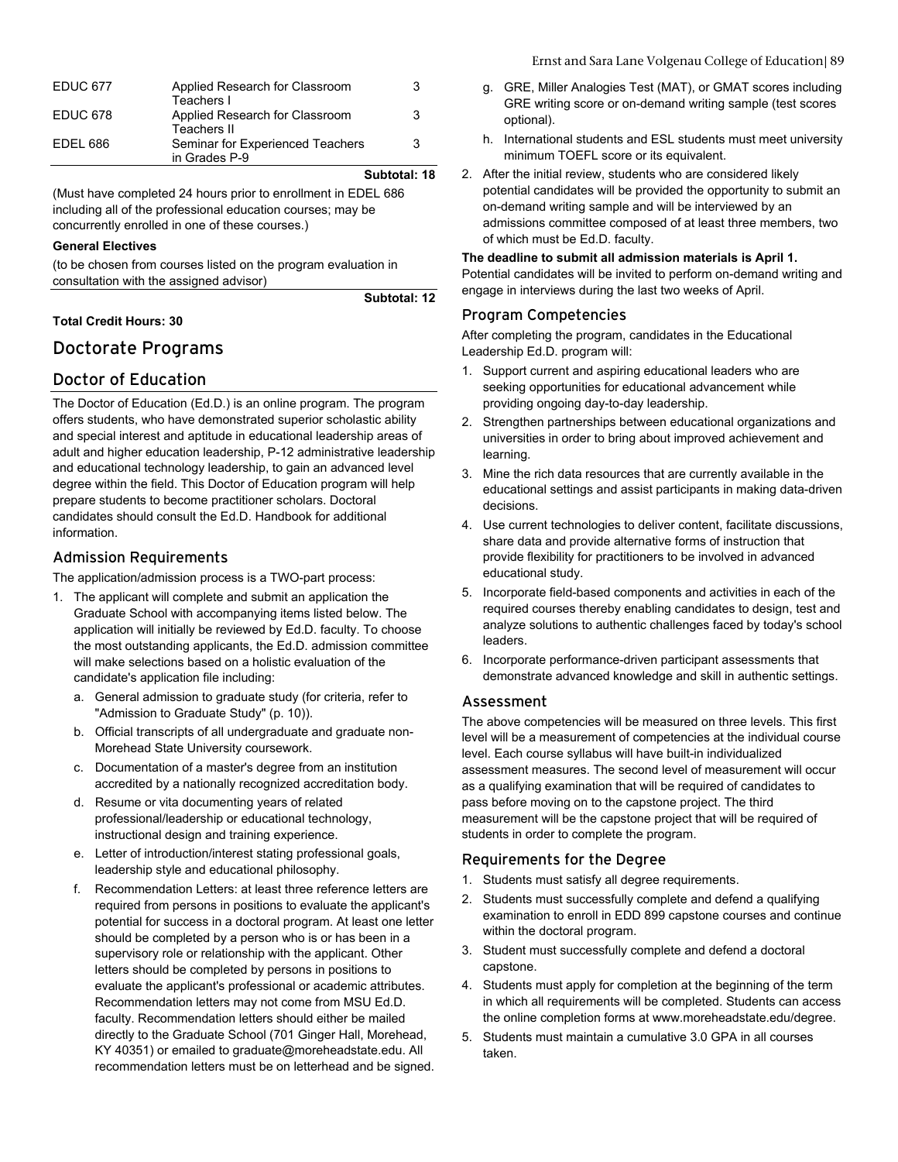| EDUC 677 | Applied Research for Classroom<br>Teachers I    |  |
|----------|-------------------------------------------------|--|
| EDUC 678 | Applied Research for Classroom                  |  |
| EDEL 686 | Teachers II<br>Seminar for Experienced Teachers |  |
|          | in Grades P-9                                   |  |

**Subtotal: 18** 

(Must have completed 24 hours prior to enrollment in EDEL 686 including all of the professional education courses; may be concurrently enrolled in one of these courses.)

#### **General Electives**

(to be chosen from courses listed on the program evaluation in consultation with the assigned advisor)

**Subtotal: 12** 

#### **Total Credit Hours: 30**

# Doctorate Programs

# Doctor of Education

The Doctor of Education (Ed.D.) is an online program. The program offers students, who have demonstrated superior scholastic ability and special interest and aptitude in educational leadership areas of adult and higher education leadership, P-12 administrative leadership and educational technology leadership, to gain an advanced level degree within the field. This Doctor of Education program will help prepare students to become practitioner scholars. Doctoral candidates should consult the Ed.D. Handbook for additional information.

# Admission Requirements

The application/admission process is a TWO-part process:

- 1. The applicant will complete and submit an application the Graduate School with accompanying items listed below. The application will initially be reviewed by Ed.D. faculty. To choose the most outstanding applicants, the Ed.D. admission committee will make selections based on a holistic evaluation of the candidate's application file including:
	- a. General admission to graduate study (for criteria, refer to "Admission to Graduate Study" (p. 10)).
	- b. Official transcripts of all undergraduate and graduate non-Morehead State University coursework.
	- c. Documentation of a master's degree from an institution accredited by a nationally recognized accreditation body.
	- d. Resume or vita documenting years of related professional/leadership or educational technology, instructional design and training experience.
	- e. Letter of introduction/interest stating professional goals, leadership style and educational philosophy.
	- f. Recommendation Letters: at least three reference letters are required from persons in positions to evaluate the applicant's potential for success in a doctoral program. At least one letter should be completed by a person who is or has been in a supervisory role or relationship with the applicant. Other letters should be completed by persons in positions to evaluate the applicant's professional or academic attributes. Recommendation letters may not come from MSU Ed.D. faculty. Recommendation letters should either be mailed directly to the Graduate School (701 Ginger Hall, Morehead, KY 40351) or emailed to graduate@moreheadstate.edu. All recommendation letters must be on letterhead and be signed.

Ernst and Sara Lane Volgenau College of Education| 89

- g. GRE, Miller Analogies Test (MAT), or GMAT scores including GRE writing score or on-demand writing sample (test scores optional).
- h. International students and ESL students must meet university minimum TOEFL score or its equivalent.
- 2. After the initial review, students who are considered likely potential candidates will be provided the opportunity to submit an on-demand writing sample and will be interviewed by an admissions committee composed of at least three members, two of which must be Ed.D. faculty.

# **The deadline to submit all admission materials is April 1.**

Potential candidates will be invited to perform on-demand writing and engage in interviews during the last two weeks of April.

#### Program Competencies

After completing the program, candidates in the Educational Leadership Ed.D. program will:

- 1. Support current and aspiring educational leaders who are seeking opportunities for educational advancement while providing ongoing day-to-day leadership.
- 2. Strengthen partnerships between educational organizations and universities in order to bring about improved achievement and learning.
- 3. Mine the rich data resources that are currently available in the educational settings and assist participants in making data-driven decisions.
- 4. Use current technologies to deliver content, facilitate discussions, share data and provide alternative forms of instruction that provide flexibility for practitioners to be involved in advanced educational study.
- 5. Incorporate field-based components and activities in each of the required courses thereby enabling candidates to design, test and analyze solutions to authentic challenges faced by today's school leaders.
- 6. Incorporate performance-driven participant assessments that demonstrate advanced knowledge and skill in authentic settings.

### Assessment

The above competencies will be measured on three levels. This first level will be a measurement of competencies at the individual course level. Each course syllabus will have built-in individualized assessment measures. The second level of measurement will occur as a qualifying examination that will be required of candidates to pass before moving on to the capstone project. The third measurement will be the capstone project that will be required of students in order to complete the program.

#### Requirements for the Degree

- 1. Students must satisfy all degree requirements.
- 2. Students must successfully complete and defend a qualifying examination to enroll in EDD 899 capstone courses and continue within the doctoral program.
- 3. Student must successfully complete and defend a doctoral capstone.
- 4. Students must apply for completion at the beginning of the term in which all requirements will be completed. Students can access the online completion forms at www.moreheadstate.edu/degree.
- 5. Students must maintain a cumulative 3.0 GPA in all courses taken.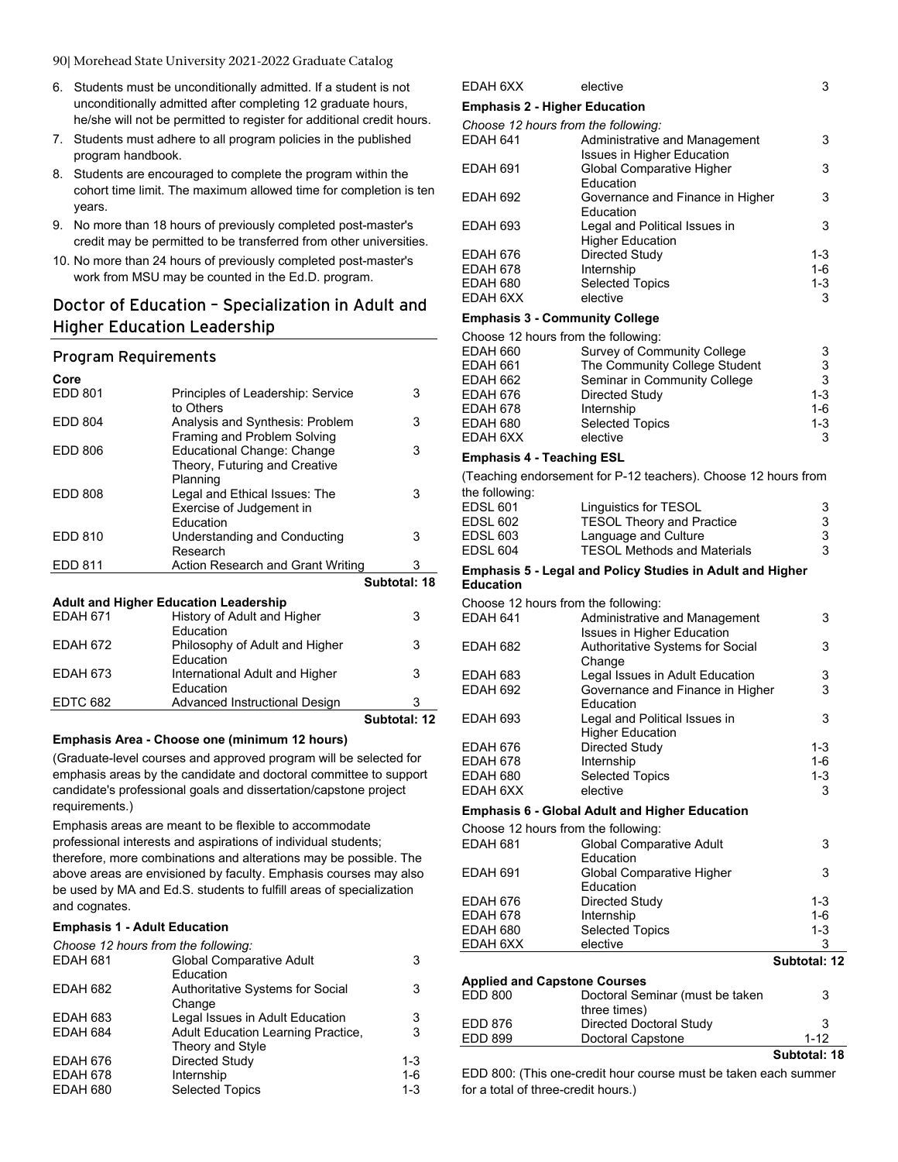- 6. Students must be unconditionally admitted. If a student is not unconditionally admitted after completing 12 graduate hours, he/she will not be permitted to register for additional credit hours.
- 7. Students must adhere to all program policies in the published program handbook.
- 8. Students are encouraged to complete the program within the cohort time limit. The maximum allowed time for completion is ten years.
- 9. No more than 18 hours of previously completed post-master's credit may be permitted to be transferred from other universities.
- 10. No more than 24 hours of previously completed post-master's work from MSU may be counted in the Ed.D. program.

# Doctor of Education – Specialization in Adult and Higher Education Leadership

#### Program Requirements

| Core            |                                                |              |
|-----------------|------------------------------------------------|--------------|
| <b>EDD 801</b>  | Principles of Leadership: Service<br>to Others | 3            |
| <b>EDD 804</b>  | Analysis and Synthesis: Problem                | 3            |
|                 |                                                |              |
| EDD 806         | Framing and Problem Solving                    | 3            |
|                 | Educational Change: Change                     |              |
|                 | Theory, Futuring and Creative                  |              |
|                 | Planning                                       |              |
| <b>EDD 808</b>  | Legal and Ethical Issues: The                  | 3            |
|                 | Exercise of Judgement in                       |              |
|                 | Education                                      |              |
| EDD 810         | Understanding and Conducting                   | 3            |
|                 | Research                                       |              |
| EDD 811         | Action Research and Grant Writing              | 3            |
|                 |                                                | Subtotal: 18 |
|                 | <b>Adult and Higher Education Leadership</b>   |              |
| <b>EDAH 671</b> | History of Adult and Higher                    | 3            |
|                 | <b>Education</b>                               |              |
| <b>EDAH 672</b> | Philosophy of Adult and Higher                 | 3            |
|                 | Education                                      |              |
| <b>EDAH 673</b> | International Adult and Higher                 | 3            |
|                 | <b>Education</b>                               |              |
| <b>EDTC 682</b> | Advanced Instructional Design                  | 3            |
|                 |                                                | Subtotal: 12 |

#### **Emphasis Area - Choose one (minimum 12 hours)**

(Graduate-level courses and approved program will be selected for emphasis areas by the candidate and doctoral committee to support candidate's professional goals and dissertation/capstone project requirements.)

Emphasis areas are meant to be flexible to accommodate professional interests and aspirations of individual students; therefore, more combinations and alterations may be possible. The above areas are envisioned by faculty. Emphasis courses may also be used by MA and Ed.S. students to fulfill areas of specialization and cognates.

#### **Emphasis 1 - Adult Education**

| Choose 12 hours from the following: |                                    |         |
|-------------------------------------|------------------------------------|---------|
| <b>EDAH 681</b>                     | <b>Global Comparative Adult</b>    | 3       |
|                                     | Education                          |         |
| EDAH 682                            | Authoritative Systems for Social   | 3       |
|                                     | Change                             |         |
| EDAH 683                            | Legal Issues in Adult Education    | 3       |
| EDAH 684                            | Adult Education Learning Practice, | 3       |
|                                     | Theory and Style                   |         |
| EDAH 676                            | Directed Study                     | $1 - 3$ |
| EDAH 678                            | Internship                         | 1-6     |
| <b>EDAH 680</b>                     | <b>Selected Topics</b>             | $1 - 3$ |
|                                     |                                    |         |

| EDAH 6XX                              | elective                                                              | 3            |
|---------------------------------------|-----------------------------------------------------------------------|--------------|
| <b>Emphasis 2 - Higher Education</b>  |                                                                       |              |
| Choose 12 hours from the following:   |                                                                       |              |
| <b>EDAH 641</b>                       | Administrative and Management                                         | 3            |
| EDAH 691                              | Issues in Higher Education<br>Global Comparative Higher               | 3            |
| <b>EDAH 692</b>                       | Education<br>Governance and Finance in Higher                         | 3            |
| EDAH 693                              | Education<br>Legal and Political Issues in<br><b>Higher Education</b> | 3            |
| EDAH 676                              | <b>Directed Study</b>                                                 | $1 - 3$      |
| EDAH 678                              | Internship                                                            | 1-6          |
| EDAH 680                              | <b>Selected Topics</b>                                                | $1 - 3$      |
| EDAH 6XX                              | elective                                                              | 3            |
| <b>Emphasis 3 - Community College</b> |                                                                       |              |
| Choose 12 hours from the following:   |                                                                       |              |
| EDAH 660                              | <b>Survey of Community College</b>                                    | 3            |
| EDAH 661                              | The Community College Student                                         | 3            |
| EDAH 662                              | Seminar in Community College                                          | 3            |
| EDAH 676                              | <b>Directed Study</b>                                                 | $1 - 3$      |
| <b>EDAH 678</b>                       | Internship                                                            | $1-6$        |
| EDAH 680                              | <b>Selected Topics</b>                                                | $1 - 3$      |
| EDAH 6XX                              | elective                                                              | 3            |
| <b>Emphasis 4 - Teaching ESL</b>      |                                                                       |              |
|                                       | (Teaching endorsement for P-12 teachers). Choose 12 hours from        |              |
| the following:                        |                                                                       |              |
| <b>EDSL 601</b>                       | Linguistics for TESOL                                                 | 3            |
| <b>EDSL 602</b>                       | <b>TESOL Theory and Practice</b>                                      | 3            |
| <b>EDSL 603</b>                       | Language and Culture                                                  | 3            |
| <b>EDSL 604</b>                       | <b>TESOL Methods and Materials</b>                                    | 3            |
| <b>Education</b>                      | Emphasis 5 - Legal and Policy Studies in Adult and Higher             |              |
| Choose 12 hours from the following:   |                                                                       |              |
| EDAH 641                              | Administrative and Management                                         | 3            |
|                                       | Issues in Higher Education                                            |              |
| EDAH 682                              | Authoritative Systems for Social<br>Change                            | 3            |
| <b>EDAH 683</b>                       | Legal Issues in Adult Education                                       | 3            |
| <b>EDAH 692</b>                       | Governance and Finance in Higher                                      | 3            |
|                                       | Education                                                             |              |
| <b>EDAH 693</b>                       | Legal and Political Issues in                                         | 3            |
|                                       | <b>Higher Education</b>                                               |              |
| EDAH 676                              | Directed Study                                                        | $1 - 3$      |
| EDAH 678                              | Internship                                                            | 1-6          |
| EDAH 680                              | <b>Selected Topics</b><br>elective                                    | $1 - 3$      |
| EDAH 6XX                              |                                                                       | 3            |
|                                       | <b>Emphasis 6 - Global Adult and Higher Education</b>                 |              |
| Choose 12 hours from the following:   |                                                                       |              |
| <b>EDAH 681</b>                       | <b>Global Comparative Adult</b>                                       | 3            |
| EDAH 691                              | Education<br>Global Comparative Higher                                | 3            |
|                                       | Education                                                             |              |
| EDAH 676                              | <b>Directed Study</b>                                                 | $1 - 3$      |
| EDAH 678                              | Internship                                                            | 1-6          |
| EDAH 680                              | <b>Selected Topics</b>                                                | $1 - 3$      |
| EDAH 6XX                              | elective                                                              | 3            |
|                                       |                                                                       | Subtotal: 12 |
| <b>Applied and Capstone Courses</b>   |                                                                       |              |
| <b>EDD 800</b>                        | Doctoral Seminar (must be taken                                       | 3            |
|                                       | three times)                                                          |              |
| EDD 876                               | <b>Directed Doctoral Study</b>                                        | 3            |
| <b>EDD 899</b>                        | Doctoral Capstone                                                     | 1-12         |
|                                       |                                                                       | Subtotal: 18 |

EDD 800: (This one-credit hour course must be taken each summer for a total of three-credit hours.)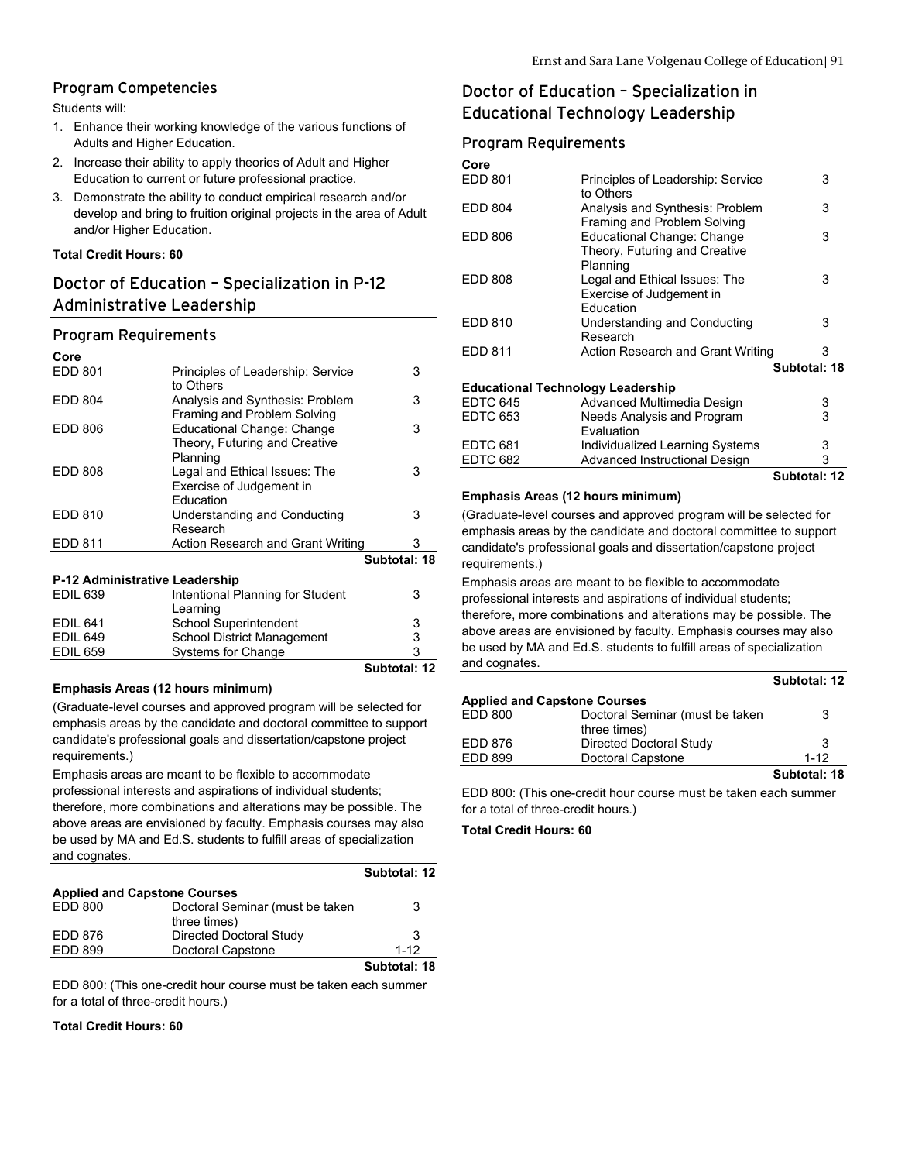# Program Competencies

Students will:

- 1. Enhance their working knowledge of the various functions of Adults and Higher Education.
- 2. Increase their ability to apply theories of Adult and Higher Education to current or future professional practice.
- 3. Demonstrate the ability to conduct empirical research and/or develop and bring to fruition original projects in the area of Adult and/or Higher Education.

#### **Total Credit Hours: 60**

# Doctor of Education – Specialization in P-12 Administrative Leadership

#### Program Requirements

| Core                           |                                   |              |
|--------------------------------|-----------------------------------|--------------|
| <b>EDD 801</b>                 | Principles of Leadership: Service | 3            |
|                                | to Others                         |              |
| <b>EDD 804</b>                 | Analysis and Synthesis: Problem   | 3            |
|                                | Framing and Problem Solving       |              |
| EDD 806                        | Educational Change: Change        | 3            |
|                                | Theory, Futuring and Creative     |              |
|                                | Planning                          |              |
| <b>EDD 808</b>                 | Legal and Ethical Issues: The     | 3            |
|                                | Exercise of Judgement in          |              |
|                                | <b>Education</b>                  |              |
| <b>EDD 810</b>                 | Understanding and Conducting      | 3            |
|                                | Research                          |              |
| EDD 811                        | Action Research and Grant Writing | 3            |
|                                |                                   | Subtotal: 18 |
| P-12 Administrative Leadership |                                   |              |
| <b>EDIL 639</b>                | Intentional Planning for Student  | 3            |
|                                | Learning                          |              |
| <b>EDIL 641</b>                | School Superintendent             | 3            |
| <b>EDIL 649</b>                | School District Management        | 3            |
| <b>EDIL 659</b>                | Systems for Change                | 3            |
|                                |                                   | Subtotal: 12 |

#### **Emphasis Areas (12 hours minimum)**

(Graduate-level courses and approved program will be selected for emphasis areas by the candidate and doctoral committee to support candidate's professional goals and dissertation/capstone project requirements.)

Emphasis areas are meant to be flexible to accommodate professional interests and aspirations of individual students; therefore, more combinations and alterations may be possible. The above areas are envisioned by faculty. Emphasis courses may also be used by MA and Ed.S. students to fulfill areas of specialization and cognates.

|                |                                     | Suptotal: 12 |
|----------------|-------------------------------------|--------------|
|                | <b>Applied and Capstone Courses</b> |              |
| <b>EDD 800</b> | Doctoral Seminar (must be taken     | 3            |
|                | three times)                        |              |
| EDD 876        | <b>Directed Doctoral Study</b>      | 3            |
| <b>EDD 899</b> | Doctoral Capstone                   | $1 - 12$     |
|                |                                     | Subtotal: 18 |

EDD 800: (This one-credit hour course must be taken each summer for a total of three-credit hours.)

#### **Total Credit Hours: 60**

# Doctor of Education – Specialization in Educational Technology Leadership

# Program Requirements

| Core                                     |                                                                       |              |  |
|------------------------------------------|-----------------------------------------------------------------------|--------------|--|
| <b>EDD 801</b>                           | Principles of Leadership: Service<br>to Others                        | 3            |  |
| EDD 804                                  | Analysis and Synthesis: Problem<br>Framing and Problem Solving        | 3            |  |
| EDD 806                                  | Educational Change: Change<br>Theory, Futuring and Creative           | 3            |  |
| <b>EDD 808</b>                           | Planning<br>Legal and Ethical Issues: The<br>Exercise of Judgement in | 3            |  |
| EDD 810                                  | Education<br>Understanding and Conducting<br>Research                 | 3            |  |
| EDD 811                                  | Action Research and Grant Writing                                     | 3            |  |
|                                          |                                                                       | Subtotal: 18 |  |
| <b>Educational Technology Leadership</b> |                                                                       |              |  |
| <b>EDTC 645</b>                          | Advanced Multimedia Design                                            | 3            |  |
| <b>EDTC 653</b>                          | Needs Analysis and Program                                            | 3            |  |
|                                          | Evaluation                                                            |              |  |
| <b>EDTC 681</b>                          | Individualized Learning Systems                                       | 3            |  |
| <b>EDTC 682</b>                          | Advanced Instructional Design                                         | 3            |  |
|                                          |                                                                       | Subtotal: 12 |  |

#### **Emphasis Areas (12 hours minimum)**

(Graduate-level courses and approved program will be selected for emphasis areas by the candidate and doctoral committee to support candidate's professional goals and dissertation/capstone project requirements.)

Emphasis areas are meant to be flexible to accommodate professional interests and aspirations of individual students; therefore, more combinations and alterations may be possible. The above areas are envisioned by faculty. Emphasis courses may also be used by MA and Ed.S. students to fulfill areas of specialization and cognates.

| <b>Applied and Capstone Courses</b> |                                 |              |  |
|-------------------------------------|---------------------------------|--------------|--|
| <b>EDD 800</b>                      | Doctoral Seminar (must be taken | 3            |  |
|                                     | three times)                    |              |  |
| EDD 876                             | Directed Doctoral Study         | 3            |  |
| <b>EDD 899</b>                      | Doctoral Capstone               | $1 - 12$     |  |
|                                     |                                 | Subtotal: 18 |  |

**Subtotal: 12** 

EDD 800: (This one-credit hour course must be taken each summer for a total of three-credit hours.)

#### **Total Credit Hours: 60**

**Subtotal: 12**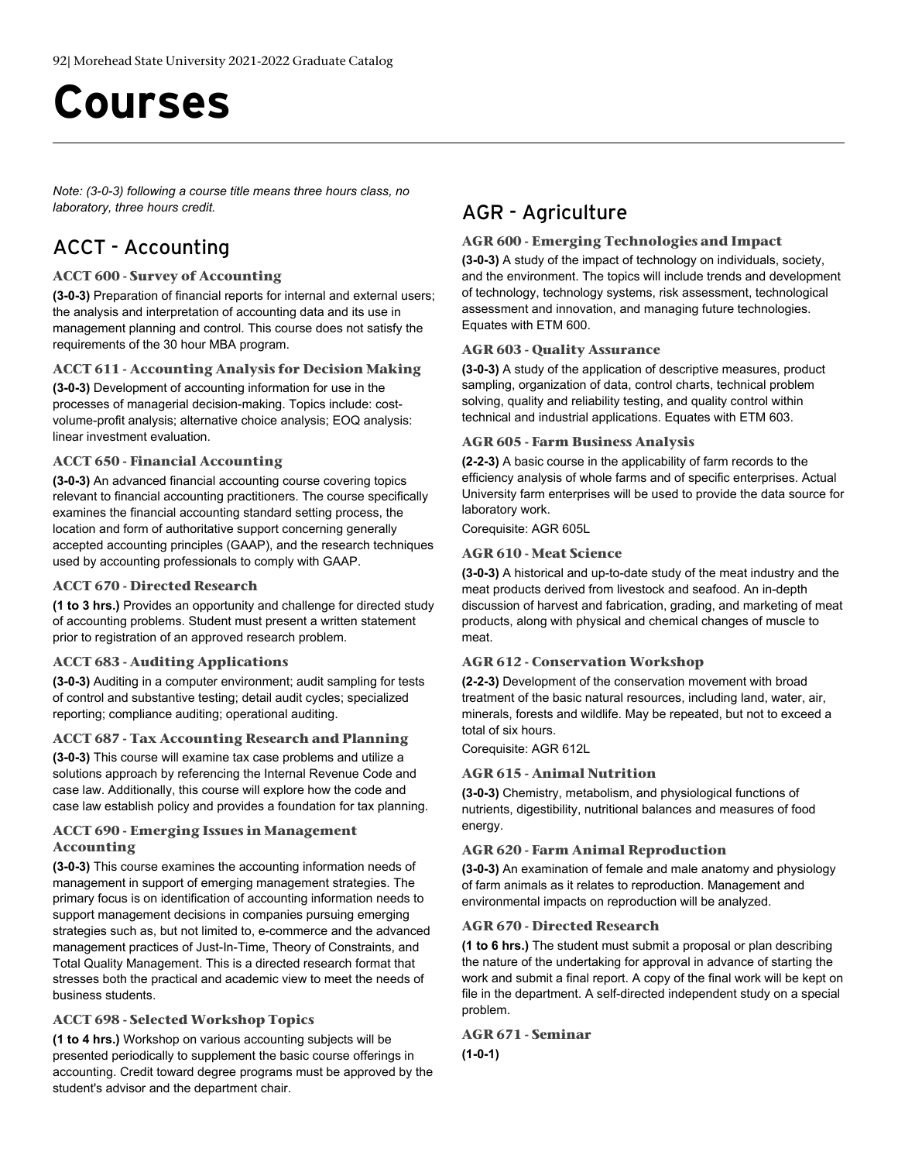# **Courses**

*Note: (3-0-3) following a course title means three hours class, no laboratory, three hours credit.* 

# ACCT - Accounting

# **ACCT 600 - Survey of Accounting**

**(3-0-3)** Preparation of financial reports for internal and external users; the analysis and interpretation of accounting data and its use in management planning and control. This course does not satisfy the requirements of the 30 hour MBA program.

# **ACCT 611 - Accounting Analysis for Decision Making**

**(3-0-3)** Development of accounting information for use in the processes of managerial decision-making. Topics include: costvolume-profit analysis; alternative choice analysis; EOQ analysis: linear investment evaluation.

# **ACCT 650 - Financial Accounting**

**(3-0-3)** An advanced financial accounting course covering topics relevant to financial accounting practitioners. The course specifically examines the financial accounting standard setting process, the location and form of authoritative support concerning generally accepted accounting principles (GAAP), and the research techniques used by accounting professionals to comply with GAAP.

# **ACCT 670 - Directed Research**

**(1 to 3 hrs.)** Provides an opportunity and challenge for directed study of accounting problems. Student must present a written statement prior to registration of an approved research problem.

# **ACCT 683 - Auditing Applications**

**(3-0-3)** Auditing in a computer environment; audit sampling for tests of control and substantive testing; detail audit cycles; specialized reporting; compliance auditing; operational auditing.

#### **ACCT 687 - Tax Accounting Research and Planning**

**(3-0-3)** This course will examine tax case problems and utilize a solutions approach by referencing the Internal Revenue Code and case law. Additionally, this course will explore how the code and case law establish policy and provides a foundation for tax planning.

# **ACCT 690 - Emerging Issues in Management Accounting**

**(3-0-3)** This course examines the accounting information needs of management in support of emerging management strategies. The primary focus is on identification of accounting information needs to support management decisions in companies pursuing emerging strategies such as, but not limited to, e-commerce and the advanced management practices of Just-In-Time, Theory of Constraints, and Total Quality Management. This is a directed research format that stresses both the practical and academic view to meet the needs of business students.

#### **ACCT 698 - Selected Workshop Topics**

**(1 to 4 hrs.)** Workshop on various accounting subjects will be presented periodically to supplement the basic course offerings in accounting. Credit toward degree programs must be approved by the student's advisor and the department chair.

# AGR - Agriculture

# **AGR 600 - Emerging Technologies and Impact**

**(3-0-3)** A study of the impact of technology on individuals, society, and the environment. The topics will include trends and development of technology, technology systems, risk assessment, technological assessment and innovation, and managing future technologies. Equates with ETM 600.

#### **AGR 603 - Quality Assurance**

**(3-0-3)** A study of the application of descriptive measures, product sampling, organization of data, control charts, technical problem solving, quality and reliability testing, and quality control within technical and industrial applications. Equates with ETM 603.

#### **AGR 605 - Farm Business Analysis**

**(2-2-3)** A basic course in the applicability of farm records to the efficiency analysis of whole farms and of specific enterprises. Actual University farm enterprises will be used to provide the data source for laboratory work.

Corequisite: AGR 605L

# **AGR 610 - Meat Science**

**(3-0-3)** A historical and up-to-date study of the meat industry and the meat products derived from livestock and seafood. An in-depth discussion of harvest and fabrication, grading, and marketing of meat products, along with physical and chemical changes of muscle to meat.

# **AGR 612 - Conservation Workshop**

**(2-2-3)** Development of the conservation movement with broad treatment of the basic natural resources, including land, water, air, minerals, forests and wildlife. May be repeated, but not to exceed a total of six hours.

Corequisite: AGR 612L

#### **AGR 615 - Animal Nutrition**

**(3-0-3)** Chemistry, metabolism, and physiological functions of nutrients, digestibility, nutritional balances and measures of food energy.

#### **AGR 620 - Farm Animal Reproduction**

**(3-0-3)** An examination of female and male anatomy and physiology of farm animals as it relates to reproduction. Management and environmental impacts on reproduction will be analyzed.

#### **AGR 670 - Directed Research**

**(1 to 6 hrs.)** The student must submit a proposal or plan describing the nature of the undertaking for approval in advance of starting the work and submit a final report. A copy of the final work will be kept on file in the department. A self-directed independent study on a special problem.

**AGR 671 - Seminar (1-0-1)**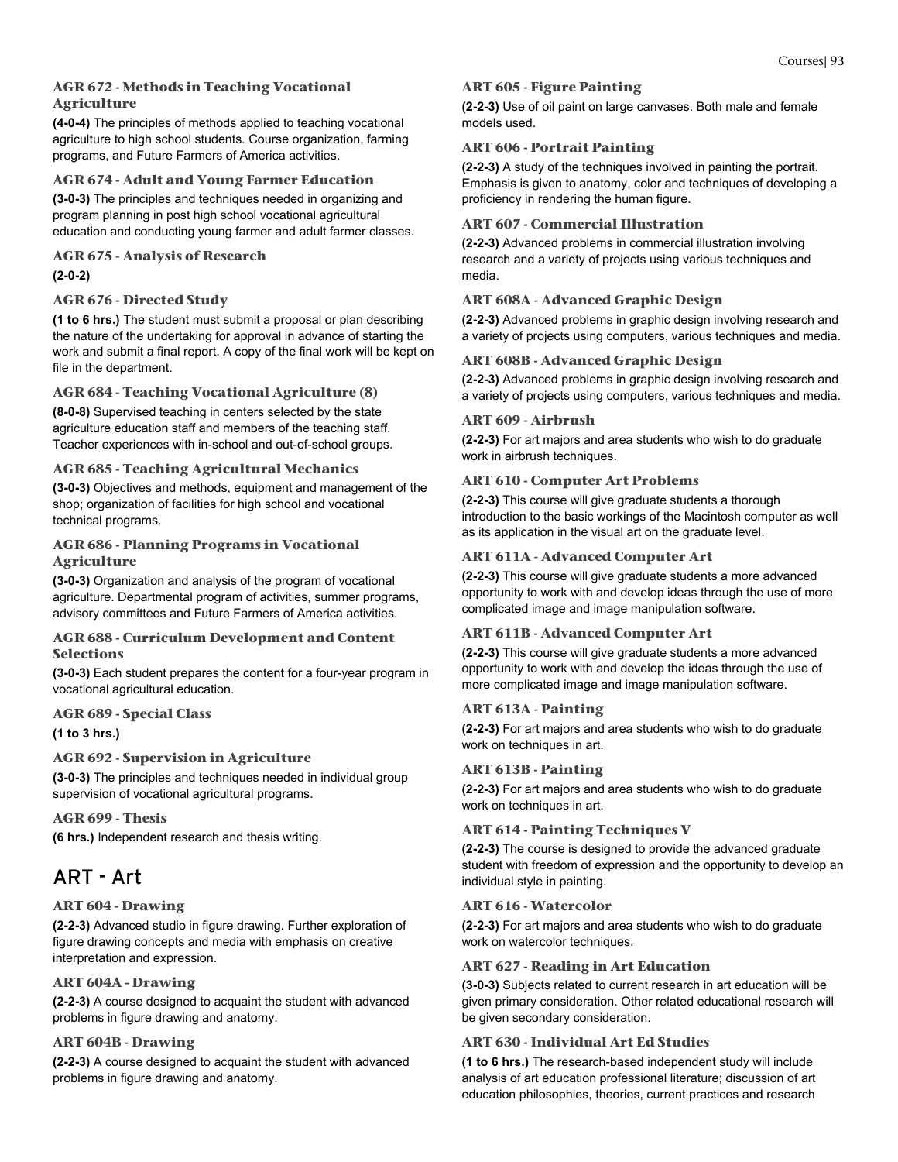# **AGR 672 - Methods in Teaching Vocational Agriculture**

**(4-0-4)** The principles of methods applied to teaching vocational agriculture to high school students. Course organization, farming programs, and Future Farmers of America activities.

# **AGR 674 - Adult and Young Farmer Education**

**(3-0-3)** The principles and techniques needed in organizing and program planning in post high school vocational agricultural education and conducting young farmer and adult farmer classes.

# **AGR 675 - Analysis of Research (2-0-2)**

# **AGR 676 - Directed Study**

**(1 to 6 hrs.)** The student must submit a proposal or plan describing the nature of the undertaking for approval in advance of starting the work and submit a final report. A copy of the final work will be kept on file in the department.

# **AGR 684 - Teaching Vocational Agriculture (8)**

**(8-0-8)** Supervised teaching in centers selected by the state agriculture education staff and members of the teaching staff. Teacher experiences with in-school and out-of-school groups.

# **AGR 685 - Teaching Agricultural Mechanics**

**(3-0-3)** Objectives and methods, equipment and management of the shop; organization of facilities for high school and vocational technical programs.

# **AGR 686 - Planning Programs in Vocational Agriculture**

**(3-0-3)** Organization and analysis of the program of vocational agriculture. Departmental program of activities, summer programs, advisory committees and Future Farmers of America activities.

#### **AGR 688 - Curriculum Development and Content Selections**

**(3-0-3)** Each student prepares the content for a four-year program in vocational agricultural education.

#### **AGR 689 - Special Class**

**(1 to 3 hrs.)**

# **AGR 692 - Supervision in Agriculture**

**(3-0-3)** The principles and techniques needed in individual group supervision of vocational agricultural programs.

**AGR 699 - Thesis** 

**(6 hrs.)** Independent research and thesis writing.

# ART - Art

# **ART 604 - Drawing**

**(2-2-3)** Advanced studio in figure drawing. Further exploration of figure drawing concepts and media with emphasis on creative interpretation and expression.

#### **ART 604A - Drawing**

**(2-2-3)** A course designed to acquaint the student with advanced problems in figure drawing and anatomy.

# **ART 604B - Drawing**

**(2-2-3)** A course designed to acquaint the student with advanced problems in figure drawing and anatomy.

### **ART 605 - Figure Painting**

**(2-2-3)** Use of oil paint on large canvases. Both male and female models used.

# **ART 606 - Portrait Painting**

**(2-2-3)** A study of the techniques involved in painting the portrait. Emphasis is given to anatomy, color and techniques of developing a proficiency in rendering the human figure.

# **ART 607 - Commercial Illustration**

**(2-2-3)** Advanced problems in commercial illustration involving research and a variety of projects using various techniques and media.

# **ART 608A - Advanced Graphic Design**

**(2-2-3)** Advanced problems in graphic design involving research and a variety of projects using computers, various techniques and media.

# **ART 608B - Advanced Graphic Design**

**(2-2-3)** Advanced problems in graphic design involving research and a variety of projects using computers, various techniques and media.

#### **ART 609 - Airbrush**

**(2-2-3)** For art majors and area students who wish to do graduate work in airbrush techniques.

# **ART 610 - Computer Art Problems**

**(2-2-3)** This course will give graduate students a thorough introduction to the basic workings of the Macintosh computer as well as its application in the visual art on the graduate level.

# **ART 611A - Advanced Computer Art**

**(2-2-3)** This course will give graduate students a more advanced opportunity to work with and develop ideas through the use of more complicated image and image manipulation software.

# **ART 611B - Advanced Computer Art**

**(2-2-3)** This course will give graduate students a more advanced opportunity to work with and develop the ideas through the use of more complicated image and image manipulation software.

# **ART 613A - Painting**

**(2-2-3)** For art majors and area students who wish to do graduate work on techniques in art.

# **ART 613B - Painting**

**(2-2-3)** For art majors and area students who wish to do graduate work on techniques in art.

# **ART 614 - Painting Techniques V**

**(2-2-3)** The course is designed to provide the advanced graduate student with freedom of expression and the opportunity to develop an individual style in painting.

#### **ART 616 - Watercolor**

**(2-2-3)** For art majors and area students who wish to do graduate work on watercolor techniques.

#### **ART 627 - Reading in Art Education**

**(3-0-3)** Subjects related to current research in art education will be given primary consideration. Other related educational research will be given secondary consideration.

#### **ART 630 - Individual Art Ed Studies**

**(1 to 6 hrs.)** The research-based independent study will include analysis of art education professional literature; discussion of art education philosophies, theories, current practices and research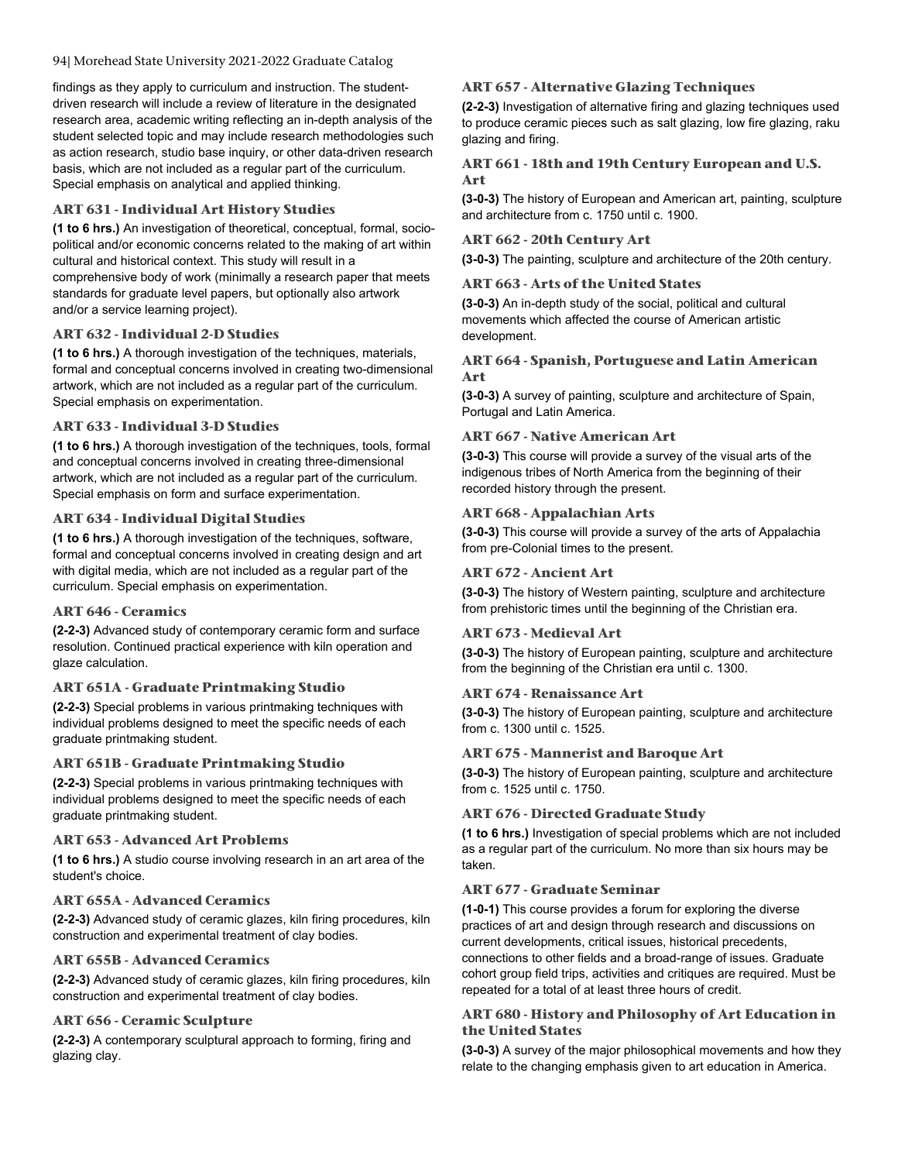#### 94| Morehead State University 2021-2022 Graduate Catalog

findings as they apply to curriculum and instruction. The studentdriven research will include a review of literature in the designated research area, academic writing reflecting an in-depth analysis of the student selected topic and may include research methodologies such as action research, studio base inquiry, or other data-driven research basis, which are not included as a regular part of the curriculum. Special emphasis on analytical and applied thinking.

# **ART 631 - Individual Art History Studies**

**(1 to 6 hrs.)** An investigation of theoretical, conceptual, formal, sociopolitical and/or economic concerns related to the making of art within cultural and historical context. This study will result in a comprehensive body of work (minimally a research paper that meets standards for graduate level papers, but optionally also artwork and/or a service learning project).

#### **ART 632 - Individual 2-D Studies**

**(1 to 6 hrs.)** A thorough investigation of the techniques, materials, formal and conceptual concerns involved in creating two-dimensional artwork, which are not included as a regular part of the curriculum. Special emphasis on experimentation.

#### **ART 633 - Individual 3-D Studies**

**(1 to 6 hrs.)** A thorough investigation of the techniques, tools, formal and conceptual concerns involved in creating three-dimensional artwork, which are not included as a regular part of the curriculum. Special emphasis on form and surface experimentation.

#### **ART 634 - Individual Digital Studies**

**(1 to 6 hrs.)** A thorough investigation of the techniques, software, formal and conceptual concerns involved in creating design and art with digital media, which are not included as a regular part of the curriculum. Special emphasis on experimentation.

#### **ART 646 - Ceramics**

**(2-2-3)** Advanced study of contemporary ceramic form and surface resolution. Continued practical experience with kiln operation and glaze calculation.

#### **ART 651A - Graduate Printmaking Studio**

**(2-2-3)** Special problems in various printmaking techniques with individual problems designed to meet the specific needs of each graduate printmaking student.

#### **ART 651B - Graduate Printmaking Studio**

**(2-2-3)** Special problems in various printmaking techniques with individual problems designed to meet the specific needs of each graduate printmaking student.

#### **ART 653 - Advanced Art Problems**

**(1 to 6 hrs.)** A studio course involving research in an art area of the student's choice.

#### **ART 655A - Advanced Ceramics**

**(2-2-3)** Advanced study of ceramic glazes, kiln firing procedures, kiln construction and experimental treatment of clay bodies.

#### **ART 655B - Advanced Ceramics**

**(2-2-3)** Advanced study of ceramic glazes, kiln firing procedures, kiln construction and experimental treatment of clay bodies.

#### **ART 656 - Ceramic Sculpture**

**(2-2-3)** A contemporary sculptural approach to forming, firing and glazing clay.

### **ART 657 - Alternative Glazing Techniques**

**(2-2-3)** Investigation of alternative firing and glazing techniques used to produce ceramic pieces such as salt glazing, low fire glazing, raku glazing and firing.

# **ART 661 - 18th and 19th Century European and U.S. Art**

**(3-0-3)** The history of European and American art, painting, sculpture and architecture from c. 1750 until c. 1900.

#### **ART 662 - 20th Century Art**

**(3-0-3)** The painting, sculpture and architecture of the 20th century.

#### **ART 663 - Arts of the United States**

**(3-0-3)** An in-depth study of the social, political and cultural movements which affected the course of American artistic development.

#### **ART 664 - Spanish, Portuguese and Latin American Art**

**(3-0-3)** A survey of painting, sculpture and architecture of Spain, Portugal and Latin America.

#### **ART 667 - Native American Art**

**(3-0-3)** This course will provide a survey of the visual arts of the indigenous tribes of North America from the beginning of their recorded history through the present.

#### **ART 668 - Appalachian Arts**

**(3-0-3)** This course will provide a survey of the arts of Appalachia from pre-Colonial times to the present.

#### **ART 672 - Ancient Art**

**(3-0-3)** The history of Western painting, sculpture and architecture from prehistoric times until the beginning of the Christian era.

#### **ART 673 - Medieval Art**

**(3-0-3)** The history of European painting, sculpture and architecture from the beginning of the Christian era until c. 1300.

#### **ART 674 - Renaissance Art**

**(3-0-3)** The history of European painting, sculpture and architecture from c. 1300 until c. 1525.

#### **ART 675 - Mannerist and Baroque Art**

**(3-0-3)** The history of European painting, sculpture and architecture from c. 1525 until c. 1750.

#### **ART 676 - Directed Graduate Study**

**(1 to 6 hrs.)** Investigation of special problems which are not included as a regular part of the curriculum. No more than six hours may be taken.

#### **ART 677 - Graduate Seminar**

**(1-0-1)** This course provides a forum for exploring the diverse practices of art and design through research and discussions on current developments, critical issues, historical precedents, connections to other fields and a broad-range of issues. Graduate cohort group field trips, activities and critiques are required. Must be repeated for a total of at least three hours of credit.

#### **ART 680 - History and Philosophy of Art Education in the United States**

**(3-0-3)** A survey of the major philosophical movements and how they relate to the changing emphasis given to art education in America.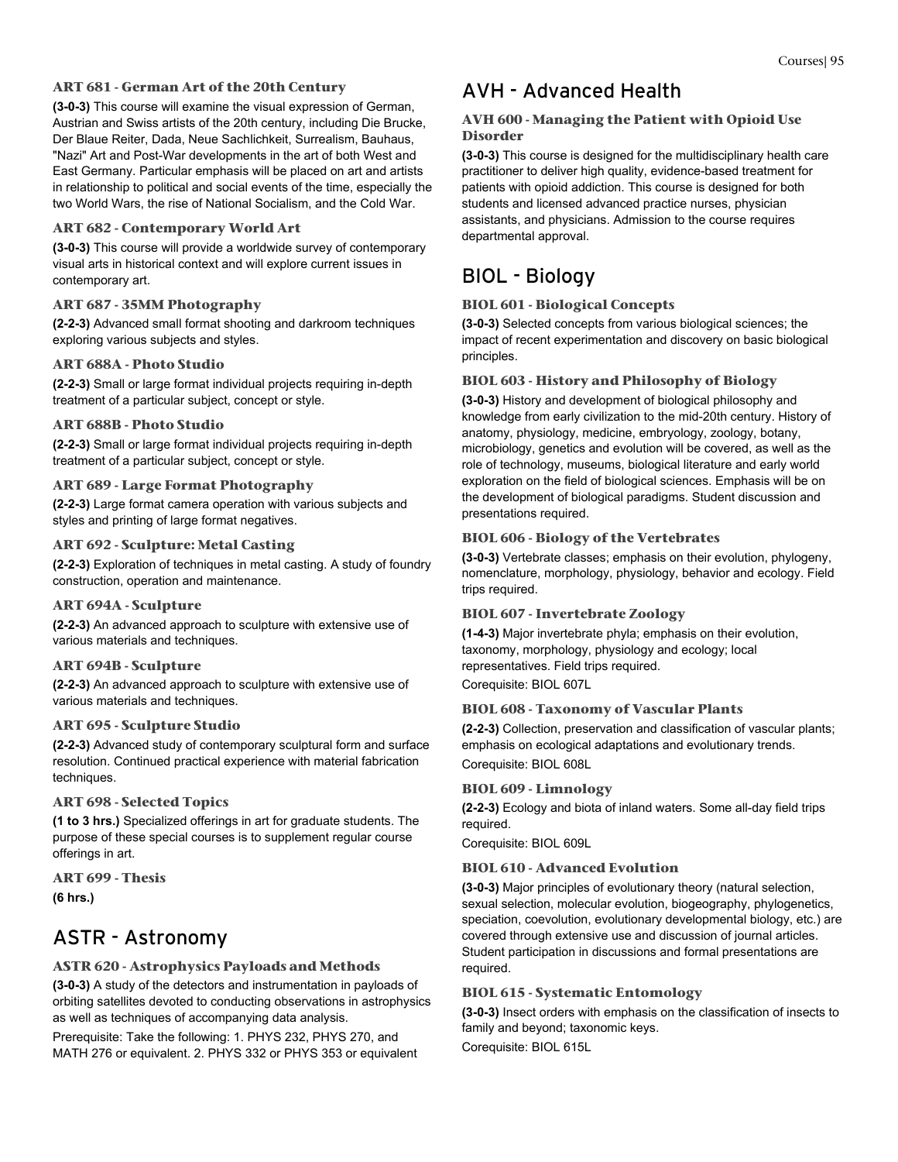### **ART 681 - German Art of the 20th Century**

**(3-0-3)** This course will examine the visual expression of German, Austrian and Swiss artists of the 20th century, including Die Brucke, Der Blaue Reiter, Dada, Neue Sachlichkeit, Surrealism, Bauhaus, "Nazi" Art and Post-War developments in the art of both West and East Germany. Particular emphasis will be placed on art and artists in relationship to political and social events of the time, especially the two World Wars, the rise of National Socialism, and the Cold War.

#### **ART 682 - Contemporary World Art**

**(3-0-3)** This course will provide a worldwide survey of contemporary visual arts in historical context and will explore current issues in contemporary art.

### **ART 687 - 35MM Photography**

**(2-2-3)** Advanced small format shooting and darkroom techniques exploring various subjects and styles.

#### **ART 688A - Photo Studio**

**(2-2-3)** Small or large format individual projects requiring in-depth treatment of a particular subject, concept or style.

#### **ART 688B - Photo Studio**

**(2-2-3)** Small or large format individual projects requiring in-depth treatment of a particular subject, concept or style.

### **ART 689 - Large Format Photography**

**(2-2-3)** Large format camera operation with various subjects and styles and printing of large format negatives.

#### **ART 692 - Sculpture: Metal Casting**

**(2-2-3)** Exploration of techniques in metal casting. A study of foundry construction, operation and maintenance.

#### **ART 694A - Sculpture**

**(2-2-3)** An advanced approach to sculpture with extensive use of various materials and techniques.

#### **ART 694B - Sculpture**

**(2-2-3)** An advanced approach to sculpture with extensive use of various materials and techniques.

#### **ART 695 - Sculpture Studio**

**(2-2-3)** Advanced study of contemporary sculptural form and surface resolution. Continued practical experience with material fabrication techniques.

#### **ART 698 - Selected Topics**

**(1 to 3 hrs.)** Specialized offerings in art for graduate students. The purpose of these special courses is to supplement regular course offerings in art.

**ART 699 - Thesis (6 hrs.)**

# ASTR - Astronomy

#### **ASTR 620 - Astrophysics Payloads and Methods**

**(3-0-3)** A study of the detectors and instrumentation in payloads of orbiting satellites devoted to conducting observations in astrophysics as well as techniques of accompanying data analysis.

Prerequisite: Take the following: 1. PHYS 232, PHYS 270, and MATH 276 or equivalent. 2. PHYS 332 or PHYS 353 or equivalent

# AVH - Advanced Health

#### **AVH 600 - Managing the Patient with Opioid Use Disorder**

**(3-0-3)** This course is designed for the multidisciplinary health care practitioner to deliver high quality, evidence-based treatment for patients with opioid addiction. This course is designed for both students and licensed advanced practice nurses, physician assistants, and physicians. Admission to the course requires departmental approval.

# BIOL - Biology

### **BIOL 601 - Biological Concepts**

**(3-0-3)** Selected concepts from various biological sciences; the impact of recent experimentation and discovery on basic biological principles.

#### **BIOL 603 - History and Philosophy of Biology**

**(3-0-3)** History and development of biological philosophy and knowledge from early civilization to the mid-20th century. History of anatomy, physiology, medicine, embryology, zoology, botany, microbiology, genetics and evolution will be covered, as well as the role of technology, museums, biological literature and early world exploration on the field of biological sciences. Emphasis will be on the development of biological paradigms. Student discussion and presentations required.

#### **BIOL 606 - Biology of the Vertebrates**

**(3-0-3)** Vertebrate classes; emphasis on their evolution, phylogeny, nomenclature, morphology, physiology, behavior and ecology. Field trips required.

### **BIOL 607 - Invertebrate Zoology**

**(1-4-3)** Major invertebrate phyla; emphasis on their evolution, taxonomy, morphology, physiology and ecology; local representatives. Field trips required. Corequisite: BIOL 607L

#### **BIOL 608 - Taxonomy of Vascular Plants**

**(2-2-3)** Collection, preservation and classification of vascular plants; emphasis on ecological adaptations and evolutionary trends. Corequisite: BIOL 608L

#### **BIOL 609 - Limnology**

**(2-2-3)** Ecology and biota of inland waters. Some all-day field trips required.

Corequisite: BIOL 609L

### **BIOL 610 - Advanced Evolution**

**(3-0-3)** Major principles of evolutionary theory (natural selection, sexual selection, molecular evolution, biogeography, phylogenetics, speciation, coevolution, evolutionary developmental biology, etc.) are covered through extensive use and discussion of journal articles. Student participation in discussions and formal presentations are required.

#### **BIOL 615 - Systematic Entomology**

**(3-0-3)** Insect orders with emphasis on the classification of insects to family and beyond; taxonomic keys.

Corequisite: BIOL 615L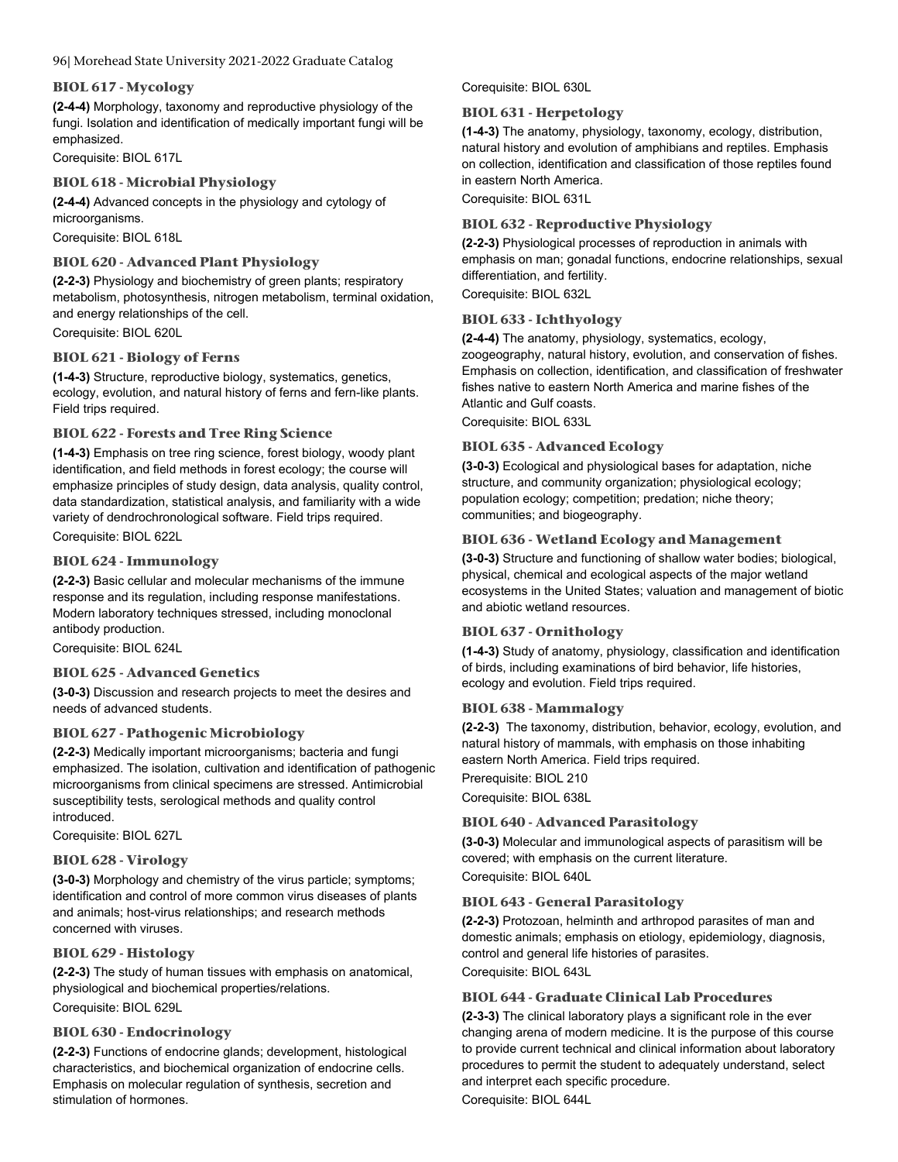### **BIOL 617 - Mycology**

**(2-4-4)** Morphology, taxonomy and reproductive physiology of the fungi. Isolation and identification of medically important fungi will be emphasized.

Corequisite: BIOL 617L

# **BIOL 618 - Microbial Physiology**

**(2-4-4)** Advanced concepts in the physiology and cytology of microorganisms.

Corequisite: BIOL 618L

# **BIOL 620 - Advanced Plant Physiology**

**(2-2-3)** Physiology and biochemistry of green plants; respiratory metabolism, photosynthesis, nitrogen metabolism, terminal oxidation, and energy relationships of the cell.

Corequisite: BIOL 620L

# **BIOL 621 - Biology of Ferns**

**(1-4-3)** Structure, reproductive biology, systematics, genetics, ecology, evolution, and natural history of ferns and fern-like plants. Field trips required.

# **BIOL 622 - Forests and Tree Ring Science**

**(1-4-3)** Emphasis on tree ring science, forest biology, woody plant identification, and field methods in forest ecology; the course will emphasize principles of study design, data analysis, quality control, data standardization, statistical analysis, and familiarity with a wide variety of dendrochronological software. Field trips required.

Corequisite: BIOL 622L

# **BIOL 624 - Immunology**

**(2-2-3)** Basic cellular and molecular mechanisms of the immune response and its regulation, including response manifestations. Modern laboratory techniques stressed, including monoclonal antibody production.

Corequisite: BIOL 624L

#### **BIOL 625 - Advanced Genetics**

**(3-0-3)** Discussion and research projects to meet the desires and needs of advanced students.

# **BIOL 627 - Pathogenic Microbiology**

**(2-2-3)** Medically important microorganisms; bacteria and fungi emphasized. The isolation, cultivation and identification of pathogenic microorganisms from clinical specimens are stressed. Antimicrobial susceptibility tests, serological methods and quality control introduced.

Corequisite: BIOL 627L

#### **BIOL 628 - Virology**

**(3-0-3)** Morphology and chemistry of the virus particle; symptoms; identification and control of more common virus diseases of plants and animals; host-virus relationships; and research methods concerned with viruses.

# **BIOL 629 - Histology**

**(2-2-3)** The study of human tissues with emphasis on anatomical, physiological and biochemical properties/relations.

Corequisite: BIOL 629L

### **BIOL 630 - Endocrinology**

**(2-2-3)** Functions of endocrine glands; development, histological characteristics, and biochemical organization of endocrine cells. Emphasis on molecular regulation of synthesis, secretion and stimulation of hormones.

Corequisite: BIOL 630L

# **BIOL 631 - Herpetology**

**(1-4-3)** The anatomy, physiology, taxonomy, ecology, distribution, natural history and evolution of amphibians and reptiles. Emphasis on collection, identification and classification of those reptiles found in eastern North America.

Corequisite: BIOL 631L

# **BIOL 632 - Reproductive Physiology**

**(2-2-3)** Physiological processes of reproduction in animals with emphasis on man; gonadal functions, endocrine relationships, sexual differentiation, and fertility.

Corequisite: BIOL 632L

# **BIOL 633 - Ichthyology**

**(2-4-4)** The anatomy, physiology, systematics, ecology, zoogeography, natural history, evolution, and conservation of fishes. Emphasis on collection, identification, and classification of freshwater fishes native to eastern North America and marine fishes of the Atlantic and Gulf coasts.

Corequisite: BIOL 633L

# **BIOL 635 - Advanced Ecology**

**(3-0-3)** Ecological and physiological bases for adaptation, niche structure, and community organization; physiological ecology; population ecology; competition; predation; niche theory; communities; and biogeography.

# **BIOL 636 - Wetland Ecology and Management**

**(3-0-3)** Structure and functioning of shallow water bodies; biological, physical, chemical and ecological aspects of the major wetland ecosystems in the United States; valuation and management of biotic and abiotic wetland resources.

### **BIOL 637 - Ornithology**

**(1-4-3)** Study of anatomy, physiology, classification and identification of birds, including examinations of bird behavior, life histories, ecology and evolution. Field trips required.

# **BIOL 638 - Mammalogy**

**(2-2-3)** The taxonomy, distribution, behavior, ecology, evolution, and natural history of mammals, with emphasis on those inhabiting eastern North America. Field trips required.

Prerequisite: BIOL 210 Corequisite: BIOL 638L

# **BIOL 640 - Advanced Parasitology**

**(3-0-3)** Molecular and immunological aspects of parasitism will be covered; with emphasis on the current literature. Corequisite: BIOL 640L

#### **BIOL 643 - General Parasitology**

**(2-2-3)** Protozoan, helminth and arthropod parasites of man and domestic animals; emphasis on etiology, epidemiology, diagnosis, control and general life histories of parasites.

Corequisite: BIOL 643L

#### **BIOL 644 - Graduate Clinical Lab Procedures**

**(2-3-3)** The clinical laboratory plays a significant role in the ever changing arena of modern medicine. It is the purpose of this course to provide current technical and clinical information about laboratory procedures to permit the student to adequately understand, select and interpret each specific procedure.

Corequisite: BIOL 644L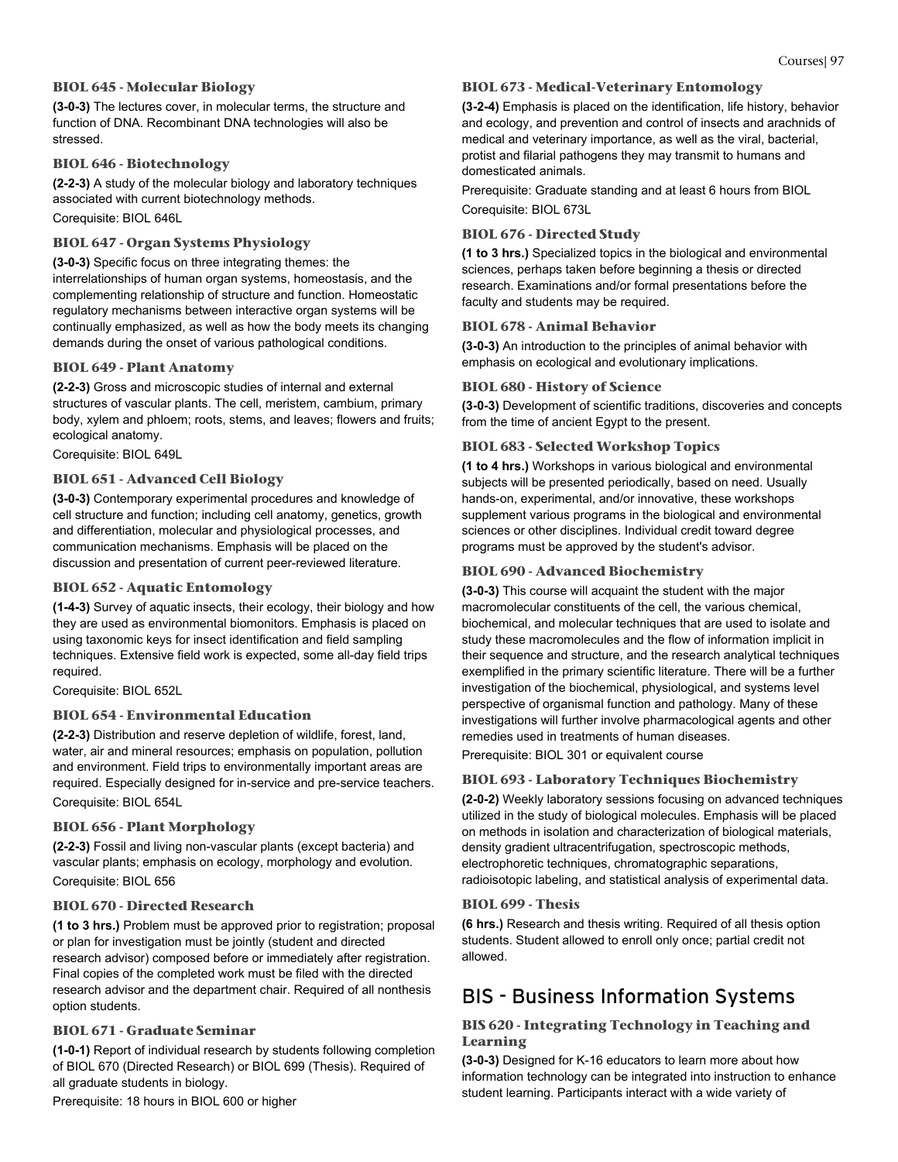# **BIOL 645 - Molecular Biology**

**(3-0-3)** The lectures cover, in molecular terms, the structure and function of DNA. Recombinant DNA technologies will also be stressed.

# **BIOL 646 - Biotechnology**

**(2-2-3)** A study of the molecular biology and laboratory techniques associated with current biotechnology methods. Corequisite: BIOL 646L

# **BIOL 647 - Organ Systems Physiology**

**(3-0-3)** Specific focus on three integrating themes: the interrelationships of human organ systems, homeostasis, and the complementing relationship of structure and function. Homeostatic regulatory mechanisms between interactive organ systems will be continually emphasized, as well as how the body meets its changing demands during the onset of various pathological conditions.

#### **BIOL 649 - Plant Anatomy**

**(2-2-3)** Gross and microscopic studies of internal and external structures of vascular plants. The cell, meristem, cambium, primary body, xylem and phloem; roots, stems, and leaves; flowers and fruits; ecological anatomy.

Corequisite: BIOL 649L

# **BIOL 651 - Advanced Cell Biology**

**(3-0-3)** Contemporary experimental procedures and knowledge of cell structure and function; including cell anatomy, genetics, growth and differentiation, molecular and physiological processes, and communication mechanisms. Emphasis will be placed on the discussion and presentation of current peer-reviewed literature.

#### **BIOL 652 - Aquatic Entomology**

**(1-4-3)** Survey of aquatic insects, their ecology, their biology and how they are used as environmental biomonitors. Emphasis is placed on using taxonomic keys for insect identification and field sampling techniques. Extensive field work is expected, some all-day field trips required.

Corequisite: BIOL 652L

# **BIOL 654 - Environmental Education**

**(2-2-3)** Distribution and reserve depletion of wildlife, forest, land, water, air and mineral resources; emphasis on population, pollution and environment. Field trips to environmentally important areas are required. Especially designed for in-service and pre-service teachers. Corequisite: BIOL 654L

#### **BIOL 656 - Plant Morphology**

**(2-2-3)** Fossil and living non-vascular plants (except bacteria) and vascular plants; emphasis on ecology, morphology and evolution. Corequisite: BIOL 656

#### **BIOL 670 - Directed Research**

**(1 to 3 hrs.)** Problem must be approved prior to registration; proposal or plan for investigation must be jointly (student and directed research advisor) composed before or immediately after registration. Final copies of the completed work must be filed with the directed research advisor and the department chair. Required of all nonthesis option students.

# **BIOL 671 - Graduate Seminar**

**(1-0-1)** Report of individual research by students following completion of BIOL 670 (Directed Research) or BIOL 699 (Thesis). Required of all graduate students in biology.

Prerequisite: 18 hours in BIOL 600 or higher

# **BIOL 673 - Medical-Veterinary Entomology**

**(3-2-4)** Emphasis is placed on the identification, life history, behavior and ecology, and prevention and control of insects and arachnids of medical and veterinary importance, as well as the viral, bacterial, protist and filarial pathogens they may transmit to humans and domesticated animals.

Prerequisite: Graduate standing and at least 6 hours from BIOL Corequisite: BIOL 673L

# **BIOL 676 - Directed Study**

**(1 to 3 hrs.)** Specialized topics in the biological and environmental sciences, perhaps taken before beginning a thesis or directed research. Examinations and/or formal presentations before the faculty and students may be required.

#### **BIOL 678 - Animal Behavior**

**(3-0-3)** An introduction to the principles of animal behavior with emphasis on ecological and evolutionary implications.

#### **BIOL 680 - History of Science**

**(3-0-3)** Development of scientific traditions, discoveries and concepts from the time of ancient Egypt to the present.

# **BIOL 683 - Selected Workshop Topics**

**(1 to 4 hrs.)** Workshops in various biological and environmental subjects will be presented periodically, based on need. Usually hands-on, experimental, and/or innovative, these workshops supplement various programs in the biological and environmental sciences or other disciplines. Individual credit toward degree programs must be approved by the student's advisor.

# **BIOL 690 - Advanced Biochemistry**

**(3-0-3)** This course will acquaint the student with the major macromolecular constituents of the cell, the various chemical, biochemical, and molecular techniques that are used to isolate and study these macromolecules and the flow of information implicit in their sequence and structure, and the research analytical techniques exemplified in the primary scientific literature. There will be a further investigation of the biochemical, physiological, and systems level perspective of organismal function and pathology. Many of these investigations will further involve pharmacological agents and other remedies used in treatments of human diseases.

Prerequisite: BIOL 301 or equivalent course

# **BIOL 693 - Laboratory Techniques Biochemistry**

**(2-0-2)** Weekly laboratory sessions focusing on advanced techniques utilized in the study of biological molecules. Emphasis will be placed on methods in isolation and characterization of biological materials, density gradient ultracentrifugation, spectroscopic methods, electrophoretic techniques, chromatographic separations, radioisotopic labeling, and statistical analysis of experimental data.

#### **BIOL 699 - Thesis**

**(6 hrs.)** Research and thesis writing. Required of all thesis option students. Student allowed to enroll only once; partial credit not allowed.

# BIS - Business Information Systems

# **BIS 620 - Integrating Technology in Teaching and Learning**

**(3-0-3)** Designed for K-16 educators to learn more about how information technology can be integrated into instruction to enhance student learning. Participants interact with a wide variety of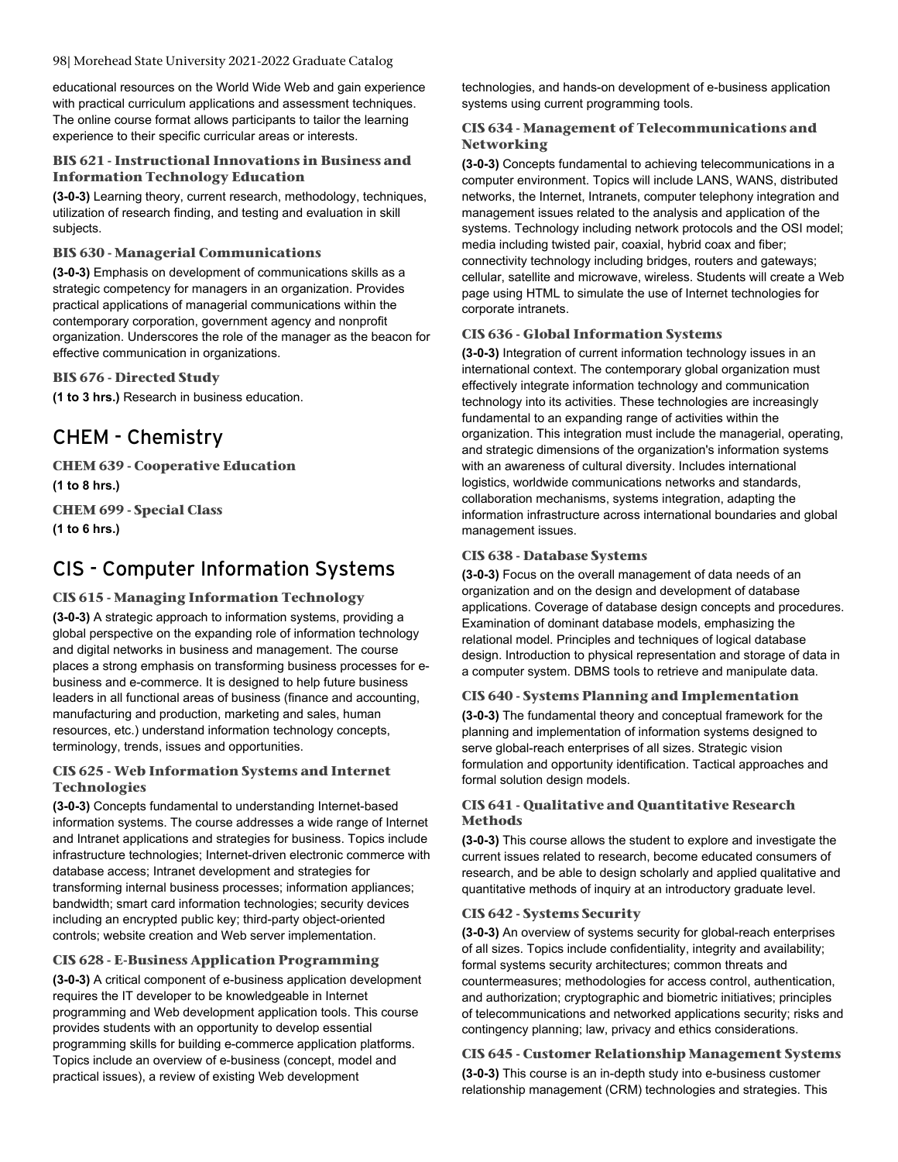#### 98| Morehead State University 2021-2022 Graduate Catalog

educational resources on the World Wide Web and gain experience with practical curriculum applications and assessment techniques. The online course format allows participants to tailor the learning experience to their specific curricular areas or interests.

# **BIS 621 - Instructional Innovations in Business and Information Technology Education**

**(3-0-3)** Learning theory, current research, methodology, techniques, utilization of research finding, and testing and evaluation in skill subjects.

# **BIS 630 - Managerial Communications**

**(3-0-3)** Emphasis on development of communications skills as a strategic competency for managers in an organization. Provides practical applications of managerial communications within the contemporary corporation, government agency and nonprofit organization. Underscores the role of the manager as the beacon for effective communication in organizations.

# **BIS 676 - Directed Study**

**(1 to 3 hrs.)** Research in business education.

# CHEM - Chemistry

**CHEM 639 - Cooperative Education (1 to 8 hrs.)**

**CHEM 699 - Special Class (1 to 6 hrs.)**

# CIS - Computer Information Systems

# **CIS 615 - Managing Information Technology**

**(3-0-3)** A strategic approach to information systems, providing a global perspective on the expanding role of information technology and digital networks in business and management. The course places a strong emphasis on transforming business processes for ebusiness and e-commerce. It is designed to help future business leaders in all functional areas of business (finance and accounting, manufacturing and production, marketing and sales, human resources, etc.) understand information technology concepts, terminology, trends, issues and opportunities.

# **CIS 625 - Web Information Systems and Internet Technologies**

**(3-0-3)** Concepts fundamental to understanding Internet-based information systems. The course addresses a wide range of Internet and Intranet applications and strategies for business. Topics include infrastructure technologies; Internet-driven electronic commerce with database access; Intranet development and strategies for transforming internal business processes; information appliances; bandwidth; smart card information technologies; security devices including an encrypted public key; third-party object-oriented controls; website creation and Web server implementation.

# **CIS 628 - E-Business Application Programming**

**(3-0-3)** A critical component of e-business application development requires the IT developer to be knowledgeable in Internet programming and Web development application tools. This course provides students with an opportunity to develop essential programming skills for building e-commerce application platforms. Topics include an overview of e-business (concept, model and practical issues), a review of existing Web development

technologies, and hands-on development of e-business application systems using current programming tools.

# **CIS 634 - Management of Telecommunications and Networking**

**(3-0-3)** Concepts fundamental to achieving telecommunications in a computer environment. Topics will include LANS, WANS, distributed networks, the Internet, Intranets, computer telephony integration and management issues related to the analysis and application of the systems. Technology including network protocols and the OSI model; media including twisted pair, coaxial, hybrid coax and fiber; connectivity technology including bridges, routers and gateways; cellular, satellite and microwave, wireless. Students will create a Web page using HTML to simulate the use of Internet technologies for corporate intranets.

# **CIS 636 - Global Information Systems**

**(3-0-3)** Integration of current information technology issues in an international context. The contemporary global organization must effectively integrate information technology and communication technology into its activities. These technologies are increasingly fundamental to an expanding range of activities within the organization. This integration must include the managerial, operating, and strategic dimensions of the organization's information systems with an awareness of cultural diversity. Includes international logistics, worldwide communications networks and standards, collaboration mechanisms, systems integration, adapting the information infrastructure across international boundaries and global management issues.

# **CIS 638 - Database Systems**

**(3-0-3)** Focus on the overall management of data needs of an organization and on the design and development of database applications. Coverage of database design concepts and procedures. Examination of dominant database models, emphasizing the relational model. Principles and techniques of logical database design. Introduction to physical representation and storage of data in a computer system. DBMS tools to retrieve and manipulate data.

# **CIS 640 - Systems Planning and Implementation**

**(3-0-3)** The fundamental theory and conceptual framework for the planning and implementation of information systems designed to serve global-reach enterprises of all sizes. Strategic vision formulation and opportunity identification. Tactical approaches and formal solution design models.

#### **CIS 641 - Qualitative and Quantitative Research Methods**

**(3-0-3)** This course allows the student to explore and investigate the current issues related to research, become educated consumers of research, and be able to design scholarly and applied qualitative and quantitative methods of inquiry at an introductory graduate level.

#### **CIS 642 - Systems Security**

**(3-0-3)** An overview of systems security for global-reach enterprises of all sizes. Topics include confidentiality, integrity and availability; formal systems security architectures; common threats and countermeasures; methodologies for access control, authentication, and authorization; cryptographic and biometric initiatives; principles of telecommunications and networked applications security; risks and contingency planning; law, privacy and ethics considerations.

# **CIS 645 - Customer Relationship Management Systems**

**(3-0-3)** This course is an in-depth study into e-business customer relationship management (CRM) technologies and strategies. This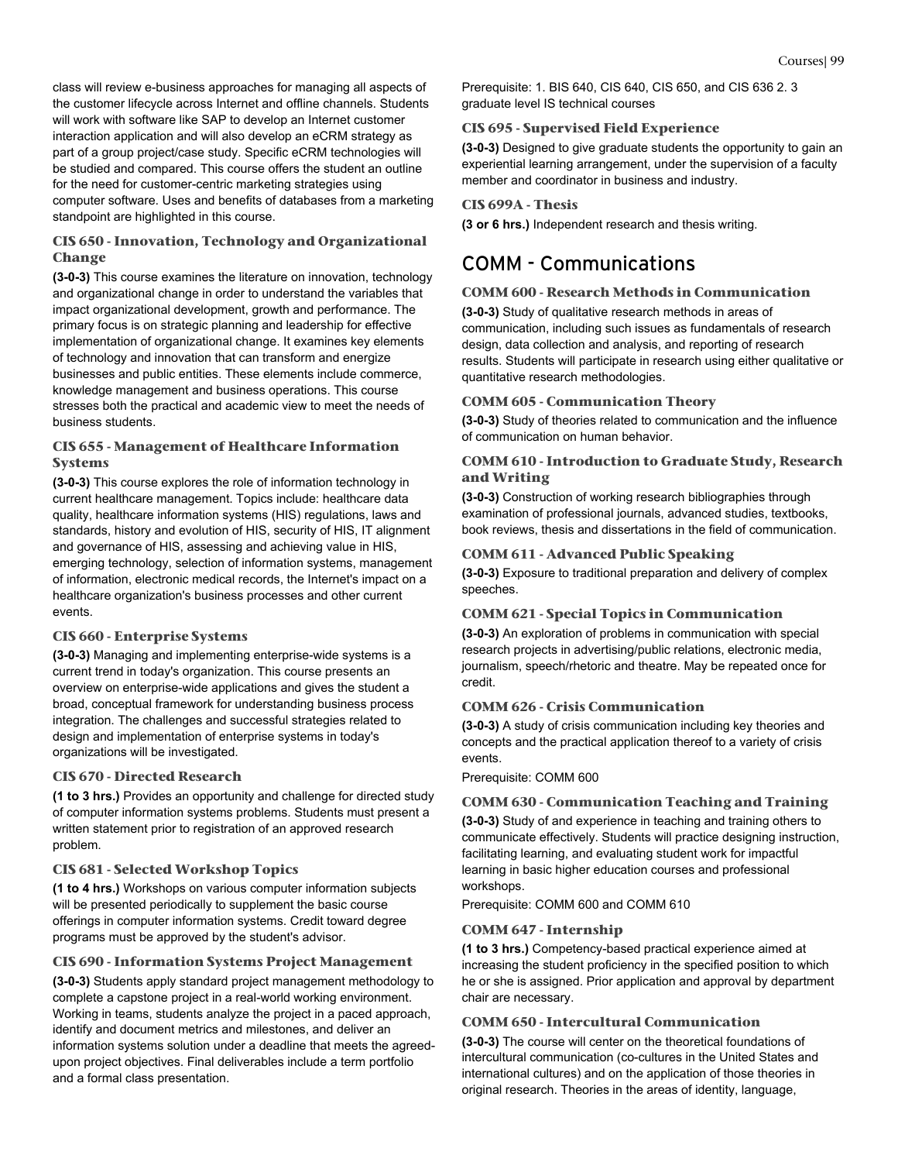class will review e-business approaches for managing all aspects of the customer lifecycle across Internet and offline channels. Students will work with software like SAP to develop an Internet customer interaction application and will also develop an eCRM strategy as part of a group project/case study. Specific eCRM technologies will be studied and compared. This course offers the student an outline for the need for customer-centric marketing strategies using computer software. Uses and benefits of databases from a marketing standpoint are highlighted in this course.

# **CIS 650 - Innovation, Technology and Organizational Change**

**(3-0-3)** This course examines the literature on innovation, technology and organizational change in order to understand the variables that impact organizational development, growth and performance. The primary focus is on strategic planning and leadership for effective implementation of organizational change. It examines key elements of technology and innovation that can transform and energize businesses and public entities. These elements include commerce, knowledge management and business operations. This course stresses both the practical and academic view to meet the needs of business students.

# **CIS 655 - Management of Healthcare Information Systems**

**(3-0-3)** This course explores the role of information technology in current healthcare management. Topics include: healthcare data quality, healthcare information systems (HIS) regulations, laws and standards, history and evolution of HIS, security of HIS, IT alignment and governance of HIS, assessing and achieving value in HIS, emerging technology, selection of information systems, management of information, electronic medical records, the Internet's impact on a healthcare organization's business processes and other current events.

#### **CIS 660 - Enterprise Systems**

**(3-0-3)** Managing and implementing enterprise-wide systems is a current trend in today's organization. This course presents an overview on enterprise-wide applications and gives the student a broad, conceptual framework for understanding business process integration. The challenges and successful strategies related to design and implementation of enterprise systems in today's organizations will be investigated.

#### **CIS 670 - Directed Research**

**(1 to 3 hrs.)** Provides an opportunity and challenge for directed study of computer information systems problems. Students must present a written statement prior to registration of an approved research problem.

#### **CIS 681 - Selected Workshop Topics**

**(1 to 4 hrs.)** Workshops on various computer information subjects will be presented periodically to supplement the basic course offerings in computer information systems. Credit toward degree programs must be approved by the student's advisor.

# **CIS 690 - Information Systems Project Management**

**(3-0-3)** Students apply standard project management methodology to complete a capstone project in a real-world working environment. Working in teams, students analyze the project in a paced approach, identify and document metrics and milestones, and deliver an information systems solution under a deadline that meets the agreedupon project objectives. Final deliverables include a term portfolio and a formal class presentation.

Prerequisite: 1. BIS 640, CIS 640, CIS 650, and CIS 636 2. 3 graduate level IS technical courses

# **CIS 695 - Supervised Field Experience**

**(3-0-3)** Designed to give graduate students the opportunity to gain an experiential learning arrangement, under the supervision of a faculty member and coordinator in business and industry.

#### **CIS 699A - Thesis**

**(3 or 6 hrs.)** Independent research and thesis writing.

# COMM - Communications

# **COMM 600 - Research Methods in Communication**

**(3-0-3)** Study of qualitative research methods in areas of communication, including such issues as fundamentals of research design, data collection and analysis, and reporting of research results. Students will participate in research using either qualitative or quantitative research methodologies.

#### **COMM 605 - Communication Theory**

**(3-0-3)** Study of theories related to communication and the influence of communication on human behavior.

#### **COMM 610 - Introduction to Graduate Study, Research and Writing**

**(3-0-3)** Construction of working research bibliographies through examination of professional journals, advanced studies, textbooks, book reviews, thesis and dissertations in the field of communication.

#### **COMM 611 - Advanced Public Speaking**

**(3-0-3)** Exposure to traditional preparation and delivery of complex speeches.

#### **COMM 621 - Special Topics in Communication**

**(3-0-3)** An exploration of problems in communication with special research projects in advertising/public relations, electronic media, journalism, speech/rhetoric and theatre. May be repeated once for credit.

#### **COMM 626 - Crisis Communication**

**(3-0-3)** A study of crisis communication including key theories and concepts and the practical application thereof to a variety of crisis events.

Prerequisite: COMM 600

#### **COMM 630 - Communication Teaching and Training**

**(3-0-3)** Study of and experience in teaching and training others to communicate effectively. Students will practice designing instruction, facilitating learning, and evaluating student work for impactful learning in basic higher education courses and professional workshops.

Prerequisite: COMM 600 and COMM 610

#### **COMM 647 - Internship**

**(1 to 3 hrs.)** Competency-based practical experience aimed at increasing the student proficiency in the specified position to which he or she is assigned. Prior application and approval by department chair are necessary.

#### **COMM 650 - Intercultural Communication**

**(3-0-3)** The course will center on the theoretical foundations of intercultural communication (co-cultures in the United States and international cultures) and on the application of those theories in original research. Theories in the areas of identity, language,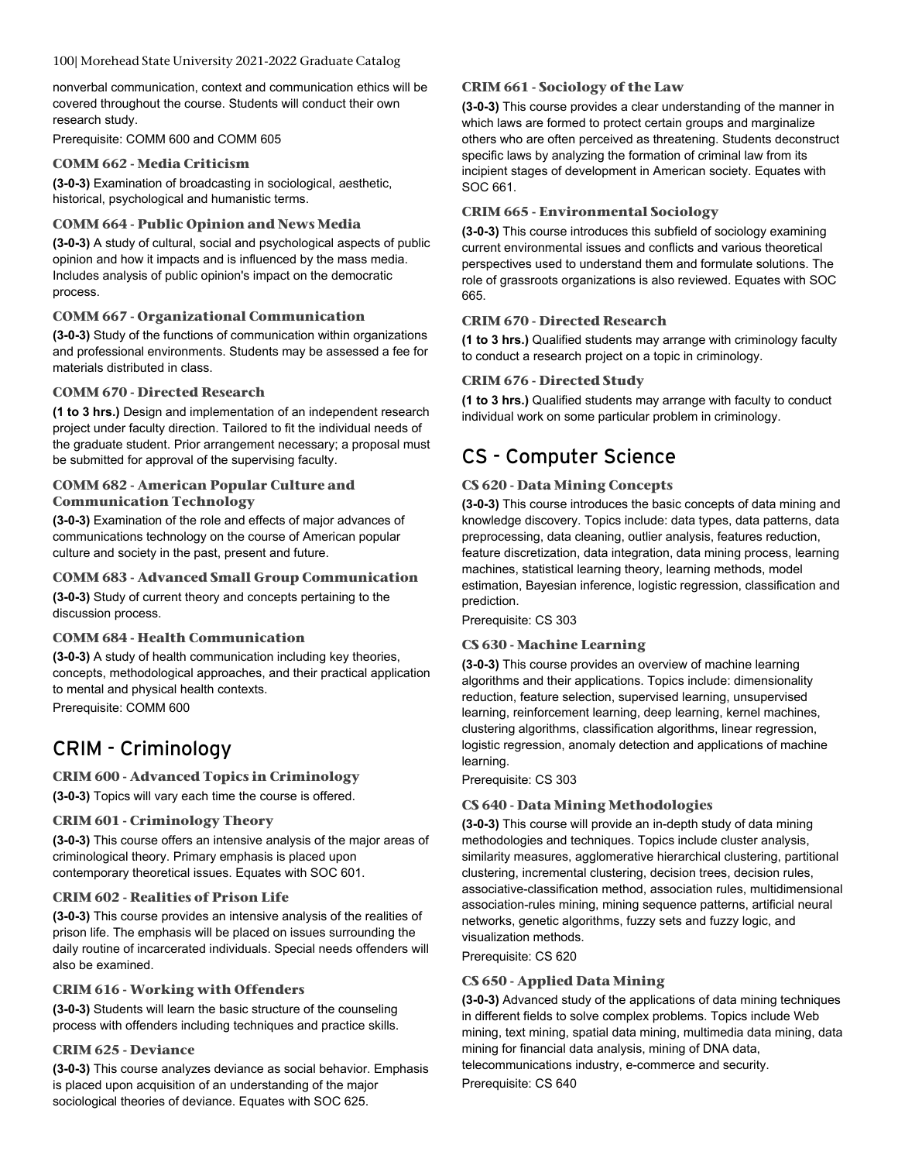nonverbal communication, context and communication ethics will be covered throughout the course. Students will conduct their own research study.

Prerequisite: COMM 600 and COMM 605

#### **COMM 662 - Media Criticism**

**(3-0-3)** Examination of broadcasting in sociological, aesthetic, historical, psychological and humanistic terms.

# **COMM 664 - Public Opinion and News Media**

**(3-0-3)** A study of cultural, social and psychological aspects of public opinion and how it impacts and is influenced by the mass media. Includes analysis of public opinion's impact on the democratic process.

# **COMM 667 - Organizational Communication**

**(3-0-3)** Study of the functions of communication within organizations and professional environments. Students may be assessed a fee for materials distributed in class.

# **COMM 670 - Directed Research**

**(1 to 3 hrs.)** Design and implementation of an independent research project under faculty direction. Tailored to fit the individual needs of the graduate student. Prior arrangement necessary; a proposal must be submitted for approval of the supervising faculty.

# **COMM 682 - American Popular Culture and Communication Technology**

**(3-0-3)** Examination of the role and effects of major advances of communications technology on the course of American popular culture and society in the past, present and future.

# **COMM 683 - Advanced Small Group Communication**

**(3-0-3)** Study of current theory and concepts pertaining to the discussion process.

#### **COMM 684 - Health Communication**

**(3-0-3)** A study of health communication including key theories, concepts, methodological approaches, and their practical application to mental and physical health contexts.

Prerequisite: COMM 600

# CRIM - Criminology

# **CRIM 600 - Advanced Topics in Criminology**

**(3-0-3)** Topics will vary each time the course is offered.

#### **CRIM 601 - Criminology Theory**

**(3-0-3)** This course offers an intensive analysis of the major areas of criminological theory. Primary emphasis is placed upon contemporary theoretical issues. Equates with SOC 601.

# **CRIM 602 - Realities of Prison Life**

**(3-0-3)** This course provides an intensive analysis of the realities of prison life. The emphasis will be placed on issues surrounding the daily routine of incarcerated individuals. Special needs offenders will also be examined.

#### **CRIM 616 - Working with Offenders**

**(3-0-3)** Students will learn the basic structure of the counseling process with offenders including techniques and practice skills.

# **CRIM 625 - Deviance**

**(3-0-3)** This course analyzes deviance as social behavior. Emphasis is placed upon acquisition of an understanding of the major sociological theories of deviance. Equates with SOC 625.

# **CRIM 661 - Sociology of the Law**

**(3-0-3)** This course provides a clear understanding of the manner in which laws are formed to protect certain groups and marginalize others who are often perceived as threatening. Students deconstruct specific laws by analyzing the formation of criminal law from its incipient stages of development in American society. Equates with SOC 661.

# **CRIM 665 - Environmental Sociology**

**(3-0-3)** This course introduces this subfield of sociology examining current environmental issues and conflicts and various theoretical perspectives used to understand them and formulate solutions. The role of grassroots organizations is also reviewed. Equates with SOC 665.

# **CRIM 670 - Directed Research**

**(1 to 3 hrs.)** Qualified students may arrange with criminology faculty to conduct a research project on a topic in criminology.

# **CRIM 676 - Directed Study**

**(1 to 3 hrs.)** Qualified students may arrange with faculty to conduct individual work on some particular problem in criminology.

# CS - Computer Science

# **CS 620 - Data Mining Concepts**

**(3-0-3)** This course introduces the basic concepts of data mining and knowledge discovery. Topics include: data types, data patterns, data preprocessing, data cleaning, outlier analysis, features reduction, feature discretization, data integration, data mining process, learning machines, statistical learning theory, learning methods, model estimation, Bayesian inference, logistic regression, classification and prediction.

Prerequisite: CS 303

#### **CS 630 - Machine Learning**

**(3-0-3)** This course provides an overview of machine learning algorithms and their applications. Topics include: dimensionality reduction, feature selection, supervised learning, unsupervised learning, reinforcement learning, deep learning, kernel machines, clustering algorithms, classification algorithms, linear regression, logistic regression, anomaly detection and applications of machine learning.

Prerequisite: CS 303

#### **CS 640 - Data Mining Methodologies**

**(3-0-3)** This course will provide an in-depth study of data mining methodologies and techniques. Topics include cluster analysis, similarity measures, agglomerative hierarchical clustering, partitional clustering, incremental clustering, decision trees, decision rules, associative-classification method, association rules, multidimensional association-rules mining, mining sequence patterns, artificial neural networks, genetic algorithms, fuzzy sets and fuzzy logic, and visualization methods.

Prerequisite: CS 620

# **CS 650 - Applied Data Mining**

**(3-0-3)** Advanced study of the applications of data mining techniques in different fields to solve complex problems. Topics include Web mining, text mining, spatial data mining, multimedia data mining, data mining for financial data analysis, mining of DNA data, telecommunications industry, e-commerce and security. Prerequisite: CS 640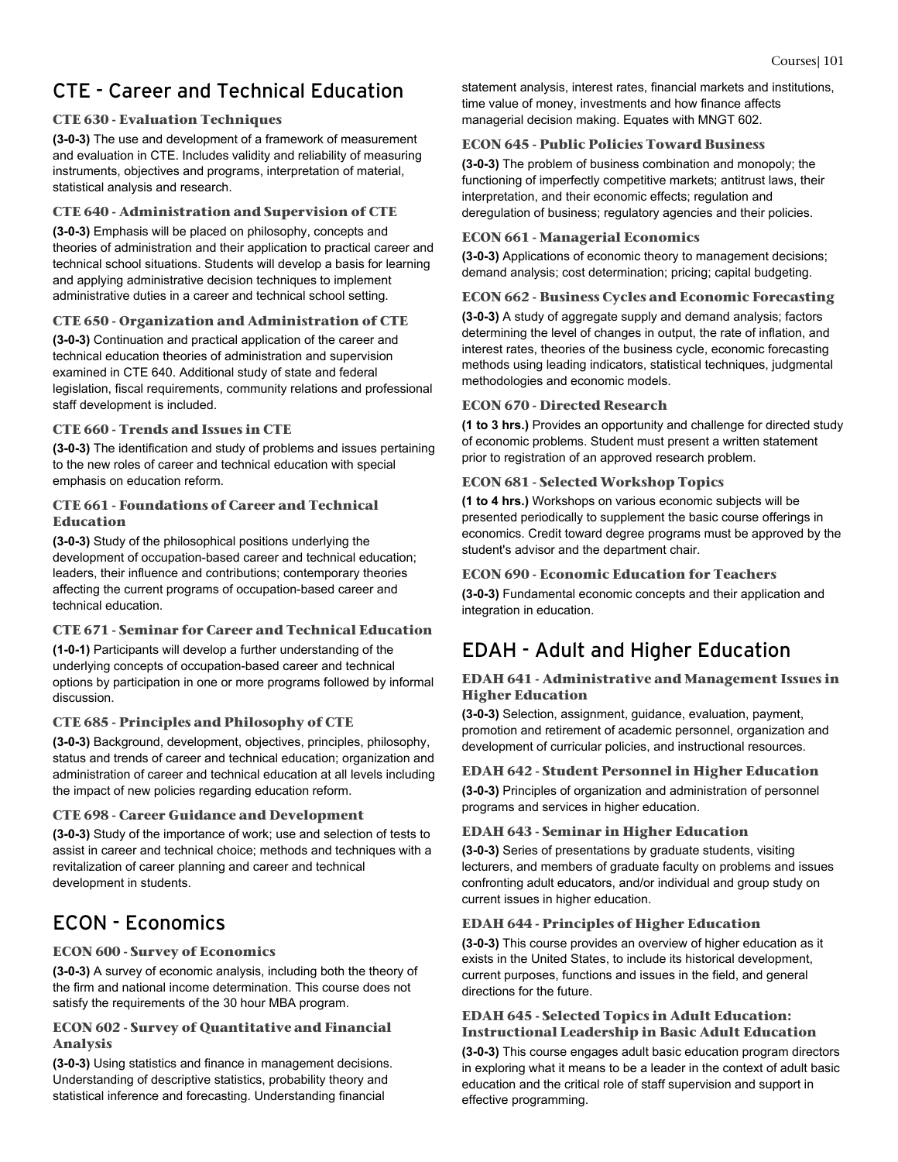# CTE - Career and Technical Education

# **CTE 630 - Evaluation Techniques**

**(3-0-3)** The use and development of a framework of measurement and evaluation in CTE. Includes validity and reliability of measuring instruments, objectives and programs, interpretation of material, statistical analysis and research.

# **CTE 640 - Administration and Supervision of CTE**

**(3-0-3)** Emphasis will be placed on philosophy, concepts and theories of administration and their application to practical career and technical school situations. Students will develop a basis for learning and applying administrative decision techniques to implement administrative duties in a career and technical school setting.

# **CTE 650 - Organization and Administration of CTE**

**(3-0-3)** Continuation and practical application of the career and technical education theories of administration and supervision examined in CTE 640. Additional study of state and federal legislation, fiscal requirements, community relations and professional staff development is included.

# **CTE 660 - Trends and Issues in CTE**

**(3-0-3)** The identification and study of problems and issues pertaining to the new roles of career and technical education with special emphasis on education reform.

# **CTE 661 - Foundations of Career and Technical Education**

**(3-0-3)** Study of the philosophical positions underlying the development of occupation-based career and technical education; leaders, their influence and contributions; contemporary theories affecting the current programs of occupation-based career and technical education.

# **CTE 671 - Seminar for Career and Technical Education**

**(1-0-1)** Participants will develop a further understanding of the underlying concepts of occupation-based career and technical options by participation in one or more programs followed by informal discussion.

# **CTE 685 - Principles and Philosophy of CTE**

**(3-0-3)** Background, development, objectives, principles, philosophy, status and trends of career and technical education; organization and administration of career and technical education at all levels including the impact of new policies regarding education reform.

# **CTE 698 - Career Guidance and Development**

**(3-0-3)** Study of the importance of work; use and selection of tests to assist in career and technical choice; methods and techniques with a revitalization of career planning and career and technical development in students.

# ECON - Economics

# **ECON 600 - Survey of Economics**

**(3-0-3)** A survey of economic analysis, including both the theory of the firm and national income determination. This course does not satisfy the requirements of the 30 hour MBA program.

# **ECON 602 - Survey of Quantitative and Financial Analysis**

**(3-0-3)** Using statistics and finance in management decisions. Understanding of descriptive statistics, probability theory and statistical inference and forecasting. Understanding financial

statement analysis, interest rates, financial markets and institutions, time value of money, investments and how finance affects managerial decision making. Equates with MNGT 602.

# **ECON 645 - Public Policies Toward Business**

**(3-0-3)** The problem of business combination and monopoly; the functioning of imperfectly competitive markets; antitrust laws, their interpretation, and their economic effects; regulation and deregulation of business; regulatory agencies and their policies.

# **ECON 661 - Managerial Economics**

**(3-0-3)** Applications of economic theory to management decisions; demand analysis; cost determination; pricing; capital budgeting.

# **ECON 662 - Business Cycles and Economic Forecasting**

**(3-0-3)** A study of aggregate supply and demand analysis; factors determining the level of changes in output, the rate of inflation, and interest rates, theories of the business cycle, economic forecasting methods using leading indicators, statistical techniques, judgmental methodologies and economic models.

# **ECON 670 - Directed Research**

**(1 to 3 hrs.)** Provides an opportunity and challenge for directed study of economic problems. Student must present a written statement prior to registration of an approved research problem.

# **ECON 681 - Selected Workshop Topics**

**(1 to 4 hrs.)** Workshops on various economic subjects will be presented periodically to supplement the basic course offerings in economics. Credit toward degree programs must be approved by the student's advisor and the department chair.

# **ECON 690 - Economic Education for Teachers**

**(3-0-3)** Fundamental economic concepts and their application and integration in education.

# EDAH - Adult and Higher Education

# **EDAH 641 - Administrative and Management Issues in Higher Education**

**(3-0-3)** Selection, assignment, guidance, evaluation, payment, promotion and retirement of academic personnel, organization and development of curricular policies, and instructional resources.

# **EDAH 642 - Student Personnel in Higher Education**

**(3-0-3)** Principles of organization and administration of personnel programs and services in higher education.

# **EDAH 643 - Seminar in Higher Education**

**(3-0-3)** Series of presentations by graduate students, visiting lecturers, and members of graduate faculty on problems and issues confronting adult educators, and/or individual and group study on current issues in higher education.

# **EDAH 644 - Principles of Higher Education**

**(3-0-3)** This course provides an overview of higher education as it exists in the United States, to include its historical development, current purposes, functions and issues in the field, and general directions for the future.

# **EDAH 645 - Selected Topics in Adult Education: Instructional Leadership in Basic Adult Education**

**(3-0-3)** This course engages adult basic education program directors in exploring what it means to be a leader in the context of adult basic education and the critical role of staff supervision and support in effective programming.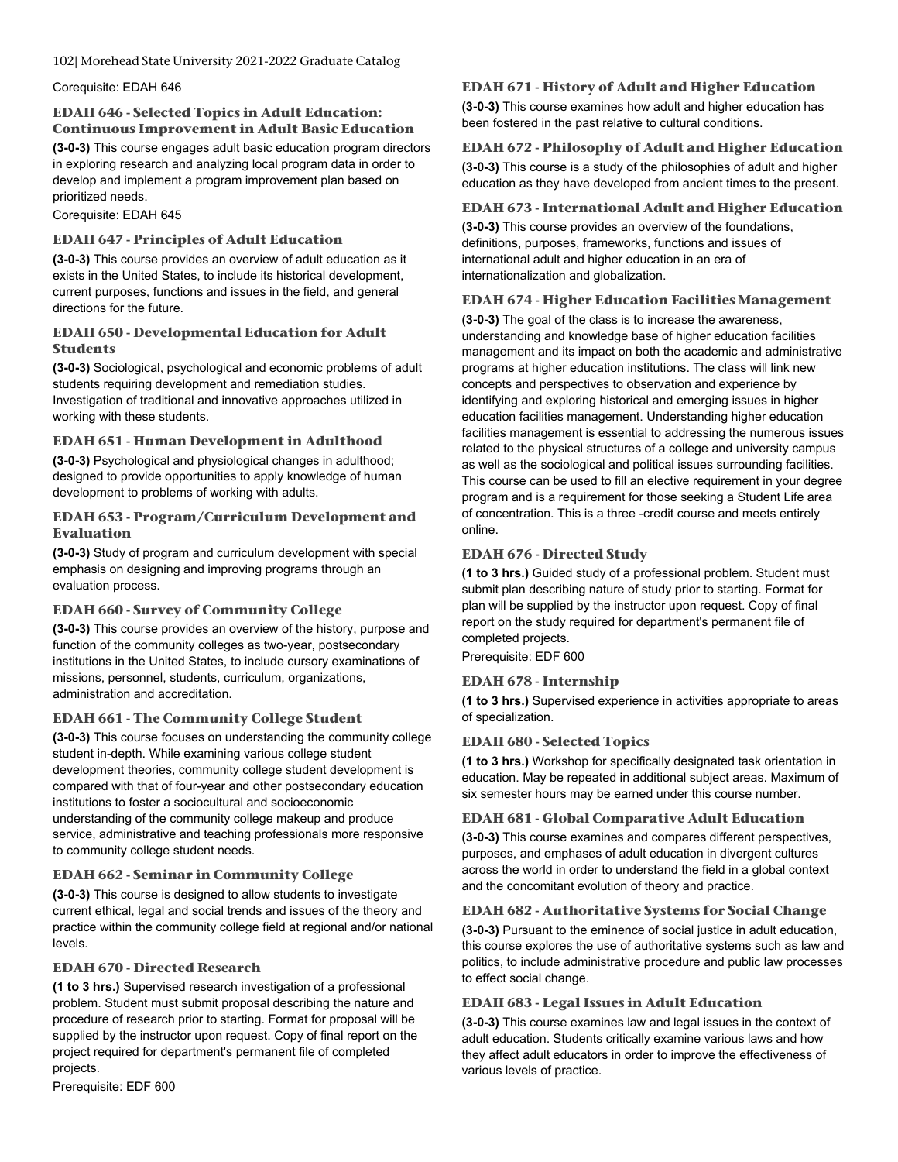# Corequisite: EDAH 646

# **EDAH 646 - Selected Topics in Adult Education: Continuous Improvement in Adult Basic Education**

**(3-0-3)** This course engages adult basic education program directors in exploring research and analyzing local program data in order to develop and implement a program improvement plan based on prioritized needs.

Corequisite: EDAH 645

# **EDAH 647 - Principles of Adult Education**

**(3-0-3)** This course provides an overview of adult education as it exists in the United States, to include its historical development, current purposes, functions and issues in the field, and general directions for the future.

# **EDAH 650 - Developmental Education for Adult Students**

**(3-0-3)** Sociological, psychological and economic problems of adult students requiring development and remediation studies. Investigation of traditional and innovative approaches utilized in working with these students.

# **EDAH 651 - Human Development in Adulthood**

**(3-0-3)** Psychological and physiological changes in adulthood; designed to provide opportunities to apply knowledge of human development to problems of working with adults.

# **EDAH 653 - Program/Curriculum Development and Evaluation**

**(3-0-3)** Study of program and curriculum development with special emphasis on designing and improving programs through an evaluation process.

# **EDAH 660 - Survey of Community College**

**(3-0-3)** This course provides an overview of the history, purpose and function of the community colleges as two-year, postsecondary institutions in the United States, to include cursory examinations of missions, personnel, students, curriculum, organizations, administration and accreditation.

# **EDAH 661 - The Community College Student**

**(3-0-3)** This course focuses on understanding the community college student in-depth. While examining various college student development theories, community college student development is compared with that of four-year and other postsecondary education institutions to foster a sociocultural and socioeconomic understanding of the community college makeup and produce service, administrative and teaching professionals more responsive to community college student needs.

# **EDAH 662 - Seminar in Community College**

**(3-0-3)** This course is designed to allow students to investigate current ethical, legal and social trends and issues of the theory and practice within the community college field at regional and/or national levels.

# **EDAH 670 - Directed Research**

**(1 to 3 hrs.)** Supervised research investigation of a professional problem. Student must submit proposal describing the nature and procedure of research prior to starting. Format for proposal will be supplied by the instructor upon request. Copy of final report on the project required for department's permanent file of completed projects.

Prerequisite: EDF 600

# **EDAH 671 - History of Adult and Higher Education**

**(3-0-3)** This course examines how adult and higher education has been fostered in the past relative to cultural conditions.

# **EDAH 672 - Philosophy of Adult and Higher Education**

**(3-0-3)** This course is a study of the philosophies of adult and higher education as they have developed from ancient times to the present.

# **EDAH 673 - International Adult and Higher Education**

**(3-0-3)** This course provides an overview of the foundations, definitions, purposes, frameworks, functions and issues of international adult and higher education in an era of internationalization and globalization.

# **EDAH 674 - Higher Education Facilities Management**

**(3-0-3)** The goal of the class is to increase the awareness, understanding and knowledge base of higher education facilities management and its impact on both the academic and administrative programs at higher education institutions. The class will link new concepts and perspectives to observation and experience by identifying and exploring historical and emerging issues in higher education facilities management. Understanding higher education facilities management is essential to addressing the numerous issues related to the physical structures of a college and university campus as well as the sociological and political issues surrounding facilities. This course can be used to fill an elective requirement in your degree program and is a requirement for those seeking a Student Life area of concentration. This is a three -credit course and meets entirely online.

# **EDAH 676 - Directed Study**

**(1 to 3 hrs.)** Guided study of a professional problem. Student must submit plan describing nature of study prior to starting. Format for plan will be supplied by the instructor upon request. Copy of final report on the study required for department's permanent file of completed projects.

Prerequisite: EDF 600

# **EDAH 678 - Internship**

**(1 to 3 hrs.)** Supervised experience in activities appropriate to areas of specialization.

# **EDAH 680 - Selected Topics**

**(1 to 3 hrs.)** Workshop for specifically designated task orientation in education. May be repeated in additional subject areas. Maximum of six semester hours may be earned under this course number.

# **EDAH 681 - Global Comparative Adult Education**

**(3-0-3)** This course examines and compares different perspectives, purposes, and emphases of adult education in divergent cultures across the world in order to understand the field in a global context and the concomitant evolution of theory and practice.

# **EDAH 682 - Authoritative Systems for Social Change**

**(3-0-3)** Pursuant to the eminence of social justice in adult education, this course explores the use of authoritative systems such as law and politics, to include administrative procedure and public law processes to effect social change.

# **EDAH 683 - Legal Issues in Adult Education**

**(3-0-3)** This course examines law and legal issues in the context of adult education. Students critically examine various laws and how they affect adult educators in order to improve the effectiveness of various levels of practice.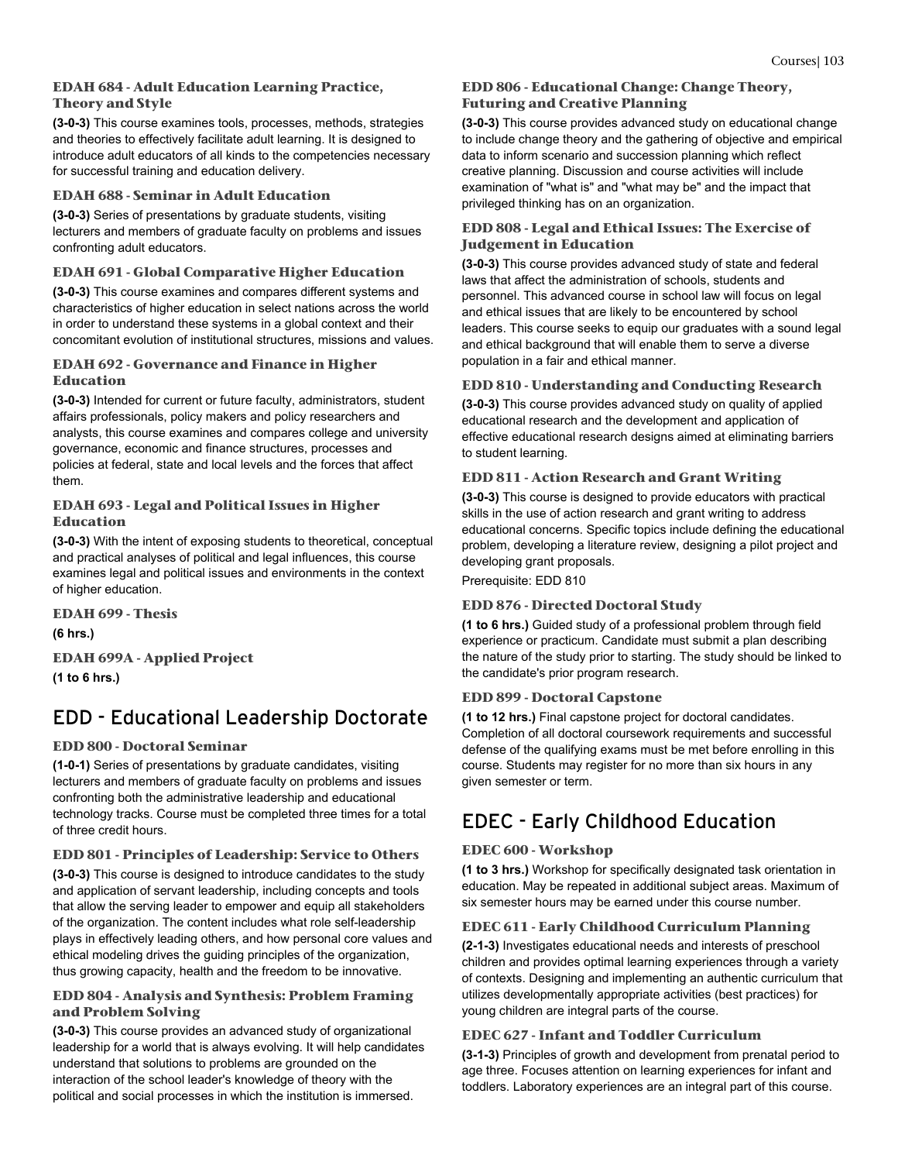# **EDAH 684 - Adult Education Learning Practice, Theory and Style**

**(3-0-3)** This course examines tools, processes, methods, strategies and theories to effectively facilitate adult learning. It is designed to introduce adult educators of all kinds to the competencies necessary for successful training and education delivery.

#### **EDAH 688 - Seminar in Adult Education**

**(3-0-3)** Series of presentations by graduate students, visiting lecturers and members of graduate faculty on problems and issues confronting adult educators.

# **EDAH 691 - Global Comparative Higher Education**

**(3-0-3)** This course examines and compares different systems and characteristics of higher education in select nations across the world in order to understand these systems in a global context and their concomitant evolution of institutional structures, missions and values.

# **EDAH 692 - Governance and Finance in Higher Education**

**(3-0-3)** Intended for current or future faculty, administrators, student affairs professionals, policy makers and policy researchers and analysts, this course examines and compares college and university governance, economic and finance structures, processes and policies at federal, state and local levels and the forces that affect them.

# **EDAH 693 - Legal and Political Issues in Higher Education**

**(3-0-3)** With the intent of exposing students to theoretical, conceptual and practical analyses of political and legal influences, this course examines legal and political issues and environments in the context of higher education.

**EDAH 699 - Thesis (6 hrs.) EDAH 699A - Applied Project (1 to 6 hrs.)**

# EDD - Educational Leadership Doctorate

# **EDD 800 - Doctoral Seminar**

**(1-0-1)** Series of presentations by graduate candidates, visiting lecturers and members of graduate faculty on problems and issues confronting both the administrative leadership and educational technology tracks. Course must be completed three times for a total of three credit hours.

# **EDD 801 - Principles of Leadership: Service to Others**

**(3-0-3)** This course is designed to introduce candidates to the study and application of servant leadership, including concepts and tools that allow the serving leader to empower and equip all stakeholders of the organization. The content includes what role self-leadership plays in effectively leading others, and how personal core values and ethical modeling drives the guiding principles of the organization, thus growing capacity, health and the freedom to be innovative.

# **EDD 804 - Analysis and Synthesis: Problem Framing and Problem Solving**

**(3-0-3)** This course provides an advanced study of organizational leadership for a world that is always evolving. It will help candidates understand that solutions to problems are grounded on the interaction of the school leader's knowledge of theory with the political and social processes in which the institution is immersed.

# **EDD 806 - Educational Change: Change Theory, Futuring and Creative Planning**

**(3-0-3)** This course provides advanced study on educational change to include change theory and the gathering of objective and empirical data to inform scenario and succession planning which reflect creative planning. Discussion and course activities will include examination of "what is" and "what may be" and the impact that privileged thinking has on an organization.

# **EDD 808 - Legal and Ethical Issues: The Exercise of Judgement in Education**

**(3-0-3)** This course provides advanced study of state and federal laws that affect the administration of schools, students and personnel. This advanced course in school law will focus on legal and ethical issues that are likely to be encountered by school leaders. This course seeks to equip our graduates with a sound legal and ethical background that will enable them to serve a diverse population in a fair and ethical manner.

# **EDD 810 - Understanding and Conducting Research**

**(3-0-3)** This course provides advanced study on quality of applied educational research and the development and application of effective educational research designs aimed at eliminating barriers to student learning.

# **EDD 811 - Action Research and Grant Writing**

**(3-0-3)** This course is designed to provide educators with practical skills in the use of action research and grant writing to address educational concerns. Specific topics include defining the educational problem, developing a literature review, designing a pilot project and developing grant proposals.

Prerequisite: EDD 810

#### **EDD 876 - Directed Doctoral Study**

**(1 to 6 hrs.)** Guided study of a professional problem through field experience or practicum. Candidate must submit a plan describing the nature of the study prior to starting. The study should be linked to the candidate's prior program research.

# **EDD 899 - Doctoral Capstone**

**(1 to 12 hrs.)** Final capstone project for doctoral candidates. Completion of all doctoral coursework requirements and successful defense of the qualifying exams must be met before enrolling in this course. Students may register for no more than six hours in any given semester or term.

# EDEC - Early Childhood Education

# **EDEC 600 - Workshop**

**(1 to 3 hrs.)** Workshop for specifically designated task orientation in education. May be repeated in additional subject areas. Maximum of six semester hours may be earned under this course number.

#### **EDEC 611 - Early Childhood Curriculum Planning**

**(2-1-3)** Investigates educational needs and interests of preschool children and provides optimal learning experiences through a variety of contexts. Designing and implementing an authentic curriculum that utilizes developmentally appropriate activities (best practices) for young children are integral parts of the course.

# **EDEC 627 - Infant and Toddler Curriculum**

**(3-1-3)** Principles of growth and development from prenatal period to age three. Focuses attention on learning experiences for infant and toddlers. Laboratory experiences are an integral part of this course.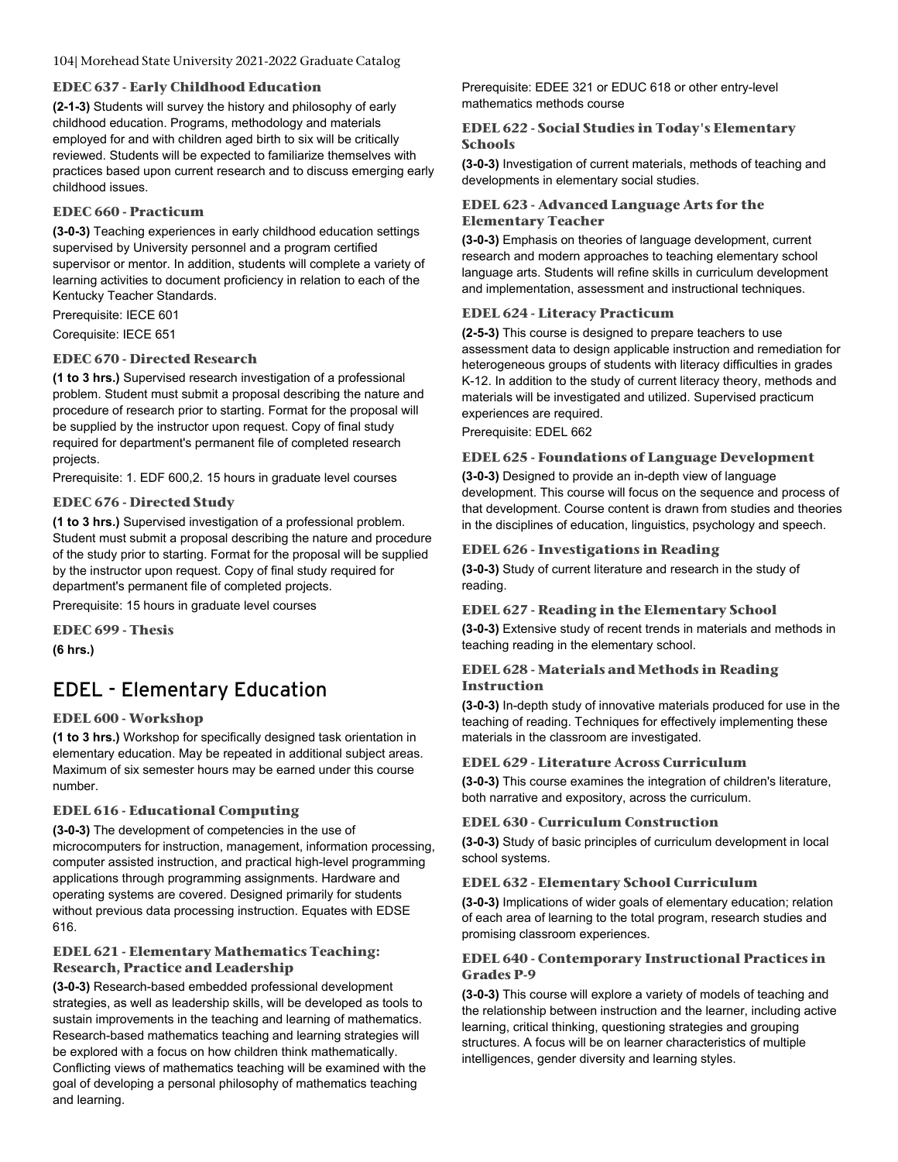# **EDEC 637 - Early Childhood Education**

**(2-1-3)** Students will survey the history and philosophy of early childhood education. Programs, methodology and materials employed for and with children aged birth to six will be critically reviewed. Students will be expected to familiarize themselves with practices based upon current research and to discuss emerging early childhood issues.

# **EDEC 660 - Practicum**

**(3-0-3)** Teaching experiences in early childhood education settings supervised by University personnel and a program certified supervisor or mentor. In addition, students will complete a variety of learning activities to document proficiency in relation to each of the Kentucky Teacher Standards.

Prerequisite: IECE 601

Corequisite: IECE 651

# **EDEC 670 - Directed Research**

**(1 to 3 hrs.)** Supervised research investigation of a professional problem. Student must submit a proposal describing the nature and procedure of research prior to starting. Format for the proposal will be supplied by the instructor upon request. Copy of final study required for department's permanent file of completed research projects.

Prerequisite: 1. EDF 600,2. 15 hours in graduate level courses

# **EDEC 676 - Directed Study**

**(1 to 3 hrs.)** Supervised investigation of a professional problem. Student must submit a proposal describing the nature and procedure of the study prior to starting. Format for the proposal will be supplied by the instructor upon request. Copy of final study required for department's permanent file of completed projects.

Prerequisite: 15 hours in graduate level courses

**EDEC 699 - Thesis** 

**(6 hrs.)** 

# EDEL - Elementary Education

# **EDEL 600 - Workshop**

**(1 to 3 hrs.)** Workshop for specifically designed task orientation in elementary education. May be repeated in additional subject areas. Maximum of six semester hours may be earned under this course number.

# **EDEL 616 - Educational Computing**

**(3-0-3)** The development of competencies in the use of microcomputers for instruction, management, information processing, computer assisted instruction, and practical high-level programming applications through programming assignments. Hardware and operating systems are covered. Designed primarily for students without previous data processing instruction. Equates with EDSE 616.

# **EDEL 621 - Elementary Mathematics Teaching: Research, Practice and Leadership**

**(3-0-3)** Research-based embedded professional development strategies, as well as leadership skills, will be developed as tools to sustain improvements in the teaching and learning of mathematics. Research-based mathematics teaching and learning strategies will be explored with a focus on how children think mathematically. Conflicting views of mathematics teaching will be examined with the goal of developing a personal philosophy of mathematics teaching and learning.

Prerequisite: EDEE 321 or EDUC 618 or other entry-level mathematics methods course

### **EDEL 622 - Social Studies in Today's Elementary Schools**

**(3-0-3)** Investigation of current materials, methods of teaching and developments in elementary social studies.

# **EDEL 623 - Advanced Language Arts for the Elementary Teacher**

**(3-0-3)** Emphasis on theories of language development, current research and modern approaches to teaching elementary school language arts. Students will refine skills in curriculum development and implementation, assessment and instructional techniques.

# **EDEL 624 - Literacy Practicum**

**(2-5-3)** This course is designed to prepare teachers to use assessment data to design applicable instruction and remediation for heterogeneous groups of students with literacy difficulties in grades K-12. In addition to the study of current literacy theory, methods and materials will be investigated and utilized. Supervised practicum experiences are required.

Prerequisite: EDEL 662

# **EDEL 625 - Foundations of Language Development**

**(3-0-3)** Designed to provide an in-depth view of language development. This course will focus on the sequence and process of that development. Course content is drawn from studies and theories in the disciplines of education, linguistics, psychology and speech.

# **EDEL 626 - Investigations in Reading**

**(3-0-3)** Study of current literature and research in the study of reading.

# **EDEL 627 - Reading in the Elementary School**

**(3-0-3)** Extensive study of recent trends in materials and methods in teaching reading in the elementary school.

# **EDEL 628 - Materials and Methods in Reading Instruction**

**(3-0-3)** In-depth study of innovative materials produced for use in the teaching of reading. Techniques for effectively implementing these materials in the classroom are investigated.

# **EDEL 629 - Literature Across Curriculum**

**(3-0-3)** This course examines the integration of children's literature, both narrative and expository, across the curriculum.

# **EDEL 630 - Curriculum Construction**

**(3-0-3)** Study of basic principles of curriculum development in local school systems.

#### **EDEL 632 - Elementary School Curriculum**

**(3-0-3)** Implications of wider goals of elementary education; relation of each area of learning to the total program, research studies and promising classroom experiences.

#### **EDEL 640 - Contemporary Instructional Practices in Grades P-9**

**(3-0-3)** This course will explore a variety of models of teaching and the relationship between instruction and the learner, including active learning, critical thinking, questioning strategies and grouping structures. A focus will be on learner characteristics of multiple intelligences, gender diversity and learning styles.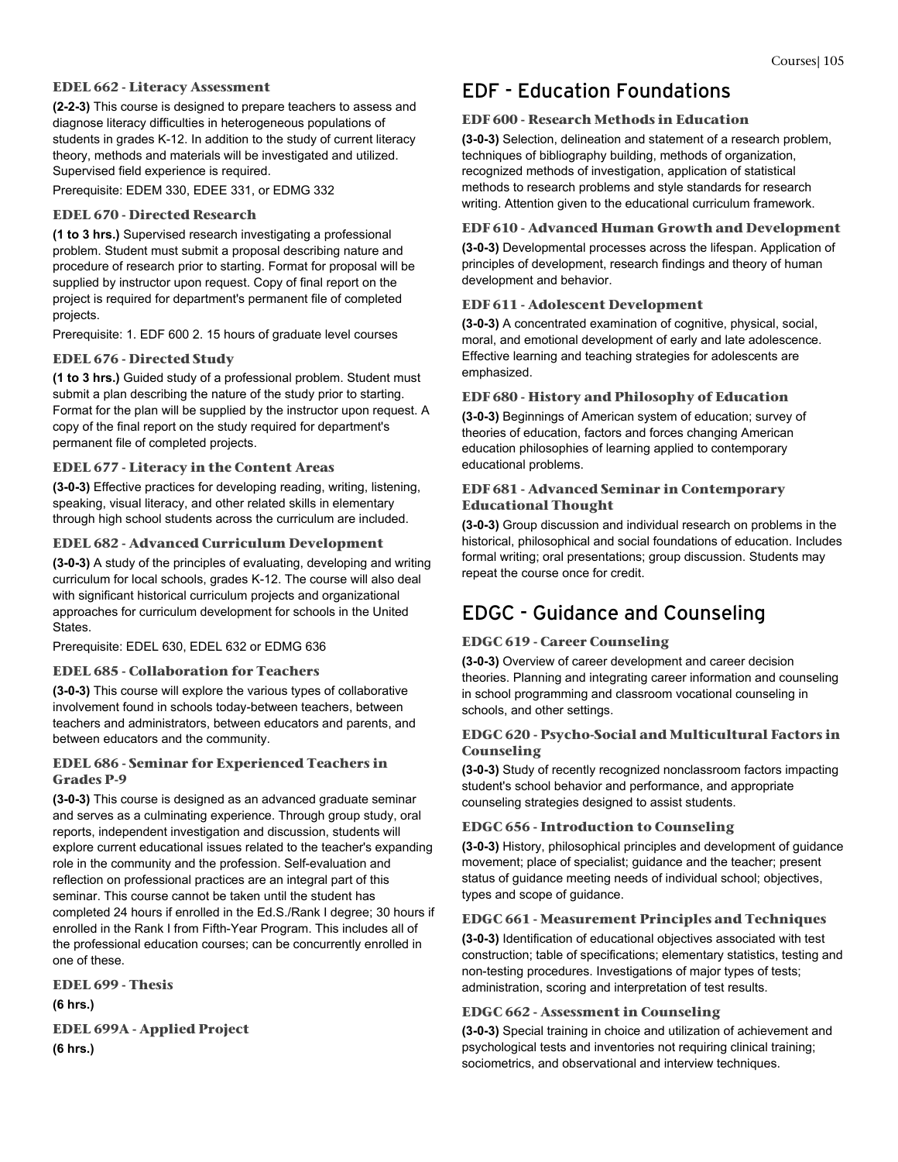#### **EDEL 662 - Literacy Assessment**

**(2-2-3)** This course is designed to prepare teachers to assess and diagnose literacy difficulties in heterogeneous populations of students in grades K-12. In addition to the study of current literacy theory, methods and materials will be investigated and utilized. Supervised field experience is required.

Prerequisite: EDEM 330, EDEE 331, or EDMG 332

#### **EDEL 670 - Directed Research**

**(1 to 3 hrs.)** Supervised research investigating a professional problem. Student must submit a proposal describing nature and procedure of research prior to starting. Format for proposal will be supplied by instructor upon request. Copy of final report on the project is required for department's permanent file of completed projects.

Prerequisite: 1. EDF 600 2. 15 hours of graduate level courses

#### **EDEL 676 - Directed Study**

**(1 to 3 hrs.)** Guided study of a professional problem. Student must submit a plan describing the nature of the study prior to starting. Format for the plan will be supplied by the instructor upon request. A copy of the final report on the study required for department's permanent file of completed projects.

#### **EDEL 677 - Literacy in the Content Areas**

**(3-0-3)** Effective practices for developing reading, writing, listening, speaking, visual literacy, and other related skills in elementary through high school students across the curriculum are included.

#### **EDEL 682 - Advanced Curriculum Development**

**(3-0-3)** A study of the principles of evaluating, developing and writing curriculum for local schools, grades K-12. The course will also deal with significant historical curriculum projects and organizational approaches for curriculum development for schools in the United States.

Prerequisite: EDEL 630, EDEL 632 or EDMG 636

#### **EDEL 685 - Collaboration for Teachers**

**(3-0-3)** This course will explore the various types of collaborative involvement found in schools today-between teachers, between teachers and administrators, between educators and parents, and between educators and the community.

#### **EDEL 686 - Seminar for Experienced Teachers in Grades P-9**

**(3-0-3)** This course is designed as an advanced graduate seminar and serves as a culminating experience. Through group study, oral reports, independent investigation and discussion, students will explore current educational issues related to the teacher's expanding role in the community and the profession. Self-evaluation and reflection on professional practices are an integral part of this seminar. This course cannot be taken until the student has completed 24 hours if enrolled in the Ed.S./Rank I degree; 30 hours if enrolled in the Rank I from Fifth-Year Program. This includes all of the professional education courses; can be concurrently enrolled in one of these.

**EDEL 699 - Thesis** 

**(6 hrs.)**

**EDEL 699A - Applied Project (6 hrs.)**

# EDF - Education Foundations

# **EDF 600 - Research Methods in Education**

**(3-0-3)** Selection, delineation and statement of a research problem, techniques of bibliography building, methods of organization, recognized methods of investigation, application of statistical methods to research problems and style standards for research writing. Attention given to the educational curriculum framework.

#### **EDF 610 - Advanced Human Growth and Development**

**(3-0-3)** Developmental processes across the lifespan. Application of principles of development, research findings and theory of human development and behavior.

#### **EDF 611 - Adolescent Development**

**(3-0-3)** A concentrated examination of cognitive, physical, social, moral, and emotional development of early and late adolescence. Effective learning and teaching strategies for adolescents are emphasized.

### **EDF 680 - History and Philosophy of Education**

**(3-0-3)** Beginnings of American system of education; survey of theories of education, factors and forces changing American education philosophies of learning applied to contemporary educational problems.

#### **EDF 681 - Advanced Seminar in Contemporary Educational Thought**

**(3-0-3)** Group discussion and individual research on problems in the historical, philosophical and social foundations of education. Includes formal writing; oral presentations; group discussion. Students may repeat the course once for credit.

# EDGC - Guidance and Counseling

#### **EDGC 619 - Career Counseling**

**(3-0-3)** Overview of career development and career decision theories. Planning and integrating career information and counseling in school programming and classroom vocational counseling in schools, and other settings.

#### **EDGC 620 - Psycho-Social and Multicultural Factors in Counseling**

**(3-0-3)** Study of recently recognized nonclassroom factors impacting student's school behavior and performance, and appropriate counseling strategies designed to assist students.

#### **EDGC 656 - Introduction to Counseling**

**(3-0-3)** History, philosophical principles and development of guidance movement; place of specialist; guidance and the teacher; present status of guidance meeting needs of individual school; objectives, types and scope of guidance.

#### **EDGC 661 - Measurement Principles and Techniques**

**(3-0-3)** Identification of educational objectives associated with test construction; table of specifications; elementary statistics, testing and non-testing procedures. Investigations of major types of tests; administration, scoring and interpretation of test results.

#### **EDGC 662 - Assessment in Counseling**

**(3-0-3)** Special training in choice and utilization of achievement and psychological tests and inventories not requiring clinical training; sociometrics, and observational and interview techniques.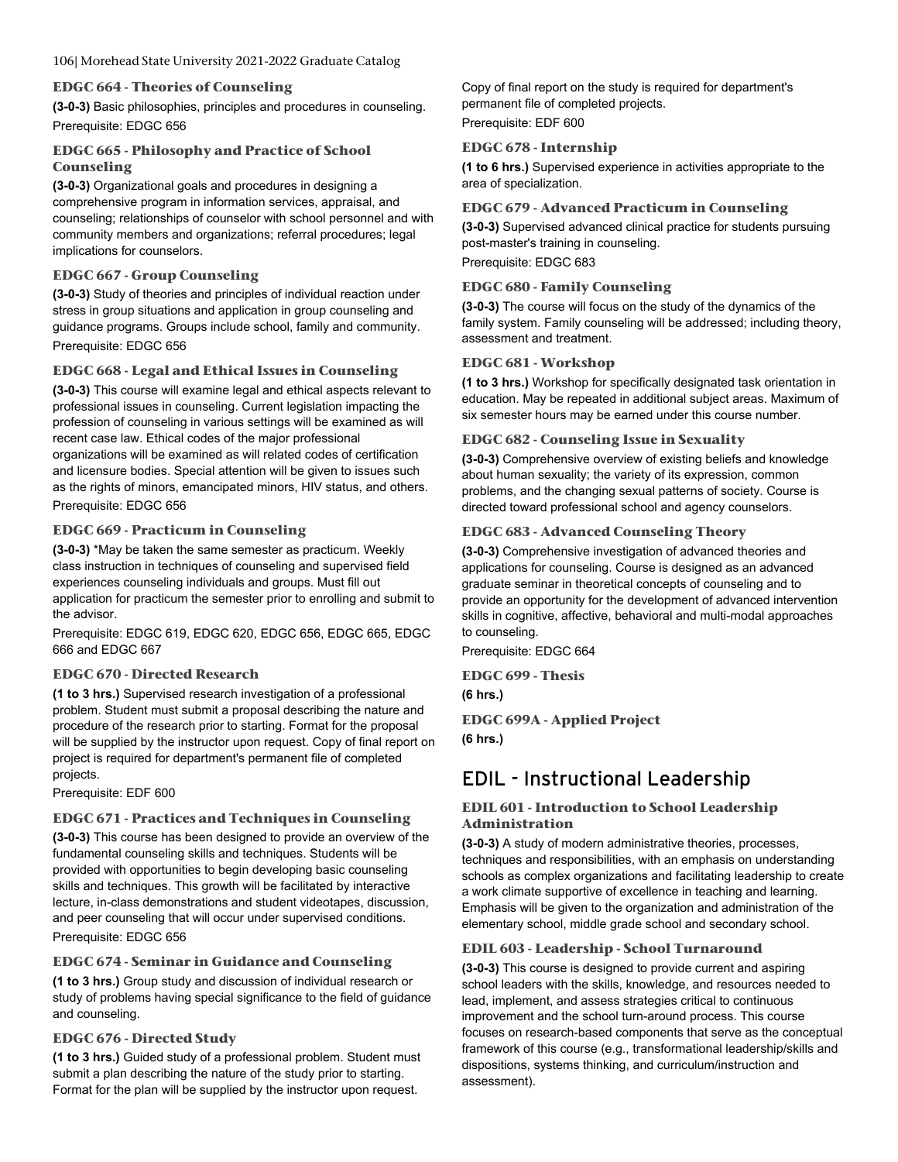# **EDGC 664 - Theories of Counseling**

**(3-0-3)** Basic philosophies, principles and procedures in counseling. Prerequisite: EDGC 656

# **EDGC 665 - Philosophy and Practice of School Counseling**

**(3-0-3)** Organizational goals and procedures in designing a comprehensive program in information services, appraisal, and counseling; relationships of counselor with school personnel and with community members and organizations; referral procedures; legal implications for counselors.

# **EDGC 667 - Group Counseling**

**(3-0-3)** Study of theories and principles of individual reaction under stress in group situations and application in group counseling and guidance programs. Groups include school, family and community. Prerequisite: EDGC 656

# **EDGC 668 - Legal and Ethical Issues in Counseling**

**(3-0-3)** This course will examine legal and ethical aspects relevant to professional issues in counseling. Current legislation impacting the profession of counseling in various settings will be examined as will recent case law. Ethical codes of the major professional organizations will be examined as will related codes of certification and licensure bodies. Special attention will be given to issues such as the rights of minors, emancipated minors, HIV status, and others. Prerequisite: EDGC 656

# **EDGC 669 - Practicum in Counseling**

**(3-0-3)** \*May be taken the same semester as practicum. Weekly class instruction in techniques of counseling and supervised field experiences counseling individuals and groups. Must fill out application for practicum the semester prior to enrolling and submit to the advisor.

Prerequisite: EDGC 619, EDGC 620, EDGC 656, EDGC 665, EDGC 666 and EDGC 667

# **EDGC 670 - Directed Research**

**(1 to 3 hrs.)** Supervised research investigation of a professional problem. Student must submit a proposal describing the nature and procedure of the research prior to starting. Format for the proposal will be supplied by the instructor upon request. Copy of final report on project is required for department's permanent file of completed projects.

Prerequisite: EDF 600

# **EDGC 671 - Practices and Techniques in Counseling**

**(3-0-3)** This course has been designed to provide an overview of the fundamental counseling skills and techniques. Students will be provided with opportunities to begin developing basic counseling skills and techniques. This growth will be facilitated by interactive lecture, in-class demonstrations and student videotapes, discussion, and peer counseling that will occur under supervised conditions. Prerequisite: EDGC 656

# **EDGC 674 - Seminar in Guidance and Counseling**

**(1 to 3 hrs.)** Group study and discussion of individual research or study of problems having special significance to the field of guidance and counseling.

# **EDGC 676 - Directed Study**

**(1 to 3 hrs.)** Guided study of a professional problem. Student must submit a plan describing the nature of the study prior to starting. Format for the plan will be supplied by the instructor upon request.

Copy of final report on the study is required for department's permanent file of completed projects.

Prerequisite: EDF 600

# **EDGC 678 - Internship**

**(1 to 6 hrs.)** Supervised experience in activities appropriate to the area of specialization.

# **EDGC 679 - Advanced Practicum in Counseling**

**(3-0-3)** Supervised advanced clinical practice for students pursuing post-master's training in counseling. Prerequisite: EDGC 683

# **EDGC 680 - Family Counseling**

**(3-0-3)** The course will focus on the study of the dynamics of the family system. Family counseling will be addressed; including theory, assessment and treatment.

# **EDGC 681 - Workshop**

**(1 to 3 hrs.)** Workshop for specifically designated task orientation in education. May be repeated in additional subject areas. Maximum of six semester hours may be earned under this course number.

# **EDGC 682 - Counseling Issue in Sexuality**

**(3-0-3)** Comprehensive overview of existing beliefs and knowledge about human sexuality; the variety of its expression, common problems, and the changing sexual patterns of society. Course is directed toward professional school and agency counselors.

# **EDGC 683 - Advanced Counseling Theory**

**(3-0-3)** Comprehensive investigation of advanced theories and applications for counseling. Course is designed as an advanced graduate seminar in theoretical concepts of counseling and to provide an opportunity for the development of advanced intervention skills in cognitive, affective, behavioral and multi-modal approaches to counseling.

Prerequisite: EDGC 664

**EDGC 699 - Thesis** 

**(6 hrs.)**

**EDGC 699A - Applied Project** 

**(6 hrs.)**

# EDIL - Instructional Leadership

# **EDIL 601 - Introduction to School Leadership Administration**

**(3-0-3)** A study of modern administrative theories, processes, techniques and responsibilities, with an emphasis on understanding schools as complex organizations and facilitating leadership to create a work climate supportive of excellence in teaching and learning. Emphasis will be given to the organization and administration of the elementary school, middle grade school and secondary school.

# **EDIL 603 - Leadership - School Turnaround**

**(3-0-3)** This course is designed to provide current and aspiring school leaders with the skills, knowledge, and resources needed to lead, implement, and assess strategies critical to continuous improvement and the school turn-around process. This course focuses on research-based components that serve as the conceptual framework of this course (e.g., transformational leadership/skills and dispositions, systems thinking, and curriculum/instruction and assessment).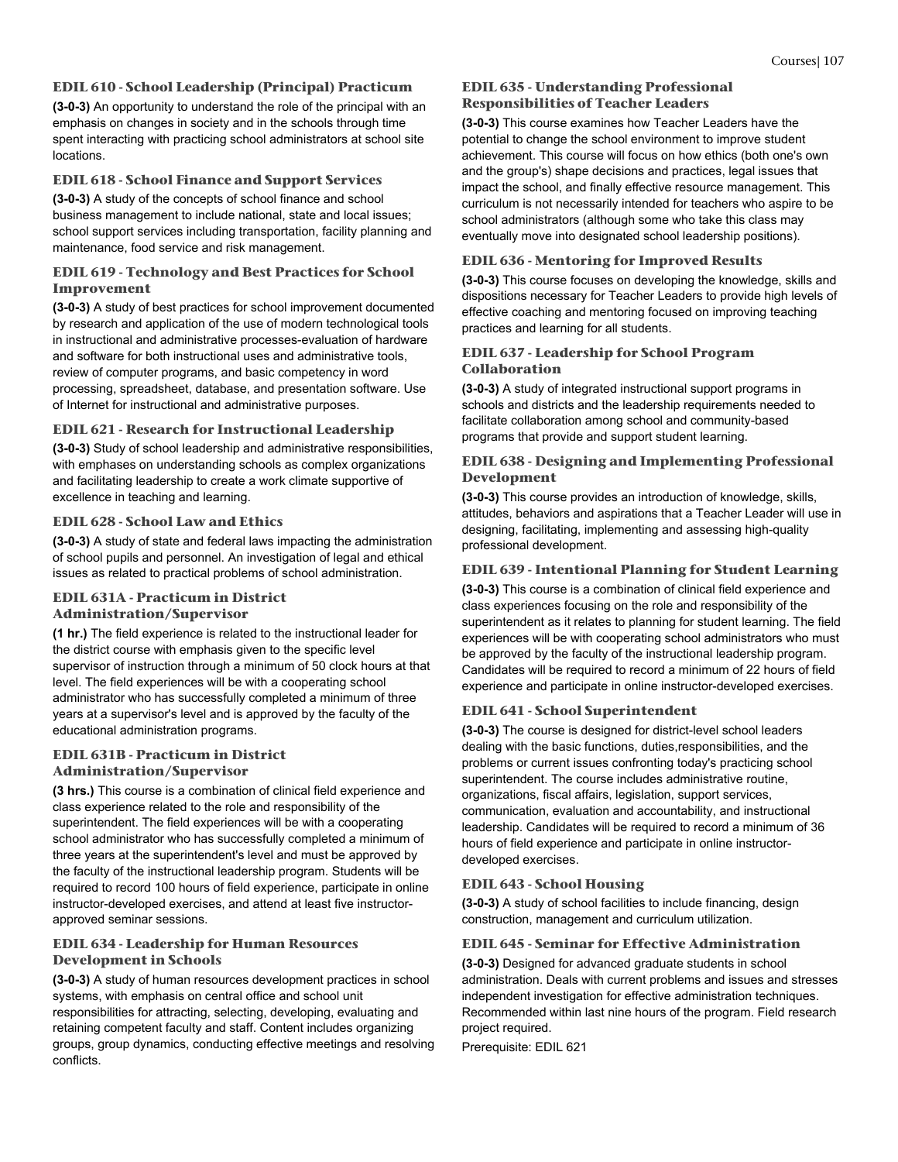# **EDIL 610 - School Leadership (Principal) Practicum**

**(3-0-3)** An opportunity to understand the role of the principal with an emphasis on changes in society and in the schools through time spent interacting with practicing school administrators at school site locations.

#### **EDIL 618 - School Finance and Support Services**

**(3-0-3)** A study of the concepts of school finance and school business management to include national, state and local issues; school support services including transportation, facility planning and maintenance, food service and risk management.

#### **EDIL 619 - Technology and Best Practices for School Improvement**

**(3-0-3)** A study of best practices for school improvement documented by research and application of the use of modern technological tools in instructional and administrative processes-evaluation of hardware and software for both instructional uses and administrative tools, review of computer programs, and basic competency in word processing, spreadsheet, database, and presentation software. Use of Internet for instructional and administrative purposes.

#### **EDIL 621 - Research for Instructional Leadership**

**(3-0-3)** Study of school leadership and administrative responsibilities, with emphases on understanding schools as complex organizations and facilitating leadership to create a work climate supportive of excellence in teaching and learning.

#### **EDIL 628 - School Law and Ethics**

**(3-0-3)** A study of state and federal laws impacting the administration of school pupils and personnel. An investigation of legal and ethical issues as related to practical problems of school administration.

#### **EDIL 631A - Practicum in District Administration/Supervisor**

**(1 hr.)** The field experience is related to the instructional leader for the district course with emphasis given to the specific level supervisor of instruction through a minimum of 50 clock hours at that level. The field experiences will be with a cooperating school administrator who has successfully completed a minimum of three years at a supervisor's level and is approved by the faculty of the educational administration programs.

#### **EDIL 631B - Practicum in District Administration/Supervisor**

**(3 hrs.)** This course is a combination of clinical field experience and class experience related to the role and responsibility of the superintendent. The field experiences will be with a cooperating school administrator who has successfully completed a minimum of three years at the superintendent's level and must be approved by the faculty of the instructional leadership program. Students will be required to record 100 hours of field experience, participate in online instructor-developed exercises, and attend at least five instructorapproved seminar sessions.

# **EDIL 634 - Leadership for Human Resources Development in Schools**

**(3-0-3)** A study of human resources development practices in school systems, with emphasis on central office and school unit responsibilities for attracting, selecting, developing, evaluating and retaining competent faculty and staff. Content includes organizing groups, group dynamics, conducting effective meetings and resolving conflicts.

#### **EDIL 635 - Understanding Professional Responsibilities of Teacher Leaders**

**(3-0-3)** This course examines how Teacher Leaders have the potential to change the school environment to improve student achievement. This course will focus on how ethics (both one's own and the group's) shape decisions and practices, legal issues that impact the school, and finally effective resource management. This curriculum is not necessarily intended for teachers who aspire to be school administrators (although some who take this class may eventually move into designated school leadership positions).

#### **EDIL 636 - Mentoring for Improved Results**

**(3-0-3)** This course focuses on developing the knowledge, skills and dispositions necessary for Teacher Leaders to provide high levels of effective coaching and mentoring focused on improving teaching practices and learning for all students.

# **EDIL 637 - Leadership for School Program Collaboration**

**(3-0-3)** A study of integrated instructional support programs in schools and districts and the leadership requirements needed to facilitate collaboration among school and community-based programs that provide and support student learning.

#### **EDIL 638 - Designing and Implementing Professional Development**

**(3-0-3)** This course provides an introduction of knowledge, skills, attitudes, behaviors and aspirations that a Teacher Leader will use in designing, facilitating, implementing and assessing high-quality professional development.

#### **EDIL 639 - Intentional Planning for Student Learning**

**(3-0-3)** This course is a combination of clinical field experience and class experiences focusing on the role and responsibility of the superintendent as it relates to planning for student learning. The field experiences will be with cooperating school administrators who must be approved by the faculty of the instructional leadership program. Candidates will be required to record a minimum of 22 hours of field experience and participate in online instructor-developed exercises.

#### **EDIL 641 - School Superintendent**

**(3-0-3)** The course is designed for district-level school leaders dealing with the basic functions, duties,responsibilities, and the problems or current issues confronting today's practicing school superintendent. The course includes administrative routine, organizations, fiscal affairs, legislation, support services, communication, evaluation and accountability, and instructional leadership. Candidates will be required to record a minimum of 36 hours of field experience and participate in online instructordeveloped exercises.

#### **EDIL 643 - School Housing**

**(3-0-3)** A study of school facilities to include financing, design construction, management and curriculum utilization.

#### **EDIL 645 - Seminar for Effective Administration**

**(3-0-3)** Designed for advanced graduate students in school administration. Deals with current problems and issues and stresses independent investigation for effective administration techniques. Recommended within last nine hours of the program. Field research project required.

Prerequisite: EDIL 621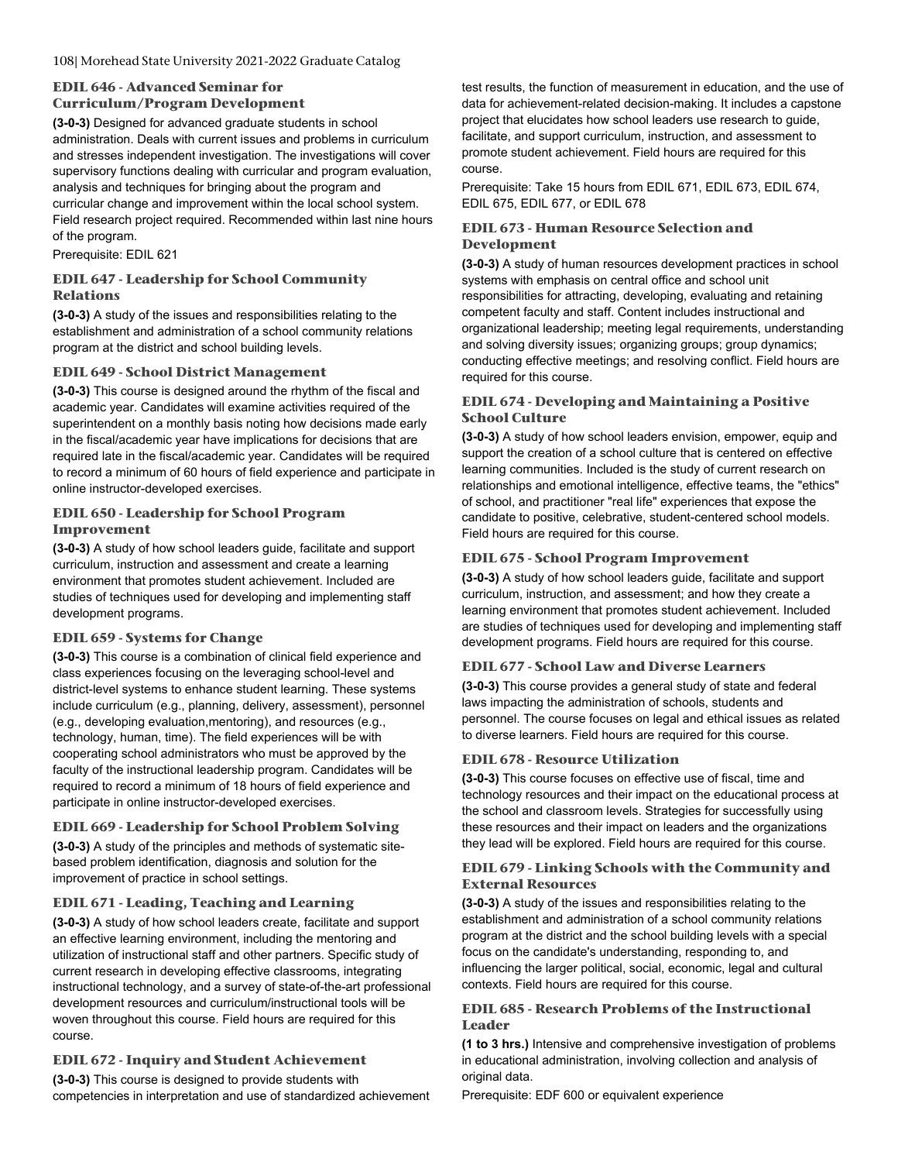# **EDIL 646 - Advanced Seminar for Curriculum/Program Development**

**(3-0-3)** Designed for advanced graduate students in school administration. Deals with current issues and problems in curriculum and stresses independent investigation. The investigations will cover supervisory functions dealing with curricular and program evaluation, analysis and techniques for bringing about the program and curricular change and improvement within the local school system. Field research project required. Recommended within last nine hours of the program.

Prerequisite: EDIL 621

# **EDIL 647 - Leadership for School Community Relations**

**(3-0-3)** A study of the issues and responsibilities relating to the establishment and administration of a school community relations program at the district and school building levels.

# **EDIL 649 - School District Management**

**(3-0-3)** This course is designed around the rhythm of the fiscal and academic year. Candidates will examine activities required of the superintendent on a monthly basis noting how decisions made early in the fiscal/academic year have implications for decisions that are required late in the fiscal/academic year. Candidates will be required to record a minimum of 60 hours of field experience and participate in online instructor-developed exercises.

# **EDIL 650 - Leadership for School Program Improvement**

**(3-0-3)** A study of how school leaders guide, facilitate and support curriculum, instruction and assessment and create a learning environment that promotes student achievement. Included are studies of techniques used for developing and implementing staff development programs.

# **EDIL 659 - Systems for Change**

**(3-0-3)** This course is a combination of clinical field experience and class experiences focusing on the leveraging school-level and district-level systems to enhance student learning. These systems include curriculum (e.g., planning, delivery, assessment), personnel (e.g., developing evaluation,mentoring), and resources (e.g., technology, human, time). The field experiences will be with cooperating school administrators who must be approved by the faculty of the instructional leadership program. Candidates will be required to record a minimum of 18 hours of field experience and participate in online instructor-developed exercises.

# **EDIL 669 - Leadership for School Problem Solving**

**(3-0-3)** A study of the principles and methods of systematic sitebased problem identification, diagnosis and solution for the improvement of practice in school settings.

# **EDIL 671 - Leading, Teaching and Learning**

**(3-0-3)** A study of how school leaders create, facilitate and support an effective learning environment, including the mentoring and utilization of instructional staff and other partners. Specific study of current research in developing effective classrooms, integrating instructional technology, and a survey of state-of-the-art professional development resources and curriculum/instructional tools will be woven throughout this course. Field hours are required for this course.

# **EDIL 672 - Inquiry and Student Achievement**

**(3-0-3)** This course is designed to provide students with competencies in interpretation and use of standardized achievement test results, the function of measurement in education, and the use of data for achievement-related decision-making. It includes a capstone project that elucidates how school leaders use research to guide, facilitate, and support curriculum, instruction, and assessment to promote student achievement. Field hours are required for this course.

Prerequisite: Take 15 hours from EDIL 671, EDIL 673, EDIL 674, EDIL 675, EDIL 677, or EDIL 678

# **EDIL 673 - Human Resource Selection and Development**

**(3-0-3)** A study of human resources development practices in school systems with emphasis on central office and school unit responsibilities for attracting, developing, evaluating and retaining competent faculty and staff. Content includes instructional and organizational leadership; meeting legal requirements, understanding and solving diversity issues; organizing groups; group dynamics; conducting effective meetings; and resolving conflict. Field hours are required for this course.

# **EDIL 674 - Developing and Maintaining a Positive School Culture**

**(3-0-3)** A study of how school leaders envision, empower, equip and support the creation of a school culture that is centered on effective learning communities. Included is the study of current research on relationships and emotional intelligence, effective teams, the "ethics" of school, and practitioner "real life" experiences that expose the candidate to positive, celebrative, student-centered school models. Field hours are required for this course.

# **EDIL 675 - School Program Improvement**

**(3-0-3)** A study of how school leaders guide, facilitate and support curriculum, instruction, and assessment; and how they create a learning environment that promotes student achievement. Included are studies of techniques used for developing and implementing staff development programs. Field hours are required for this course.

# **EDIL 677 - School Law and Diverse Learners**

**(3-0-3)** This course provides a general study of state and federal laws impacting the administration of schools, students and personnel. The course focuses on legal and ethical issues as related to diverse learners. Field hours are required for this course.

# **EDIL 678 - Resource Utilization**

**(3-0-3)** This course focuses on effective use of fiscal, time and technology resources and their impact on the educational process at the school and classroom levels. Strategies for successfully using these resources and their impact on leaders and the organizations they lead will be explored. Field hours are required for this course.

#### **EDIL 679 - Linking Schools with the Community and External Resources**

**(3-0-3)** A study of the issues and responsibilities relating to the establishment and administration of a school community relations program at the district and the school building levels with a special focus on the candidate's understanding, responding to, and influencing the larger political, social, economic, legal and cultural contexts. Field hours are required for this course.

# **EDIL 685 - Research Problems of the Instructional Leader**

**(1 to 3 hrs.)** Intensive and comprehensive investigation of problems in educational administration, involving collection and analysis of original data.

Prerequisite: EDF 600 or equivalent experience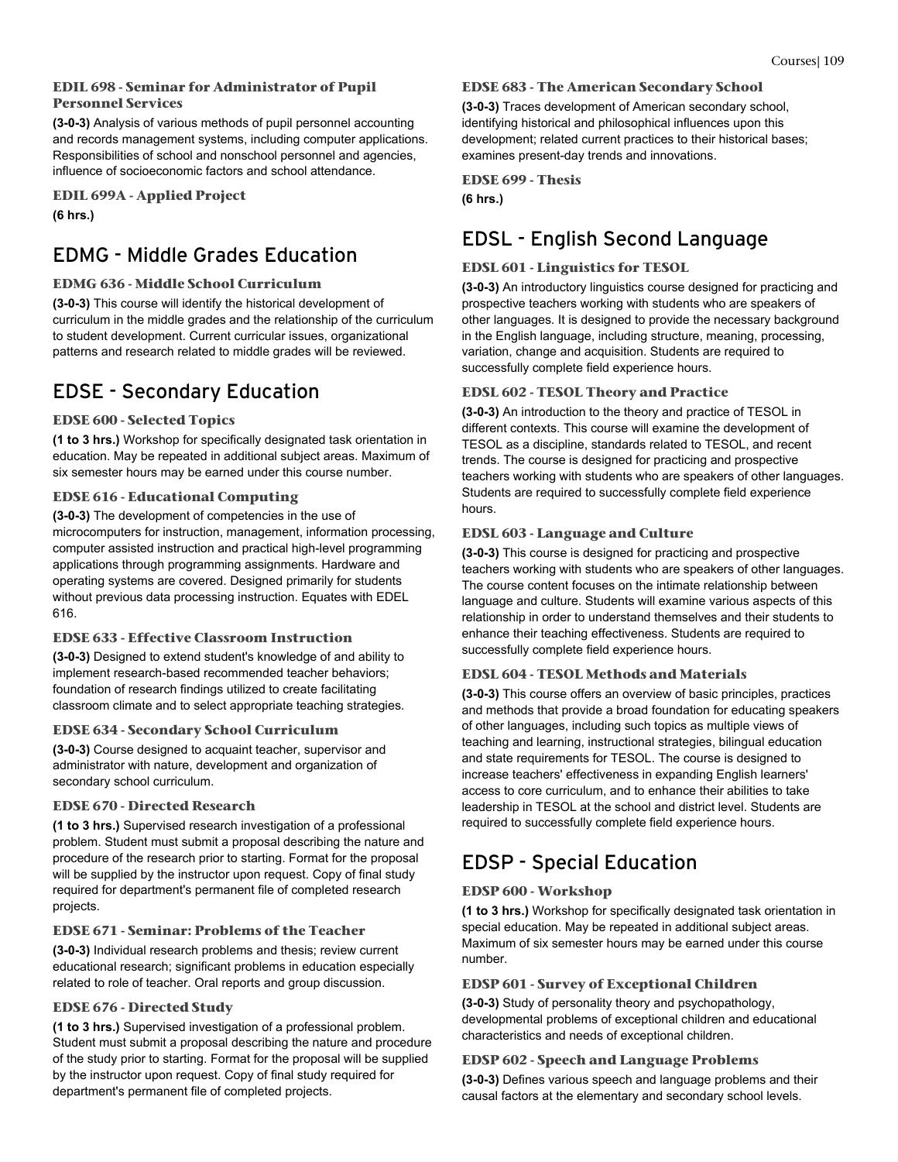# **EDIL 698 - Seminar for Administrator of Pupil Personnel Services**

**(3-0-3)** Analysis of various methods of pupil personnel accounting and records management systems, including computer applications. Responsibilities of school and nonschool personnel and agencies, influence of socioeconomic factors and school attendance.

#### **EDIL 699A - Applied Project**

**(6 hrs.)**

# EDMG - Middle Grades Education

# **EDMG 636 - Middle School Curriculum**

**(3-0-3)** This course will identify the historical development of curriculum in the middle grades and the relationship of the curriculum to student development. Current curricular issues, organizational patterns and research related to middle grades will be reviewed.

# EDSE - Secondary Education

# **EDSE 600 - Selected Topics**

**(1 to 3 hrs.)** Workshop for specifically designated task orientation in education. May be repeated in additional subject areas. Maximum of six semester hours may be earned under this course number.

### **EDSE 616 - Educational Computing**

**(3-0-3)** The development of competencies in the use of microcomputers for instruction, management, information processing, computer assisted instruction and practical high-level programming applications through programming assignments. Hardware and operating systems are covered. Designed primarily for students without previous data processing instruction. Equates with EDEL 616.

### **EDSE 633 - Effective Classroom Instruction**

**(3-0-3)** Designed to extend student's knowledge of and ability to implement research-based recommended teacher behaviors; foundation of research findings utilized to create facilitating classroom climate and to select appropriate teaching strategies.

### **EDSE 634 - Secondary School Curriculum**

**(3-0-3)** Course designed to acquaint teacher, supervisor and administrator with nature, development and organization of secondary school curriculum.

### **EDSE 670 - Directed Research**

**(1 to 3 hrs.)** Supervised research investigation of a professional problem. Student must submit a proposal describing the nature and procedure of the research prior to starting. Format for the proposal will be supplied by the instructor upon request. Copy of final study required for department's permanent file of completed research projects.

### **EDSE 671 - Seminar: Problems of the Teacher**

**(3-0-3)** Individual research problems and thesis; review current educational research; significant problems in education especially related to role of teacher. Oral reports and group discussion.

### **EDSE 676 - Directed Study**

**(1 to 3 hrs.)** Supervised investigation of a professional problem. Student must submit a proposal describing the nature and procedure of the study prior to starting. Format for the proposal will be supplied by the instructor upon request. Copy of final study required for department's permanent file of completed projects.

#### **EDSE 683 - The American Secondary School**

**(3-0-3)** Traces development of American secondary school, identifying historical and philosophical influences upon this development; related current practices to their historical bases; examines present-day trends and innovations.

**EDSE 699 - Thesis (6 hrs.)**

# EDSL - English Second Language

# **EDSL 601 - Linguistics for TESOL**

**(3-0-3)** An introductory linguistics course designed for practicing and prospective teachers working with students who are speakers of other languages. It is designed to provide the necessary background in the English language, including structure, meaning, processing, variation, change and acquisition. Students are required to successfully complete field experience hours.

# **EDSL 602 - TESOL Theory and Practice**

**(3-0-3)** An introduction to the theory and practice of TESOL in different contexts. This course will examine the development of TESOL as a discipline, standards related to TESOL, and recent trends. The course is designed for practicing and prospective teachers working with students who are speakers of other languages. Students are required to successfully complete field experience hours.

# **EDSL 603 - Language and Culture**

**(3-0-3)** This course is designed for practicing and prospective teachers working with students who are speakers of other languages. The course content focuses on the intimate relationship between language and culture. Students will examine various aspects of this relationship in order to understand themselves and their students to enhance their teaching effectiveness. Students are required to successfully complete field experience hours.

### **EDSL 604 - TESOL Methods and Materials**

**(3-0-3)** This course offers an overview of basic principles, practices and methods that provide a broad foundation for educating speakers of other languages, including such topics as multiple views of teaching and learning, instructional strategies, bilingual education and state requirements for TESOL. The course is designed to increase teachers' effectiveness in expanding English learners' access to core curriculum, and to enhance their abilities to take leadership in TESOL at the school and district level. Students are required to successfully complete field experience hours.

# EDSP - Special Education

### **EDSP 600 - Workshop**

**(1 to 3 hrs.)** Workshop for specifically designated task orientation in special education. May be repeated in additional subject areas. Maximum of six semester hours may be earned under this course number.

### **EDSP 601 - Survey of Exceptional Children**

**(3-0-3)** Study of personality theory and psychopathology, developmental problems of exceptional children and educational characteristics and needs of exceptional children.

### **EDSP 602 - Speech and Language Problems**

**(3-0-3)** Defines various speech and language problems and their causal factors at the elementary and secondary school levels.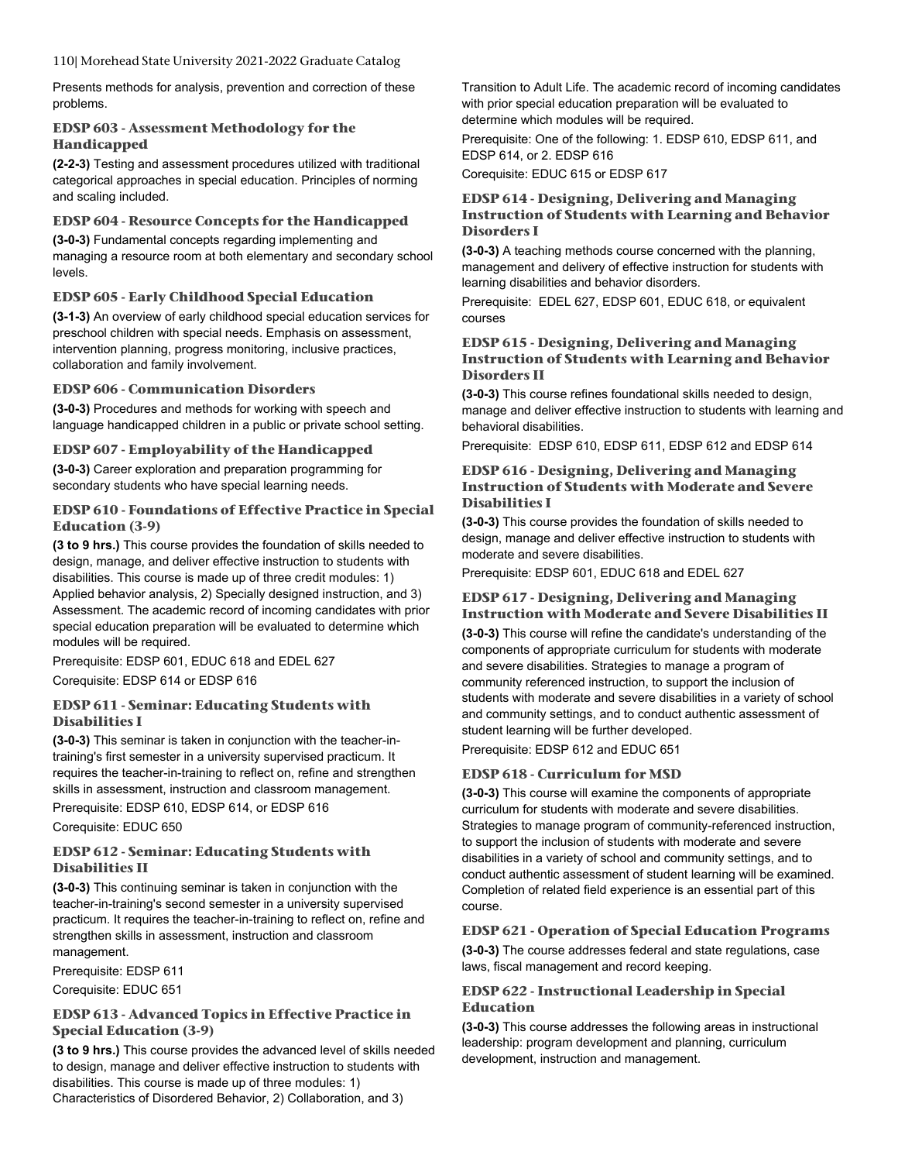Presents methods for analysis, prevention and correction of these problems.

# **EDSP 603 - Assessment Methodology for the Handicapped**

**(2-2-3)** Testing and assessment procedures utilized with traditional categorical approaches in special education. Principles of norming and scaling included.

# **EDSP 604 - Resource Concepts for the Handicapped**

**(3-0-3)** Fundamental concepts regarding implementing and managing a resource room at both elementary and secondary school levels.

# **EDSP 605 - Early Childhood Special Education**

**(3-1-3)** An overview of early childhood special education services for preschool children with special needs. Emphasis on assessment, intervention planning, progress monitoring, inclusive practices, collaboration and family involvement.

# **EDSP 606 - Communication Disorders**

**(3-0-3)** Procedures and methods for working with speech and language handicapped children in a public or private school setting.

# **EDSP 607 - Employability of the Handicapped**

**(3-0-3)** Career exploration and preparation programming for secondary students who have special learning needs.

### **EDSP 610 - Foundations of Effective Practice in Special Education (3-9)**

**(3 to 9 hrs.)** This course provides the foundation of skills needed to design, manage, and deliver effective instruction to students with disabilities. This course is made up of three credit modules: 1) Applied behavior analysis, 2) Specially designed instruction, and 3) Assessment. The academic record of incoming candidates with prior special education preparation will be evaluated to determine which modules will be required.

Prerequisite: EDSP 601, EDUC 618 and EDEL 627 Corequisite: EDSP 614 or EDSP 616

# **EDSP 611 - Seminar: Educating Students with Disabilities I**

**(3-0-3)** This seminar is taken in conjunction with the teacher-intraining's first semester in a university supervised practicum. It requires the teacher-in-training to reflect on, refine and strengthen skills in assessment, instruction and classroom management.

Prerequisite: EDSP 610, EDSP 614, or EDSP 616

Corequisite: EDUC 650

# **EDSP 612 - Seminar: Educating Students with Disabilities II**

**(3-0-3)** This continuing seminar is taken in conjunction with the teacher-in-training's second semester in a university supervised practicum. It requires the teacher-in-training to reflect on, refine and strengthen skills in assessment, instruction and classroom management.

Prerequisite: EDSP 611

Corequisite: EDUC 651

# **EDSP 613 - Advanced Topics in Effective Practice in Special Education (3-9)**

**(3 to 9 hrs.)** This course provides the advanced level of skills needed to design, manage and deliver effective instruction to students with disabilities. This course is made up of three modules: 1) Characteristics of Disordered Behavior, 2) Collaboration, and 3)

Transition to Adult Life. The academic record of incoming candidates with prior special education preparation will be evaluated to determine which modules will be required.

Prerequisite: One of the following: 1. EDSP 610, EDSP 611, and EDSP 614, or 2. EDSP 616

Corequisite: EDUC 615 or EDSP 617

# **EDSP 614 - Designing, Delivering and Managing Instruction of Students with Learning and Behavior Disorders I**

**(3-0-3)** A teaching methods course concerned with the planning, management and delivery of effective instruction for students with learning disabilities and behavior disorders.

Prerequisite: EDEL 627, EDSP 601, EDUC 618, or equivalent courses

# **EDSP 615 - Designing, Delivering and Managing Instruction of Students with Learning and Behavior Disorders II**

**(3-0-3)** This course refines foundational skills needed to design, manage and deliver effective instruction to students with learning and behavioral disabilities.

Prerequisite: EDSP 610, EDSP 611, EDSP 612 and EDSP 614

### **EDSP 616 - Designing, Delivering and Managing Instruction of Students with Moderate and Severe Disabilities I**

**(3-0-3)** This course provides the foundation of skills needed to design, manage and deliver effective instruction to students with moderate and severe disabilities.

Prerequisite: EDSP 601, EDUC 618 and EDEL 627

### **EDSP 617 - Designing, Delivering and Managing Instruction with Moderate and Severe Disabilities II**

**(3-0-3)** This course will refine the candidate's understanding of the components of appropriate curriculum for students with moderate and severe disabilities. Strategies to manage a program of community referenced instruction, to support the inclusion of students with moderate and severe disabilities in a variety of school and community settings, and to conduct authentic assessment of student learning will be further developed. Prerequisite: EDSP 612 and EDUC 651

# **EDSP 618 - Curriculum for MSD**

**(3-0-3)** This course will examine the components of appropriate curriculum for students with moderate and severe disabilities. Strategies to manage program of community-referenced instruction, to support the inclusion of students with moderate and severe disabilities in a variety of school and community settings, and to conduct authentic assessment of student learning will be examined. Completion of related field experience is an essential part of this course.

### **EDSP 621 - Operation of Special Education Programs**

**(3-0-3)** The course addresses federal and state regulations, case laws, fiscal management and record keeping.

# **EDSP 622 - Instructional Leadership in Special Education**

**(3-0-3)** This course addresses the following areas in instructional leadership: program development and planning, curriculum development, instruction and management.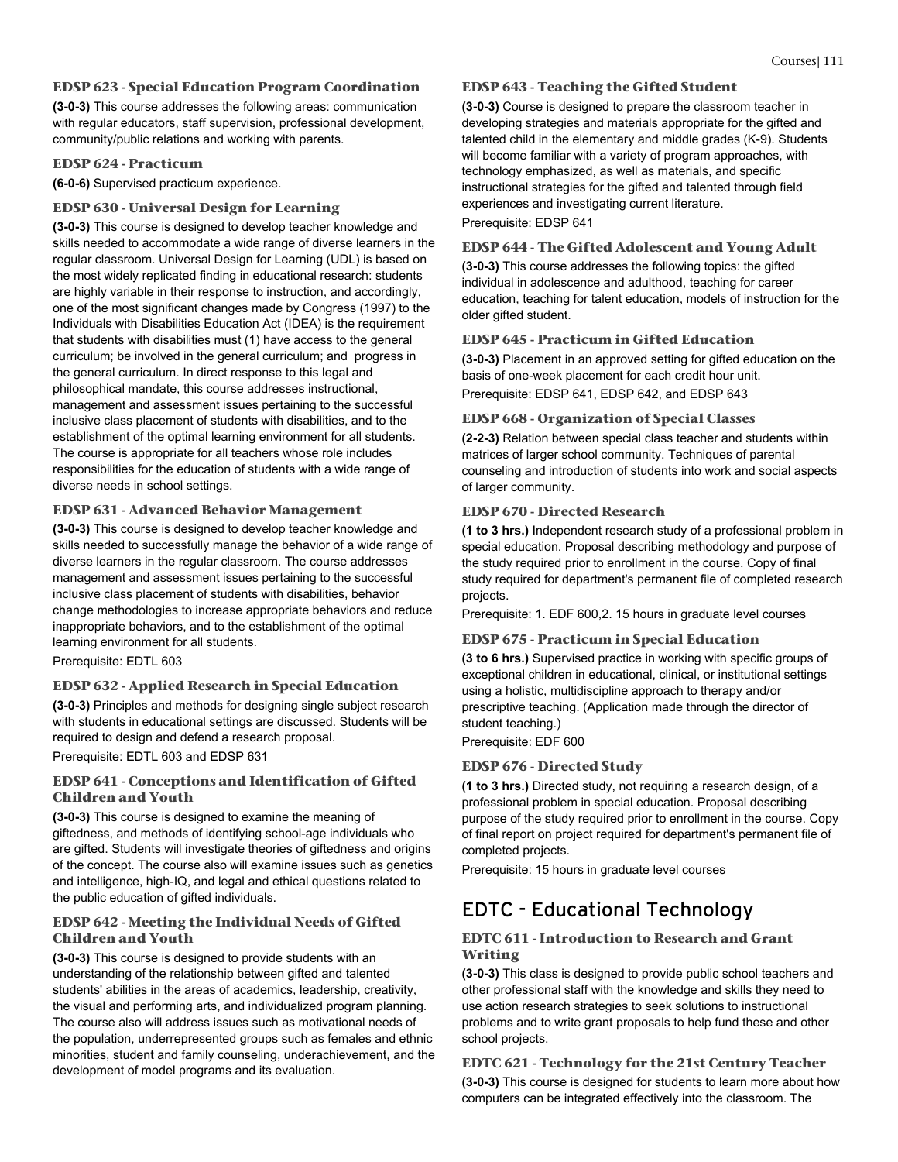#### **EDSP 623 - Special Education Program Coordination**

**(3-0-3)** This course addresses the following areas: communication with regular educators, staff supervision, professional development, community/public relations and working with parents.

#### **EDSP 624 - Practicum**

**(6-0-6)** Supervised practicum experience.

#### **EDSP 630 - Universal Design for Learning**

**(3-0-3)** This course is designed to develop teacher knowledge and skills needed to accommodate a wide range of diverse learners in the regular classroom. Universal Design for Learning (UDL) is based on the most widely replicated finding in educational research: students are highly variable in their response to instruction, and accordingly, one of the most significant changes made by Congress (1997) to the Individuals with Disabilities Education Act (IDEA) is the requirement that students with disabilities must (1) have access to the general curriculum; be involved in the general curriculum; and progress in the general curriculum. In direct response to this legal and philosophical mandate, this course addresses instructional, management and assessment issues pertaining to the successful inclusive class placement of students with disabilities, and to the establishment of the optimal learning environment for all students. The course is appropriate for all teachers whose role includes responsibilities for the education of students with a wide range of diverse needs in school settings.

#### **EDSP 631 - Advanced Behavior Management**

**(3-0-3)** This course is designed to develop teacher knowledge and skills needed to successfully manage the behavior of a wide range of diverse learners in the regular classroom. The course addresses management and assessment issues pertaining to the successful inclusive class placement of students with disabilities, behavior change methodologies to increase appropriate behaviors and reduce inappropriate behaviors, and to the establishment of the optimal learning environment for all students.

Prerequisite: EDTL 603

### **EDSP 632 - Applied Research in Special Education**

**(3-0-3)** Principles and methods for designing single subject research with students in educational settings are discussed. Students will be required to design and defend a research proposal.

Prerequisite: EDTL 603 and EDSP 631

#### **EDSP 641 - Conceptions and Identification of Gifted Children and Youth**

**(3-0-3)** This course is designed to examine the meaning of giftedness, and methods of identifying school-age individuals who are gifted. Students will investigate theories of giftedness and origins of the concept. The course also will examine issues such as genetics and intelligence, high-IQ, and legal and ethical questions related to the public education of gifted individuals.

### **EDSP 642 - Meeting the Individual Needs of Gifted Children and Youth**

**(3-0-3)** This course is designed to provide students with an understanding of the relationship between gifted and talented students' abilities in the areas of academics, leadership, creativity, the visual and performing arts, and individualized program planning. The course also will address issues such as motivational needs of the population, underrepresented groups such as females and ethnic minorities, student and family counseling, underachievement, and the development of model programs and its evaluation.

### **EDSP 643 - Teaching the Gifted Student**

**(3-0-3)** Course is designed to prepare the classroom teacher in developing strategies and materials appropriate for the gifted and talented child in the elementary and middle grades (K-9). Students will become familiar with a variety of program approaches, with technology emphasized, as well as materials, and specific instructional strategies for the gifted and talented through field experiences and investigating current literature.

Prerequisite: EDSP 641

#### **EDSP 644 - The Gifted Adolescent and Young Adult**

**(3-0-3)** This course addresses the following topics: the gifted individual in adolescence and adulthood, teaching for career education, teaching for talent education, models of instruction for the older gifted student.

#### **EDSP 645 - Practicum in Gifted Education**

**(3-0-3)** Placement in an approved setting for gifted education on the basis of one-week placement for each credit hour unit. Prerequisite: EDSP 641, EDSP 642, and EDSP 643

#### **EDSP 668 - Organization of Special Classes**

**(2-2-3)** Relation between special class teacher and students within matrices of larger school community. Techniques of parental counseling and introduction of students into work and social aspects of larger community.

#### **EDSP 670 - Directed Research**

**(1 to 3 hrs.)** Independent research study of a professional problem in special education. Proposal describing methodology and purpose of the study required prior to enrollment in the course. Copy of final study required for department's permanent file of completed research projects.

Prerequisite: 1. EDF 600,2. 15 hours in graduate level courses

#### **EDSP 675 - Practicum in Special Education**

**(3 to 6 hrs.)** Supervised practice in working with specific groups of exceptional children in educational, clinical, or institutional settings using a holistic, multidiscipline approach to therapy and/or prescriptive teaching. (Application made through the director of student teaching.)

Prerequisite: EDF 600

### **EDSP 676 - Directed Study**

**(1 to 3 hrs.)** Directed study, not requiring a research design, of a professional problem in special education. Proposal describing purpose of the study required prior to enrollment in the course. Copy of final report on project required for department's permanent file of completed projects.

Prerequisite: 15 hours in graduate level courses

# EDTC - Educational Technology

# **EDTC 611 - Introduction to Research and Grant Writing**

**(3-0-3)** This class is designed to provide public school teachers and other professional staff with the knowledge and skills they need to use action research strategies to seek solutions to instructional problems and to write grant proposals to help fund these and other school projects.

### **EDTC 621 - Technology for the 21st Century Teacher**

**(3-0-3)** This course is designed for students to learn more about how computers can be integrated effectively into the classroom. The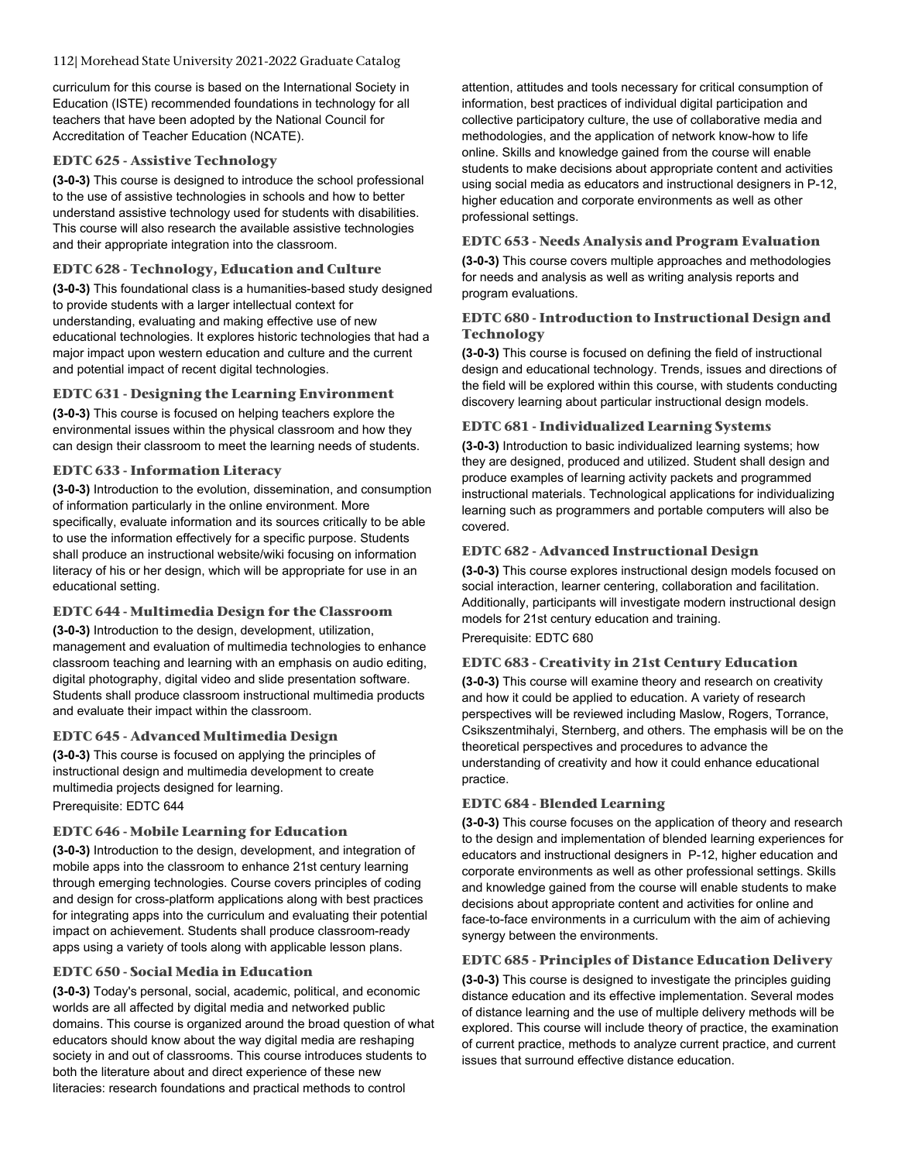curriculum for this course is based on the International Society in Education (ISTE) recommended foundations in technology for all teachers that have been adopted by the National Council for Accreditation of Teacher Education (NCATE).

#### **EDTC 625 - Assistive Technology**

**(3-0-3)** This course is designed to introduce the school professional to the use of assistive technologies in schools and how to better understand assistive technology used for students with disabilities. This course will also research the available assistive technologies and their appropriate integration into the classroom.

### **EDTC 628 - Technology, Education and Culture**

**(3-0-3)** This foundational class is a humanities-based study designed to provide students with a larger intellectual context for understanding, evaluating and making effective use of new educational technologies. It explores historic technologies that had a major impact upon western education and culture and the current and potential impact of recent digital technologies.

#### **EDTC 631 - Designing the Learning Environment**

**(3-0-3)** This course is focused on helping teachers explore the environmental issues within the physical classroom and how they can design their classroom to meet the learning needs of students.

#### **EDTC 633 - Information Literacy**

**(3-0-3)** Introduction to the evolution, dissemination, and consumption of information particularly in the online environment. More specifically, evaluate information and its sources critically to be able to use the information effectively for a specific purpose. Students shall produce an instructional website/wiki focusing on information literacy of his or her design, which will be appropriate for use in an educational setting.

### **EDTC 644 - Multimedia Design for the Classroom**

**(3-0-3)** Introduction to the design, development, utilization, management and evaluation of multimedia technologies to enhance classroom teaching and learning with an emphasis on audio editing, digital photography, digital video and slide presentation software. Students shall produce classroom instructional multimedia products and evaluate their impact within the classroom.

### **EDTC 645 - Advanced Multimedia Design**

**(3-0-3)** This course is focused on applying the principles of instructional design and multimedia development to create multimedia projects designed for learning. Prerequisite: EDTC 644

# **EDTC 646 - Mobile Learning for Education**

**(3-0-3)** Introduction to the design, development, and integration of mobile apps into the classroom to enhance 21st century learning through emerging technologies. Course covers principles of coding and design for cross-platform applications along with best practices for integrating apps into the curriculum and evaluating their potential impact on achievement. Students shall produce classroom-ready apps using a variety of tools along with applicable lesson plans.

# **EDTC 650 - Social Media in Education**

**(3-0-3)** Today's personal, social, academic, political, and economic worlds are all affected by digital media and networked public domains. This course is organized around the broad question of what educators should know about the way digital media are reshaping society in and out of classrooms. This course introduces students to both the literature about and direct experience of these new literacies: research foundations and practical methods to control

attention, attitudes and tools necessary for critical consumption of information, best practices of individual digital participation and collective participatory culture, the use of collaborative media and methodologies, and the application of network know-how to life online. Skills and knowledge gained from the course will enable students to make decisions about appropriate content and activities using social media as educators and instructional designers in P-12, higher education and corporate environments as well as other professional settings.

#### **EDTC 653 - Needs Analysis and Program Evaluation**

**(3-0-3)** This course covers multiple approaches and methodologies for needs and analysis as well as writing analysis reports and program evaluations.

### **EDTC 680 - Introduction to Instructional Design and Technology**

**(3-0-3)** This course is focused on defining the field of instructional design and educational technology. Trends, issues and directions of the field will be explored within this course, with students conducting discovery learning about particular instructional design models.

#### **EDTC 681 - Individualized Learning Systems**

**(3-0-3)** Introduction to basic individualized learning systems; how they are designed, produced and utilized. Student shall design and produce examples of learning activity packets and programmed instructional materials. Technological applications for individualizing learning such as programmers and portable computers will also be covered.

#### **EDTC 682 - Advanced Instructional Design**

**(3-0-3)** This course explores instructional design models focused on social interaction, learner centering, collaboration and facilitation. Additionally, participants will investigate modern instructional design models for 21st century education and training.

# Prerequisite: EDTC 680

#### **EDTC 683 - Creativity in 21st Century Education**

**(3-0-3)** This course will examine theory and research on creativity and how it could be applied to education. A variety of research perspectives will be reviewed including Maslow, Rogers, Torrance, Csikszentmihalyi, Sternberg, and others. The emphasis will be on the theoretical perspectives and procedures to advance the understanding of creativity and how it could enhance educational practice.

#### **EDTC 684 - Blended Learning**

**(3-0-3)** This course focuses on the application of theory and research to the design and implementation of blended learning experiences for educators and instructional designers in P-12, higher education and corporate environments as well as other professional settings. Skills and knowledge gained from the course will enable students to make decisions about appropriate content and activities for online and face-to-face environments in a curriculum with the aim of achieving synergy between the environments.

# **EDTC 685 - Principles of Distance Education Delivery**

**(3-0-3)** This course is designed to investigate the principles guiding distance education and its effective implementation. Several modes of distance learning and the use of multiple delivery methods will be explored. This course will include theory of practice, the examination of current practice, methods to analyze current practice, and current issues that surround effective distance education.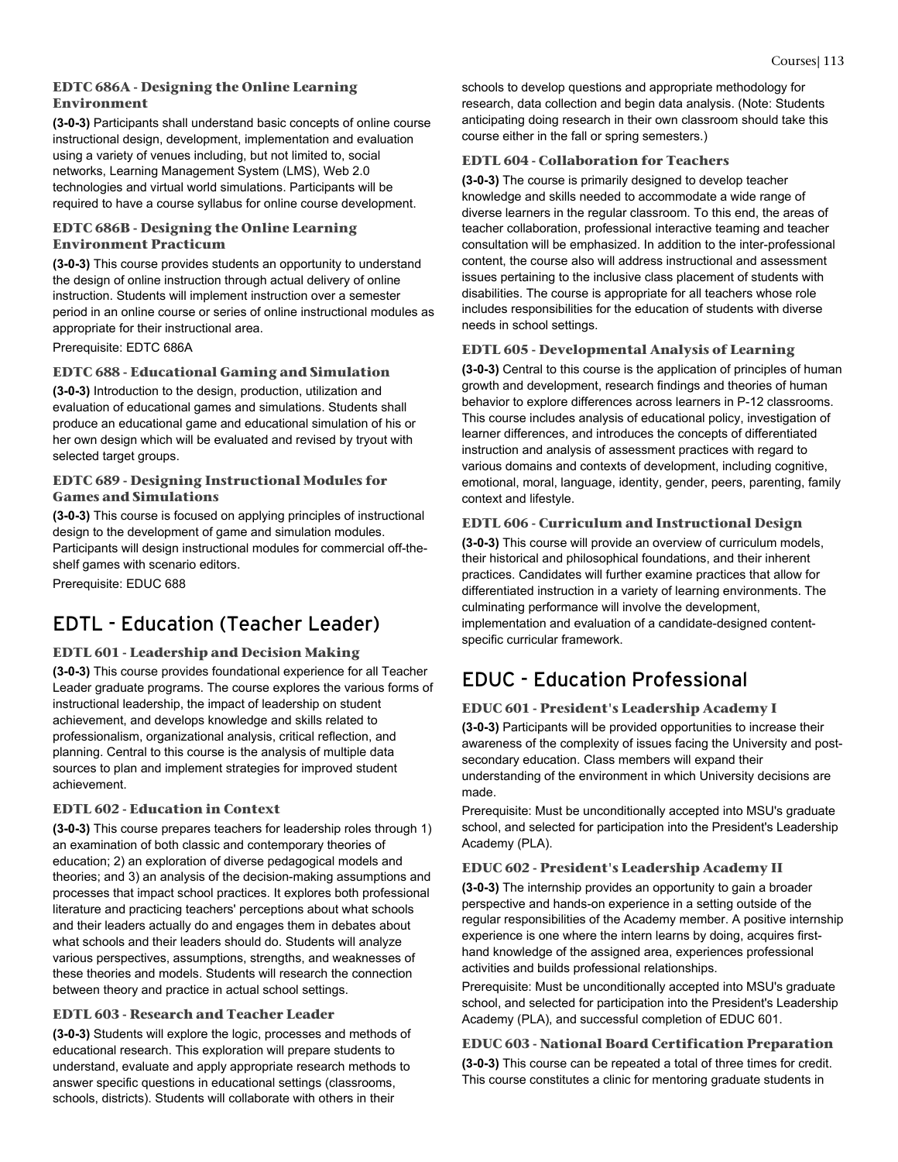# **EDTC 686A - Designing the Online Learning Environment**

**(3-0-3)** Participants shall understand basic concepts of online course instructional design, development, implementation and evaluation using a variety of venues including, but not limited to, social networks, Learning Management System (LMS), Web 2.0 technologies and virtual world simulations. Participants will be required to have a course syllabus for online course development.

#### **EDTC 686B - Designing the Online Learning Environment Practicum**

**(3-0-3)** This course provides students an opportunity to understand the design of online instruction through actual delivery of online instruction. Students will implement instruction over a semester period in an online course or series of online instructional modules as appropriate for their instructional area.

Prerequisite: EDTC 686A

# **EDTC 688 - Educational Gaming and Simulation**

**(3-0-3)** Introduction to the design, production, utilization and evaluation of educational games and simulations. Students shall produce an educational game and educational simulation of his or her own design which will be evaluated and revised by tryout with selected target groups.

#### **EDTC 689 - Designing Instructional Modules for Games and Simulations**

**(3-0-3)** This course is focused on applying principles of instructional design to the development of game and simulation modules. Participants will design instructional modules for commercial off-theshelf games with scenario editors.

Prerequisite: EDUC 688

# EDTL - Education (Teacher Leader)

### **EDTL 601 - Leadership and Decision Making**

**(3-0-3)** This course provides foundational experience for all Teacher Leader graduate programs. The course explores the various forms of instructional leadership, the impact of leadership on student achievement, and develops knowledge and skills related to professionalism, organizational analysis, critical reflection, and planning. Central to this course is the analysis of multiple data sources to plan and implement strategies for improved student achievement.

### **EDTL 602 - Education in Context**

**(3-0-3)** This course prepares teachers for leadership roles through 1) an examination of both classic and contemporary theories of education; 2) an exploration of diverse pedagogical models and theories; and 3) an analysis of the decision-making assumptions and processes that impact school practices. It explores both professional literature and practicing teachers' perceptions about what schools and their leaders actually do and engages them in debates about what schools and their leaders should do. Students will analyze various perspectives, assumptions, strengths, and weaknesses of these theories and models. Students will research the connection between theory and practice in actual school settings.

### **EDTL 603 - Research and Teacher Leader**

**(3-0-3)** Students will explore the logic, processes and methods of educational research. This exploration will prepare students to understand, evaluate and apply appropriate research methods to answer specific questions in educational settings (classrooms, schools, districts). Students will collaborate with others in their

schools to develop questions and appropriate methodology for research, data collection and begin data analysis. (Note: Students anticipating doing research in their own classroom should take this course either in the fall or spring semesters.)

#### **EDTL 604 - Collaboration for Teachers**

**(3-0-3)** The course is primarily designed to develop teacher knowledge and skills needed to accommodate a wide range of diverse learners in the regular classroom. To this end, the areas of teacher collaboration, professional interactive teaming and teacher consultation will be emphasized. In addition to the inter-professional content, the course also will address instructional and assessment issues pertaining to the inclusive class placement of students with disabilities. The course is appropriate for all teachers whose role includes responsibilities for the education of students with diverse needs in school settings.

#### **EDTL 605 - Developmental Analysis of Learning**

**(3-0-3)** Central to this course is the application of principles of human growth and development, research findings and theories of human behavior to explore differences across learners in P-12 classrooms. This course includes analysis of educational policy, investigation of learner differences, and introduces the concepts of differentiated instruction and analysis of assessment practices with regard to various domains and contexts of development, including cognitive, emotional, moral, language, identity, gender, peers, parenting, family context and lifestyle.

### **EDTL 606 - Curriculum and Instructional Design**

**(3-0-3)** This course will provide an overview of curriculum models, their historical and philosophical foundations, and their inherent practices. Candidates will further examine practices that allow for differentiated instruction in a variety of learning environments. The culminating performance will involve the development, implementation and evaluation of a candidate-designed contentspecific curricular framework.

# EDUC - Education Professional

### **EDUC 601 - President's Leadership Academy I**

**(3-0-3)** Participants will be provided opportunities to increase their awareness of the complexity of issues facing the University and postsecondary education. Class members will expand their understanding of the environment in which University decisions are made.

Prerequisite: Must be unconditionally accepted into MSU's graduate school, and selected for participation into the President's Leadership Academy (PLA).

### **EDUC 602 - President's Leadership Academy II**

**(3-0-3)** The internship provides an opportunity to gain a broader perspective and hands-on experience in a setting outside of the regular responsibilities of the Academy member. A positive internship experience is one where the intern learns by doing, acquires firsthand knowledge of the assigned area, experiences professional activities and builds professional relationships.

Prerequisite: Must be unconditionally accepted into MSU's graduate school, and selected for participation into the President's Leadership Academy (PLA), and successful completion of EDUC 601.

**EDUC 603 - National Board Certification Preparation (3-0-3)** This course can be repeated a total of three times for credit. This course constitutes a clinic for mentoring graduate students in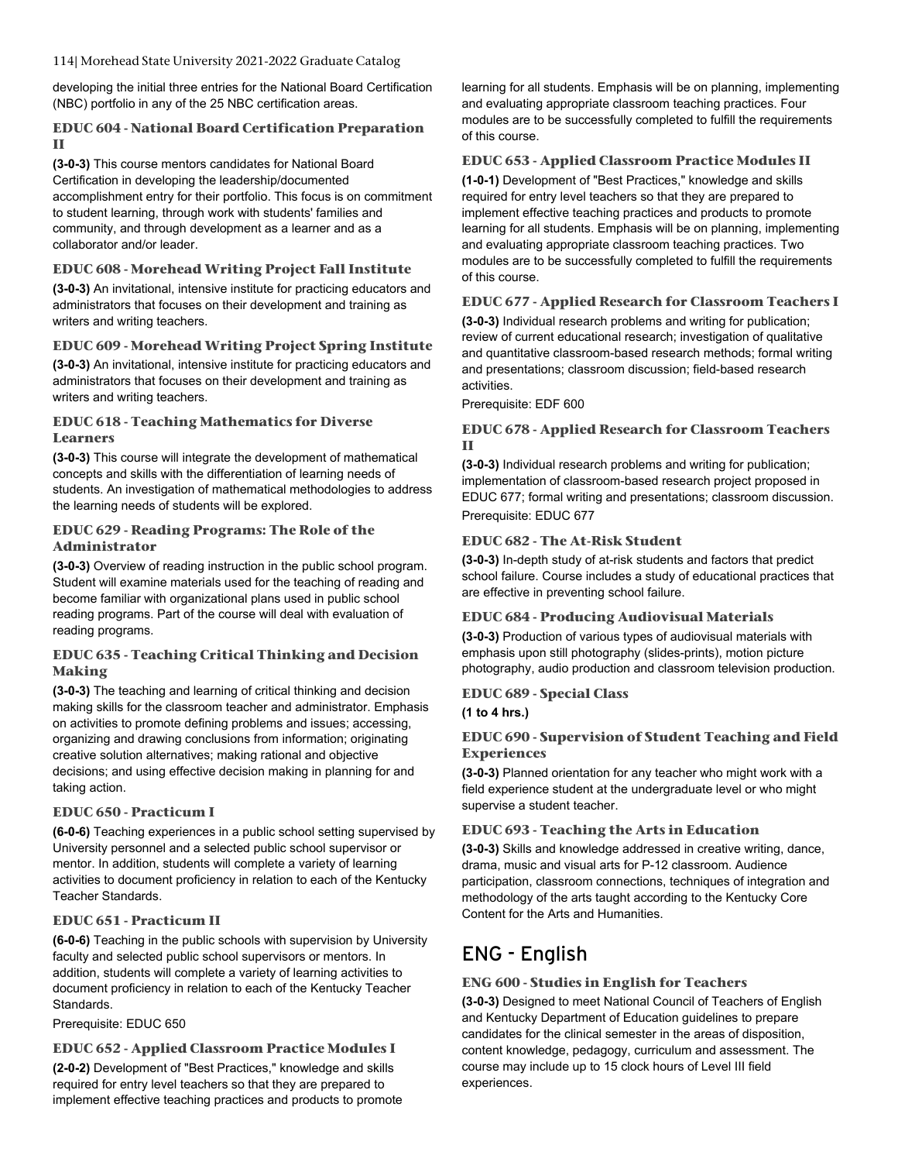developing the initial three entries for the National Board Certification (NBC) portfolio in any of the 25 NBC certification areas.

# **EDUC 604 - National Board Certification Preparation II**

**(3-0-3)** This course mentors candidates for National Board Certification in developing the leadership/documented accomplishment entry for their portfolio. This focus is on commitment to student learning, through work with students' families and community, and through development as a learner and as a collaborator and/or leader.

# **EDUC 608 - Morehead Writing Project Fall Institute**

**(3-0-3)** An invitational, intensive institute for practicing educators and administrators that focuses on their development and training as writers and writing teachers.

# **EDUC 609 - Morehead Writing Project Spring Institute**

**(3-0-3)** An invitational, intensive institute for practicing educators and administrators that focuses on their development and training as writers and writing teachers.

### **EDUC 618 - Teaching Mathematics for Diverse Learners**

**(3-0-3)** This course will integrate the development of mathematical concepts and skills with the differentiation of learning needs of students. An investigation of mathematical methodologies to address the learning needs of students will be explored.

# **EDUC 629 - Reading Programs: The Role of the Administrator**

**(3-0-3)** Overview of reading instruction in the public school program. Student will examine materials used for the teaching of reading and become familiar with organizational plans used in public school reading programs. Part of the course will deal with evaluation of reading programs.

# **EDUC 635 - Teaching Critical Thinking and Decision Making**

**(3-0-3)** The teaching and learning of critical thinking and decision making skills for the classroom teacher and administrator. Emphasis on activities to promote defining problems and issues; accessing, organizing and drawing conclusions from information; originating creative solution alternatives; making rational and objective decisions; and using effective decision making in planning for and taking action.

# **EDUC 650 - Practicum I**

**(6-0-6)** Teaching experiences in a public school setting supervised by University personnel and a selected public school supervisor or mentor. In addition, students will complete a variety of learning activities to document proficiency in relation to each of the Kentucky Teacher Standards.

# **EDUC 651 - Practicum II**

**(6-0-6)** Teaching in the public schools with supervision by University faculty and selected public school supervisors or mentors. In addition, students will complete a variety of learning activities to document proficiency in relation to each of the Kentucky Teacher Standards.

Prerequisite: EDUC 650

# **EDUC 652 - Applied Classroom Practice Modules I**

**(2-0-2)** Development of "Best Practices," knowledge and skills required for entry level teachers so that they are prepared to implement effective teaching practices and products to promote learning for all students. Emphasis will be on planning, implementing and evaluating appropriate classroom teaching practices. Four modules are to be successfully completed to fulfill the requirements of this course.

# **EDUC 653 - Applied Classroom Practice Modules II**

**(1-0-1)** Development of "Best Practices," knowledge and skills required for entry level teachers so that they are prepared to implement effective teaching practices and products to promote learning for all students. Emphasis will be on planning, implementing and evaluating appropriate classroom teaching practices. Two modules are to be successfully completed to fulfill the requirements of this course.

# **EDUC 677 - Applied Research for Classroom Teachers I**

**(3-0-3)** Individual research problems and writing for publication; review of current educational research; investigation of qualitative and quantitative classroom-based research methods; formal writing and presentations; classroom discussion; field-based research activities.

Prerequisite: EDF 600

# **EDUC 678 - Applied Research for Classroom Teachers II**

**(3-0-3)** Individual research problems and writing for publication; implementation of classroom-based research project proposed in EDUC 677; formal writing and presentations; classroom discussion. Prerequisite: EDUC 677

# **EDUC 682 - The At-Risk Student**

**(3-0-3)** In-depth study of at-risk students and factors that predict school failure. Course includes a study of educational practices that are effective in preventing school failure.

### **EDUC 684 - Producing Audiovisual Materials**

**(3-0-3)** Production of various types of audiovisual materials with emphasis upon still photography (slides-prints), motion picture photography, audio production and classroom television production.

### **EDUC 689 - Special Class**

### **(1 to 4 hrs.)**

# **EDUC 690 - Supervision of Student Teaching and Field Experiences**

**(3-0-3)** Planned orientation for any teacher who might work with a field experience student at the undergraduate level or who might supervise a student teacher.

### **EDUC 693 - Teaching the Arts in Education**

**(3-0-3)** Skills and knowledge addressed in creative writing, dance, drama, music and visual arts for P-12 classroom. Audience participation, classroom connections, techniques of integration and methodology of the arts taught according to the Kentucky Core Content for the Arts and Humanities.

# ENG - English

# **ENG 600 - Studies in English for Teachers**

**(3-0-3)** Designed to meet National Council of Teachers of English and Kentucky Department of Education guidelines to prepare candidates for the clinical semester in the areas of disposition, content knowledge, pedagogy, curriculum and assessment. The course may include up to 15 clock hours of Level III field experiences.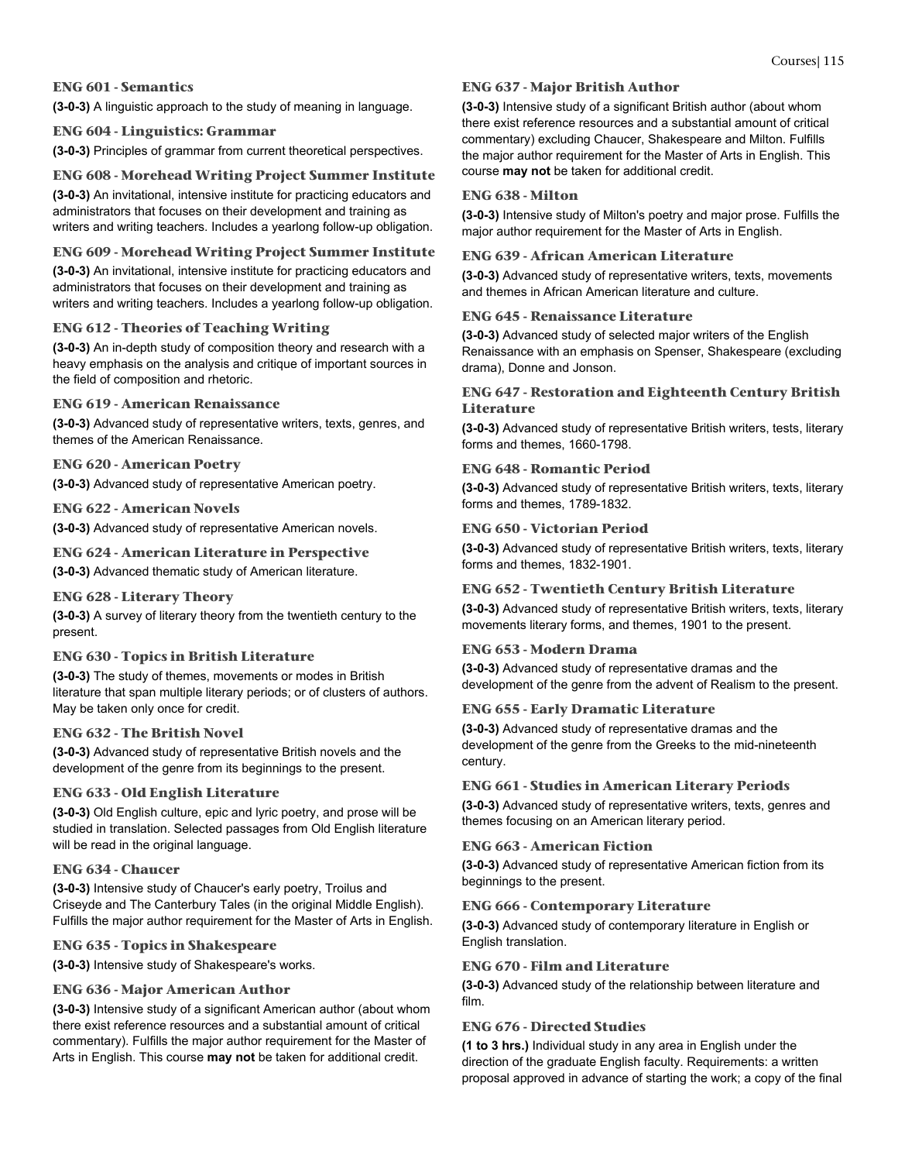### **ENG 601 - Semantics**

**(3-0-3)** A linguistic approach to the study of meaning in language.

#### **ENG 604 - Linguistics: Grammar**

**(3-0-3)** Principles of grammar from current theoretical perspectives.

#### **ENG 608 - Morehead Writing Project Summer Institute**

**(3-0-3)** An invitational, intensive institute for practicing educators and administrators that focuses on their development and training as writers and writing teachers. Includes a yearlong follow-up obligation.

#### **ENG 609 - Morehead Writing Project Summer Institute**

**(3-0-3)** An invitational, intensive institute for practicing educators and administrators that focuses on their development and training as writers and writing teachers. Includes a yearlong follow-up obligation.

# **ENG 612 - Theories of Teaching Writing**

**(3-0-3)** An in-depth study of composition theory and research with a heavy emphasis on the analysis and critique of important sources in the field of composition and rhetoric.

#### **ENG 619 - American Renaissance**

**(3-0-3)** Advanced study of representative writers, texts, genres, and themes of the American Renaissance.

#### **ENG 620 - American Poetry**

**(3-0-3)** Advanced study of representative American poetry.

#### **ENG 622 - American Novels**

**(3-0-3)** Advanced study of representative American novels.

#### **ENG 624 - American Literature in Perspective**

**(3-0-3)** Advanced thematic study of American literature.

#### **ENG 628 - Literary Theory**

**(3-0-3)** A survey of literary theory from the twentieth century to the present.

#### **ENG 630 - Topics in British Literature**

**(3-0-3)** The study of themes, movements or modes in British literature that span multiple literary periods; or of clusters of authors. May be taken only once for credit.

#### **ENG 632 - The British Novel**

**(3-0-3)** Advanced study of representative British novels and the development of the genre from its beginnings to the present.

#### **ENG 633 - Old English Literature**

**(3-0-3)** Old English culture, epic and lyric poetry, and prose will be studied in translation. Selected passages from Old English literature will be read in the original language.

#### **ENG 634 - Chaucer**

**(3-0-3)** Intensive study of Chaucer's early poetry, Troilus and Criseyde and The Canterbury Tales (in the original Middle English). Fulfills the major author requirement for the Master of Arts in English.

### **ENG 635 - Topics in Shakespeare**

**(3-0-3)** Intensive study of Shakespeare's works.

### **ENG 636 - Major American Author**

**(3-0-3)** Intensive study of a significant American author (about whom there exist reference resources and a substantial amount of critical commentary). Fulfills the major author requirement for the Master of Arts in English. This course **may not** be taken for additional credit.

### **ENG 637 - Major British Author**

**(3-0-3)** Intensive study of a significant British author (about whom there exist reference resources and a substantial amount of critical commentary) excluding Chaucer, Shakespeare and Milton. Fulfills the major author requirement for the Master of Arts in English. This course **may not** be taken for additional credit.

#### **ENG 638 - Milton**

**(3-0-3)** Intensive study of Milton's poetry and major prose. Fulfills the major author requirement for the Master of Arts in English.

### **ENG 639 - African American Literature**

**(3-0-3)** Advanced study of representative writers, texts, movements and themes in African American literature and culture.

#### **ENG 645 - Renaissance Literature**

**(3-0-3)** Advanced study of selected major writers of the English Renaissance with an emphasis on Spenser, Shakespeare (excluding drama), Donne and Jonson.

### **ENG 647 - Restoration and Eighteenth Century British Literature**

**(3-0-3)** Advanced study of representative British writers, tests, literary forms and themes, 1660-1798.

#### **ENG 648 - Romantic Period**

**(3-0-3)** Advanced study of representative British writers, texts, literary forms and themes, 1789-1832.

#### **ENG 650 - Victorian Period**

**(3-0-3)** Advanced study of representative British writers, texts, literary forms and themes, 1832-1901.

### **ENG 652 - Twentieth Century British Literature**

**(3-0-3)** Advanced study of representative British writers, texts, literary movements literary forms, and themes, 1901 to the present.

#### **ENG 653 - Modern Drama**

**(3-0-3)** Advanced study of representative dramas and the development of the genre from the advent of Realism to the present.

### **ENG 655 - Early Dramatic Literature**

**(3-0-3)** Advanced study of representative dramas and the development of the genre from the Greeks to the mid-nineteenth century.

#### **ENG 661 - Studies in American Literary Periods**

**(3-0-3)** Advanced study of representative writers, texts, genres and themes focusing on an American literary period.

### **ENG 663 - American Fiction**

**(3-0-3)** Advanced study of representative American fiction from its beginnings to the present.

#### **ENG 666 - Contemporary Literature**

**(3-0-3)** Advanced study of contemporary literature in English or English translation.

#### **ENG 670 - Film and Literature**

**(3-0-3)** Advanced study of the relationship between literature and film.

### **ENG 676 - Directed Studies**

**(1 to 3 hrs.)** Individual study in any area in English under the direction of the graduate English faculty. Requirements: a written proposal approved in advance of starting the work; a copy of the final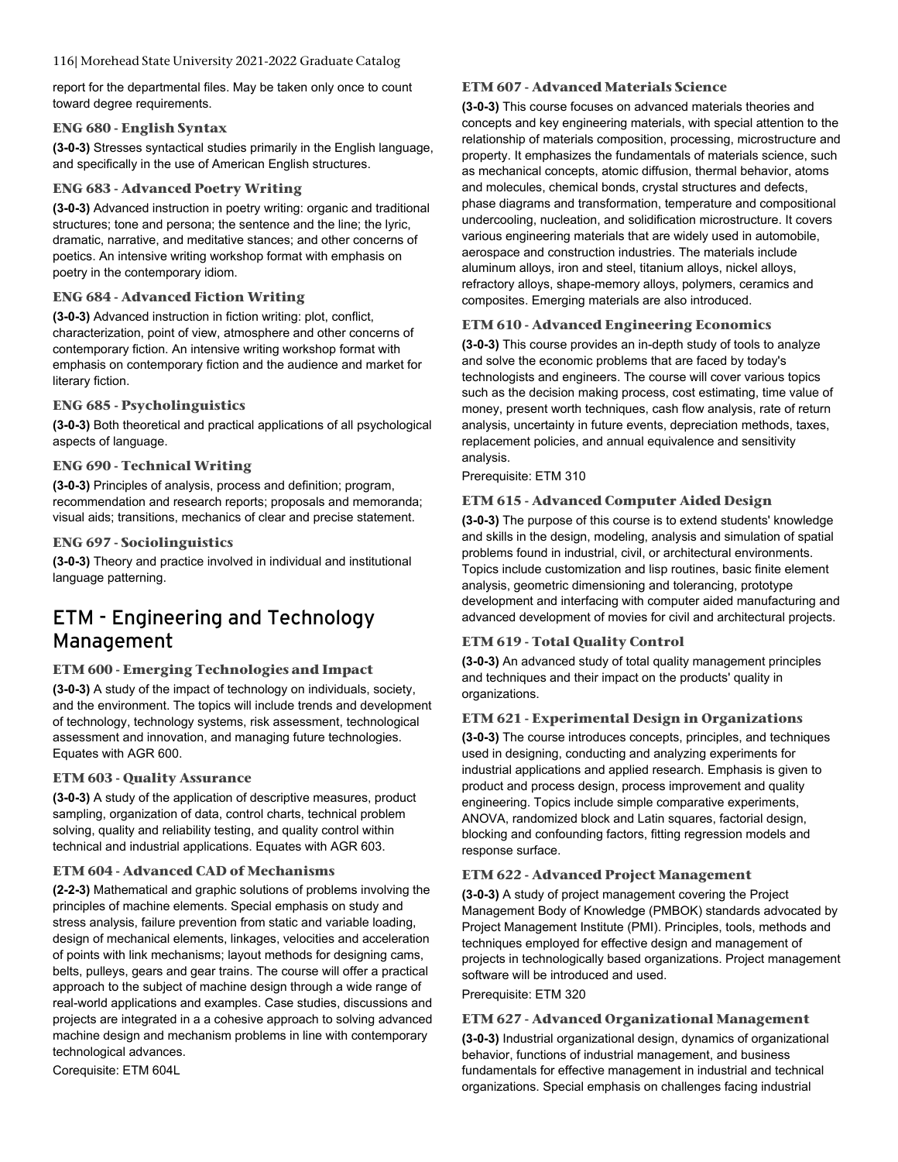report for the departmental files. May be taken only once to count toward degree requirements.

### **ENG 680 - English Syntax**

**(3-0-3)** Stresses syntactical studies primarily in the English language, and specifically in the use of American English structures.

# **ENG 683 - Advanced Poetry Writing**

**(3-0-3)** Advanced instruction in poetry writing: organic and traditional structures; tone and persona; the sentence and the line; the lyric, dramatic, narrative, and meditative stances; and other concerns of poetics. An intensive writing workshop format with emphasis on poetry in the contemporary idiom.

# **ENG 684 - Advanced Fiction Writing**

**(3-0-3)** Advanced instruction in fiction writing: plot, conflict, characterization, point of view, atmosphere and other concerns of contemporary fiction. An intensive writing workshop format with emphasis on contemporary fiction and the audience and market for literary fiction.

# **ENG 685 - Psycholinguistics**

**(3-0-3)** Both theoretical and practical applications of all psychological aspects of language.

# **ENG 690 - Technical Writing**

**(3-0-3)** Principles of analysis, process and definition; program, recommendation and research reports; proposals and memoranda; visual aids; transitions, mechanics of clear and precise statement.

# **ENG 697 - Sociolinguistics**

**(3-0-3)** Theory and practice involved in individual and institutional language patterning.

# ETM - Engineering and Technology Management

# **ETM 600 - Emerging Technologies and Impact**

**(3-0-3)** A study of the impact of technology on individuals, society, and the environment. The topics will include trends and development of technology, technology systems, risk assessment, technological assessment and innovation, and managing future technologies. Equates with AGR 600.

# **ETM 603 - Quality Assurance**

**(3-0-3)** A study of the application of descriptive measures, product sampling, organization of data, control charts, technical problem solving, quality and reliability testing, and quality control within technical and industrial applications. Equates with AGR 603.

# **ETM 604 - Advanced CAD of Mechanisms**

**(2-2-3)** Mathematical and graphic solutions of problems involving the principles of machine elements. Special emphasis on study and stress analysis, failure prevention from static and variable loading, design of mechanical elements, linkages, velocities and acceleration of points with link mechanisms; layout methods for designing cams, belts, pulleys, gears and gear trains. The course will offer a practical approach to the subject of machine design through a wide range of real-world applications and examples. Case studies, discussions and projects are integrated in a a cohesive approach to solving advanced machine design and mechanism problems in line with contemporary technological advances.

Corequisite: ETM 604L

# **ETM 607 - Advanced Materials Science**

**(3-0-3)** This course focuses on advanced materials theories and concepts and key engineering materials, with special attention to the relationship of materials composition, processing, microstructure and property. It emphasizes the fundamentals of materials science, such as mechanical concepts, atomic diffusion, thermal behavior, atoms and molecules, chemical bonds, crystal structures and defects, phase diagrams and transformation, temperature and compositional undercooling, nucleation, and solidification microstructure. It covers various engineering materials that are widely used in automobile, aerospace and construction industries. The materials include aluminum alloys, iron and steel, titanium alloys, nickel alloys, refractory alloys, shape-memory alloys, polymers, ceramics and composites. Emerging materials are also introduced.

# **ETM 610 - Advanced Engineering Economics**

**(3-0-3)** This course provides an in-depth study of tools to analyze and solve the economic problems that are faced by today's technologists and engineers. The course will cover various topics such as the decision making process, cost estimating, time value of money, present worth techniques, cash flow analysis, rate of return analysis, uncertainty in future events, depreciation methods, taxes, replacement policies, and annual equivalence and sensitivity analysis.

### Prerequisite: ETM 310

# **ETM 615 - Advanced Computer Aided Design**

**(3-0-3)** The purpose of this course is to extend students' knowledge and skills in the design, modeling, analysis and simulation of spatial problems found in industrial, civil, or architectural environments. Topics include customization and lisp routines, basic finite element analysis, geometric dimensioning and tolerancing, prototype development and interfacing with computer aided manufacturing and advanced development of movies for civil and architectural projects.

# **ETM 619 - Total Quality Control**

**(3-0-3)** An advanced study of total quality management principles and techniques and their impact on the products' quality in organizations.

# **ETM 621 - Experimental Design in Organizations**

**(3-0-3)** The course introduces concepts, principles, and techniques used in designing, conducting and analyzing experiments for industrial applications and applied research. Emphasis is given to product and process design, process improvement and quality engineering. Topics include simple comparative experiments, ANOVA, randomized block and Latin squares, factorial design, blocking and confounding factors, fitting regression models and response surface.

### **ETM 622 - Advanced Project Management**

**(3-0-3)** A study of project management covering the Project Management Body of Knowledge (PMBOK) standards advocated by Project Management Institute (PMI). Principles, tools, methods and techniques employed for effective design and management of projects in technologically based organizations. Project management software will be introduced and used.

### Prerequisite: ETM 320

### **ETM 627 - Advanced Organizational Management**

**(3-0-3)** Industrial organizational design, dynamics of organizational behavior, functions of industrial management, and business fundamentals for effective management in industrial and technical organizations. Special emphasis on challenges facing industrial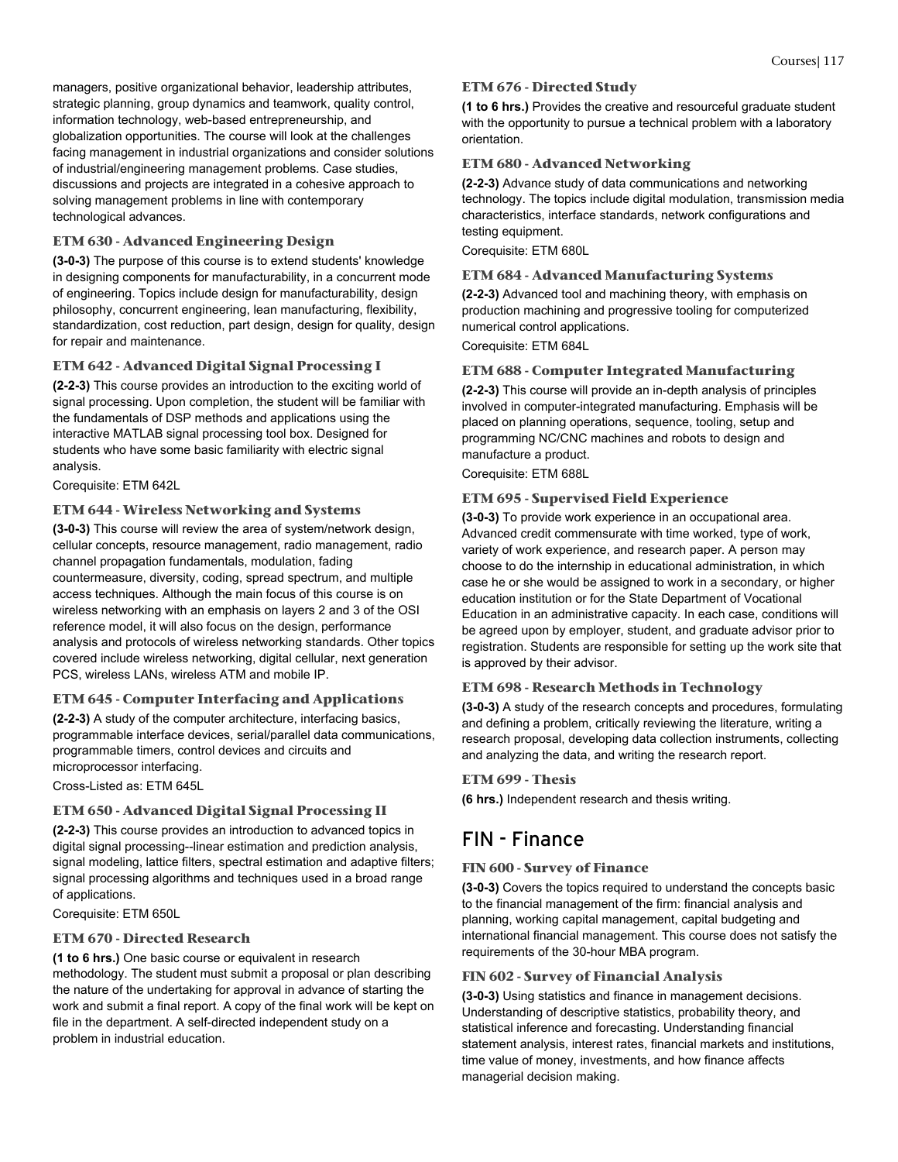managers, positive organizational behavior, leadership attributes, strategic planning, group dynamics and teamwork, quality control, information technology, web-based entrepreneurship, and globalization opportunities. The course will look at the challenges facing management in industrial organizations and consider solutions of industrial/engineering management problems. Case studies, discussions and projects are integrated in a cohesive approach to solving management problems in line with contemporary technological advances.

# **ETM 630 - Advanced Engineering Design**

**(3-0-3)** The purpose of this course is to extend students' knowledge in designing components for manufacturability, in a concurrent mode of engineering. Topics include design for manufacturability, design philosophy, concurrent engineering, lean manufacturing, flexibility, standardization, cost reduction, part design, design for quality, design for repair and maintenance.

### **ETM 642 - Advanced Digital Signal Processing I**

**(2-2-3)** This course provides an introduction to the exciting world of signal processing. Upon completion, the student will be familiar with the fundamentals of DSP methods and applications using the interactive MATLAB signal processing tool box. Designed for students who have some basic familiarity with electric signal analysis.

Corequisite: ETM 642L

### **ETM 644 - Wireless Networking and Systems**

**(3-0-3)** This course will review the area of system/network design, cellular concepts, resource management, radio management, radio channel propagation fundamentals, modulation, fading countermeasure, diversity, coding, spread spectrum, and multiple access techniques. Although the main focus of this course is on wireless networking with an emphasis on layers 2 and 3 of the OSI reference model, it will also focus on the design, performance analysis and protocols of wireless networking standards. Other topics covered include wireless networking, digital cellular, next generation PCS, wireless LANs, wireless ATM and mobile IP.

# **ETM 645 - Computer Interfacing and Applications**

**(2-2-3)** A study of the computer architecture, interfacing basics, programmable interface devices, serial/parallel data communications, programmable timers, control devices and circuits and microprocessor interfacing.

Cross-Listed as: ETM 645L

# **ETM 650 - Advanced Digital Signal Processing II**

**(2-2-3)** This course provides an introduction to advanced topics in digital signal processing--linear estimation and prediction analysis, signal modeling, lattice filters, spectral estimation and adaptive filters; signal processing algorithms and techniques used in a broad range of applications.

Corequisite: ETM 650L

# **ETM 670 - Directed Research**

**(1 to 6 hrs.)** One basic course or equivalent in research methodology. The student must submit a proposal or plan describing the nature of the undertaking for approval in advance of starting the work and submit a final report. A copy of the final work will be kept on file in the department. A self-directed independent study on a problem in industrial education.

# **ETM 676 - Directed Study**

**(1 to 6 hrs.)** Provides the creative and resourceful graduate student with the opportunity to pursue a technical problem with a laboratory orientation.

### **ETM 680 - Advanced Networking**

**(2-2-3)** Advance study of data communications and networking technology. The topics include digital modulation, transmission media characteristics, interface standards, network configurations and testing equipment.

Corequisite: ETM 680L

#### **ETM 684 - Advanced Manufacturing Systems**

**(2-2-3)** Advanced tool and machining theory, with emphasis on production machining and progressive tooling for computerized numerical control applications.

Corequisite: ETM 684L

### **ETM 688 - Computer Integrated Manufacturing**

**(2-2-3)** This course will provide an in-depth analysis of principles involved in computer-integrated manufacturing. Emphasis will be placed on planning operations, sequence, tooling, setup and programming NC/CNC machines and robots to design and manufacture a product.

Corequisite: ETM 688L

# **ETM 695 - Supervised Field Experience**

**(3-0-3)** To provide work experience in an occupational area. Advanced credit commensurate with time worked, type of work, variety of work experience, and research paper. A person may choose to do the internship in educational administration, in which case he or she would be assigned to work in a secondary, or higher education institution or for the State Department of Vocational Education in an administrative capacity. In each case, conditions will be agreed upon by employer, student, and graduate advisor prior to registration. Students are responsible for setting up the work site that is approved by their advisor.

### **ETM 698 - Research Methods in Technology**

**(3-0-3)** A study of the research concepts and procedures, formulating and defining a problem, critically reviewing the literature, writing a research proposal, developing data collection instruments, collecting and analyzing the data, and writing the research report.

### **ETM 699 - Thesis**

**(6 hrs.)** Independent research and thesis writing.

# FIN - Finance

### **FIN 600 - Survey of Finance**

**(3-0-3)** Covers the topics required to understand the concepts basic to the financial management of the firm: financial analysis and planning, working capital management, capital budgeting and international financial management. This course does not satisfy the requirements of the 30-hour MBA program.

### **FIN 602 - Survey of Financial Analysis**

**(3-0-3)** Using statistics and finance in management decisions. Understanding of descriptive statistics, probability theory, and statistical inference and forecasting. Understanding financial statement analysis, interest rates, financial markets and institutions, time value of money, investments, and how finance affects managerial decision making.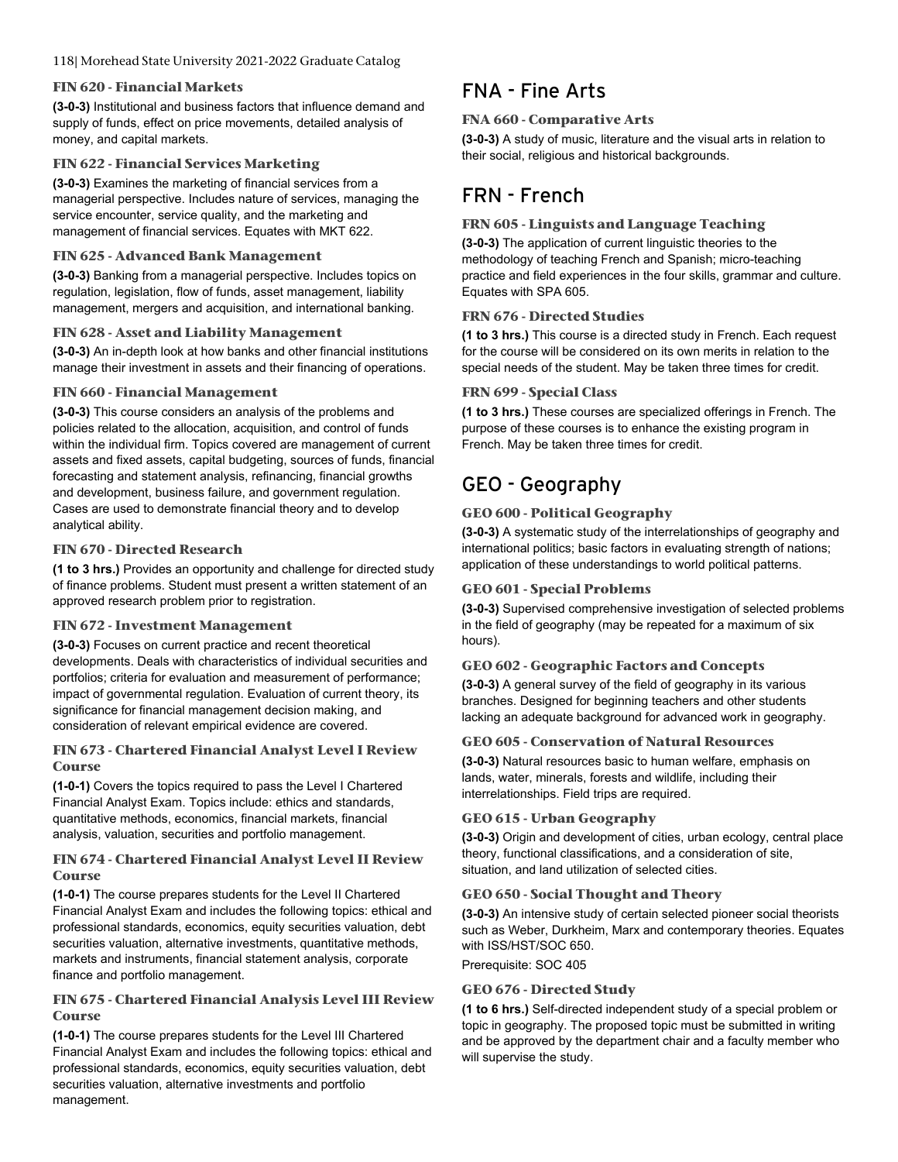# **FIN 620 - Financial Markets**

**(3-0-3)** Institutional and business factors that influence demand and supply of funds, effect on price movements, detailed analysis of money, and capital markets.

# **FIN 622 - Financial Services Marketing**

**(3-0-3)** Examines the marketing of financial services from a managerial perspective. Includes nature of services, managing the service encounter, service quality, and the marketing and management of financial services. Equates with MKT 622.

# **FIN 625 - Advanced Bank Management**

**(3-0-3)** Banking from a managerial perspective. Includes topics on regulation, legislation, flow of funds, asset management, liability management, mergers and acquisition, and international banking.

### **FIN 628 - Asset and Liability Management**

**(3-0-3)** An in-depth look at how banks and other financial institutions manage their investment in assets and their financing of operations.

# **FIN 660 - Financial Management**

**(3-0-3)** This course considers an analysis of the problems and policies related to the allocation, acquisition, and control of funds within the individual firm. Topics covered are management of current assets and fixed assets, capital budgeting, sources of funds, financial forecasting and statement analysis, refinancing, financial growths and development, business failure, and government regulation. Cases are used to demonstrate financial theory and to develop analytical ability.

# **FIN 670 - Directed Research**

**(1 to 3 hrs.)** Provides an opportunity and challenge for directed study of finance problems. Student must present a written statement of an approved research problem prior to registration.

# **FIN 672 - Investment Management**

**(3-0-3)** Focuses on current practice and recent theoretical developments. Deals with characteristics of individual securities and portfolios; criteria for evaluation and measurement of performance; impact of governmental regulation. Evaluation of current theory, its significance for financial management decision making, and consideration of relevant empirical evidence are covered.

### **FIN 673 - Chartered Financial Analyst Level I Review Course**

**(1-0-1)** Covers the topics required to pass the Level I Chartered Financial Analyst Exam. Topics include: ethics and standards, quantitative methods, economics, financial markets, financial analysis, valuation, securities and portfolio management.

# **FIN 674 - Chartered Financial Analyst Level II Review Course**

**(1-0-1)** The course prepares students for the Level II Chartered Financial Analyst Exam and includes the following topics: ethical and professional standards, economics, equity securities valuation, debt securities valuation, alternative investments, quantitative methods, markets and instruments, financial statement analysis, corporate finance and portfolio management.

# **FIN 675 - Chartered Financial Analysis Level III Review Course**

**(1-0-1)** The course prepares students for the Level III Chartered Financial Analyst Exam and includes the following topics: ethical and professional standards, economics, equity securities valuation, debt securities valuation, alternative investments and portfolio management.

# FNA - Fine Arts

# **FNA 660 - Comparative Arts**

**(3-0-3)** A study of music, literature and the visual arts in relation to their social, religious and historical backgrounds.

# FRN - French

# **FRN 605 - Linguists and Language Teaching**

**(3-0-3)** The application of current linguistic theories to the methodology of teaching French and Spanish; micro-teaching practice and field experiences in the four skills, grammar and culture. Equates with SPA 605.

# **FRN 676 - Directed Studies**

**(1 to 3 hrs.)** This course is a directed study in French. Each request for the course will be considered on its own merits in relation to the special needs of the student. May be taken three times for credit.

# **FRN 699 - Special Class**

**(1 to 3 hrs.)** These courses are specialized offerings in French. The purpose of these courses is to enhance the existing program in French. May be taken three times for credit.

# GEO - Geography

# **GEO 600 - Political Geography**

**(3-0-3)** A systematic study of the interrelationships of geography and international politics; basic factors in evaluating strength of nations; application of these understandings to world political patterns.

# **GEO 601 - Special Problems**

**(3-0-3)** Supervised comprehensive investigation of selected problems in the field of geography (may be repeated for a maximum of six hours).

# **GEO 602 - Geographic Factors and Concepts**

**(3-0-3)** A general survey of the field of geography in its various branches. Designed for beginning teachers and other students lacking an adequate background for advanced work in geography.

# **GEO 605 - Conservation of Natural Resources**

**(3-0-3)** Natural resources basic to human welfare, emphasis on lands, water, minerals, forests and wildlife, including their interrelationships. Field trips are required.

# **GEO 615 - Urban Geography**

**(3-0-3)** Origin and development of cities, urban ecology, central place theory, functional classifications, and a consideration of site, situation, and land utilization of selected cities.

### **GEO 650 - Social Thought and Theory**

**(3-0-3)** An intensive study of certain selected pioneer social theorists such as Weber, Durkheim, Marx and contemporary theories. Equates with ISS/HST/SOC 650.

Prerequisite: SOC 405

# **GEO 676 - Directed Study**

**(1 to 6 hrs.)** Self-directed independent study of a special problem or topic in geography. The proposed topic must be submitted in writing and be approved by the department chair and a faculty member who will supervise the study.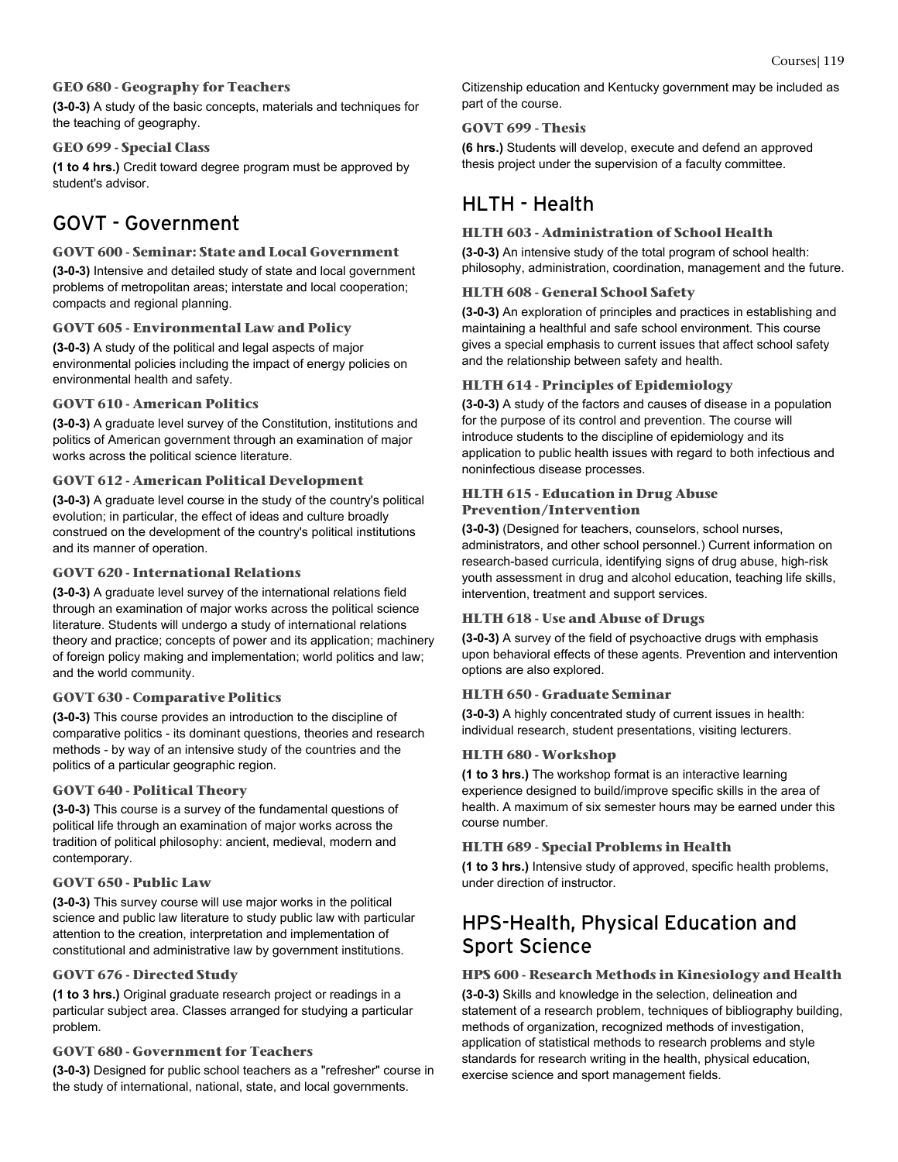# **GEO 680 - Geography for Teachers**

**(3-0-3)** A study of the basic concepts, materials and techniques for the teaching of geography.

### **GEO 699 - Special Class**

**(1 to 4 hrs.)** Credit toward degree program must be approved by student's advisor.

# GOVT - Government

#### **GOVT 600 - Seminar: State and Local Government**

**(3-0-3)** Intensive and detailed study of state and local government problems of metropolitan areas; interstate and local cooperation; compacts and regional planning.

### **GOVT 605 - Environmental Law and Policy**

**(3-0-3)** A study of the political and legal aspects of major environmental policies including the impact of energy policies on environmental health and safety.

### **GOVT 610 - American Politics**

**(3-0-3)** A graduate level survey of the Constitution, institutions and politics of American government through an examination of major works across the political science literature.

### **GOVT 612 - American Political Development**

**(3-0-3)** A graduate level course in the study of the country's political evolution; in particular, the effect of ideas and culture broadly construed on the development of the country's political institutions and its manner of operation.

### **GOVT 620 - International Relations**

**(3-0-3)** A graduate level survey of the international relations field through an examination of major works across the political science literature. Students will undergo a study of international relations theory and practice; concepts of power and its application; machinery of foreign policy making and implementation; world politics and law; and the world community.

#### **GOVT 630 - Comparative Politics**

**(3-0-3)** This course provides an introduction to the discipline of comparative politics - its dominant questions, theories and research methods - by way of an intensive study of the countries and the politics of a particular geographic region.

#### **GOVT 640 - Political Theory**

**(3-0-3)** This course is a survey of the fundamental questions of political life through an examination of major works across the tradition of political philosophy: ancient, medieval, modern and contemporary.

#### **GOVT 650 - Public Law**

**(3-0-3)** This survey course will use major works in the political science and public law literature to study public law with particular attention to the creation, interpretation and implementation of constitutional and administrative law by government institutions.

#### **GOVT 676 - Directed Study**

**(1 to 3 hrs.)** Original graduate research project or readings in a particular subject area. Classes arranged for studying a particular problem.

### **GOVT 680 - Government for Teachers**

**(3-0-3)** Designed for public school teachers as a "refresher" course in the study of international, national, state, and local governments.

Citizenship education and Kentucky government may be included as part of the course.

#### **GOVT 699 - Thesis**

**(6 hrs.)** Students will develop, execute and defend an approved thesis project under the supervision of a faculty committee.

# HLTH - Health

# **HLTH 603 - Administration of School Health**

**(3-0-3)** An intensive study of the total program of school health: philosophy, administration, coordination, management and the future.

#### **HLTH 608 - General School Safety**

**(3-0-3)** An exploration of principles and practices in establishing and maintaining a healthful and safe school environment. This course gives a special emphasis to current issues that affect school safety and the relationship between safety and health.

#### **HLTH 614 - Principles of Epidemiology**

**(3-0-3)** A study of the factors and causes of disease in a population for the purpose of its control and prevention. The course will introduce students to the discipline of epidemiology and its application to public health issues with regard to both infectious and noninfectious disease processes.

### **HLTH 615 - Education in Drug Abuse Prevention/Intervention**

**(3-0-3)** (Designed for teachers, counselors, school nurses, administrators, and other school personnel.) Current information on research-based curricula, identifying signs of drug abuse, high-risk youth assessment in drug and alcohol education, teaching life skills, intervention, treatment and support services.

#### **HLTH 618 - Use and Abuse of Drugs**

**(3-0-3)** A survey of the field of psychoactive drugs with emphasis upon behavioral effects of these agents. Prevention and intervention options are also explored.

### **HLTH 650 - Graduate Seminar**

**(3-0-3)** A highly concentrated study of current issues in health: individual research, student presentations, visiting lecturers.

#### **HLTH 680 - Workshop**

**(1 to 3 hrs.)** The workshop format is an interactive learning experience designed to build/improve specific skills in the area of health. A maximum of six semester hours may be earned under this course number.

### **HLTH 689 - Special Problems in Health**

**(1 to 3 hrs.)** Intensive study of approved, specific health problems, under direction of instructor.

# HPS-Health, Physical Education and Sport Science

### **HPS 600 - Research Methods in Kinesiology and Health**

**(3-0-3)** Skills and knowledge in the selection, delineation and statement of a research problem, techniques of bibliography building, methods of organization, recognized methods of investigation, application of statistical methods to research problems and style standards for research writing in the health, physical education, exercise science and sport management fields.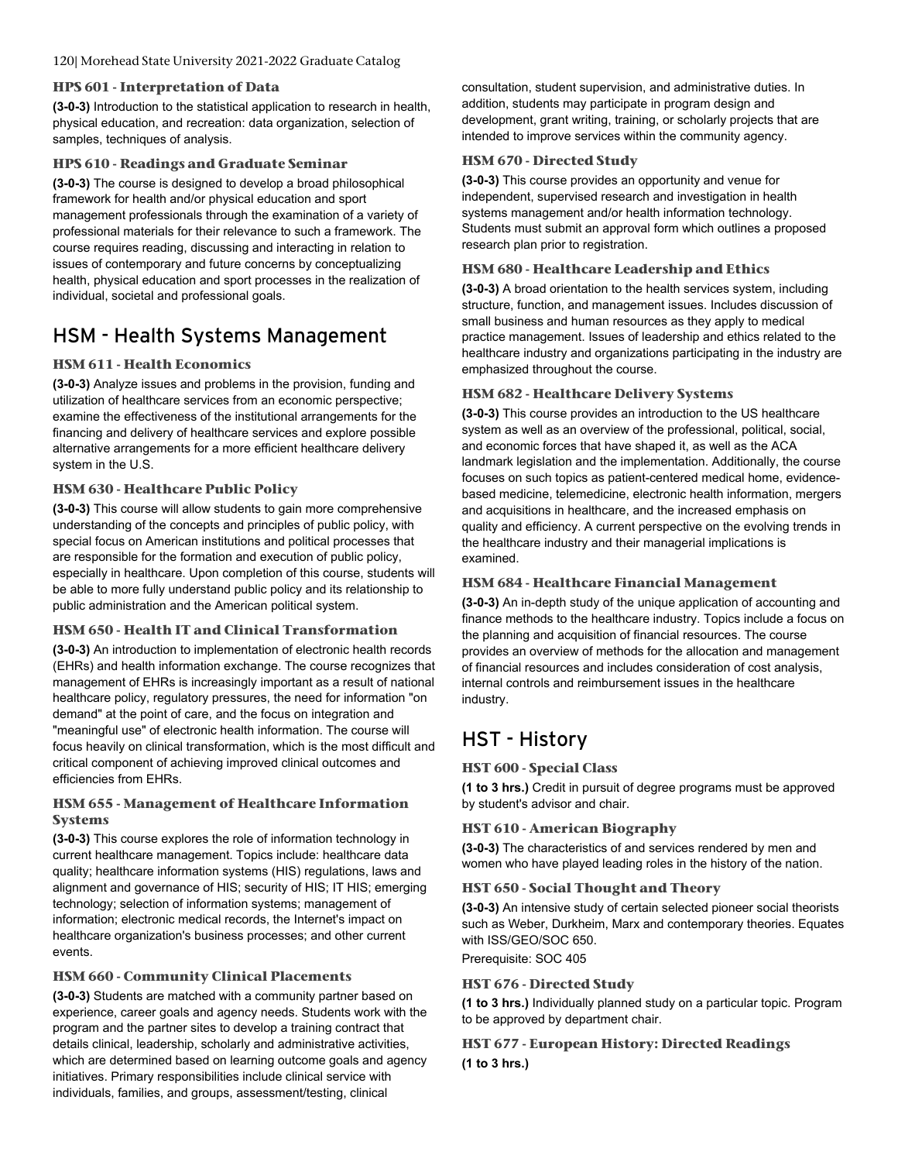### **HPS 601 - Interpretation of Data**

**(3-0-3)** Introduction to the statistical application to research in health, physical education, and recreation: data organization, selection of samples, techniques of analysis.

### **HPS 610 - Readings and Graduate Seminar**

**(3-0-3)** The course is designed to develop a broad philosophical framework for health and/or physical education and sport management professionals through the examination of a variety of professional materials for their relevance to such a framework. The course requires reading, discussing and interacting in relation to issues of contemporary and future concerns by conceptualizing health, physical education and sport processes in the realization of individual, societal and professional goals.

# HSM - Health Systems Management

# **HSM 611 - Health Economics**

**(3-0-3)** Analyze issues and problems in the provision, funding and utilization of healthcare services from an economic perspective; examine the effectiveness of the institutional arrangements for the financing and delivery of healthcare services and explore possible alternative arrangements for a more efficient healthcare delivery system in the U.S.

# **HSM 630 - Healthcare Public Policy**

**(3-0-3)** This course will allow students to gain more comprehensive understanding of the concepts and principles of public policy, with special focus on American institutions and political processes that are responsible for the formation and execution of public policy, especially in healthcare. Upon completion of this course, students will be able to more fully understand public policy and its relationship to public administration and the American political system.

### **HSM 650 - Health IT and Clinical Transformation**

**(3-0-3)** An introduction to implementation of electronic health records (EHRs) and health information exchange. The course recognizes that management of EHRs is increasingly important as a result of national healthcare policy, regulatory pressures, the need for information "on demand" at the point of care, and the focus on integration and "meaningful use" of electronic health information. The course will focus heavily on clinical transformation, which is the most difficult and critical component of achieving improved clinical outcomes and efficiencies from EHRs.

# **HSM 655 - Management of Healthcare Information Systems**

**(3-0-3)** This course explores the role of information technology in current healthcare management. Topics include: healthcare data quality; healthcare information systems (HIS) regulations, laws and alignment and governance of HIS; security of HIS; IT HIS; emerging technology; selection of information systems; management of information; electronic medical records, the Internet's impact on healthcare organization's business processes; and other current events.

# **HSM 660 - Community Clinical Placements**

**(3-0-3)** Students are matched with a community partner based on experience, career goals and agency needs. Students work with the program and the partner sites to develop a training contract that details clinical, leadership, scholarly and administrative activities, which are determined based on learning outcome goals and agency initiatives. Primary responsibilities include clinical service with individuals, families, and groups, assessment/testing, clinical

consultation, student supervision, and administrative duties. In addition, students may participate in program design and development, grant writing, training, or scholarly projects that are intended to improve services within the community agency.

# **HSM 670 - Directed Study**

**(3-0-3)** This course provides an opportunity and venue for independent, supervised research and investigation in health systems management and/or health information technology. Students must submit an approval form which outlines a proposed research plan prior to registration.

### **HSM 680 - Healthcare Leadership and Ethics**

**(3-0-3)** A broad orientation to the health services system, including structure, function, and management issues. Includes discussion of small business and human resources as they apply to medical practice management. Issues of leadership and ethics related to the healthcare industry and organizations participating in the industry are emphasized throughout the course.

# **HSM 682 - Healthcare Delivery Systems**

**(3-0-3)** This course provides an introduction to the US healthcare system as well as an overview of the professional, political, social, and economic forces that have shaped it, as well as the ACA landmark legislation and the implementation. Additionally, the course focuses on such topics as patient-centered medical home, evidencebased medicine, telemedicine, electronic health information, mergers and acquisitions in healthcare, and the increased emphasis on quality and efficiency. A current perspective on the evolving trends in the healthcare industry and their managerial implications is examined.

# **HSM 684 - Healthcare Financial Management**

**(3-0-3)** An in-depth study of the unique application of accounting and finance methods to the healthcare industry. Topics include a focus on the planning and acquisition of financial resources. The course provides an overview of methods for the allocation and management of financial resources and includes consideration of cost analysis, internal controls and reimbursement issues in the healthcare industry.

# HST - History

# **HST 600 - Special Class**

**(1 to 3 hrs.)** Credit in pursuit of degree programs must be approved by student's advisor and chair.

# **HST 610 - American Biography**

**(3-0-3)** The characteristics of and services rendered by men and women who have played leading roles in the history of the nation.

### **HST 650 - Social Thought and Theory**

**(3-0-3)** An intensive study of certain selected pioneer social theorists such as Weber, Durkheim, Marx and contemporary theories. Equates with ISS/GEO/SOC 650.

Prerequisite: SOC 405

### **HST 676 - Directed Study**

**(1 to 3 hrs.)** Individually planned study on a particular topic. Program to be approved by department chair.

# **HST 677 - European History: Directed Readings (1 to 3 hrs.)**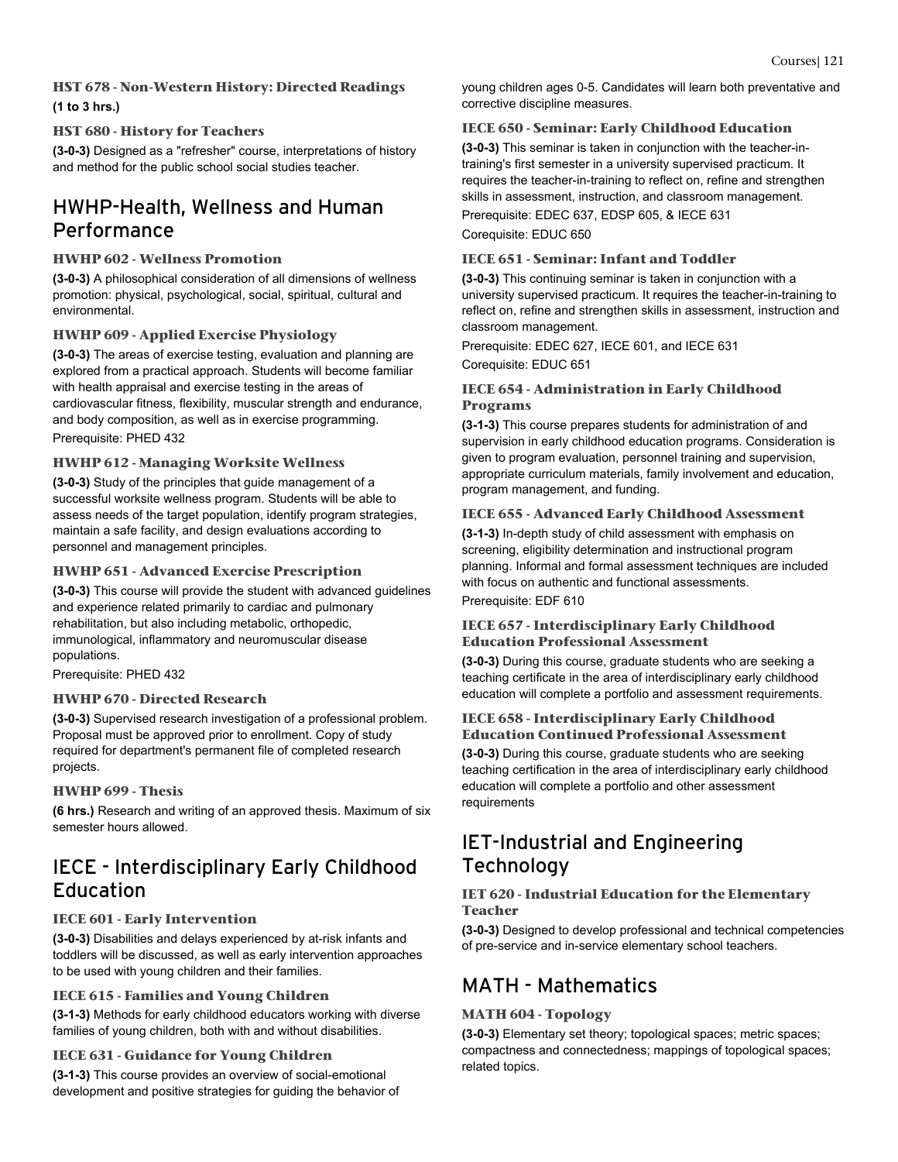# **HST 678 - Non-Western History: Directed Readings (1 to 3 hrs.)**

# **HST 680 - History for Teachers**

**(3-0-3)** Designed as a "refresher" course, interpretations of history and method for the public school social studies teacher.

# HWHP-Health, Wellness and Human Performance

# **HWHP 602 - Wellness Promotion**

**(3-0-3)** A philosophical consideration of all dimensions of wellness promotion: physical, psychological, social, spiritual, cultural and environmental.

# **HWHP 609 - Applied Exercise Physiology**

**(3-0-3)** The areas of exercise testing, evaluation and planning are explored from a practical approach. Students will become familiar with health appraisal and exercise testing in the areas of cardiovascular fitness, flexibility, muscular strength and endurance, and body composition, as well as in exercise programming. Prerequisite: PHED 432

# **HWHP 612 - Managing Worksite Wellness**

**(3-0-3)** Study of the principles that guide management of a successful worksite wellness program. Students will be able to assess needs of the target population, identify program strategies, maintain a safe facility, and design evaluations according to personnel and management principles.

# **HWHP 651 - Advanced Exercise Prescription**

**(3-0-3)** This course will provide the student with advanced guidelines and experience related primarily to cardiac and pulmonary rehabilitation, but also including metabolic, orthopedic, immunological, inflammatory and neuromuscular disease populations.

Prerequisite: PHED 432

### **HWHP 670 - Directed Research**

**(3-0-3)** Supervised research investigation of a professional problem. Proposal must be approved prior to enrollment. Copy of study required for department's permanent file of completed research projects.

# **HWHP 699 - Thesis**

**(6 hrs.)** Research and writing of an approved thesis. Maximum of six semester hours allowed.

# IECE - Interdisciplinary Early Childhood Education

# **IECE 601 - Early Intervention**

**(3-0-3)** Disabilities and delays experienced by at-risk infants and toddlers will be discussed, as well as early intervention approaches to be used with young children and their families.

# **IECE 615 - Families and Young Children**

**(3-1-3)** Methods for early childhood educators working with diverse families of young children, both with and without disabilities.

# **IECE 631 - Guidance for Young Children**

**(3-1-3)** This course provides an overview of social-emotional development and positive strategies for guiding the behavior of young children ages 0-5. Candidates will learn both preventative and corrective discipline measures.

### **IECE 650 - Seminar: Early Childhood Education**

**(3-0-3)** This seminar is taken in conjunction with the teacher-intraining's first semester in a university supervised practicum. It requires the teacher-in-training to reflect on, refine and strengthen skills in assessment, instruction, and classroom management.

Prerequisite: EDEC 637, EDSP 605, & IECE 631 Corequisite: EDUC 650

# **IECE 651 - Seminar: Infant and Toddler**

**(3-0-3)** This continuing seminar is taken in conjunction with a university supervised practicum. It requires the teacher-in-training to reflect on, refine and strengthen skills in assessment, instruction and classroom management.

Prerequisite: EDEC 627, IECE 601, and IECE 631

Corequisite: EDUC 651

# **IECE 654 - Administration in Early Childhood Programs**

**(3-1-3)** This course prepares students for administration of and supervision in early childhood education programs. Consideration is given to program evaluation, personnel training and supervision, appropriate curriculum materials, family involvement and education, program management, and funding.

### **IECE 655 - Advanced Early Childhood Assessment**

**(3-1-3)** In-depth study of child assessment with emphasis on screening, eligibility determination and instructional program planning. Informal and formal assessment techniques are included with focus on authentic and functional assessments. Prerequisite: EDF 610

#### **IECE 657 - Interdisciplinary Early Childhood Education Professional Assessment**

**(3-0-3)** During this course, graduate students who are seeking a teaching certificate in the area of interdisciplinary early childhood education will complete a portfolio and assessment requirements.

# **IECE 658 - Interdisciplinary Early Childhood Education Continued Professional Assessment**

**(3-0-3)** During this course, graduate students who are seeking teaching certification in the area of interdisciplinary early childhood education will complete a portfolio and other assessment requirements

# IET-Industrial and Engineering Technology

### **IET 620 - Industrial Education for the Elementary Teacher**

**(3-0-3)** Designed to develop professional and technical competencies of pre-service and in-service elementary school teachers.

# MATH - Mathematics

# **MATH 604 - Topology**

**(3-0-3)** Elementary set theory; topological spaces; metric spaces; compactness and connectedness; mappings of topological spaces; related topics.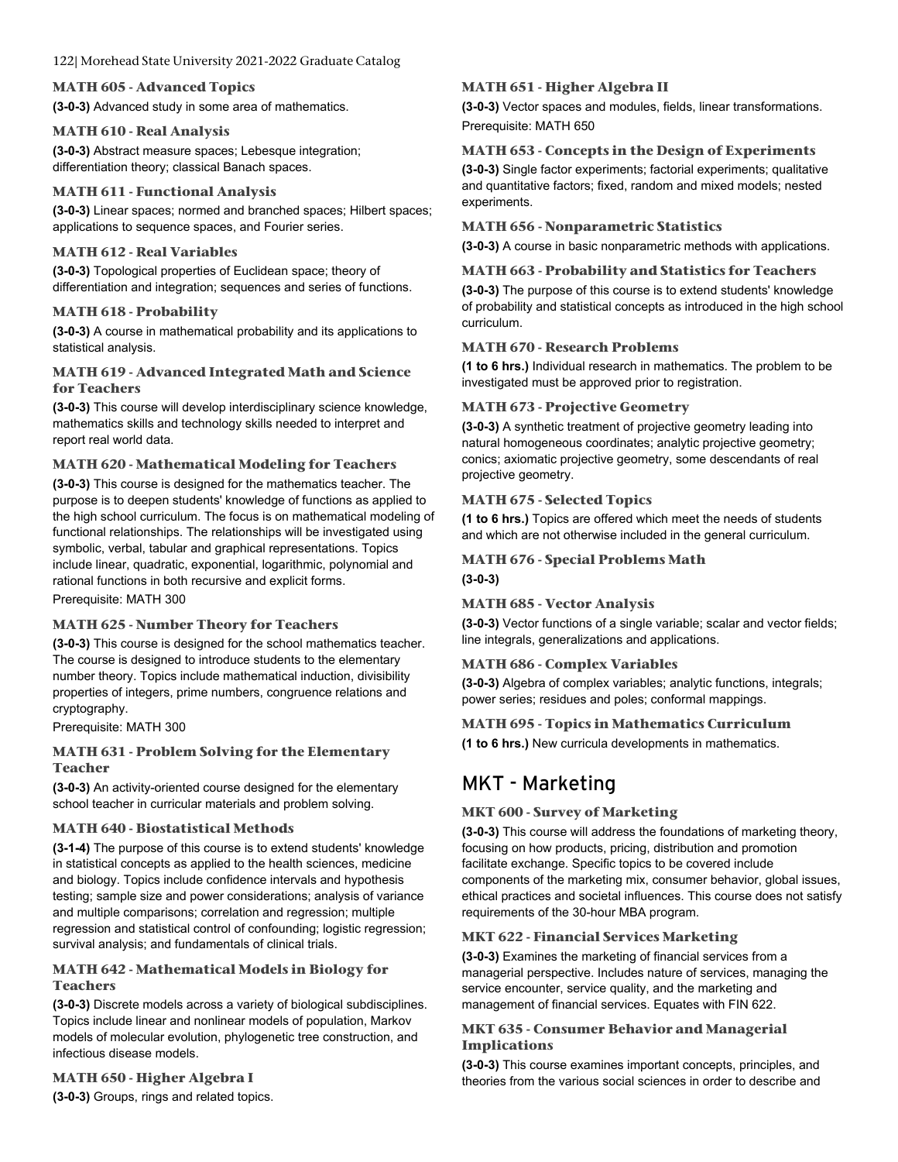### **MATH 605 - Advanced Topics**

**(3-0-3)** Advanced study in some area of mathematics.

# **MATH 610 - Real Analysis**

**(3-0-3)** Abstract measure spaces; Lebesque integration; differentiation theory; classical Banach spaces.

### **MATH 611 - Functional Analysis**

**(3-0-3)** Linear spaces; normed and branched spaces; Hilbert spaces; applications to sequence spaces, and Fourier series.

# **MATH 612 - Real Variables**

**(3-0-3)** Topological properties of Euclidean space; theory of differentiation and integration; sequences and series of functions.

# **MATH 618 - Probability**

**(3-0-3)** A course in mathematical probability and its applications to statistical analysis.

### **MATH 619 - Advanced Integrated Math and Science for Teachers**

**(3-0-3)** This course will develop interdisciplinary science knowledge, mathematics skills and technology skills needed to interpret and report real world data.

# **MATH 620 - Mathematical Modeling for Teachers**

**(3-0-3)** This course is designed for the mathematics teacher. The purpose is to deepen students' knowledge of functions as applied to the high school curriculum. The focus is on mathematical modeling of functional relationships. The relationships will be investigated using symbolic, verbal, tabular and graphical representations. Topics include linear, quadratic, exponential, logarithmic, polynomial and rational functions in both recursive and explicit forms.

Prerequisite: MATH 300

# **MATH 625 - Number Theory for Teachers**

**(3-0-3)** This course is designed for the school mathematics teacher. The course is designed to introduce students to the elementary number theory. Topics include mathematical induction, divisibility properties of integers, prime numbers, congruence relations and cryptography.

Prerequisite: MATH 300

# **MATH 631 - Problem Solving for the Elementary Teacher**

**(3-0-3)** An activity-oriented course designed for the elementary school teacher in curricular materials and problem solving.

# **MATH 640 - Biostatistical Methods**

**(3-1-4)** The purpose of this course is to extend students' knowledge in statistical concepts as applied to the health sciences, medicine and biology. Topics include confidence intervals and hypothesis testing; sample size and power considerations; analysis of variance and multiple comparisons; correlation and regression; multiple regression and statistical control of confounding; logistic regression; survival analysis; and fundamentals of clinical trials.

# **MATH 642 - Mathematical Models in Biology for Teachers**

**(3-0-3)** Discrete models across a variety of biological subdisciplines. Topics include linear and nonlinear models of population, Markov models of molecular evolution, phylogenetic tree construction, and infectious disease models.

# **MATH 650 - Higher Algebra I**

**(3-0-3)** Groups, rings and related topics.

# **MATH 651 - Higher Algebra II**

**(3-0-3)** Vector spaces and modules, fields, linear transformations. Prerequisite: MATH 650

# **MATH 653 - Concepts in the Design of Experiments**

**(3-0-3)** Single factor experiments; factorial experiments; qualitative and quantitative factors; fixed, random and mixed models; nested experiments.

# **MATH 656 - Nonparametric Statistics**

**(3-0-3)** A course in basic nonparametric methods with applications.

# **MATH 663 - Probability and Statistics for Teachers**

**(3-0-3)** The purpose of this course is to extend students' knowledge of probability and statistical concepts as introduced in the high school curriculum.

# **MATH 670 - Research Problems**

**(1 to 6 hrs.)** Individual research in mathematics. The problem to be investigated must be approved prior to registration.

### **MATH 673 - Projective Geometry**

**(3-0-3)** A synthetic treatment of projective geometry leading into natural homogeneous coordinates; analytic projective geometry; conics; axiomatic projective geometry, some descendants of real projective geometry.

# **MATH 675 - Selected Topics**

**(1 to 6 hrs.)** Topics are offered which meet the needs of students and which are not otherwise included in the general curriculum.

# **MATH 676 - Special Problems Math (3-0-3)**

### **MATH 685 - Vector Analysis**

**(3-0-3)** Vector functions of a single variable; scalar and vector fields; line integrals, generalizations and applications.

# **MATH 686 - Complex Variables**

**(3-0-3)** Algebra of complex variables; analytic functions, integrals; power series; residues and poles; conformal mappings.

# **MATH 695 - Topics in Mathematics Curriculum**

**(1 to 6 hrs.)** New curricula developments in mathematics.

# MKT - Marketing

# **MKT 600 - Survey of Marketing**

**(3-0-3)** This course will address the foundations of marketing theory, focusing on how products, pricing, distribution and promotion facilitate exchange. Specific topics to be covered include components of the marketing mix, consumer behavior, global issues, ethical practices and societal influences. This course does not satisfy requirements of the 30-hour MBA program.

# **MKT 622 - Financial Services Marketing**

**(3-0-3)** Examines the marketing of financial services from a managerial perspective. Includes nature of services, managing the service encounter, service quality, and the marketing and management of financial services. Equates with FIN 622.

# **MKT 635 - Consumer Behavior and Managerial Implications**

**(3-0-3)** This course examines important concepts, principles, and theories from the various social sciences in order to describe and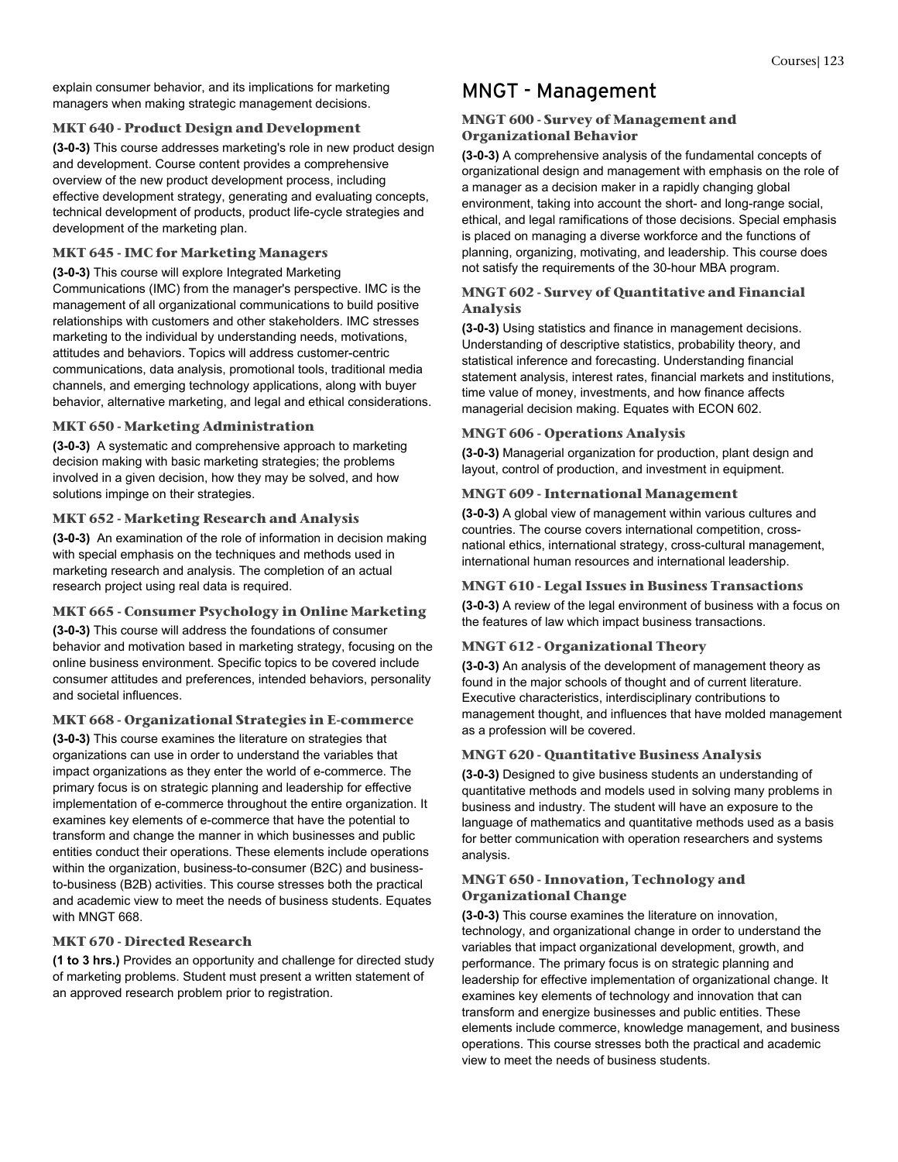explain consumer behavior, and its implications for marketing managers when making strategic management decisions.

#### **MKT 640 - Product Design and Development**

**(3-0-3)** This course addresses marketing's role in new product design and development. Course content provides a comprehensive overview of the new product development process, including effective development strategy, generating and evaluating concepts, technical development of products, product life-cycle strategies and development of the marketing plan.

#### **MKT 645 - IMC for Marketing Managers**

**(3-0-3)** This course will explore Integrated Marketing Communications (IMC) from the manager's perspective. IMC is the management of all organizational communications to build positive relationships with customers and other stakeholders. IMC stresses marketing to the individual by understanding needs, motivations, attitudes and behaviors. Topics will address customer-centric communications, data analysis, promotional tools, traditional media channels, and emerging technology applications, along with buyer behavior, alternative marketing, and legal and ethical considerations.

#### **MKT 650 - Marketing Administration**

**(3-0-3)** A systematic and comprehensive approach to marketing decision making with basic marketing strategies; the problems involved in a given decision, how they may be solved, and how solutions impinge on their strategies.

#### **MKT 652 - Marketing Research and Analysis**

**(3-0-3)** An examination of the role of information in decision making with special emphasis on the techniques and methods used in marketing research and analysis. The completion of an actual research project using real data is required.

### **MKT 665 - Consumer Psychology in Online Marketing**

**(3-0-3)** This course will address the foundations of consumer behavior and motivation based in marketing strategy, focusing on the online business environment. Specific topics to be covered include consumer attitudes and preferences, intended behaviors, personality and societal influences.

### **MKT 668 - Organizational Strategies in E-commerce**

**(3-0-3)** This course examines the literature on strategies that organizations can use in order to understand the variables that impact organizations as they enter the world of e-commerce. The primary focus is on strategic planning and leadership for effective implementation of e-commerce throughout the entire organization. It examines key elements of e-commerce that have the potential to transform and change the manner in which businesses and public entities conduct their operations. These elements include operations within the organization, business-to-consumer (B2C) and businessto-business (B2B) activities. This course stresses both the practical and academic view to meet the needs of business students. Equates with MNGT 668.

### **MKT 670 - Directed Research**

**(1 to 3 hrs.)** Provides an opportunity and challenge for directed study of marketing problems. Student must present a written statement of an approved research problem prior to registration.

# MNGT - Management

### **MNGT 600 - Survey of Management and Organizational Behavior**

**(3-0-3)** A comprehensive analysis of the fundamental concepts of organizational design and management with emphasis on the role of a manager as a decision maker in a rapidly changing global environment, taking into account the short- and long-range social, ethical, and legal ramifications of those decisions. Special emphasis is placed on managing a diverse workforce and the functions of planning, organizing, motivating, and leadership. This course does not satisfy the requirements of the 30-hour MBA program.

### **MNGT 602 - Survey of Quantitative and Financial Analysis**

**(3-0-3)** Using statistics and finance in management decisions. Understanding of descriptive statistics, probability theory, and statistical inference and forecasting. Understanding financial statement analysis, interest rates, financial markets and institutions, time value of money, investments, and how finance affects managerial decision making. Equates with ECON 602.

#### **MNGT 606 - Operations Analysis**

**(3-0-3)** Managerial organization for production, plant design and layout, control of production, and investment in equipment.

#### **MNGT 609 - International Management**

**(3-0-3)** A global view of management within various cultures and countries. The course covers international competition, crossnational ethics, international strategy, cross-cultural management, international human resources and international leadership.

#### **MNGT 610 - Legal Issues in Business Transactions**

**(3-0-3)** A review of the legal environment of business with a focus on the features of law which impact business transactions.

### **MNGT 612 - Organizational Theory**

**(3-0-3)** An analysis of the development of management theory as found in the major schools of thought and of current literature. Executive characteristics, interdisciplinary contributions to management thought, and influences that have molded management as a profession will be covered.

#### **MNGT 620 - Quantitative Business Analysis**

**(3-0-3)** Designed to give business students an understanding of quantitative methods and models used in solving many problems in business and industry. The student will have an exposure to the language of mathematics and quantitative methods used as a basis for better communication with operation researchers and systems analysis.

#### **MNGT 650 - Innovation, Technology and Organizational Change**

**(3-0-3)** This course examines the literature on innovation, technology, and organizational change in order to understand the variables that impact organizational development, growth, and performance. The primary focus is on strategic planning and leadership for effective implementation of organizational change. It examines key elements of technology and innovation that can transform and energize businesses and public entities. These elements include commerce, knowledge management, and business operations. This course stresses both the practical and academic view to meet the needs of business students.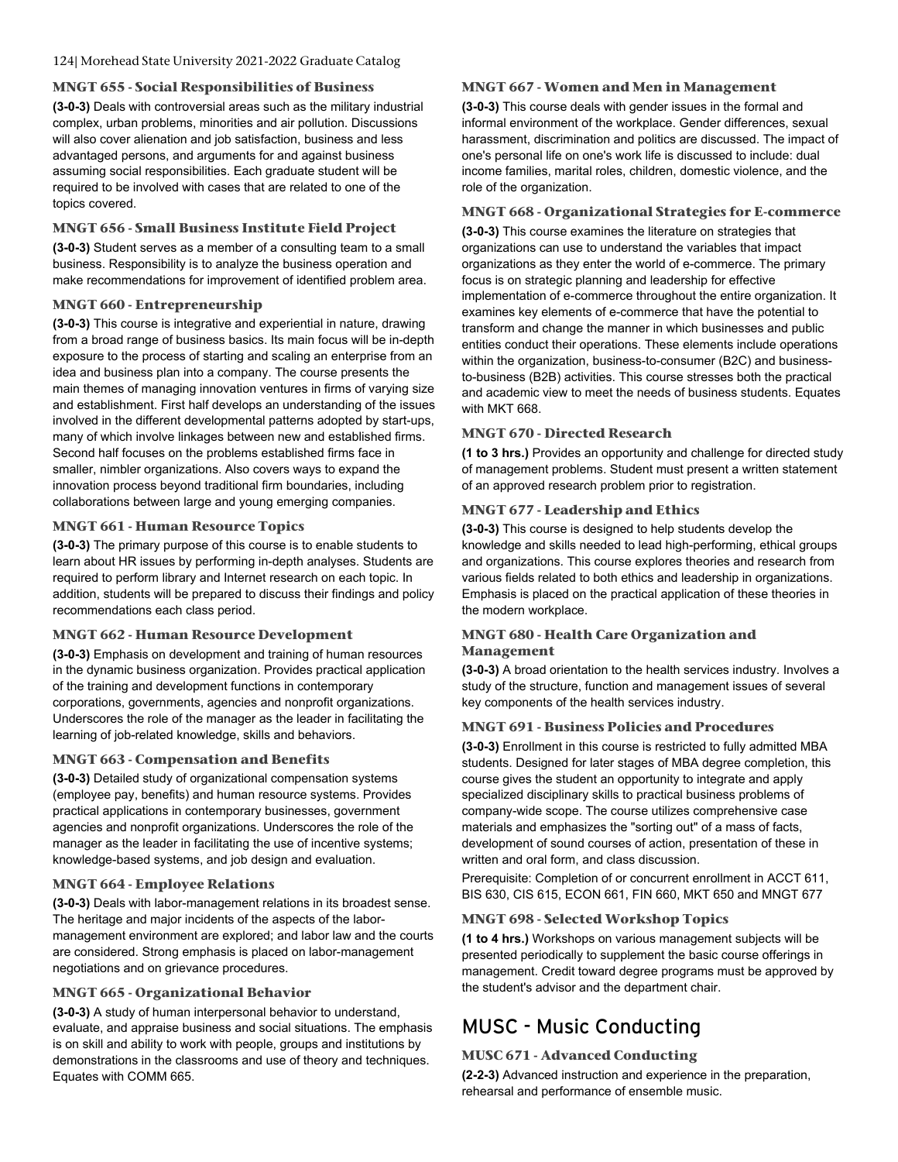### **MNGT 655 - Social Responsibilities of Business**

**(3-0-3)** Deals with controversial areas such as the military industrial complex, urban problems, minorities and air pollution. Discussions will also cover alienation and job satisfaction, business and less advantaged persons, and arguments for and against business assuming social responsibilities. Each graduate student will be required to be involved with cases that are related to one of the topics covered.

# **MNGT 656 - Small Business Institute Field Project**

**(3-0-3)** Student serves as a member of a consulting team to a small business. Responsibility is to analyze the business operation and make recommendations for improvement of identified problem area.

# **MNGT 660 - Entrepreneurship**

**(3-0-3)** This course is integrative and experiential in nature, drawing from a broad range of business basics. Its main focus will be in-depth exposure to the process of starting and scaling an enterprise from an idea and business plan into a company. The course presents the main themes of managing innovation ventures in firms of varying size and establishment. First half develops an understanding of the issues involved in the different developmental patterns adopted by start-ups, many of which involve linkages between new and established firms. Second half focuses on the problems established firms face in smaller, nimbler organizations. Also covers ways to expand the innovation process beyond traditional firm boundaries, including collaborations between large and young emerging companies.

# **MNGT 661 - Human Resource Topics**

**(3-0-3)** The primary purpose of this course is to enable students to learn about HR issues by performing in-depth analyses. Students are required to perform library and Internet research on each topic. In addition, students will be prepared to discuss their findings and policy recommendations each class period.

### **MNGT 662 - Human Resource Development**

**(3-0-3)** Emphasis on development and training of human resources in the dynamic business organization. Provides practical application of the training and development functions in contemporary corporations, governments, agencies and nonprofit organizations. Underscores the role of the manager as the leader in facilitating the learning of job-related knowledge, skills and behaviors.

### **MNGT 663 - Compensation and Benefits**

**(3-0-3)** Detailed study of organizational compensation systems (employee pay, benefits) and human resource systems. Provides practical applications in contemporary businesses, government agencies and nonprofit organizations. Underscores the role of the manager as the leader in facilitating the use of incentive systems; knowledge-based systems, and job design and evaluation.

# **MNGT 664 - Employee Relations**

**(3-0-3)** Deals with labor-management relations in its broadest sense. The heritage and major incidents of the aspects of the labormanagement environment are explored; and labor law and the courts are considered. Strong emphasis is placed on labor-management negotiations and on grievance procedures.

### **MNGT 665 - Organizational Behavior**

**(3-0-3)** A study of human interpersonal behavior to understand, evaluate, and appraise business and social situations. The emphasis is on skill and ability to work with people, groups and institutions by demonstrations in the classrooms and use of theory and techniques. Equates with COMM 665.

### **MNGT 667 - Women and Men in Management**

**(3-0-3)** This course deals with gender issues in the formal and informal environment of the workplace. Gender differences, sexual harassment, discrimination and politics are discussed. The impact of one's personal life on one's work life is discussed to include: dual income families, marital roles, children, domestic violence, and the role of the organization.

# **MNGT 668 - Organizational Strategies for E-commerce**

**(3-0-3)** This course examines the literature on strategies that organizations can use to understand the variables that impact organizations as they enter the world of e-commerce. The primary focus is on strategic planning and leadership for effective implementation of e-commerce throughout the entire organization. It examines key elements of e-commerce that have the potential to transform and change the manner in which businesses and public entities conduct their operations. These elements include operations within the organization, business-to-consumer (B2C) and businessto-business (B2B) activities. This course stresses both the practical and academic view to meet the needs of business students. Equates with MKT 668.

### **MNGT 670 - Directed Research**

**(1 to 3 hrs.)** Provides an opportunity and challenge for directed study of management problems. Student must present a written statement of an approved research problem prior to registration.

# **MNGT 677 - Leadership and Ethics**

**(3-0-3)** This course is designed to help students develop the knowledge and skills needed to lead high-performing, ethical groups and organizations. This course explores theories and research from various fields related to both ethics and leadership in organizations. Emphasis is placed on the practical application of these theories in the modern workplace.

### **MNGT 680 - Health Care Organization and Management**

**(3-0-3)** A broad orientation to the health services industry. Involves a study of the structure, function and management issues of several key components of the health services industry.

### **MNGT 691 - Business Policies and Procedures**

**(3-0-3)** Enrollment in this course is restricted to fully admitted MBA students. Designed for later stages of MBA degree completion, this course gives the student an opportunity to integrate and apply specialized disciplinary skills to practical business problems of company-wide scope. The course utilizes comprehensive case materials and emphasizes the "sorting out" of a mass of facts, development of sound courses of action, presentation of these in written and oral form, and class discussion.

Prerequisite: Completion of or concurrent enrollment in ACCT 611, BIS 630, CIS 615, ECON 661, FIN 660, MKT 650 and MNGT 677

# **MNGT 698 - Selected Workshop Topics**

**(1 to 4 hrs.)** Workshops on various management subjects will be presented periodically to supplement the basic course offerings in management. Credit toward degree programs must be approved by the student's advisor and the department chair.

# MUSC - Music Conducting

# **MUSC 671 - Advanced Conducting**

**(2-2-3)** Advanced instruction and experience in the preparation, rehearsal and performance of ensemble music.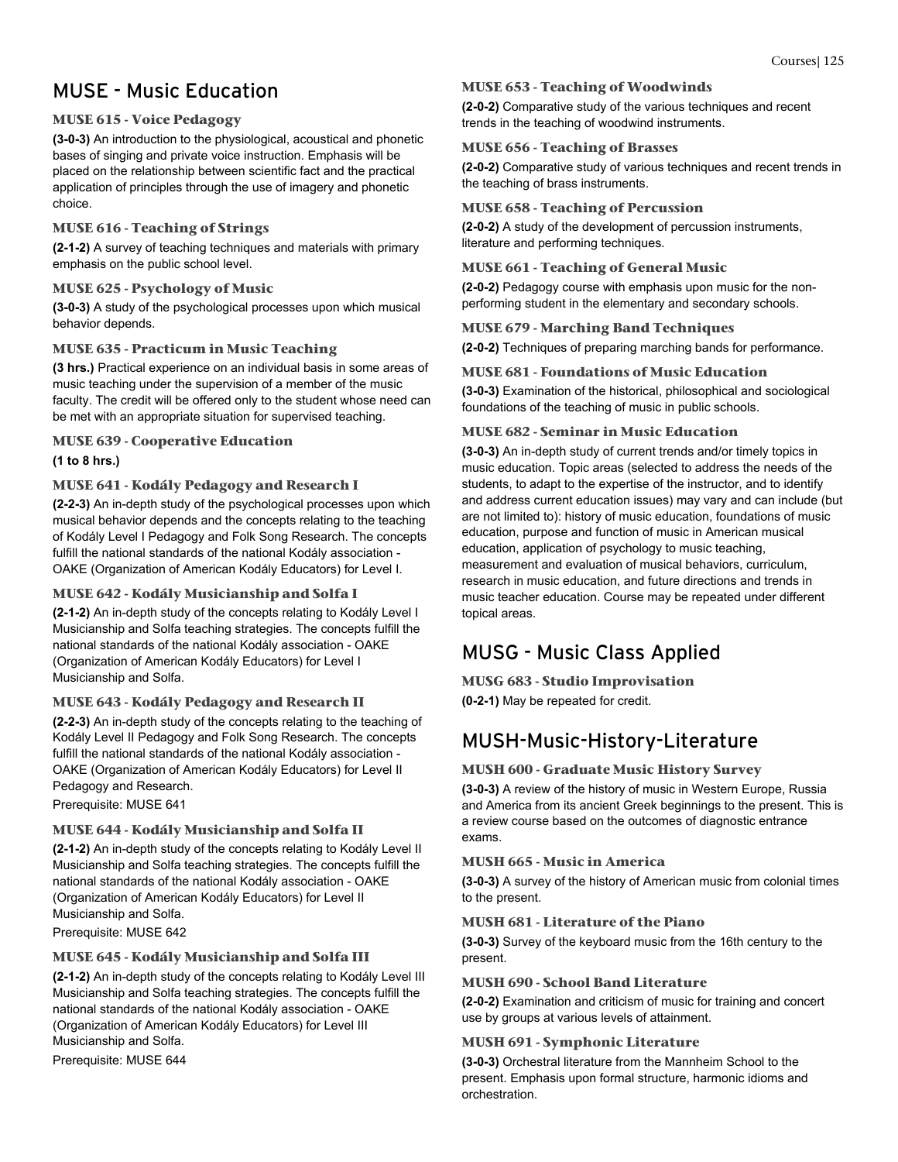# MUSE - Music Education

# **MUSE 615 - Voice Pedagogy**

**(3-0-3)** An introduction to the physiological, acoustical and phonetic bases of singing and private voice instruction. Emphasis will be placed on the relationship between scientific fact and the practical application of principles through the use of imagery and phonetic choice.

# **MUSE 616 - Teaching of Strings**

**(2-1-2)** A survey of teaching techniques and materials with primary emphasis on the public school level.

# **MUSE 625 - Psychology of Music**

**(3-0-3)** A study of the psychological processes upon which musical behavior depends.

# **MUSE 635 - Practicum in Music Teaching**

**(3 hrs.)** Practical experience on an individual basis in some areas of music teaching under the supervision of a member of the music faculty. The credit will be offered only to the student whose need can be met with an appropriate situation for supervised teaching.

# **MUSE 639 - Cooperative Education**

### **(1 to 8 hrs.)**

# **MUSE 641 - Kodály Pedagogy and Research I**

**(2-2-3)** An in-depth study of the psychological processes upon which musical behavior depends and the concepts relating to the teaching of Kodály Level I Pedagogy and Folk Song Research. The concepts fulfill the national standards of the national Kodály association - OAKE (Organization of American Kodály Educators) for Level I.

# **MUSE 642 - Kodály Musicianship and Solfa I**

**(2-1-2)** An in-depth study of the concepts relating to Kodály Level I Musicianship and Solfa teaching strategies. The concepts fulfill the national standards of the national Kodály association - OAKE (Organization of American Kodály Educators) for Level I Musicianship and Solfa.

# **MUSE 643 - Kodály Pedagogy and Research II**

**(2-2-3)** An in-depth study of the concepts relating to the teaching of Kodály Level II Pedagogy and Folk Song Research. The concepts fulfill the national standards of the national Kodály association - OAKE (Organization of American Kodály Educators) for Level II Pedagogy and Research.

Prerequisite: MUSE 641

### **MUSE 644 - Kodály Musicianship and Solfa II**

**(2-1-2)** An in-depth study of the concepts relating to Kodály Level II Musicianship and Solfa teaching strategies. The concepts fulfill the national standards of the national Kodály association - OAKE (Organization of American Kodály Educators) for Level II Musicianship and Solfa.

Prerequisite: MUSE 642

# **MUSE 645 - Kodály Musicianship and Solfa III**

**(2-1-2)** An in-depth study of the concepts relating to Kodály Level III Musicianship and Solfa teaching strategies. The concepts fulfill the national standards of the national Kodály association - OAKE (Organization of American Kodály Educators) for Level III Musicianship and Solfa.

Prerequisite: MUSE 644

### **MUSE 653 - Teaching of Woodwinds**

**(2-0-2)** Comparative study of the various techniques and recent trends in the teaching of woodwind instruments.

# **MUSE 656 - Teaching of Brasses**

**(2-0-2)** Comparative study of various techniques and recent trends in the teaching of brass instruments.

### **MUSE 658 - Teaching of Percussion**

**(2-0-2)** A study of the development of percussion instruments, literature and performing techniques.

### **MUSE 661 - Teaching of General Music**

**(2-0-2)** Pedagogy course with emphasis upon music for the nonperforming student in the elementary and secondary schools.

### **MUSE 679 - Marching Band Techniques**

**(2-0-2)** Techniques of preparing marching bands for performance.

### **MUSE 681 - Foundations of Music Education**

**(3-0-3)** Examination of the historical, philosophical and sociological foundations of the teaching of music in public schools.

### **MUSE 682 - Seminar in Music Education**

**(3-0-3)** An in-depth study of current trends and/or timely topics in music education. Topic areas (selected to address the needs of the students, to adapt to the expertise of the instructor, and to identify and address current education issues) may vary and can include (but are not limited to): history of music education, foundations of music education, purpose and function of music in American musical education, application of psychology to music teaching, measurement and evaluation of musical behaviors, curriculum, research in music education, and future directions and trends in music teacher education. Course may be repeated under different topical areas.

# MUSG - Music Class Applied

# **MUSG 683 - Studio Improvisation (0-2-1)** May be repeated for credit.

# MUSH-Music-History-Literature

# **MUSH 600 - Graduate Music History Survey**

**(3-0-3)** A review of the history of music in Western Europe, Russia and America from its ancient Greek beginnings to the present. This is a review course based on the outcomes of diagnostic entrance exams.

### **MUSH 665 - Music in America**

**(3-0-3)** A survey of the history of American music from colonial times to the present.

### **MUSH 681 - Literature of the Piano**

**(3-0-3)** Survey of the keyboard music from the 16th century to the present.

### **MUSH 690 - School Band Literature**

**(2-0-2)** Examination and criticism of music for training and concert use by groups at various levels of attainment.

### **MUSH 691 - Symphonic Literature**

**(3-0-3)** Orchestral literature from the Mannheim School to the present. Emphasis upon formal structure, harmonic idioms and orchestration.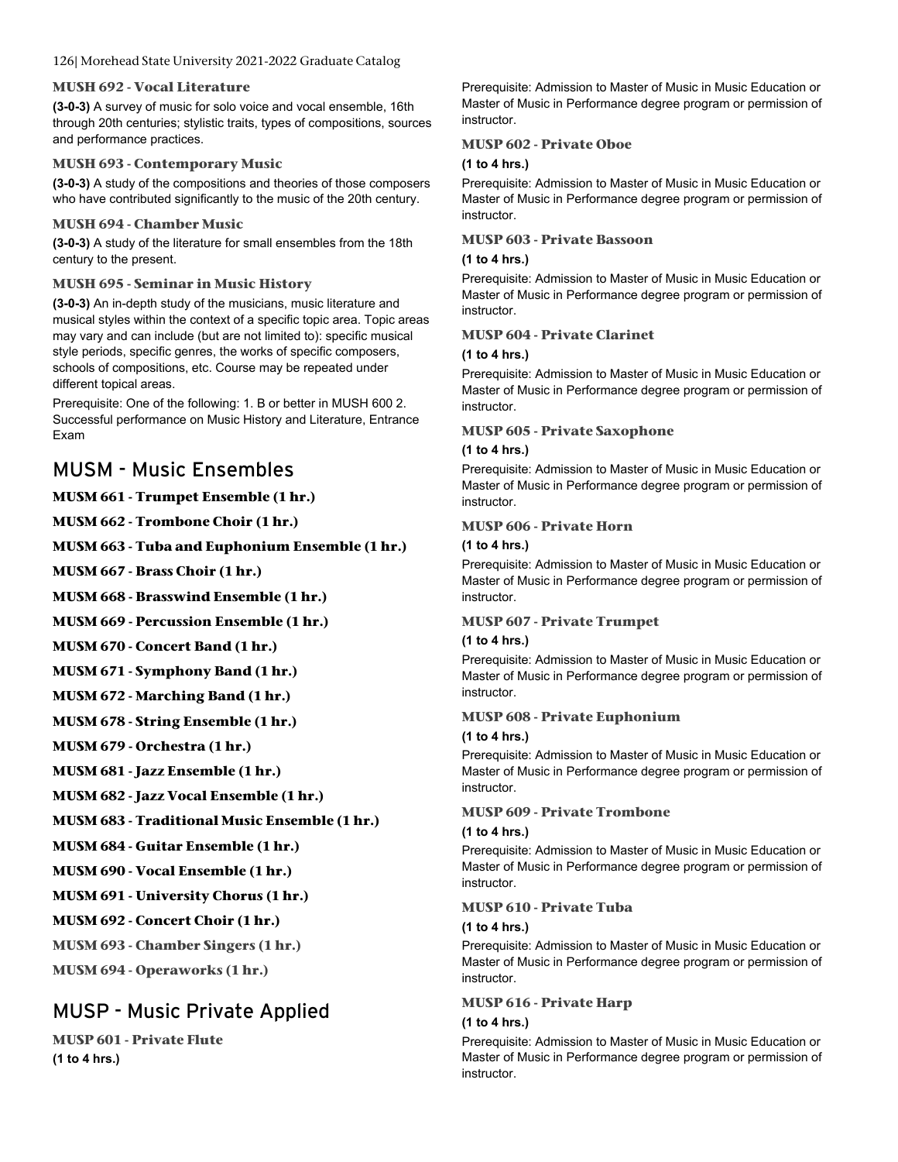### **MUSH 692 - Vocal Literature**

**(3-0-3)** A survey of music for solo voice and vocal ensemble, 16th through 20th centuries; stylistic traits, types of compositions, sources and performance practices.

# **MUSH 693 - Contemporary Music**

**(3-0-3)** A study of the compositions and theories of those composers who have contributed significantly to the music of the 20th century.

# **MUSH 694 - Chamber Music**

**(3-0-3)** A study of the literature for small ensembles from the 18th century to the present.

# **MUSH 695 - Seminar in Music History**

**(3-0-3)** An in-depth study of the musicians, music literature and musical styles within the context of a specific topic area. Topic areas may vary and can include (but are not limited to): specific musical style periods, specific genres, the works of specific composers, schools of compositions, etc. Course may be repeated under different topical areas.

Prerequisite: One of the following: 1. B or better in MUSH 600 2. Successful performance on Music History and Literature, Entrance Exam

# MUSM - Music Ensembles

# **MUSM 661 - Trumpet Ensemble (1 hr.)**

**MUSM 662 - Trombone Choir (1 hr.)** 

# **MUSM 663 - Tuba and Euphonium Ensemble (1 hr.)**

**MUSM 667 - Brass Choir (1 hr.)** 

**MUSM 668 - Brasswind Ensemble (1 hr.)** 

**MUSM 669 - Percussion Ensemble (1 hr.)** 

**MUSM 670 - Concert Band (1 hr.)** 

**MUSM 671 - Symphony Band (1 hr.)** 

**MUSM 672 - Marching Band (1 hr.)** 

**MUSM 678 - String Ensemble (1 hr.)** 

**MUSM 679 - Orchestra (1 hr.)** 

**MUSM 681 - Jazz Ensemble (1 hr.)** 

**MUSM 682 - Jazz Vocal Ensemble (1 hr.)** 

# **MUSM 683 - Traditional Music Ensemble (1 hr.)**

**MUSM 684 - Guitar Ensemble (1 hr.)** 

**MUSM 690 - Vocal Ensemble (1 hr.)** 

**MUSM 691 - University Chorus (1 hr.)** 

# **MUSM 692 - Concert Choir (1 hr.)**

**MUSM 693 - Chamber Singers (1 hr.)** 

**MUSM 694 - Operaworks (1 hr.)** 

# MUSP - Music Private Applied

**MUSP 601 - Private Flute (1 to 4 hrs.)**

Prerequisite: Admission to Master of Music in Music Education or Master of Music in Performance degree program or permission of instructor.

# **MUSP 602 - Private Oboe**

# **(1 to 4 hrs.)**

Prerequisite: Admission to Master of Music in Music Education or Master of Music in Performance degree program or permission of instructor.

# **MUSP 603 - Private Bassoon**

### **(1 to 4 hrs.)**

Prerequisite: Admission to Master of Music in Music Education or Master of Music in Performance degree program or permission of instructor.

# **MUSP 604 - Private Clarinet**

# **(1 to 4 hrs.)**

Prerequisite: Admission to Master of Music in Music Education or Master of Music in Performance degree program or permission of instructor.

# **MUSP 605 - Private Saxophone**

# **(1 to 4 hrs.)**

Prerequisite: Admission to Master of Music in Music Education or Master of Music in Performance degree program or permission of instructor.

# **MUSP 606 - Private Horn**

# **(1 to 4 hrs.)**

Prerequisite: Admission to Master of Music in Music Education or Master of Music in Performance degree program or permission of instructor.

# **MUSP 607 - Private Trumpet**

### **(1 to 4 hrs.)**

Prerequisite: Admission to Master of Music in Music Education or Master of Music in Performance degree program or permission of instructor.

### **MUSP 608 - Private Euphonium**

### **(1 to 4 hrs.)**

Prerequisite: Admission to Master of Music in Music Education or Master of Music in Performance degree program or permission of instructor.

# **MUSP 609 - Private Trombone**

# **(1 to 4 hrs.)**

Prerequisite: Admission to Master of Music in Music Education or Master of Music in Performance degree program or permission of instructor.

# **MUSP 610 - Private Tuba**

# **(1 to 4 hrs.)**

Prerequisite: Admission to Master of Music in Music Education or Master of Music in Performance degree program or permission of instructor.

# **MUSP 616 - Private Harp**

# **(1 to 4 hrs.)**

Prerequisite: Admission to Master of Music in Music Education or Master of Music in Performance degree program or permission of instructor.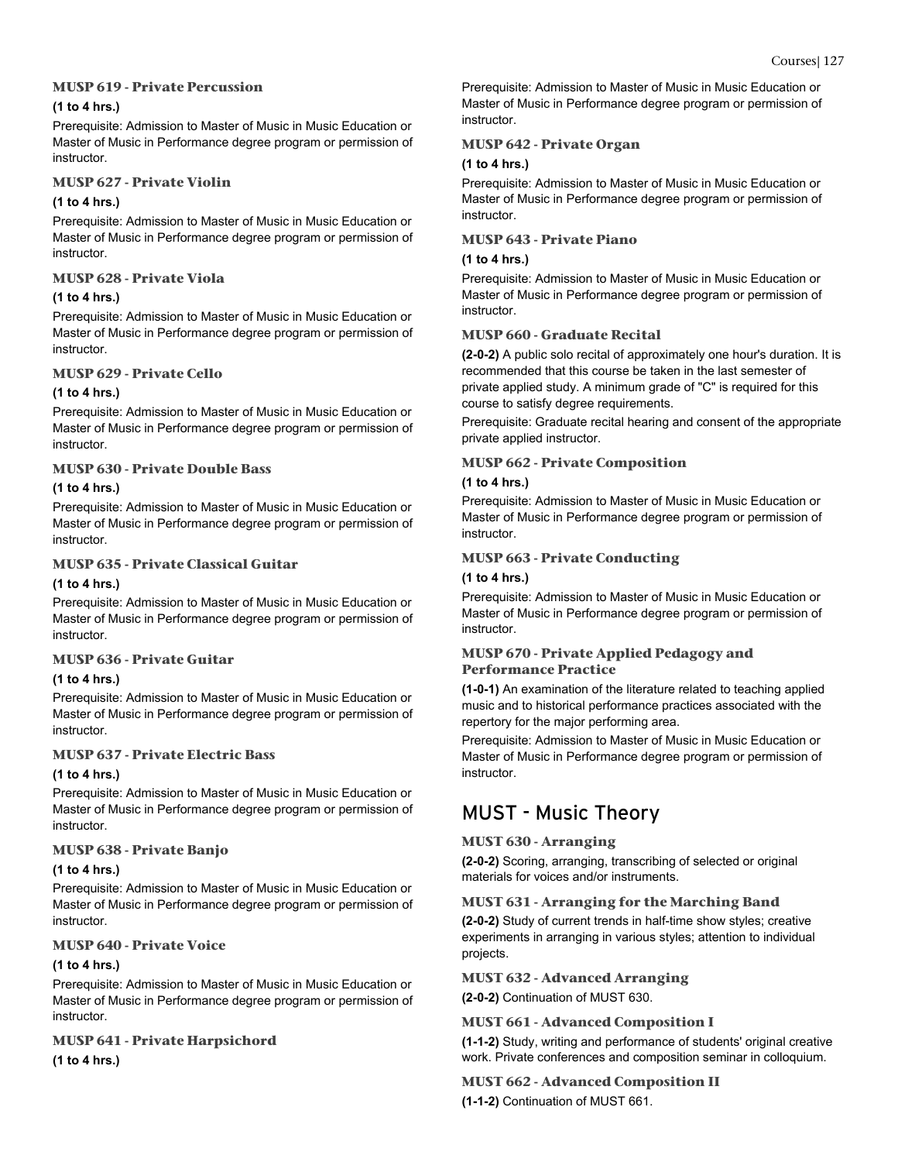# **MUSP 619 - Private Percussion**

#### **(1 to 4 hrs.)**

Prerequisite: Admission to Master of Music in Music Education or Master of Music in Performance degree program or permission of **instructor.** 

#### **MUSP 627 - Private Violin**

# **(1 to 4 hrs.)**

Prerequisite: Admission to Master of Music in Music Education or Master of Music in Performance degree program or permission of instructor.

#### **MUSP 628 - Private Viola**

#### **(1 to 4 hrs.)**

Prerequisite: Admission to Master of Music in Music Education or Master of Music in Performance degree program or permission of instructor.

#### **MUSP 629 - Private Cello**

### **(1 to 4 hrs.)**

Prerequisite: Admission to Master of Music in Music Education or Master of Music in Performance degree program or permission of instructor.

#### **MUSP 630 - Private Double Bass**

#### **(1 to 4 hrs.)**

Prerequisite: Admission to Master of Music in Music Education or Master of Music in Performance degree program or permission of instructor.

#### **MUSP 635 - Private Classical Guitar**

#### **(1 to 4 hrs.)**

Prerequisite: Admission to Master of Music in Music Education or Master of Music in Performance degree program or permission of instructor.

#### **MUSP 636 - Private Guitar**

#### **(1 to 4 hrs.)**

Prerequisite: Admission to Master of Music in Music Education or Master of Music in Performance degree program or permission of instructor.

### **MUSP 637 - Private Electric Bass**

### **(1 to 4 hrs.)**

Prerequisite: Admission to Master of Music in Music Education or Master of Music in Performance degree program or permission of instructor.

### **MUSP 638 - Private Banjo**

#### **(1 to 4 hrs.)**

Prerequisite: Admission to Master of Music in Music Education or Master of Music in Performance degree program or permission of instructor.

### **MUSP 640 - Private Voice**

### **(1 to 4 hrs.)**

Prerequisite: Admission to Master of Music in Music Education or Master of Music in Performance degree program or permission of instructor.

# **MUSP 641 - Private Harpsichord**

**(1 to 4 hrs.)**

Prerequisite: Admission to Master of Music in Music Education or Master of Music in Performance degree program or permission of instructor.

### **MUSP 642 - Private Organ**

#### **(1 to 4 hrs.)**

Prerequisite: Admission to Master of Music in Music Education or Master of Music in Performance degree program or permission of instructor.

### **MUSP 643 - Private Piano**

#### **(1 to 4 hrs.)**

Prerequisite: Admission to Master of Music in Music Education or Master of Music in Performance degree program or permission of instructor.

### **MUSP 660 - Graduate Recital**

**(2-0-2)** A public solo recital of approximately one hour's duration. It is recommended that this course be taken in the last semester of private applied study. A minimum grade of "C" is required for this course to satisfy degree requirements.

Prerequisite: Graduate recital hearing and consent of the appropriate private applied instructor.

### **MUSP 662 - Private Composition**

#### **(1 to 4 hrs.)**

Prerequisite: Admission to Master of Music in Music Education or Master of Music in Performance degree program or permission of instructor.

### **MUSP 663 - Private Conducting**

#### **(1 to 4 hrs.)**

Prerequisite: Admission to Master of Music in Music Education or Master of Music in Performance degree program or permission of instructor.

# **MUSP 670 - Private Applied Pedagogy and Performance Practice**

**(1-0-1)** An examination of the literature related to teaching applied music and to historical performance practices associated with the repertory for the major performing area.

Prerequisite: Admission to Master of Music in Music Education or Master of Music in Performance degree program or permission of instructor.

# MUST - Music Theory

### **MUST 630 - Arranging**

**(2-0-2)** Scoring, arranging, transcribing of selected or original materials for voices and/or instruments.

### **MUST 631 - Arranging for the Marching Band**

**(2-0-2)** Study of current trends in half-time show styles; creative experiments in arranging in various styles; attention to individual projects.

### **MUST 632 - Advanced Arranging**

**(2-0-2)** Continuation of MUST 630.

### **MUST 661 - Advanced Composition I**

**(1-1-2)** Study, writing and performance of students' original creative work. Private conferences and composition seminar in colloquium.

# **MUST 662 - Advanced Composition II**

**(1-1-2)** Continuation of MUST 661.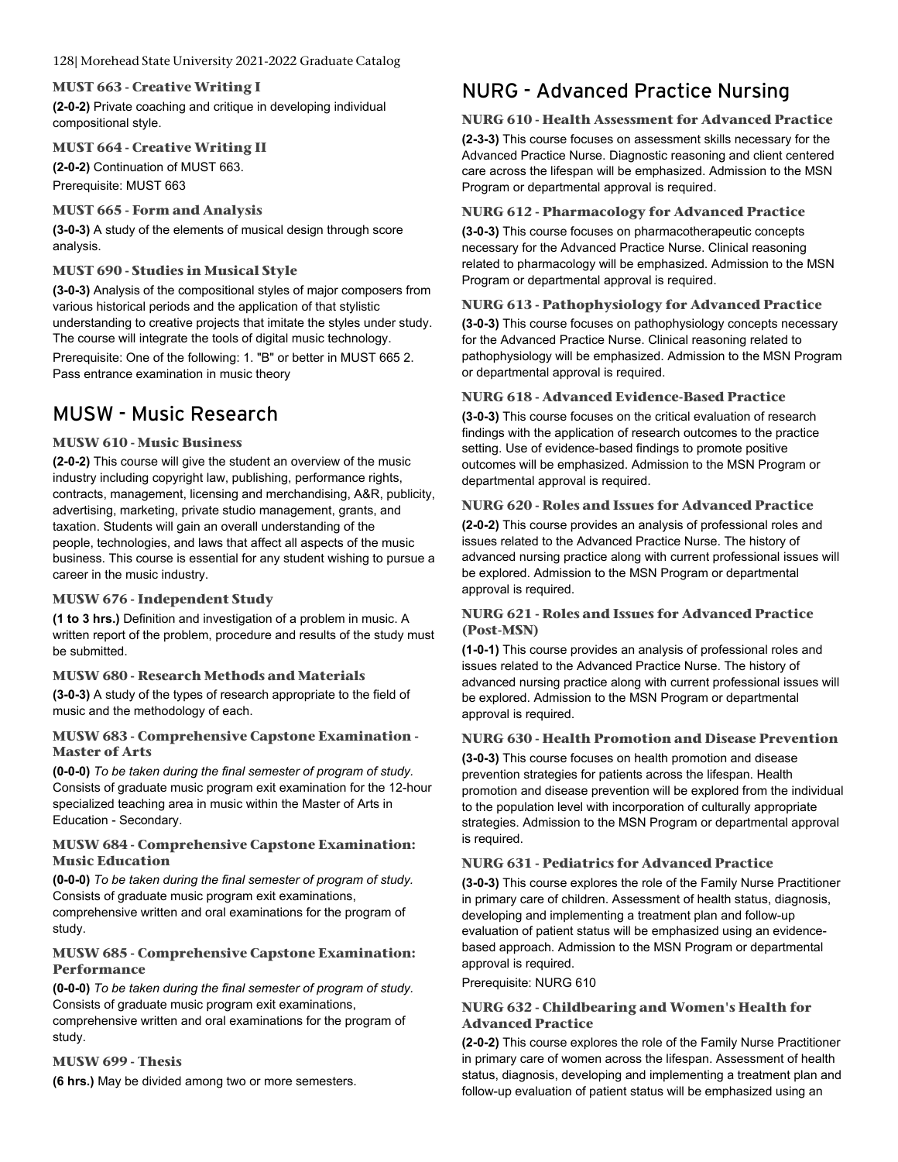# **MUST 663 - Creative Writing I**

**(2-0-2)** Private coaching and critique in developing individual compositional style.

# **MUST 664 - Creative Writing II**

**(2-0-2)** Continuation of MUST 663. Prerequisite: MUST 663

# **MUST 665 - Form and Analysis**

**(3-0-3)** A study of the elements of musical design through score analysis.

# **MUST 690 - Studies in Musical Style**

**(3-0-3)** Analysis of the compositional styles of major composers from various historical periods and the application of that stylistic understanding to creative projects that imitate the styles under study. The course will integrate the tools of digital music technology. Prerequisite: One of the following: 1. "B" or better in MUST 665 2. Pass entrance examination in music theory

# MUSW - Music Research

# **MUSW 610 - Music Business**

**(2-0-2)** This course will give the student an overview of the music industry including copyright law, publishing, performance rights, contracts, management, licensing and merchandising, A&R, publicity, advertising, marketing, private studio management, grants, and taxation. Students will gain an overall understanding of the people, technologies, and laws that affect all aspects of the music business. This course is essential for any student wishing to pursue a career in the music industry.

# **MUSW 676 - Independent Study**

**(1 to 3 hrs.)** Definition and investigation of a problem in music. A written report of the problem, procedure and results of the study must be submitted.

# **MUSW 680 - Research Methods and Materials**

**(3-0-3)** A study of the types of research appropriate to the field of music and the methodology of each.

# **MUSW 683 - Comprehensive Capstone Examination - Master of Arts**

**(0-0-0)** *To be taken during the final semester of program of study.* Consists of graduate music program exit examination for the 12-hour specialized teaching area in music within the Master of Arts in Education - Secondary.

### **MUSW 684 - Comprehensive Capstone Examination: Music Education**

**(0-0-0)** *To be taken during the final semester of program of study.*  Consists of graduate music program exit examinations, comprehensive written and oral examinations for the program of study.

# **MUSW 685 - Comprehensive Capstone Examination: Performance**

**(0-0-0)** *To be taken during the final semester of program of study.* Consists of graduate music program exit examinations, comprehensive written and oral examinations for the program of study.

# **MUSW 699 - Thesis**

**(6 hrs.)** May be divided among two or more semesters.

# NURG - Advanced Practice Nursing

# **NURG 610 - Health Assessment for Advanced Practice**

**(2-3-3)** This course focuses on assessment skills necessary for the Advanced Practice Nurse. Diagnostic reasoning and client centered care across the lifespan will be emphasized. Admission to the MSN Program or departmental approval is required.

# **NURG 612 - Pharmacology for Advanced Practice**

**(3-0-3)** This course focuses on pharmacotherapeutic concepts necessary for the Advanced Practice Nurse. Clinical reasoning related to pharmacology will be emphasized. Admission to the MSN Program or departmental approval is required.

# **NURG 613 - Pathophysiology for Advanced Practice**

**(3-0-3)** This course focuses on pathophysiology concepts necessary for the Advanced Practice Nurse. Clinical reasoning related to pathophysiology will be emphasized. Admission to the MSN Program or departmental approval is required.

# **NURG 618 - Advanced Evidence-Based Practice**

**(3-0-3)** This course focuses on the critical evaluation of research findings with the application of research outcomes to the practice setting. Use of evidence-based findings to promote positive outcomes will be emphasized. Admission to the MSN Program or departmental approval is required.

# **NURG 620 - Roles and Issues for Advanced Practice**

**(2-0-2)** This course provides an analysis of professional roles and issues related to the Advanced Practice Nurse. The history of advanced nursing practice along with current professional issues will be explored. Admission to the MSN Program or departmental approval is required.

# **NURG 621 - Roles and Issues for Advanced Practice (Post-MSN)**

**(1-0-1)** This course provides an analysis of professional roles and issues related to the Advanced Practice Nurse. The history of advanced nursing practice along with current professional issues will be explored. Admission to the MSN Program or departmental approval is required.

# **NURG 630 - Health Promotion and Disease Prevention**

**(3-0-3)** This course focuses on health promotion and disease prevention strategies for patients across the lifespan. Health promotion and disease prevention will be explored from the individual to the population level with incorporation of culturally appropriate strategies. Admission to the MSN Program or departmental approval is required.

# **NURG 631 - Pediatrics for Advanced Practice**

**(3-0-3)** This course explores the role of the Family Nurse Practitioner in primary care of children. Assessment of health status, diagnosis, developing and implementing a treatment plan and follow-up evaluation of patient status will be emphasized using an evidencebased approach. Admission to the MSN Program or departmental approval is required.

Prerequisite: NURG 610

# **NURG 632 - Childbearing and Women's Health for Advanced Practice**

**(2-0-2)** This course explores the role of the Family Nurse Practitioner in primary care of women across the lifespan. Assessment of health status, diagnosis, developing and implementing a treatment plan and follow-up evaluation of patient status will be emphasized using an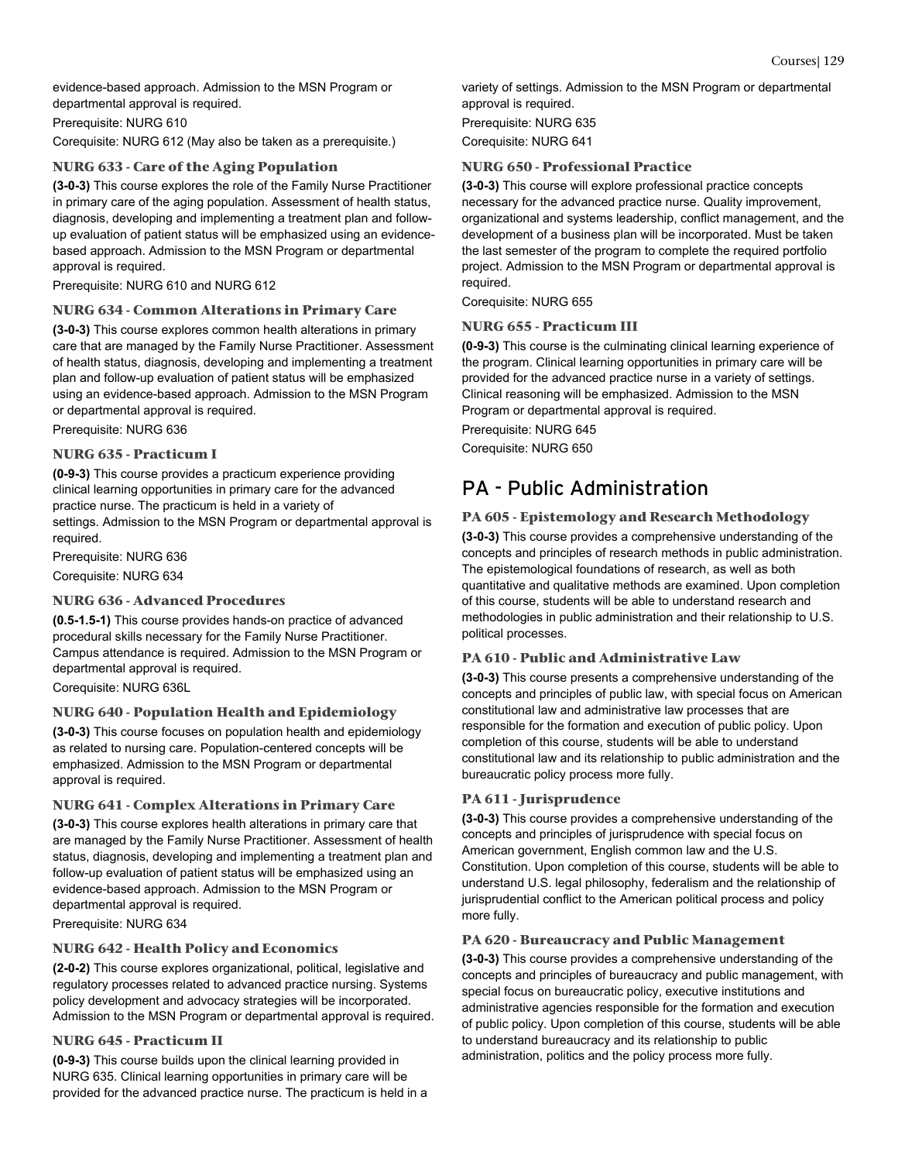evidence-based approach. Admission to the MSN Program or departmental approval is required.

Prerequisite: NURG 610

Corequisite: NURG 612 (May also be taken as a prerequisite.)

#### **NURG 633 - Care of the Aging Population**

**(3-0-3)** This course explores the role of the Family Nurse Practitioner in primary care of the aging population. Assessment of health status, diagnosis, developing and implementing a treatment plan and followup evaluation of patient status will be emphasized using an evidencebased approach. Admission to the MSN Program or departmental approval is required.

Prerequisite: NURG 610 and NURG 612

#### **NURG 634 - Common Alterations in Primary Care**

**(3-0-3)** This course explores common health alterations in primary care that are managed by the Family Nurse Practitioner. Assessment of health status, diagnosis, developing and implementing a treatment plan and follow-up evaluation of patient status will be emphasized using an evidence-based approach. Admission to the MSN Program or departmental approval is required.

Prerequisite: NURG 636

#### **NURG 635 - Practicum I**

**(0-9-3)** This course provides a practicum experience providing clinical learning opportunities in primary care for the advanced practice nurse. The practicum is held in a variety of settings. Admission to the MSN Program or departmental approval is required.

Prerequisite: NURG 636

Corequisite: NURG 634

#### **NURG 636 - Advanced Procedures**

**(0.5-1.5-1)** This course provides hands-on practice of advanced procedural skills necessary for the Family Nurse Practitioner. Campus attendance is required. Admission to the MSN Program or departmental approval is required.

Corequisite: NURG 636L

### **NURG 640 - Population Health and Epidemiology**

**(3-0-3)** This course focuses on population health and epidemiology as related to nursing care. Population-centered concepts will be emphasized. Admission to the MSN Program or departmental approval is required.

#### **NURG 641 - Complex Alterations in Primary Care**

**(3-0-3)** This course explores health alterations in primary care that are managed by the Family Nurse Practitioner. Assessment of health status, diagnosis, developing and implementing a treatment plan and follow-up evaluation of patient status will be emphasized using an evidence-based approach. Admission to the MSN Program or departmental approval is required.

Prerequisite: NURG 634

#### **NURG 642 - Health Policy and Economics**

**(2-0-2)** This course explores organizational, political, legislative and regulatory processes related to advanced practice nursing. Systems policy development and advocacy strategies will be incorporated. Admission to the MSN Program or departmental approval is required.

#### **NURG 645 - Practicum II**

**(0-9-3)** This course builds upon the clinical learning provided in NURG 635. Clinical learning opportunities in primary care will be provided for the advanced practice nurse. The practicum is held in a variety of settings. Admission to the MSN Program or departmental approval is required.

Prerequisite: NURG 635 Corequisite: NURG 641

#### **NURG 650 - Professional Practice**

**(3-0-3)** This course will explore professional practice concepts necessary for the advanced practice nurse. Quality improvement, organizational and systems leadership, conflict management, and the development of a business plan will be incorporated. Must be taken the last semester of the program to complete the required portfolio project. Admission to the MSN Program or departmental approval is required.

Corequisite: NURG 655

#### **NURG 655 - Practicum III**

**(0-9-3)** This course is the culminating clinical learning experience of the program. Clinical learning opportunities in primary care will be provided for the advanced practice nurse in a variety of settings. Clinical reasoning will be emphasized. Admission to the MSN Program or departmental approval is required.

Prerequisite: NURG 645

Corequisite: NURG 650

# PA - Public Administration

### **PA 605 - Epistemology and Research Methodology**

**(3-0-3)** This course provides a comprehensive understanding of the concepts and principles of research methods in public administration. The epistemological foundations of research, as well as both quantitative and qualitative methods are examined. Upon completion of this course, students will be able to understand research and methodologies in public administration and their relationship to U.S. political processes.

#### **PA 610 - Public and Administrative Law**

**(3-0-3)** This course presents a comprehensive understanding of the concepts and principles of public law, with special focus on American constitutional law and administrative law processes that are responsible for the formation and execution of public policy. Upon completion of this course, students will be able to understand constitutional law and its relationship to public administration and the bureaucratic policy process more fully.

#### **PA 611 - Jurisprudence**

**(3-0-3)** This course provides a comprehensive understanding of the concepts and principles of jurisprudence with special focus on American government, English common law and the U.S. Constitution. Upon completion of this course, students will be able to understand U.S. legal philosophy, federalism and the relationship of jurisprudential conflict to the American political process and policy more fully.

#### **PA 620 - Bureaucracy and Public Management**

**(3-0-3)** This course provides a comprehensive understanding of the concepts and principles of bureaucracy and public management, with special focus on bureaucratic policy, executive institutions and administrative agencies responsible for the formation and execution of public policy. Upon completion of this course, students will be able to understand bureaucracy and its relationship to public administration, politics and the policy process more fully.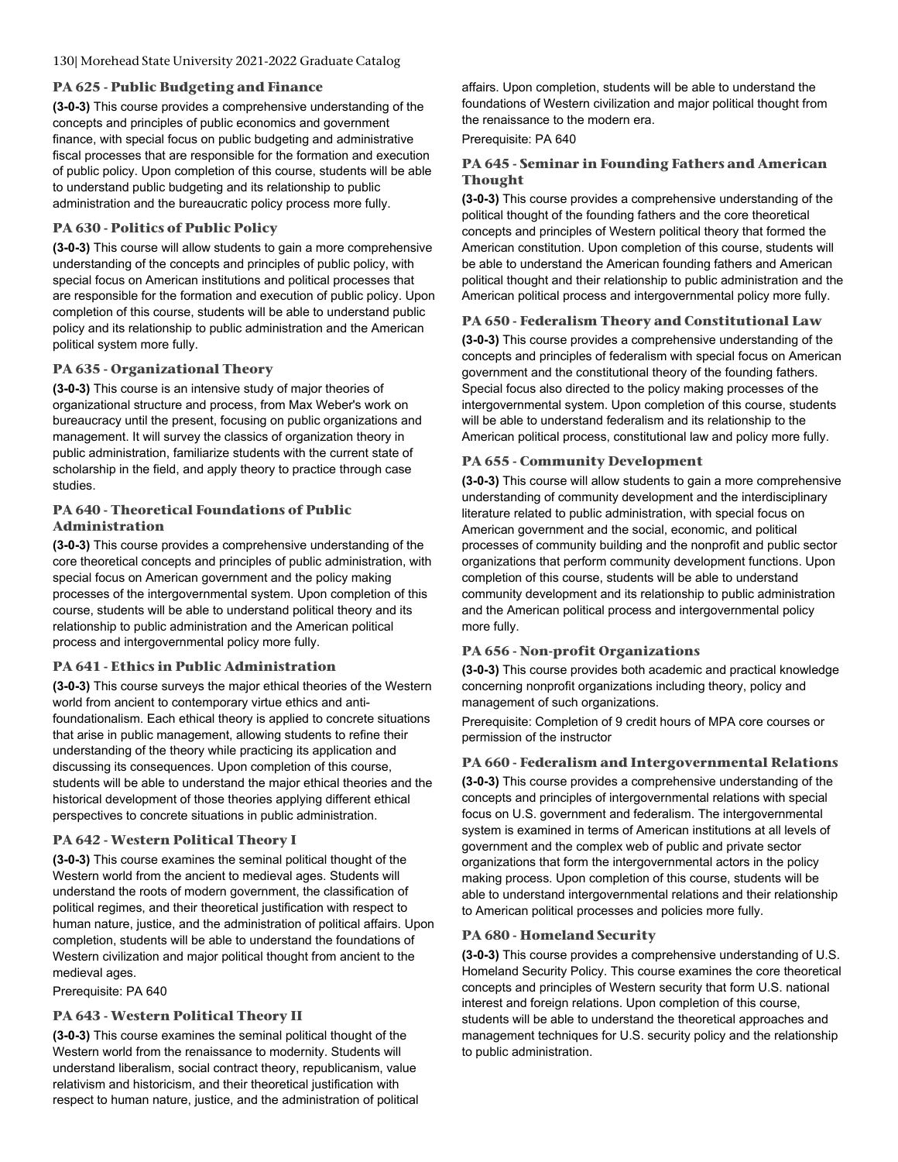### **PA 625 - Public Budgeting and Finance**

**(3-0-3)** This course provides a comprehensive understanding of the concepts and principles of public economics and government finance, with special focus on public budgeting and administrative fiscal processes that are responsible for the formation and execution of public policy. Upon completion of this course, students will be able to understand public budgeting and its relationship to public administration and the bureaucratic policy process more fully.

# **PA 630 - Politics of Public Policy**

**(3-0-3)** This course will allow students to gain a more comprehensive understanding of the concepts and principles of public policy, with special focus on American institutions and political processes that are responsible for the formation and execution of public policy. Upon completion of this course, students will be able to understand public policy and its relationship to public administration and the American political system more fully.

# **PA 635 - Organizational Theory**

**(3-0-3)** This course is an intensive study of major theories of organizational structure and process, from Max Weber's work on bureaucracy until the present, focusing on public organizations and management. It will survey the classics of organization theory in public administration, familiarize students with the current state of scholarship in the field, and apply theory to practice through case studies.

# **PA 640 - Theoretical Foundations of Public Administration**

**(3-0-3)** This course provides a comprehensive understanding of the core theoretical concepts and principles of public administration, with special focus on American government and the policy making processes of the intergovernmental system. Upon completion of this course, students will be able to understand political theory and its relationship to public administration and the American political process and intergovernmental policy more fully.

# **PA 641 - Ethics in Public Administration**

**(3-0-3)** This course surveys the major ethical theories of the Western world from ancient to contemporary virtue ethics and antifoundationalism. Each ethical theory is applied to concrete situations that arise in public management, allowing students to refine their understanding of the theory while practicing its application and discussing its consequences. Upon completion of this course, students will be able to understand the major ethical theories and the historical development of those theories applying different ethical perspectives to concrete situations in public administration.

# **PA 642 - Western Political Theory I**

**(3-0-3)** This course examines the seminal political thought of the Western world from the ancient to medieval ages. Students will understand the roots of modern government, the classification of political regimes, and their theoretical justification with respect to human nature, justice, and the administration of political affairs. Upon completion, students will be able to understand the foundations of Western civilization and major political thought from ancient to the medieval ages.

Prerequisite: PA 640

### **PA 643 - Western Political Theory II**

**(3-0-3)** This course examines the seminal political thought of the Western world from the renaissance to modernity. Students will understand liberalism, social contract theory, republicanism, value relativism and historicism, and their theoretical justification with respect to human nature, justice, and the administration of political affairs. Upon completion, students will be able to understand the foundations of Western civilization and major political thought from the renaissance to the modern era.

### Prerequisite: PA 640

# **PA 645 - Seminar in Founding Fathers and American Thought**

**(3-0-3)** This course provides a comprehensive understanding of the political thought of the founding fathers and the core theoretical concepts and principles of Western political theory that formed the American constitution. Upon completion of this course, students will be able to understand the American founding fathers and American political thought and their relationship to public administration and the American political process and intergovernmental policy more fully.

### **PA 650 - Federalism Theory and Constitutional Law**

**(3-0-3)** This course provides a comprehensive understanding of the concepts and principles of federalism with special focus on American government and the constitutional theory of the founding fathers. Special focus also directed to the policy making processes of the intergovernmental system. Upon completion of this course, students will be able to understand federalism and its relationship to the American political process, constitutional law and policy more fully.

# **PA 655 - Community Development**

**(3-0-3)** This course will allow students to gain a more comprehensive understanding of community development and the interdisciplinary literature related to public administration, with special focus on American government and the social, economic, and political processes of community building and the nonprofit and public sector organizations that perform community development functions. Upon completion of this course, students will be able to understand community development and its relationship to public administration and the American political process and intergovernmental policy more fully.

# **PA 656 - Non-profit Organizations**

**(3-0-3)** This course provides both academic and practical knowledge concerning nonprofit organizations including theory, policy and management of such organizations.

Prerequisite: Completion of 9 credit hours of MPA core courses or permission of the instructor

### **PA 660 - Federalism and Intergovernmental Relations**

**(3-0-3)** This course provides a comprehensive understanding of the concepts and principles of intergovernmental relations with special focus on U.S. government and federalism. The intergovernmental system is examined in terms of American institutions at all levels of government and the complex web of public and private sector organizations that form the intergovernmental actors in the policy making process. Upon completion of this course, students will be able to understand intergovernmental relations and their relationship to American political processes and policies more fully.

### **PA 680 - Homeland Security**

**(3-0-3)** This course provides a comprehensive understanding of U.S. Homeland Security Policy. This course examines the core theoretical concepts and principles of Western security that form U.S. national interest and foreign relations. Upon completion of this course, students will be able to understand the theoretical approaches and management techniques for U.S. security policy and the relationship to public administration.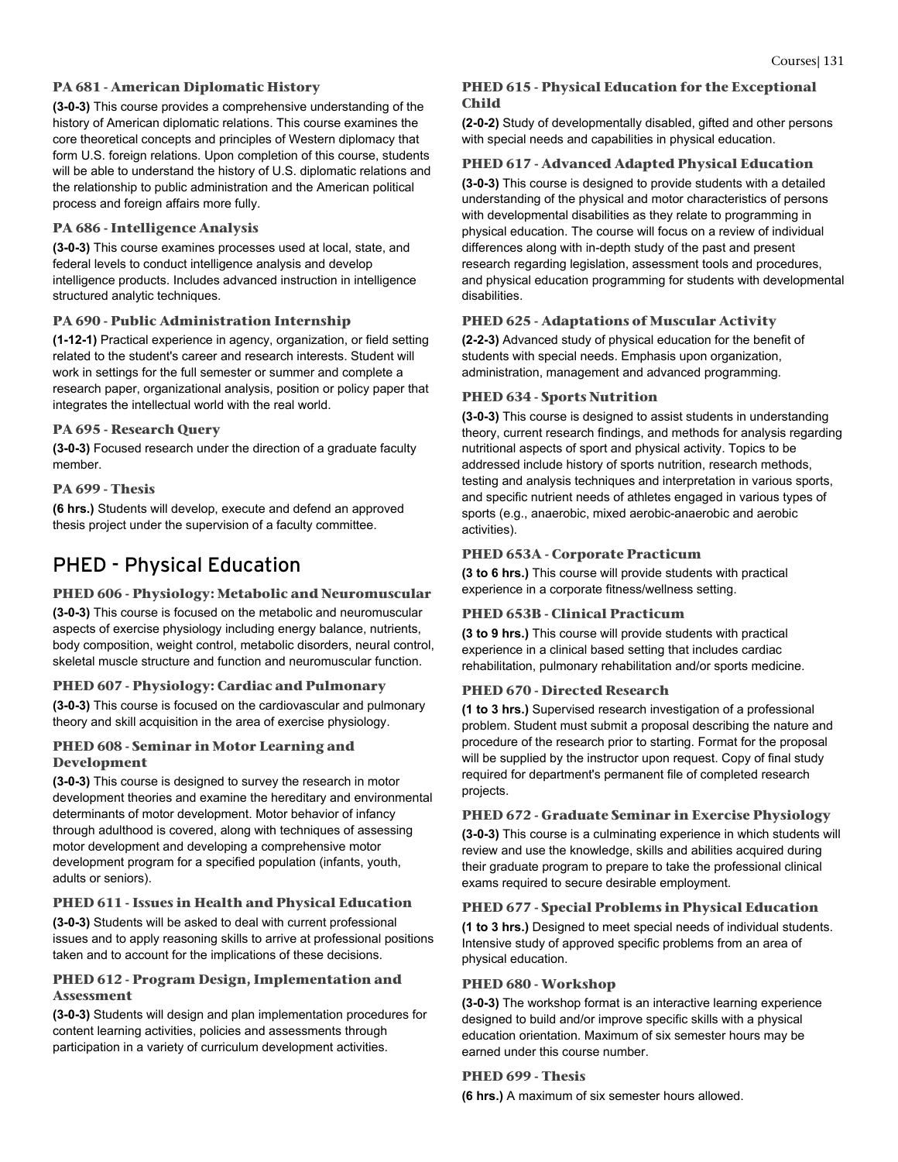### **PA 681 - American Diplomatic History**

**(3-0-3)** This course provides a comprehensive understanding of the history of American diplomatic relations. This course examines the core theoretical concepts and principles of Western diplomacy that form U.S. foreign relations. Upon completion of this course, students will be able to understand the history of U.S. diplomatic relations and the relationship to public administration and the American political process and foreign affairs more fully.

### **PA 686 - Intelligence Analysis**

**(3-0-3)** This course examines processes used at local, state, and federal levels to conduct intelligence analysis and develop intelligence products. Includes advanced instruction in intelligence structured analytic techniques.

#### **PA 690 - Public Administration Internship**

**(1-12-1)** Practical experience in agency, organization, or field setting related to the student's career and research interests. Student will work in settings for the full semester or summer and complete a research paper, organizational analysis, position or policy paper that integrates the intellectual world with the real world.

#### **PA 695 - Research Query**

**(3-0-3)** Focused research under the direction of a graduate faculty member.

#### **PA 699 - Thesis**

**(6 hrs.)** Students will develop, execute and defend an approved thesis project under the supervision of a faculty committee.

# PHED - Physical Education

### **PHED 606 - Physiology: Metabolic and Neuromuscular**

**(3-0-3)** This course is focused on the metabolic and neuromuscular aspects of exercise physiology including energy balance, nutrients, body composition, weight control, metabolic disorders, neural control, skeletal muscle structure and function and neuromuscular function.

### **PHED 607 - Physiology: Cardiac and Pulmonary**

**(3-0-3)** This course is focused on the cardiovascular and pulmonary theory and skill acquisition in the area of exercise physiology.

### **PHED 608 - Seminar in Motor Learning and Development**

**(3-0-3)** This course is designed to survey the research in motor development theories and examine the hereditary and environmental determinants of motor development. Motor behavior of infancy through adulthood is covered, along with techniques of assessing motor development and developing a comprehensive motor development program for a specified population (infants, youth, adults or seniors).

### **PHED 611 - Issues in Health and Physical Education**

**(3-0-3)** Students will be asked to deal with current professional issues and to apply reasoning skills to arrive at professional positions taken and to account for the implications of these decisions.

#### **PHED 612 - Program Design, Implementation and Assessment**

**(3-0-3)** Students will design and plan implementation procedures for content learning activities, policies and assessments through participation in a variety of curriculum development activities.

#### **PHED 615 - Physical Education for the Exceptional Child**

**(2-0-2)** Study of developmentally disabled, gifted and other persons with special needs and capabilities in physical education.

#### **PHED 617 - Advanced Adapted Physical Education**

**(3-0-3)** This course is designed to provide students with a detailed understanding of the physical and motor characteristics of persons with developmental disabilities as they relate to programming in physical education. The course will focus on a review of individual differences along with in-depth study of the past and present research regarding legislation, assessment tools and procedures, and physical education programming for students with developmental disabilities.

#### **PHED 625 - Adaptations of Muscular Activity**

**(2-2-3)** Advanced study of physical education for the benefit of students with special needs. Emphasis upon organization, administration, management and advanced programming.

#### **PHED 634 - Sports Nutrition**

**(3-0-3)** This course is designed to assist students in understanding theory, current research findings, and methods for analysis regarding nutritional aspects of sport and physical activity. Topics to be addressed include history of sports nutrition, research methods, testing and analysis techniques and interpretation in various sports, and specific nutrient needs of athletes engaged in various types of sports (e.g., anaerobic, mixed aerobic-anaerobic and aerobic activities).

#### **PHED 653A - Corporate Practicum**

**(3 to 6 hrs.)** This course will provide students with practical experience in a corporate fitness/wellness setting.

#### **PHED 653B - Clinical Practicum**

**(3 to 9 hrs.)** This course will provide students with practical experience in a clinical based setting that includes cardiac rehabilitation, pulmonary rehabilitation and/or sports medicine.

### **PHED 670 - Directed Research**

**(1 to 3 hrs.)** Supervised research investigation of a professional problem. Student must submit a proposal describing the nature and procedure of the research prior to starting. Format for the proposal will be supplied by the instructor upon request. Copy of final study required for department's permanent file of completed research projects.

#### **PHED 672 - Graduate Seminar in Exercise Physiology**

**(3-0-3)** This course is a culminating experience in which students will review and use the knowledge, skills and abilities acquired during their graduate program to prepare to take the professional clinical exams required to secure desirable employment.

### **PHED 677 - Special Problems in Physical Education**

**(1 to 3 hrs.)** Designed to meet special needs of individual students. Intensive study of approved specific problems from an area of physical education.

#### **PHED 680 - Workshop**

**(3-0-3)** The workshop format is an interactive learning experience designed to build and/or improve specific skills with a physical education orientation. Maximum of six semester hours may be earned under this course number.

#### **PHED 699 - Thesis**

**(6 hrs.)** A maximum of six semester hours allowed.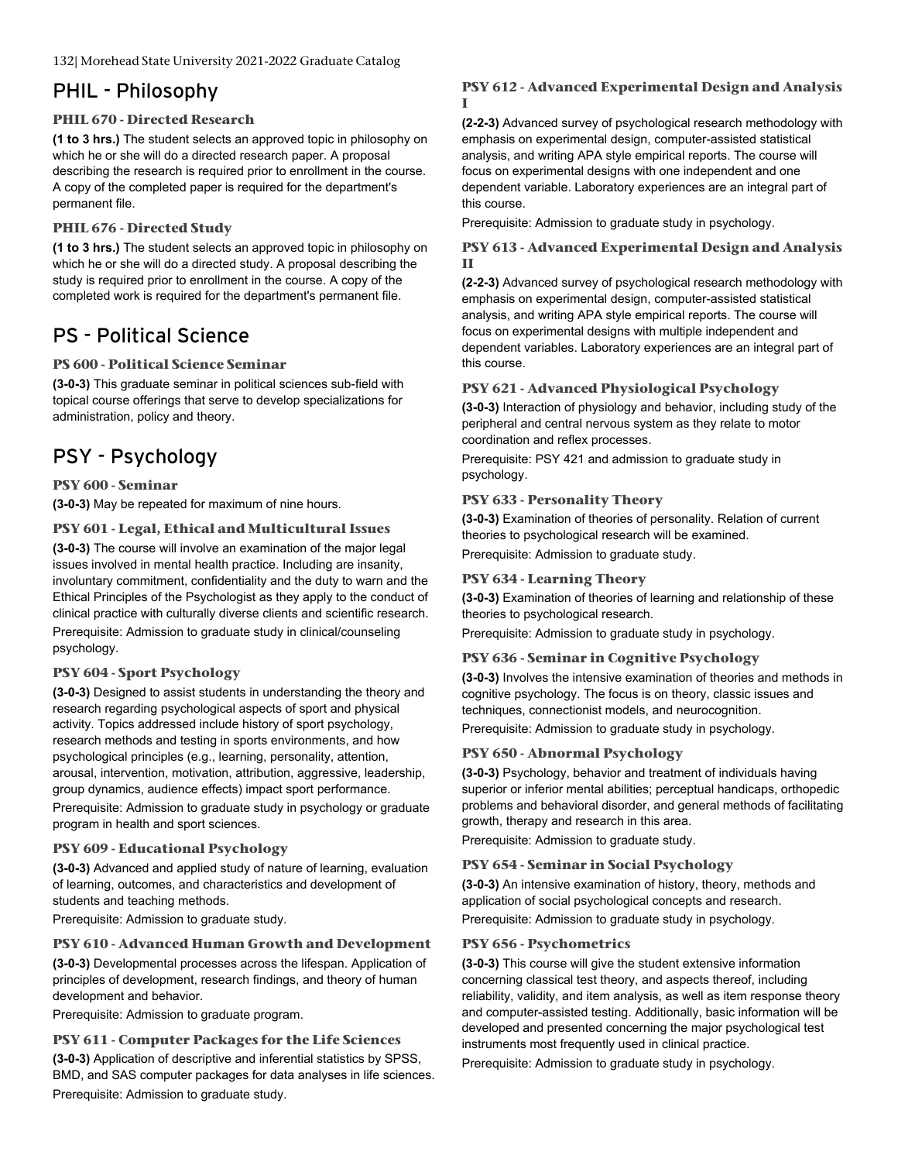# PHIL - Philosophy

# **PHIL 670 - Directed Research**

**(1 to 3 hrs.)** The student selects an approved topic in philosophy on which he or she will do a directed research paper. A proposal describing the research is required prior to enrollment in the course. A copy of the completed paper is required for the department's permanent file.

# **PHIL 676 - Directed Study**

**(1 to 3 hrs.)** The student selects an approved topic in philosophy on which he or she will do a directed study. A proposal describing the study is required prior to enrollment in the course. A copy of the completed work is required for the department's permanent file.

# PS - Political Science

# **PS 600 - Political Science Seminar**

**(3-0-3)** This graduate seminar in political sciences sub-field with topical course offerings that serve to develop specializations for administration, policy and theory.

# PSY - Psychology

# **PSY 600 - Seminar**

**(3-0-3)** May be repeated for maximum of nine hours.

# **PSY 601 - Legal, Ethical and Multicultural Issues**

**(3-0-3)** The course will involve an examination of the major legal issues involved in mental health practice. Including are insanity, involuntary commitment, confidentiality and the duty to warn and the Ethical Principles of the Psychologist as they apply to the conduct of clinical practice with culturally diverse clients and scientific research. Prerequisite: Admission to graduate study in clinical/counseling psychology.

# **PSY 604 - Sport Psychology**

**(3-0-3)** Designed to assist students in understanding the theory and research regarding psychological aspects of sport and physical activity. Topics addressed include history of sport psychology, research methods and testing in sports environments, and how psychological principles (e.g., learning, personality, attention, arousal, intervention, motivation, attribution, aggressive, leadership, group dynamics, audience effects) impact sport performance.

Prerequisite: Admission to graduate study in psychology or graduate program in health and sport sciences.

# **PSY 609 - Educational Psychology**

**(3-0-3)** Advanced and applied study of nature of learning, evaluation of learning, outcomes, and characteristics and development of students and teaching methods.

Prerequisite: Admission to graduate study.

# **PSY 610 - Advanced Human Growth and Development**

**(3-0-3)** Developmental processes across the lifespan. Application of principles of development, research findings, and theory of human development and behavior.

Prerequisite: Admission to graduate program.

# **PSY 611 - Computer Packages for the Life Sciences**

**(3-0-3)** Application of descriptive and inferential statistics by SPSS, BMD, and SAS computer packages for data analyses in life sciences. Prerequisite: Admission to graduate study.

# **PSY 612 - Advanced Experimental Design and Analysis I**

**(2-2-3)** Advanced survey of psychological research methodology with emphasis on experimental design, computer-assisted statistical analysis, and writing APA style empirical reports. The course will focus on experimental designs with one independent and one dependent variable. Laboratory experiences are an integral part of this course.

Prerequisite: Admission to graduate study in psychology.

# **PSY 613 - Advanced Experimental Design and Analysis II**

**(2-2-3)** Advanced survey of psychological research methodology with emphasis on experimental design, computer-assisted statistical analysis, and writing APA style empirical reports. The course will focus on experimental designs with multiple independent and dependent variables. Laboratory experiences are an integral part of this course.

# **PSY 621 - Advanced Physiological Psychology**

**(3-0-3)** Interaction of physiology and behavior, including study of the peripheral and central nervous system as they relate to motor coordination and reflex processes.

Prerequisite: PSY 421 and admission to graduate study in psychology.

# **PSY 633 - Personality Theory**

**(3-0-3)** Examination of theories of personality. Relation of current theories to psychological research will be examined.

Prerequisite: Admission to graduate study.

### **PSY 634 - Learning Theory**

**(3-0-3)** Examination of theories of learning and relationship of these theories to psychological research.

Prerequisite: Admission to graduate study in psychology.

# **PSY 636 - Seminar in Cognitive Psychology**

**(3-0-3)** Involves the intensive examination of theories and methods in cognitive psychology. The focus is on theory, classic issues and techniques, connectionist models, and neurocognition.

Prerequisite: Admission to graduate study in psychology.

# **PSY 650 - Abnormal Psychology**

**(3-0-3)** Psychology, behavior and treatment of individuals having superior or inferior mental abilities; perceptual handicaps, orthopedic problems and behavioral disorder, and general methods of facilitating growth, therapy and research in this area.

Prerequisite: Admission to graduate study.

### **PSY 654 - Seminar in Social Psychology**

**(3-0-3)** An intensive examination of history, theory, methods and application of social psychological concepts and research.

Prerequisite: Admission to graduate study in psychology.

# **PSY 656 - Psychometrics**

**(3-0-3)** This course will give the student extensive information concerning classical test theory, and aspects thereof, including reliability, validity, and item analysis, as well as item response theory and computer-assisted testing. Additionally, basic information will be developed and presented concerning the major psychological test instruments most frequently used in clinical practice.

Prerequisite: Admission to graduate study in psychology.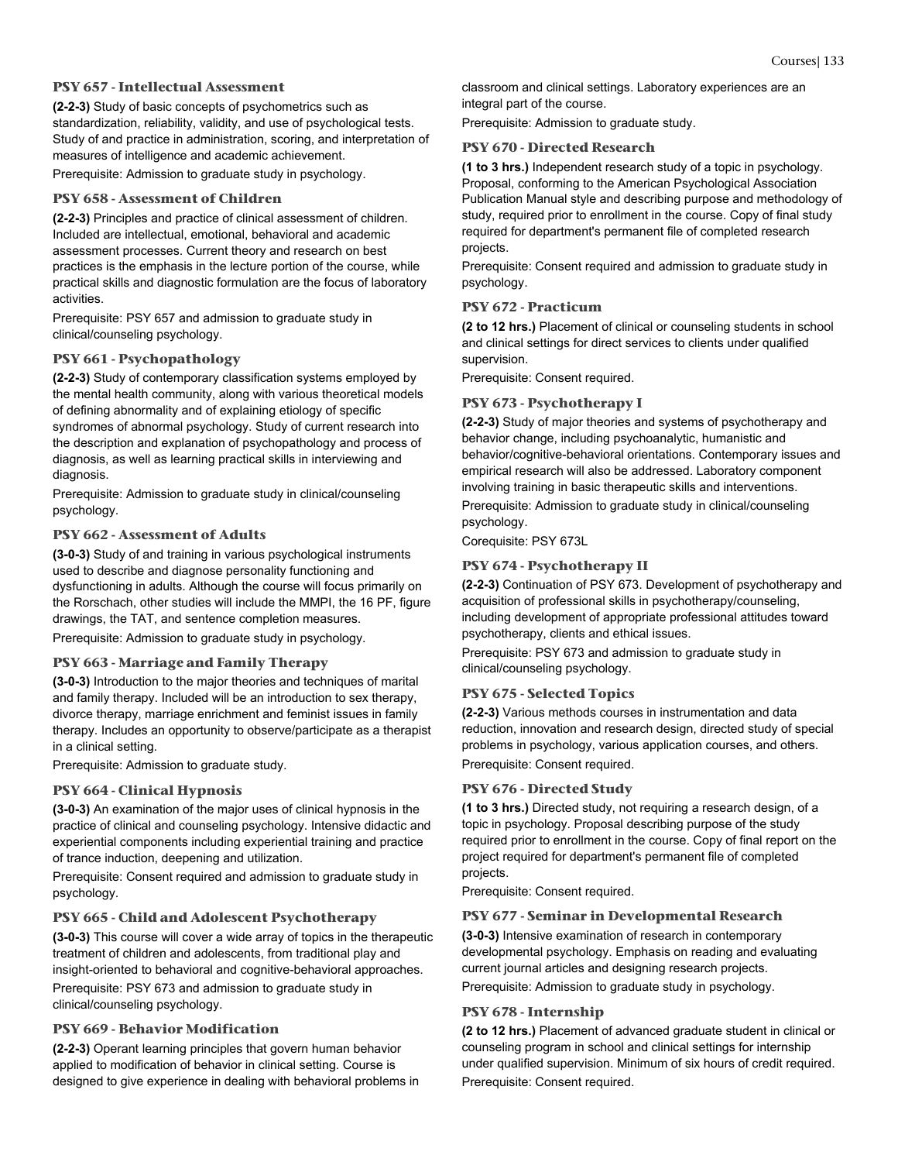### **PSY 657 - Intellectual Assessment**

**(2-2-3)** Study of basic concepts of psychometrics such as standardization, reliability, validity, and use of psychological tests. Study of and practice in administration, scoring, and interpretation of measures of intelligence and academic achievement.

Prerequisite: Admission to graduate study in psychology.

# **PSY 658 - Assessment of Children**

**(2-2-3)** Principles and practice of clinical assessment of children. Included are intellectual, emotional, behavioral and academic assessment processes. Current theory and research on best practices is the emphasis in the lecture portion of the course, while practical skills and diagnostic formulation are the focus of laboratory activities.

Prerequisite: PSY 657 and admission to graduate study in clinical/counseling psychology.

### **PSY 661 - Psychopathology**

**(2-2-3)** Study of contemporary classification systems employed by the mental health community, along with various theoretical models of defining abnormality and of explaining etiology of specific syndromes of abnormal psychology. Study of current research into the description and explanation of psychopathology and process of diagnosis, as well as learning practical skills in interviewing and diagnosis.

Prerequisite: Admission to graduate study in clinical/counseling psychology.

### **PSY 662 - Assessment of Adults**

**(3-0-3)** Study of and training in various psychological instruments used to describe and diagnose personality functioning and dysfunctioning in adults. Although the course will focus primarily on the Rorschach, other studies will include the MMPI, the 16 PF, figure drawings, the TAT, and sentence completion measures.

Prerequisite: Admission to graduate study in psychology.

### **PSY 663 - Marriage and Family Therapy**

**(3-0-3)** Introduction to the major theories and techniques of marital and family therapy. Included will be an introduction to sex therapy, divorce therapy, marriage enrichment and feminist issues in family therapy. Includes an opportunity to observe/participate as a therapist in a clinical setting.

Prerequisite: Admission to graduate study.

### **PSY 664 - Clinical Hypnosis**

**(3-0-3)** An examination of the major uses of clinical hypnosis in the practice of clinical and counseling psychology. Intensive didactic and experiential components including experiential training and practice of trance induction, deepening and utilization.

Prerequisite: Consent required and admission to graduate study in psychology.

### **PSY 665 - Child and Adolescent Psychotherapy**

**(3-0-3)** This course will cover a wide array of topics in the therapeutic treatment of children and adolescents, from traditional play and insight-oriented to behavioral and cognitive-behavioral approaches. Prerequisite: PSY 673 and admission to graduate study in clinical/counseling psychology.

### **PSY 669 - Behavior Modification**

**(2-2-3)** Operant learning principles that govern human behavior applied to modification of behavior in clinical setting. Course is designed to give experience in dealing with behavioral problems in classroom and clinical settings. Laboratory experiences are an integral part of the course.

Prerequisite: Admission to graduate study.

### **PSY 670 - Directed Research**

**(1 to 3 hrs.)** Independent research study of a topic in psychology. Proposal, conforming to the American Psychological Association Publication Manual style and describing purpose and methodology of study, required prior to enrollment in the course. Copy of final study required for department's permanent file of completed research projects.

Prerequisite: Consent required and admission to graduate study in psychology.

# **PSY 672 - Practicum**

**(2 to 12 hrs.)** Placement of clinical or counseling students in school and clinical settings for direct services to clients under qualified supervision.

Prerequisite: Consent required.

# **PSY 673 - Psychotherapy I**

**(2-2-3)** Study of major theories and systems of psychotherapy and behavior change, including psychoanalytic, humanistic and behavior/cognitive-behavioral orientations. Contemporary issues and empirical research will also be addressed. Laboratory component involving training in basic therapeutic skills and interventions.

Prerequisite: Admission to graduate study in clinical/counseling psychology.

Corequisite: PSY 673L

# **PSY 674 - Psychotherapy II**

**(2-2-3)** Continuation of PSY 673. Development of psychotherapy and acquisition of professional skills in psychotherapy/counseling, including development of appropriate professional attitudes toward psychotherapy, clients and ethical issues.

Prerequisite: PSY 673 and admission to graduate study in clinical/counseling psychology.

### **PSY 675 - Selected Topics**

**(2-2-3)** Various methods courses in instrumentation and data reduction, innovation and research design, directed study of special problems in psychology, various application courses, and others. Prerequisite: Consent required.

### **PSY 676 - Directed Study**

**(1 to 3 hrs.)** Directed study, not requiring a research design, of a topic in psychology. Proposal describing purpose of the study required prior to enrollment in the course. Copy of final report on the project required for department's permanent file of completed projects.

Prerequisite: Consent required.

### **PSY 677 - Seminar in Developmental Research**

**(3-0-3)** Intensive examination of research in contemporary developmental psychology. Emphasis on reading and evaluating current journal articles and designing research projects. Prerequisite: Admission to graduate study in psychology.

### **PSY 678 - Internship**

**(2 to 12 hrs.)** Placement of advanced graduate student in clinical or counseling program in school and clinical settings for internship under qualified supervision. Minimum of six hours of credit required. Prerequisite: Consent required.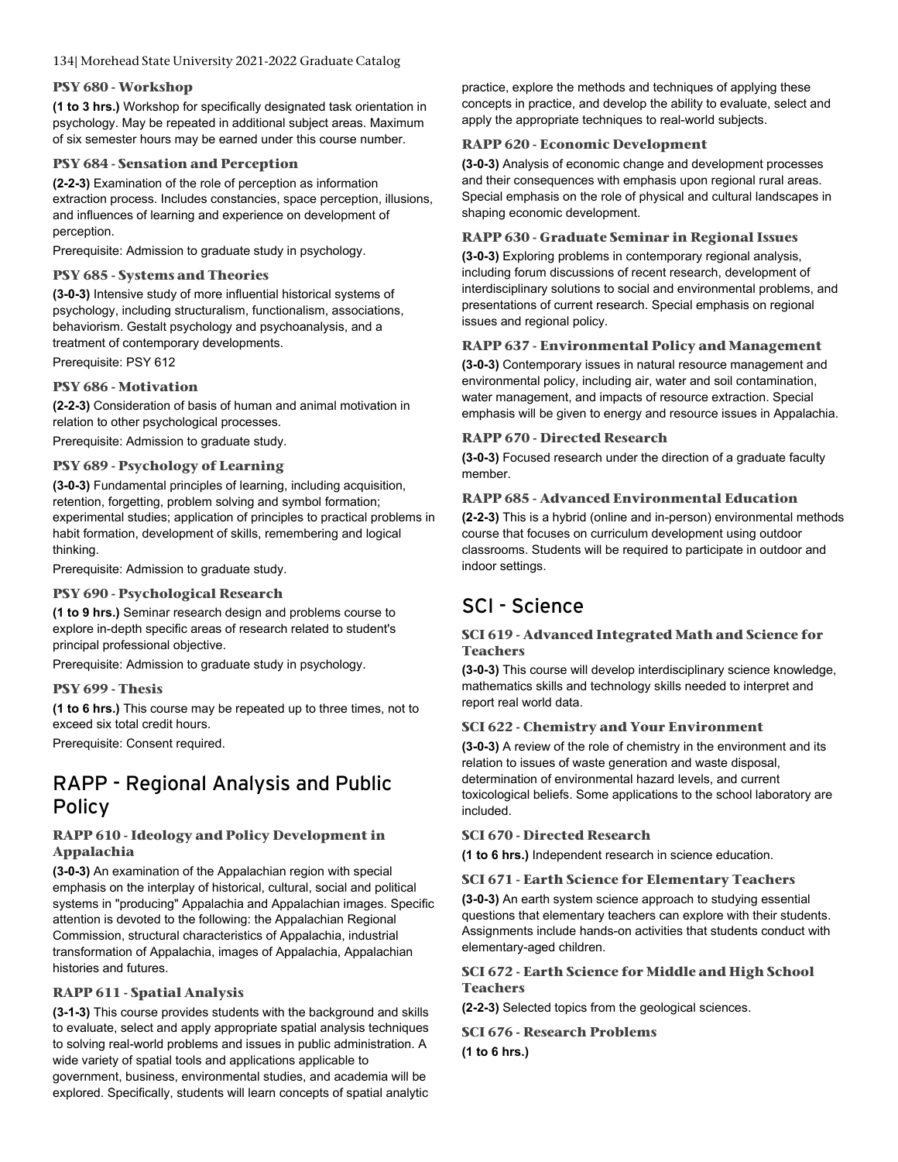### **PSY 680 - Workshop**

**(1 to 3 hrs.)** Workshop for specifically designated task orientation in psychology. May be repeated in additional subject areas. Maximum of six semester hours may be earned under this course number.

# **PSY 684 - Sensation and Perception**

**(2-2-3)** Examination of the role of perception as information extraction process. Includes constancies, space perception, illusions, and influences of learning and experience on development of perception.

Prerequisite: Admission to graduate study in psychology.

# **PSY 685 - Systems and Theories**

**(3-0-3)** Intensive study of more influential historical systems of psychology, including structuralism, functionalism, associations, behaviorism. Gestalt psychology and psychoanalysis, and a treatment of contemporary developments.

Prerequisite: PSY 612

# **PSY 686 - Motivation**

**(2-2-3)** Consideration of basis of human and animal motivation in relation to other psychological processes. Prerequisite: Admission to graduate study.

# **PSY 689 - Psychology of Learning**

**(3-0-3)** Fundamental principles of learning, including acquisition, retention, forgetting, problem solving and symbol formation; experimental studies; application of principles to practical problems in habit formation, development of skills, remembering and logical thinking.

Prerequisite: Admission to graduate study.

# **PSY 690 - Psychological Research**

**(1 to 9 hrs.)** Seminar research design and problems course to explore in-depth specific areas of research related to student's principal professional objective.

Prerequisite: Admission to graduate study in psychology.

# **PSY 699 - Thesis**

**(1 to 6 hrs.)** This course may be repeated up to three times, not to exceed six total credit hours.

Prerequisite: Consent required.

# RAPP - Regional Analysis and Public Policy

# **RAPP 610 - Ideology and Policy Development in Appalachia**

**(3-0-3)** An examination of the Appalachian region with special emphasis on the interplay of historical, cultural, social and political systems in "producing" Appalachia and Appalachian images. Specific attention is devoted to the following: the Appalachian Regional Commission, structural characteristics of Appalachia, industrial transformation of Appalachia, images of Appalachia, Appalachian histories and futures.

# **RAPP 611 - Spatial Analysis**

**(3-1-3)** This course provides students with the background and skills to evaluate, select and apply appropriate spatial analysis techniques to solving real-world problems and issues in public administration. A wide variety of spatial tools and applications applicable to government, business, environmental studies, and academia will be explored. Specifically, students will learn concepts of spatial analytic

practice, explore the methods and techniques of applying these concepts in practice, and develop the ability to evaluate, select and apply the appropriate techniques to real-world subjects.

# **RAPP 620 - Economic Development**

**(3-0-3)** Analysis of economic change and development processes and their consequences with emphasis upon regional rural areas. Special emphasis on the role of physical and cultural landscapes in shaping economic development.

# **RAPP 630 - Graduate Seminar in Regional Issues**

**(3-0-3)** Exploring problems in contemporary regional analysis, including forum discussions of recent research, development of interdisciplinary solutions to social and environmental problems, and presentations of current research. Special emphasis on regional issues and regional policy.

# **RAPP 637 - Environmental Policy and Management**

**(3-0-3)** Contemporary issues in natural resource management and environmental policy, including air, water and soil contamination, water management, and impacts of resource extraction. Special emphasis will be given to energy and resource issues in Appalachia.

# **RAPP 670 - Directed Research**

**(3-0-3)** Focused research under the direction of a graduate faculty member.

# **RAPP 685 - Advanced Environmental Education**

**(2-2-3)** This is a hybrid (online and in-person) environmental methods course that focuses on curriculum development using outdoor classrooms. Students will be required to participate in outdoor and indoor settings.

# SCI - Science

# **SCI 619 - Advanced Integrated Math and Science for Teachers**

**(3-0-3)** This course will develop interdisciplinary science knowledge, mathematics skills and technology skills needed to interpret and report real world data.

# **SCI 622 - Chemistry and Your Environment**

**(3-0-3)** A review of the role of chemistry in the environment and its relation to issues of waste generation and waste disposal, determination of environmental hazard levels, and current toxicological beliefs. Some applications to the school laboratory are included.

# **SCI 670 - Directed Research**

**(1 to 6 hrs.)** Independent research in science education.

# **SCI 671 - Earth Science for Elementary Teachers**

**(3-0-3)** An earth system science approach to studying essential questions that elementary teachers can explore with their students. Assignments include hands-on activities that students conduct with elementary-aged children.

# **SCI 672 - Earth Science for Middle and High School Teachers**

**(2-2-3)** Selected topics from the geological sciences.

**SCI 676 - Research Problems** 

**(1 to 6 hrs.)**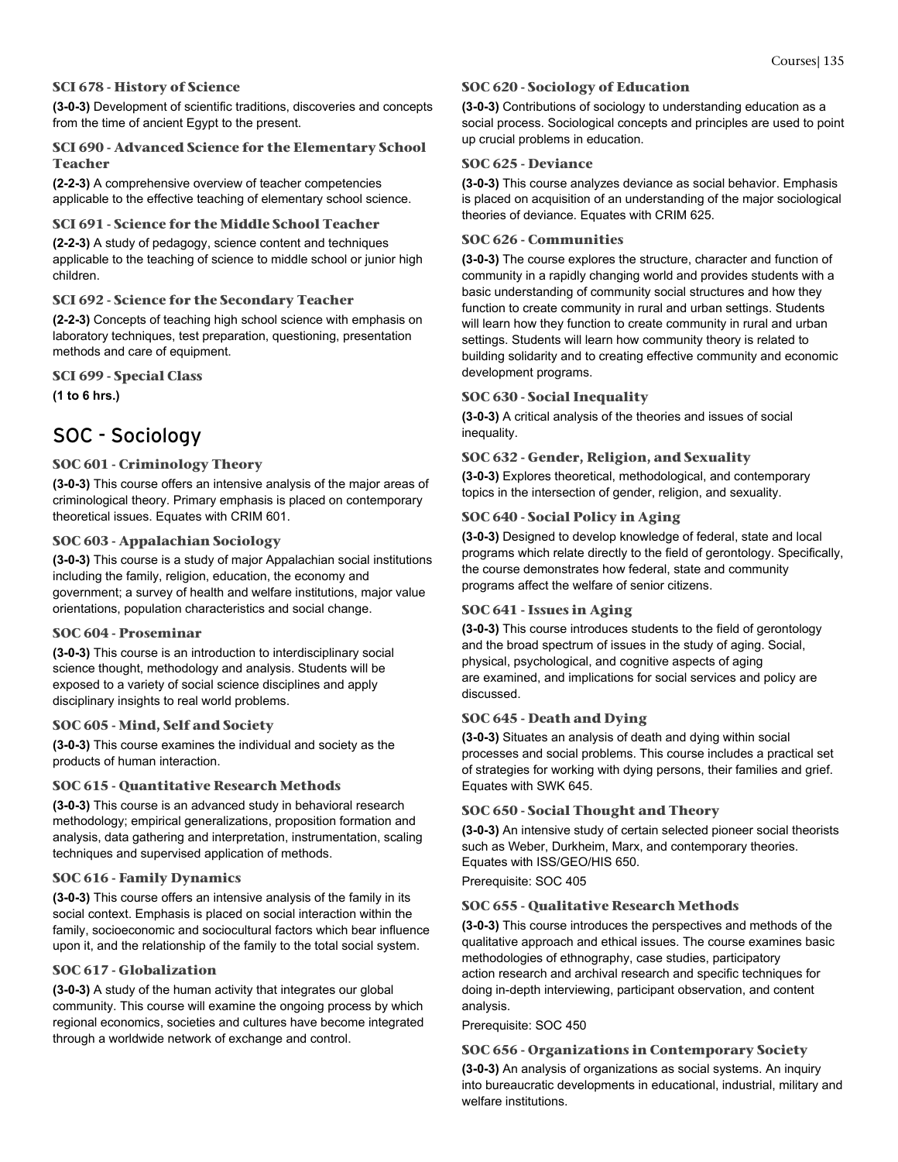### **SCI 678 - History of Science**

**(3-0-3)** Development of scientific traditions, discoveries and concepts from the time of ancient Egypt to the present.

### **SCI 690 - Advanced Science for the Elementary School Teacher**

**(2-2-3)** A comprehensive overview of teacher competencies applicable to the effective teaching of elementary school science.

### **SCI 691 - Science for the Middle School Teacher**

**(2-2-3)** A study of pedagogy, science content and techniques applicable to the teaching of science to middle school or junior high children.

### **SCI 692 - Science for the Secondary Teacher**

**(2-2-3)** Concepts of teaching high school science with emphasis on laboratory techniques, test preparation, questioning, presentation methods and care of equipment.

**SCI 699 - Special Class** 

**(1 to 6 hrs.)**

# SOC - Sociology

# **SOC 601 - Criminology Theory**

**(3-0-3)** This course offers an intensive analysis of the major areas of criminological theory. Primary emphasis is placed on contemporary theoretical issues. Equates with CRIM 601.

# **SOC 603 - Appalachian Sociology**

**(3-0-3)** This course is a study of major Appalachian social institutions including the family, religion, education, the economy and government; a survey of health and welfare institutions, major value orientations, population characteristics and social change.

### **SOC 604 - Proseminar**

**(3-0-3)** This course is an introduction to interdisciplinary social science thought, methodology and analysis. Students will be exposed to a variety of social science disciplines and apply disciplinary insights to real world problems.

### **SOC 605 - Mind, Self and Society**

**(3-0-3)** This course examines the individual and society as the products of human interaction.

### **SOC 615 - Quantitative Research Methods**

**(3-0-3)** This course is an advanced study in behavioral research methodology; empirical generalizations, proposition formation and analysis, data gathering and interpretation, instrumentation, scaling techniques and supervised application of methods.

### **SOC 616 - Family Dynamics**

**(3-0-3)** This course offers an intensive analysis of the family in its social context. Emphasis is placed on social interaction within the family, socioeconomic and sociocultural factors which bear influence upon it, and the relationship of the family to the total social system.

### **SOC 617 - Globalization**

**(3-0-3)** A study of the human activity that integrates our global community. This course will examine the ongoing process by which regional economics, societies and cultures have become integrated through a worldwide network of exchange and control.

#### **SOC 620 - Sociology of Education**

**(3-0-3)** Contributions of sociology to understanding education as a social process. Sociological concepts and principles are used to point up crucial problems in education.

### **SOC 625 - Deviance**

**(3-0-3)** This course analyzes deviance as social behavior. Emphasis is placed on acquisition of an understanding of the major sociological theories of deviance. Equates with CRIM 625.

#### **SOC 626 - Communities**

**(3-0-3)** The course explores the structure, character and function of community in a rapidly changing world and provides students with a basic understanding of community social structures and how they function to create community in rural and urban settings. Students will learn how they function to create community in rural and urban settings. Students will learn how community theory is related to building solidarity and to creating effective community and economic development programs.

### **SOC 630 - Social Inequality**

**(3-0-3)** A critical analysis of the theories and issues of social inequality.

### **SOC 632 - Gender, Religion, and Sexuality**

**(3-0-3)** Explores theoretical, methodological, and contemporary topics in the intersection of gender, religion, and sexuality.

### **SOC 640 - Social Policy in Aging**

**(3-0-3)** Designed to develop knowledge of federal, state and local programs which relate directly to the field of gerontology. Specifically, the course demonstrates how federal, state and community programs affect the welfare of senior citizens.

### **SOC 641 - Issues in Aging**

**(3-0-3)** This course introduces students to the field of gerontology and the broad spectrum of issues in the study of aging. Social, physical, psychological, and cognitive aspects of aging are examined, and implications for social services and policy are discussed.

### **SOC 645 - Death and Dying**

**(3-0-3)** Situates an analysis of death and dying within social processes and social problems. This course includes a practical set of strategies for working with dying persons, their families and grief. Equates with SWK 645.

### **SOC 650 - Social Thought and Theory**

**(3-0-3)** An intensive study of certain selected pioneer social theorists such as Weber, Durkheim, Marx, and contemporary theories. Equates with ISS/GEO/HIS 650.

Prerequisite: SOC 405

### **SOC 655 - Qualitative Research Methods**

**(3-0-3)** This course introduces the perspectives and methods of the qualitative approach and ethical issues. The course examines basic methodologies of ethnography, case studies, participatory action research and archival research and specific techniques for doing in-depth interviewing, participant observation, and content analysis.

Prerequisite: SOC 450

### **SOC 656 - Organizations in Contemporary Society**

**(3-0-3)** An analysis of organizations as social systems. An inquiry into bureaucratic developments in educational, industrial, military and welfare institutions.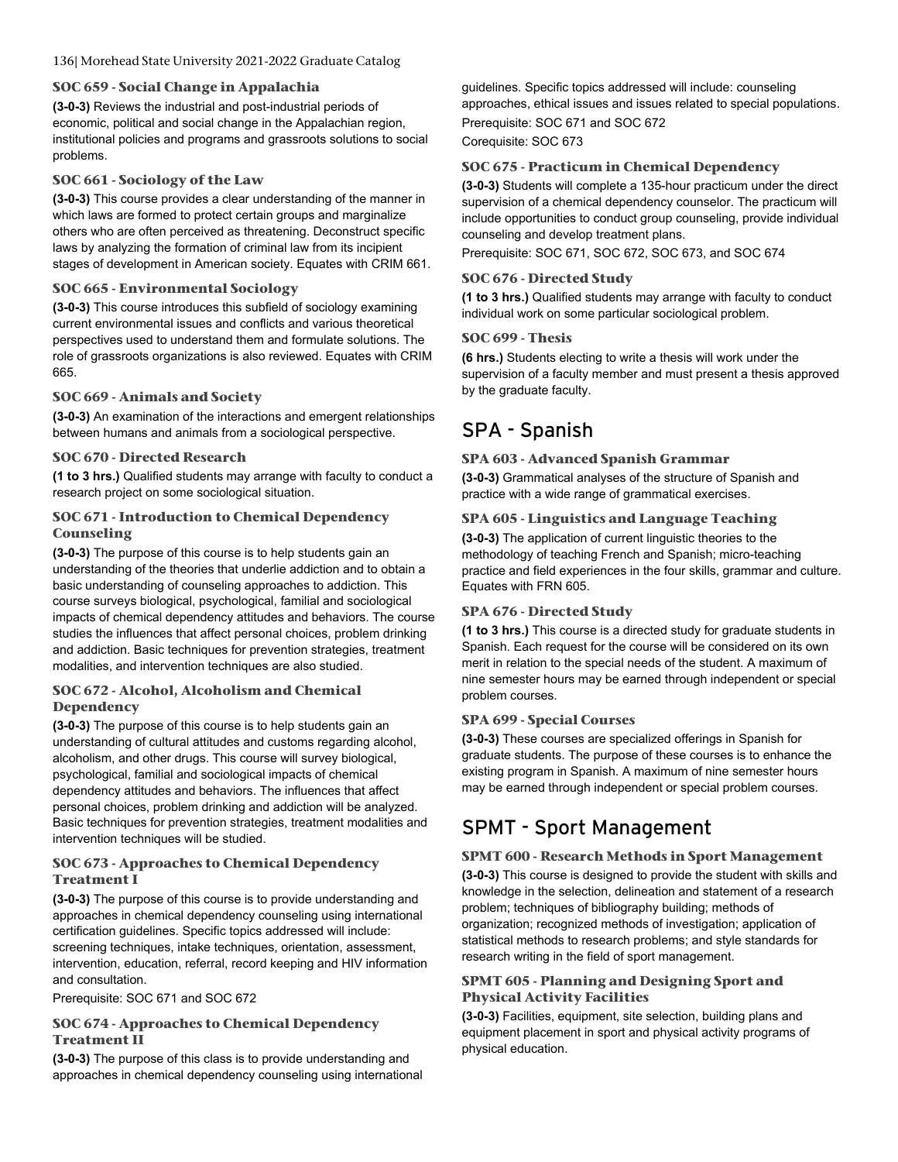### **SOC 659 - Social Change in Appalachia**

**(3-0-3)** Reviews the industrial and post-industrial periods of economic, political and social change in the Appalachian region, institutional policies and programs and grassroots solutions to social problems.

# **SOC 661 - Sociology of the Law**

**(3-0-3)** This course provides a clear understanding of the manner in which laws are formed to protect certain groups and marginalize others who are often perceived as threatening. Deconstruct specific laws by analyzing the formation of criminal law from its incipient stages of development in American society. Equates with CRIM 661.

# **SOC 665 - Environmental Sociology**

**(3-0-3)** This course introduces this subfield of sociology examining current environmental issues and conflicts and various theoretical perspectives used to understand them and formulate solutions. The role of grassroots organizations is also reviewed. Equates with CRIM 665.

# **SOC 669 - Animals and Society**

**(3-0-3)** An examination of the interactions and emergent relationships between humans and animals from a sociological perspective.

# **SOC 670 - Directed Research**

**(1 to 3 hrs.)** Qualified students may arrange with faculty to conduct a research project on some sociological situation.

# **SOC 671 - Introduction to Chemical Dependency Counseling**

**(3-0-3)** The purpose of this course is to help students gain an understanding of the theories that underlie addiction and to obtain a basic understanding of counseling approaches to addiction. This course surveys biological, psychological, familial and sociological impacts of chemical dependency attitudes and behaviors. The course studies the influences that affect personal choices, problem drinking and addiction. Basic techniques for prevention strategies, treatment modalities, and intervention techniques are also studied.

# **SOC 672 - Alcohol, Alcoholism and Chemical Dependency**

**(3-0-3)** The purpose of this course is to help students gain an understanding of cultural attitudes and customs regarding alcohol, alcoholism, and other drugs. This course will survey biological, psychological, familial and sociological impacts of chemical dependency attitudes and behaviors. The influences that affect personal choices, problem drinking and addiction will be analyzed. Basic techniques for prevention strategies, treatment modalities and intervention techniques will be studied.

# **SOC 673 - Approaches to Chemical Dependency Treatment I**

**(3-0-3)** The purpose of this course is to provide understanding and approaches in chemical dependency counseling using international certification guidelines. Specific topics addressed will include: screening techniques, intake techniques, orientation, assessment, intervention, education, referral, record keeping and HIV information and consultation.

Prerequisite: SOC 671 and SOC 672

# **SOC 674 - Approaches to Chemical Dependency Treatment II**

**(3-0-3)** The purpose of this class is to provide understanding and approaches in chemical dependency counseling using international guidelines. Specific topics addressed will include: counseling approaches, ethical issues and issues related to special populations.

Prerequisite: SOC 671 and SOC 672 Corequisite: SOC 673

# **SOC 675 - Practicum in Chemical Dependency**

**(3-0-3)** Students will complete a 135-hour practicum under the direct supervision of a chemical dependency counselor. The practicum will include opportunities to conduct group counseling, provide individual counseling and develop treatment plans.

Prerequisite: SOC 671, SOC 672, SOC 673, and SOC 674

# **SOC 676 - Directed Study**

**(1 to 3 hrs.)** Qualified students may arrange with faculty to conduct individual work on some particular sociological problem.

# **SOC 699 - Thesis**

**(6 hrs.)** Students electing to write a thesis will work under the supervision of a faculty member and must present a thesis approved by the graduate faculty.

# SPA - Spanish

# **SPA 603 - Advanced Spanish Grammar**

**(3-0-3)** Grammatical analyses of the structure of Spanish and practice with a wide range of grammatical exercises.

# **SPA 605 - Linguistics and Language Teaching**

**(3-0-3)** The application of current linguistic theories to the methodology of teaching French and Spanish; micro-teaching practice and field experiences in the four skills, grammar and culture. Equates with FRN 605.

### **SPA 676 - Directed Study**

**(1 to 3 hrs.)** This course is a directed study for graduate students in Spanish. Each request for the course will be considered on its own merit in relation to the special needs of the student. A maximum of nine semester hours may be earned through independent or special problem courses.

### **SPA 699 - Special Courses**

**(3-0-3)** These courses are specialized offerings in Spanish for graduate students. The purpose of these courses is to enhance the existing program in Spanish. A maximum of nine semester hours may be earned through independent or special problem courses.

# SPMT - Sport Management

# **SPMT 600 - Research Methods in Sport Management**

**(3-0-3)** This course is designed to provide the student with skills and knowledge in the selection, delineation and statement of a research problem; techniques of bibliography building; methods of organization; recognized methods of investigation; application of statistical methods to research problems; and style standards for research writing in the field of sport management.

# **SPMT 605 - Planning and Designing Sport and Physical Activity Facilities**

**(3-0-3)** Facilities, equipment, site selection, building plans and equipment placement in sport and physical activity programs of physical education.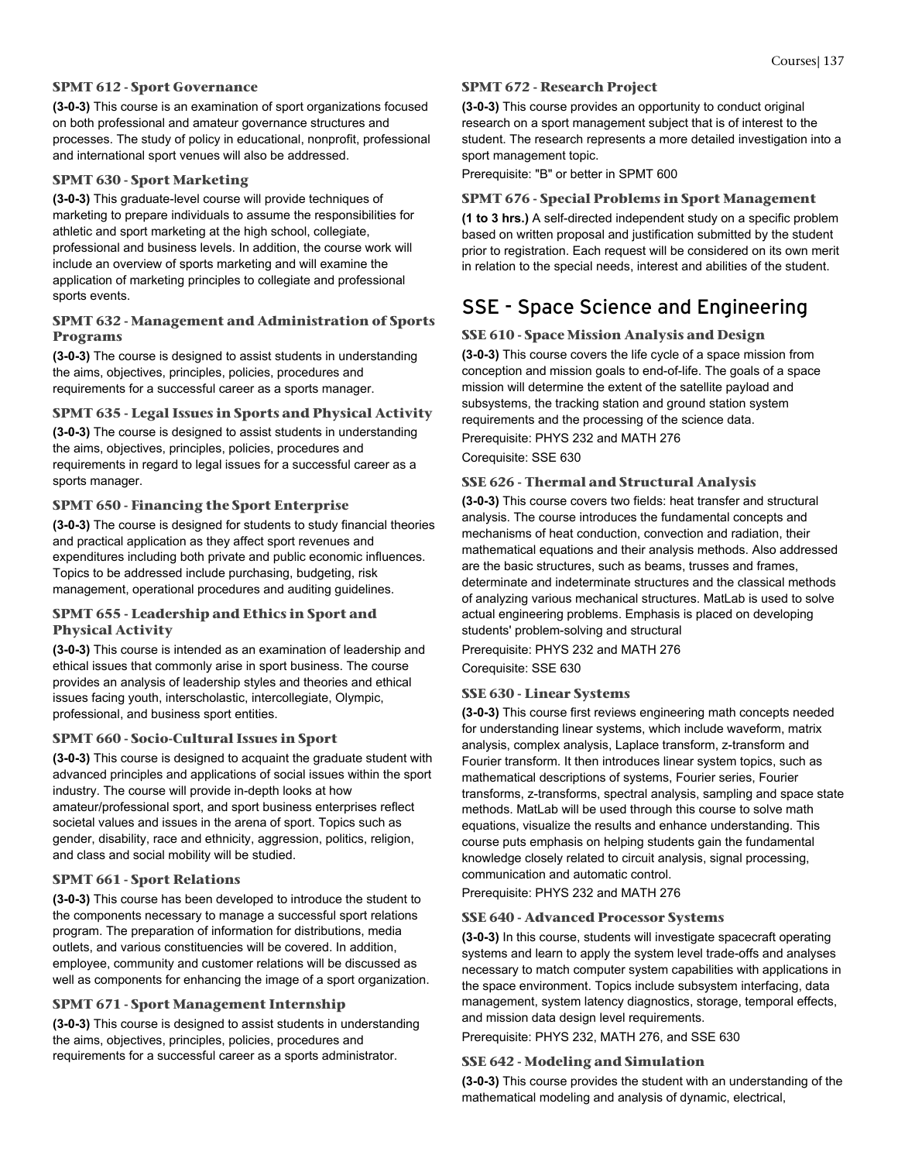#### **SPMT 612 - Sport Governance**

**(3-0-3)** This course is an examination of sport organizations focused on both professional and amateur governance structures and processes. The study of policy in educational, nonprofit, professional and international sport venues will also be addressed.

#### **SPMT 630 - Sport Marketing**

**(3-0-3)** This graduate-level course will provide techniques of marketing to prepare individuals to assume the responsibilities for athletic and sport marketing at the high school, collegiate, professional and business levels. In addition, the course work will include an overview of sports marketing and will examine the application of marketing principles to collegiate and professional sports events.

### **SPMT 632 - Management and Administration of Sports Programs**

**(3-0-3)** The course is designed to assist students in understanding the aims, objectives, principles, policies, procedures and requirements for a successful career as a sports manager.

### **SPMT 635 - Legal Issues in Sports and Physical Activity**

**(3-0-3)** The course is designed to assist students in understanding the aims, objectives, principles, policies, procedures and requirements in regard to legal issues for a successful career as a sports manager.

### **SPMT 650 - Financing the Sport Enterprise**

**(3-0-3)** The course is designed for students to study financial theories and practical application as they affect sport revenues and expenditures including both private and public economic influences. Topics to be addressed include purchasing, budgeting, risk management, operational procedures and auditing guidelines.

### **SPMT 655 - Leadership and Ethics in Sport and Physical Activity**

**(3-0-3)** This course is intended as an examination of leadership and ethical issues that commonly arise in sport business. The course provides an analysis of leadership styles and theories and ethical issues facing youth, interscholastic, intercollegiate, Olympic, professional, and business sport entities.

### **SPMT 660 - Socio-Cultural Issues in Sport**

**(3-0-3)** This course is designed to acquaint the graduate student with advanced principles and applications of social issues within the sport industry. The course will provide in-depth looks at how amateur/professional sport, and sport business enterprises reflect societal values and issues in the arena of sport. Topics such as gender, disability, race and ethnicity, aggression, politics, religion, and class and social mobility will be studied.

#### **SPMT 661 - Sport Relations**

**(3-0-3)** This course has been developed to introduce the student to the components necessary to manage a successful sport relations program. The preparation of information for distributions, media outlets, and various constituencies will be covered. In addition, employee, community and customer relations will be discussed as well as components for enhancing the image of a sport organization.

### **SPMT 671 - Sport Management Internship**

**(3-0-3)** This course is designed to assist students in understanding the aims, objectives, principles, policies, procedures and requirements for a successful career as a sports administrator.

### **SPMT 672 - Research Project**

**(3-0-3)** This course provides an opportunity to conduct original research on a sport management subject that is of interest to the student. The research represents a more detailed investigation into a sport management topic.

Prerequisite: "B" or better in SPMT 600

#### **SPMT 676 - Special Problems in Sport Management**

**(1 to 3 hrs.)** A self-directed independent study on a specific problem based on written proposal and justification submitted by the student prior to registration. Each request will be considered on its own merit in relation to the special needs, interest and abilities of the student.

# SSE - Space Science and Engineering

# **SSE 610 - Space Mission Analysis and Design**

**(3-0-3)** This course covers the life cycle of a space mission from conception and mission goals to end-of-life. The goals of a space mission will determine the extent of the satellite payload and subsystems, the tracking station and ground station system requirements and the processing of the science data.

Prerequisite: PHYS 232 and MATH 276

Corequisite: SSE 630

#### **SSE 626 - Thermal and Structural Analysis**

**(3-0-3)** This course covers two fields: heat transfer and structural analysis. The course introduces the fundamental concepts and mechanisms of heat conduction, convection and radiation, their mathematical equations and their analysis methods. Also addressed are the basic structures, such as beams, trusses and frames, determinate and indeterminate structures and the classical methods of analyzing various mechanical structures. MatLab is used to solve actual engineering problems. Emphasis is placed on developing students' problem-solving and structural

Prerequisite: PHYS 232 and MATH 276

Corequisite: SSE 630

#### **SSE 630 - Linear Systems**

**(3-0-3)** This course first reviews engineering math concepts needed for understanding linear systems, which include waveform, matrix analysis, complex analysis, Laplace transform, z-transform and Fourier transform. It then introduces linear system topics, such as mathematical descriptions of systems, Fourier series, Fourier transforms, z-transforms, spectral analysis, sampling and space state methods. MatLab will be used through this course to solve math equations, visualize the results and enhance understanding. This course puts emphasis on helping students gain the fundamental knowledge closely related to circuit analysis, signal processing, communication and automatic control.

Prerequisite: PHYS 232 and MATH 276

#### **SSE 640 - Advanced Processor Systems**

**(3-0-3)** In this course, students will investigate spacecraft operating systems and learn to apply the system level trade-offs and analyses necessary to match computer system capabilities with applications in the space environment. Topics include subsystem interfacing, data management, system latency diagnostics, storage, temporal effects, and mission data design level requirements.

Prerequisite: PHYS 232, MATH 276, and SSE 630

#### **SSE 642 - Modeling and Simulation**

**(3-0-3)** This course provides the student with an understanding of the mathematical modeling and analysis of dynamic, electrical,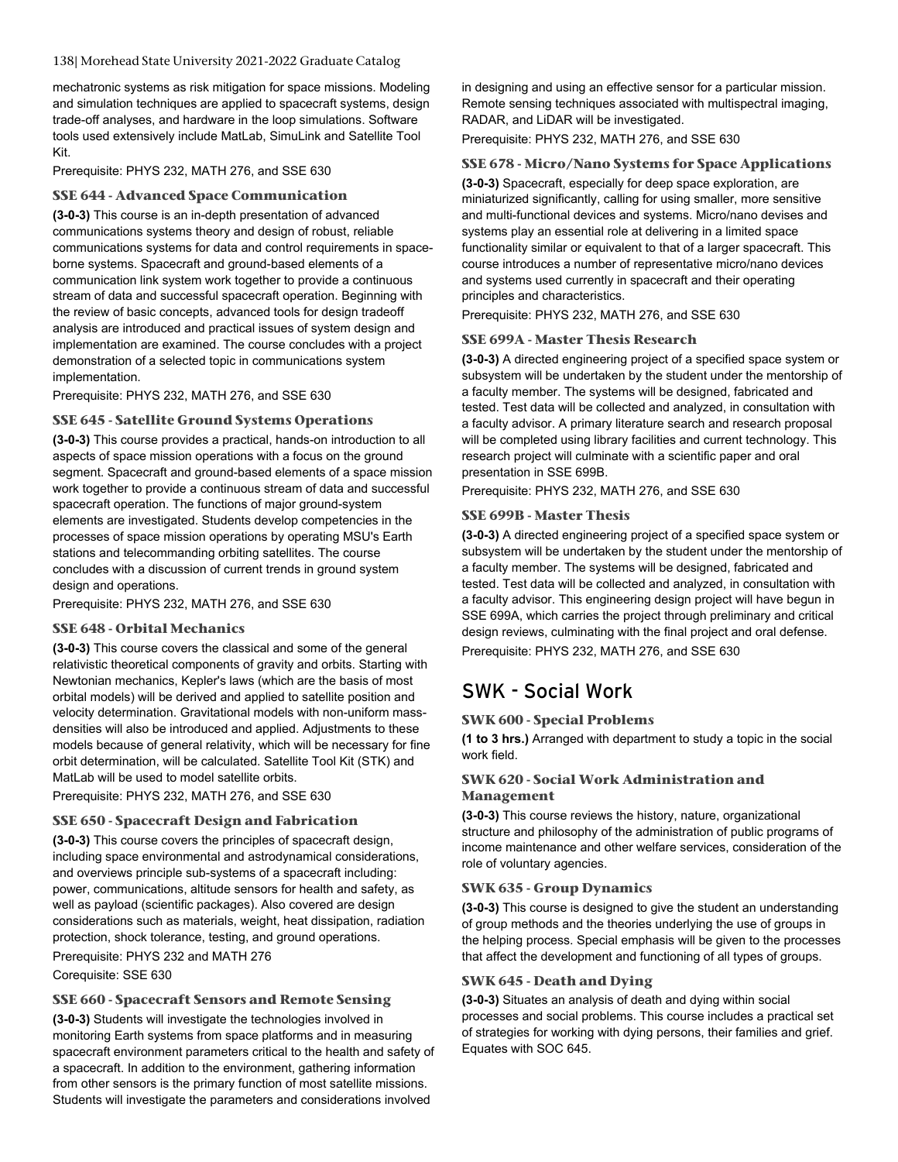mechatronic systems as risk mitigation for space missions. Modeling and simulation techniques are applied to spacecraft systems, design trade-off analyses, and hardware in the loop simulations. Software tools used extensively include MatLab, SimuLink and Satellite Tool Kit.

Prerequisite: PHYS 232, MATH 276, and SSE 630

### **SSE 644 - Advanced Space Communication**

**(3-0-3)** This course is an in-depth presentation of advanced communications systems theory and design of robust, reliable communications systems for data and control requirements in spaceborne systems. Spacecraft and ground-based elements of a communication link system work together to provide a continuous stream of data and successful spacecraft operation. Beginning with the review of basic concepts, advanced tools for design tradeoff analysis are introduced and practical issues of system design and implementation are examined. The course concludes with a project demonstration of a selected topic in communications system implementation.

Prerequisite: PHYS 232, MATH 276, and SSE 630

# **SSE 645 - Satellite Ground Systems Operations**

**(3-0-3)** This course provides a practical, hands-on introduction to all aspects of space mission operations with a focus on the ground segment. Spacecraft and ground-based elements of a space mission work together to provide a continuous stream of data and successful spacecraft operation. The functions of major ground-system elements are investigated. Students develop competencies in the processes of space mission operations by operating MSU's Earth stations and telecommanding orbiting satellites. The course concludes with a discussion of current trends in ground system design and operations.

Prerequisite: PHYS 232, MATH 276, and SSE 630

### **SSE 648 - Orbital Mechanics**

**(3-0-3)** This course covers the classical and some of the general relativistic theoretical components of gravity and orbits. Starting with Newtonian mechanics, Kepler's laws (which are the basis of most orbital models) will be derived and applied to satellite position and velocity determination. Gravitational models with non-uniform massdensities will also be introduced and applied. Adjustments to these models because of general relativity, which will be necessary for fine orbit determination, will be calculated. Satellite Tool Kit (STK) and MatLab will be used to model satellite orbits.

Prerequisite: PHYS 232, MATH 276, and SSE 630

### **SSE 650 - Spacecraft Design and Fabrication**

**(3-0-3)** This course covers the principles of spacecraft design, including space environmental and astrodynamical considerations, and overviews principle sub-systems of a spacecraft including: power, communications, altitude sensors for health and safety, as well as payload (scientific packages). Also covered are design considerations such as materials, weight, heat dissipation, radiation protection, shock tolerance, testing, and ground operations.

Prerequisite: PHYS 232 and MATH 276

Corequisite: SSE 630

### **SSE 660 - Spacecraft Sensors and Remote Sensing**

**(3-0-3)** Students will investigate the technologies involved in monitoring Earth systems from space platforms and in measuring spacecraft environment parameters critical to the health and safety of a spacecraft. In addition to the environment, gathering information from other sensors is the primary function of most satellite missions. Students will investigate the parameters and considerations involved

in designing and using an effective sensor for a particular mission. Remote sensing techniques associated with multispectral imaging, RADAR, and LiDAR will be investigated.

Prerequisite: PHYS 232, MATH 276, and SSE 630

### **SSE 678 - Micro/Nano Systems for Space Applications**

**(3-0-3)** Spacecraft, especially for deep space exploration, are miniaturized significantly, calling for using smaller, more sensitive and multi-functional devices and systems. Micro/nano devises and systems play an essential role at delivering in a limited space functionality similar or equivalent to that of a larger spacecraft. This course introduces a number of representative micro/nano devices and systems used currently in spacecraft and their operating principles and characteristics.

Prerequisite: PHYS 232, MATH 276, and SSE 630

# **SSE 699A - Master Thesis Research**

**(3-0-3)** A directed engineering project of a specified space system or subsystem will be undertaken by the student under the mentorship of a faculty member. The systems will be designed, fabricated and tested. Test data will be collected and analyzed, in consultation with a faculty advisor. A primary literature search and research proposal will be completed using library facilities and current technology. This research project will culminate with a scientific paper and oral presentation in SSE 699B.

Prerequisite: PHYS 232, MATH 276, and SSE 630

### **SSE 699B - Master Thesis**

**(3-0-3)** A directed engineering project of a specified space system or subsystem will be undertaken by the student under the mentorship of a faculty member. The systems will be designed, fabricated and tested. Test data will be collected and analyzed, in consultation with a faculty advisor. This engineering design project will have begun in SSE 699A, which carries the project through preliminary and critical design reviews, culminating with the final project and oral defense. Prerequisite: PHYS 232, MATH 276, and SSE 630

# SWK - Social Work

### **SWK 600 - Special Problems**

**(1 to 3 hrs.)** Arranged with department to study a topic in the social work field.

### **SWK 620 - Social Work Administration and Management**

**(3-0-3)** This course reviews the history, nature, organizational structure and philosophy of the administration of public programs of income maintenance and other welfare services, consideration of the role of voluntary agencies.

### **SWK 635 - Group Dynamics**

**(3-0-3)** This course is designed to give the student an understanding of group methods and the theories underlying the use of groups in the helping process. Special emphasis will be given to the processes that affect the development and functioning of all types of groups.

### **SWK 645 - Death and Dying**

**(3-0-3)** Situates an analysis of death and dying within social processes and social problems. This course includes a practical set of strategies for working with dying persons, their families and grief. Equates with SOC 645.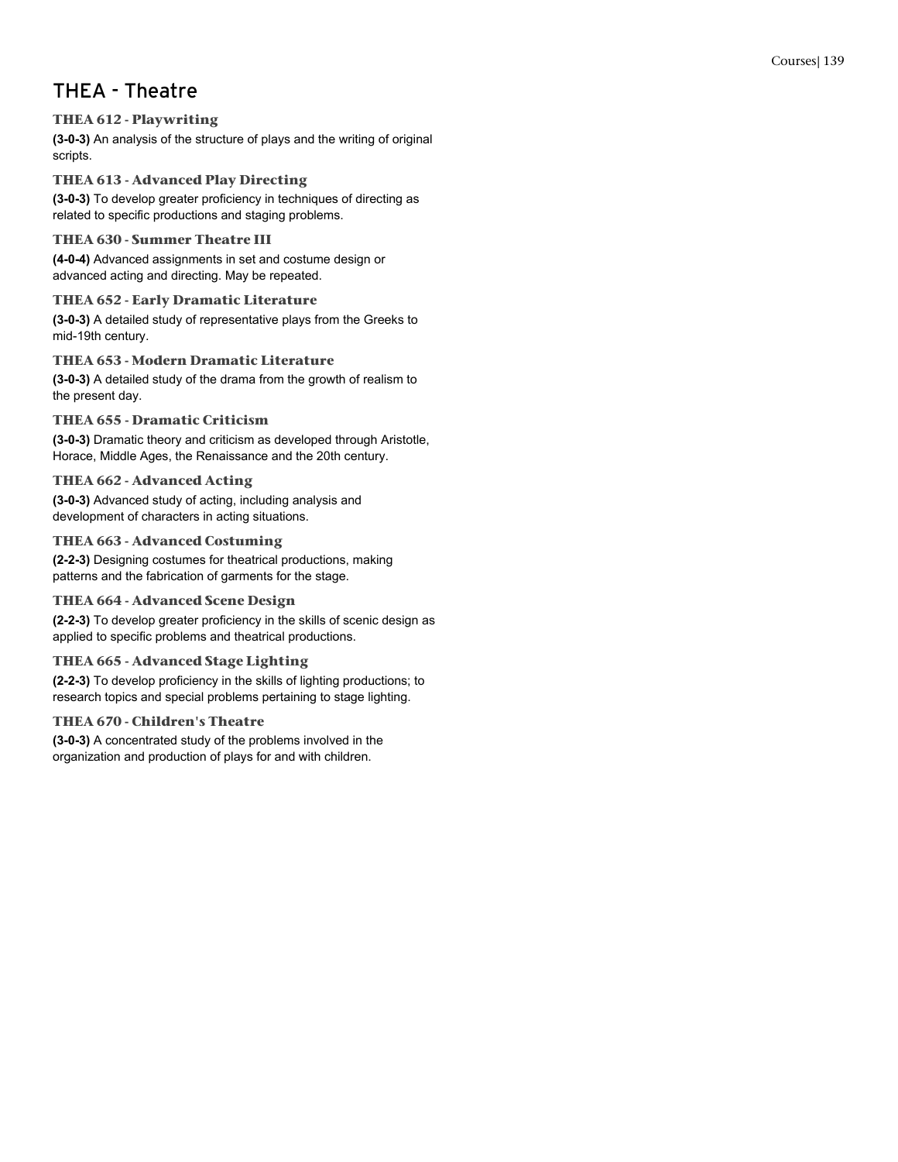# THEA - Theatre

# **THEA 612 - Playwriting**

**(3-0-3)** An analysis of the structure of plays and the writing of original scripts.

# **THEA 613 - Advanced Play Directing**

**(3-0-3)** To develop greater proficiency in techniques of directing as related to specific productions and staging problems.

# **THEA 630 - Summer Theatre III**

**(4-0-4)** Advanced assignments in set and costume design or advanced acting and directing. May be repeated.

# **THEA 652 - Early Dramatic Literature**

**(3-0-3)** A detailed study of representative plays from the Greeks to mid-19th century.

# **THEA 653 - Modern Dramatic Literature**

**(3-0-3)** A detailed study of the drama from the growth of realism to the present day.

# **THEA 655 - Dramatic Criticism**

**(3-0-3)** Dramatic theory and criticism as developed through Aristotle, Horace, Middle Ages, the Renaissance and the 20th century.

### **THEA 662 - Advanced Acting**

**(3-0-3)** Advanced study of acting, including analysis and development of characters in acting situations.

# **THEA 663 - Advanced Costuming**

**(2-2-3)** Designing costumes for theatrical productions, making patterns and the fabrication of garments for the stage.

# **THEA 664 - Advanced Scene Design**

**(2-2-3)** To develop greater proficiency in the skills of scenic design as applied to specific problems and theatrical productions.

# **THEA 665 - Advanced Stage Lighting**

**(2-2-3)** To develop proficiency in the skills of lighting productions; to research topics and special problems pertaining to stage lighting.

### **THEA 670 - Children's Theatre**

**(3-0-3)** A concentrated study of the problems involved in the organization and production of plays for and with children.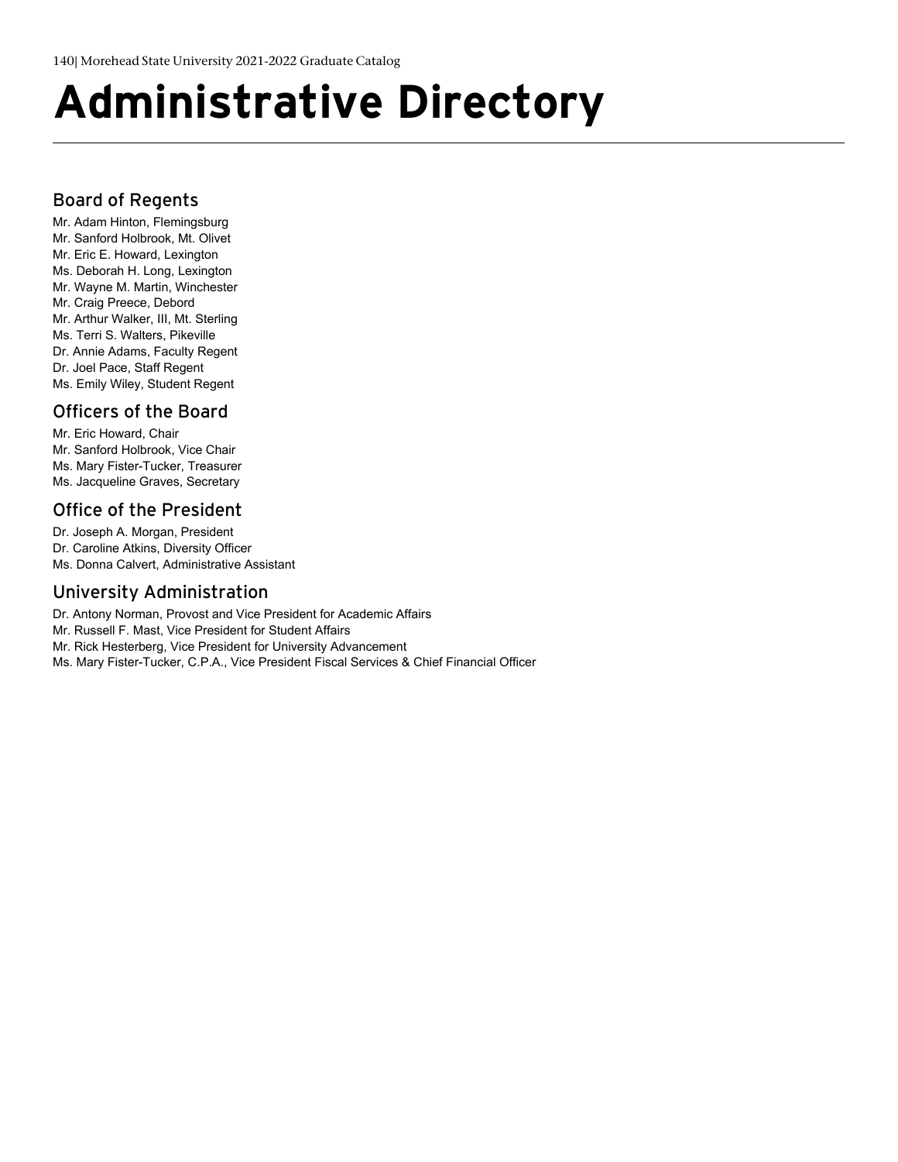# **Administrative Directory**

# Board of Regents

Mr. Adam Hinton, Flemingsburg Mr. Sanford Holbrook, Mt. Olivet Mr. Eric E. Howard, Lexington Ms. Deborah H. Long, Lexington Mr. Wayne M. Martin, Winchester Mr. Craig Preece, Debord Mr. Arthur Walker, III, Mt. Sterling Ms. Terri S. Walters, Pikeville Dr. Annie Adams, Faculty Regent Dr. Joel Pace, Staff Regent Ms. Emily Wiley, Student Regent

# Officers of the Board

Mr. Eric Howard, Chair Mr. Sanford Holbrook, Vice Chair Ms. Mary Fister-Tucker, Treasurer Ms. Jacqueline Graves, Secretary

# Office of the President

Dr. Joseph A. Morgan, President Dr. Caroline Atkins, Diversity Officer Ms. Donna Calvert, Administrative Assistant

# University Administration

Dr. Antony Norman, Provost and Vice President for Academic Affairs

Mr. Russell F. Mast, Vice President for Student Affairs

Mr. Rick Hesterberg, Vice President for University Advancement

Ms. Mary Fister-Tucker, C.P.A., Vice President Fiscal Services & Chief Financial Officer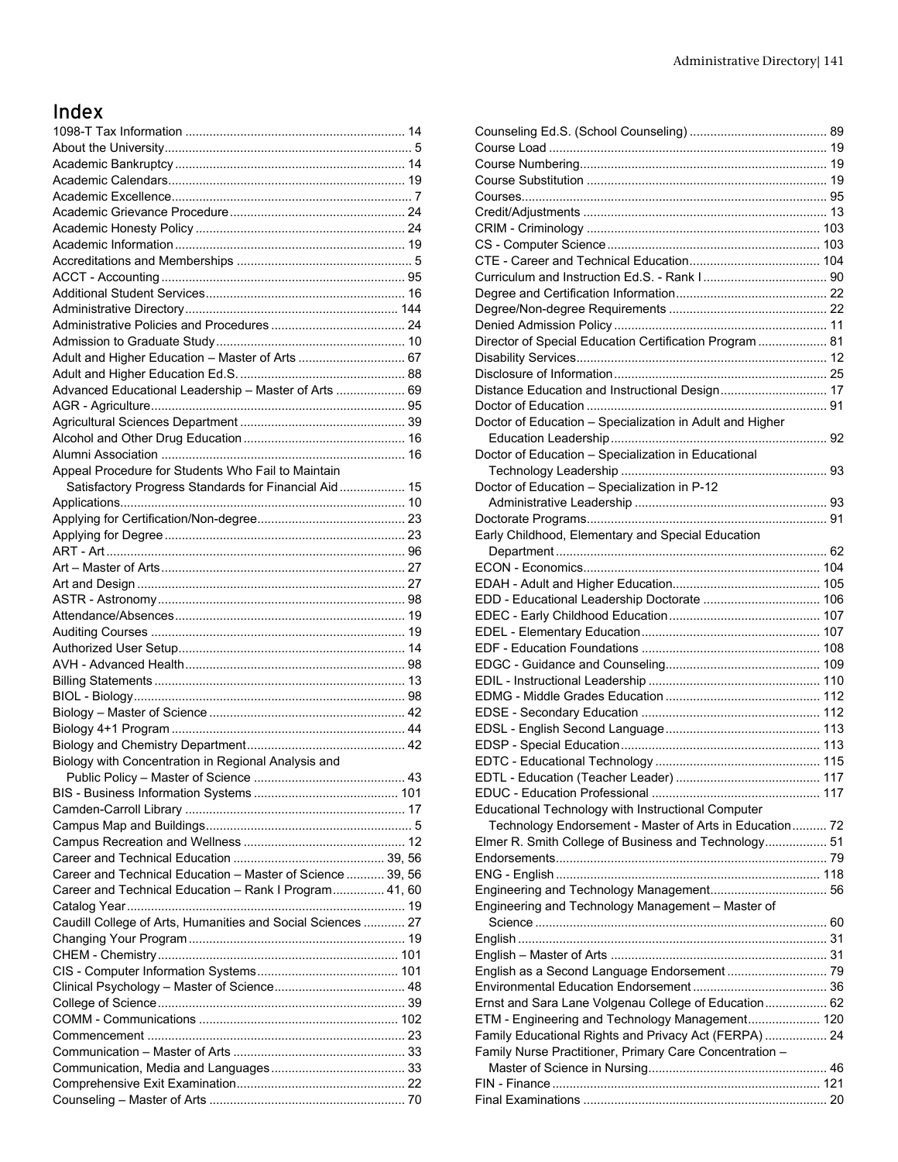# Index

| Adult and Higher Education - Master of Arts  67             |  |
|-------------------------------------------------------------|--|
|                                                             |  |
| Advanced Educational Leadership - Master of Arts  69        |  |
|                                                             |  |
|                                                             |  |
|                                                             |  |
|                                                             |  |
| Appeal Procedure for Students Who Fail to Maintain          |  |
| Satisfactory Progress Standards for Financial Aid 15        |  |
|                                                             |  |
|                                                             |  |
|                                                             |  |
|                                                             |  |
|                                                             |  |
|                                                             |  |
|                                                             |  |
|                                                             |  |
|                                                             |  |
|                                                             |  |
|                                                             |  |
|                                                             |  |
|                                                             |  |
|                                                             |  |
|                                                             |  |
|                                                             |  |
|                                                             |  |
| Biology with Concentration in Regional Analysis and         |  |
|                                                             |  |
|                                                             |  |
|                                                             |  |
|                                                             |  |
|                                                             |  |
|                                                             |  |
| Career and Technical Education - Master of Science  39, 56  |  |
| Career and Technical Education - Rank I Program 41, 60      |  |
|                                                             |  |
| Caudill College of Arts, Humanities and Social Sciences  27 |  |
|                                                             |  |
|                                                             |  |
|                                                             |  |
|                                                             |  |
|                                                             |  |
|                                                             |  |
|                                                             |  |
|                                                             |  |
|                                                             |  |
|                                                             |  |
|                                                             |  |

| Director of Special Education Certification Program  81  |  |
|----------------------------------------------------------|--|
|                                                          |  |
|                                                          |  |
| Distance Education and Instructional Design 17           |  |
|                                                          |  |
| Doctor of Education - Specialization in Adult and Higher |  |
|                                                          |  |
| Doctor of Education - Specialization in Educational      |  |
|                                                          |  |
| Doctor of Education - Specialization in P-12             |  |
|                                                          |  |
|                                                          |  |
| Early Childhood, Elementary and Special Education        |  |
|                                                          |  |
|                                                          |  |
|                                                          |  |
| EDD - Educational Leadership Doctorate  106              |  |
|                                                          |  |
|                                                          |  |
|                                                          |  |
|                                                          |  |
|                                                          |  |
|                                                          |  |
|                                                          |  |
|                                                          |  |
|                                                          |  |
|                                                          |  |
|                                                          |  |
|                                                          |  |
|                                                          |  |
| Educational Technology with Instructional Computer       |  |
| Technology Endorsement - Master of Arts in Education 72  |  |
| Elmer R. Smith College of Business and Technology 51     |  |
|                                                          |  |
|                                                          |  |
|                                                          |  |
| Engineering and Technology Management - Master of        |  |
|                                                          |  |
|                                                          |  |
|                                                          |  |
|                                                          |  |
|                                                          |  |
| Ernst and Sara Lane Volgenau College of Education 62     |  |
| ETM - Engineering and Technology Management 120          |  |
| Family Educational Rights and Privacy Act (FERPA)  24    |  |
| Family Nurse Practitioner, Primary Care Concentration -  |  |
|                                                          |  |
|                                                          |  |
|                                                          |  |
|                                                          |  |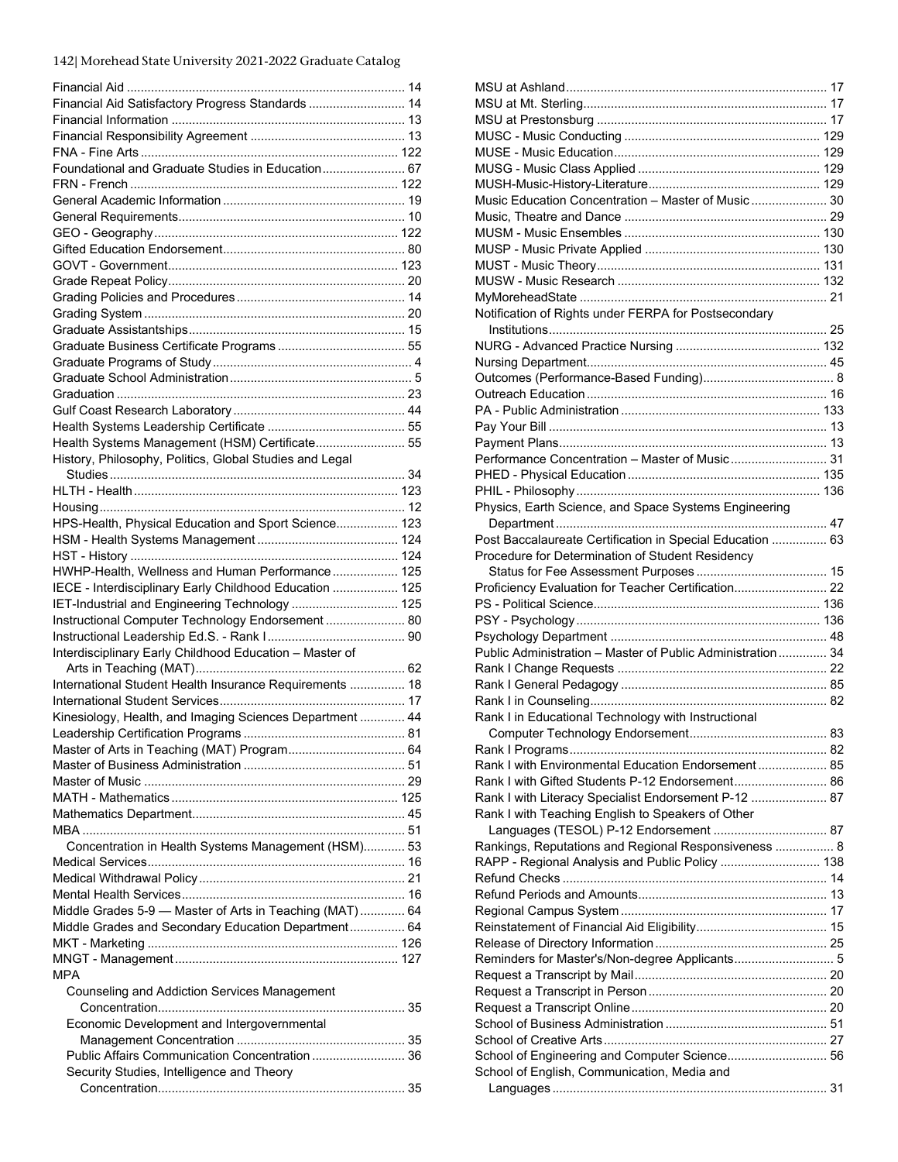| Financial Aid Satisfactory Progress Standards  14        |  |
|----------------------------------------------------------|--|
|                                                          |  |
|                                                          |  |
|                                                          |  |
| Foundational and Graduate Studies in Education 67        |  |
|                                                          |  |
|                                                          |  |
|                                                          |  |
|                                                          |  |
|                                                          |  |
|                                                          |  |
|                                                          |  |
|                                                          |  |
|                                                          |  |
|                                                          |  |
|                                                          |  |
|                                                          |  |
|                                                          |  |
|                                                          |  |
|                                                          |  |
|                                                          |  |
| Health Systems Management (HSM) Certificate 55           |  |
| History, Philosophy, Politics, Global Studies and Legal  |  |
|                                                          |  |
|                                                          |  |
|                                                          |  |
| HPS-Health, Physical Education and Sport Science 123     |  |
|                                                          |  |
|                                                          |  |
| HWHP-Health, Wellness and Human Performance 125          |  |
| IECE - Interdisciplinary Early Childhood Education  125  |  |
| IET-Industrial and Engineering Technology  125           |  |
| Instructional Computer Technology Endorsement  80        |  |
|                                                          |  |
| Interdisciplinary Early Childhood Education - Master of  |  |
|                                                          |  |
| International Student Health Insurance Requirements  18  |  |
|                                                          |  |
| Kinesiology, Health, and Imaging Sciences Department  44 |  |
|                                                          |  |
| Master of Arts in Teaching (MAT) Program 64              |  |
|                                                          |  |
|                                                          |  |
|                                                          |  |
|                                                          |  |
|                                                          |  |
| Concentration in Health Systems Management (HSM) 53      |  |
|                                                          |  |
|                                                          |  |
|                                                          |  |
| Middle Grades 5-9 - Master of Arts in Teaching (MAT)  64 |  |
| Middle Grades and Secondary Education Department 64      |  |
|                                                          |  |
|                                                          |  |
| <b>MPA</b>                                               |  |
| Counseling and Addiction Services Management             |  |
|                                                          |  |
| Economic Development and Intergovernmental               |  |
|                                                          |  |
|                                                          |  |
| Security Studies, Intelligence and Theory                |  |
|                                                          |  |
|                                                          |  |

| Music Education Concentration - Master of Music  30         |  |
|-------------------------------------------------------------|--|
|                                                             |  |
|                                                             |  |
|                                                             |  |
|                                                             |  |
|                                                             |  |
|                                                             |  |
| Notification of Rights under FERPA for Postsecondary        |  |
|                                                             |  |
|                                                             |  |
|                                                             |  |
|                                                             |  |
|                                                             |  |
|                                                             |  |
|                                                             |  |
|                                                             |  |
| Performance Concentration - Master of Music 31              |  |
|                                                             |  |
|                                                             |  |
| Physics, Earth Science, and Space Systems Engineering       |  |
|                                                             |  |
| Post Baccalaureate Certification in Special Education  63   |  |
| Procedure for Determination of Student Residency            |  |
|                                                             |  |
|                                                             |  |
| Proficiency Evaluation for Teacher Certification 22         |  |
|                                                             |  |
|                                                             |  |
|                                                             |  |
| Public Administration - Master of Public Administration  34 |  |
|                                                             |  |
|                                                             |  |
|                                                             |  |
| Rank I in Educational Technology with Instructional         |  |
|                                                             |  |
|                                                             |  |
| Rank I with Environmental Education Endorsement 85          |  |
| Rank I with Gifted Students P-12 Endorsement 86             |  |
| Rank I with Literacy Specialist Endorsement P-12  87        |  |
| Rank I with Teaching English to Speakers of Other           |  |
| Languages (TESOL) P-12 Endorsement  87                      |  |
| Rankings, Reputations and Regional Responsiveness  8        |  |
| RAPP - Regional Analysis and Public Policy  138             |  |
|                                                             |  |
|                                                             |  |
|                                                             |  |
|                                                             |  |
|                                                             |  |
| Reminders for Master's/Non-degree Applicants 5              |  |
|                                                             |  |
|                                                             |  |
|                                                             |  |
|                                                             |  |
|                                                             |  |
| School of Engineering and Computer Science 56               |  |
| School of English, Communication, Media and                 |  |